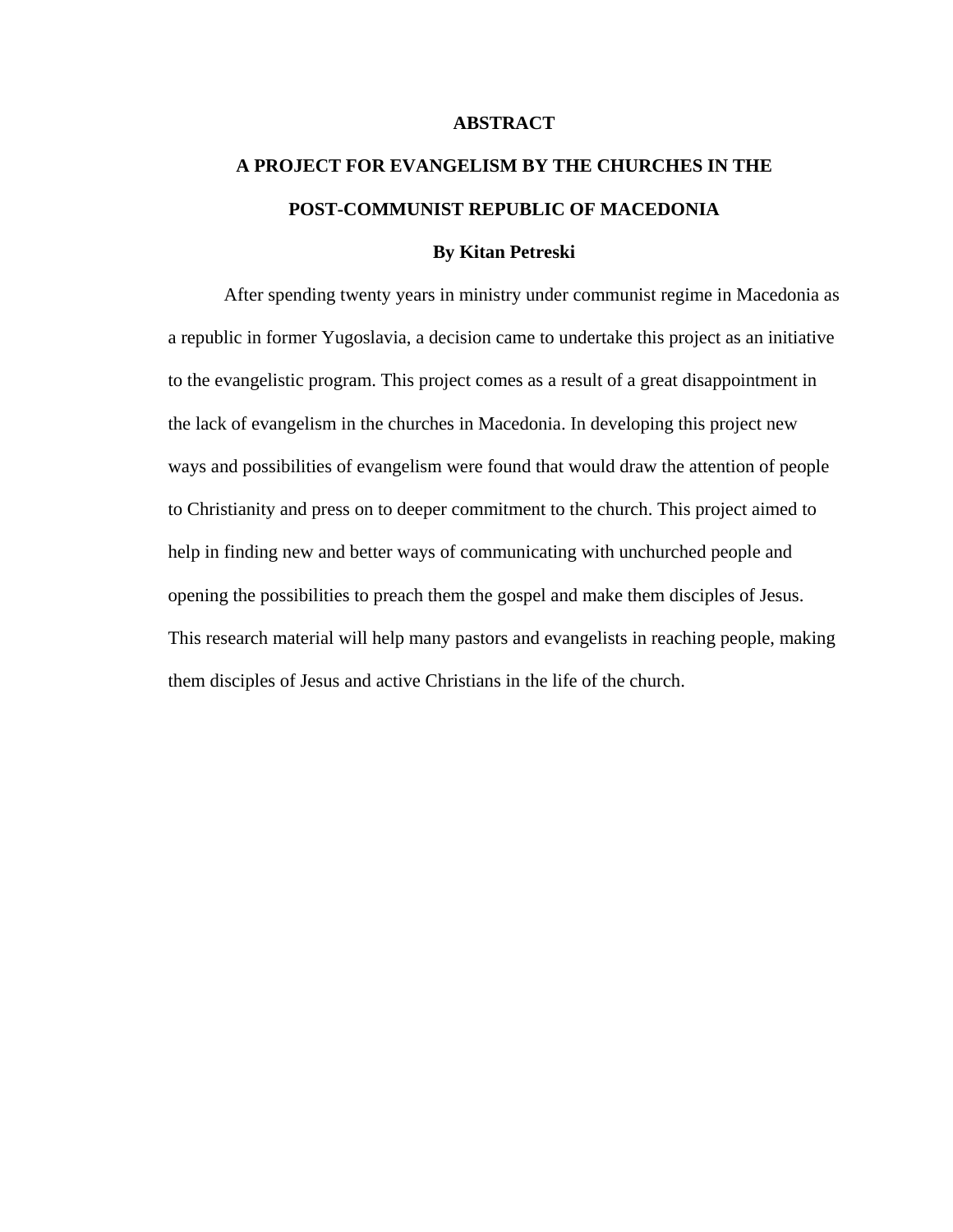#### **ABSTRACT**

# **A PROJECT FOR EVANGELISM BY THE CHURCHES IN THE POST-COMMUNIST REPUBLIC OF MACEDONIA**

#### **By Kitan Petreski**

After spending twenty years in ministry under communist regime in Macedonia as a republic in former Yugoslavia, a decision came to undertake this project as an initiative to the evangelistic program. This project comes as a result of a great disappointment in the lack of evangelism in the churches in Macedonia. In developing this project new ways and possibilities of evangelism were found that would draw the attention of people to Christianity and press on to deeper commitment to the church. This project aimed to help in finding new and better ways of communicating with unchurched people and opening the possibilities to preach them the gospel and make them disciples of Jesus. This research material will help many pastors and evangelists in reaching people, making them disciples of Jesus and active Christians in the life of the church.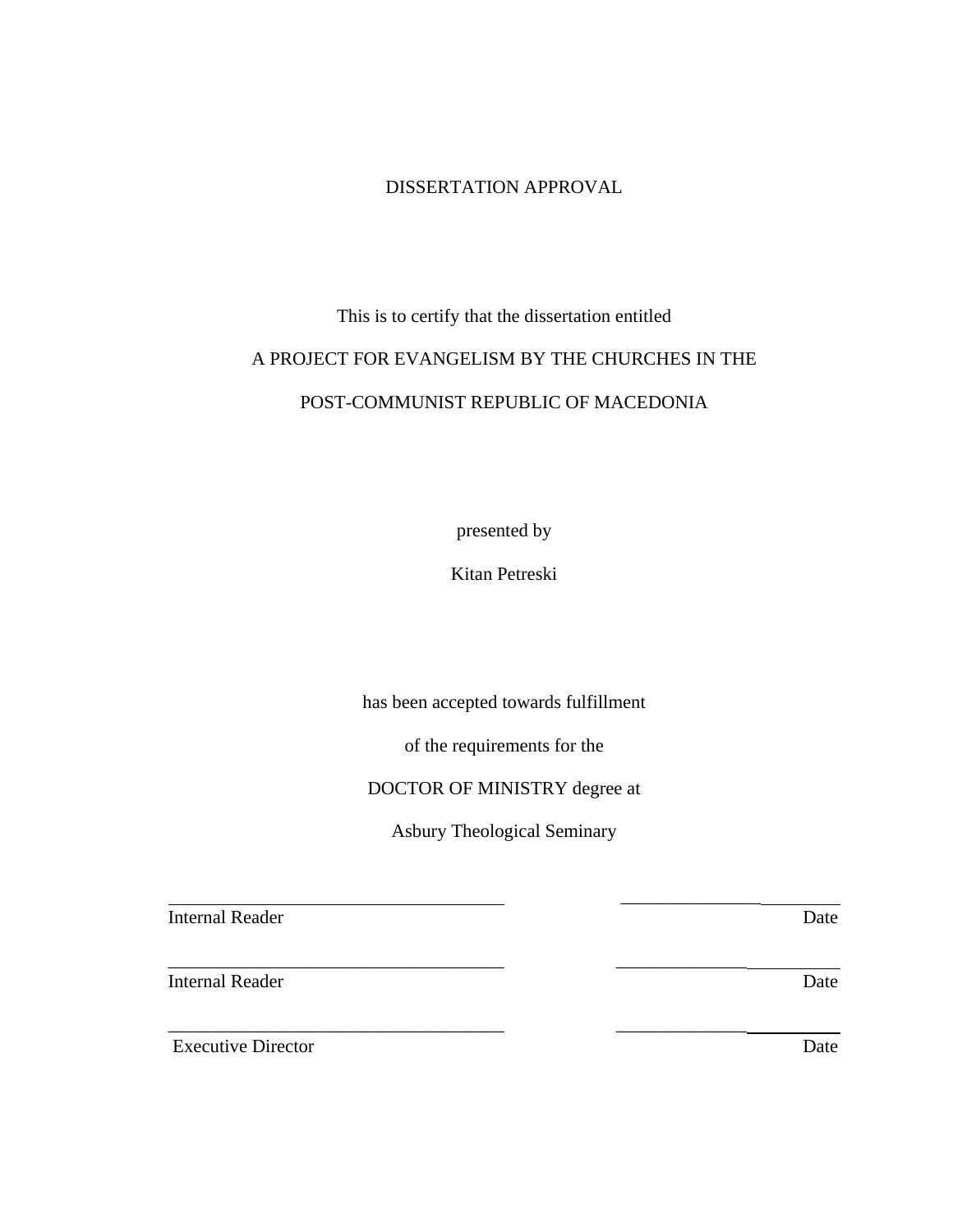### DISSERTATION APPROVAL

# This is to certify that the dissertation entitled A PROJECT FOR EVANGELISM BY THE CHURCHES IN THE POST-COMMUNIST REPUBLIC OF MACEDONIA

presented by

Kitan Petreski

has been accepted towards fulfillment

of the requirements for the

### DOCTOR OF MINISTRY degree at

Asbury Theological Seminary

\_\_\_\_\_\_\_\_\_\_\_\_\_\_\_

\_\_\_\_\_\_\_\_\_\_\_\_\_\_\_\_\_\_\_\_\_\_\_\_\_\_\_\_\_\_\_\_\_\_\_\_ \_\_\_\_\_\_\_\_\_\_\_\_\_\_

\_\_\_\_\_\_\_\_\_\_\_\_\_\_\_\_\_\_\_\_\_\_\_\_\_\_\_\_\_\_\_\_\_\_\_\_ \_\_\_\_\_\_\_\_\_\_\_\_\_\_

**Internal Reader** Date

Internal Reader Date

Executive Director Date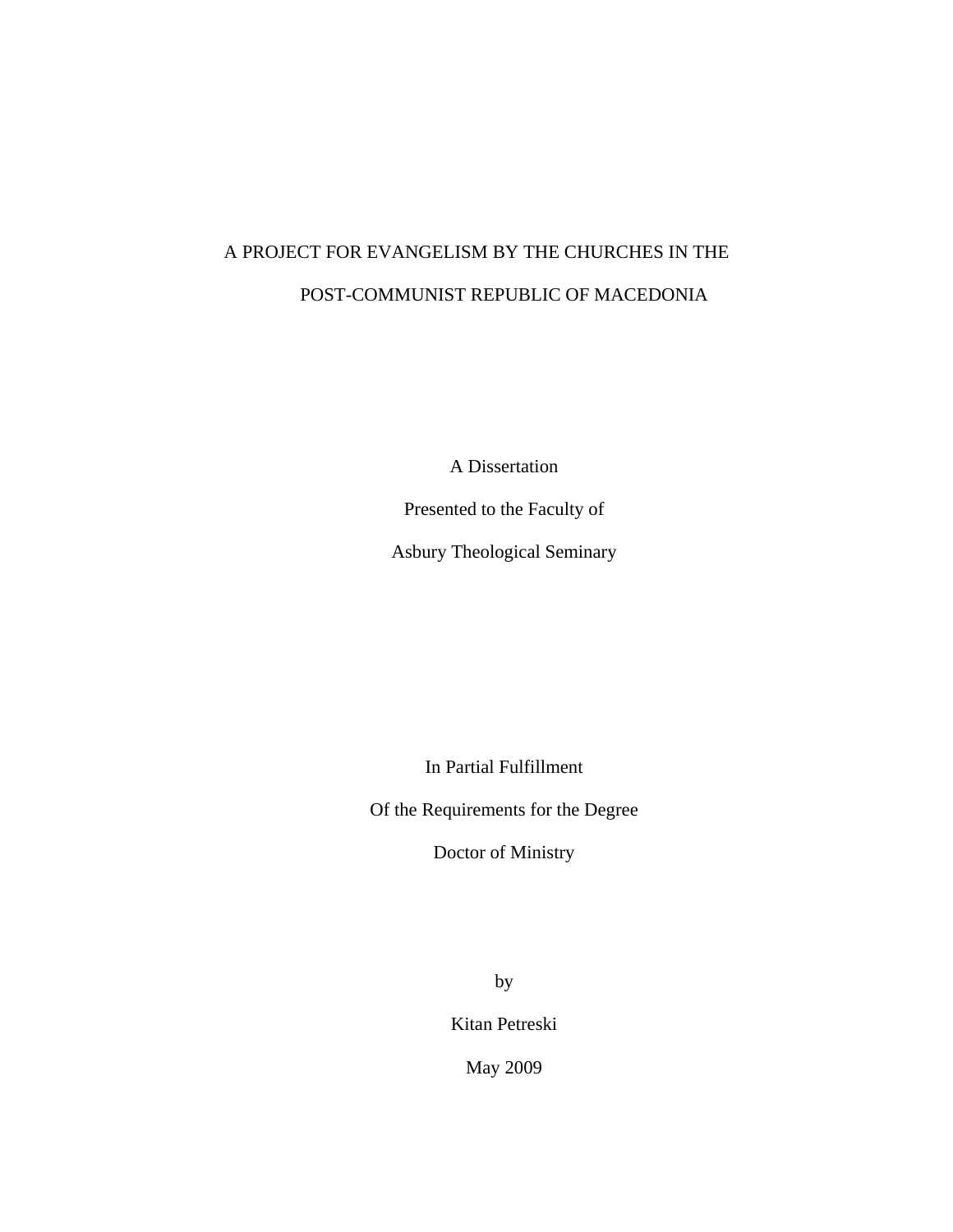## A PROJECT FOR EVANGELISM BY THE CHURCHES IN THE POST-COMMUNIST REPUBLIC OF MACEDONIA

A Dissertation

Presented to the Faculty of

Asbury Theological Seminary

In Partial Fulfillment

Of the Requirements for the Degree

Doctor of Ministry

by

Kitan Petreski

May 2009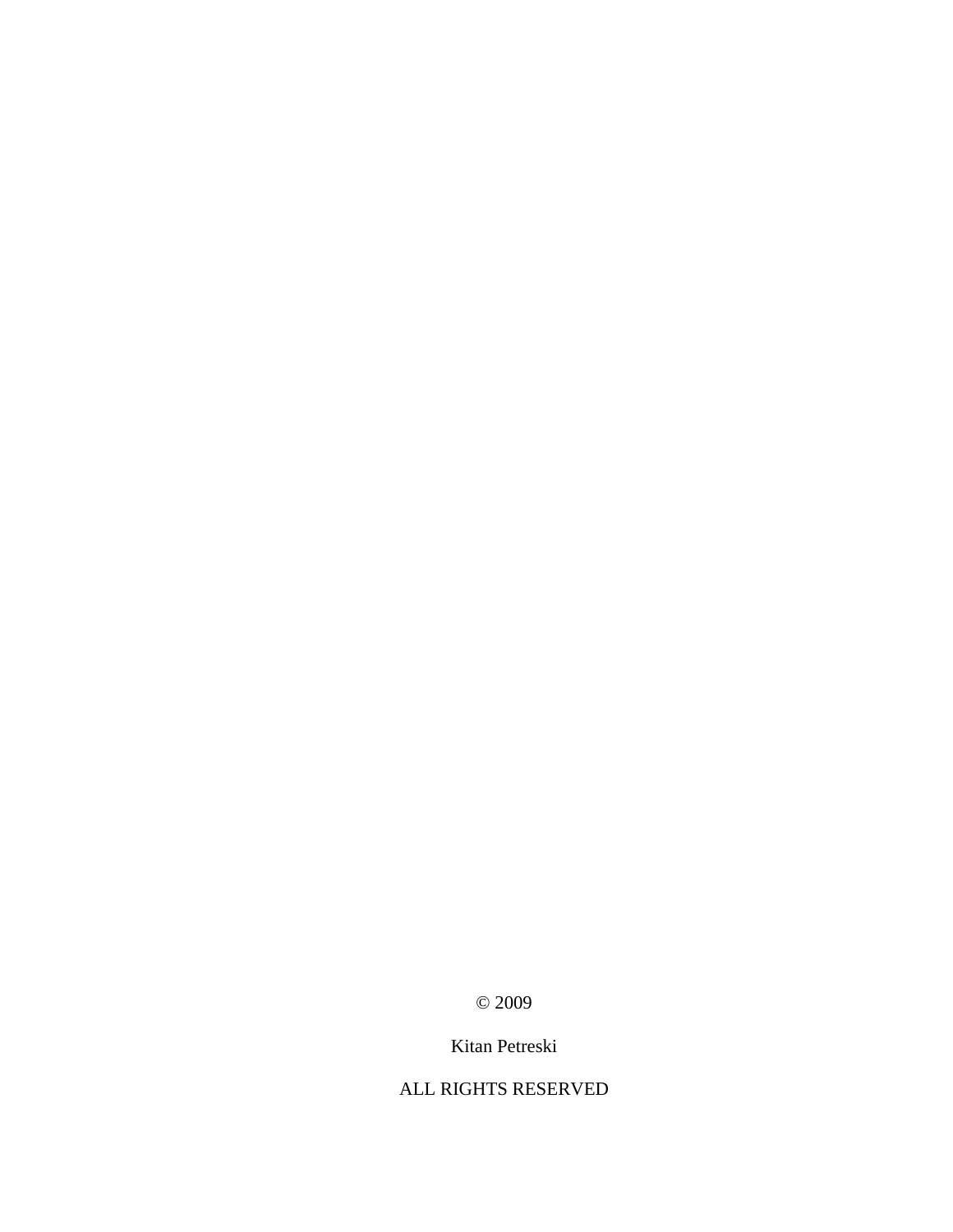© 2009

## Kitan Petreski

ALL RIGHTS RESERVED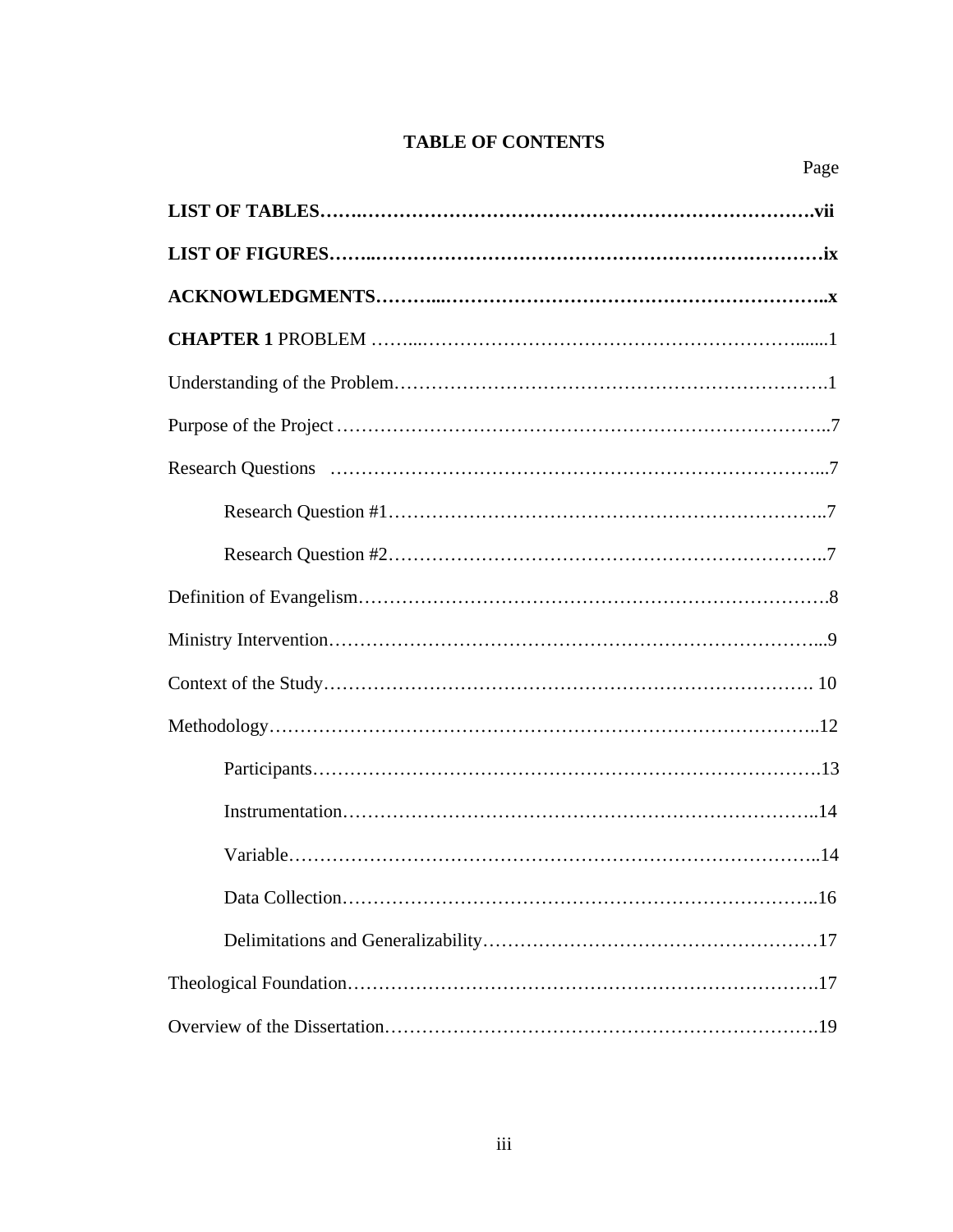## **TABLE OF CONTENTS**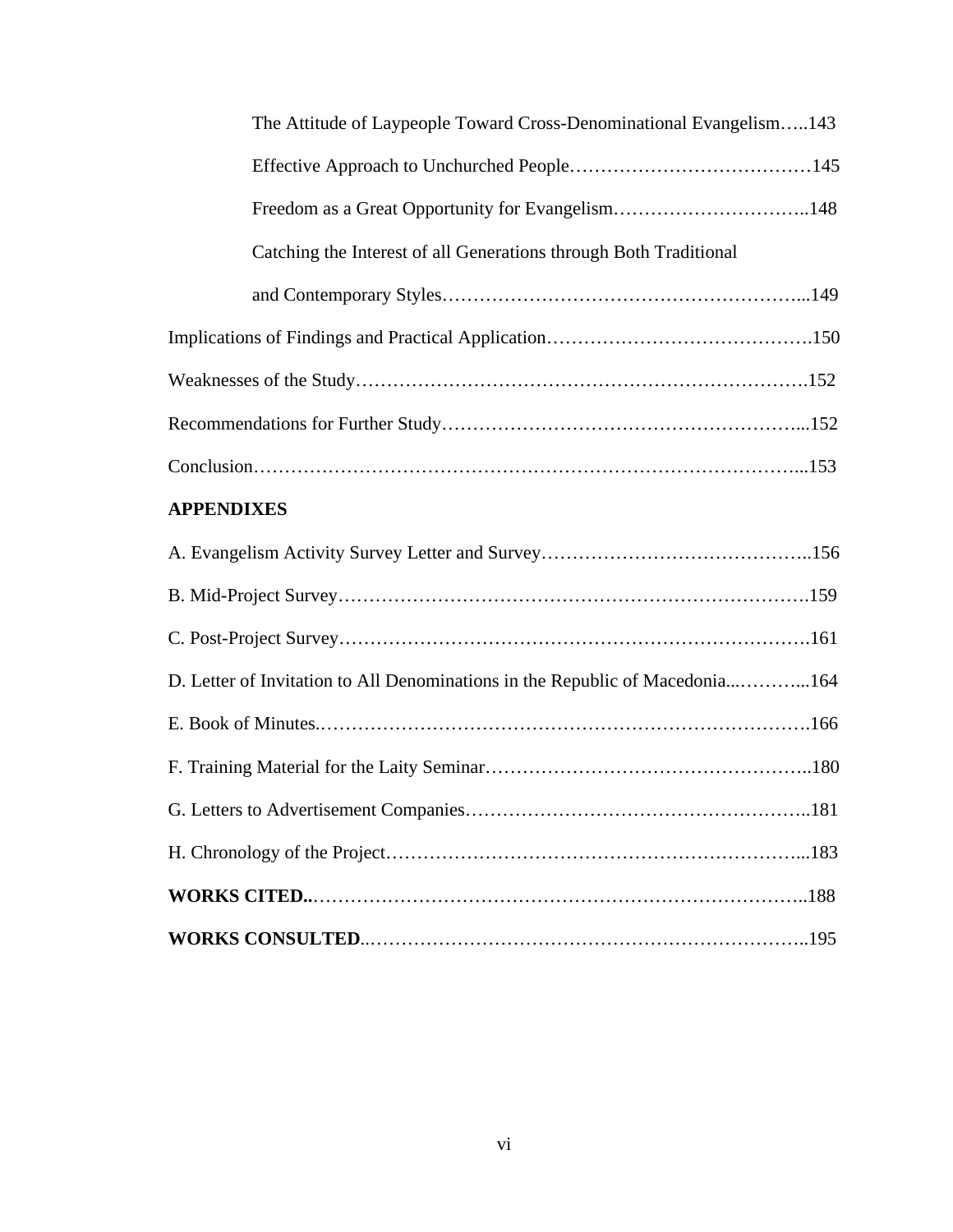| The Attitude of Laypeople Toward Cross-Denominational Evangelism143          |  |  |  |  |  |
|------------------------------------------------------------------------------|--|--|--|--|--|
|                                                                              |  |  |  |  |  |
|                                                                              |  |  |  |  |  |
| Catching the Interest of all Generations through Both Traditional            |  |  |  |  |  |
|                                                                              |  |  |  |  |  |
|                                                                              |  |  |  |  |  |
|                                                                              |  |  |  |  |  |
|                                                                              |  |  |  |  |  |
|                                                                              |  |  |  |  |  |
| <b>APPENDIXES</b>                                                            |  |  |  |  |  |
|                                                                              |  |  |  |  |  |
|                                                                              |  |  |  |  |  |
|                                                                              |  |  |  |  |  |
| D. Letter of Invitation to All Denominations in the Republic of Macedonia164 |  |  |  |  |  |
|                                                                              |  |  |  |  |  |
|                                                                              |  |  |  |  |  |
|                                                                              |  |  |  |  |  |
|                                                                              |  |  |  |  |  |
|                                                                              |  |  |  |  |  |
|                                                                              |  |  |  |  |  |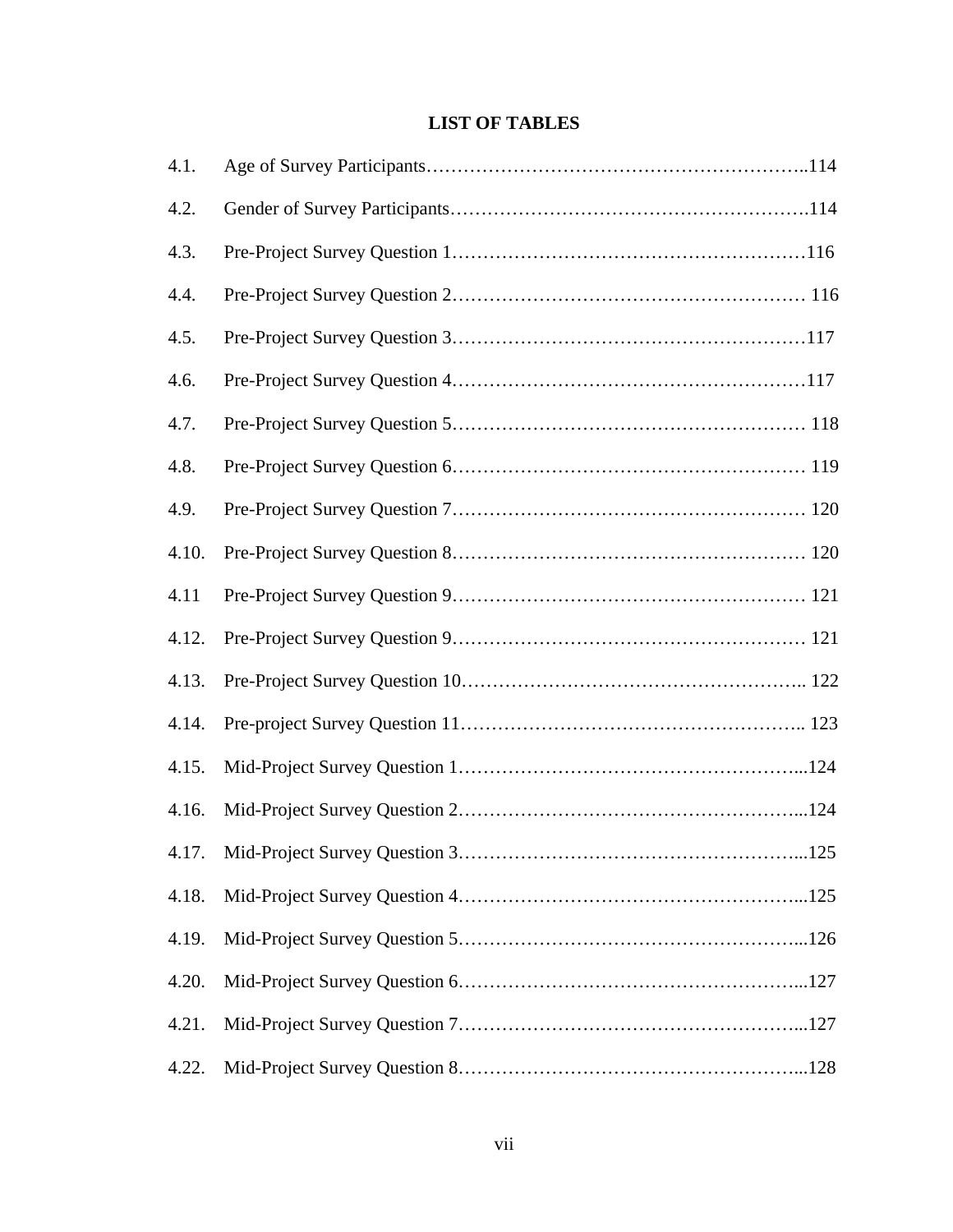## **LIST OF TABLES**

| 4.1.  |       |
|-------|-------|
| 4.2.  |       |
| 4.3.  |       |
| 4.4.  |       |
| 4.5.  |       |
| 4.6.  |       |
| 4.7.  |       |
| 4.8.  |       |
| 4.9.  |       |
| 4.10. |       |
| 4.11  |       |
| 4.12. |       |
| 4.13. |       |
| 4.14. |       |
| 4.15. |       |
| 4.16. |       |
|       | . 125 |
| 4.18. |       |
| 4.19. |       |
| 4.20. |       |
| 4.21. |       |
| 4.22. |       |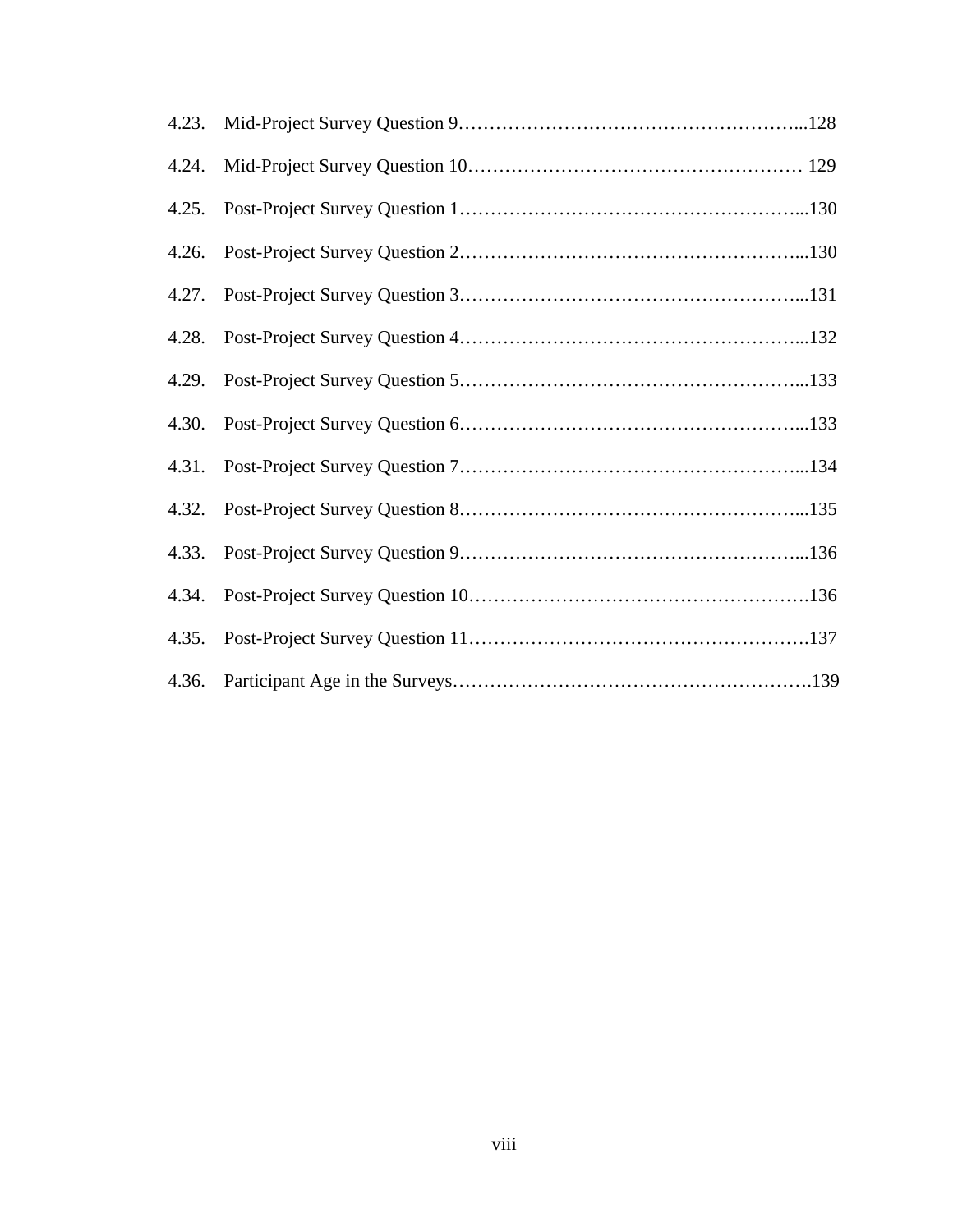| 4.23. |  |
|-------|--|
| 4.24. |  |
| 4.25. |  |
| 4.26. |  |
| 4.27. |  |
| 4.28. |  |
| 4.29. |  |
| 4.30. |  |
| 4.31. |  |
| 4.32. |  |
| 4.33. |  |
| 4.34. |  |
| 4.35. |  |
| 4.36. |  |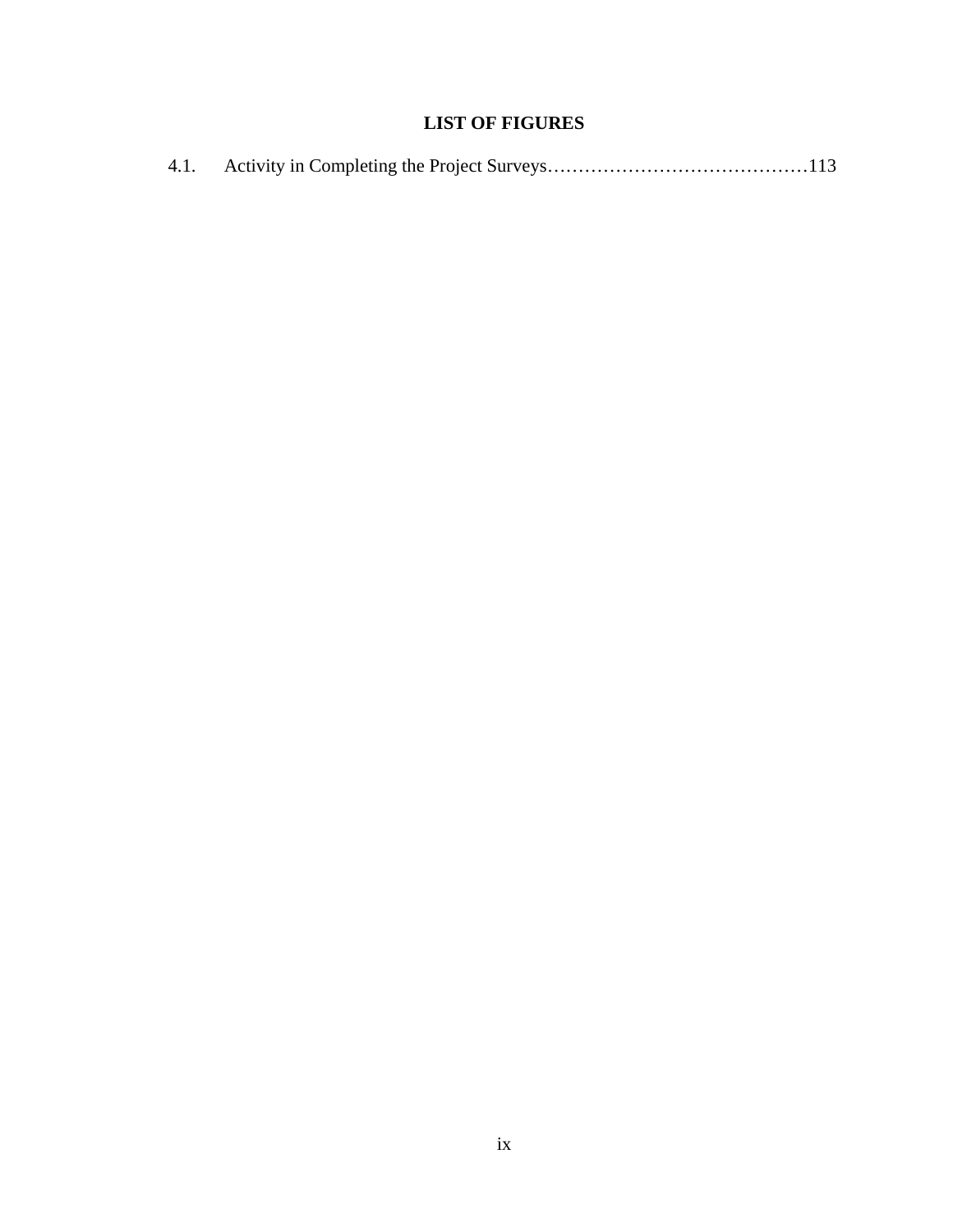## **LIST OF FIGURES**

|--|--|--|--|--|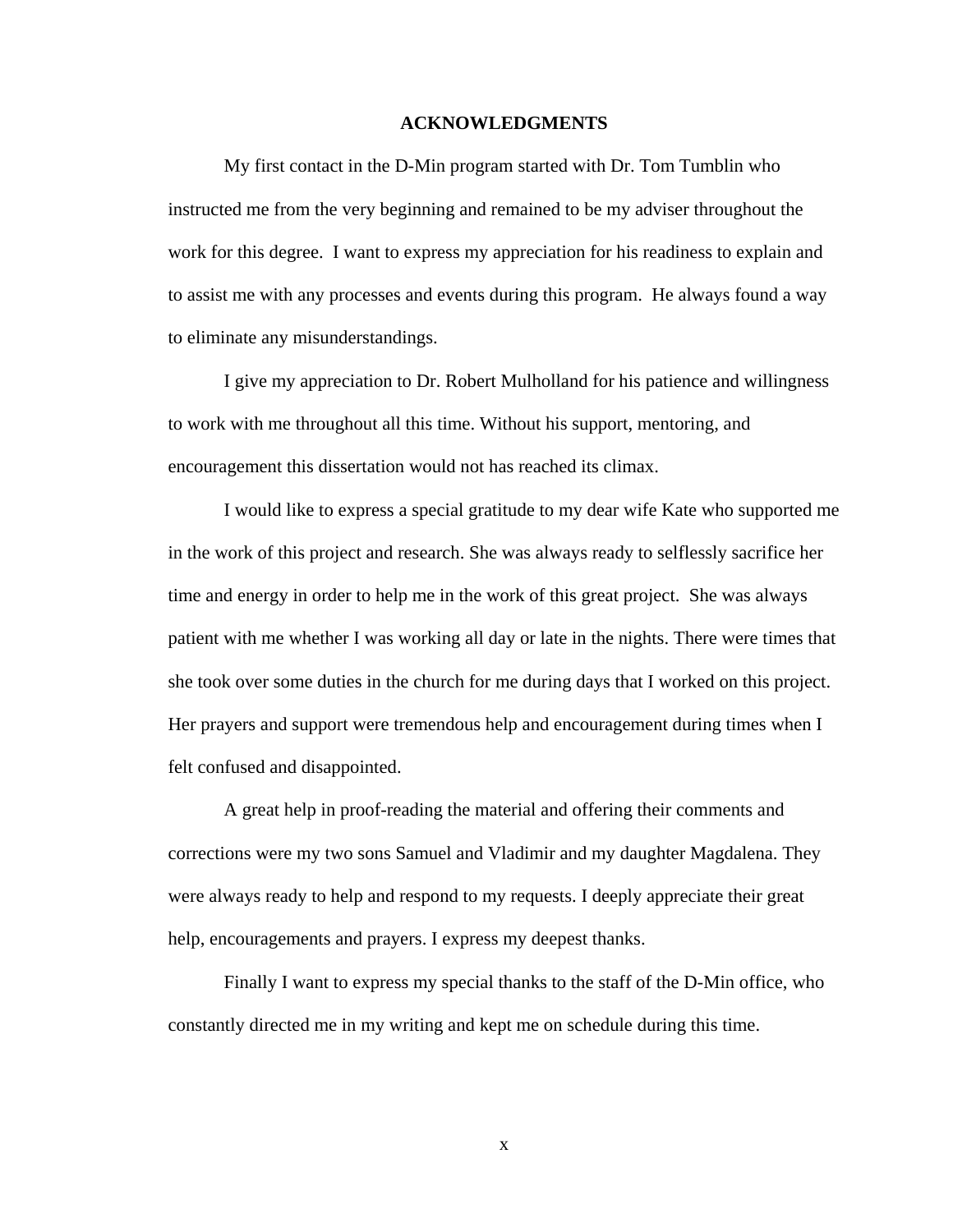#### **ACKNOWLEDGMENTS**

My first contact in the D-Min program started with Dr. Tom Tumblin who instructed me from the very beginning and remained to be my adviser throughout the work for this degree. I want to express my appreciation for his readiness to explain and to assist me with any processes and events during this program. He always found a way to eliminate any misunderstandings.

 I give my appreciation to Dr. Robert Mulholland for his patience and willingness to work with me throughout all this time. Without his support, mentoring, and encouragement this dissertation would not has reached its climax.

 I would like to express a special gratitude to my dear wife Kate who supported me in the work of this project and research. She was always ready to selflessly sacrifice her time and energy in order to help me in the work of this great project. She was always patient with me whether I was working all day or late in the nights. There were times that she took over some duties in the church for me during days that I worked on this project. Her prayers and support were tremendous help and encouragement during times when I felt confused and disappointed.

 A great help in proof-reading the material and offering their comments and corrections were my two sons Samuel and Vladimir and my daughter Magdalena. They were always ready to help and respond to my requests. I deeply appreciate their great help, encouragements and prayers. I express my deepest thanks.

 Finally I want to express my special thanks to the staff of the D-Min office, who constantly directed me in my writing and kept me on schedule during this time.

x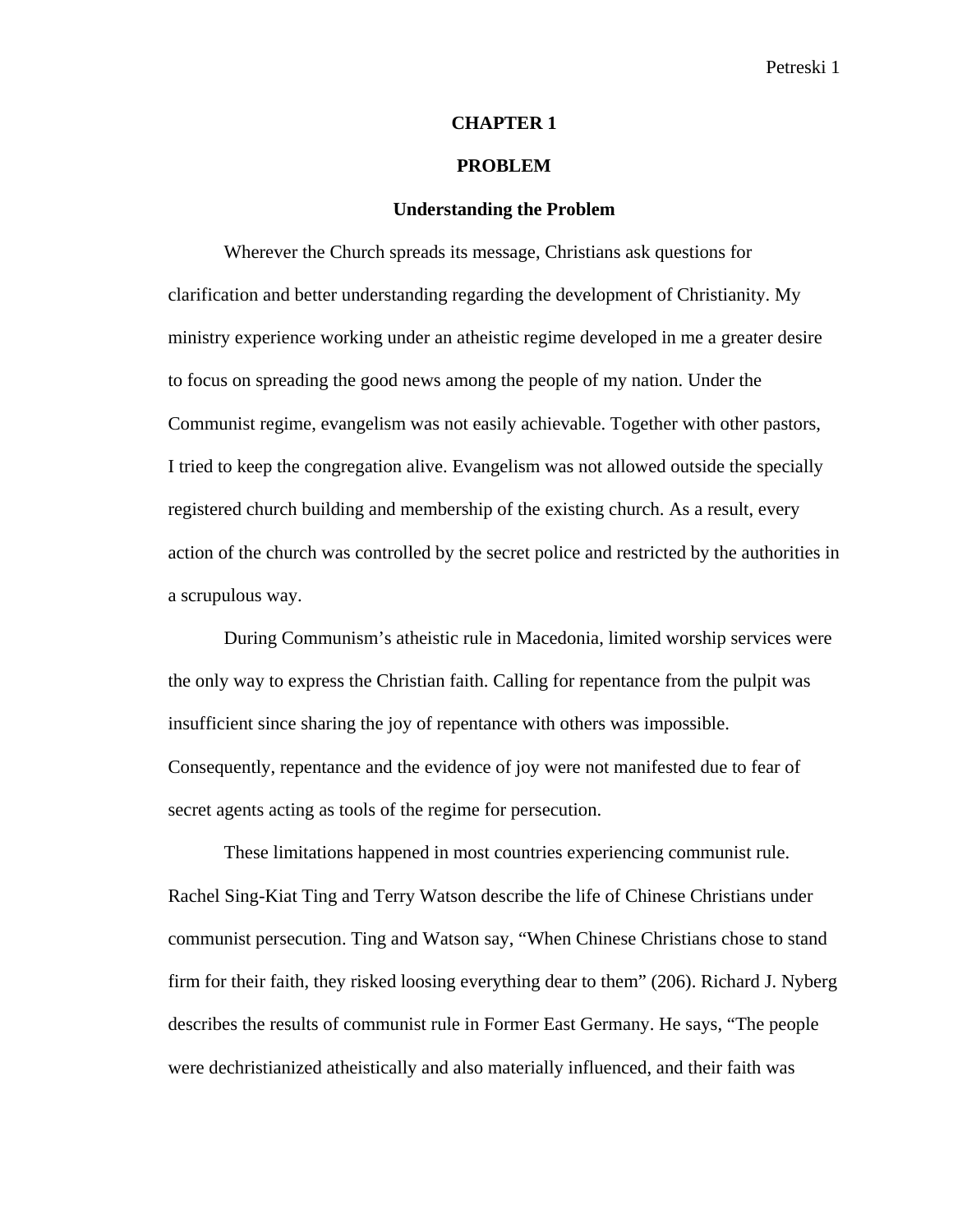#### **CHAPTER 1**

#### **PROBLEM**

#### **Understanding the Problem**

Wherever the Church spreads its message, Christians ask questions for clarification and better understanding regarding the development of Christianity. My ministry experience working under an atheistic regime developed in me a greater desire to focus on spreading the good news among the people of my nation. Under the Communist regime, evangelism was not easily achievable. Together with other pastors, I tried to keep the congregation alive. Evangelism was not allowed outside the specially registered church building and membership of the existing church. As a result, every action of the church was controlled by the secret police and restricted by the authorities in a scrupulous way.

During Communism's atheistic rule in Macedonia, limited worship services were the only way to express the Christian faith. Calling for repentance from the pulpit was insufficient since sharing the joy of repentance with others was impossible. Consequently, repentance and the evidence of joy were not manifested due to fear of secret agents acting as tools of the regime for persecution.

These limitations happened in most countries experiencing communist rule. Rachel Sing-Kiat Ting and Terry Watson describe the life of Chinese Christians under communist persecution. Ting and Watson say, "When Chinese Christians chose to stand firm for their faith, they risked loosing everything dear to them" (206). Richard J. Nyberg describes the results of communist rule in Former East Germany. He says, "The people were dechristianized atheistically and also materially influenced, and their faith was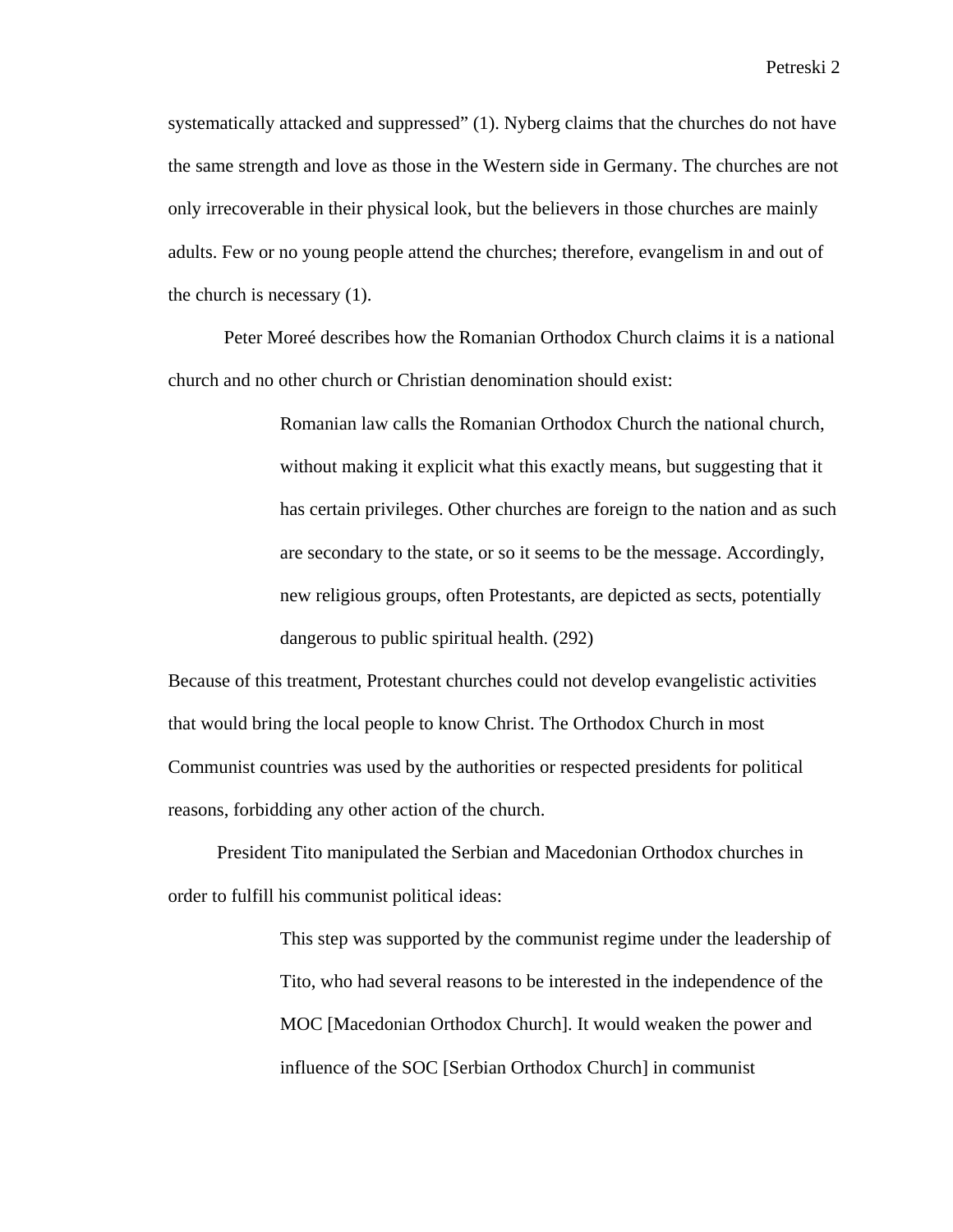systematically attacked and suppressed" (1). Nyberg claims that the churches do not have the same strength and love as those in the Western side in Germany. The churches are not only irrecoverable in their physical look, but the believers in those churches are mainly adults. Few or no young people attend the churches; therefore, evangelism in and out of the church is necessary (1).

Peter Moreé describes how the Romanian Orthodox Church claims it is a national church and no other church or Christian denomination should exist:

> Romanian law calls the Romanian Orthodox Church the national church, without making it explicit what this exactly means, but suggesting that it has certain privileges. Other churches are foreign to the nation and as such are secondary to the state, or so it seems to be the message. Accordingly, new religious groups, often Protestants, are depicted as sects, potentially dangerous to public spiritual health. (292)

Because of this treatment, Protestant churches could not develop evangelistic activities that would bring the local people to know Christ. The Orthodox Church in most Communist countries was used by the authorities or respected presidents for political reasons, forbidding any other action of the church.

President Tito manipulated the Serbian and Macedonian Orthodox churches in order to fulfill his communist political ideas:

> This step was supported by the communist regime under the leadership of Tito, who had several reasons to be interested in the independence of the MOC [Macedonian Orthodox Church]. It would weaken the power and influence of the SOC [Serbian Orthodox Church] in communist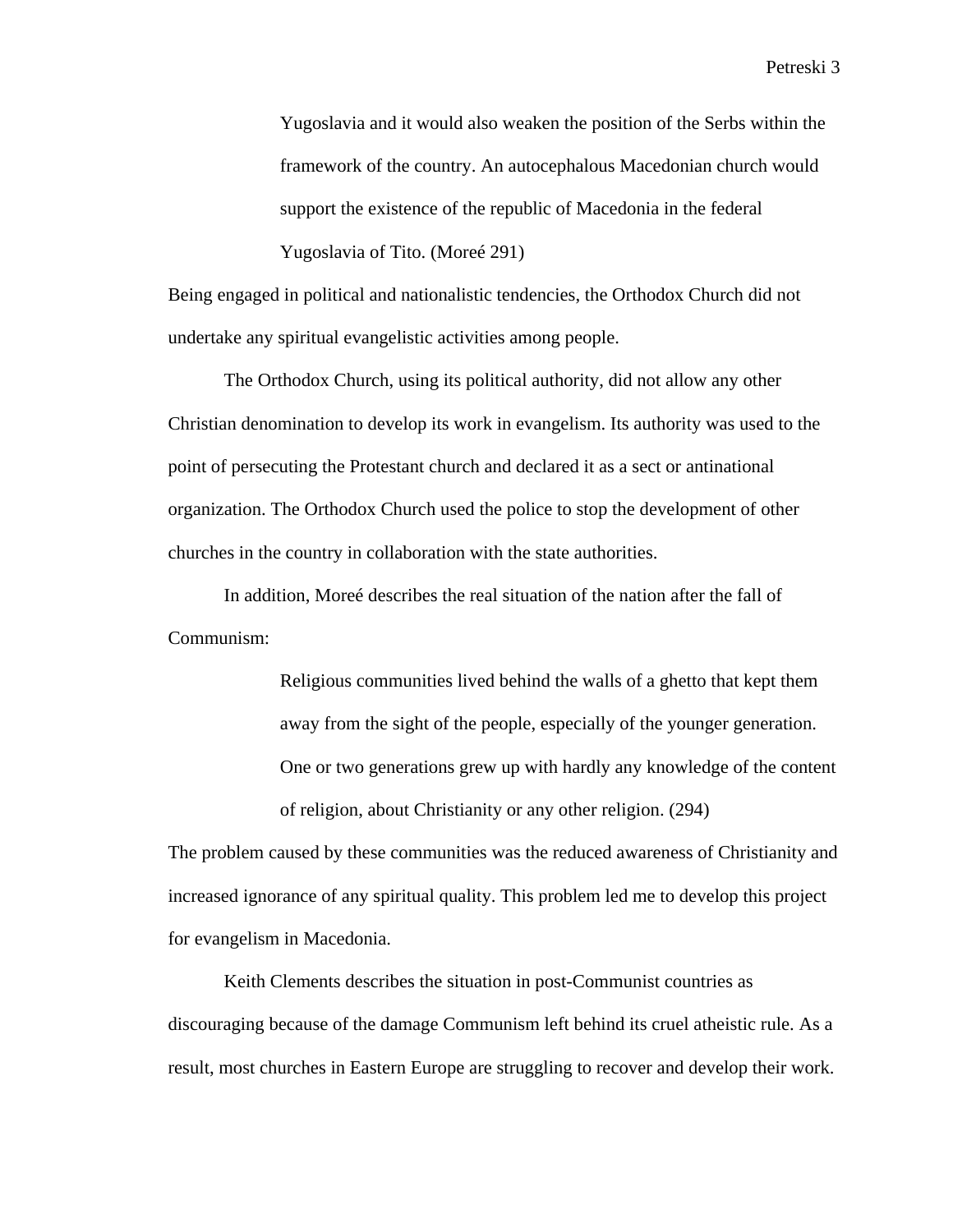Yugoslavia and it would also weaken the position of the Serbs within the framework of the country. An autocephalous Macedonian church would support the existence of the republic of Macedonia in the federal Yugoslavia of Tito. (Moreé 291)

Being engaged in political and nationalistic tendencies, the Orthodox Church did not undertake any spiritual evangelistic activities among people.

The Orthodox Church, using its political authority, did not allow any other Christian denomination to develop its work in evangelism. Its authority was used to the point of persecuting the Protestant church and declared it as a sect or antinational organization. The Orthodox Church used the police to stop the development of other churches in the country in collaboration with the state authorities.

In addition, Moreé describes the real situation of the nation after the fall of Communism:

> Religious communities lived behind the walls of a ghetto that kept them away from the sight of the people, especially of the younger generation. One or two generations grew up with hardly any knowledge of the content of religion, about Christianity or any other religion. (294)

The problem caused by these communities was the reduced awareness of Christianity and increased ignorance of any spiritual quality. This problem led me to develop this project for evangelism in Macedonia.

Keith Clements describes the situation in post-Communist countries as discouraging because of the damage Communism left behind its cruel atheistic rule. As a result, most churches in Eastern Europe are struggling to recover and develop their work.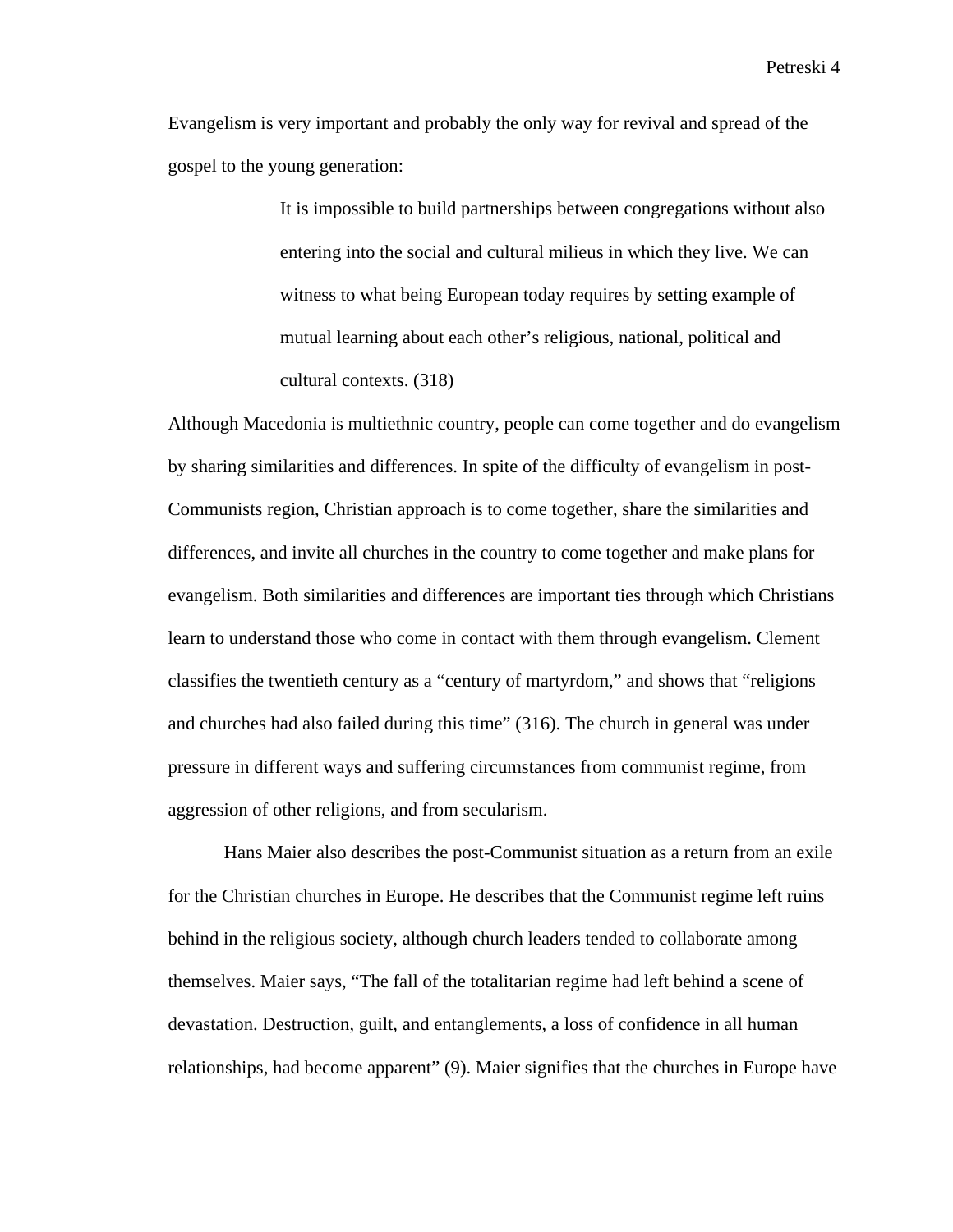Evangelism is very important and probably the only way for revival and spread of the gospel to the young generation:

> It is impossible to build partnerships between congregations without also entering into the social and cultural milieus in which they live. We can witness to what being European today requires by setting example of mutual learning about each other's religious, national, political and cultural contexts. (318)

Although Macedonia is multiethnic country, people can come together and do evangelism by sharing similarities and differences. In spite of the difficulty of evangelism in post-Communists region, Christian approach is to come together, share the similarities and differences, and invite all churches in the country to come together and make plans for evangelism. Both similarities and differences are important ties through which Christians learn to understand those who come in contact with them through evangelism. Clement classifies the twentieth century as a "century of martyrdom," and shows that "religions and churches had also failed during this time" (316). The church in general was under pressure in different ways and suffering circumstances from communist regime, from aggression of other religions, and from secularism.

Hans Maier also describes the post-Communist situation as a return from an exile for the Christian churches in Europe. He describes that the Communist regime left ruins behind in the religious society, although church leaders tended to collaborate among themselves. Maier says, "The fall of the totalitarian regime had left behind a scene of devastation. Destruction, guilt, and entanglements, a loss of confidence in all human relationships, had become apparent" (9). Maier signifies that the churches in Europe have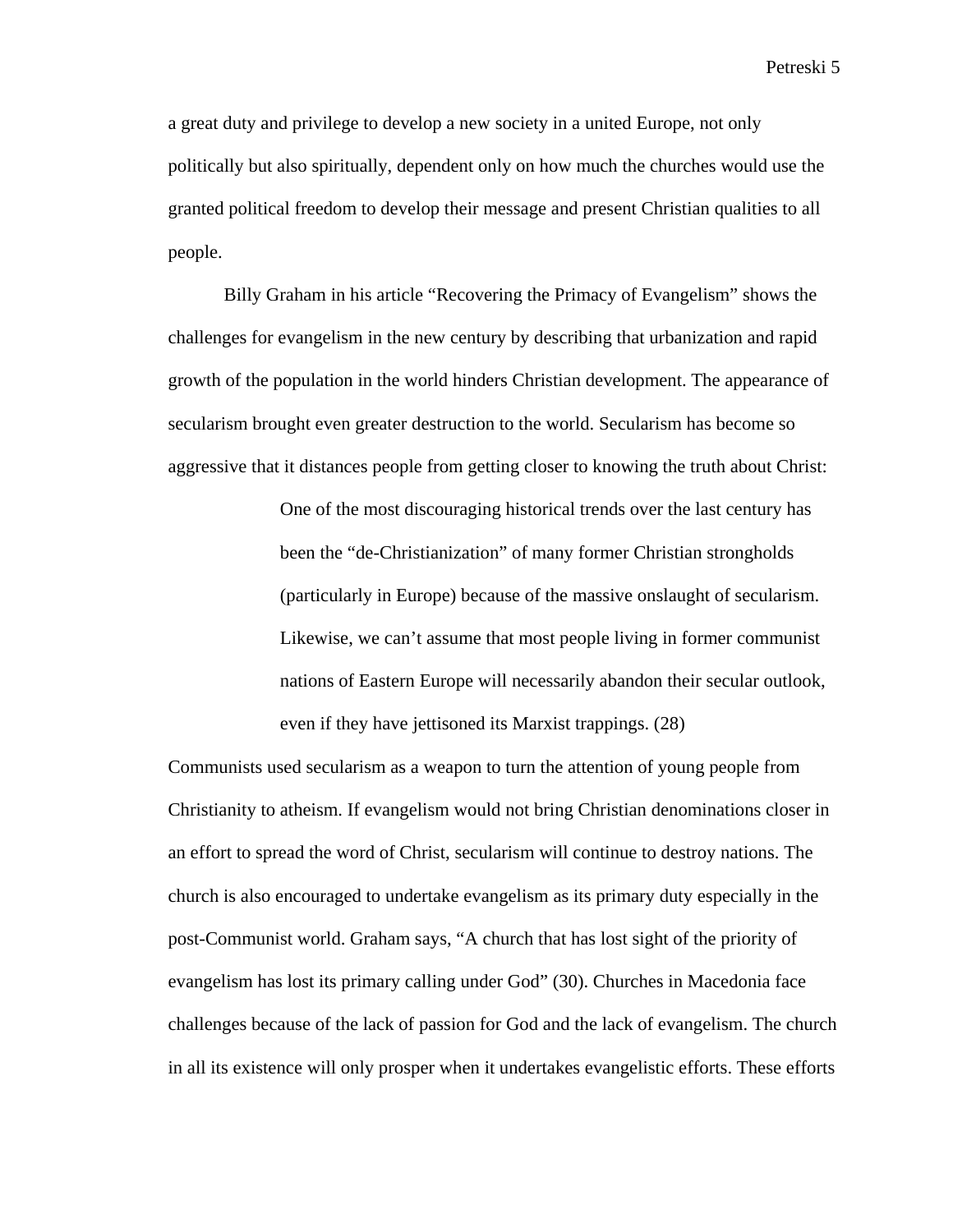a great duty and privilege to develop a new society in a united Europe, not only politically but also spiritually, dependent only on how much the churches would use the granted political freedom to develop their message and present Christian qualities to all people.

Billy Graham in his article "Recovering the Primacy of Evangelism" shows the challenges for evangelism in the new century by describing that urbanization and rapid growth of the population in the world hinders Christian development. The appearance of secularism brought even greater destruction to the world. Secularism has become so aggressive that it distances people from getting closer to knowing the truth about Christ:

> One of the most discouraging historical trends over the last century has been the "de-Christianization" of many former Christian strongholds (particularly in Europe) because of the massive onslaught of secularism. Likewise, we can't assume that most people living in former communist nations of Eastern Europe will necessarily abandon their secular outlook, even if they have jettisoned its Marxist trappings. (28)

Communists used secularism as a weapon to turn the attention of young people from Christianity to atheism. If evangelism would not bring Christian denominations closer in an effort to spread the word of Christ, secularism will continue to destroy nations. The church is also encouraged to undertake evangelism as its primary duty especially in the post-Communist world. Graham says, "A church that has lost sight of the priority of evangelism has lost its primary calling under God" (30). Churches in Macedonia face challenges because of the lack of passion for God and the lack of evangelism. The church in all its existence will only prosper when it undertakes evangelistic efforts. These efforts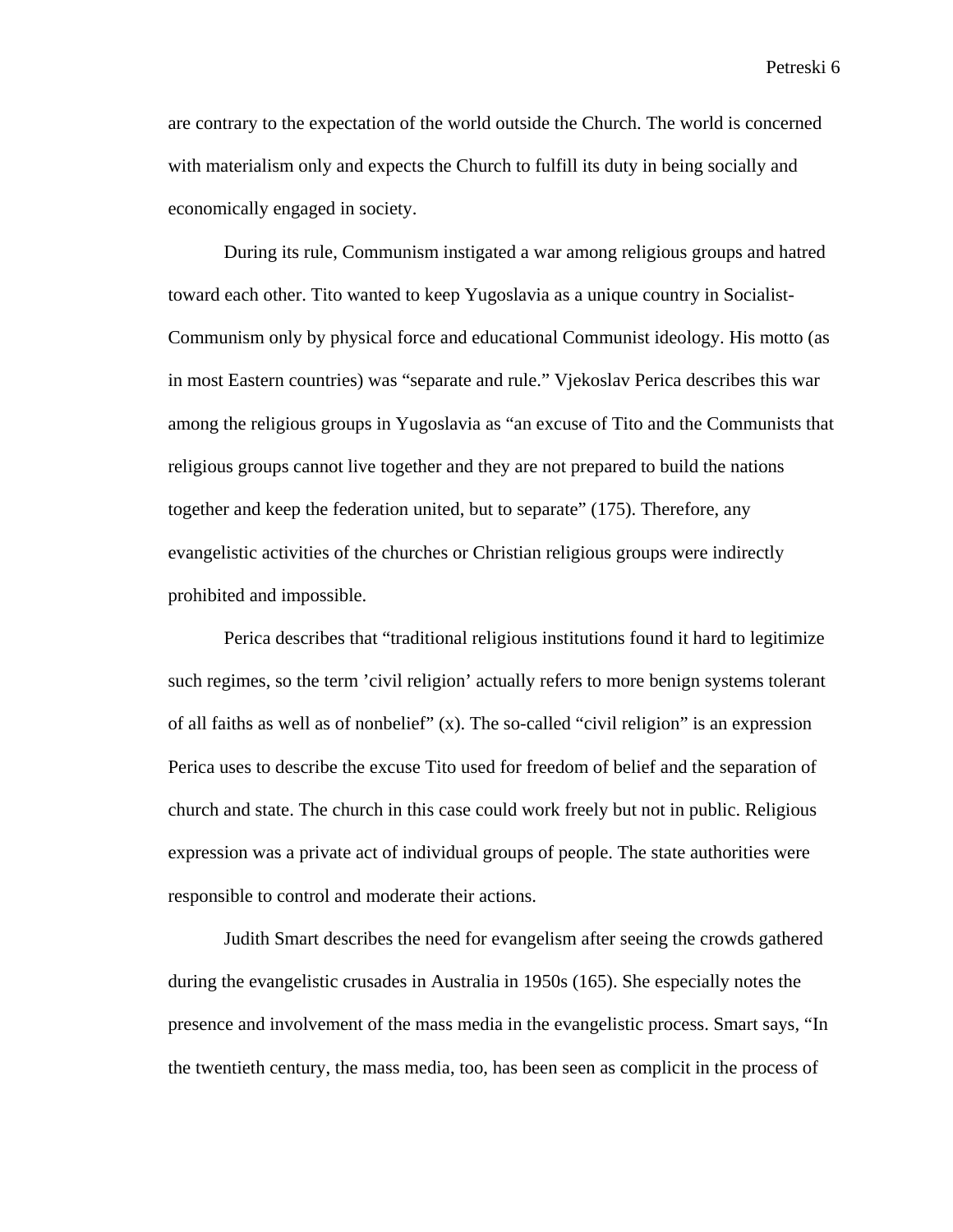are contrary to the expectation of the world outside the Church. The world is concerned with materialism only and expects the Church to fulfill its duty in being socially and economically engaged in society.

During its rule, Communism instigated a war among religious groups and hatred toward each other. Tito wanted to keep Yugoslavia as a unique country in Socialist-Communism only by physical force and educational Communist ideology. His motto (as in most Eastern countries) was "separate and rule." Vjekoslav Perica describes this war among the religious groups in Yugoslavia as "an excuse of Tito and the Communists that religious groups cannot live together and they are not prepared to build the nations together and keep the federation united, but to separate" (175). Therefore, any evangelistic activities of the churches or Christian religious groups were indirectly prohibited and impossible.

Perica describes that "traditional religious institutions found it hard to legitimize such regimes, so the term 'civil religion' actually refers to more benign systems tolerant of all faiths as well as of nonbelief" (x). The so-called "civil religion" is an expression Perica uses to describe the excuse Tito used for freedom of belief and the separation of church and state. The church in this case could work freely but not in public. Religious expression was a private act of individual groups of people. The state authorities were responsible to control and moderate their actions.

Judith Smart describes the need for evangelism after seeing the crowds gathered during the evangelistic crusades in Australia in 1950s (165). She especially notes the presence and involvement of the mass media in the evangelistic process. Smart says, "In the twentieth century, the mass media, too, has been seen as complicit in the process of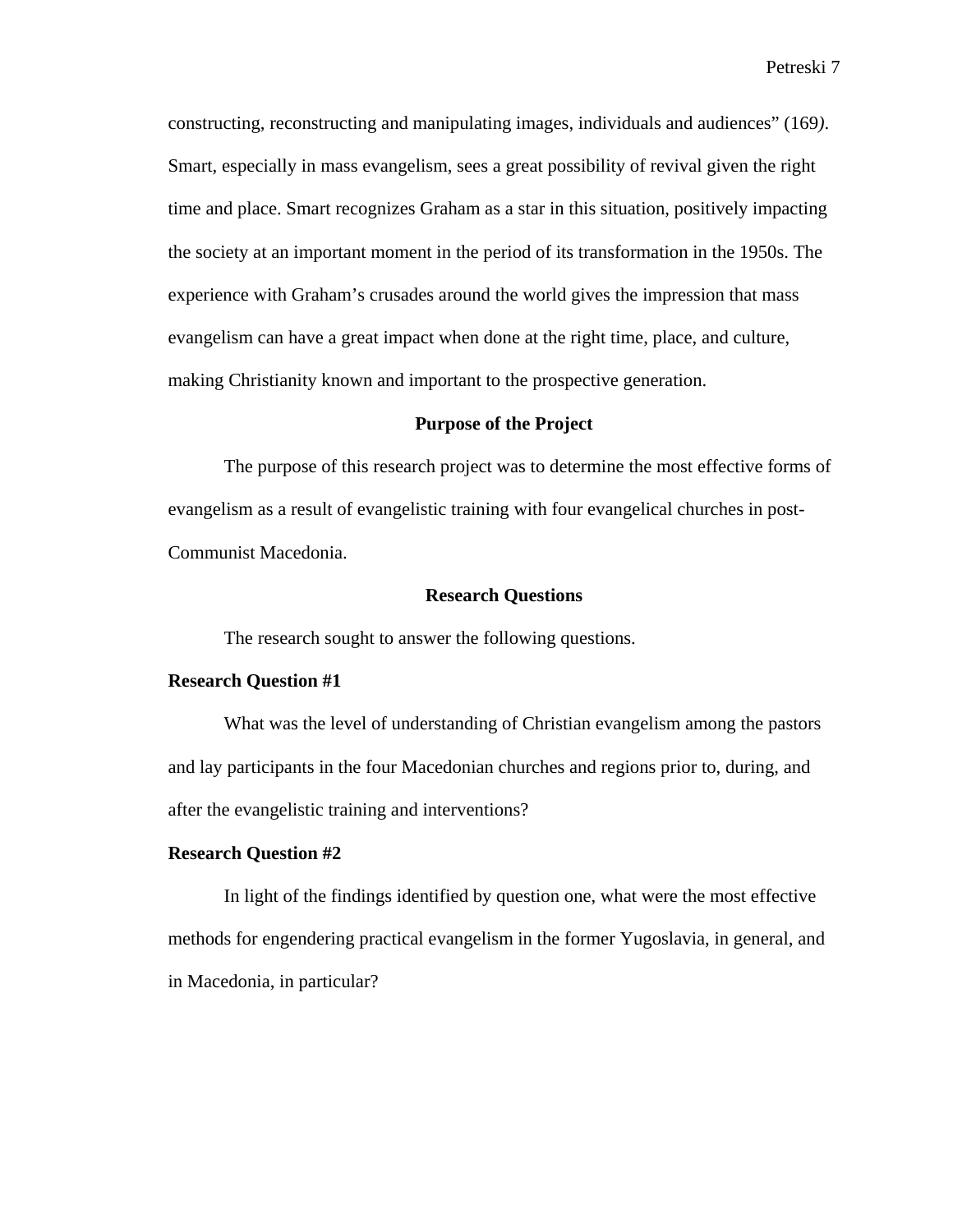constructing, reconstructing and manipulating images, individuals and audiences" (169*)*. Smart, especially in mass evangelism, sees a great possibility of revival given the right time and place. Smart recognizes Graham as a star in this situation, positively impacting the society at an important moment in the period of its transformation in the 1950s. The experience with Graham's crusades around the world gives the impression that mass evangelism can have a great impact when done at the right time, place, and culture, making Christianity known and important to the prospective generation.

#### **Purpose of the Project**

The purpose of this research project was to determine the most effective forms of evangelism as a result of evangelistic training with four evangelical churches in post-Communist Macedonia.

#### **Research Questions**

The research sought to answer the following questions.

#### **Research Question #1**

What was the level of understanding of Christian evangelism among the pastors and lay participants in the four Macedonian churches and regions prior to, during, and after the evangelistic training and interventions?

#### **Research Question #2**

In light of the findings identified by question one, what were the most effective methods for engendering practical evangelism in the former Yugoslavia, in general, and in Macedonia, in particular?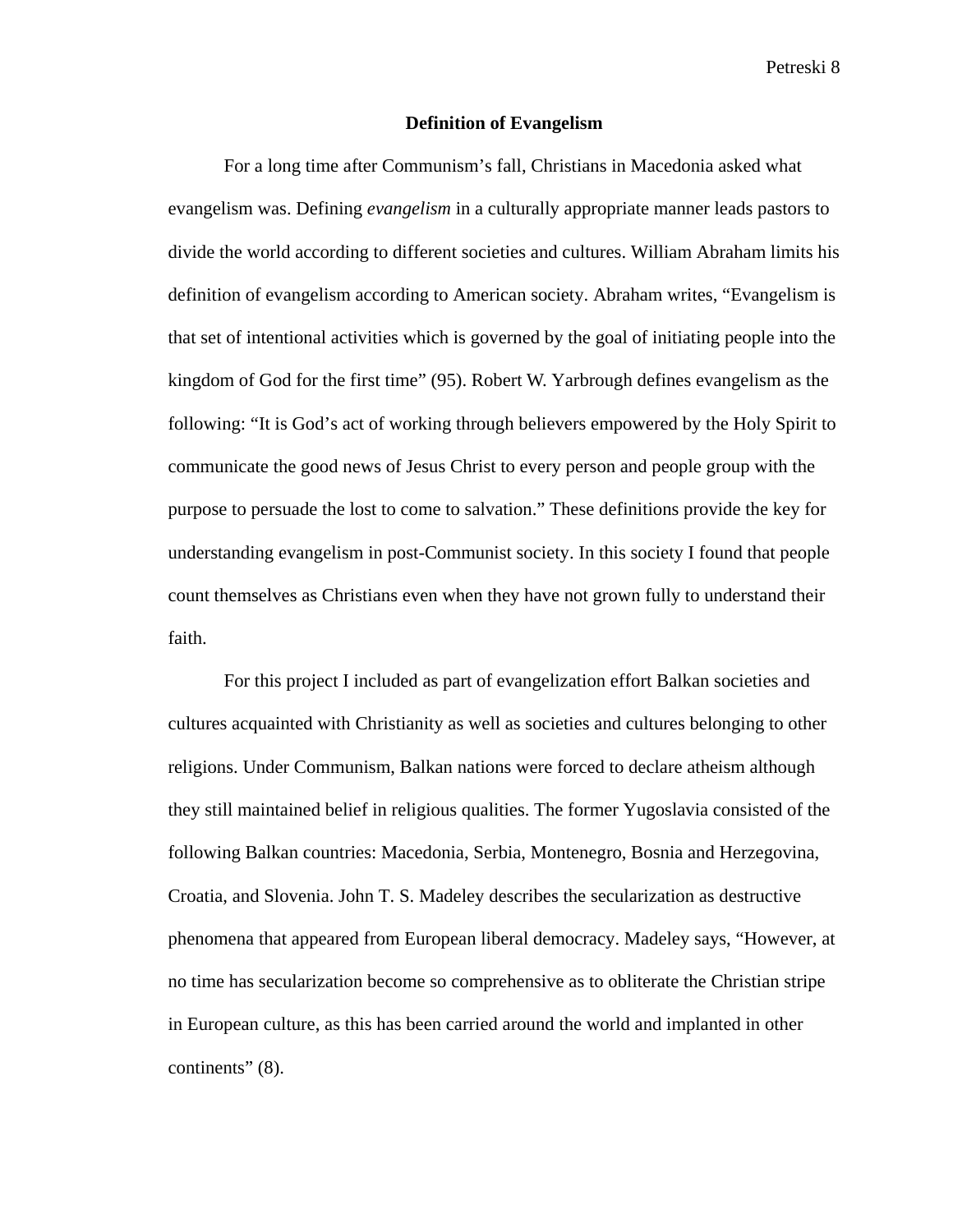#### **Definition of Evangelism**

For a long time after Communism's fall, Christians in Macedonia asked what evangelism was. Defining *evangelism* in a culturally appropriate manner leads pastors to divide the world according to different societies and cultures. William Abraham limits his definition of evangelism according to American society. Abraham writes, "Evangelism is that set of intentional activities which is governed by the goal of initiating people into the kingdom of God for the first time" (95). Robert W. Yarbrough defines evangelism as the following: "It is God's act of working through believers empowered by the Holy Spirit to communicate the good news of Jesus Christ to every person and people group with the purpose to persuade the lost to come to salvation." These definitions provide the key for understanding evangelism in post-Communist society. In this society I found that people count themselves as Christians even when they have not grown fully to understand their faith.

For this project I included as part of evangelization effort Balkan societies and cultures acquainted with Christianity as well as societies and cultures belonging to other religions. Under Communism, Balkan nations were forced to declare atheism although they still maintained belief in religious qualities. The former Yugoslavia consisted of the following Balkan countries: Macedonia, Serbia, Montenegro, Bosnia and Herzegovina, Croatia, and Slovenia. John T. S. Madeley describes the secularization as destructive phenomena that appeared from European liberal democracy. Madeley says, "However, at no time has secularization become so comprehensive as to obliterate the Christian stripe in European culture, as this has been carried around the world and implanted in other continents" (8).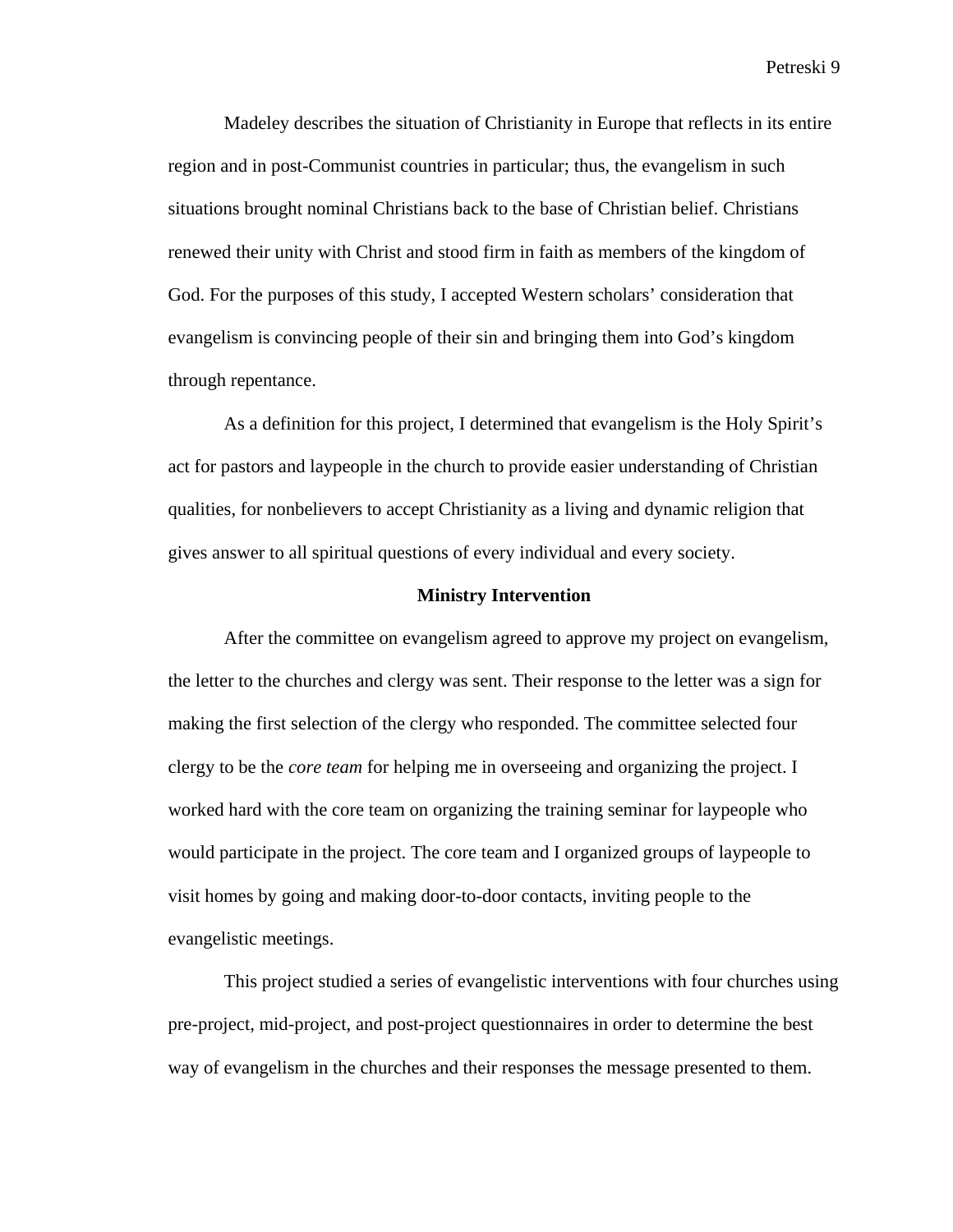Madeley describes the situation of Christianity in Europe that reflects in its entire region and in post-Communist countries in particular; thus, the evangelism in such situations brought nominal Christians back to the base of Christian belief. Christians renewed their unity with Christ and stood firm in faith as members of the kingdom of God. For the purposes of this study, I accepted Western scholars' consideration that evangelism is convincing people of their sin and bringing them into God's kingdom through repentance.

As a definition for this project, I determined that evangelism is the Holy Spirit's act for pastors and laypeople in the church to provide easier understanding of Christian qualities, for nonbelievers to accept Christianity as a living and dynamic religion that gives answer to all spiritual questions of every individual and every society.

#### **Ministry Intervention**

After the committee on evangelism agreed to approve my project on evangelism, the letter to the churches and clergy was sent. Their response to the letter was a sign for making the first selection of the clergy who responded. The committee selected four clergy to be the *core team* for helping me in overseeing and organizing the project. I worked hard with the core team on organizing the training seminar for laypeople who would participate in the project. The core team and I organized groups of laypeople to visit homes by going and making door-to-door contacts, inviting people to the evangelistic meetings.

This project studied a series of evangelistic interventions with four churches using pre-project, mid-project, and post-project questionnaires in order to determine the best way of evangelism in the churches and their responses the message presented to them.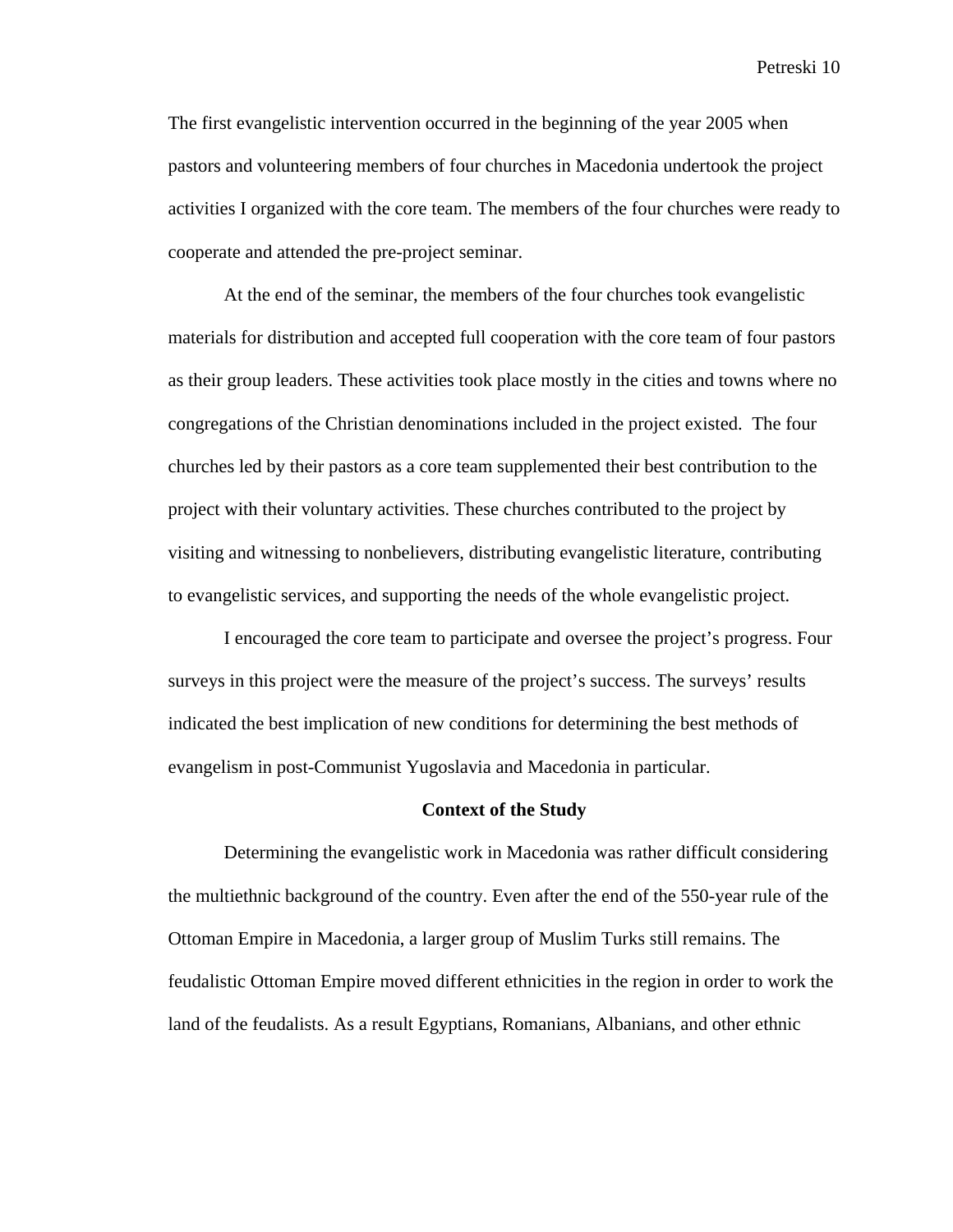The first evangelistic intervention occurred in the beginning of the year 2005 when pastors and volunteering members of four churches in Macedonia undertook the project activities I organized with the core team. The members of the four churches were ready to cooperate and attended the pre-project seminar.

At the end of the seminar, the members of the four churches took evangelistic materials for distribution and accepted full cooperation with the core team of four pastors as their group leaders. These activities took place mostly in the cities and towns where no congregations of the Christian denominations included in the project existed. The four churches led by their pastors as a core team supplemented their best contribution to the project with their voluntary activities. These churches contributed to the project by visiting and witnessing to nonbelievers, distributing evangelistic literature, contributing to evangelistic services, and supporting the needs of the whole evangelistic project.

I encouraged the core team to participate and oversee the project's progress. Four surveys in this project were the measure of the project's success. The surveys' results indicated the best implication of new conditions for determining the best methods of evangelism in post-Communist Yugoslavia and Macedonia in particular.

#### **Context of the Study**

Determining the evangelistic work in Macedonia was rather difficult considering the multiethnic background of the country. Even after the end of the 550-year rule of the Ottoman Empire in Macedonia, a larger group of Muslim Turks still remains. The feudalistic Ottoman Empire moved different ethnicities in the region in order to work the land of the feudalists. As a result Egyptians, Romanians, Albanians, and other ethnic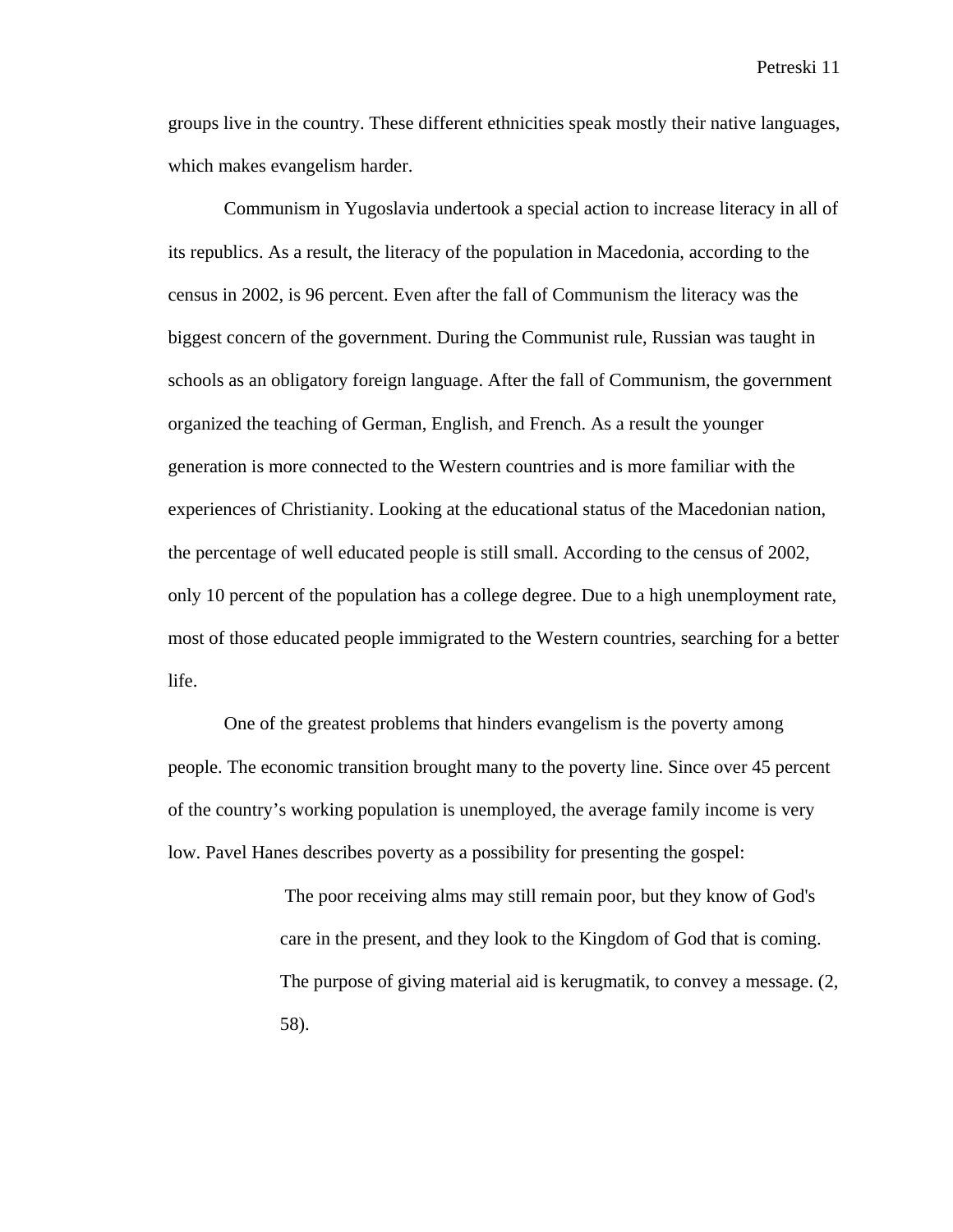groups live in the country. These different ethnicities speak mostly their native languages, which makes evangelism harder.

Communism in Yugoslavia undertook a special action to increase literacy in all of its republics. As a result, the literacy of the population in Macedonia, according to the census in 2002, is 96 percent. Even after the fall of Communism the literacy was the biggest concern of the government. During the Communist rule, Russian was taught in schools as an obligatory foreign language. After the fall of Communism, the government organized the teaching of German, English, and French. As a result the younger generation is more connected to the Western countries and is more familiar with the experiences of Christianity. Looking at the educational status of the Macedonian nation, the percentage of well educated people is still small. According to the census of 2002, only 10 percent of the population has a college degree. Due to a high unemployment rate, most of those educated people immigrated to the Western countries, searching for a better life.

One of the greatest problems that hinders evangelism is the poverty among people. The economic transition brought many to the poverty line. Since over 45 percent of the country's working population is unemployed, the average family income is very low. Pavel Hanes describes poverty as a possibility for presenting the gospel:

> The poor receiving alms may still remain poor, but they know of God's care in the present, and they look to the Kingdom of God that is coming. The purpose of giving material aid is kerugmatik, to convey a message. (2, 58).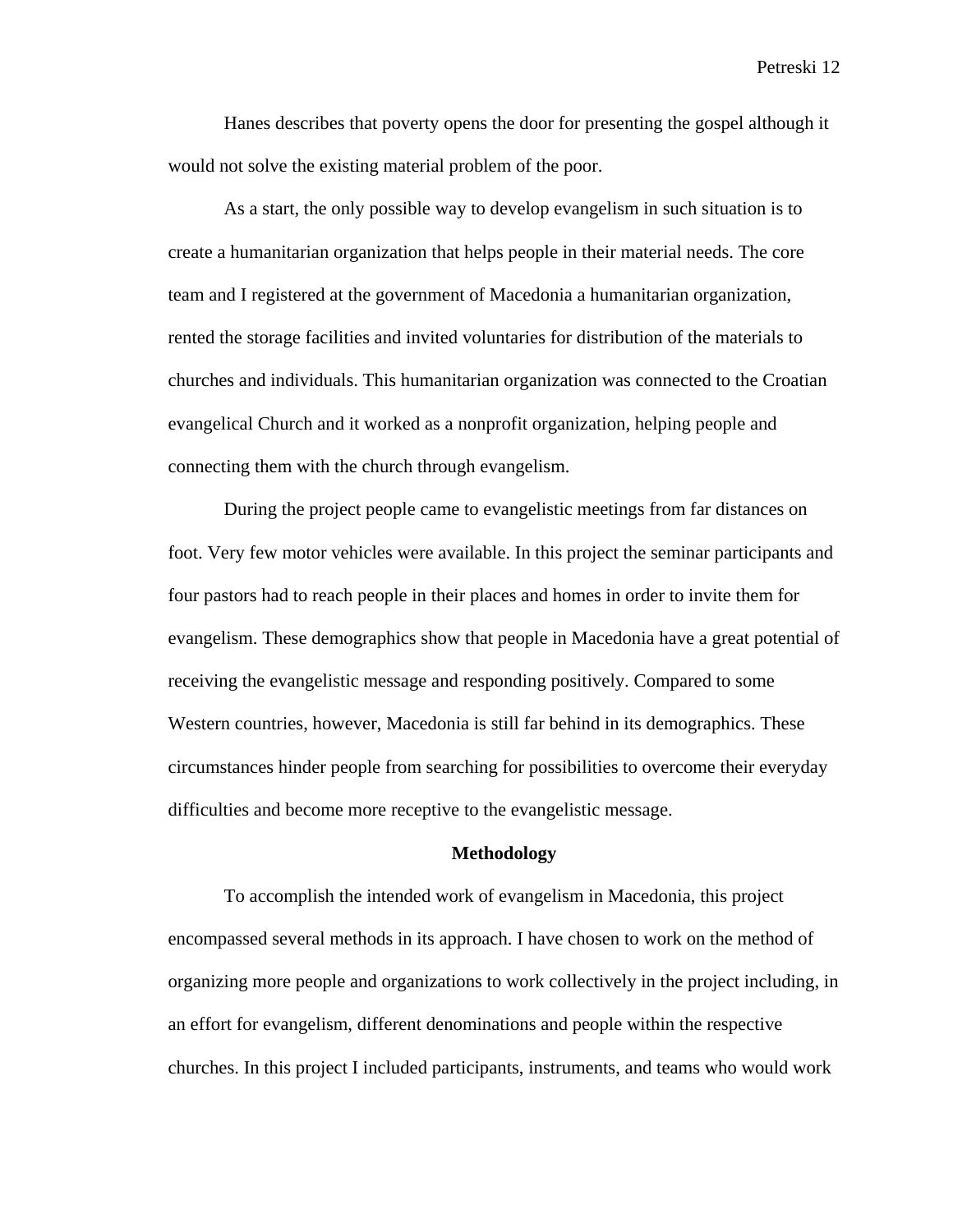Hanes describes that poverty opens the door for presenting the gospel although it would not solve the existing material problem of the poor.

As a start, the only possible way to develop evangelism in such situation is to create a humanitarian organization that helps people in their material needs. The core team and I registered at the government of Macedonia a humanitarian organization, rented the storage facilities and invited voluntaries for distribution of the materials to churches and individuals. This humanitarian organization was connected to the Croatian evangelical Church and it worked as a nonprofit organization, helping people and connecting them with the church through evangelism.

 During the project people came to evangelistic meetings from far distances on foot. Very few motor vehicles were available. In this project the seminar participants and four pastors had to reach people in their places and homes in order to invite them for evangelism. These demographics show that people in Macedonia have a great potential of receiving the evangelistic message and responding positively. Compared to some Western countries, however, Macedonia is still far behind in its demographics. These circumstances hinder people from searching for possibilities to overcome their everyday difficulties and become more receptive to the evangelistic message.

#### **Methodology**

To accomplish the intended work of evangelism in Macedonia, this project encompassed several methods in its approach. I have chosen to work on the method of organizing more people and organizations to work collectively in the project including, in an effort for evangelism, different denominations and people within the respective churches. In this project I included participants, instruments, and teams who would work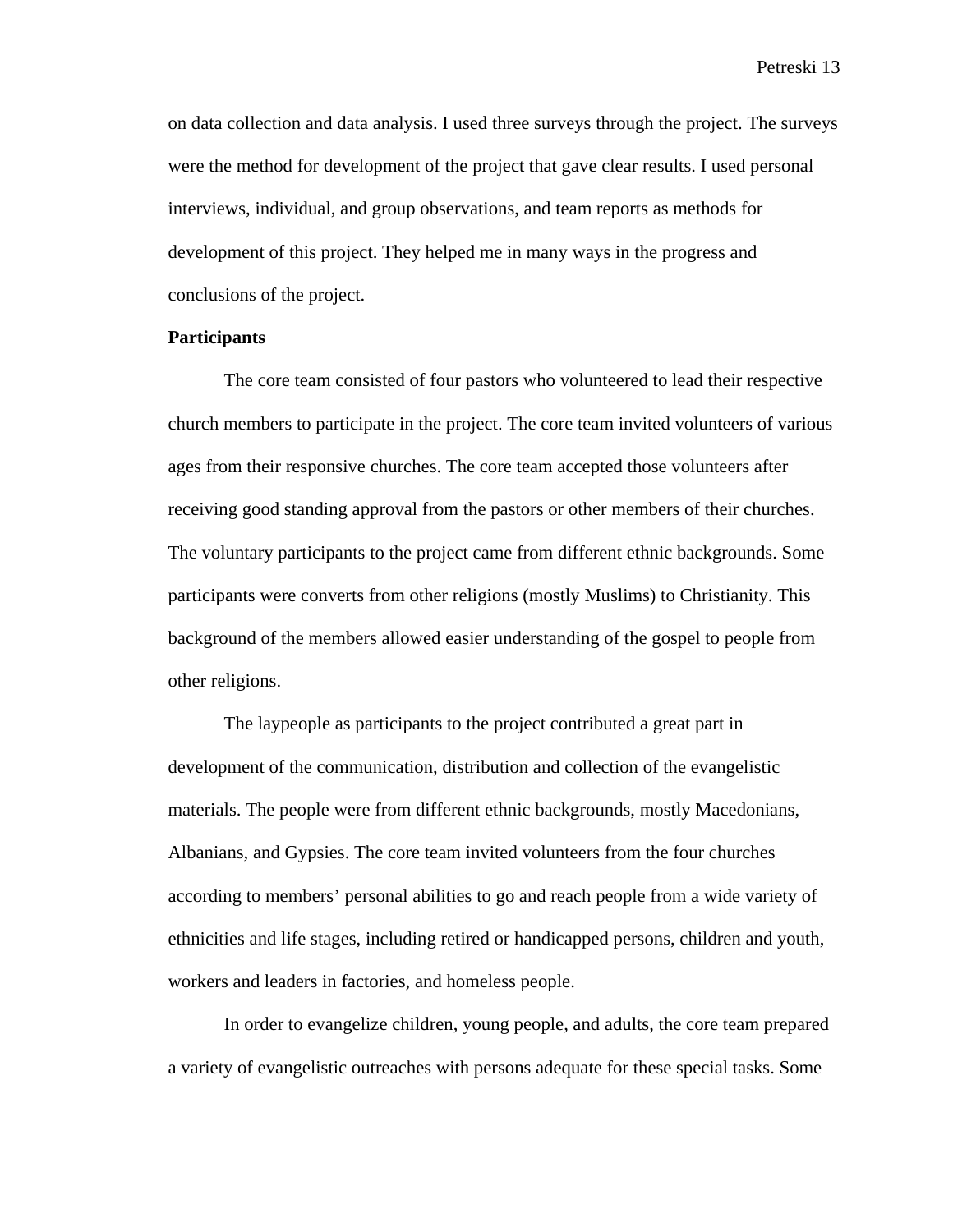on data collection and data analysis. I used three surveys through the project. The surveys were the method for development of the project that gave clear results. I used personal interviews, individual, and group observations, and team reports as methods for development of this project. They helped me in many ways in the progress and conclusions of the project.

#### **Participants**

The core team consisted of four pastors who volunteered to lead their respective church members to participate in the project. The core team invited volunteers of various ages from their responsive churches. The core team accepted those volunteers after receiving good standing approval from the pastors or other members of their churches. The voluntary participants to the project came from different ethnic backgrounds. Some participants were converts from other religions (mostly Muslims) to Christianity. This background of the members allowed easier understanding of the gospel to people from other religions.

The laypeople as participants to the project contributed a great part in development of the communication, distribution and collection of the evangelistic materials. The people were from different ethnic backgrounds, mostly Macedonians, Albanians, and Gypsies. The core team invited volunteers from the four churches according to members' personal abilities to go and reach people from a wide variety of ethnicities and life stages, including retired or handicapped persons, children and youth, workers and leaders in factories, and homeless people.

In order to evangelize children, young people, and adults, the core team prepared a variety of evangelistic outreaches with persons adequate for these special tasks. Some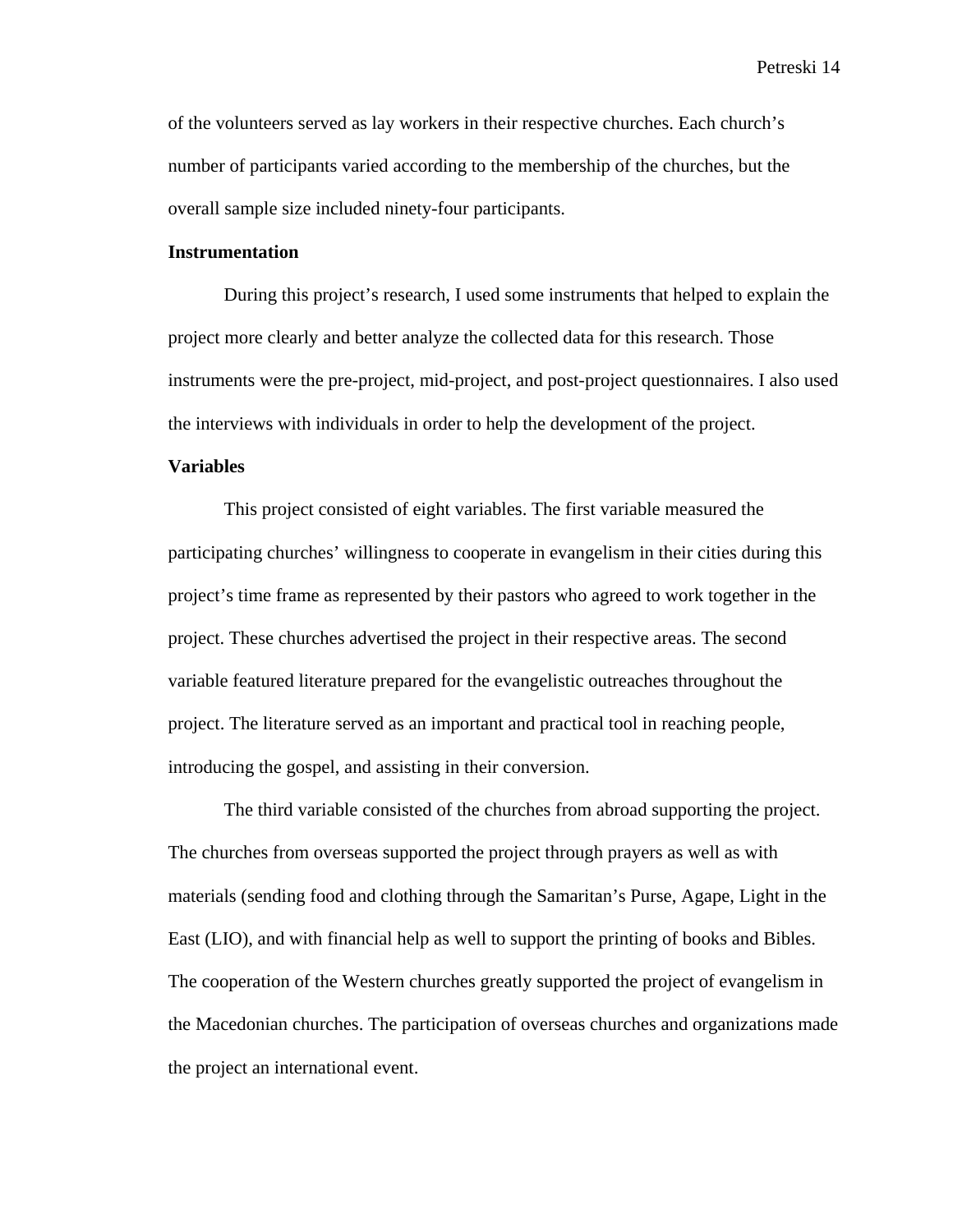of the volunteers served as lay workers in their respective churches. Each church's number of participants varied according to the membership of the churches, but the overall sample size included ninety-four participants.

#### **Instrumentation**

During this project's research, I used some instruments that helped to explain the project more clearly and better analyze the collected data for this research. Those instruments were the pre-project, mid-project, and post-project questionnaires. I also used the interviews with individuals in order to help the development of the project.

#### **Variables**

This project consisted of eight variables. The first variable measured the participating churches' willingness to cooperate in evangelism in their cities during this project's time frame as represented by their pastors who agreed to work together in the project. These churches advertised the project in their respective areas. The second variable featured literature prepared for the evangelistic outreaches throughout the project. The literature served as an important and practical tool in reaching people, introducing the gospel, and assisting in their conversion.

The third variable consisted of the churches from abroad supporting the project. The churches from overseas supported the project through prayers as well as with materials (sending food and clothing through the Samaritan's Purse, Agape, Light in the East (LIO), and with financial help as well to support the printing of books and Bibles. The cooperation of the Western churches greatly supported the project of evangelism in the Macedonian churches. The participation of overseas churches and organizations made the project an international event.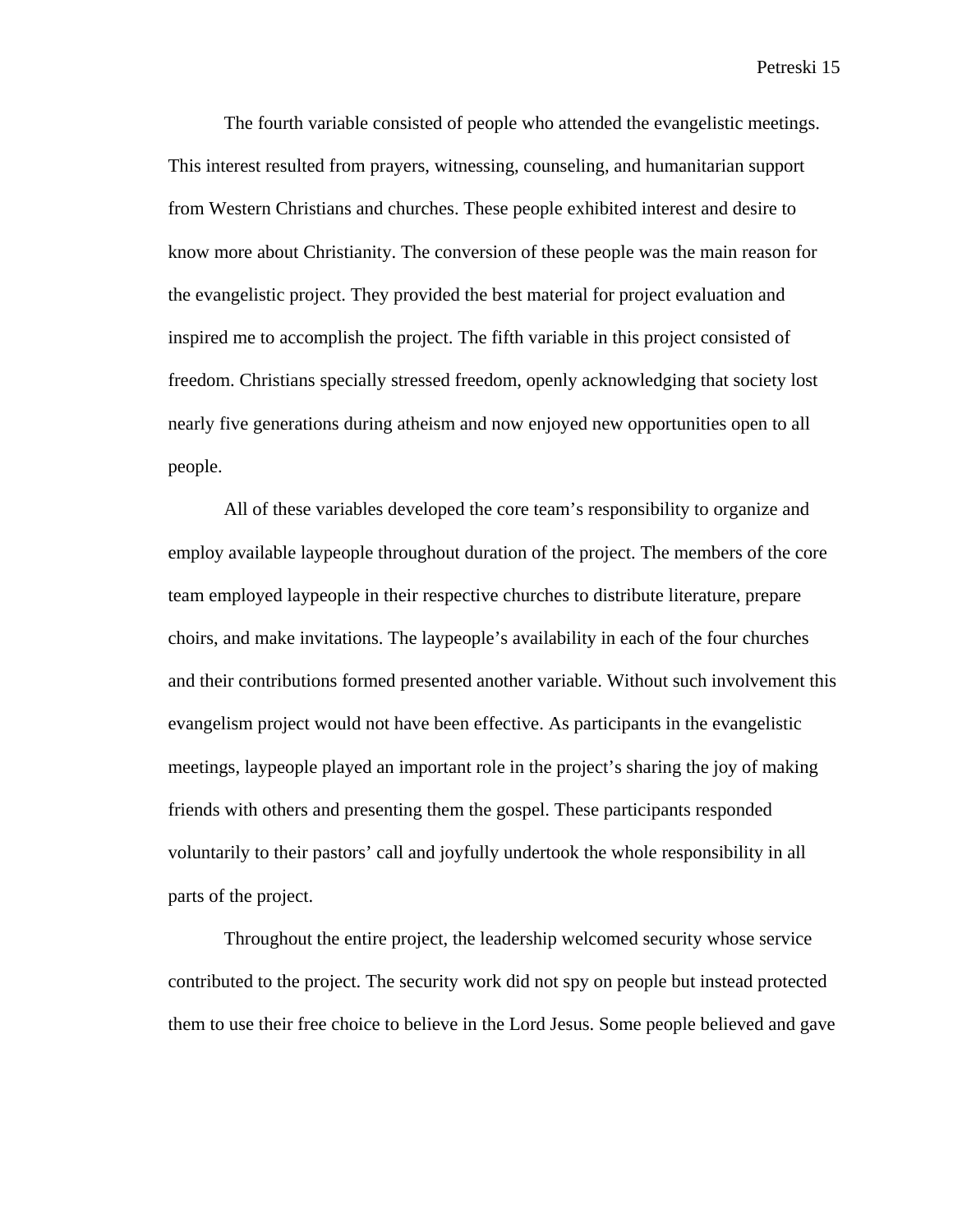The fourth variable consisted of people who attended the evangelistic meetings. This interest resulted from prayers, witnessing, counseling, and humanitarian support from Western Christians and churches. These people exhibited interest and desire to know more about Christianity. The conversion of these people was the main reason for the evangelistic project. They provided the best material for project evaluation and inspired me to accomplish the project. The fifth variable in this project consisted of freedom. Christians specially stressed freedom, openly acknowledging that society lost nearly five generations during atheism and now enjoyed new opportunities open to all people.

All of these variables developed the core team's responsibility to organize and employ available laypeople throughout duration of the project. The members of the core team employed laypeople in their respective churches to distribute literature, prepare choirs, and make invitations. The laypeople's availability in each of the four churches and their contributions formed presented another variable. Without such involvement this evangelism project would not have been effective. As participants in the evangelistic meetings, laypeople played an important role in the project's sharing the joy of making friends with others and presenting them the gospel. These participants responded voluntarily to their pastors' call and joyfully undertook the whole responsibility in all parts of the project.

Throughout the entire project, the leadership welcomed security whose service contributed to the project. The security work did not spy on people but instead protected them to use their free choice to believe in the Lord Jesus. Some people believed and gave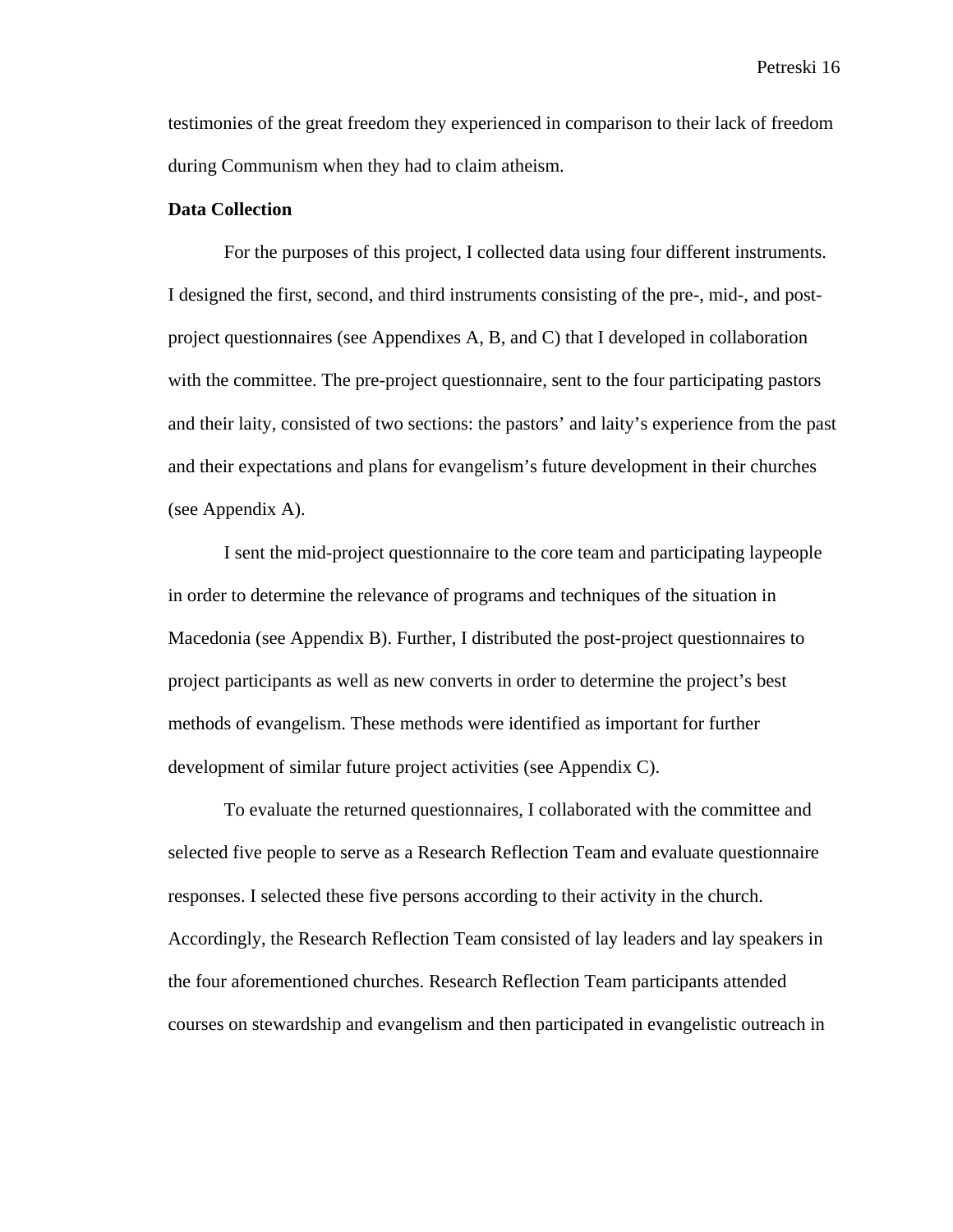testimonies of the great freedom they experienced in comparison to their lack of freedom during Communism when they had to claim atheism.

#### **Data Collection**

For the purposes of this project, I collected data using four different instruments. I designed the first, second, and third instruments consisting of the pre-, mid-, and postproject questionnaires (see Appendixes A, B, and C) that I developed in collaboration with the committee. The pre-project questionnaire, sent to the four participating pastors and their laity, consisted of two sections: the pastors' and laity's experience from the past and their expectations and plans for evangelism's future development in their churches (see Appendix A).

I sent the mid-project questionnaire to the core team and participating laypeople in order to determine the relevance of programs and techniques of the situation in Macedonia (see Appendix B). Further, I distributed the post-project questionnaires to project participants as well as new converts in order to determine the project's best methods of evangelism. These methods were identified as important for further development of similar future project activities (see Appendix C).

To evaluate the returned questionnaires, I collaborated with the committee and selected five people to serve as a Research Reflection Team and evaluate questionnaire responses. I selected these five persons according to their activity in the church. Accordingly, the Research Reflection Team consisted of lay leaders and lay speakers in the four aforementioned churches. Research Reflection Team participants attended courses on stewardship and evangelism and then participated in evangelistic outreach in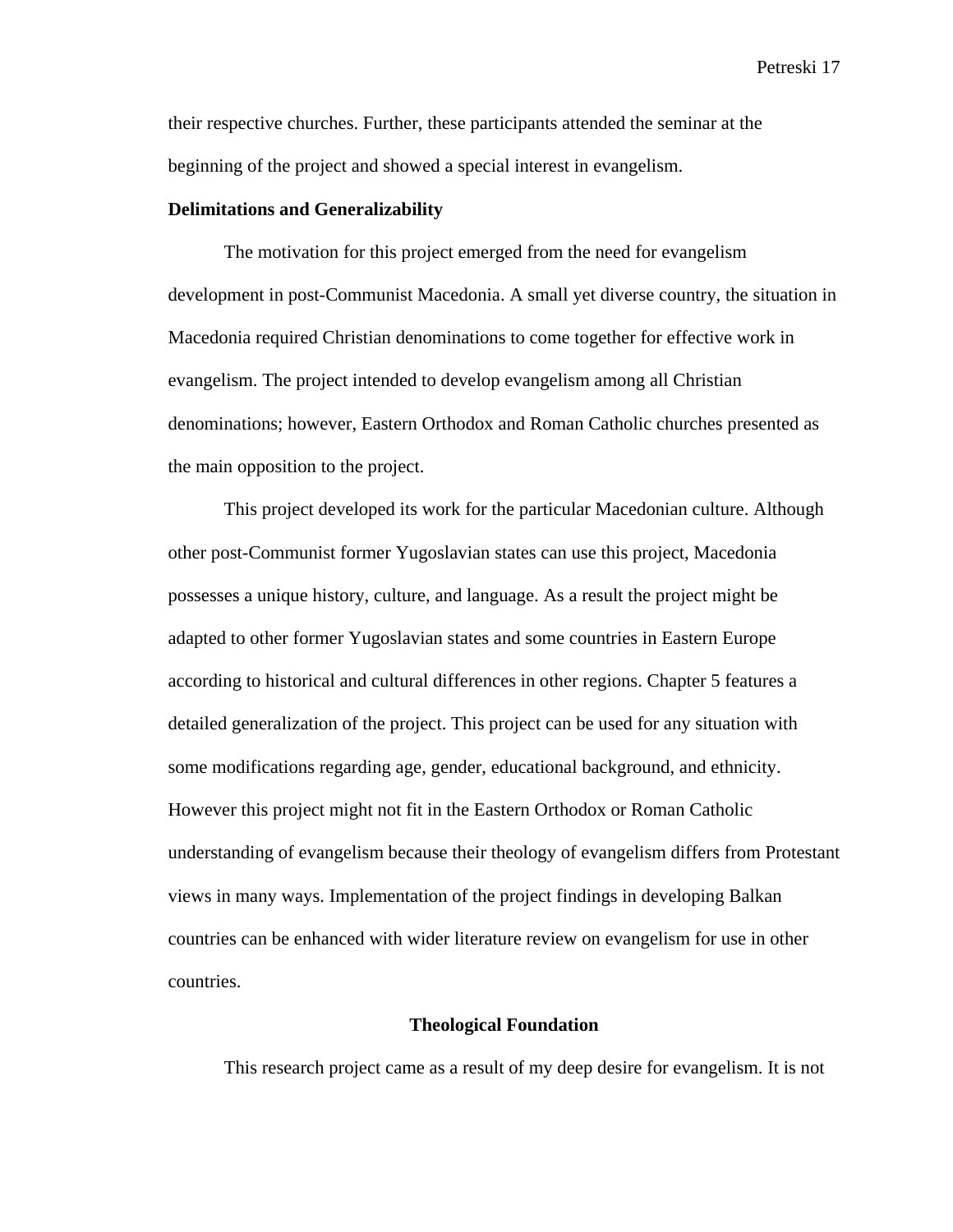their respective churches. Further, these participants attended the seminar at the beginning of the project and showed a special interest in evangelism.

#### **Delimitations and Generalizability**

The motivation for this project emerged from the need for evangelism development in post-Communist Macedonia. A small yet diverse country, the situation in Macedonia required Christian denominations to come together for effective work in evangelism. The project intended to develop evangelism among all Christian denominations; however, Eastern Orthodox and Roman Catholic churches presented as the main opposition to the project.

This project developed its work for the particular Macedonian culture. Although other post-Communist former Yugoslavian states can use this project, Macedonia possesses a unique history, culture, and language. As a result the project might be adapted to other former Yugoslavian states and some countries in Eastern Europe according to historical and cultural differences in other regions. Chapter 5 features a detailed generalization of the project. This project can be used for any situation with some modifications regarding age, gender, educational background, and ethnicity. However this project might not fit in the Eastern Orthodox or Roman Catholic understanding of evangelism because their theology of evangelism differs from Protestant views in many ways. Implementation of the project findings in developing Balkan countries can be enhanced with wider literature review on evangelism for use in other countries.

#### **Theological Foundation**

This research project came as a result of my deep desire for evangelism. It is not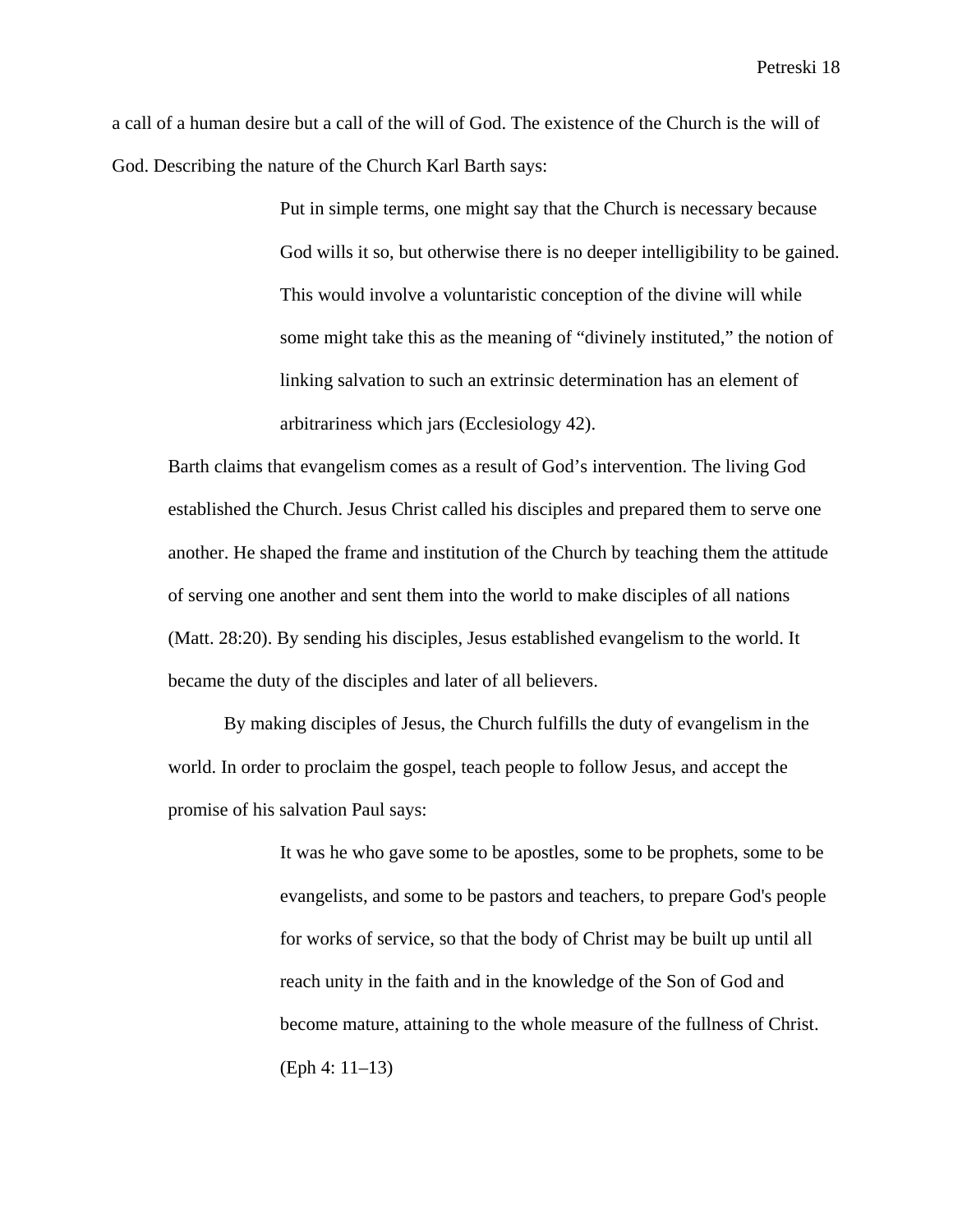a call of a human desire but a call of the will of God. The existence of the Church is the will of God. Describing the nature of the Church Karl Barth says:

> Put in simple terms, one might say that the Church is necessary because God wills it so, but otherwise there is no deeper intelligibility to be gained. This would involve a voluntaristic conception of the divine will while some might take this as the meaning of "divinely instituted," the notion of linking salvation to such an extrinsic determination has an element of arbitrariness which jars (Ecclesiology 42).

Barth claims that evangelism comes as a result of God's intervention. The living God established the Church. Jesus Christ called his disciples and prepared them to serve one another. He shaped the frame and institution of the Church by teaching them the attitude of serving one another and sent them into the world to make disciples of all nations (Matt. 28:20). By sending his disciples, Jesus established evangelism to the world. It became the duty of the disciples and later of all believers.

By making disciples of Jesus, the Church fulfills the duty of evangelism in the world. In order to proclaim the gospel, teach people to follow Jesus, and accept the promise of his salvation Paul says:

> It was he who gave some to be apostles, some to be prophets, some to be evangelists, and some to be pastors and teachers, to prepare God's people for works of service, so that the body of Christ may be built up until all reach unity in the faith and in the knowledge of the Son of God and become mature, attaining to the whole measure of the fullness of Christ. (Eph 4: 11–13)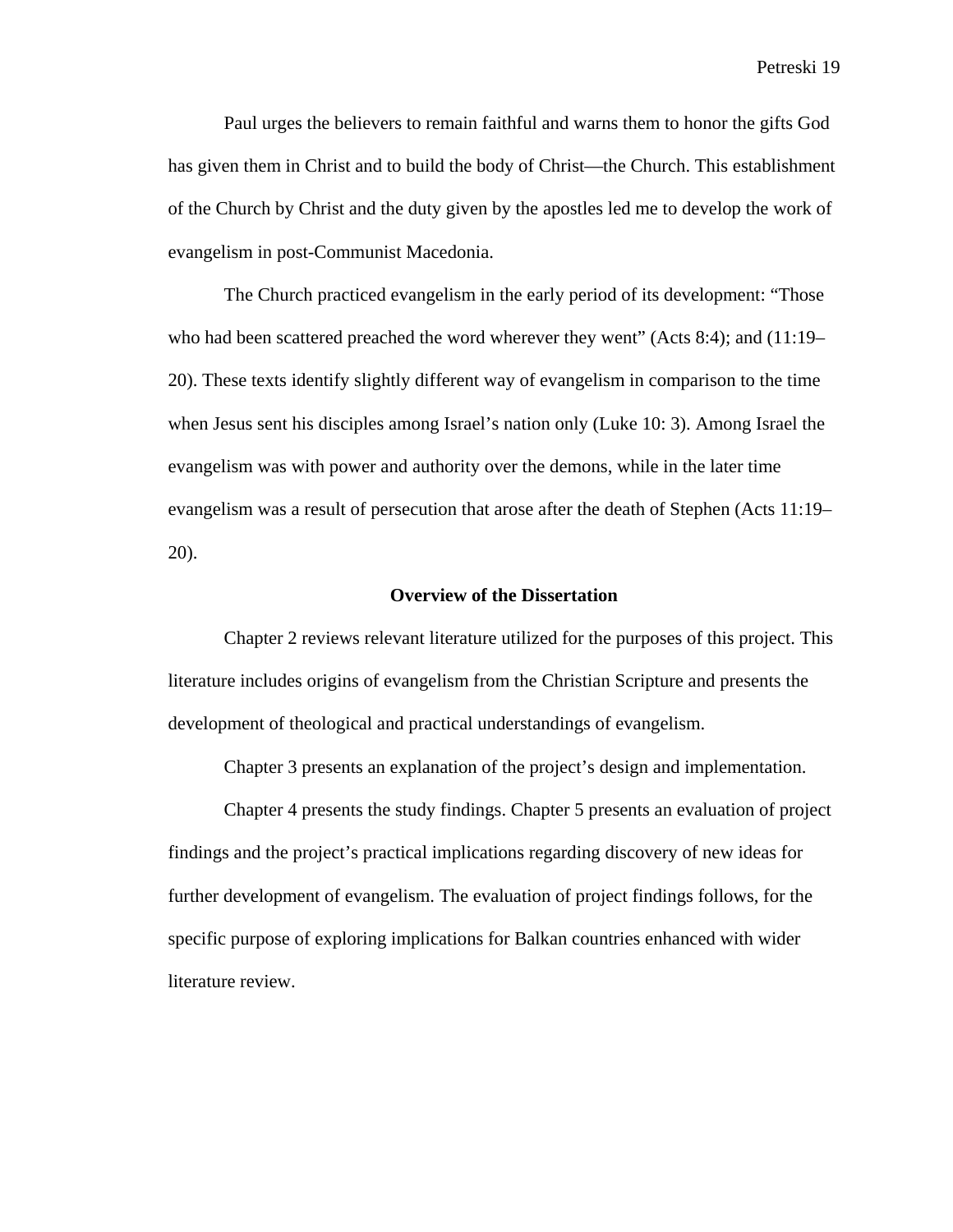Paul urges the believers to remain faithful and warns them to honor the gifts God has given them in Christ and to build the body of Christ—the Church. This establishment of the Church by Christ and the duty given by the apostles led me to develop the work of evangelism in post-Communist Macedonia.

The Church practiced evangelism in the early period of its development: "Those who had been scattered preached the word wherever they went" (Acts 8:4); and (11:19– 20). These texts identify slightly different way of evangelism in comparison to the time when Jesus sent his disciples among Israel's nation only (Luke 10: 3). Among Israel the evangelism was with power and authority over the demons, while in the later time evangelism was a result of persecution that arose after the death of Stephen (Acts 11:19– 20).

#### **Overview of the Dissertation**

Chapter 2 reviews relevant literature utilized for the purposes of this project. This literature includes origins of evangelism from the Christian Scripture and presents the development of theological and practical understandings of evangelism.

Chapter 3 presents an explanation of the project's design and implementation.

Chapter 4 presents the study findings. Chapter 5 presents an evaluation of project findings and the project's practical implications regarding discovery of new ideas for further development of evangelism. The evaluation of project findings follows, for the specific purpose of exploring implications for Balkan countries enhanced with wider literature review.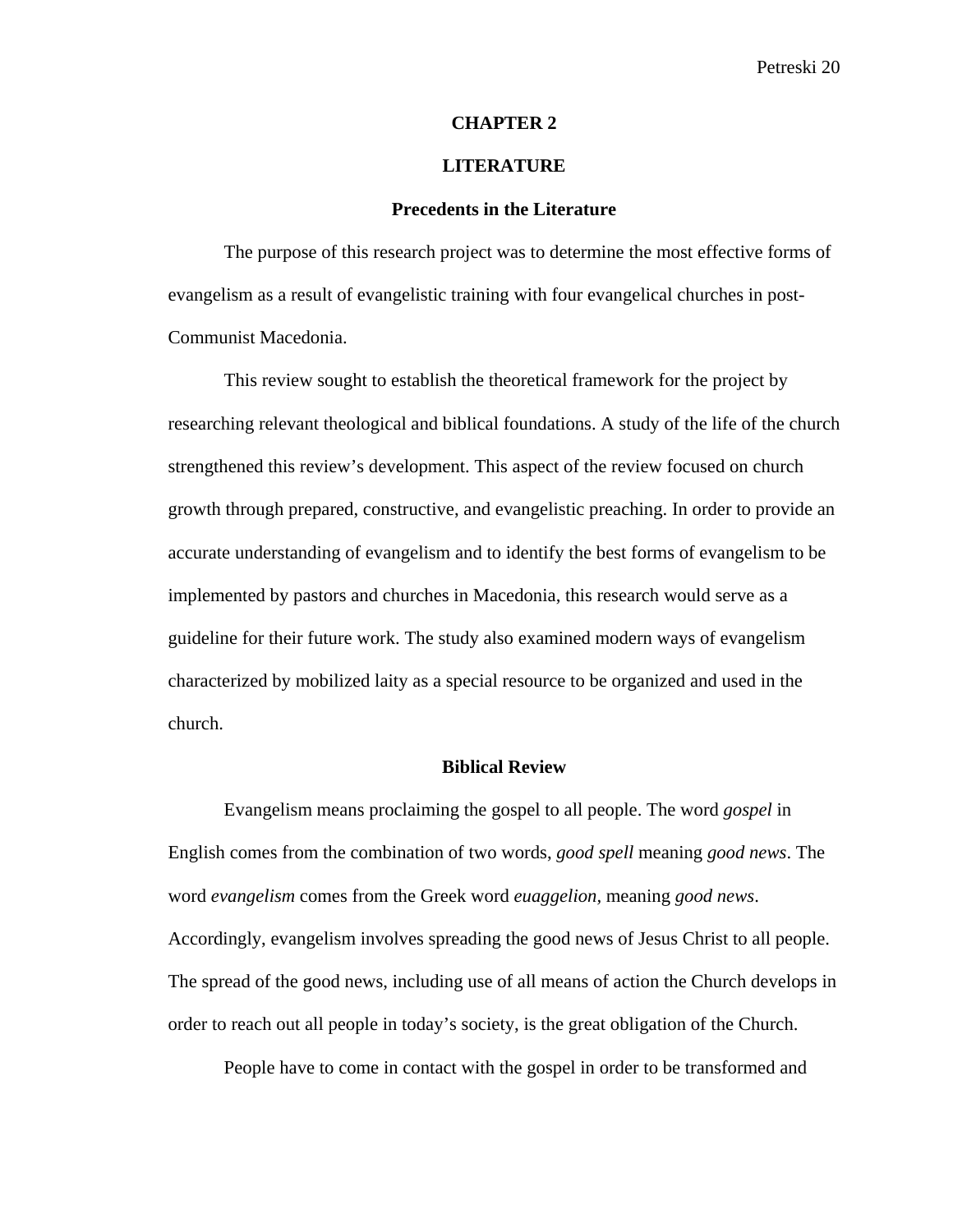#### **CHAPTER 2**

#### **LITERATURE**

#### **Precedents in the Literature**

The purpose of this research project was to determine the most effective forms of evangelism as a result of evangelistic training with four evangelical churches in post-Communist Macedonia.

This review sought to establish the theoretical framework for the project by researching relevant theological and biblical foundations. A study of the life of the church strengthened this review's development. This aspect of the review focused on church growth through prepared, constructive, and evangelistic preaching. In order to provide an accurate understanding of evangelism and to identify the best forms of evangelism to be implemented by pastors and churches in Macedonia, this research would serve as a guideline for their future work. The study also examined modern ways of evangelism characterized by mobilized laity as a special resource to be organized and used in the church.

#### **Biblical Review**

Evangelism means proclaiming the gospel to all people. The word *gospel* in English comes from the combination of two words, *good spell* meaning *good news*. The word *evangelism* comes from the Greek word *euaggelion,* meaning *good news*. Accordingly, evangelism involves spreading the good news of Jesus Christ to all people. The spread of the good news, including use of all means of action the Church develops in order to reach out all people in today's society, is the great obligation of the Church.

People have to come in contact with the gospel in order to be transformed and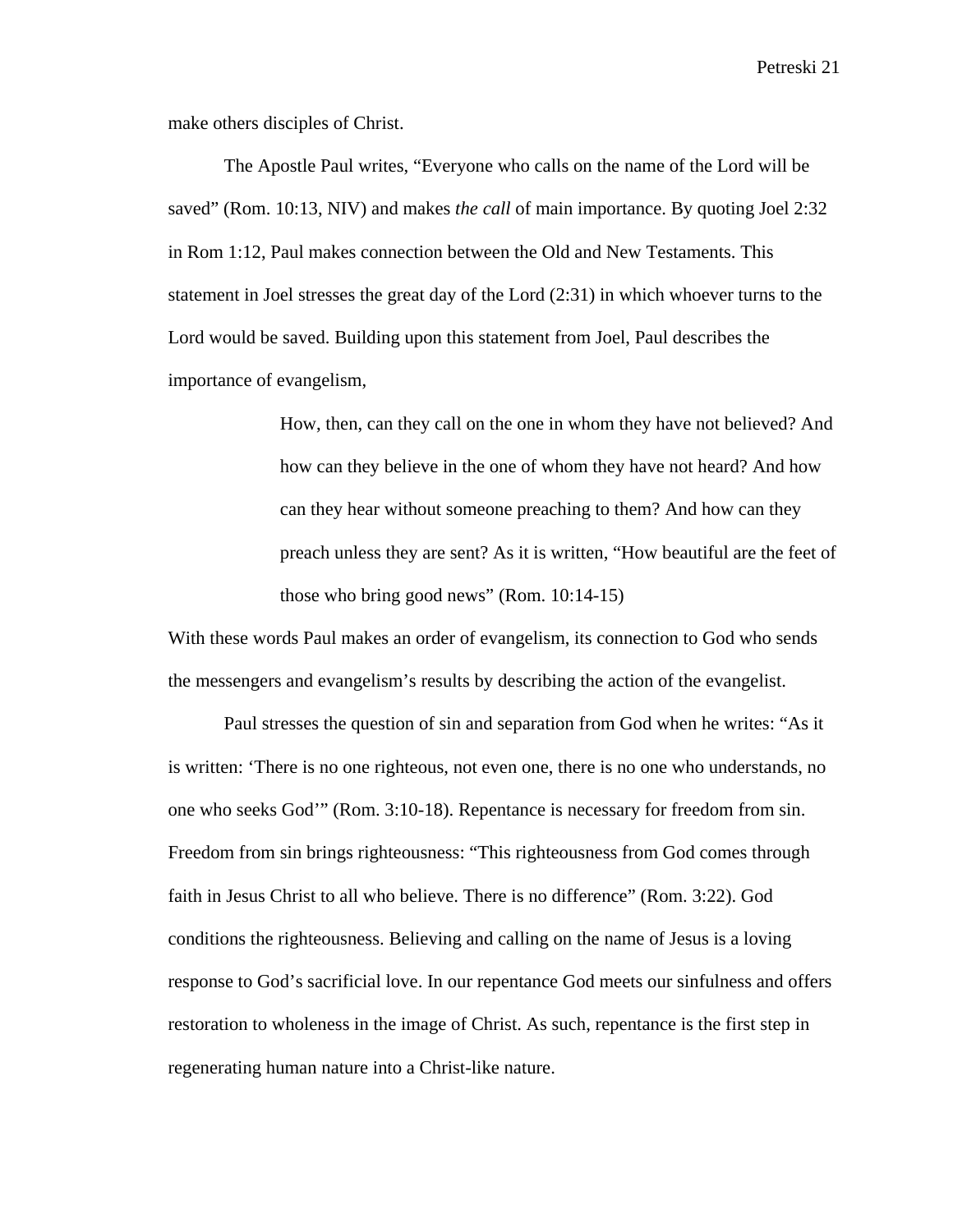make others disciples of Christ.

The Apostle Paul writes, "Everyone who calls on the name of the Lord will be saved" (Rom. 10:13, NIV) and makes *the call* of main importance. By quoting Joel 2:32 in Rom 1:12, Paul makes connection between the Old and New Testaments. This statement in Joel stresses the great day of the Lord (2:31) in which whoever turns to the Lord would be saved. Building upon this statement from Joel, Paul describes the importance of evangelism,

> How, then, can they call on the one in whom they have not believed? And how can they believe in the one of whom they have not heard? And how can they hear without someone preaching to them? And how can they preach unless they are sent? As it is written, "How beautiful are the feet of those who bring good news" (Rom. 10:14-15)

With these words Paul makes an order of evangelism, its connection to God who sends the messengers and evangelism's results by describing the action of the evangelist.

Paul stresses the question of sin and separation from God when he writes: "As it is written: 'There is no one righteous, not even one, there is no one who understands, no one who seeks God'" (Rom. 3:10-18). Repentance is necessary for freedom from sin. Freedom from sin brings righteousness: "This righteousness from God comes through faith in Jesus Christ to all who believe. There is no difference" (Rom. 3:22). God conditions the righteousness. Believing and calling on the name of Jesus is a loving response to God's sacrificial love. In our repentance God meets our sinfulness and offers restoration to wholeness in the image of Christ. As such, repentance is the first step in regenerating human nature into a Christ-like nature.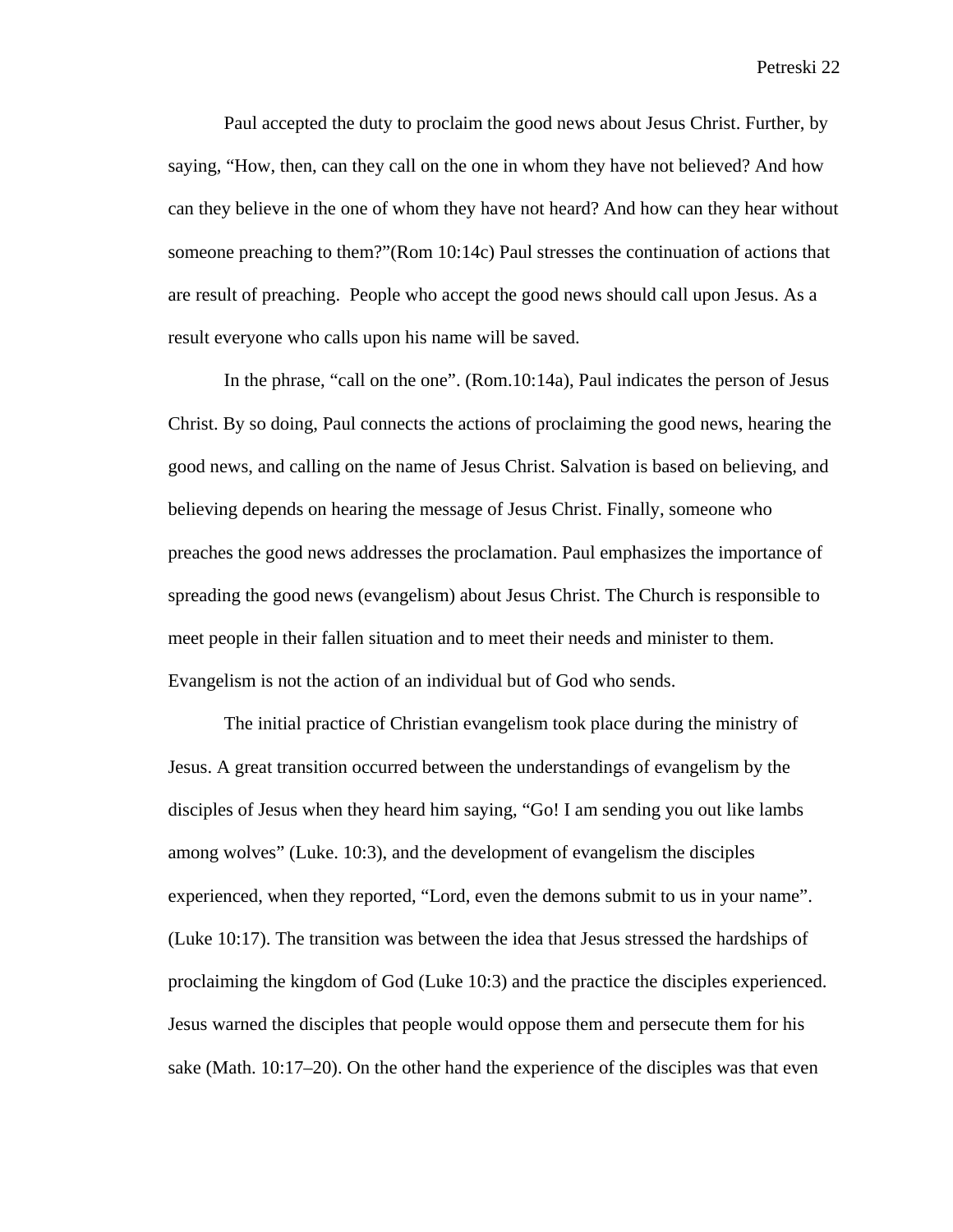Paul accepted the duty to proclaim the good news about Jesus Christ. Further, by saying, "How, then, can they call on the one in whom they have not believed? And how can they believe in the one of whom they have not heard? And how can they hear without someone preaching to them?"(Rom 10:14c) Paul stresses the continuation of actions that are result of preaching. People who accept the good news should call upon Jesus. As a result everyone who calls upon his name will be saved.

In the phrase, "call on the one". (Rom.10:14a), Paul indicates the person of Jesus Christ. By so doing, Paul connects the actions of proclaiming the good news, hearing the good news, and calling on the name of Jesus Christ. Salvation is based on believing, and believing depends on hearing the message of Jesus Christ. Finally, someone who preaches the good news addresses the proclamation. Paul emphasizes the importance of spreading the good news (evangelism) about Jesus Christ. The Church is responsible to meet people in their fallen situation and to meet their needs and minister to them. Evangelism is not the action of an individual but of God who sends.

The initial practice of Christian evangelism took place during the ministry of Jesus. A great transition occurred between the understandings of evangelism by the disciples of Jesus when they heard him saying, "Go! I am sending you out like lambs among wolves" (Luke. 10:3), and the development of evangelism the disciples experienced, when they reported, "Lord, even the demons submit to us in your name". (Luke 10:17). The transition was between the idea that Jesus stressed the hardships of proclaiming the kingdom of God (Luke 10:3) and the practice the disciples experienced. Jesus warned the disciples that people would oppose them and persecute them for his sake (Math. 10:17–20). On the other hand the experience of the disciples was that even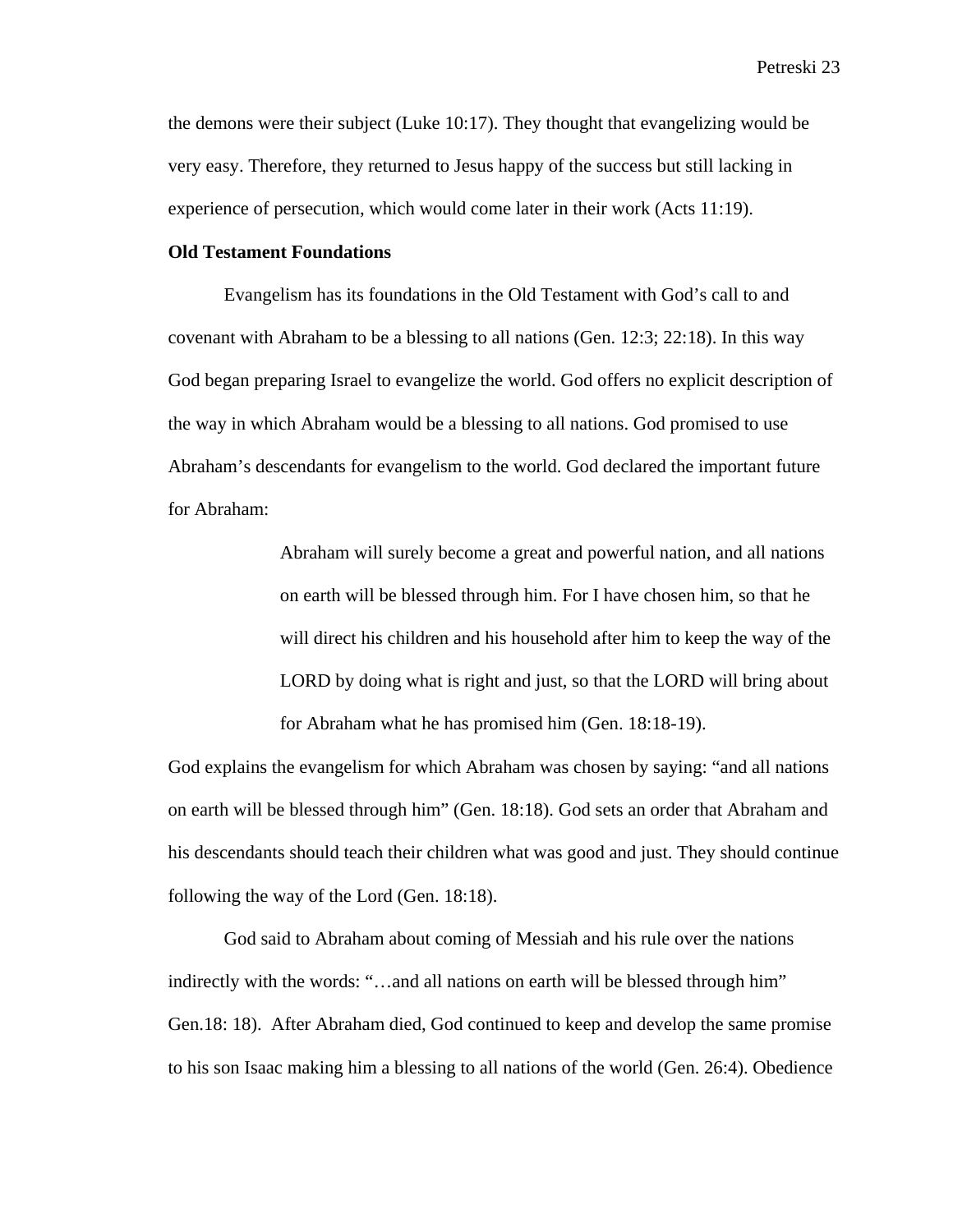the demons were their subject (Luke 10:17). They thought that evangelizing would be very easy. Therefore, they returned to Jesus happy of the success but still lacking in experience of persecution, which would come later in their work (Acts 11:19).

#### **Old Testament Foundations**

Evangelism has its foundations in the Old Testament with God's call to and covenant with Abraham to be a blessing to all nations (Gen. 12:3; 22:18). In this way God began preparing Israel to evangelize the world. God offers no explicit description of the way in which Abraham would be a blessing to all nations. God promised to use Abraham's descendants for evangelism to the world. God declared the important future for Abraham:

> Abraham will surely become a great and powerful nation, and all nations on earth will be blessed through him. For I have chosen him, so that he will direct his children and his household after him to keep the way of the LORD by doing what is right and just, so that the LORD will bring about for Abraham what he has promised him (Gen. 18:18-19).

God explains the evangelism for which Abraham was chosen by saying: "and all nations on earth will be blessed through him" (Gen. 18:18). God sets an order that Abraham and his descendants should teach their children what was good and just. They should continue following the way of the Lord (Gen. 18:18).

God said to Abraham about coming of Messiah and his rule over the nations indirectly with the words: "…and all nations on earth will be blessed through him" Gen.18: 18). After Abraham died, God continued to keep and develop the same promise to his son Isaac making him a blessing to all nations of the world (Gen. 26:4). Obedience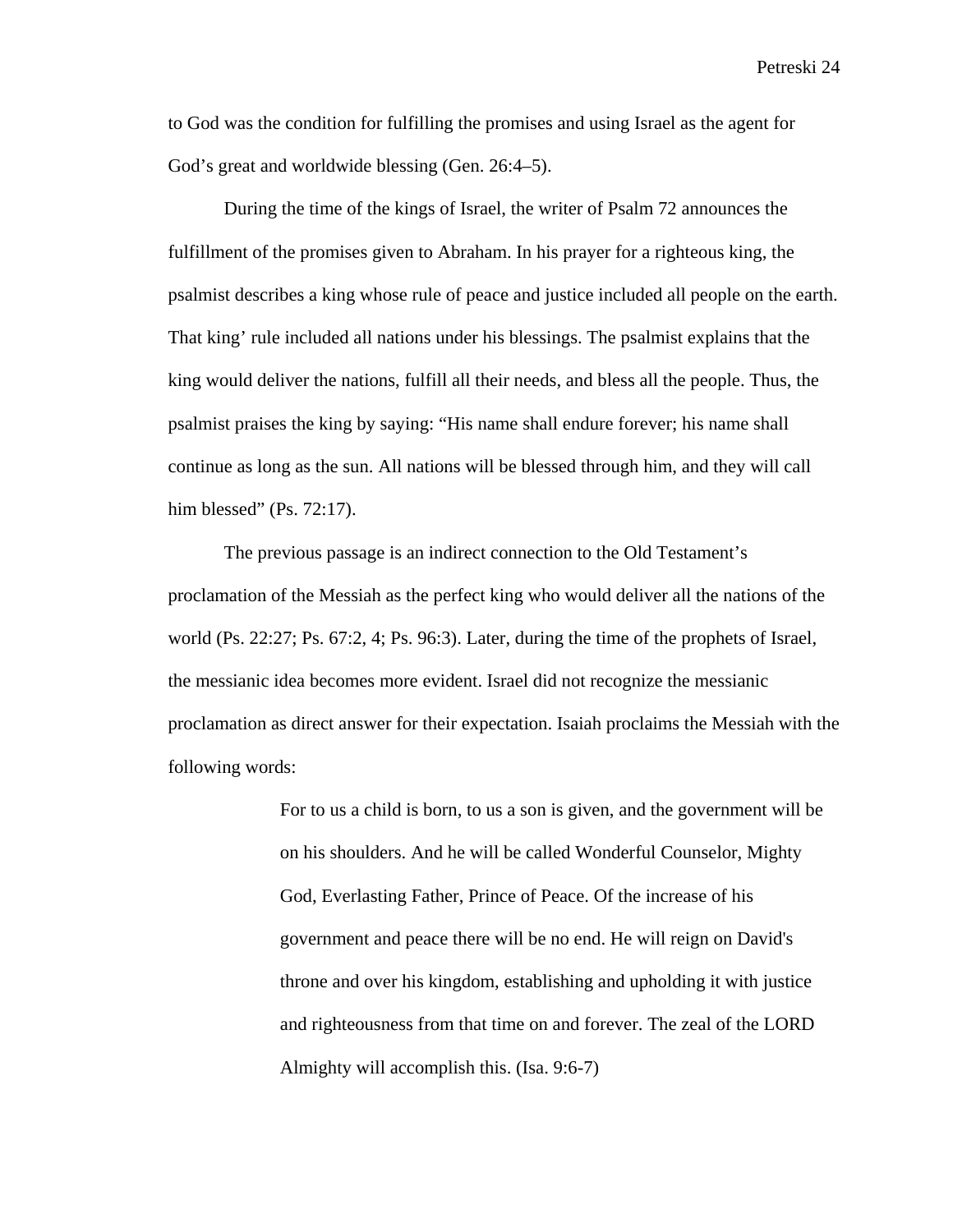to God was the condition for fulfilling the promises and using Israel as the agent for God's great and worldwide blessing (Gen. 26:4–5).

During the time of the kings of Israel, the writer of Psalm 72 announces the fulfillment of the promises given to Abraham. In his prayer for a righteous king, the psalmist describes a king whose rule of peace and justice included all people on the earth. That king' rule included all nations under his blessings. The psalmist explains that the king would deliver the nations, fulfill all their needs, and bless all the people. Thus, the psalmist praises the king by saying: "His name shall endure forever; his name shall continue as long as the sun. All nations will be blessed through him, and they will call him blessed" (Ps. 72:17).

The previous passage is an indirect connection to the Old Testament's proclamation of the Messiah as the perfect king who would deliver all the nations of the world (Ps. 22:27; Ps. 67:2, 4; Ps. 96:3). Later, during the time of the prophets of Israel, the messianic idea becomes more evident. Israel did not recognize the messianic proclamation as direct answer for their expectation. Isaiah proclaims the Messiah with the following words:

> For to us a child is born, to us a son is given, and the government will be on his shoulders. And he will be called Wonderful Counselor, Mighty God, Everlasting Father, Prince of Peace. Of the increase of his government and peace there will be no end. He will reign on David's throne and over his kingdom, establishing and upholding it with justice and righteousness from that time on and forever. The zeal of the LORD Almighty will accomplish this. (Isa. 9:6-7)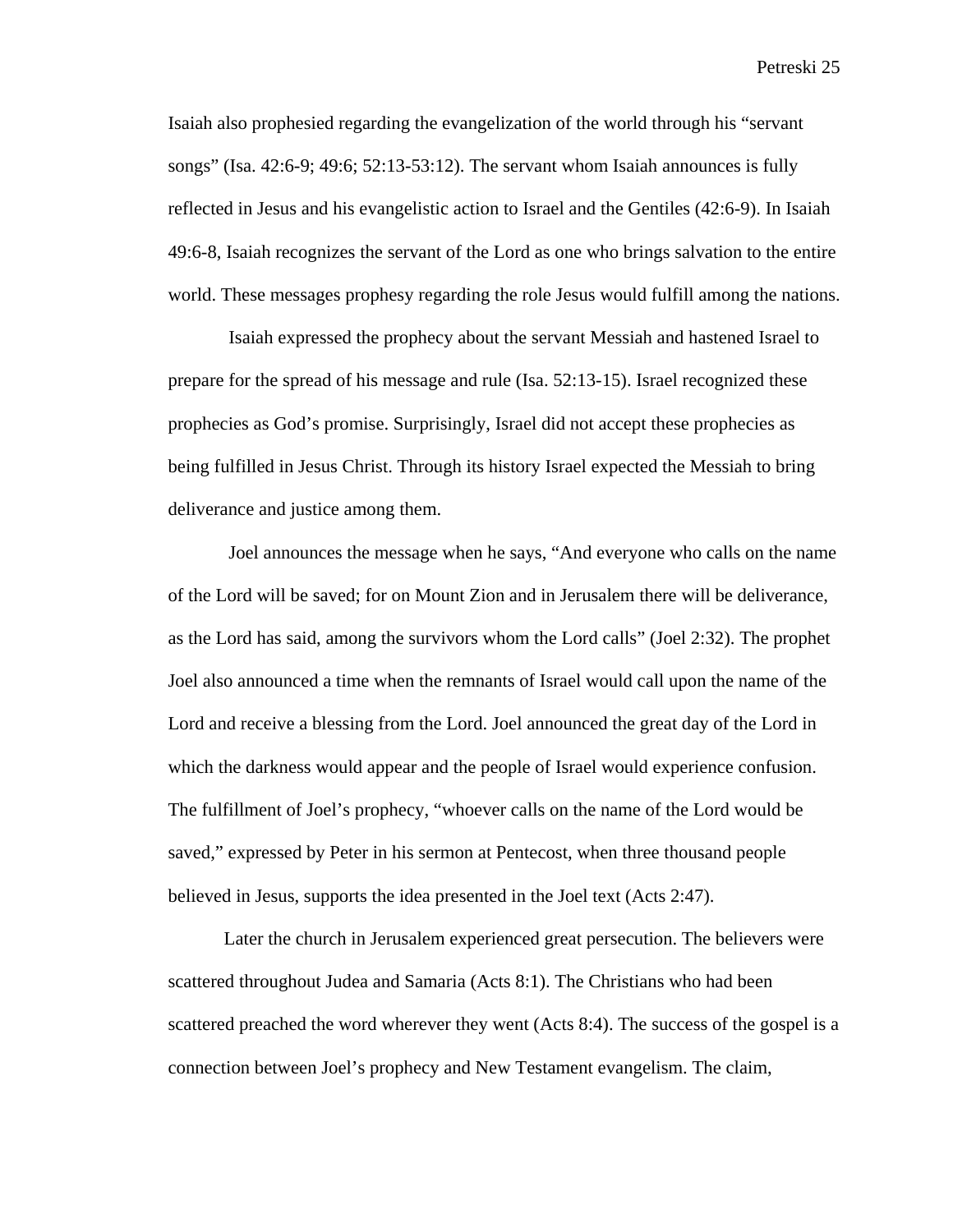Isaiah also prophesied regarding the evangelization of the world through his "servant songs" (Isa. 42:6-9; 49:6; 52:13-53:12). The servant whom Isaiah announces is fully reflected in Jesus and his evangelistic action to Israel and the Gentiles (42:6-9). In Isaiah 49:6-8, Isaiah recognizes the servant of the Lord as one who brings salvation to the entire world. These messages prophesy regarding the role Jesus would fulfill among the nations.

 Isaiah expressed the prophecy about the servant Messiah and hastened Israel to prepare for the spread of his message and rule (Isa. 52:13-15). Israel recognized these prophecies as God's promise. Surprisingly, Israel did not accept these prophecies as being fulfilled in Jesus Christ. Through its history Israel expected the Messiah to bring deliverance and justice among them.

 Joel announces the message when he says, "And everyone who calls on the name of the Lord will be saved; for on Mount Zion and in Jerusalem there will be deliverance, as the Lord has said, among the survivors whom the Lord calls" (Joel 2:32). The prophet Joel also announced a time when the remnants of Israel would call upon the name of the Lord and receive a blessing from the Lord. Joel announced the great day of the Lord in which the darkness would appear and the people of Israel would experience confusion. The fulfillment of Joel's prophecy, "whoever calls on the name of the Lord would be saved," expressed by Peter in his sermon at Pentecost, when three thousand people believed in Jesus, supports the idea presented in the Joel text (Acts 2:47).

Later the church in Jerusalem experienced great persecution. The believers were scattered throughout Judea and Samaria (Acts 8:1). The Christians who had been scattered preached the word wherever they went (Acts 8:4). The success of the gospel is a connection between Joel's prophecy and New Testament evangelism. The claim,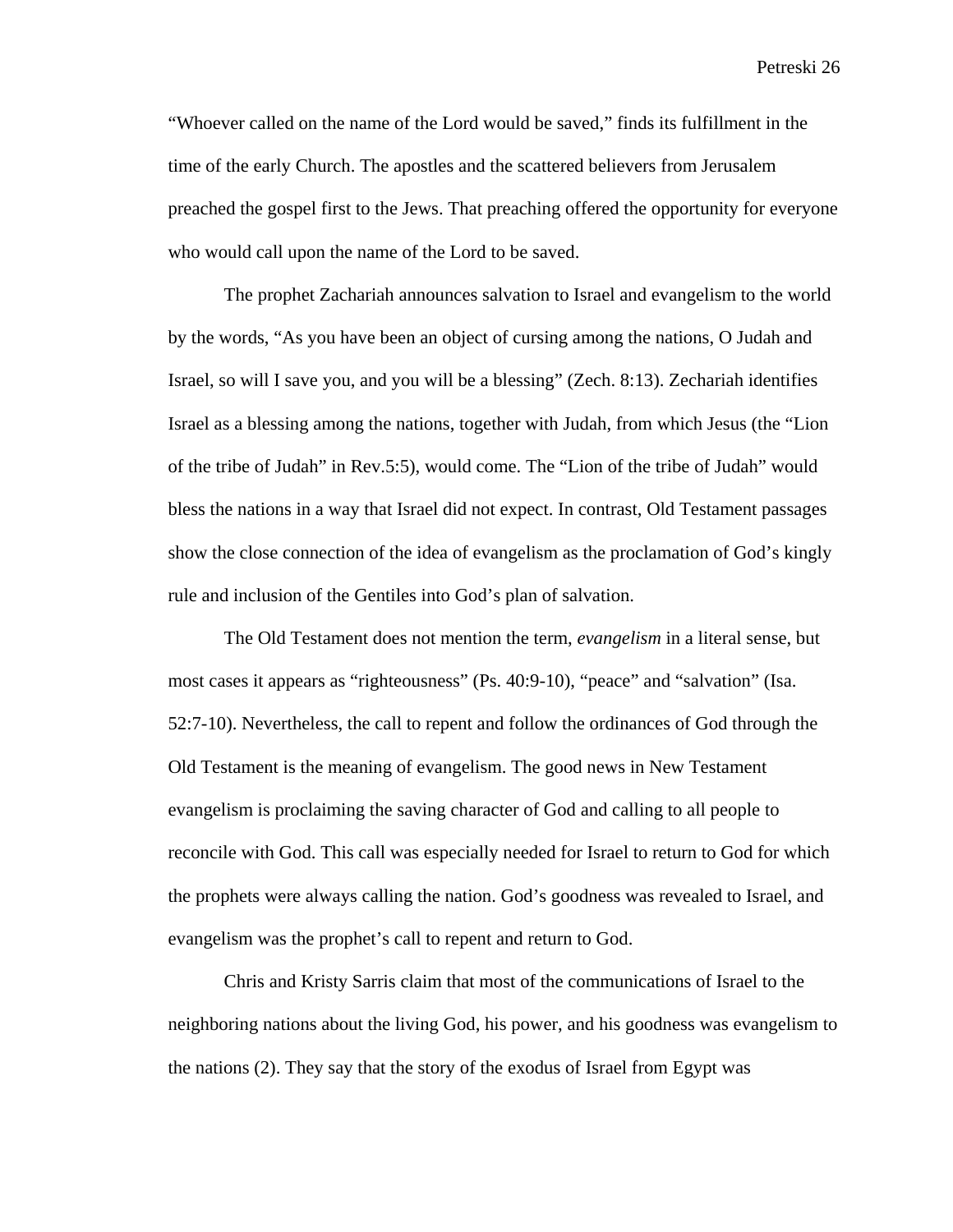"Whoever called on the name of the Lord would be saved," finds its fulfillment in the time of the early Church. The apostles and the scattered believers from Jerusalem preached the gospel first to the Jews. That preaching offered the opportunity for everyone who would call upon the name of the Lord to be saved.

The prophet Zachariah announces salvation to Israel and evangelism to the world by the words, "As you have been an object of cursing among the nations, O Judah and Israel, so will I save you, and you will be a blessing" (Zech. 8:13). Zechariah identifies Israel as a blessing among the nations, together with Judah, from which Jesus (the "Lion of the tribe of Judah" in Rev.5:5), would come. The "Lion of the tribe of Judah" would bless the nations in a way that Israel did not expect. In contrast, Old Testament passages show the close connection of the idea of evangelism as the proclamation of God's kingly rule and inclusion of the Gentiles into God's plan of salvation.

The Old Testament does not mention the term, *evangelism* in a literal sense, but most cases it appears as "righteousness" (Ps. 40:9-10), "peace" and "salvation" (Isa. 52:7-10). Nevertheless, the call to repent and follow the ordinances of God through the Old Testament is the meaning of evangelism. The good news in New Testament evangelism is proclaiming the saving character of God and calling to all people to reconcile with God. This call was especially needed for Israel to return to God for which the prophets were always calling the nation. God's goodness was revealed to Israel, and evangelism was the prophet's call to repent and return to God.

Chris and Kristy Sarris claim that most of the communications of Israel to the neighboring nations about the living God, his power, and his goodness was evangelism to the nations (2). They say that the story of the exodus of Israel from Egypt was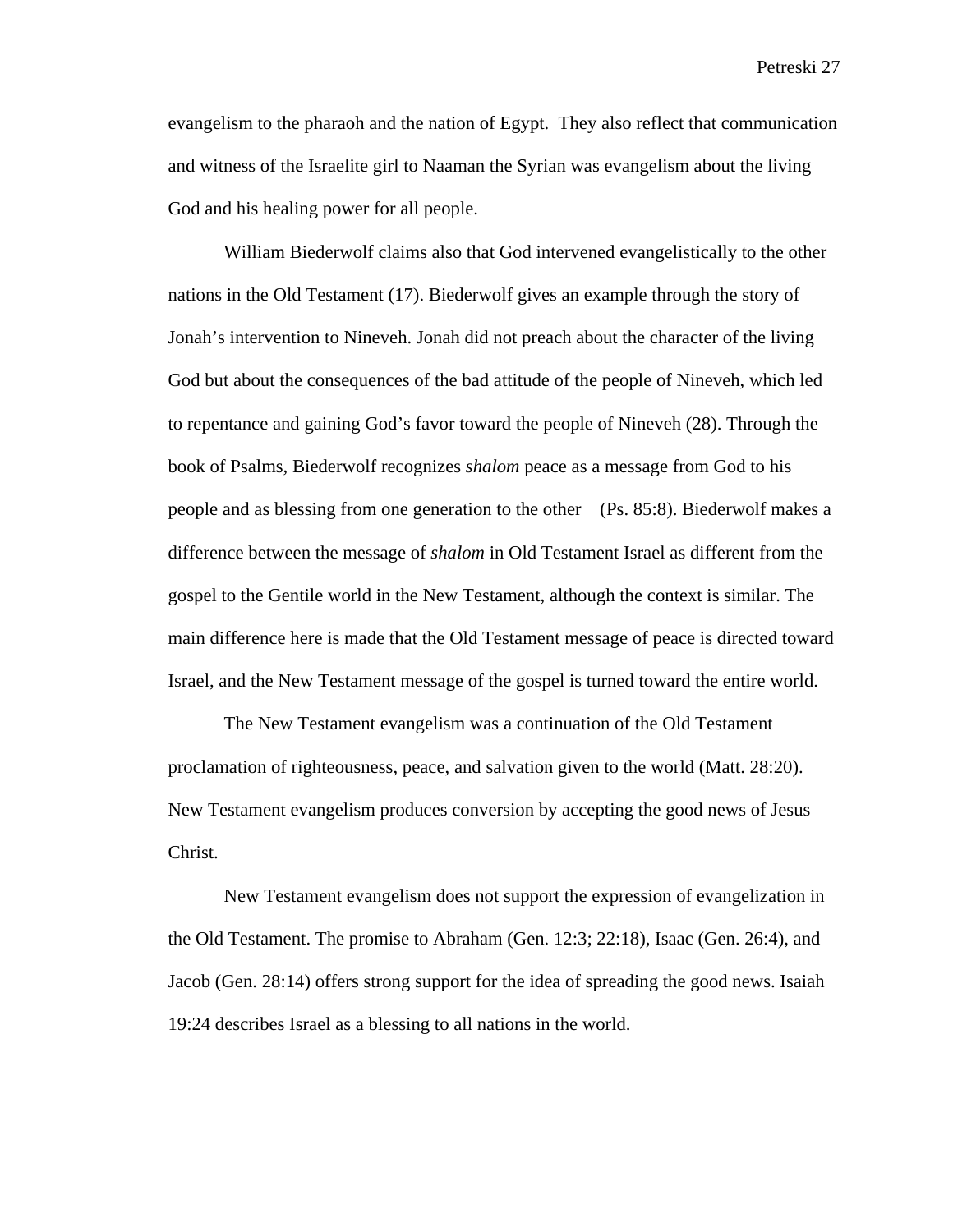evangelism to the pharaoh and the nation of Egypt. They also reflect that communication and witness of the Israelite girl to Naaman the Syrian was evangelism about the living God and his healing power for all people.

William Biederwolf claims also that God intervened evangelistically to the other nations in the Old Testament (17). Biederwolf gives an example through the story of Jonah's intervention to Nineveh. Jonah did not preach about the character of the living God but about the consequences of the bad attitude of the people of Nineveh, which led to repentance and gaining God's favor toward the people of Nineveh (28). Through the book of Psalms, Biederwolf recognizes *shalom* peace as a message from God to his people and as blessing from one generation to the other (Ps. 85:8). Biederwolf makes a difference between the message of *shalom* in Old Testament Israel as different from the gospel to the Gentile world in the New Testament, although the context is similar. The main difference here is made that the Old Testament message of peace is directed toward Israel, and the New Testament message of the gospel is turned toward the entire world.

The New Testament evangelism was a continuation of the Old Testament proclamation of righteousness, peace, and salvation given to the world (Matt. 28:20). New Testament evangelism produces conversion by accepting the good news of Jesus Christ.

New Testament evangelism does not support the expression of evangelization in the Old Testament. The promise to Abraham (Gen. 12:3; 22:18), Isaac (Gen. 26:4), and Jacob (Gen. 28:14) offers strong support for the idea of spreading the good news. Isaiah 19:24 describes Israel as a blessing to all nations in the world.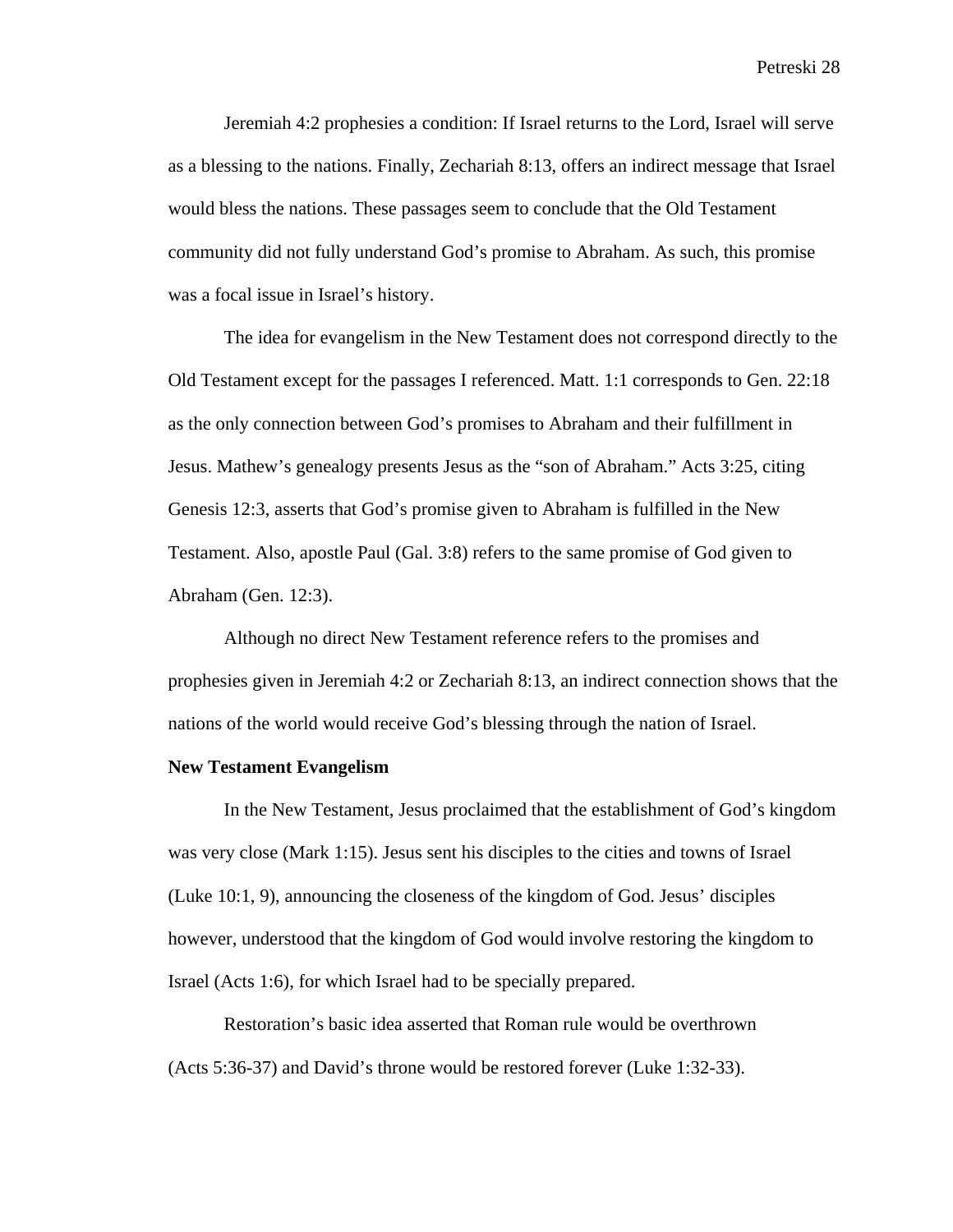Jeremiah 4:2 prophesies a condition: If Israel returns to the Lord, Israel will serve as a blessing to the nations. Finally, Zechariah 8:13, offers an indirect message that Israel would bless the nations. These passages seem to conclude that the Old Testament community did not fully understand God's promise to Abraham. As such, this promise was a focal issue in Israel's history.

The idea for evangelism in the New Testament does not correspond directly to the Old Testament except for the passages I referenced. Matt. 1:1 corresponds to Gen. 22:18 as the only connection between God's promises to Abraham and their fulfillment in Jesus. Mathew's genealogy presents Jesus as the "son of Abraham." Acts 3:25, citing Genesis 12:3, asserts that God's promise given to Abraham is fulfilled in the New Testament. Also, apostle Paul (Gal. 3:8) refers to the same promise of God given to Abraham (Gen. 12:3).

Although no direct New Testament reference refers to the promises and prophesies given in Jeremiah 4:2 or Zechariah 8:13, an indirect connection shows that the nations of the world would receive God's blessing through the nation of Israel.

# **New Testament Evangelism**

In the New Testament, Jesus proclaimed that the establishment of God's kingdom was very close (Mark 1:15). Jesus sent his disciples to the cities and towns of Israel (Luke 10:1, 9), announcing the closeness of the kingdom of God. Jesus' disciples however, understood that the kingdom of God would involve restoring the kingdom to Israel (Acts 1:6), for which Israel had to be specially prepared.

Restoration's basic idea asserted that Roman rule would be overthrown (Acts 5:36-37) and David's throne would be restored forever (Luke 1:32-33).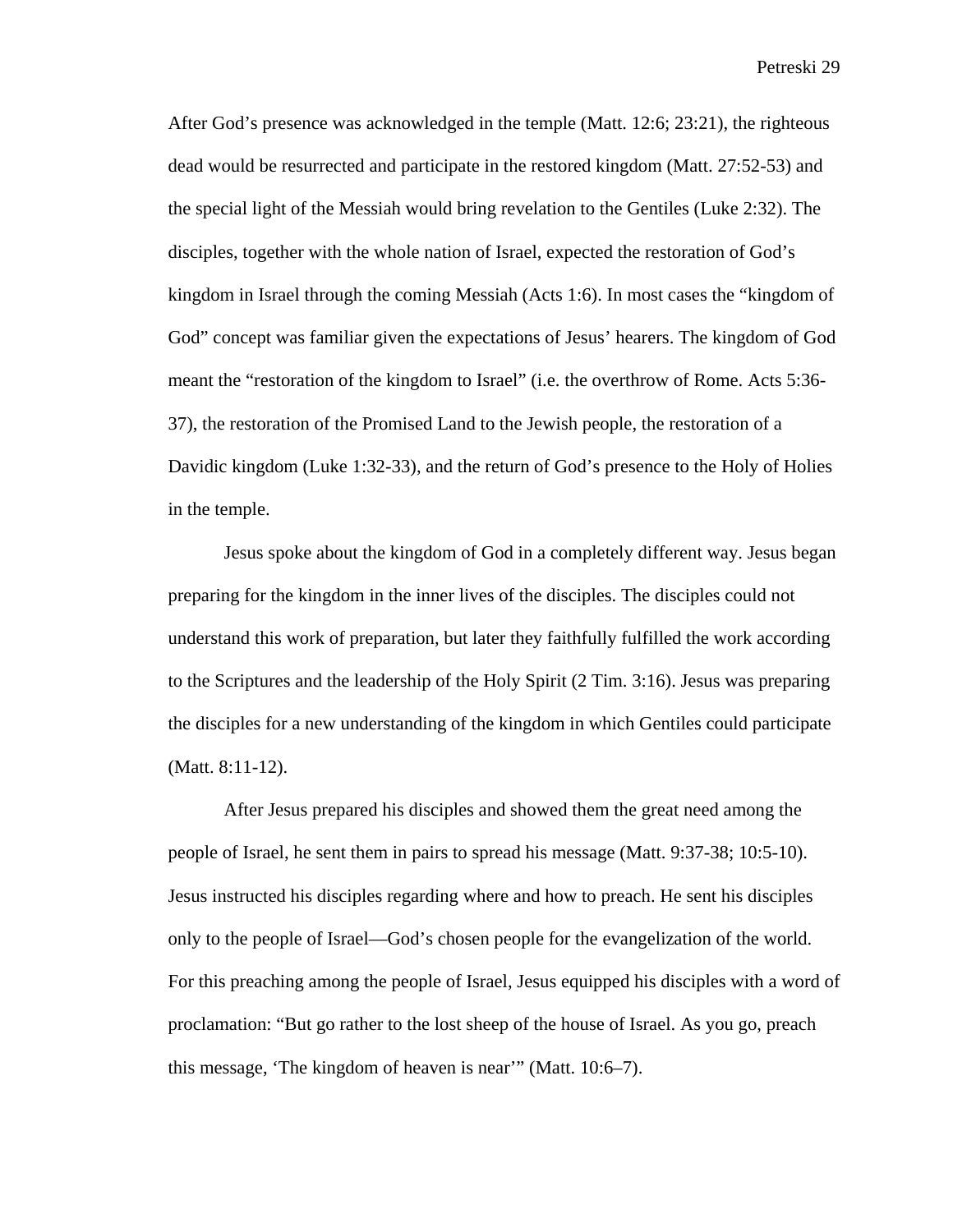After God's presence was acknowledged in the temple (Matt. 12:6; 23:21), the righteous dead would be resurrected and participate in the restored kingdom (Matt. 27:52-53) and the special light of the Messiah would bring revelation to the Gentiles (Luke 2:32). The disciples, together with the whole nation of Israel, expected the restoration of God's kingdom in Israel through the coming Messiah (Acts 1:6). In most cases the "kingdom of God" concept was familiar given the expectations of Jesus' hearers. The kingdom of God meant the "restoration of the kingdom to Israel" (i.e. the overthrow of Rome. Acts 5:36- 37), the restoration of the Promised Land to the Jewish people, the restoration of a Davidic kingdom (Luke 1:32-33), and the return of God's presence to the Holy of Holies in the temple.

Jesus spoke about the kingdom of God in a completely different way. Jesus began preparing for the kingdom in the inner lives of the disciples. The disciples could not understand this work of preparation, but later they faithfully fulfilled the work according to the Scriptures and the leadership of the Holy Spirit (2 Tim. 3:16). Jesus was preparing the disciples for a new understanding of the kingdom in which Gentiles could participate (Matt. 8:11-12).

After Jesus prepared his disciples and showed them the great need among the people of Israel, he sent them in pairs to spread his message (Matt. 9:37-38; 10:5-10). Jesus instructed his disciples regarding where and how to preach. He sent his disciples only to the people of Israel—God's chosen people for the evangelization of the world. For this preaching among the people of Israel, Jesus equipped his disciples with a word of proclamation: "But go rather to the lost sheep of the house of Israel. As you go, preach this message, 'The kingdom of heaven is near'" (Matt. 10:6–7).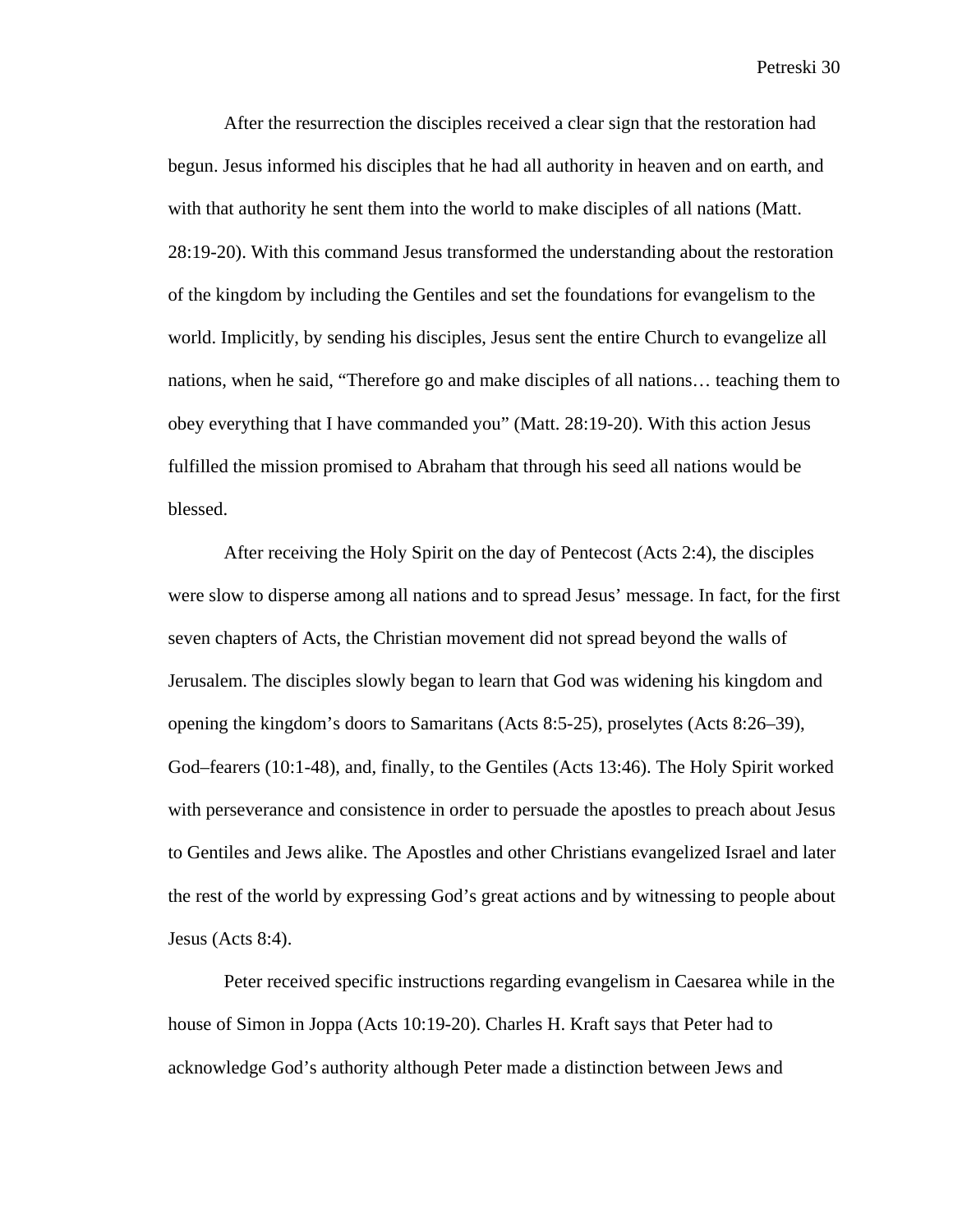After the resurrection the disciples received a clear sign that the restoration had begun. Jesus informed his disciples that he had all authority in heaven and on earth, and with that authority he sent them into the world to make disciples of all nations (Matt. 28:19-20). With this command Jesus transformed the understanding about the restoration of the kingdom by including the Gentiles and set the foundations for evangelism to the world. Implicitly, by sending his disciples, Jesus sent the entire Church to evangelize all nations, when he said, "Therefore go and make disciples of all nations… teaching them to obey everything that I have commanded you" (Matt. 28:19-20). With this action Jesus fulfilled the mission promised to Abraham that through his seed all nations would be blessed.

After receiving the Holy Spirit on the day of Pentecost (Acts 2:4), the disciples were slow to disperse among all nations and to spread Jesus' message. In fact, for the first seven chapters of Acts, the Christian movement did not spread beyond the walls of Jerusalem. The disciples slowly began to learn that God was widening his kingdom and opening the kingdom's doors to Samaritans (Acts 8:5-25), proselytes (Acts 8:26–39), God–fearers (10:1-48), and, finally, to the Gentiles (Acts 13:46). The Holy Spirit worked with perseverance and consistence in order to persuade the apostles to preach about Jesus to Gentiles and Jews alike. The Apostles and other Christians evangelized Israel and later the rest of the world by expressing God's great actions and by witnessing to people about Jesus (Acts 8:4).

Peter received specific instructions regarding evangelism in Caesarea while in the house of Simon in Joppa (Acts 10:19-20). Charles H. Kraft says that Peter had to acknowledge God's authority although Peter made a distinction between Jews and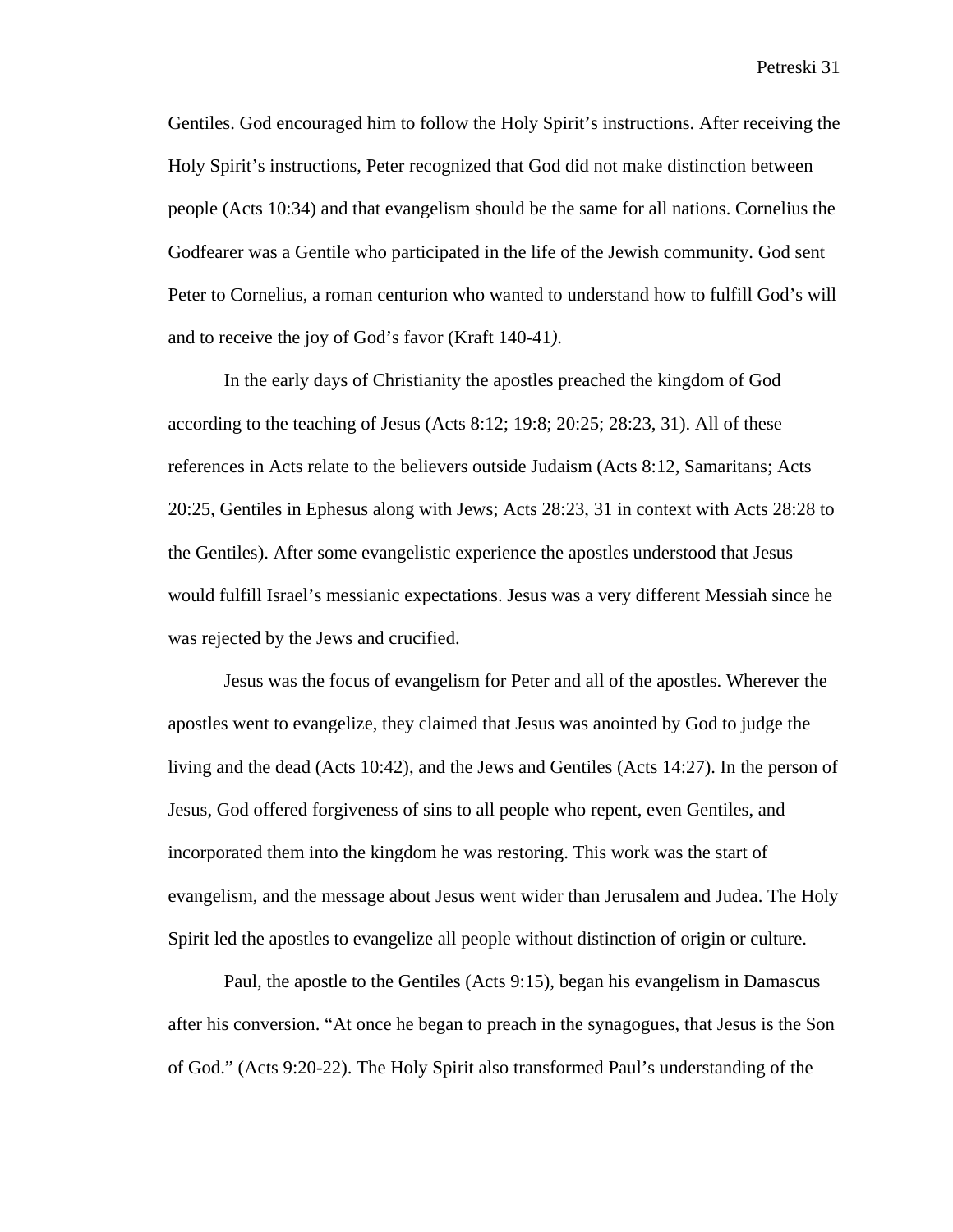Gentiles. God encouraged him to follow the Holy Spirit's instructions. After receiving the Holy Spirit's instructions, Peter recognized that God did not make distinction between people (Acts 10:34) and that evangelism should be the same for all nations. Cornelius the Godfearer was a Gentile who participated in the life of the Jewish community. God sent Peter to Cornelius, a roman centurion who wanted to understand how to fulfill God's will and to receive the joy of God's favor (Kraft 140-41*)*.

In the early days of Christianity the apostles preached the kingdom of God according to the teaching of Jesus (Acts 8:12; 19:8; 20:25; 28:23, 31). All of these references in Acts relate to the believers outside Judaism (Acts 8:12, Samaritans; Acts 20:25, Gentiles in Ephesus along with Jews; Acts 28:23, 31 in context with Acts 28:28 to the Gentiles). After some evangelistic experience the apostles understood that Jesus would fulfill Israel's messianic expectations. Jesus was a very different Messiah since he was rejected by the Jews and crucified.

Jesus was the focus of evangelism for Peter and all of the apostles. Wherever the apostles went to evangelize, they claimed that Jesus was anointed by God to judge the living and the dead (Acts 10:42), and the Jews and Gentiles (Acts 14:27). In the person of Jesus, God offered forgiveness of sins to all people who repent, even Gentiles, and incorporated them into the kingdom he was restoring. This work was the start of evangelism, and the message about Jesus went wider than Jerusalem and Judea. The Holy Spirit led the apostles to evangelize all people without distinction of origin or culture.

Paul, the apostle to the Gentiles (Acts 9:15), began his evangelism in Damascus after his conversion. "At once he began to preach in the synagogues, that Jesus is the Son of God." (Acts 9:20-22). The Holy Spirit also transformed Paul's understanding of the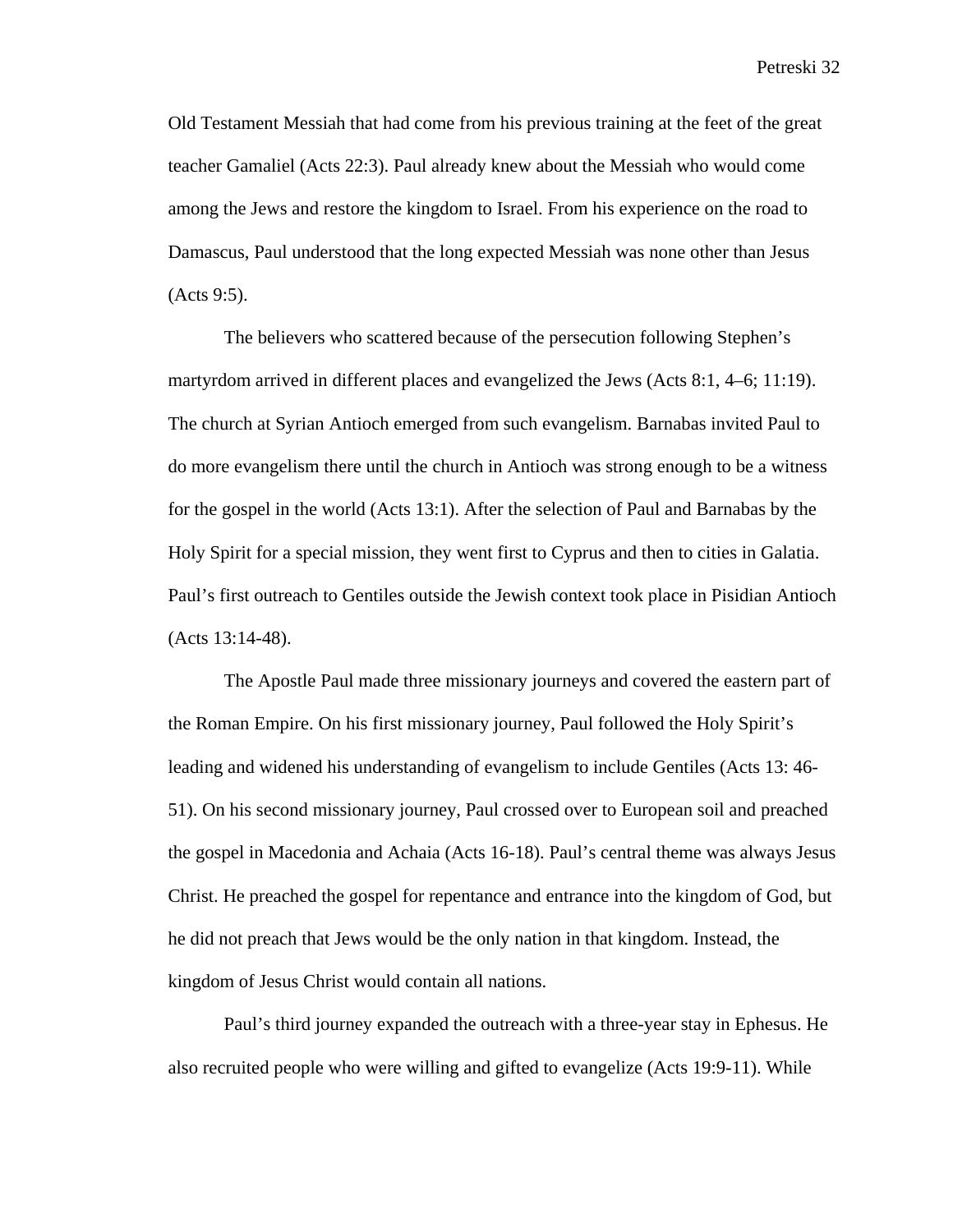Old Testament Messiah that had come from his previous training at the feet of the great teacher Gamaliel (Acts 22:3). Paul already knew about the Messiah who would come among the Jews and restore the kingdom to Israel. From his experience on the road to Damascus, Paul understood that the long expected Messiah was none other than Jesus (Acts 9:5).

The believers who scattered because of the persecution following Stephen's martyrdom arrived in different places and evangelized the Jews (Acts 8:1, 4–6; 11:19). The church at Syrian Antioch emerged from such evangelism. Barnabas invited Paul to do more evangelism there until the church in Antioch was strong enough to be a witness for the gospel in the world (Acts 13:1). After the selection of Paul and Barnabas by the Holy Spirit for a special mission, they went first to Cyprus and then to cities in Galatia. Paul's first outreach to Gentiles outside the Jewish context took place in Pisidian Antioch (Acts 13:14-48).

The Apostle Paul made three missionary journeys and covered the eastern part of the Roman Empire. On his first missionary journey, Paul followed the Holy Spirit's leading and widened his understanding of evangelism to include Gentiles (Acts 13: 46- 51). On his second missionary journey, Paul crossed over to European soil and preached the gospel in Macedonia and Achaia (Acts 16-18). Paul's central theme was always Jesus Christ. He preached the gospel for repentance and entrance into the kingdom of God, but he did not preach that Jews would be the only nation in that kingdom. Instead, the kingdom of Jesus Christ would contain all nations.

Paul's third journey expanded the outreach with a three-year stay in Ephesus. He also recruited people who were willing and gifted to evangelize (Acts 19:9-11). While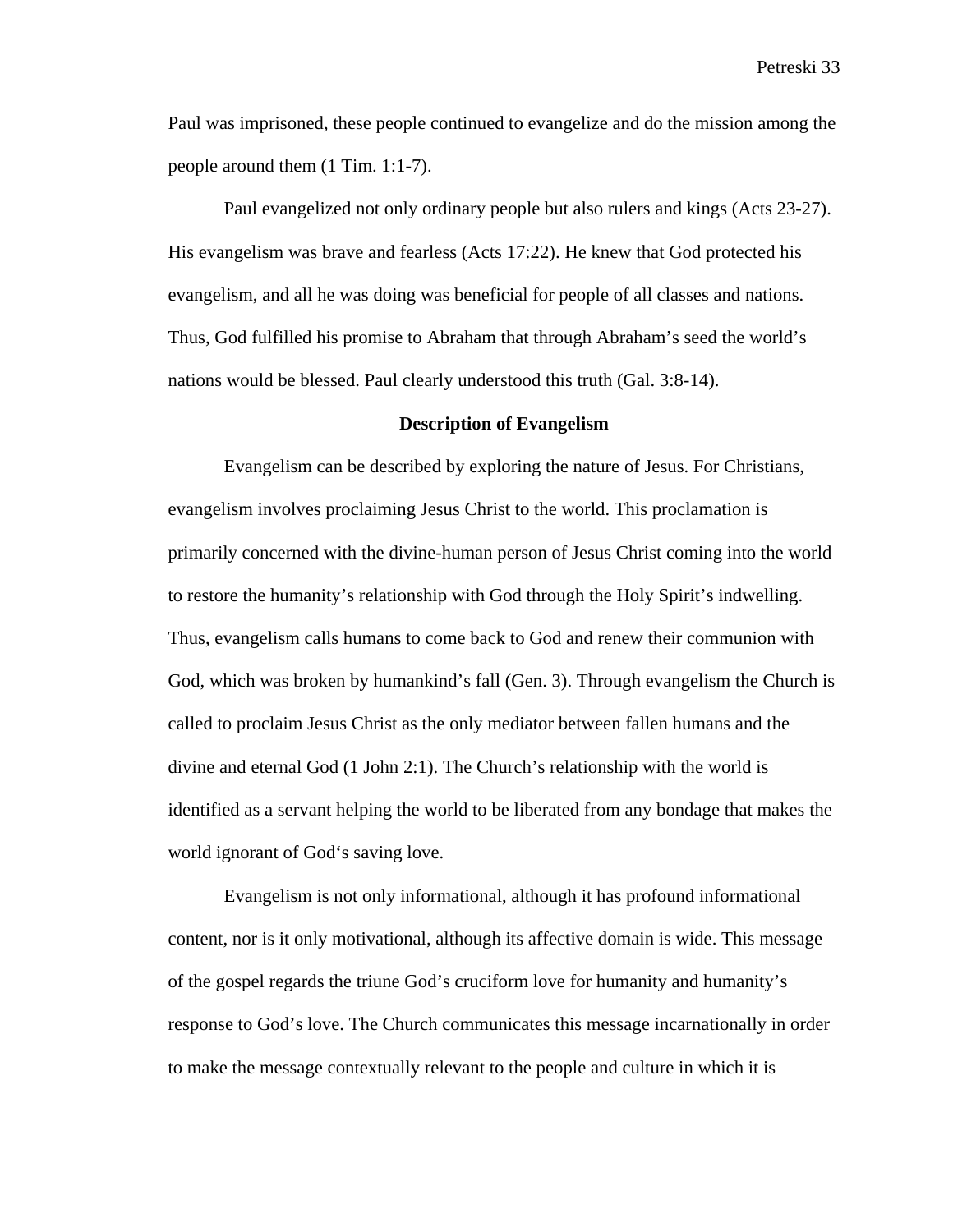Paul was imprisoned, these people continued to evangelize and do the mission among the people around them (1 Tim. 1:1-7).

Paul evangelized not only ordinary people but also rulers and kings (Acts 23-27). His evangelism was brave and fearless (Acts 17:22). He knew that God protected his evangelism, and all he was doing was beneficial for people of all classes and nations. Thus, God fulfilled his promise to Abraham that through Abraham's seed the world's nations would be blessed. Paul clearly understood this truth (Gal. 3:8-14).

#### **Description of Evangelism**

Evangelism can be described by exploring the nature of Jesus. For Christians, evangelism involves proclaiming Jesus Christ to the world. This proclamation is primarily concerned with the divine-human person of Jesus Christ coming into the world to restore the humanity's relationship with God through the Holy Spirit's indwelling. Thus, evangelism calls humans to come back to God and renew their communion with God, which was broken by humankind's fall (Gen. 3). Through evangelism the Church is called to proclaim Jesus Christ as the only mediator between fallen humans and the divine and eternal God (1 John 2:1). The Church's relationship with the world is identified as a servant helping the world to be liberated from any bondage that makes the world ignorant of God's saving love.

Evangelism is not only informational, although it has profound informational content, nor is it only motivational, although its affective domain is wide. This message of the gospel regards the triune God's cruciform love for humanity and humanity's response to God's love. The Church communicates this message incarnationally in order to make the message contextually relevant to the people and culture in which it is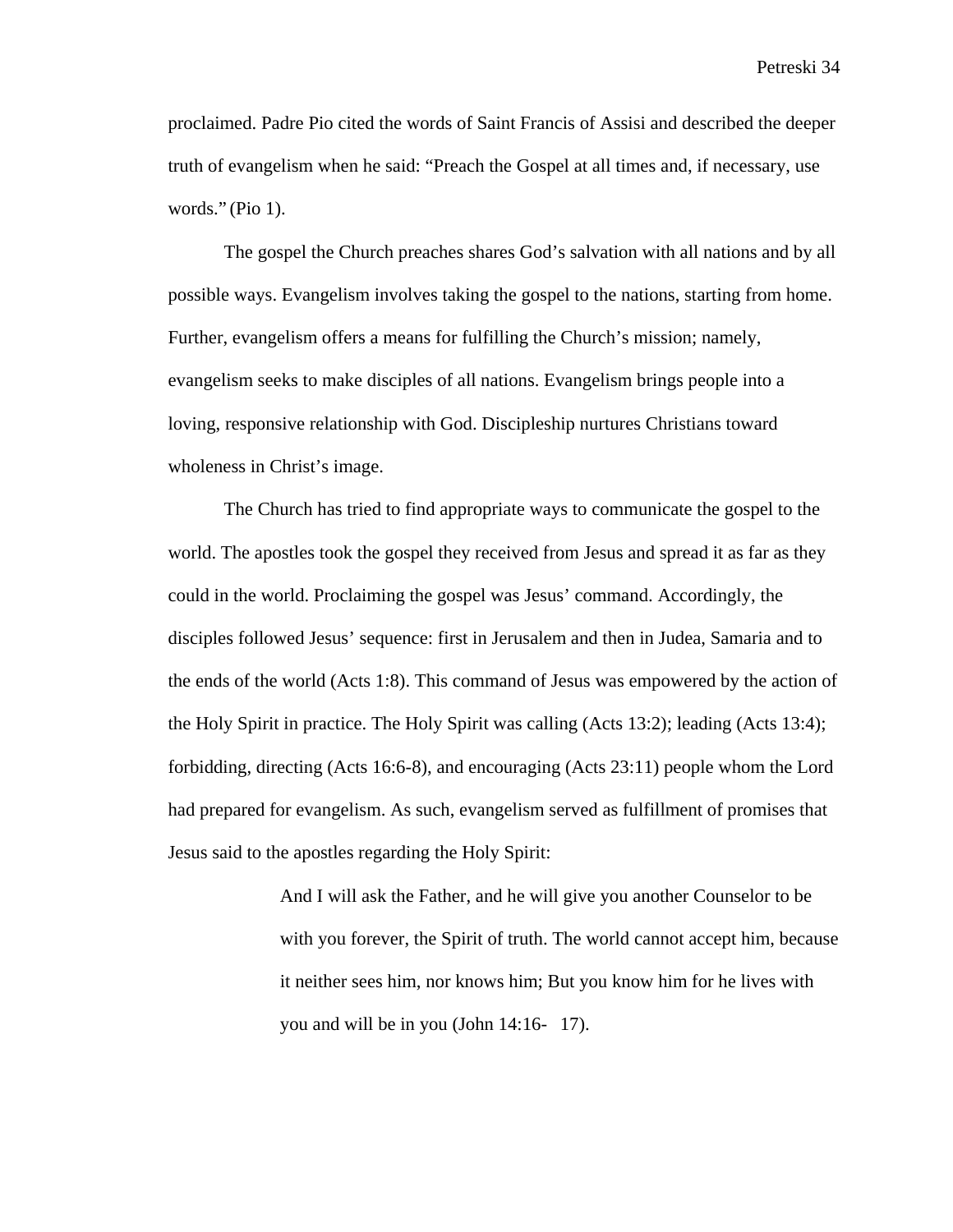proclaimed. Padre Pio cited the words of Saint Francis of Assisi and described the deeper truth of evangelism when he said: "Preach the Gospel at all times and, if necessary, use words." (Pio 1).

The gospel the Church preaches shares God's salvation with all nations and by all possible ways. Evangelism involves taking the gospel to the nations, starting from home. Further, evangelism offers a means for fulfilling the Church's mission; namely, evangelism seeks to make disciples of all nations. Evangelism brings people into a loving, responsive relationship with God. Discipleship nurtures Christians toward wholeness in Christ's image.

The Church has tried to find appropriate ways to communicate the gospel to the world. The apostles took the gospel they received from Jesus and spread it as far as they could in the world. Proclaiming the gospel was Jesus' command. Accordingly, the disciples followed Jesus' sequence: first in Jerusalem and then in Judea, Samaria and to the ends of the world (Acts 1:8). This command of Jesus was empowered by the action of the Holy Spirit in practice. The Holy Spirit was calling (Acts 13:2); leading (Acts 13:4); forbidding, directing (Acts 16:6-8), and encouraging (Acts 23:11) people whom the Lord had prepared for evangelism. As such, evangelism served as fulfillment of promises that Jesus said to the apostles regarding the Holy Spirit:

> And I will ask the Father, and he will give you another Counselor to be with you forever, the Spirit of truth. The world cannot accept him, because it neither sees him, nor knows him; But you know him for he lives with you and will be in you (John 14:16- 17).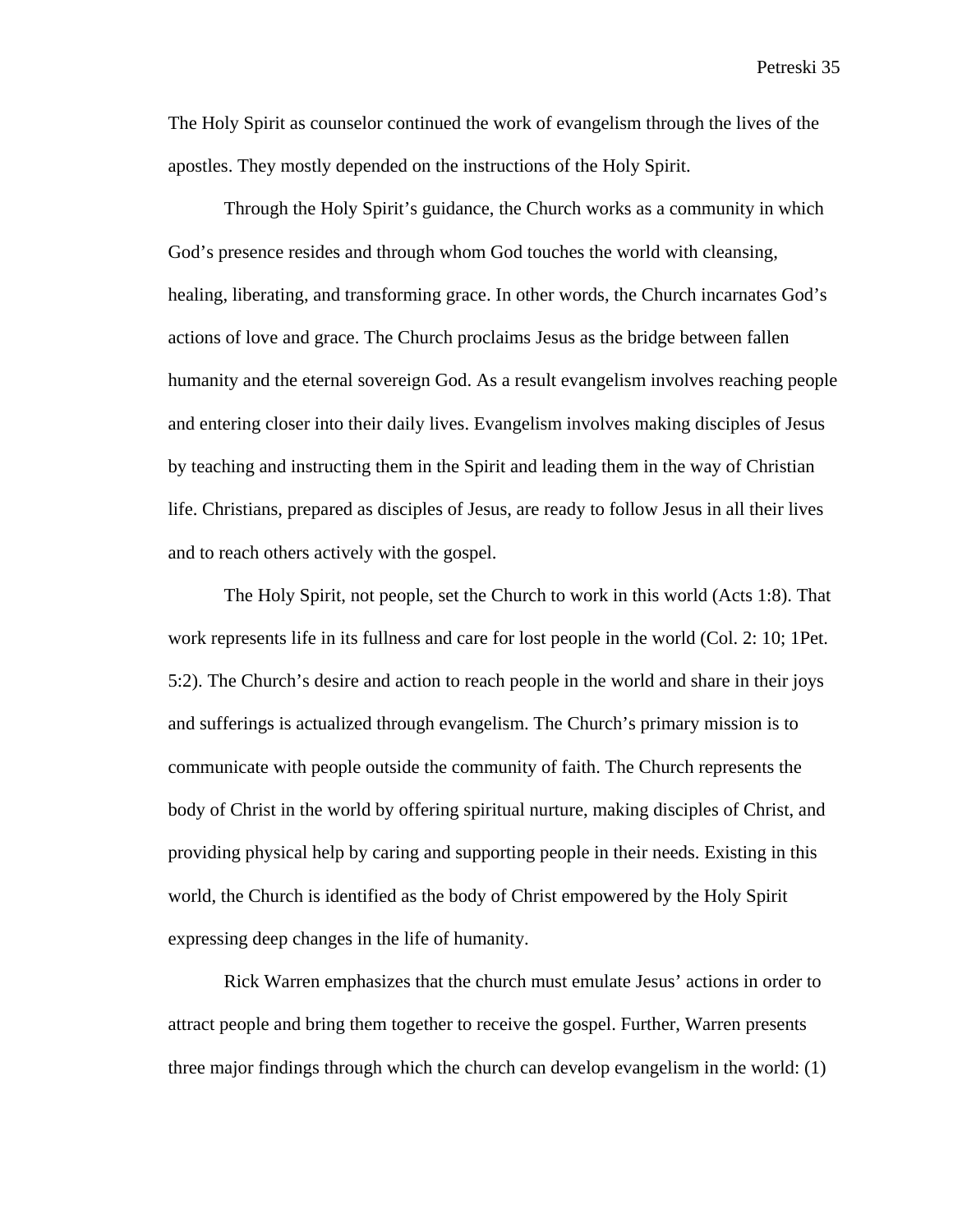The Holy Spirit as counselor continued the work of evangelism through the lives of the apostles. They mostly depended on the instructions of the Holy Spirit.

Through the Holy Spirit's guidance, the Church works as a community in which God's presence resides and through whom God touches the world with cleansing, healing, liberating, and transforming grace. In other words, the Church incarnates God's actions of love and grace. The Church proclaims Jesus as the bridge between fallen humanity and the eternal sovereign God. As a result evangelism involves reaching people and entering closer into their daily lives. Evangelism involves making disciples of Jesus by teaching and instructing them in the Spirit and leading them in the way of Christian life. Christians, prepared as disciples of Jesus, are ready to follow Jesus in all their lives and to reach others actively with the gospel.

The Holy Spirit, not people, set the Church to work in this world (Acts 1:8). That work represents life in its fullness and care for lost people in the world (Col. 2: 10; 1Pet. 5:2). The Church's desire and action to reach people in the world and share in their joys and sufferings is actualized through evangelism. The Church's primary mission is to communicate with people outside the community of faith. The Church represents the body of Christ in the world by offering spiritual nurture, making disciples of Christ, and providing physical help by caring and supporting people in their needs. Existing in this world, the Church is identified as the body of Christ empowered by the Holy Spirit expressing deep changes in the life of humanity.

Rick Warren emphasizes that the church must emulate Jesus' actions in order to attract people and bring them together to receive the gospel. Further, Warren presents three major findings through which the church can develop evangelism in the world: (1)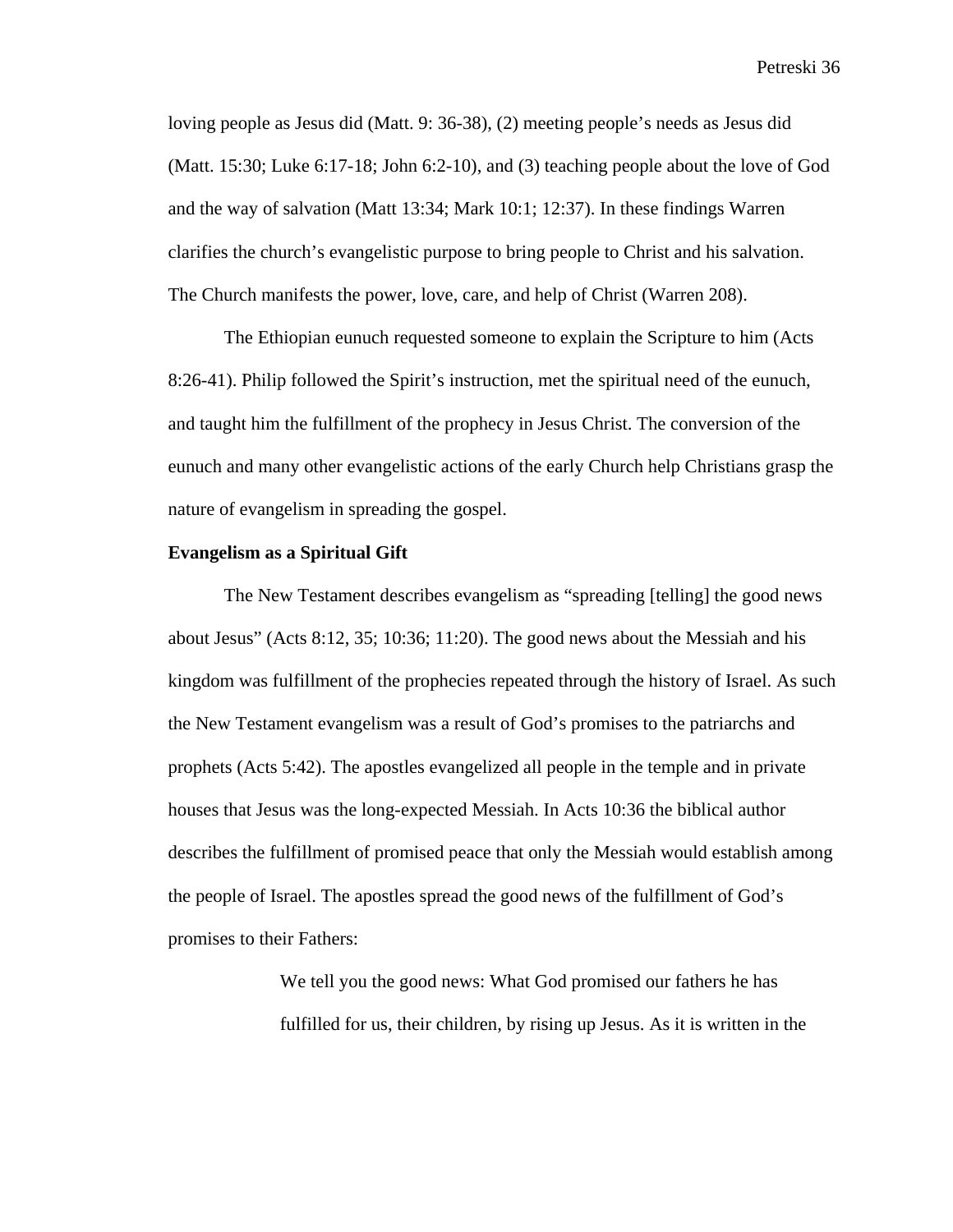loving people as Jesus did (Matt. 9: 36-38), (2) meeting people's needs as Jesus did (Matt. 15:30; Luke 6:17-18; John 6:2-10), and (3) teaching people about the love of God and the way of salvation (Matt 13:34; Mark 10:1; 12:37). In these findings Warren clarifies the church's evangelistic purpose to bring people to Christ and his salvation. The Church manifests the power, love, care, and help of Christ (Warren 208).

The Ethiopian eunuch requested someone to explain the Scripture to him (Acts 8:26-41). Philip followed the Spirit's instruction, met the spiritual need of the eunuch, and taught him the fulfillment of the prophecy in Jesus Christ. The conversion of the eunuch and many other evangelistic actions of the early Church help Christians grasp the nature of evangelism in spreading the gospel.

### **Evangelism as a Spiritual Gift**

The New Testament describes evangelism as "spreading [telling] the good news about Jesus" (Acts 8:12, 35; 10:36; 11:20). The good news about the Messiah and his kingdom was fulfillment of the prophecies repeated through the history of Israel. As such the New Testament evangelism was a result of God's promises to the patriarchs and prophets (Acts 5:42). The apostles evangelized all people in the temple and in private houses that Jesus was the long-expected Messiah. In Acts 10:36 the biblical author describes the fulfillment of promised peace that only the Messiah would establish among the people of Israel. The apostles spread the good news of the fulfillment of God's promises to their Fathers:

> We tell you the good news: What God promised our fathers he has fulfilled for us, their children, by rising up Jesus. As it is written in the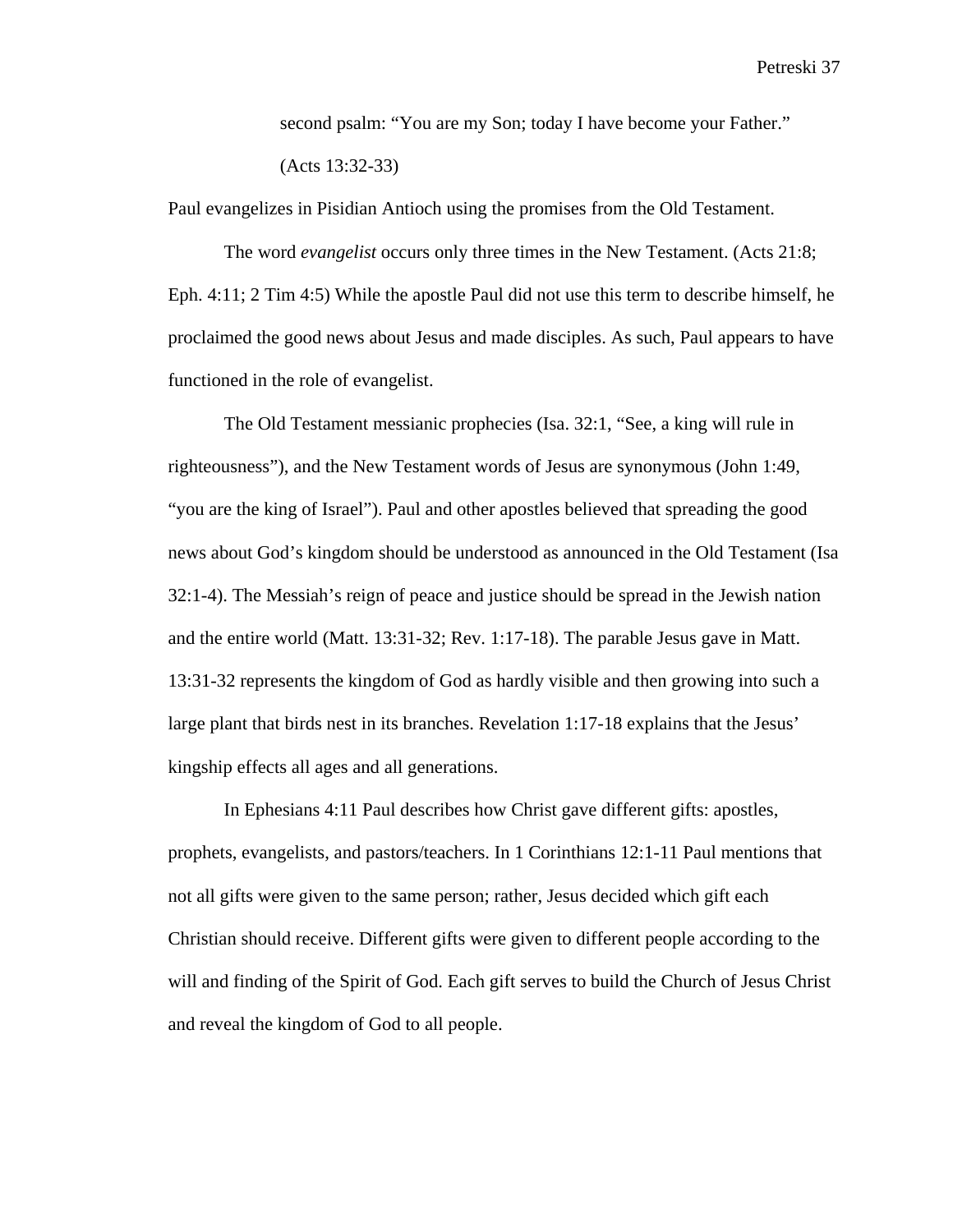second psalm: "You are my Son; today I have become your Father." (Acts 13:32-33)

Paul evangelizes in Pisidian Antioch using the promises from the Old Testament.

The word *evangelist* occurs only three times in the New Testament. (Acts 21:8; Eph. 4:11; 2 Tim 4:5) While the apostle Paul did not use this term to describe himself, he proclaimed the good news about Jesus and made disciples. As such, Paul appears to have functioned in the role of evangelist.

The Old Testament messianic prophecies (Isa. 32:1, "See, a king will rule in righteousness"), and the New Testament words of Jesus are synonymous (John 1:49, "you are the king of Israel"). Paul and other apostles believed that spreading the good news about God's kingdom should be understood as announced in the Old Testament (Isa 32:1-4). The Messiah's reign of peace and justice should be spread in the Jewish nation and the entire world (Matt. 13:31-32; Rev. 1:17-18). The parable Jesus gave in Matt. 13:31-32 represents the kingdom of God as hardly visible and then growing into such a large plant that birds nest in its branches. Revelation 1:17-18 explains that the Jesus' kingship effects all ages and all generations.

In Ephesians 4:11 Paul describes how Christ gave different gifts: apostles, prophets, evangelists, and pastors/teachers. In 1 Corinthians 12:1-11 Paul mentions that not all gifts were given to the same person; rather, Jesus decided which gift each Christian should receive. Different gifts were given to different people according to the will and finding of the Spirit of God. Each gift serves to build the Church of Jesus Christ and reveal the kingdom of God to all people.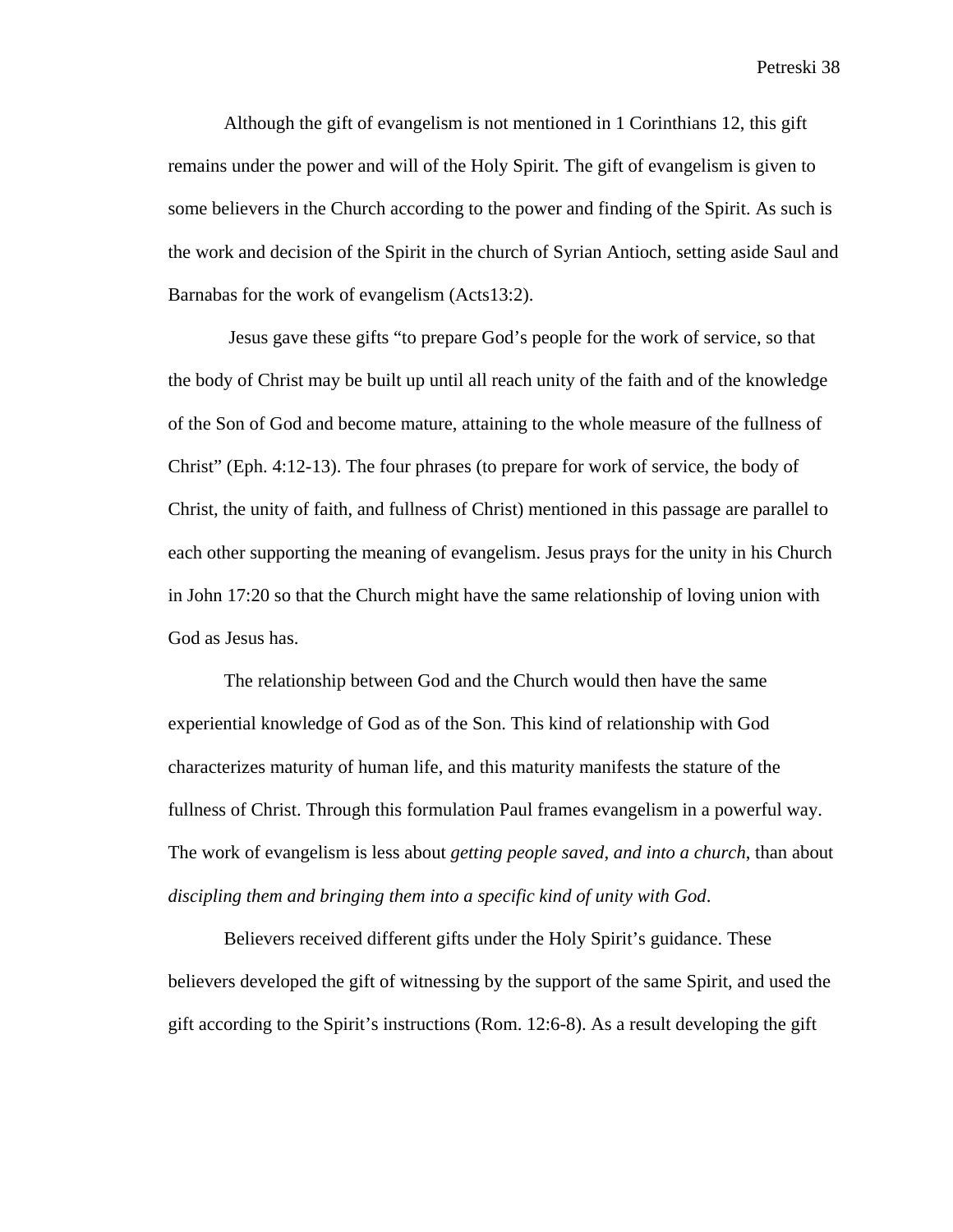Although the gift of evangelism is not mentioned in 1 Corinthians 12, this gift remains under the power and will of the Holy Spirit. The gift of evangelism is given to some believers in the Church according to the power and finding of the Spirit. As such is the work and decision of the Spirit in the church of Syrian Antioch, setting aside Saul and Barnabas for the work of evangelism (Acts13:2).

 Jesus gave these gifts "to prepare God's people for the work of service, so that the body of Christ may be built up until all reach unity of the faith and of the knowledge of the Son of God and become mature, attaining to the whole measure of the fullness of Christ" (Eph. 4:12-13). The four phrases (to prepare for work of service, the body of Christ, the unity of faith, and fullness of Christ) mentioned in this passage are parallel to each other supporting the meaning of evangelism. Jesus prays for the unity in his Church in John 17:20 so that the Church might have the same relationship of loving union with God as Jesus has.

The relationship between God and the Church would then have the same experiential knowledge of God as of the Son. This kind of relationship with God characterizes maturity of human life, and this maturity manifests the stature of the fullness of Christ. Through this formulation Paul frames evangelism in a powerful way. The work of evangelism is less about *getting people saved*, *and into a church*, than about *discipling them and bringing them into a specific kind of unity with God*.

Believers received different gifts under the Holy Spirit's guidance. These believers developed the gift of witnessing by the support of the same Spirit, and used the gift according to the Spirit's instructions (Rom. 12:6-8). As a result developing the gift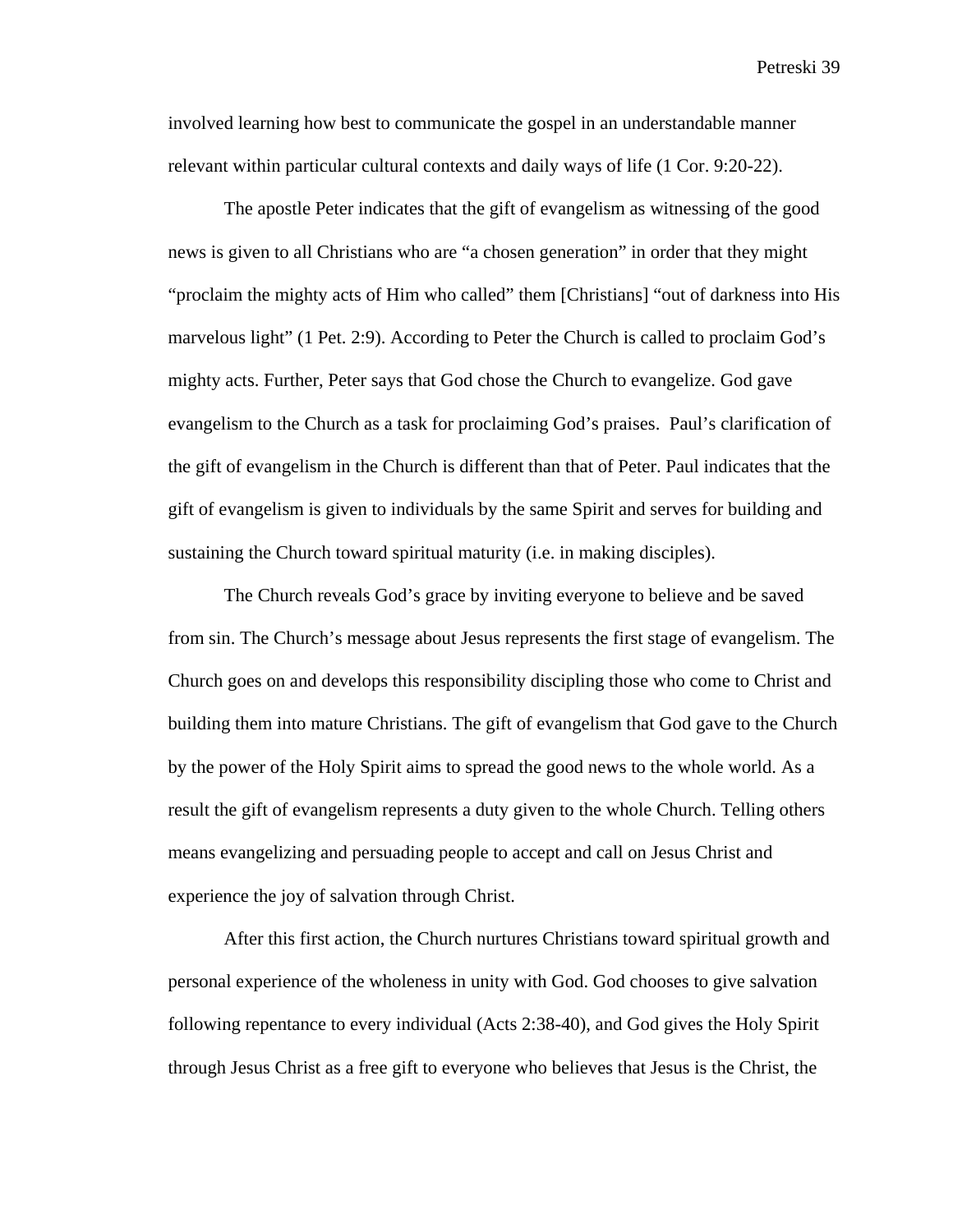involved learning how best to communicate the gospel in an understandable manner relevant within particular cultural contexts and daily ways of life (1 Cor. 9:20-22).

The apostle Peter indicates that the gift of evangelism as witnessing of the good news is given to all Christians who are "a chosen generation" in order that they might "proclaim the mighty acts of Him who called" them [Christians] "out of darkness into His marvelous light" (1 Pet. 2:9). According to Peter the Church is called to proclaim God's mighty acts. Further, Peter says that God chose the Church to evangelize. God gave evangelism to the Church as a task for proclaiming God's praises. Paul's clarification of the gift of evangelism in the Church is different than that of Peter. Paul indicates that the gift of evangelism is given to individuals by the same Spirit and serves for building and sustaining the Church toward spiritual maturity (i.e. in making disciples).

The Church reveals God's grace by inviting everyone to believe and be saved from sin. The Church's message about Jesus represents the first stage of evangelism. The Church goes on and develops this responsibility discipling those who come to Christ and building them into mature Christians. The gift of evangelism that God gave to the Church by the power of the Holy Spirit aims to spread the good news to the whole world. As a result the gift of evangelism represents a duty given to the whole Church. Telling others means evangelizing and persuading people to accept and call on Jesus Christ and experience the joy of salvation through Christ.

After this first action, the Church nurtures Christians toward spiritual growth and personal experience of the wholeness in unity with God. God chooses to give salvation following repentance to every individual (Acts 2:38-40), and God gives the Holy Spirit through Jesus Christ as a free gift to everyone who believes that Jesus is the Christ, the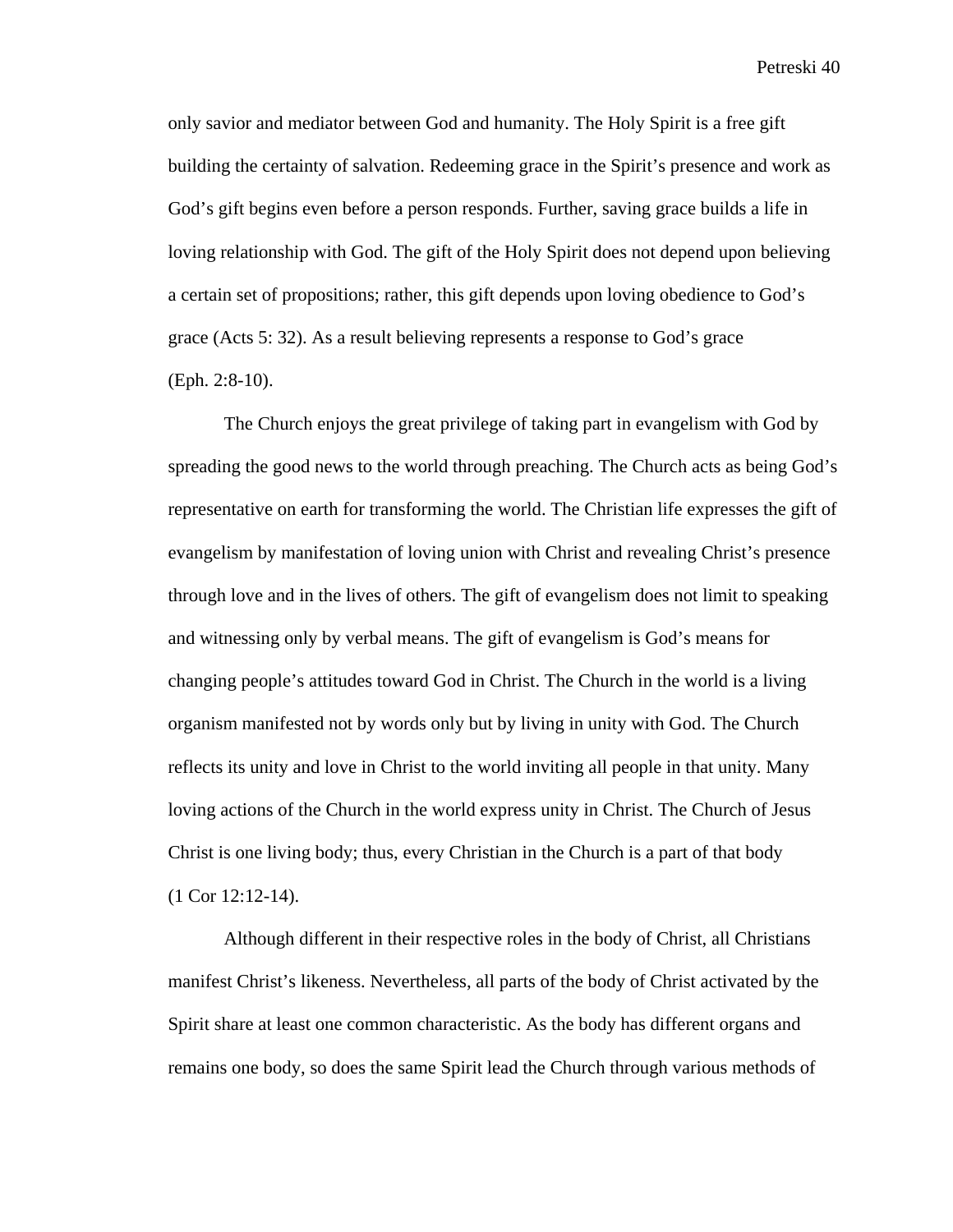only savior and mediator between God and humanity. The Holy Spirit is a free gift building the certainty of salvation. Redeeming grace in the Spirit's presence and work as God's gift begins even before a person responds. Further, saving grace builds a life in loving relationship with God. The gift of the Holy Spirit does not depend upon believing a certain set of propositions; rather, this gift depends upon loving obedience to God's grace (Acts 5: 32). As a result believing represents a response to God's grace (Eph. 2:8-10).

The Church enjoys the great privilege of taking part in evangelism with God by spreading the good news to the world through preaching. The Church acts as being God's representative on earth for transforming the world. The Christian life expresses the gift of evangelism by manifestation of loving union with Christ and revealing Christ's presence through love and in the lives of others. The gift of evangelism does not limit to speaking and witnessing only by verbal means. The gift of evangelism is God's means for changing people's attitudes toward God in Christ. The Church in the world is a living organism manifested not by words only but by living in unity with God. The Church reflects its unity and love in Christ to the world inviting all people in that unity. Many loving actions of the Church in the world express unity in Christ. The Church of Jesus Christ is one living body; thus, every Christian in the Church is a part of that body (1 Cor 12:12-14).

Although different in their respective roles in the body of Christ, all Christians manifest Christ's likeness. Nevertheless, all parts of the body of Christ activated by the Spirit share at least one common characteristic. As the body has different organs and remains one body, so does the same Spirit lead the Church through various methods of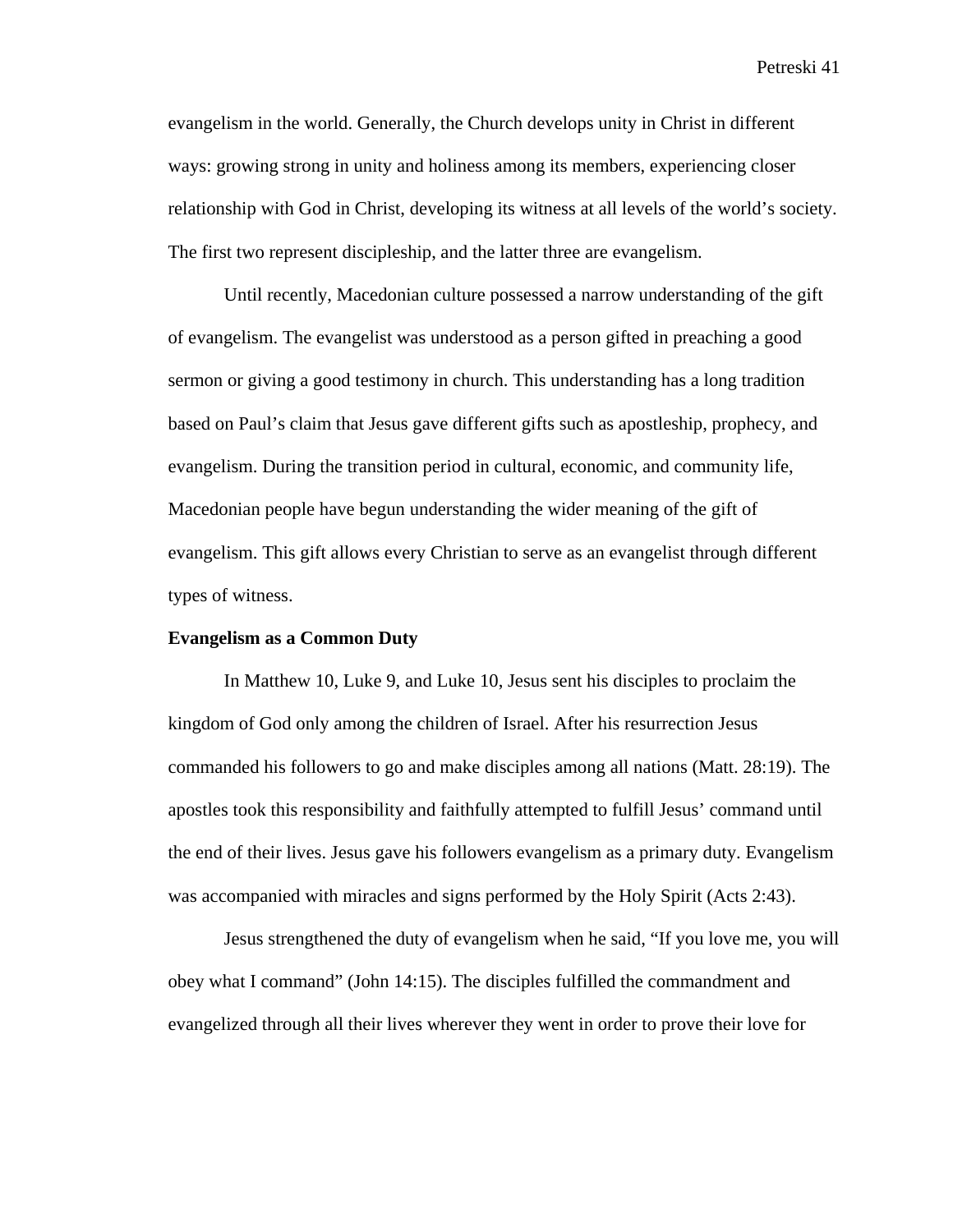evangelism in the world. Generally, the Church develops unity in Christ in different ways: growing strong in unity and holiness among its members, experiencing closer relationship with God in Christ, developing its witness at all levels of the world's society. The first two represent discipleship, and the latter three are evangelism.

Until recently, Macedonian culture possessed a narrow understanding of the gift of evangelism. The evangelist was understood as a person gifted in preaching a good sermon or giving a good testimony in church. This understanding has a long tradition based on Paul's claim that Jesus gave different gifts such as apostleship, prophecy, and evangelism. During the transition period in cultural, economic, and community life, Macedonian people have begun understanding the wider meaning of the gift of evangelism. This gift allows every Christian to serve as an evangelist through different types of witness.

## **Evangelism as a Common Duty**

In Matthew 10, Luke 9, and Luke 10, Jesus sent his disciples to proclaim the kingdom of God only among the children of Israel. After his resurrection Jesus commanded his followers to go and make disciples among all nations (Matt. 28:19). The apostles took this responsibility and faithfully attempted to fulfill Jesus' command until the end of their lives. Jesus gave his followers evangelism as a primary duty. Evangelism was accompanied with miracles and signs performed by the Holy Spirit (Acts 2:43).

Jesus strengthened the duty of evangelism when he said, "If you love me, you will obey what I command" (John 14:15). The disciples fulfilled the commandment and evangelized through all their lives wherever they went in order to prove their love for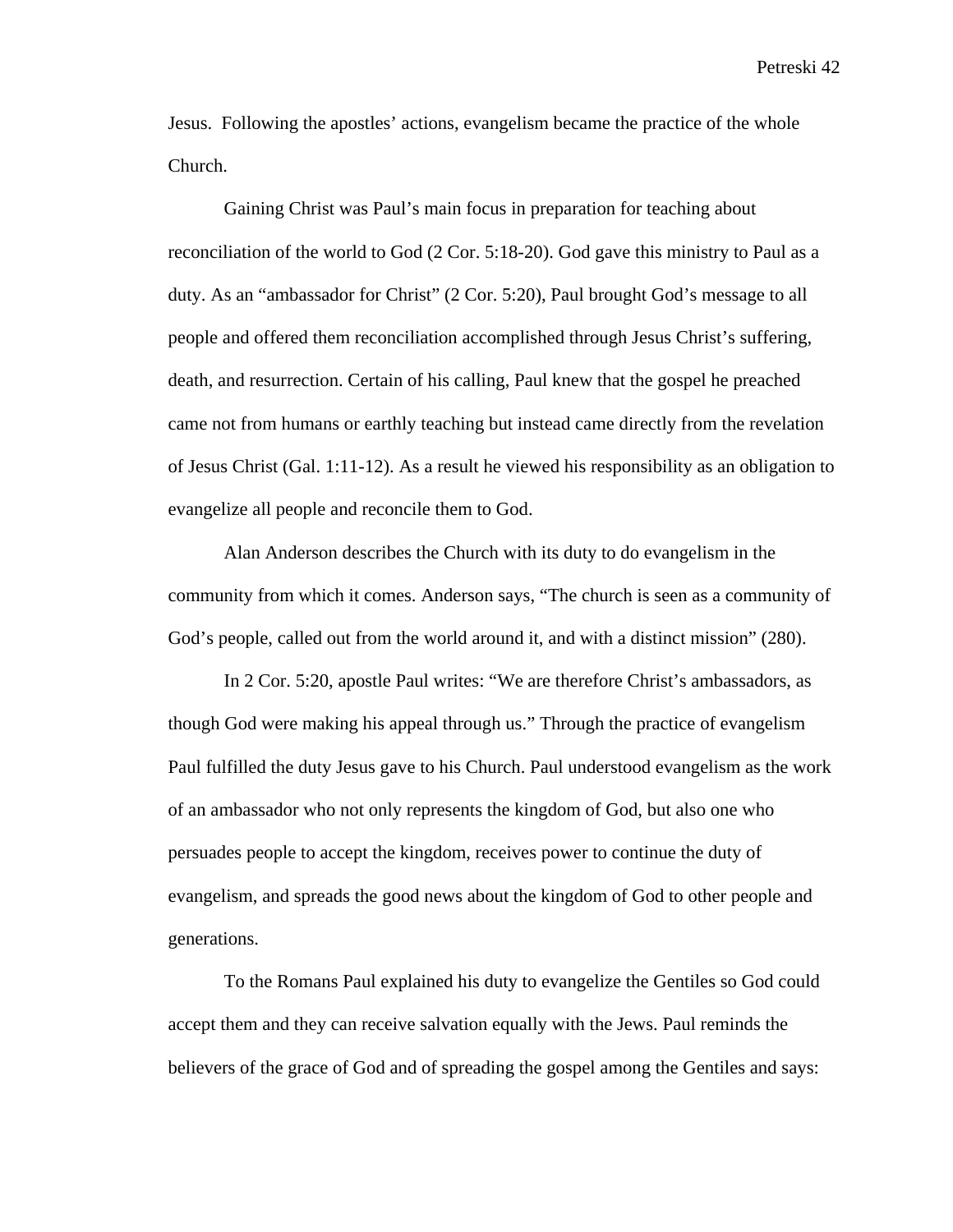Jesus. Following the apostles' actions, evangelism became the practice of the whole Church.

Gaining Christ was Paul's main focus in preparation for teaching about reconciliation of the world to God (2 Cor. 5:18-20). God gave this ministry to Paul as a duty. As an "ambassador for Christ" (2 Cor. 5:20), Paul brought God's message to all people and offered them reconciliation accomplished through Jesus Christ's suffering, death, and resurrection. Certain of his calling, Paul knew that the gospel he preached came not from humans or earthly teaching but instead came directly from the revelation of Jesus Christ (Gal. 1:11-12). As a result he viewed his responsibility as an obligation to evangelize all people and reconcile them to God.

 Alan Anderson describes the Church with its duty to do evangelism in the community from which it comes. Anderson says, "The church is seen as a community of God's people, called out from the world around it, and with a distinct mission" (280).

In 2 Cor. 5:20, apostle Paul writes: "We are therefore Christ's ambassadors, as though God were making his appeal through us." Through the practice of evangelism Paul fulfilled the duty Jesus gave to his Church. Paul understood evangelism as the work of an ambassador who not only represents the kingdom of God, but also one who persuades people to accept the kingdom, receives power to continue the duty of evangelism, and spreads the good news about the kingdom of God to other people and generations.

To the Romans Paul explained his duty to evangelize the Gentiles so God could accept them and they can receive salvation equally with the Jews. Paul reminds the believers of the grace of God and of spreading the gospel among the Gentiles and says: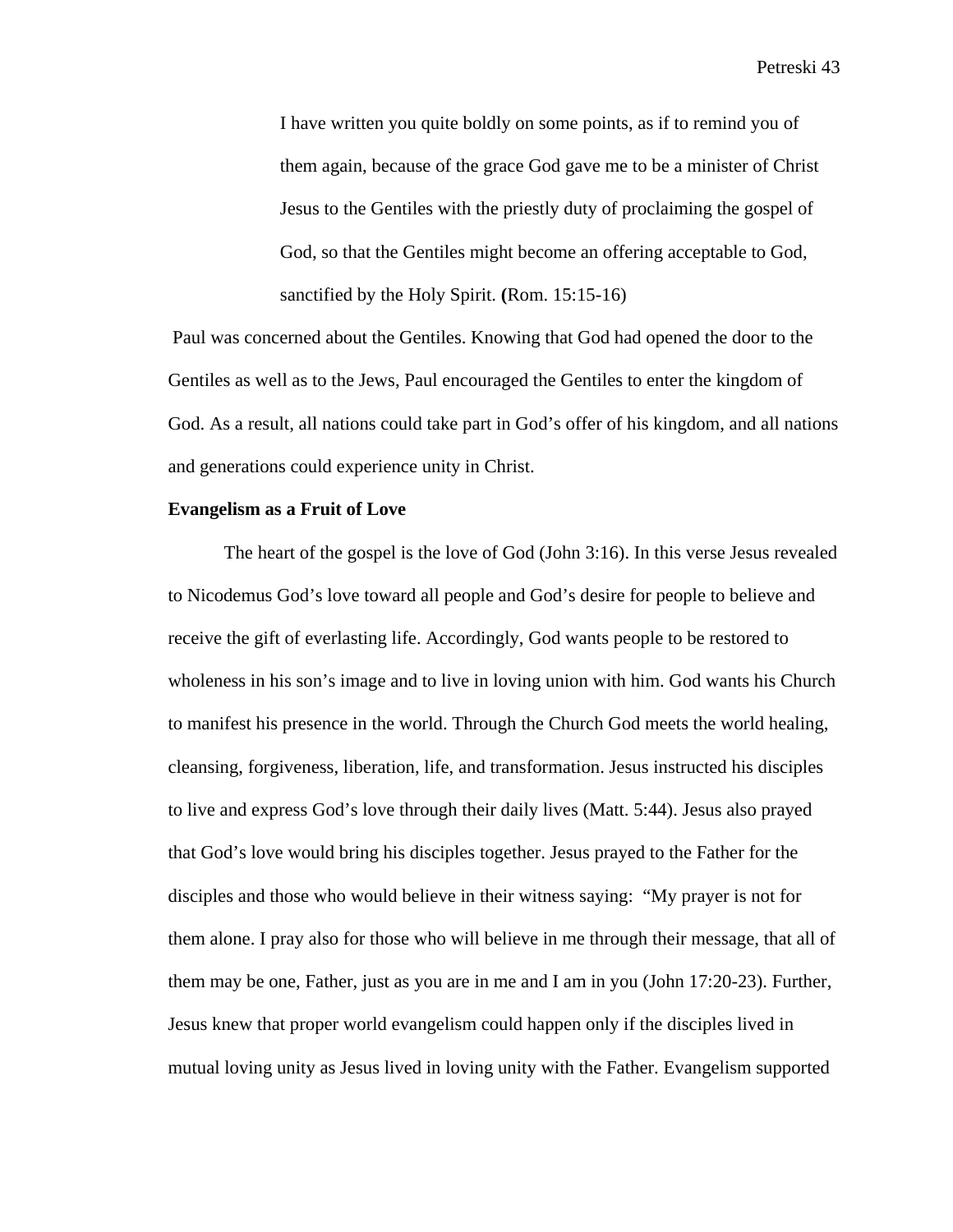I have written you quite boldly on some points, as if to remind you of them again, because of the grace God gave me to be a minister of Christ Jesus to the Gentiles with the priestly duty of proclaiming the gospel of God, so that the Gentiles might become an offering acceptable to God, sanctified by the Holy Spirit. **(**Rom. 15:15-16)

Paul was concerned about the Gentiles. Knowing that God had opened the door to the Gentiles as well as to the Jews, Paul encouraged the Gentiles to enter the kingdom of God. As a result, all nations could take part in God's offer of his kingdom, and all nations and generations could experience unity in Christ.

## **Evangelism as a Fruit of Love**

The heart of the gospel is the love of God (John 3:16). In this verse Jesus revealed to Nicodemus God's love toward all people and God's desire for people to believe and receive the gift of everlasting life. Accordingly, God wants people to be restored to wholeness in his son's image and to live in loving union with him. God wants his Church to manifest his presence in the world. Through the Church God meets the world healing, cleansing, forgiveness, liberation, life, and transformation. Jesus instructed his disciples to live and express God's love through their daily lives (Matt. 5:44). Jesus also prayed that God's love would bring his disciples together. Jesus prayed to the Father for the disciples and those who would believe in their witness saying: "My prayer is not for them alone. I pray also for those who will believe in me through their message, that all of them may be one, Father, just as you are in me and I am in you (John 17:20-23). Further, Jesus knew that proper world evangelism could happen only if the disciples lived in mutual loving unity as Jesus lived in loving unity with the Father. Evangelism supported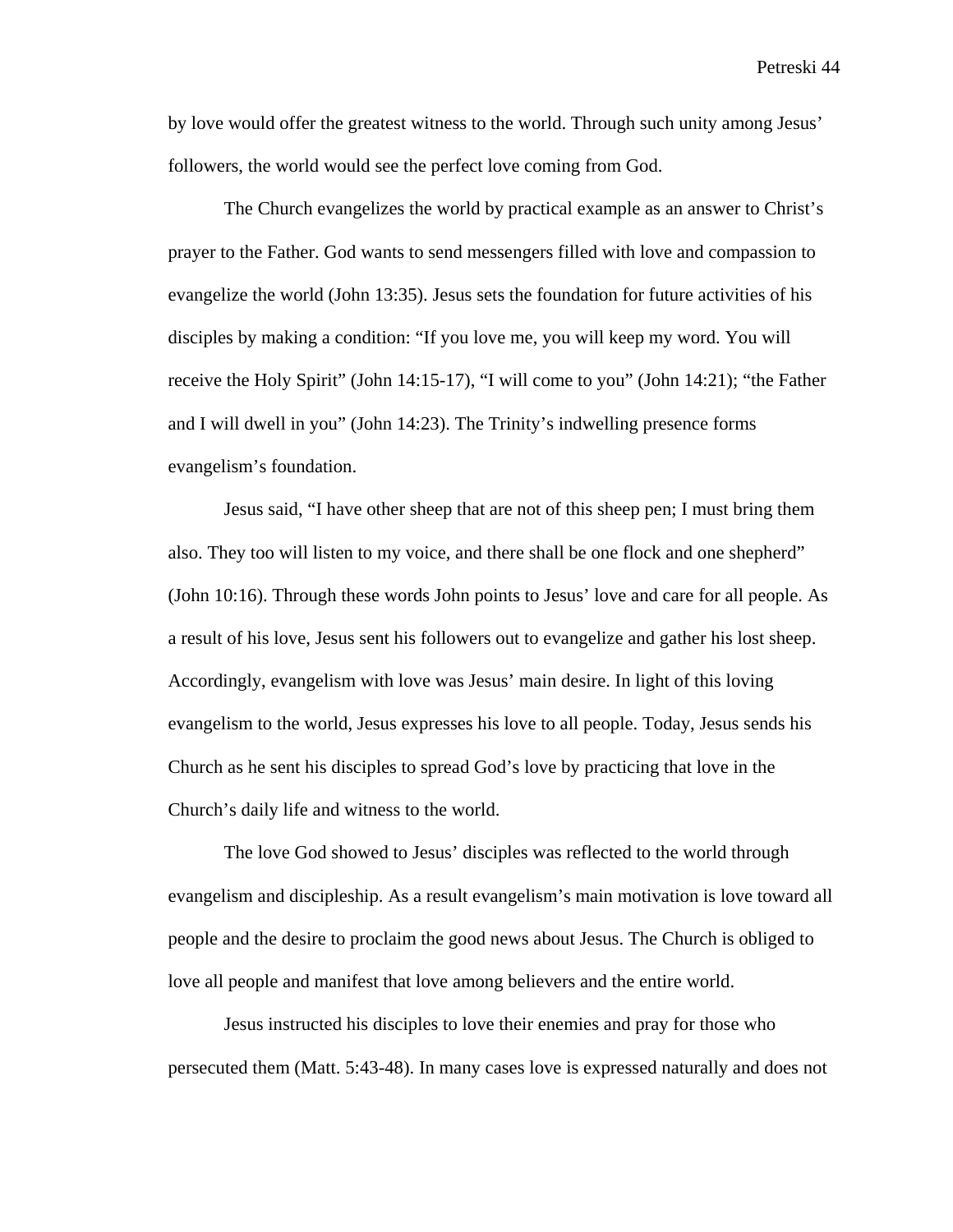by love would offer the greatest witness to the world. Through such unity among Jesus' followers, the world would see the perfect love coming from God.

The Church evangelizes the world by practical example as an answer to Christ's prayer to the Father. God wants to send messengers filled with love and compassion to evangelize the world (John 13:35). Jesus sets the foundation for future activities of his disciples by making a condition: "If you love me, you will keep my word. You will receive the Holy Spirit" (John 14:15-17), "I will come to you" (John 14:21); "the Father and I will dwell in you" (John 14:23). The Trinity's indwelling presence forms evangelism's foundation.

Jesus said, "I have other sheep that are not of this sheep pen; I must bring them also. They too will listen to my voice, and there shall be one flock and one shepherd" (John 10:16). Through these words John points to Jesus' love and care for all people. As a result of his love, Jesus sent his followers out to evangelize and gather his lost sheep. Accordingly, evangelism with love was Jesus' main desire. In light of this loving evangelism to the world, Jesus expresses his love to all people. Today, Jesus sends his Church as he sent his disciples to spread God's love by practicing that love in the Church's daily life and witness to the world.

The love God showed to Jesus' disciples was reflected to the world through evangelism and discipleship. As a result evangelism's main motivation is love toward all people and the desire to proclaim the good news about Jesus. The Church is obliged to love all people and manifest that love among believers and the entire world.

Jesus instructed his disciples to love their enemies and pray for those who persecuted them (Matt. 5:43-48). In many cases love is expressed naturally and does not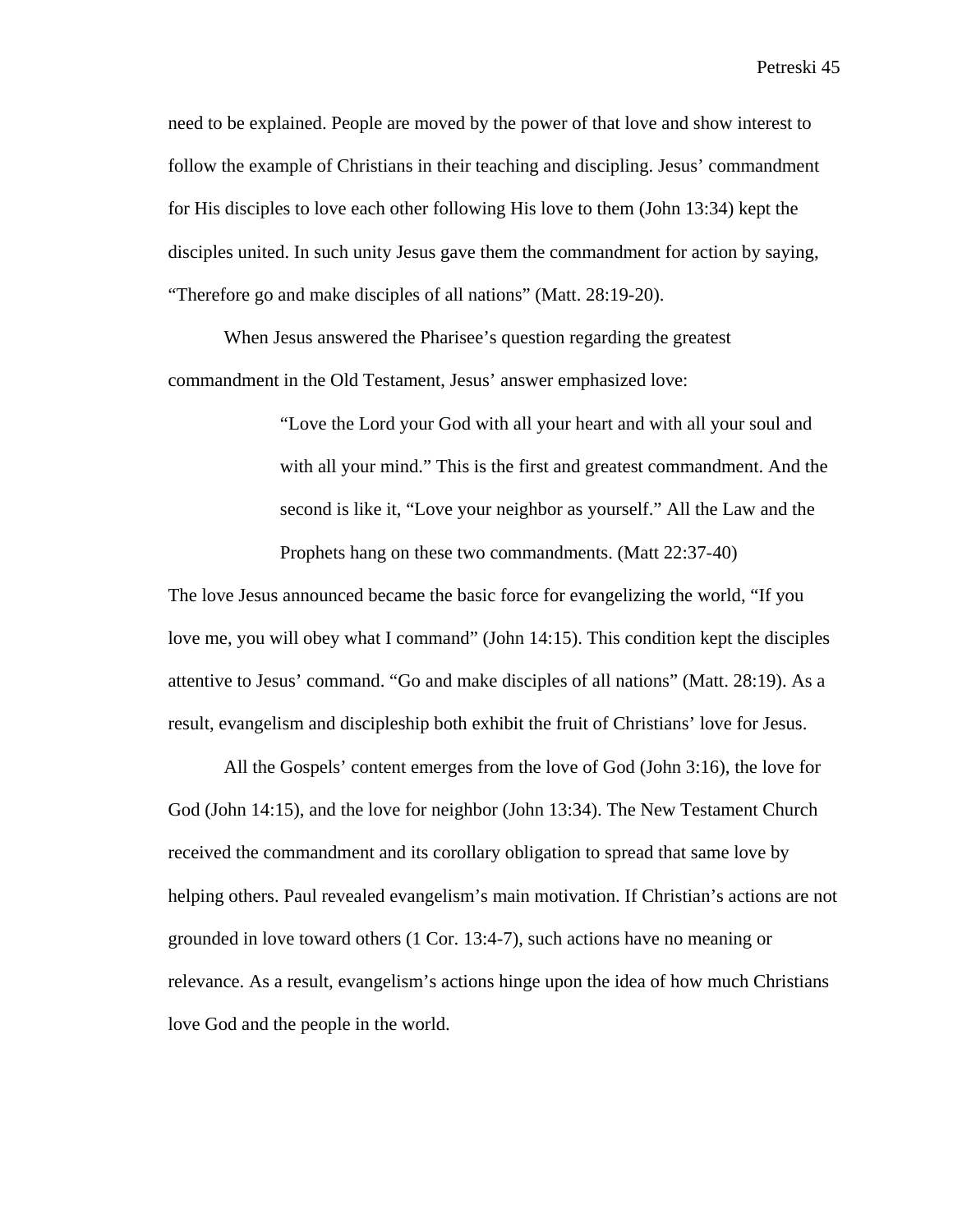need to be explained. People are moved by the power of that love and show interest to follow the example of Christians in their teaching and discipling. Jesus' commandment for His disciples to love each other following His love to them (John 13:34) kept the disciples united. In such unity Jesus gave them the commandment for action by saying, "Therefore go and make disciples of all nations" (Matt. 28:19-20).

When Jesus answered the Pharisee's question regarding the greatest commandment in the Old Testament, Jesus' answer emphasized love:

> "Love the Lord your God with all your heart and with all your soul and with all your mind." This is the first and greatest commandment. And the second is like it, "Love your neighbor as yourself." All the Law and the Prophets hang on these two commandments. (Matt 22:37-40)

The love Jesus announced became the basic force for evangelizing the world, "If you love me, you will obey what I command" (John 14:15). This condition kept the disciples attentive to Jesus' command. "Go and make disciples of all nations" (Matt. 28:19). As a result, evangelism and discipleship both exhibit the fruit of Christians' love for Jesus.

All the Gospels' content emerges from the love of God (John 3:16), the love for God (John 14:15), and the love for neighbor (John 13:34). The New Testament Church received the commandment and its corollary obligation to spread that same love by helping others. Paul revealed evangelism's main motivation. If Christian's actions are not grounded in love toward others (1 Cor. 13:4-7), such actions have no meaning or relevance. As a result, evangelism's actions hinge upon the idea of how much Christians love God and the people in the world.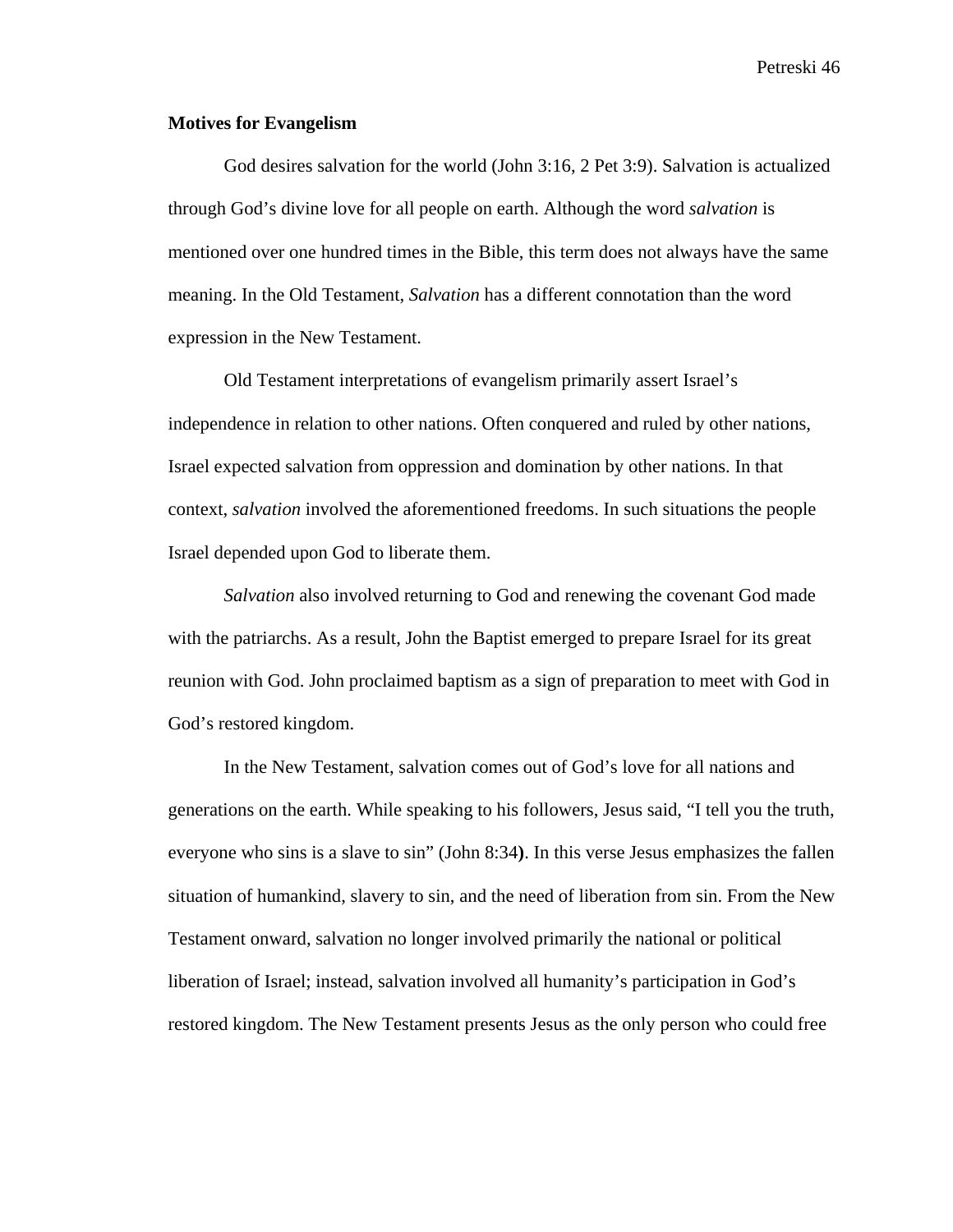## **Motives for Evangelism**

God desires salvation for the world (John 3:16, 2 Pet 3:9). Salvation is actualized through God's divine love for all people on earth. Although the word *salvation* is mentioned over one hundred times in the Bible, this term does not always have the same meaning. In the Old Testament, *Salvation* has a different connotation than the word expression in the New Testament.

Old Testament interpretations of evangelism primarily assert Israel's independence in relation to other nations. Often conquered and ruled by other nations, Israel expected salvation from oppression and domination by other nations. In that context, *salvation* involved the aforementioned freedoms. In such situations the people Israel depended upon God to liberate them.

*Salvation* also involved returning to God and renewing the covenant God made with the patriarchs. As a result, John the Baptist emerged to prepare Israel for its great reunion with God. John proclaimed baptism as a sign of preparation to meet with God in God's restored kingdom.

In the New Testament, salvation comes out of God's love for all nations and generations on the earth. While speaking to his followers, Jesus said, "I tell you the truth, everyone who sins is a slave to sin" (John 8:34**)**. In this verse Jesus emphasizes the fallen situation of humankind, slavery to sin, and the need of liberation from sin. From the New Testament onward, salvation no longer involved primarily the national or political liberation of Israel; instead, salvation involved all humanity's participation in God's restored kingdom. The New Testament presents Jesus as the only person who could free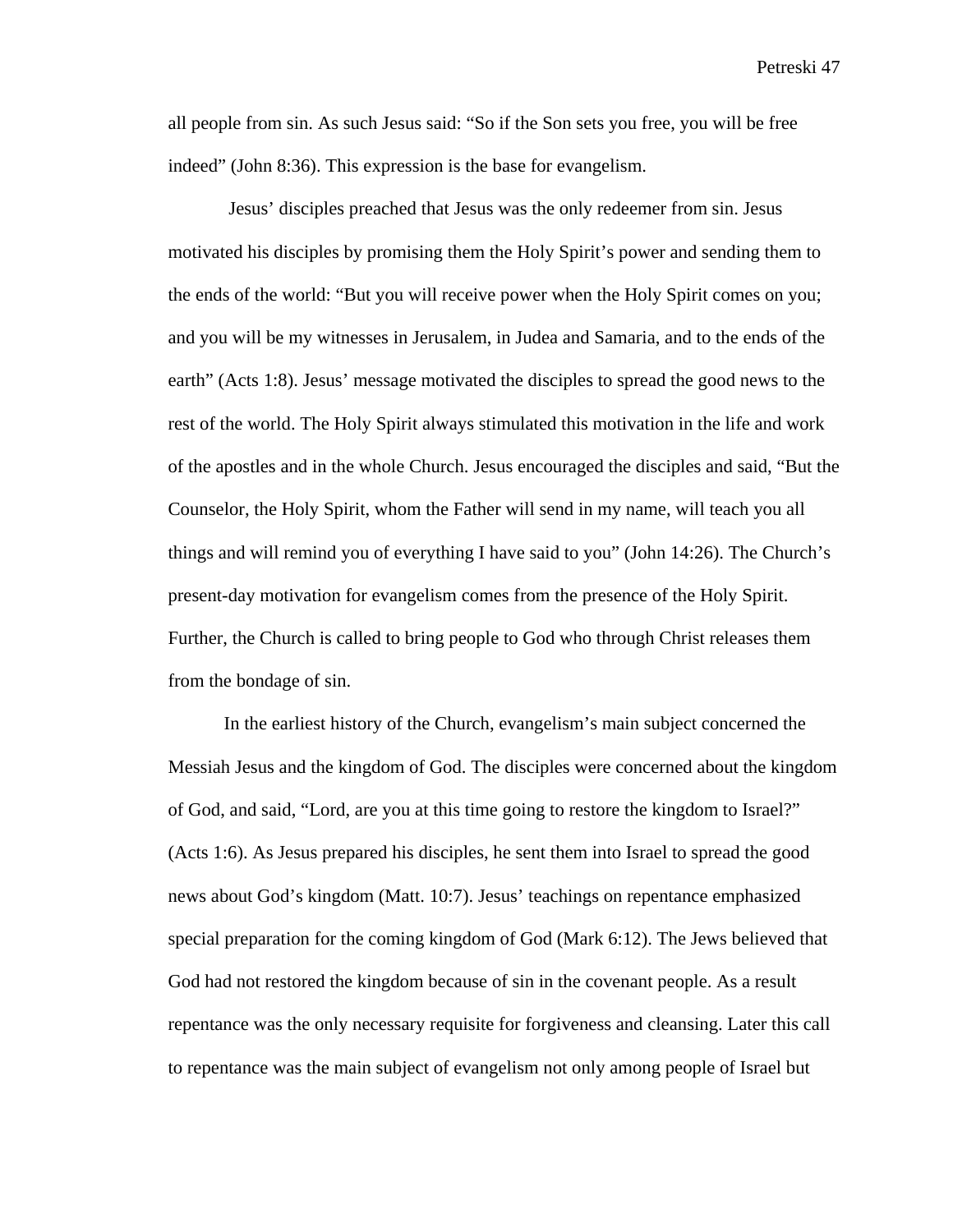all people from sin. As such Jesus said: "So if the Son sets you free, you will be free indeed" (John 8:36). This expression is the base for evangelism.

 Jesus' disciples preached that Jesus was the only redeemer from sin. Jesus motivated his disciples by promising them the Holy Spirit's power and sending them to the ends of the world: "But you will receive power when the Holy Spirit comes on you; and you will be my witnesses in Jerusalem, in Judea and Samaria, and to the ends of the earth" (Acts 1:8). Jesus' message motivated the disciples to spread the good news to the rest of the world. The Holy Spirit always stimulated this motivation in the life and work of the apostles and in the whole Church. Jesus encouraged the disciples and said, "But the Counselor, the Holy Spirit, whom the Father will send in my name, will teach you all things and will remind you of everything I have said to you" (John 14:26). The Church's present-day motivation for evangelism comes from the presence of the Holy Spirit. Further, the Church is called to bring people to God who through Christ releases them from the bondage of sin.

In the earliest history of the Church, evangelism's main subject concerned the Messiah Jesus and the kingdom of God. The disciples were concerned about the kingdom of God, and said, "Lord, are you at this time going to restore the kingdom to Israel?" (Acts 1:6). As Jesus prepared his disciples, he sent them into Israel to spread the good news about God's kingdom (Matt. 10:7). Jesus' teachings on repentance emphasized special preparation for the coming kingdom of God (Mark 6:12). The Jews believed that God had not restored the kingdom because of sin in the covenant people. As a result repentance was the only necessary requisite for forgiveness and cleansing. Later this call to repentance was the main subject of evangelism not only among people of Israel but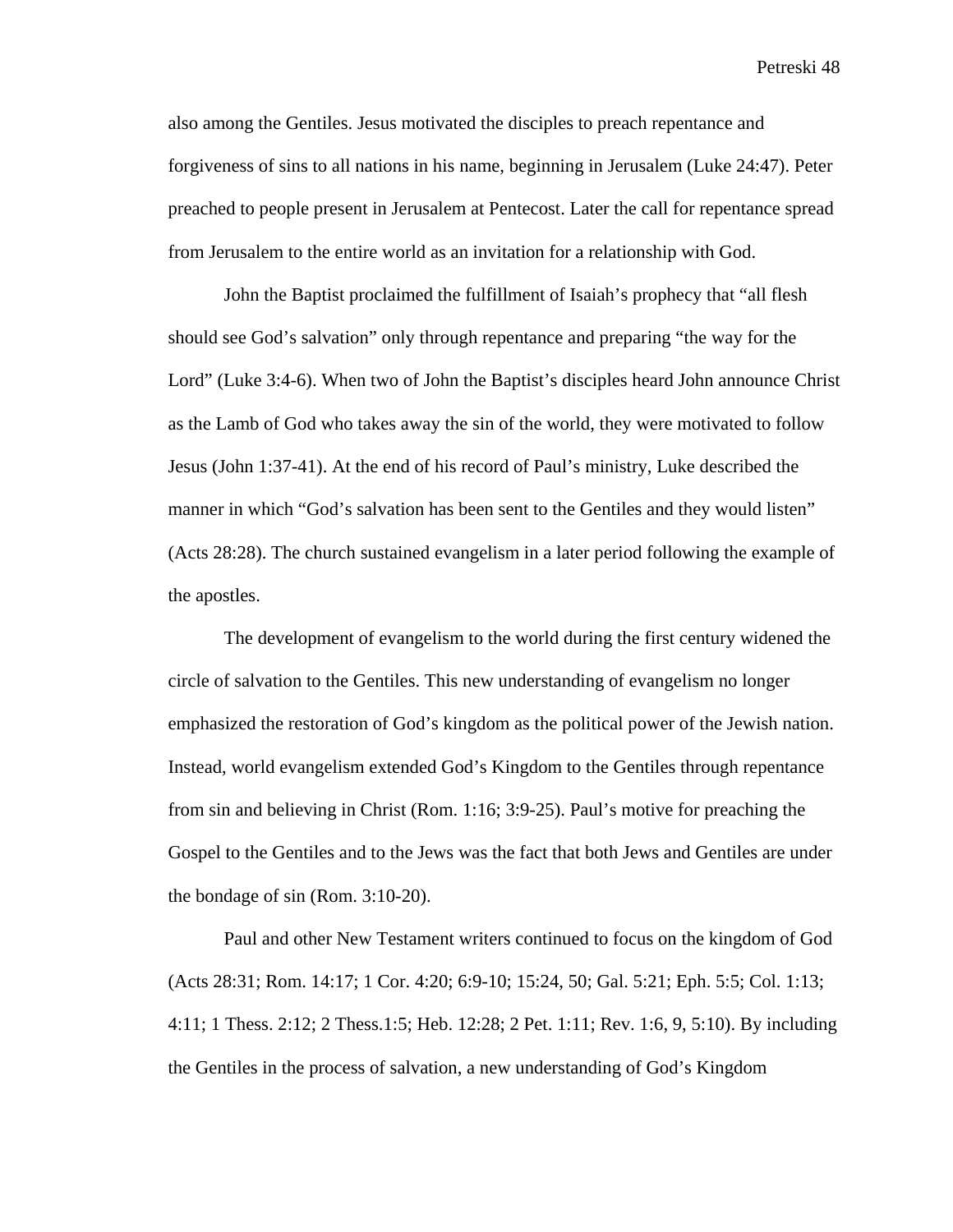also among the Gentiles. Jesus motivated the disciples to preach repentance and forgiveness of sins to all nations in his name, beginning in Jerusalem (Luke 24:47). Peter preached to people present in Jerusalem at Pentecost. Later the call for repentance spread from Jerusalem to the entire world as an invitation for a relationship with God.

John the Baptist proclaimed the fulfillment of Isaiah's prophecy that "all flesh should see God's salvation" only through repentance and preparing "the way for the Lord" (Luke 3:4-6). When two of John the Baptist's disciples heard John announce Christ as the Lamb of God who takes away the sin of the world, they were motivated to follow Jesus (John 1:37-41). At the end of his record of Paul's ministry, Luke described the manner in which "God's salvation has been sent to the Gentiles and they would listen" (Acts 28:28). The church sustained evangelism in a later period following the example of the apostles.

The development of evangelism to the world during the first century widened the circle of salvation to the Gentiles. This new understanding of evangelism no longer emphasized the restoration of God's kingdom as the political power of the Jewish nation. Instead, world evangelism extended God's Kingdom to the Gentiles through repentance from sin and believing in Christ (Rom. 1:16; 3:9-25). Paul's motive for preaching the Gospel to the Gentiles and to the Jews was the fact that both Jews and Gentiles are under the bondage of sin (Rom. 3:10-20).

Paul and other New Testament writers continued to focus on the kingdom of God (Acts 28:31; Rom. 14:17; 1 Cor. 4:20; 6:9-10; 15:24, 50; Gal. 5:21; Eph. 5:5; Col. 1:13; 4:11; 1 Thess. 2:12; 2 Thess.1:5; Heb. 12:28; 2 Pet. 1:11; Rev. 1:6, 9, 5:10). By including the Gentiles in the process of salvation, a new understanding of God's Kingdom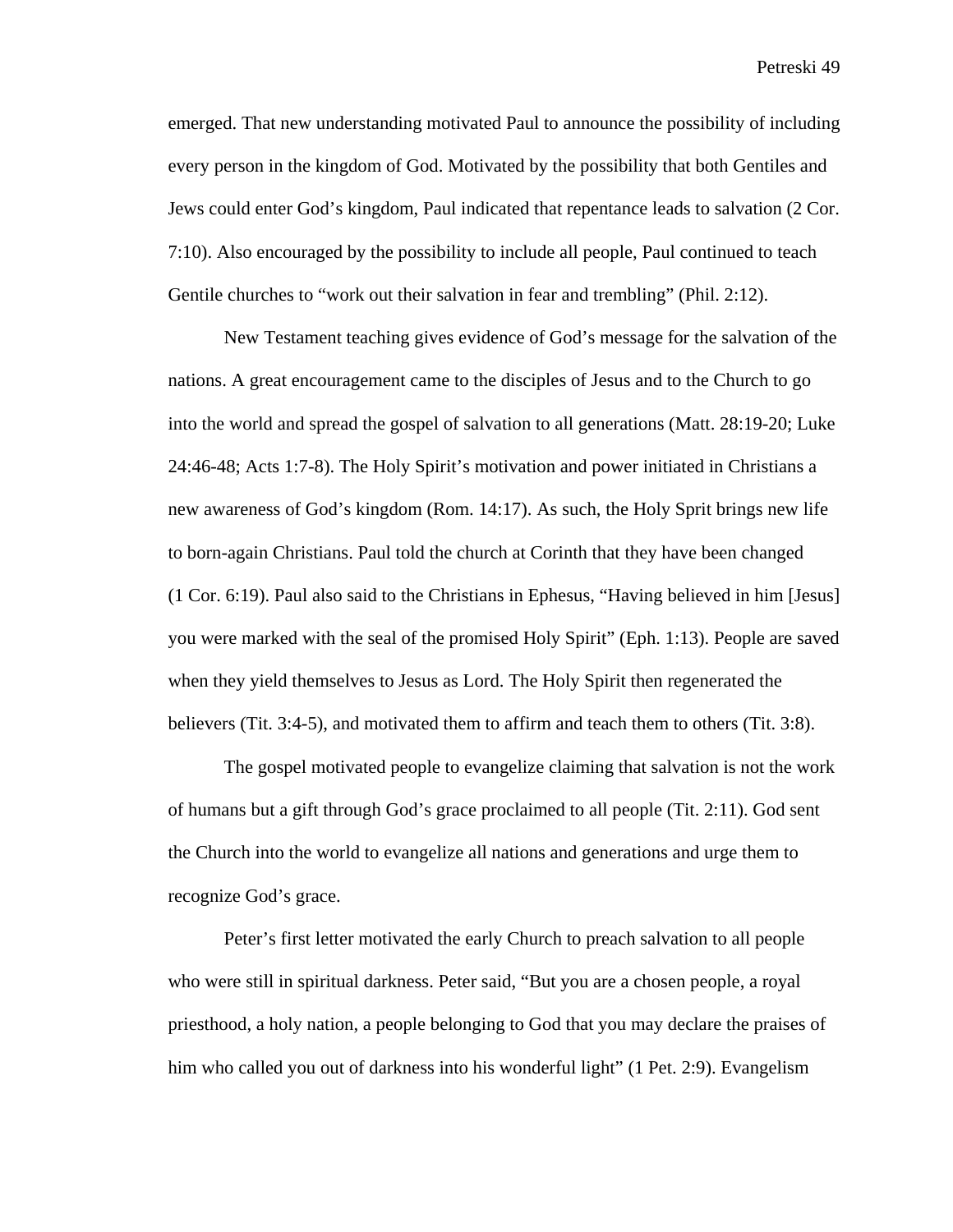emerged. That new understanding motivated Paul to announce the possibility of including every person in the kingdom of God. Motivated by the possibility that both Gentiles and Jews could enter God's kingdom, Paul indicated that repentance leads to salvation (2 Cor. 7:10). Also encouraged by the possibility to include all people, Paul continued to teach Gentile churches to "work out their salvation in fear and trembling" (Phil. 2:12).

New Testament teaching gives evidence of God's message for the salvation of the nations. A great encouragement came to the disciples of Jesus and to the Church to go into the world and spread the gospel of salvation to all generations (Matt. 28:19-20; Luke 24:46-48; Acts 1:7-8). The Holy Spirit's motivation and power initiated in Christians a new awareness of God's kingdom (Rom. 14:17). As such, the Holy Sprit brings new life to born-again Christians. Paul told the church at Corinth that they have been changed (1 Cor. 6:19). Paul also said to the Christians in Ephesus, "Having believed in him [Jesus] you were marked with the seal of the promised Holy Spirit" (Eph. 1:13). People are saved when they yield themselves to Jesus as Lord. The Holy Spirit then regenerated the believers (Tit. 3:4-5), and motivated them to affirm and teach them to others (Tit. 3:8).

The gospel motivated people to evangelize claiming that salvation is not the work of humans but a gift through God's grace proclaimed to all people (Tit. 2:11). God sent the Church into the world to evangelize all nations and generations and urge them to recognize God's grace.

Peter's first letter motivated the early Church to preach salvation to all people who were still in spiritual darkness. Peter said, "But you are a chosen people, a royal priesthood, a holy nation, a people belonging to God that you may declare the praises of him who called you out of darkness into his wonderful light" (1 Pet. 2:9). Evangelism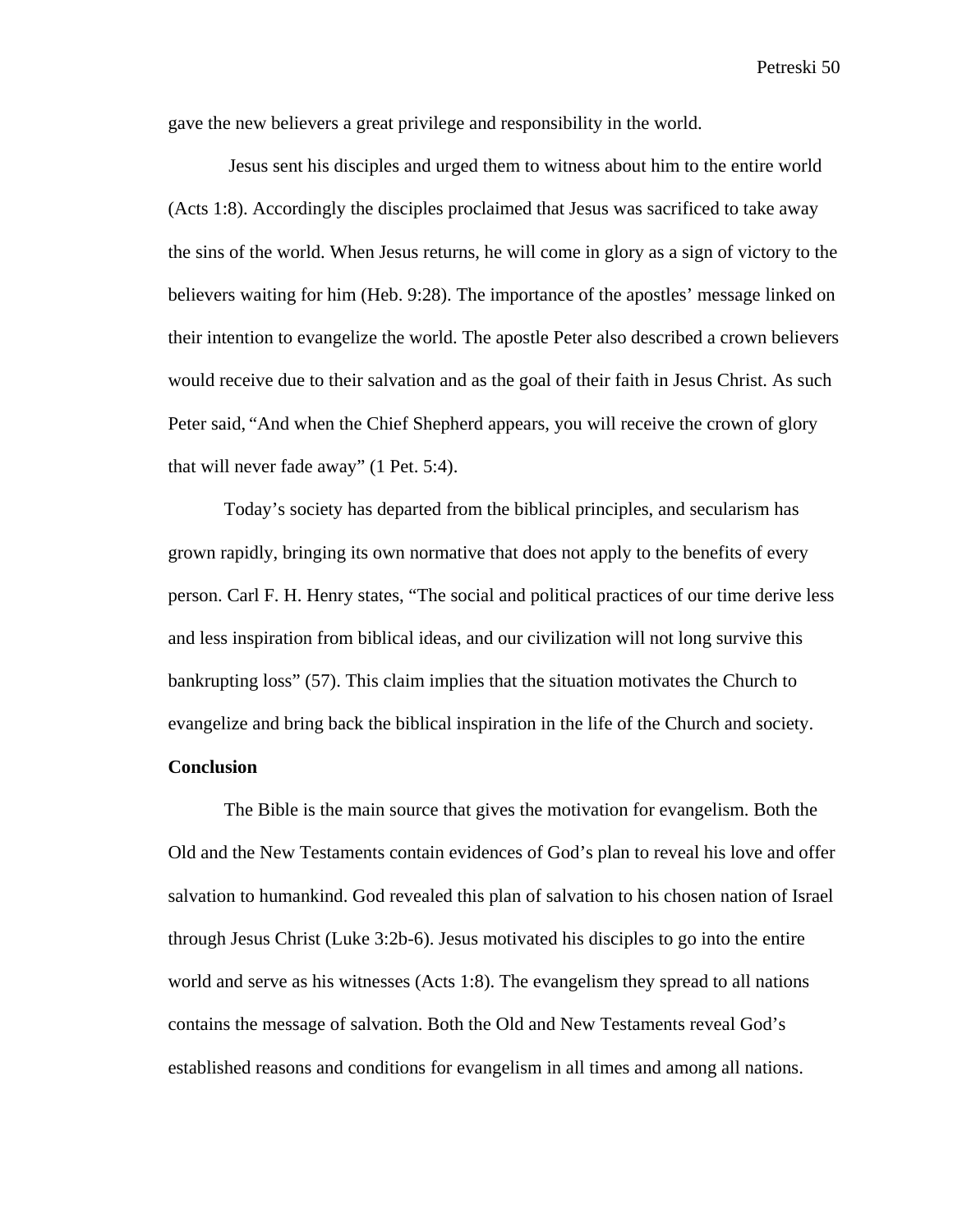gave the new believers a great privilege and responsibility in the world.

 Jesus sent his disciples and urged them to witness about him to the entire world (Acts 1:8). Accordingly the disciples proclaimed that Jesus was sacrificed to take away the sins of the world. When Jesus returns, he will come in glory as a sign of victory to the believers waiting for him (Heb. 9:28). The importance of the apostles' message linked on their intention to evangelize the world. The apostle Peter also described a crown believers would receive due to their salvation and as the goal of their faith in Jesus Christ. As such Peter said, "And when the Chief Shepherd appears, you will receive the crown of glory that will never fade away" (1 Pet. 5:4).

 Today's society has departed from the biblical principles, and secularism has grown rapidly, bringing its own normative that does not apply to the benefits of every person. Carl F. H. Henry states, "The social and political practices of our time derive less and less inspiration from biblical ideas, and our civilization will not long survive this bankrupting loss" (57). This claim implies that the situation motivates the Church to evangelize and bring back the biblical inspiration in the life of the Church and society.

## **Conclusion**

The Bible is the main source that gives the motivation for evangelism. Both the Old and the New Testaments contain evidences of God's plan to reveal his love and offer salvation to humankind. God revealed this plan of salvation to his chosen nation of Israel through Jesus Christ (Luke 3:2b-6). Jesus motivated his disciples to go into the entire world and serve as his witnesses (Acts 1:8). The evangelism they spread to all nations contains the message of salvation. Both the Old and New Testaments reveal God's established reasons and conditions for evangelism in all times and among all nations.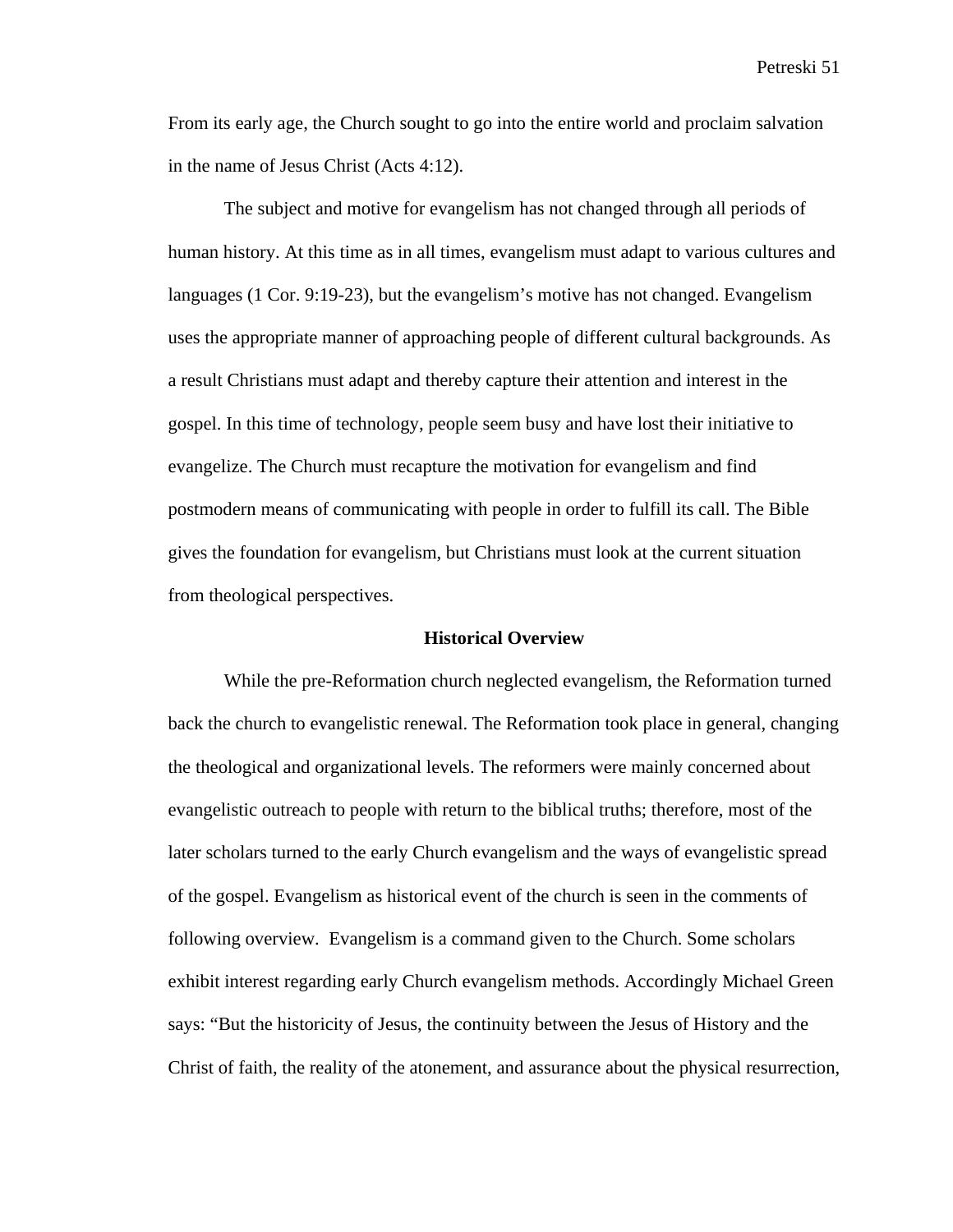From its early age, the Church sought to go into the entire world and proclaim salvation in the name of Jesus Christ (Acts 4:12).

The subject and motive for evangelism has not changed through all periods of human history. At this time as in all times, evangelism must adapt to various cultures and languages (1 Cor. 9:19-23), but the evangelism's motive has not changed. Evangelism uses the appropriate manner of approaching people of different cultural backgrounds. As a result Christians must adapt and thereby capture their attention and interest in the gospel. In this time of technology, people seem busy and have lost their initiative to evangelize. The Church must recapture the motivation for evangelism and find postmodern means of communicating with people in order to fulfill its call. The Bible gives the foundation for evangelism, but Christians must look at the current situation from theological perspectives.

#### **Historical Overview**

While the pre-Reformation church neglected evangelism, the Reformation turned back the church to evangelistic renewal. The Reformation took place in general, changing the theological and organizational levels. The reformers were mainly concerned about evangelistic outreach to people with return to the biblical truths; therefore, most of the later scholars turned to the early Church evangelism and the ways of evangelistic spread of the gospel. Evangelism as historical event of the church is seen in the comments of following overview. Evangelism is a command given to the Church. Some scholars exhibit interest regarding early Church evangelism methods. Accordingly Michael Green says: "But the historicity of Jesus, the continuity between the Jesus of History and the Christ of faith, the reality of the atonement, and assurance about the physical resurrection,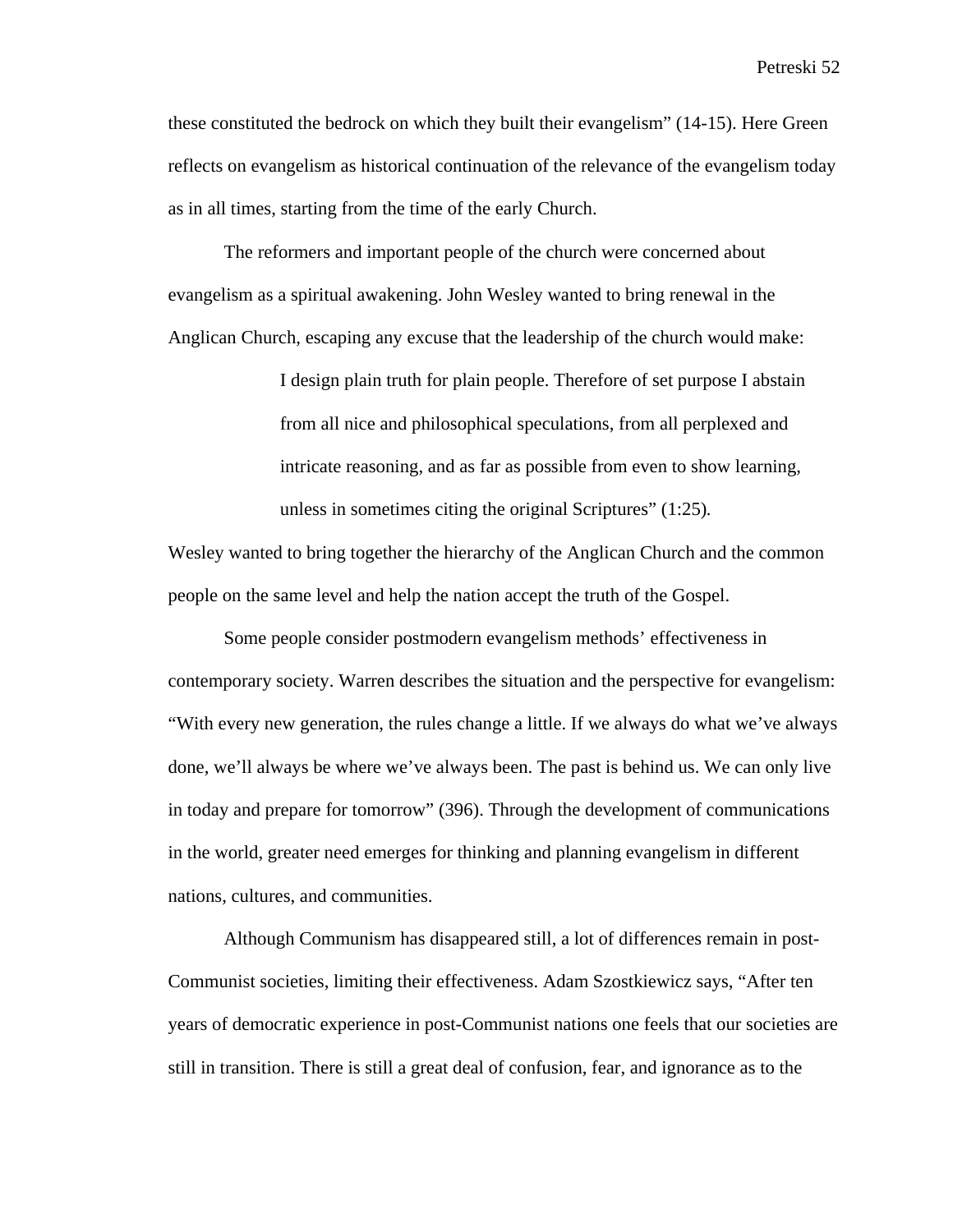these constituted the bedrock on which they built their evangelism" (14-15). Here Green reflects on evangelism as historical continuation of the relevance of the evangelism today as in all times, starting from the time of the early Church.

The reformers and important people of the church were concerned about evangelism as a spiritual awakening. John Wesley wanted to bring renewal in the Anglican Church, escaping any excuse that the leadership of the church would make:

> I design plain truth for plain people. Therefore of set purpose I abstain from all nice and philosophical speculations, from all perplexed and intricate reasoning, and as far as possible from even to show learning, unless in sometimes citing the original Scriptures" (1:25)*.*

Wesley wanted to bring together the hierarchy of the Anglican Church and the common people on the same level and help the nation accept the truth of the Gospel.

Some people consider postmodern evangelism methods' effectiveness in contemporary society. Warren describes the situation and the perspective for evangelism: "With every new generation, the rules change a little. If we always do what we've always done, we'll always be where we've always been. The past is behind us. We can only live in today and prepare for tomorrow" (396). Through the development of communications in the world, greater need emerges for thinking and planning evangelism in different nations, cultures, and communities.

Although Communism has disappeared still, a lot of differences remain in post-Communist societies, limiting their effectiveness. Adam Szostkiewicz says, "After ten years of democratic experience in post-Communist nations one feels that our societies are still in transition. There is still a great deal of confusion, fear, and ignorance as to the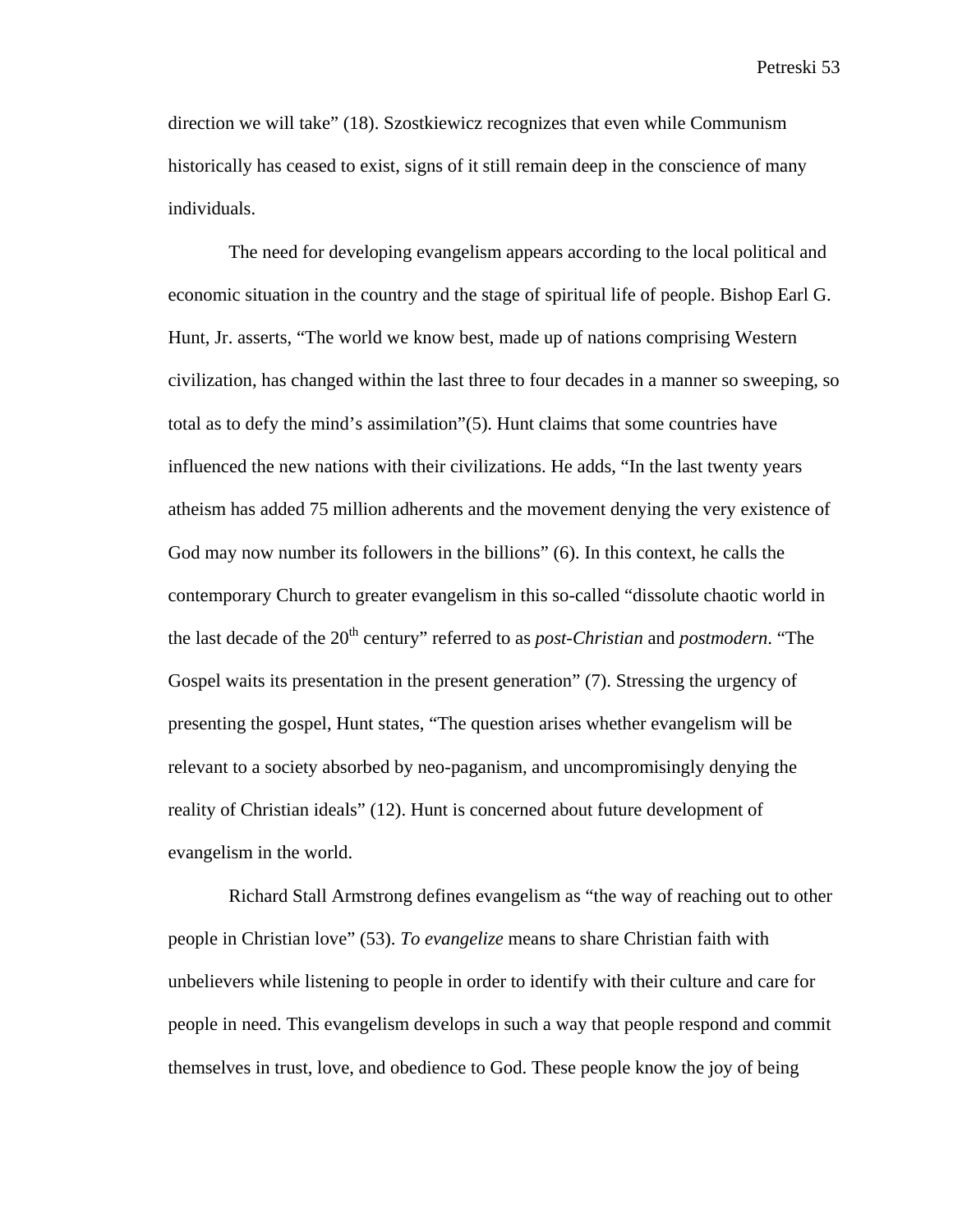direction we will take" (18). Szostkiewicz recognizes that even while Communism historically has ceased to exist, signs of it still remain deep in the conscience of many individuals.

 The need for developing evangelism appears according to the local political and economic situation in the country and the stage of spiritual life of people. Bishop Earl G. Hunt, Jr. asserts, "The world we know best, made up of nations comprising Western civilization, has changed within the last three to four decades in a manner so sweeping, so total as to defy the mind's assimilation"(5). Hunt claims that some countries have influenced the new nations with their civilizations. He adds, "In the last twenty years atheism has added 75 million adherents and the movement denying the very existence of God may now number its followers in the billions" (6). In this context, he calls the contemporary Church to greater evangelism in this so-called "dissolute chaotic world in the last decade of the 20<sup>th</sup> century" referred to as *post-Christian* and *postmodern*. "The Gospel waits its presentation in the present generation" (7). Stressing the urgency of presenting the gospel, Hunt states, "The question arises whether evangelism will be relevant to a society absorbed by neo-paganism, and uncompromisingly denying the reality of Christian ideals" (12). Hunt is concerned about future development of evangelism in the world.

 Richard Stall Armstrong defines evangelism as "the way of reaching out to other people in Christian love" (53). *To evangelize* means to share Christian faith with unbelievers while listening to people in order to identify with their culture and care for people in need. This evangelism develops in such a way that people respond and commit themselves in trust, love, and obedience to God. These people know the joy of being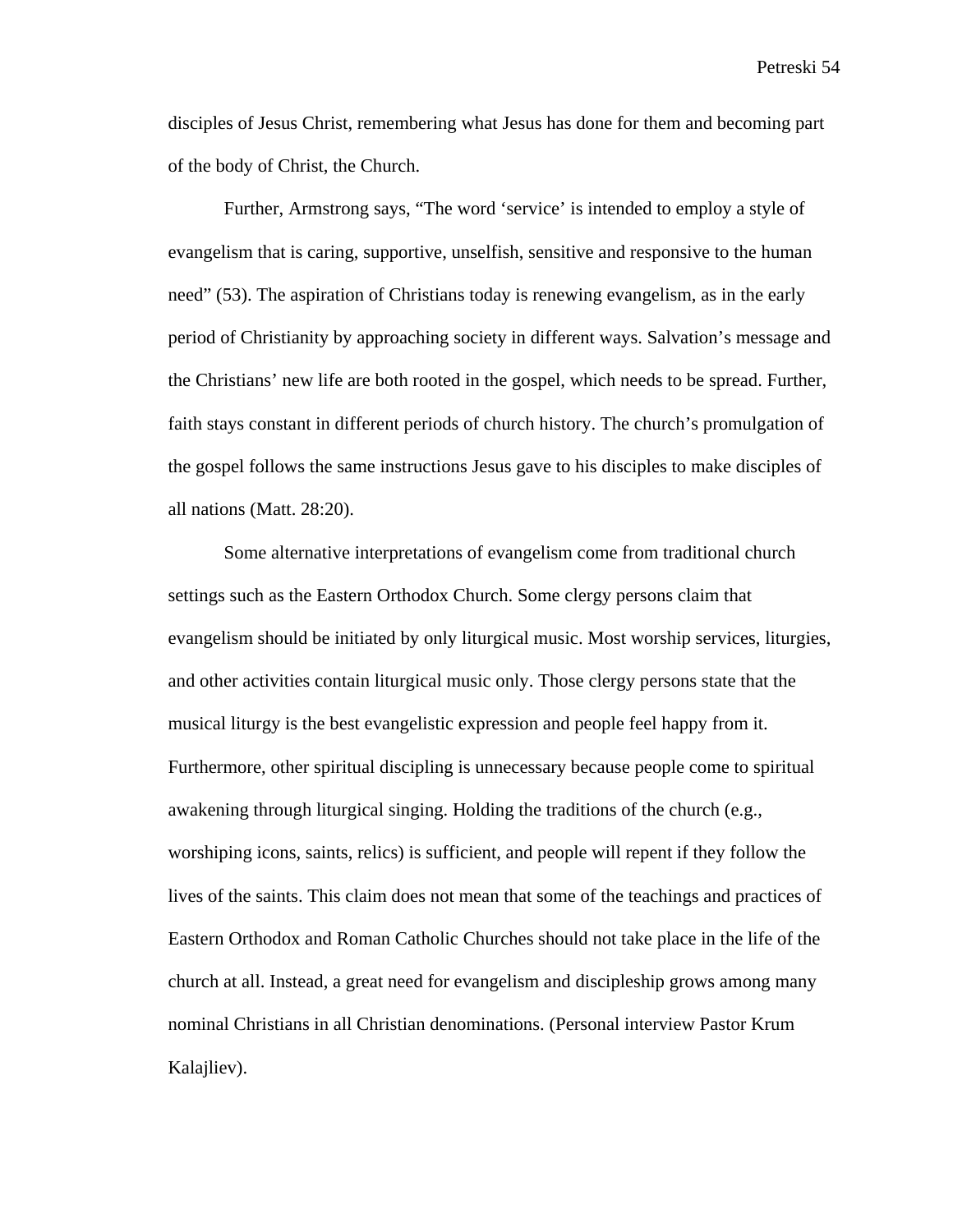disciples of Jesus Christ, remembering what Jesus has done for them and becoming part of the body of Christ, the Church.

Further, Armstrong says, "The word 'service' is intended to employ a style of evangelism that is caring, supportive, unselfish, sensitive and responsive to the human need" (53). The aspiration of Christians today is renewing evangelism, as in the early period of Christianity by approaching society in different ways. Salvation's message and the Christians' new life are both rooted in the gospel, which needs to be spread. Further, faith stays constant in different periods of church history. The church's promulgation of the gospel follows the same instructions Jesus gave to his disciples to make disciples of all nations (Matt. 28:20).

Some alternative interpretations of evangelism come from traditional church settings such as the Eastern Orthodox Church. Some clergy persons claim that evangelism should be initiated by only liturgical music. Most worship services, liturgies, and other activities contain liturgical music only. Those clergy persons state that the musical liturgy is the best evangelistic expression and people feel happy from it. Furthermore, other spiritual discipling is unnecessary because people come to spiritual awakening through liturgical singing. Holding the traditions of the church (e.g., worshiping icons, saints, relics) is sufficient, and people will repent if they follow the lives of the saints. This claim does not mean that some of the teachings and practices of Eastern Orthodox and Roman Catholic Churches should not take place in the life of the church at all. Instead, a great need for evangelism and discipleship grows among many nominal Christians in all Christian denominations. (Personal interview Pastor Krum Kalajliev).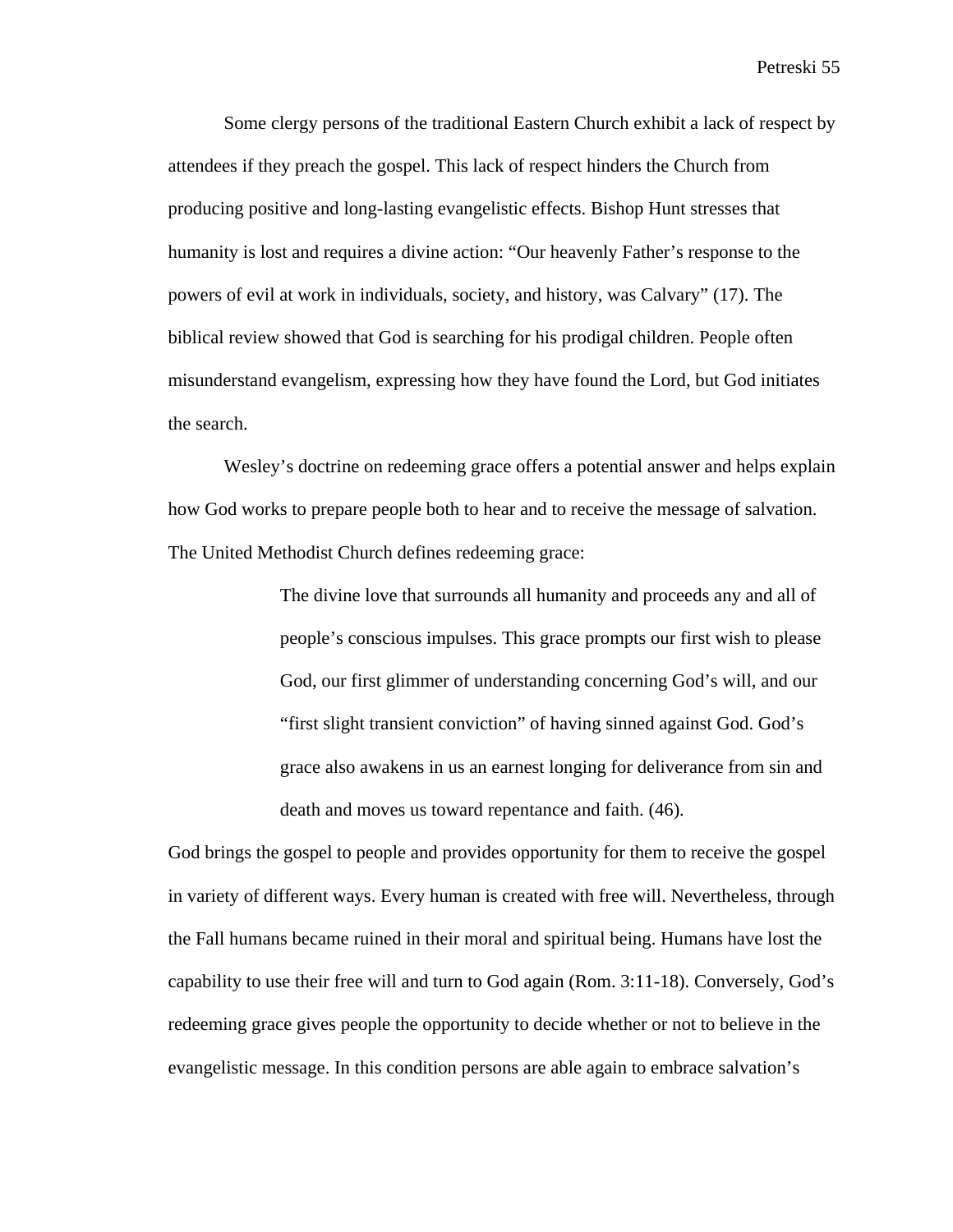Some clergy persons of the traditional Eastern Church exhibit a lack of respect by attendees if they preach the gospel. This lack of respect hinders the Church from producing positive and long-lasting evangelistic effects. Bishop Hunt stresses that humanity is lost and requires a divine action: "Our heavenly Father's response to the powers of evil at work in individuals, society, and history, was Calvary" (17). The biblical review showed that God is searching for his prodigal children. People often misunderstand evangelism, expressing how they have found the Lord, but God initiates the search.

Wesley's doctrine on redeeming grace offers a potential answer and helps explain how God works to prepare people both to hear and to receive the message of salvation. The United Methodist Church defines redeeming grace:

> The divine love that surrounds all humanity and proceeds any and all of people's conscious impulses. This grace prompts our first wish to please God, our first glimmer of understanding concerning God's will, and our "first slight transient conviction" of having sinned against God. God's grace also awakens in us an earnest longing for deliverance from sin and death and moves us toward repentance and faith. (46)*.*

God brings the gospel to people and provides opportunity for them to receive the gospel in variety of different ways. Every human is created with free will. Nevertheless, through the Fall humans became ruined in their moral and spiritual being. Humans have lost the capability to use their free will and turn to God again (Rom. 3:11-18). Conversely, God's redeeming grace gives people the opportunity to decide whether or not to believe in the evangelistic message. In this condition persons are able again to embrace salvation's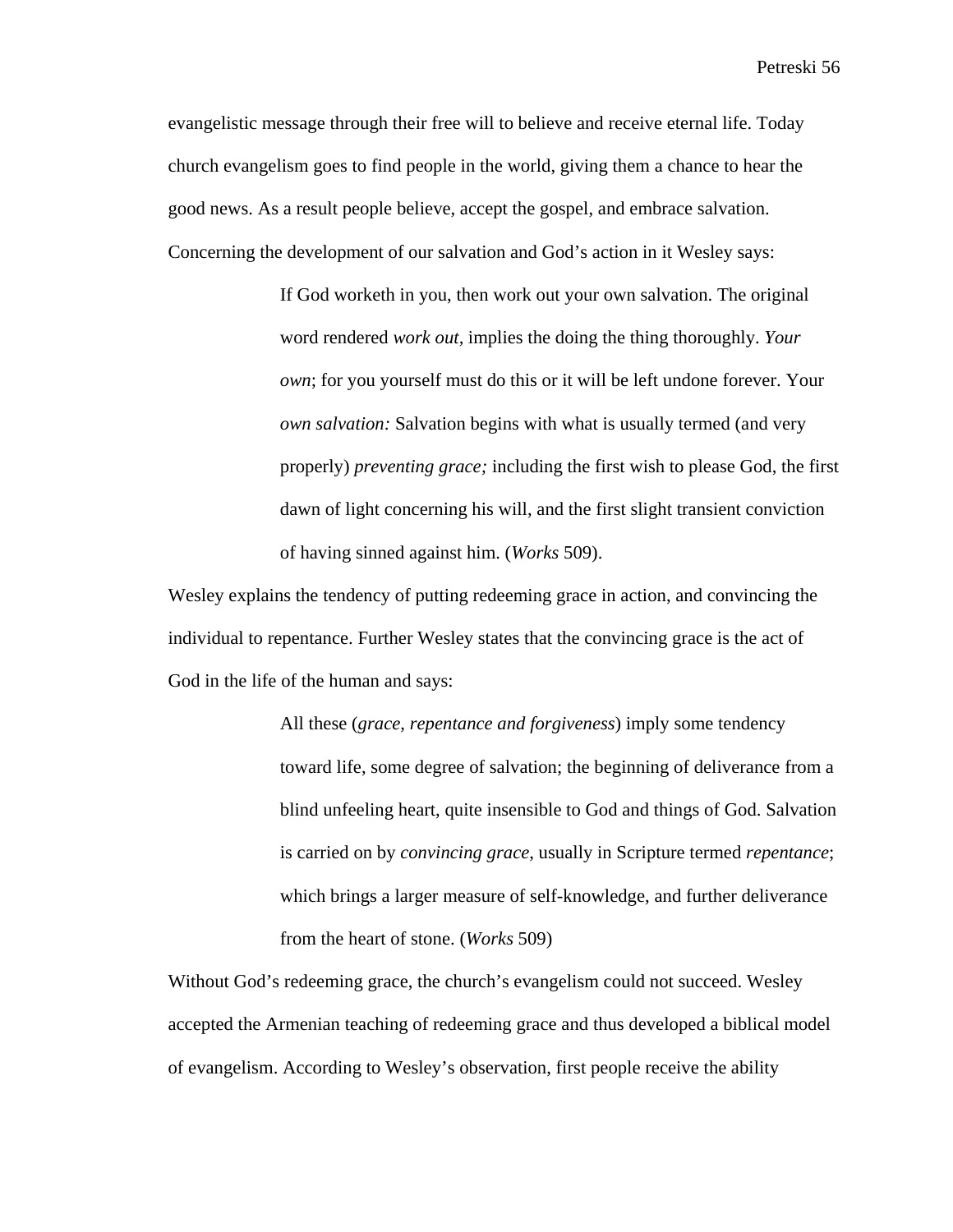evangelistic message through their free will to believe and receive eternal life. Today church evangelism goes to find people in the world, giving them a chance to hear the good news. As a result people believe, accept the gospel, and embrace salvation. Concerning the development of our salvation and God's action in it Wesley says:

> If God worketh in you, then work out your own salvation. The original word rendered *work out,* implies the doing the thing thoroughly. *Your own*; for you yourself must do this or it will be left undone forever. Your *own salvation:* Salvation begins with what is usually termed (and very properly) *preventing grace;* including the first wish to please God, the first dawn of light concerning his will, and the first slight transient conviction of having sinned against him. (*Works* 509).

Wesley explains the tendency of putting redeeming grace in action, and convincing the individual to repentance. Further Wesley states that the convincing grace is the act of God in the life of the human and says:

> All these (*grace, repentance and forgiveness*) imply some tendency toward life, some degree of salvation; the beginning of deliverance from a blind unfeeling heart, quite insensible to God and things of God. Salvation is carried on by *convincing grace*, usually in Scripture termed *repentance*; which brings a larger measure of self-knowledge, and further deliverance from the heart of stone. (*Works* 509)

Without God's redeeming grace, the church's evangelism could not succeed. Wesley accepted the Armenian teaching of redeeming grace and thus developed a biblical model of evangelism. According to Wesley's observation, first people receive the ability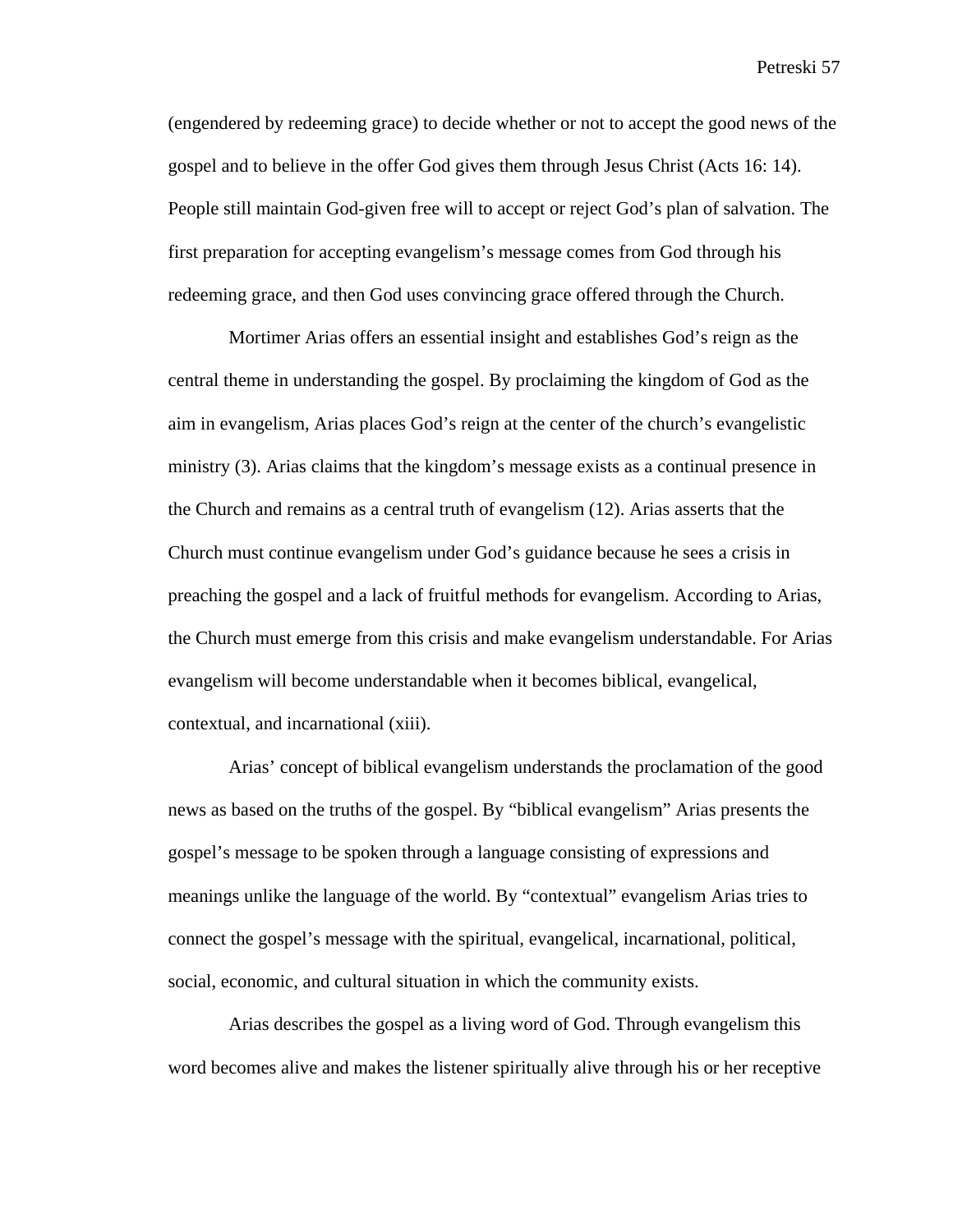(engendered by redeeming grace) to decide whether or not to accept the good news of the gospel and to believe in the offer God gives them through Jesus Christ (Acts 16: 14). People still maintain God-given free will to accept or reject God's plan of salvation. The first preparation for accepting evangelism's message comes from God through his redeeming grace*,* and then God uses convincing grace offered through the Church.

 Mortimer Arias offers an essential insight and establishes God's reign as the central theme in understanding the gospel. By proclaiming the kingdom of God as the aim in evangelism, Arias places God's reign at the center of the church's evangelistic ministry (3). Arias claims that the kingdom's message exists as a continual presence in the Church and remains as a central truth of evangelism (12). Arias asserts that the Church must continue evangelism under God's guidance because he sees a crisis in preaching the gospel and a lack of fruitful methods for evangelism. According to Arias, the Church must emerge from this crisis and make evangelism understandable. For Arias evangelism will become understandable when it becomes biblical, evangelical, contextual, and incarnational (xiii).

 Arias' concept of biblical evangelism understands the proclamation of the good news as based on the truths of the gospel. By "biblical evangelism" Arias presents the gospel's message to be spoken through a language consisting of expressions and meanings unlike the language of the world. By "contextual" evangelism Arias tries to connect the gospel's message with the spiritual, evangelical, incarnational, political, social, economic, and cultural situation in which the community exists.

 Arias describes the gospel as a living word of God. Through evangelism this word becomes alive and makes the listener spiritually alive through his or her receptive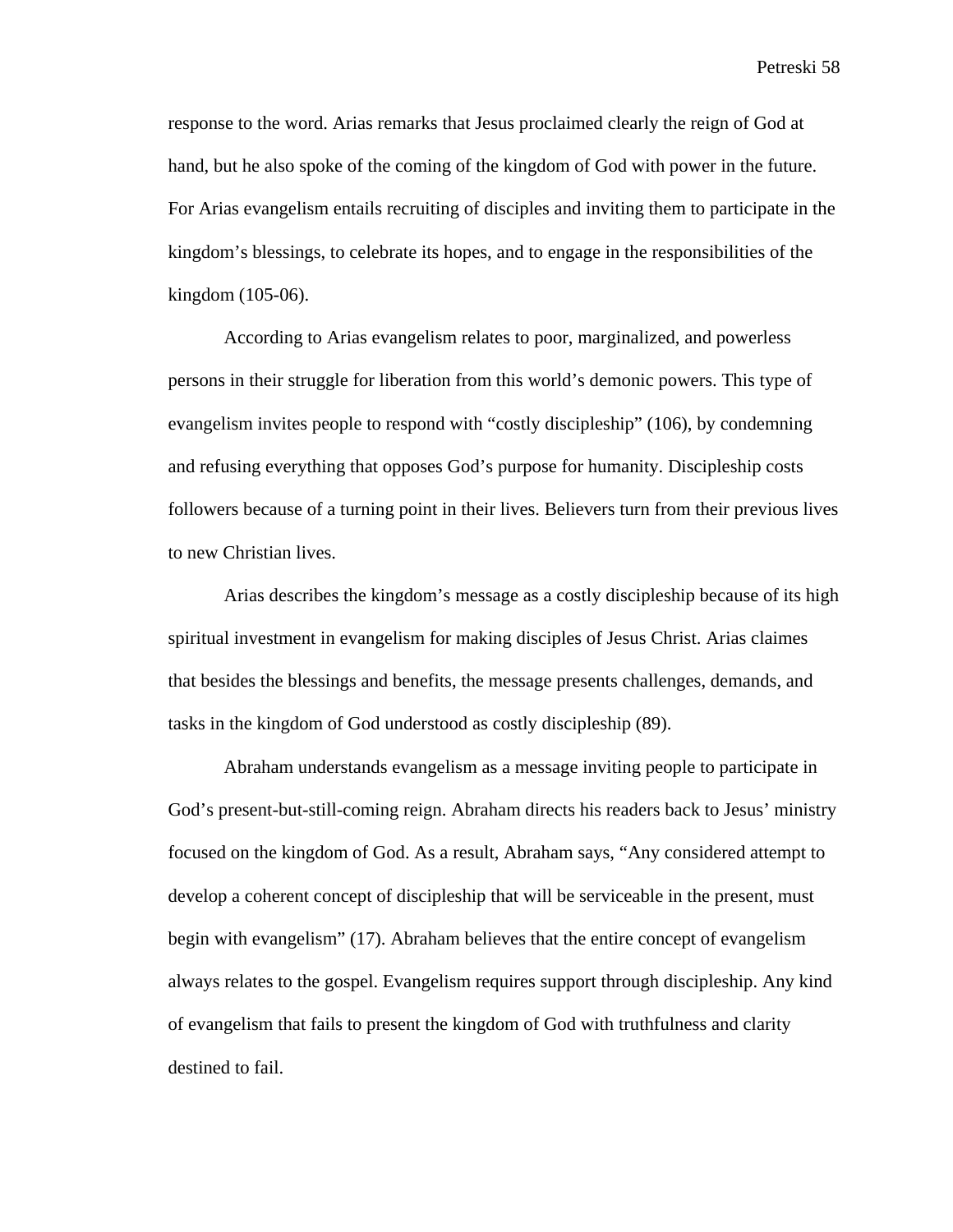response to the word. Arias remarks that Jesus proclaimed clearly the reign of God at hand, but he also spoke of the coming of the kingdom of God with power in the future. For Arias evangelism entails recruiting of disciples and inviting them to participate in the kingdom's blessings, to celebrate its hopes, and to engage in the responsibilities of the kingdom (105-06).

According to Arias evangelism relates to poor, marginalized, and powerless persons in their struggle for liberation from this world's demonic powers. This type of evangelism invites people to respond with "costly discipleship" (106), by condemning and refusing everything that opposes God's purpose for humanity. Discipleship costs followers because of a turning point in their lives. Believers turn from their previous lives to new Christian lives.

Arias describes the kingdom's message as a costly discipleship because of its high spiritual investment in evangelism for making disciples of Jesus Christ. Arias claimes that besides the blessings and benefits, the message presents challenges, demands, and tasks in the kingdom of God understood as costly discipleship (89).

Abraham understands evangelism as a message inviting people to participate in God's present-but-still-coming reign. Abraham directs his readers back to Jesus' ministry focused on the kingdom of God. As a result, Abraham says, "Any considered attempt to develop a coherent concept of discipleship that will be serviceable in the present, must begin with evangelism" (17). Abraham believes that the entire concept of evangelism always relates to the gospel. Evangelism requires support through discipleship. Any kind of evangelism that fails to present the kingdom of God with truthfulness and clarity destined to fail.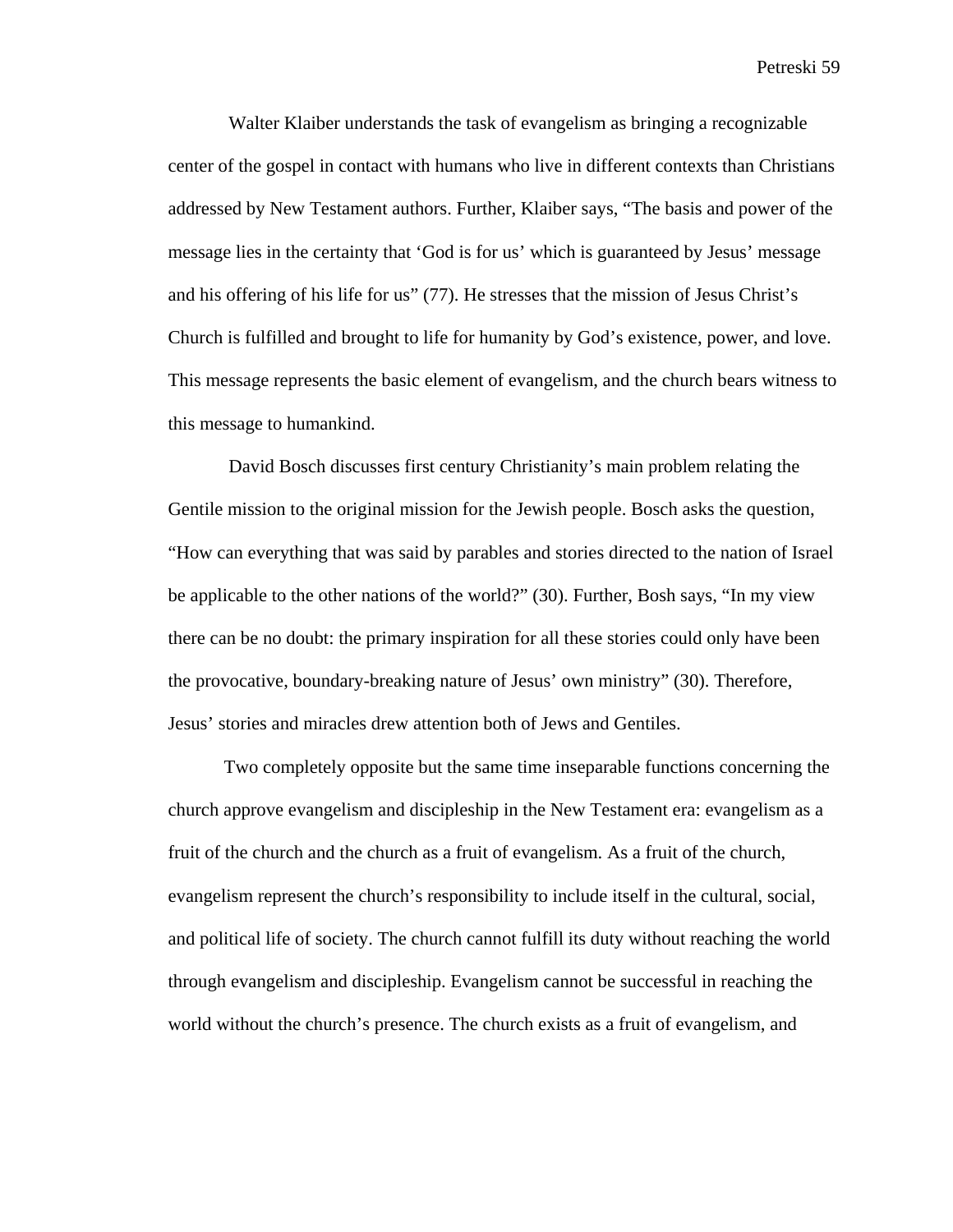Walter Klaiber understands the task of evangelism as bringing a recognizable center of the gospel in contact with humans who live in different contexts than Christians addressed by New Testament authors. Further, Klaiber says, "The basis and power of the message lies in the certainty that 'God is for us' which is guaranteed by Jesus' message and his offering of his life for us" (77). He stresses that the mission of Jesus Christ's Church is fulfilled and brought to life for humanity by God's existence, power, and love. This message represents the basic element of evangelism, and the church bears witness to this message to humankind.

 David Bosch discusses first century Christianity's main problem relating the Gentile mission to the original mission for the Jewish people. Bosch asks the question, "How can everything that was said by parables and stories directed to the nation of Israel be applicable to the other nations of the world?" (30). Further, Bosh says, "In my view there can be no doubt: the primary inspiration for all these stories could only have been the provocative, boundary-breaking nature of Jesus' own ministry" (30). Therefore, Jesus' stories and miracles drew attention both of Jews and Gentiles.

Two completely opposite but the same time inseparable functions concerning the church approve evangelism and discipleship in the New Testament era: evangelism as a fruit of the church and the church as a fruit of evangelism. As a fruit of the church, evangelism represent the church's responsibility to include itself in the cultural, social, and political life of society. The church cannot fulfill its duty without reaching the world through evangelism and discipleship. Evangelism cannot be successful in reaching the world without the church's presence. The church exists as a fruit of evangelism, and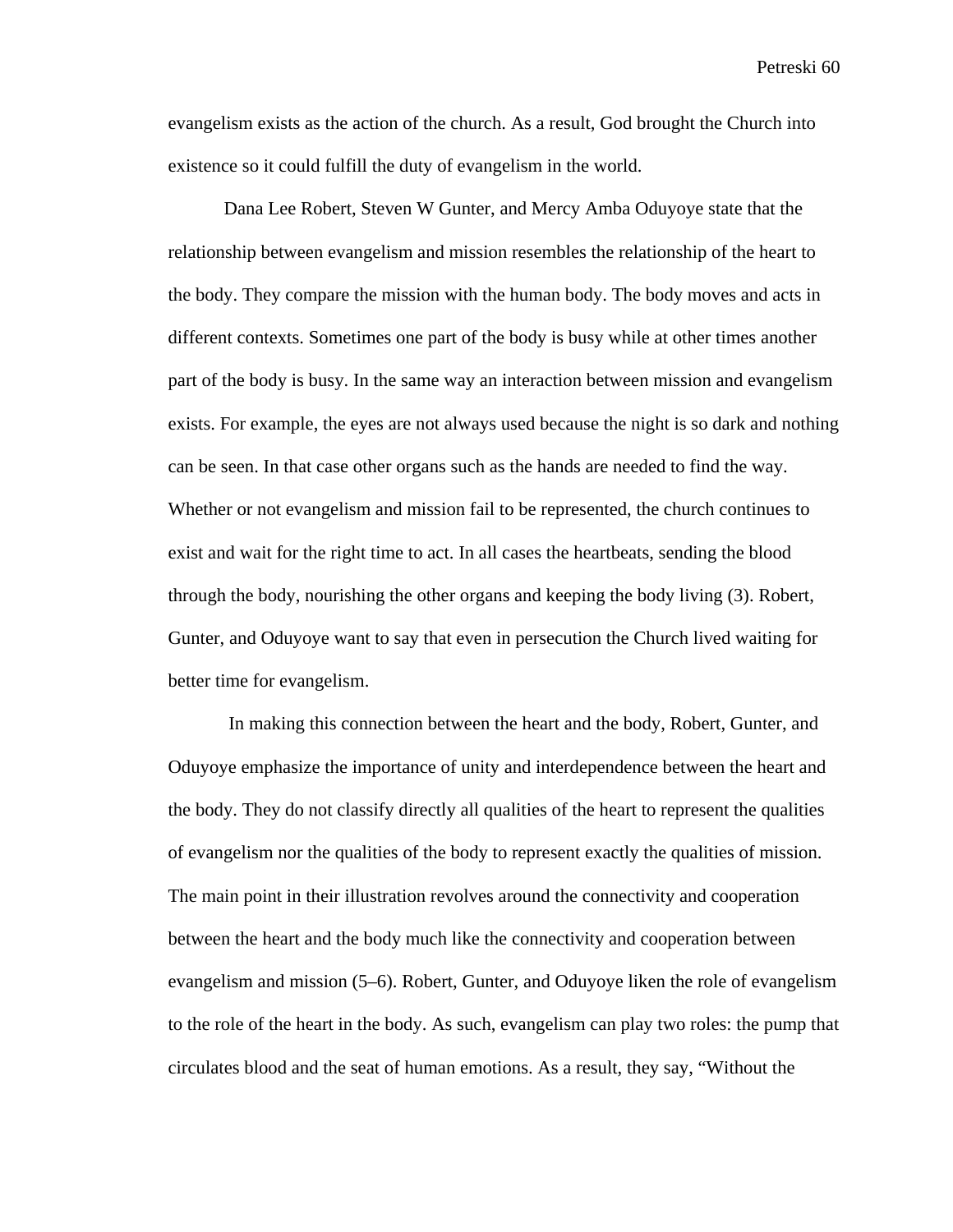evangelism exists as the action of the church. As a result, God brought the Church into existence so it could fulfill the duty of evangelism in the world.

Dana Lee Robert, Steven W Gunter, and Mercy Amba Oduyoye state that the relationship between evangelism and mission resembles the relationship of the heart to the body. They compare the mission with the human body. The body moves and acts in different contexts. Sometimes one part of the body is busy while at other times another part of the body is busy. In the same way an interaction between mission and evangelism exists. For example, the eyes are not always used because the night is so dark and nothing can be seen. In that case other organs such as the hands are needed to find the way. Whether or not evangelism and mission fail to be represented, the church continues to exist and wait for the right time to act. In all cases the heartbeats, sending the blood through the body, nourishing the other organs and keeping the body living (3). Robert, Gunter, and Oduyoye want to say that even in persecution the Church lived waiting for better time for evangelism.

 In making this connection between the heart and the body, Robert, Gunter, and Oduyoye emphasize the importance of unity and interdependence between the heart and the body. They do not classify directly all qualities of the heart to represent the qualities of evangelism nor the qualities of the body to represent exactly the qualities of mission. The main point in their illustration revolves around the connectivity and cooperation between the heart and the body much like the connectivity and cooperation between evangelism and mission (5–6). Robert, Gunter, and Oduyoye liken the role of evangelism to the role of the heart in the body. As such, evangelism can play two roles: the pump that circulates blood and the seat of human emotions. As a result, they say, "Without the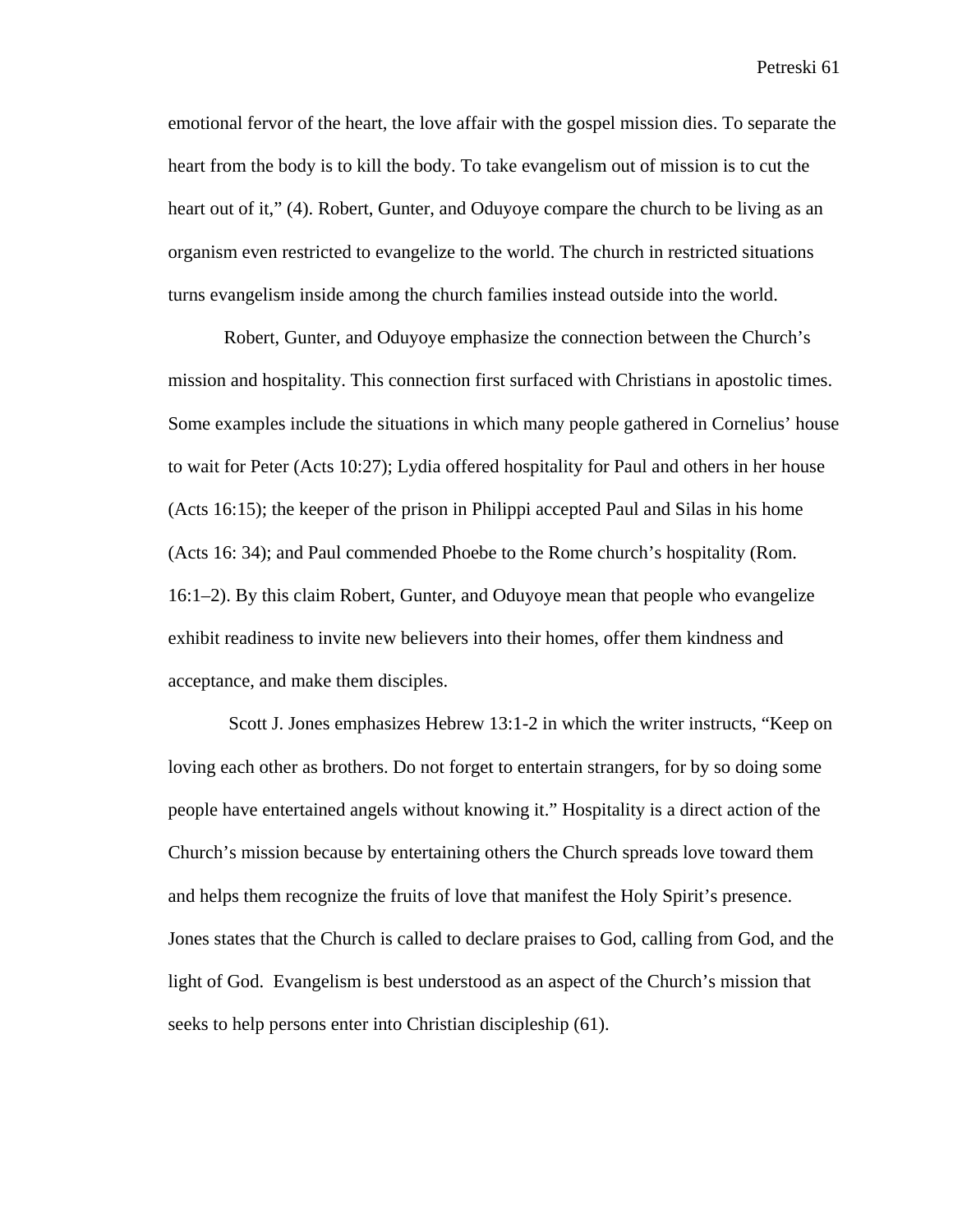emotional fervor of the heart, the love affair with the gospel mission dies. To separate the heart from the body is to kill the body. To take evangelism out of mission is to cut the heart out of it," (4). Robert, Gunter, and Oduyoye compare the church to be living as an organism even restricted to evangelize to the world. The church in restricted situations turns evangelism inside among the church families instead outside into the world.

Robert, Gunter, and Oduyoye emphasize the connection between the Church's mission and hospitality. This connection first surfaced with Christians in apostolic times. Some examples include the situations in which many people gathered in Cornelius' house to wait for Peter (Acts 10:27); Lydia offered hospitality for Paul and others in her house (Acts 16:15); the keeper of the prison in Philippi accepted Paul and Silas in his home (Acts 16: 34); and Paul commended Phoebe to the Rome church's hospitality (Rom. 16:1–2). By this claim Robert, Gunter, and Oduyoye mean that people who evangelize exhibit readiness to invite new believers into their homes, offer them kindness and acceptance, and make them disciples.

 Scott J. Jones emphasizes Hebrew 13:1-2 in which the writer instructs, "Keep on loving each other as brothers. Do not forget to entertain strangers, for by so doing some people have entertained angels without knowing it." Hospitality is a direct action of the Church's mission because by entertaining others the Church spreads love toward them and helps them recognize the fruits of love that manifest the Holy Spirit's presence. Jones states that the Church is called to declare praises to God, calling from God, and the light of God. Evangelism is best understood as an aspect of the Church's mission that seeks to help persons enter into Christian discipleship (61).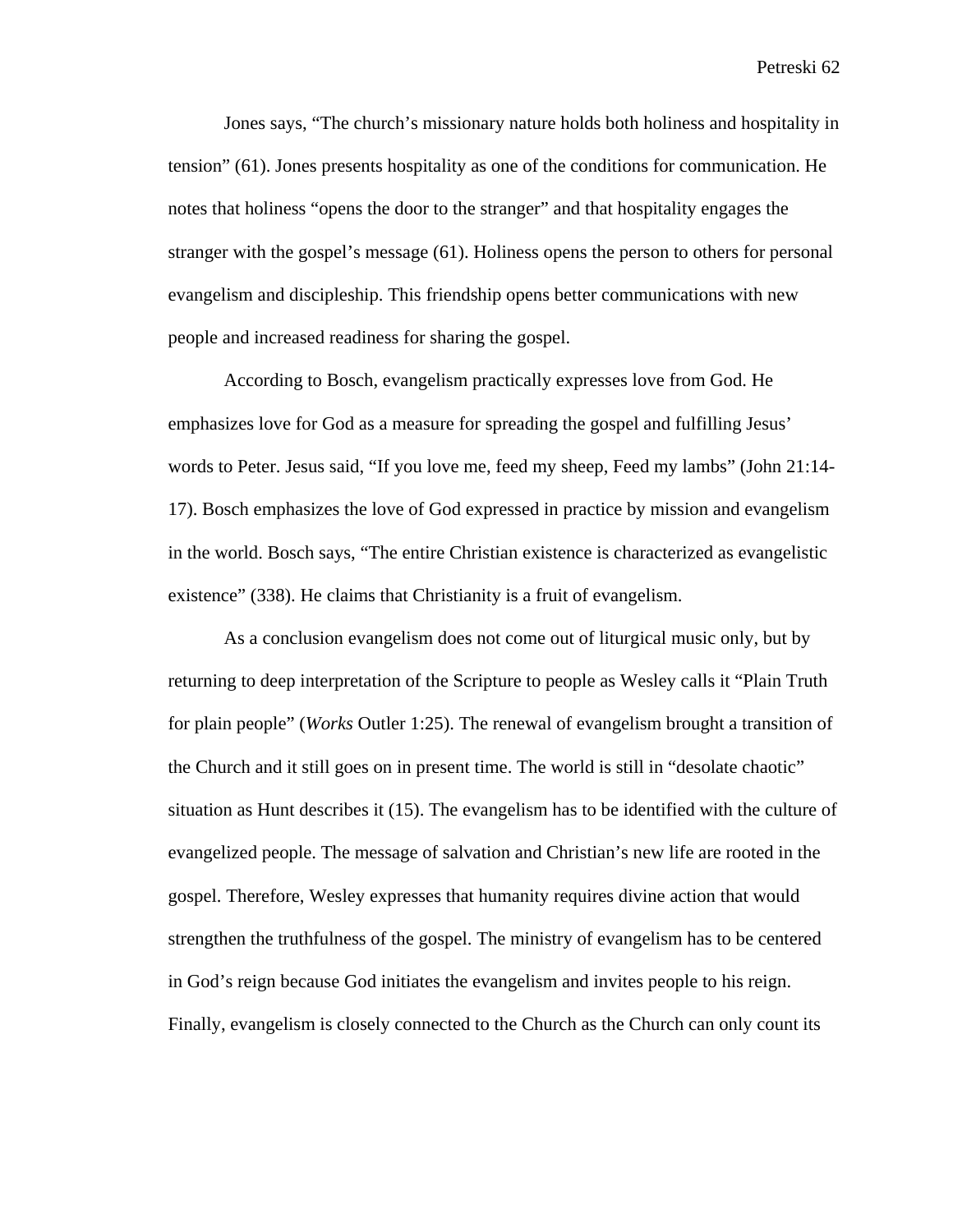Jones says, "The church's missionary nature holds both holiness and hospitality in tension" (61). Jones presents hospitality as one of the conditions for communication. He notes that holiness "opens the door to the stranger" and that hospitality engages the stranger with the gospel's message (61). Holiness opens the person to others for personal evangelism and discipleship. This friendship opens better communications with new people and increased readiness for sharing the gospel.

According to Bosch, evangelism practically expresses love from God. He emphasizes love for God as a measure for spreading the gospel and fulfilling Jesus' words to Peter. Jesus said, "If you love me, feed my sheep, Feed my lambs" (John 21:14- 17). Bosch emphasizes the love of God expressed in practice by mission and evangelism in the world. Bosch says, "The entire Christian existence is characterized as evangelistic existence" (338). He claims that Christianity is a fruit of evangelism.

As a conclusion evangelism does not come out of liturgical music only, but by returning to deep interpretation of the Scripture to people as Wesley calls it "Plain Truth for plain people" (*Works* Outler 1:25). The renewal of evangelism brought a transition of the Church and it still goes on in present time. The world is still in "desolate chaotic" situation as Hunt describes it (15). The evangelism has to be identified with the culture of evangelized people. The message of salvation and Christian's new life are rooted in the gospel. Therefore, Wesley expresses that humanity requires divine action that would strengthen the truthfulness of the gospel. The ministry of evangelism has to be centered in God's reign because God initiates the evangelism and invites people to his reign. Finally, evangelism is closely connected to the Church as the Church can only count its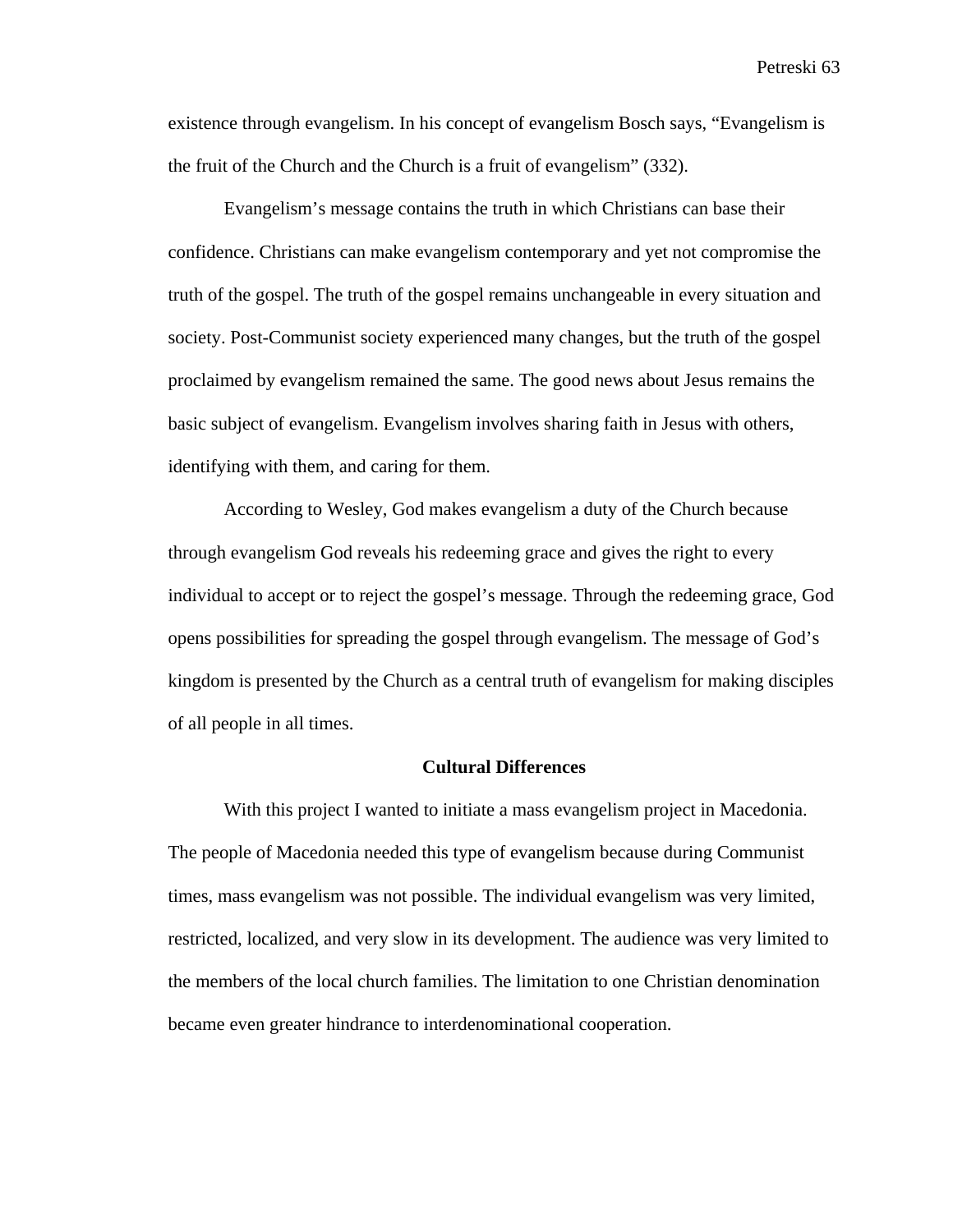existence through evangelism. In his concept of evangelism Bosch says, "Evangelism is the fruit of the Church and the Church is a fruit of evangelism" (332).

Evangelism's message contains the truth in which Christians can base their confidence. Christians can make evangelism contemporary and yet not compromise the truth of the gospel. The truth of the gospel remains unchangeable in every situation and society. Post-Communist society experienced many changes, but the truth of the gospel proclaimed by evangelism remained the same. The good news about Jesus remains the basic subject of evangelism. Evangelism involves sharing faith in Jesus with others, identifying with them, and caring for them.

According to Wesley, God makes evangelism a duty of the Church because through evangelism God reveals his redeeming grace and gives the right to every individual to accept or to reject the gospel's message. Through the redeeming grace, God opens possibilities for spreading the gospel through evangelism. The message of God's kingdom is presented by the Church as a central truth of evangelism for making disciples of all people in all times.

## **Cultural Differences**

With this project I wanted to initiate a mass evangelism project in Macedonia. The people of Macedonia needed this type of evangelism because during Communist times, mass evangelism was not possible. The individual evangelism was very limited, restricted, localized, and very slow in its development. The audience was very limited to the members of the local church families. The limitation to one Christian denomination became even greater hindrance to interdenominational cooperation.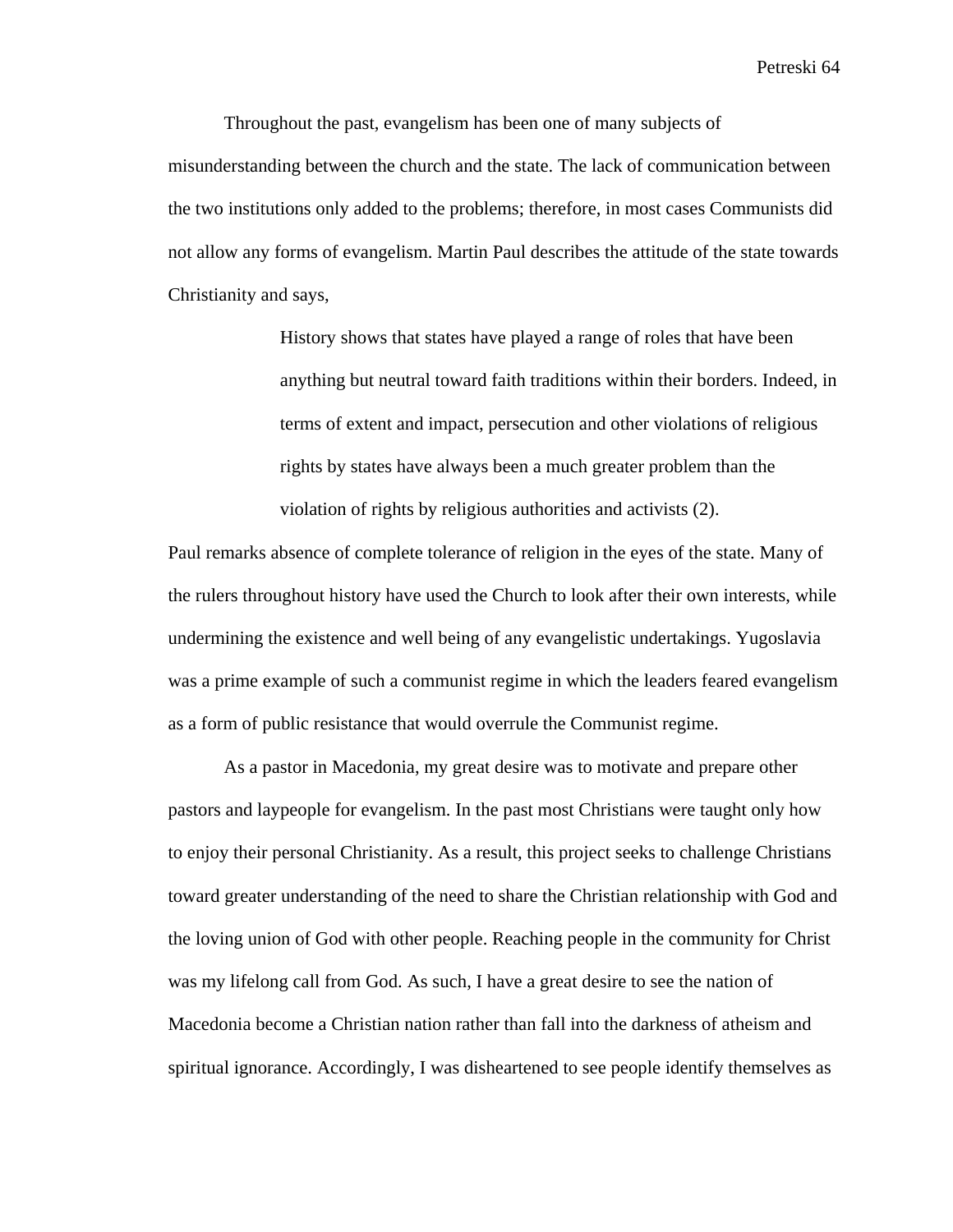Throughout the past, evangelism has been one of many subjects of misunderstanding between the church and the state. The lack of communication between the two institutions only added to the problems; therefore, in most cases Communists did not allow any forms of evangelism. Martin Paul describes the attitude of the state towards Christianity and says,

> History shows that states have played a range of roles that have been anything but neutral toward faith traditions within their borders. Indeed, in terms of extent and impact, persecution and other violations of religious rights by states have always been a much greater problem than the violation of rights by religious authorities and activists (2).

Paul remarks absence of complete tolerance of religion in the eyes of the state. Many of the rulers throughout history have used the Church to look after their own interests, while undermining the existence and well being of any evangelistic undertakings. Yugoslavia was a prime example of such a communist regime in which the leaders feared evangelism as a form of public resistance that would overrule the Communist regime.

As a pastor in Macedonia, my great desire was to motivate and prepare other pastors and laypeople for evangelism. In the past most Christians were taught only how to enjoy their personal Christianity. As a result, this project seeks to challenge Christians toward greater understanding of the need to share the Christian relationship with God and the loving union of God with other people. Reaching people in the community for Christ was my lifelong call from God. As such, I have a great desire to see the nation of Macedonia become a Christian nation rather than fall into the darkness of atheism and spiritual ignorance. Accordingly, I was disheartened to see people identify themselves as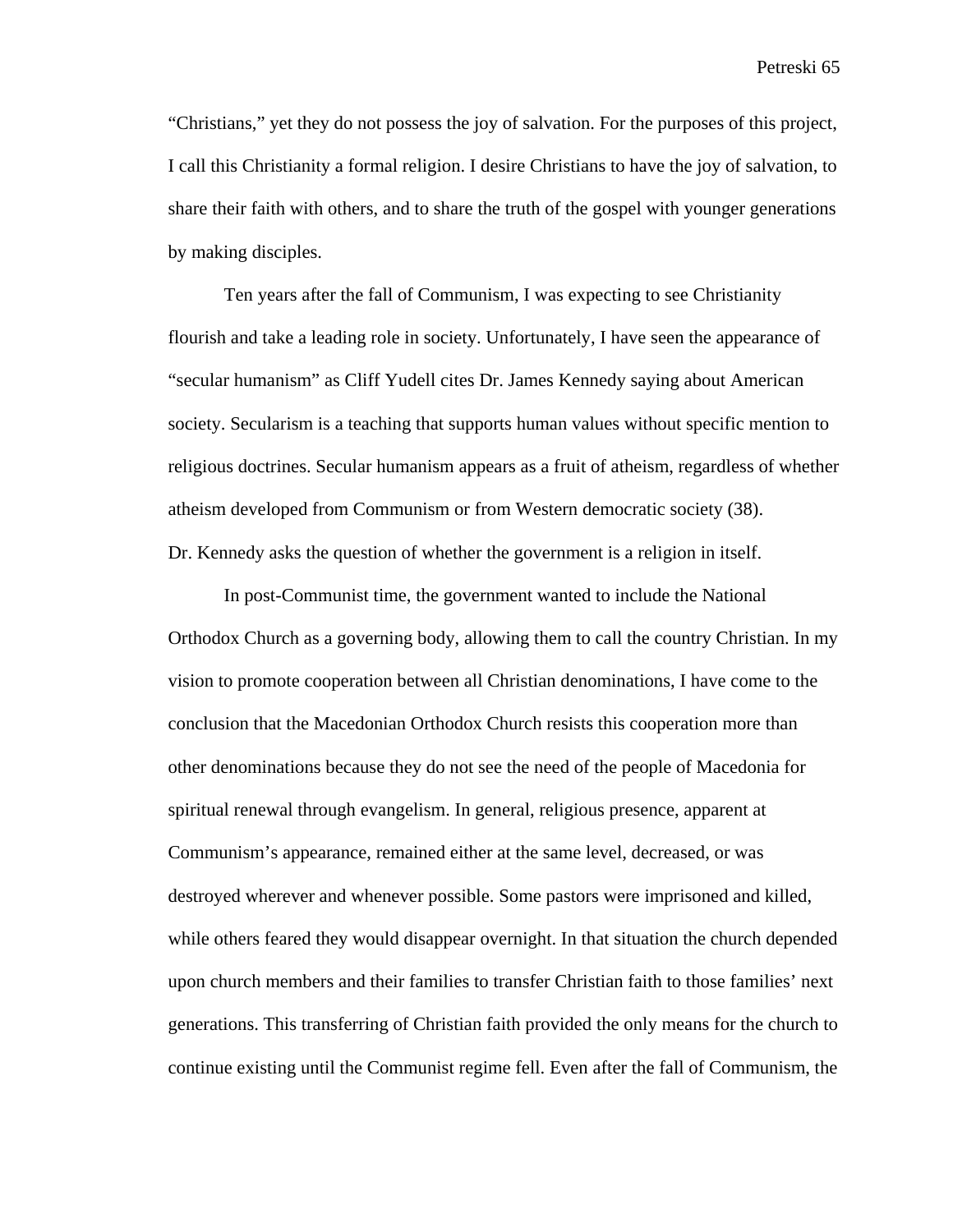"Christians," yet they do not possess the joy of salvation. For the purposes of this project, I call this Christianity a formal religion. I desire Christians to have the joy of salvation, to share their faith with others, and to share the truth of the gospel with younger generations by making disciples.

Ten years after the fall of Communism, I was expecting to see Christianity flourish and take a leading role in society. Unfortunately, I have seen the appearance of "secular humanism" as Cliff Yudell cites Dr. James Kennedy saying about American society. Secularism is a teaching that supports human values without specific mention to religious doctrines. Secular humanism appears as a fruit of atheism, regardless of whether atheism developed from Communism or from Western democratic society (38). Dr. Kennedy asks the question of whether the government is a religion in itself.

In post-Communist time, the government wanted to include the National Orthodox Church as a governing body, allowing them to call the country Christian. In my vision to promote cooperation between all Christian denominations, I have come to the conclusion that the Macedonian Orthodox Church resists this cooperation more than other denominations because they do not see the need of the people of Macedonia for spiritual renewal through evangelism. In general, religious presence, apparent at Communism's appearance, remained either at the same level, decreased, or was destroyed wherever and whenever possible. Some pastors were imprisoned and killed, while others feared they would disappear overnight. In that situation the church depended upon church members and their families to transfer Christian faith to those families' next generations. This transferring of Christian faith provided the only means for the church to continue existing until the Communist regime fell. Even after the fall of Communism, the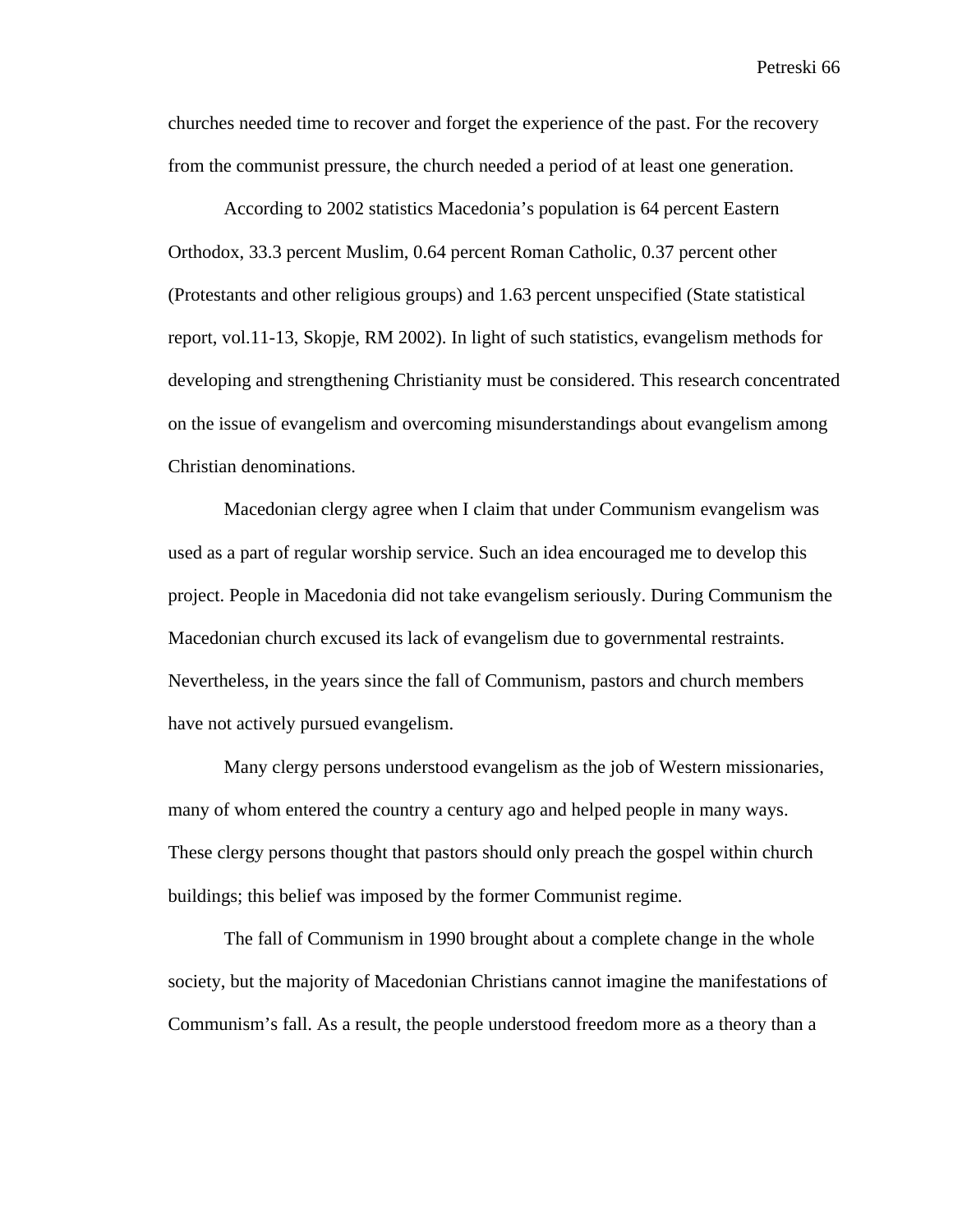churches needed time to recover and forget the experience of the past. For the recovery from the communist pressure, the church needed a period of at least one generation.

 According to 2002 statistics Macedonia's population is 64 percent Eastern Orthodox, 33.3 percent Muslim, 0.64 percent Roman Catholic, 0.37 percent other (Protestants and other religious groups) and 1.63 percent unspecified (State statistical report, vol.11-13, Skopje, RM 2002). In light of such statistics, evangelism methods for developing and strengthening Christianity must be considered. This research concentrated on the issue of evangelism and overcoming misunderstandings about evangelism among Christian denominations.

Macedonian clergy agree when I claim that under Communism evangelism was used as a part of regular worship service. Such an idea encouraged me to develop this project. People in Macedonia did not take evangelism seriously. During Communism the Macedonian church excused its lack of evangelism due to governmental restraints. Nevertheless, in the years since the fall of Communism, pastors and church members have not actively pursued evangelism.

Many clergy persons understood evangelism as the job of Western missionaries, many of whom entered the country a century ago and helped people in many ways. These clergy persons thought that pastors should only preach the gospel within church buildings; this belief was imposed by the former Communist regime.

The fall of Communism in 1990 brought about a complete change in the whole society, but the majority of Macedonian Christians cannot imagine the manifestations of Communism's fall. As a result, the people understood freedom more as a theory than a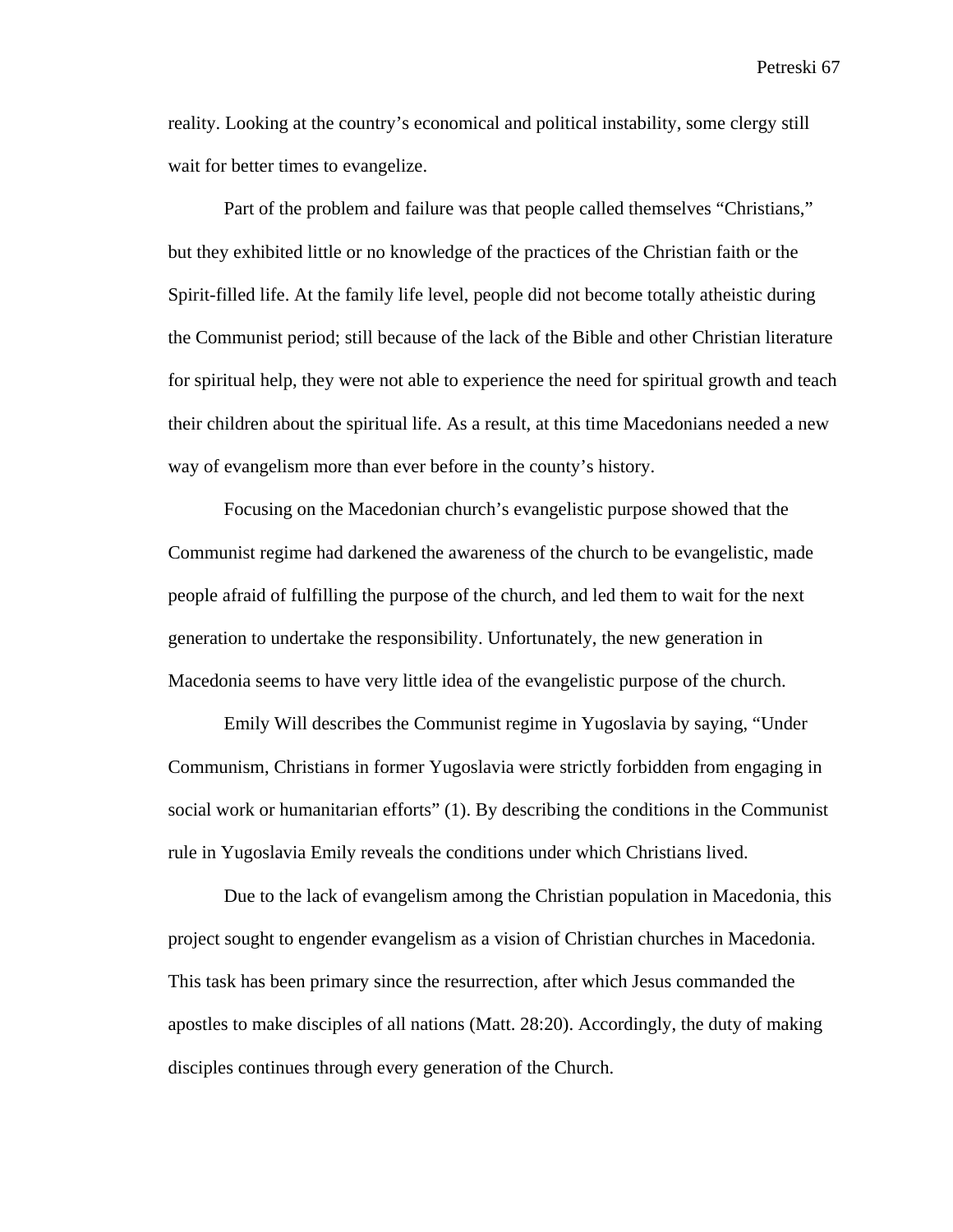reality. Looking at the country's economical and political instability, some clergy still wait for better times to evangelize.

Part of the problem and failure was that people called themselves "Christians," but they exhibited little or no knowledge of the practices of the Christian faith or the Spirit-filled life. At the family life level, people did not become totally atheistic during the Communist period; still because of the lack of the Bible and other Christian literature for spiritual help, they were not able to experience the need for spiritual growth and teach their children about the spiritual life. As a result, at this time Macedonians needed a new way of evangelism more than ever before in the county's history.

Focusing on the Macedonian church's evangelistic purpose showed that the Communist regime had darkened the awareness of the church to be evangelistic, made people afraid of fulfilling the purpose of the church, and led them to wait for the next generation to undertake the responsibility. Unfortunately, the new generation in Macedonia seems to have very little idea of the evangelistic purpose of the church.

Emily Will describes the Communist regime in Yugoslavia by saying, "Under Communism, Christians in former Yugoslavia were strictly forbidden from engaging in social work or humanitarian efforts" (1). By describing the conditions in the Communist rule in Yugoslavia Emily reveals the conditions under which Christians lived.

Due to the lack of evangelism among the Christian population in Macedonia, this project sought to engender evangelism as a vision of Christian churches in Macedonia. This task has been primary since the resurrection, after which Jesus commanded the apostles to make disciples of all nations (Matt. 28:20). Accordingly, the duty of making disciples continues through every generation of the Church.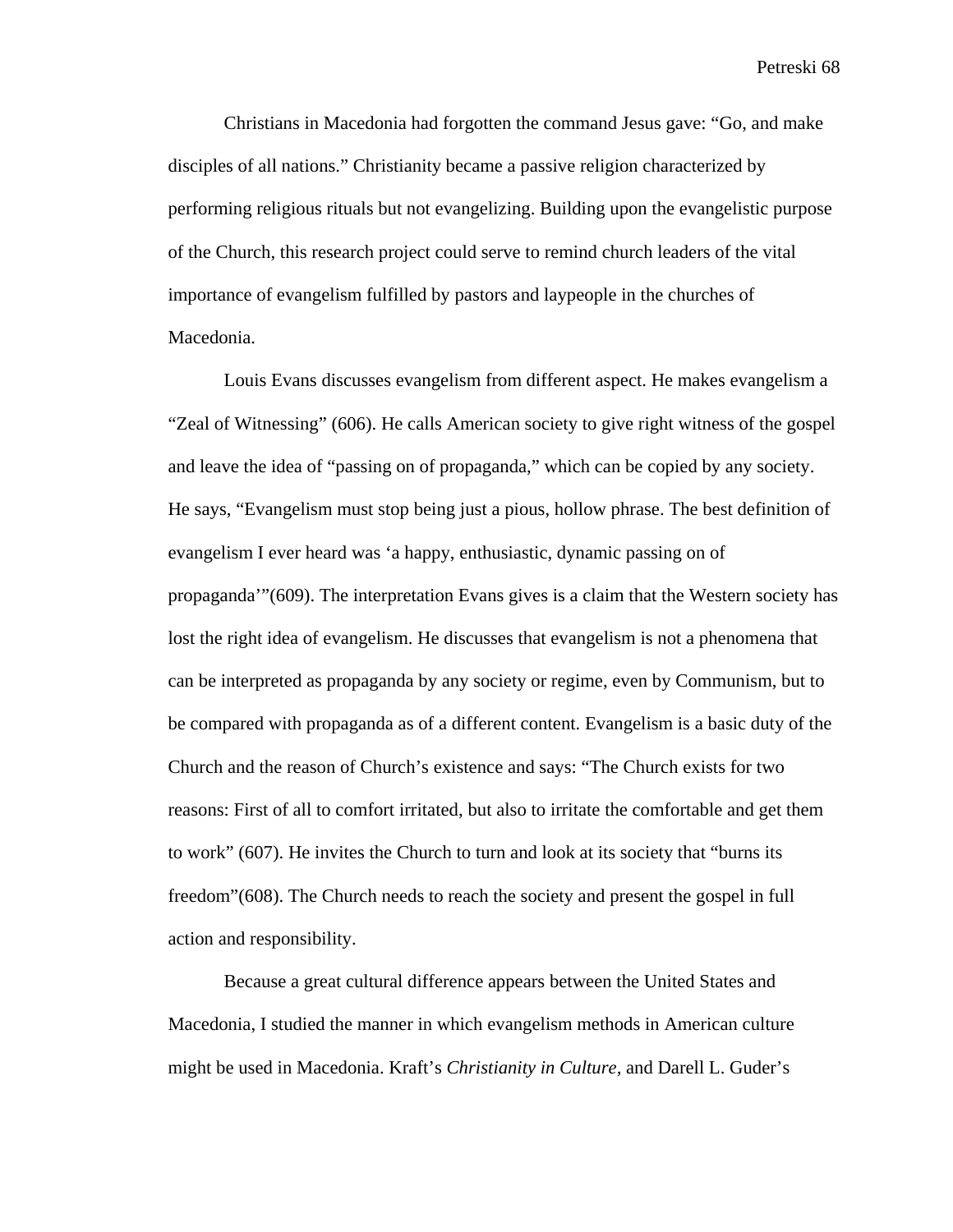Christians in Macedonia had forgotten the command Jesus gave: "Go, and make disciples of all nations." Christianity became a passive religion characterized by performing religious rituals but not evangelizing. Building upon the evangelistic purpose of the Church, this research project could serve to remind church leaders of the vital importance of evangelism fulfilled by pastors and laypeople in the churches of Macedonia.

Louis Evans discusses evangelism from different aspect. He makes evangelism a "Zeal of Witnessing" (606). He calls American society to give right witness of the gospel and leave the idea of "passing on of propaganda," which can be copied by any society. He says, "Evangelism must stop being just a pious, hollow phrase. The best definition of evangelism I ever heard was 'a happy, enthusiastic, dynamic passing on of propaganda'"(609). The interpretation Evans gives is a claim that the Western society has lost the right idea of evangelism. He discusses that evangelism is not a phenomena that can be interpreted as propaganda by any society or regime, even by Communism, but to be compared with propaganda as of a different content. Evangelism is a basic duty of the Church and the reason of Church's existence and says: "The Church exists for two reasons: First of all to comfort irritated, but also to irritate the comfortable and get them to work" (607). He invites the Church to turn and look at its society that "burns its freedom"(608). The Church needs to reach the society and present the gospel in full action and responsibility.

Because a great cultural difference appears between the United States and Macedonia, I studied the manner in which evangelism methods in American culture might be used in Macedonia. Kraft's *Christianity in Culture,* and Darell L. Guder's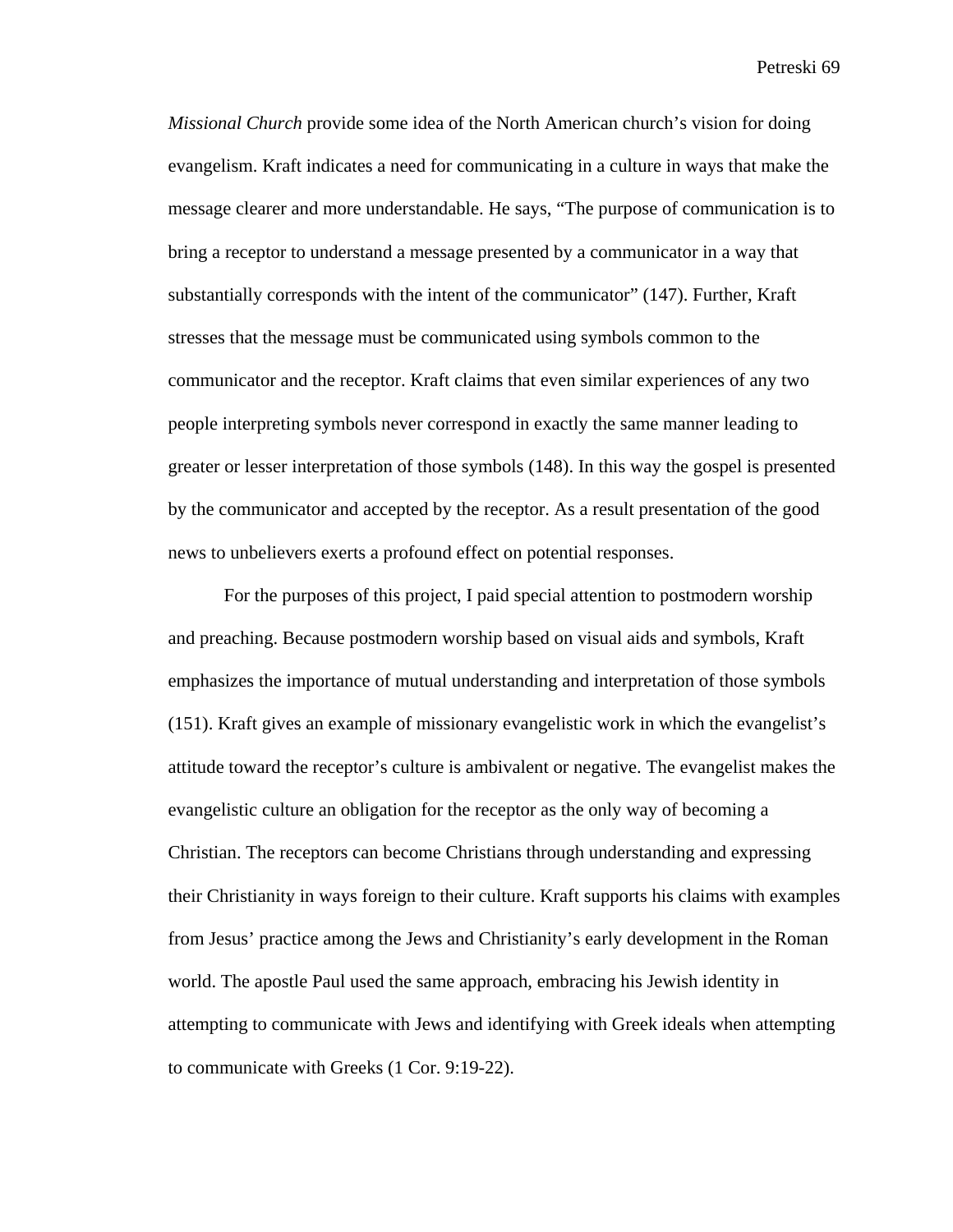*Missional Church* provide some idea of the North American church's vision for doing evangelism. Kraft indicates a need for communicating in a culture in ways that make the message clearer and more understandable. He says, "The purpose of communication is to bring a receptor to understand a message presented by a communicator in a way that substantially corresponds with the intent of the communicator" (147). Further, Kraft stresses that the message must be communicated using symbols common to the communicator and the receptor. Kraft claims that even similar experiences of any two people interpreting symbols never correspond in exactly the same manner leading to greater or lesser interpretation of those symbols (148). In this way the gospel is presented by the communicator and accepted by the receptor. As a result presentation of the good news to unbelievers exerts a profound effect on potential responses.

For the purposes of this project, I paid special attention to postmodern worship and preaching. Because postmodern worship based on visual aids and symbols, Kraft emphasizes the importance of mutual understanding and interpretation of those symbols (151). Kraft gives an example of missionary evangelistic work in which the evangelist's attitude toward the receptor's culture is ambivalent or negative. The evangelist makes the evangelistic culture an obligation for the receptor as the only way of becoming a Christian. The receptors can become Christians through understanding and expressing their Christianity in ways foreign to their culture. Kraft supports his claims with examples from Jesus' practice among the Jews and Christianity's early development in the Roman world. The apostle Paul used the same approach, embracing his Jewish identity in attempting to communicate with Jews and identifying with Greek ideals when attempting to communicate with Greeks (1 Cor. 9:19-22).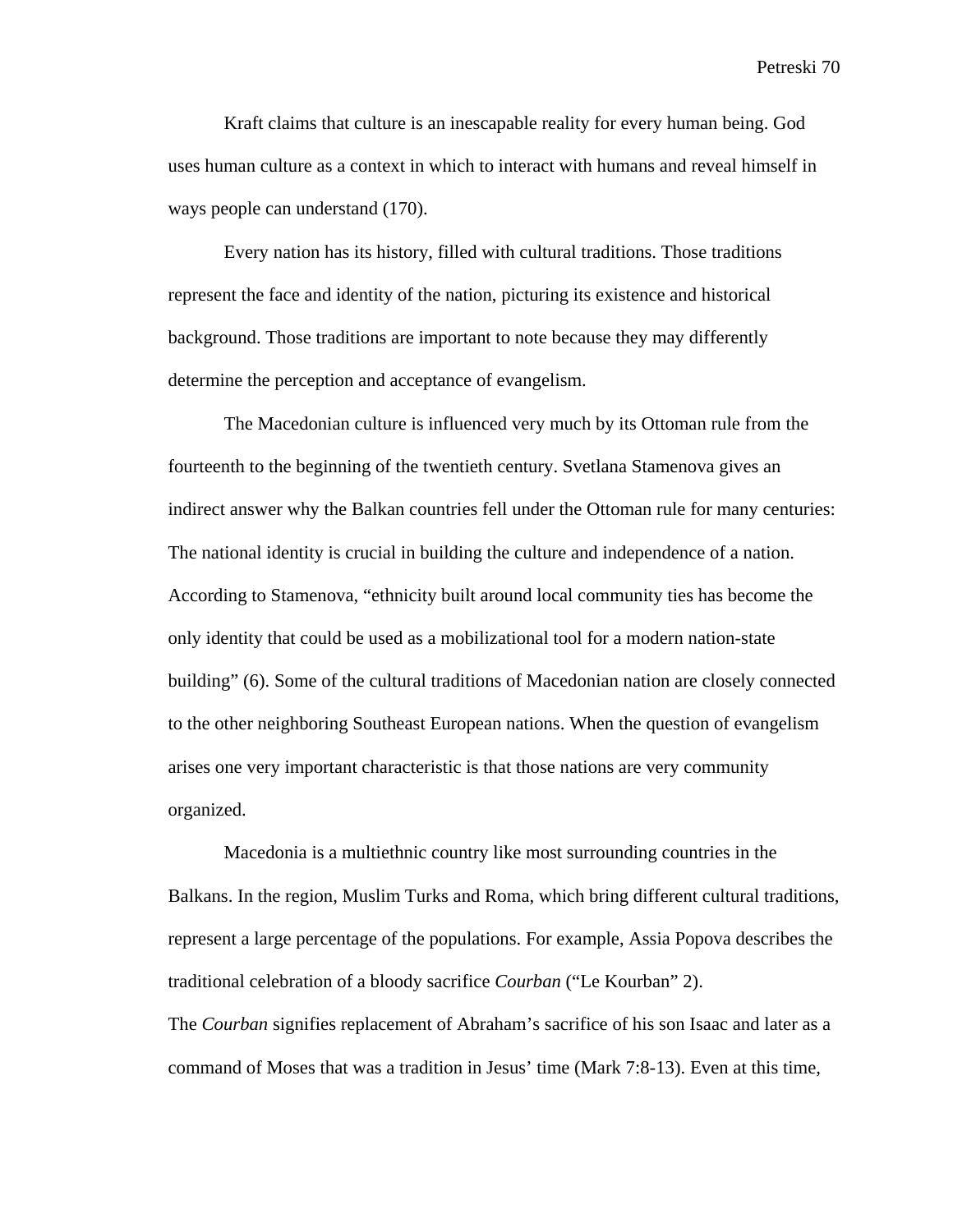Kraft claims that culture is an inescapable reality for every human being. God uses human culture as a context in which to interact with humans and reveal himself in ways people can understand (170).

Every nation has its history, filled with cultural traditions. Those traditions represent the face and identity of the nation, picturing its existence and historical background. Those traditions are important to note because they may differently determine the perception and acceptance of evangelism.

The Macedonian culture is influenced very much by its Ottoman rule from the fourteenth to the beginning of the twentieth century. Svetlana Stamenova gives an indirect answer why the Balkan countries fell under the Ottoman rule for many centuries: The national identity is crucial in building the culture and independence of a nation. According to Stamenova, "ethnicity built around local community ties has become the only identity that could be used as a mobilizational tool for a modern nation-state building" (6). Some of the cultural traditions of Macedonian nation are closely connected to the other neighboring Southeast European nations. When the question of evangelism arises one very important characteristic is that those nations are very community organized.

 Macedonia is a multiethnic country like most surrounding countries in the Balkans. In the region, Muslim Turks and Roma, which bring different cultural traditions, represent a large percentage of the populations. For example, Assia Popova describes the traditional celebration of a bloody sacrifice *Courban* ("Le Kourban" 2). The *Courban* signifies replacement of Abraham's sacrifice of his son Isaac and later as a command of Moses that was a tradition in Jesus' time (Mark 7:8-13). Even at this time,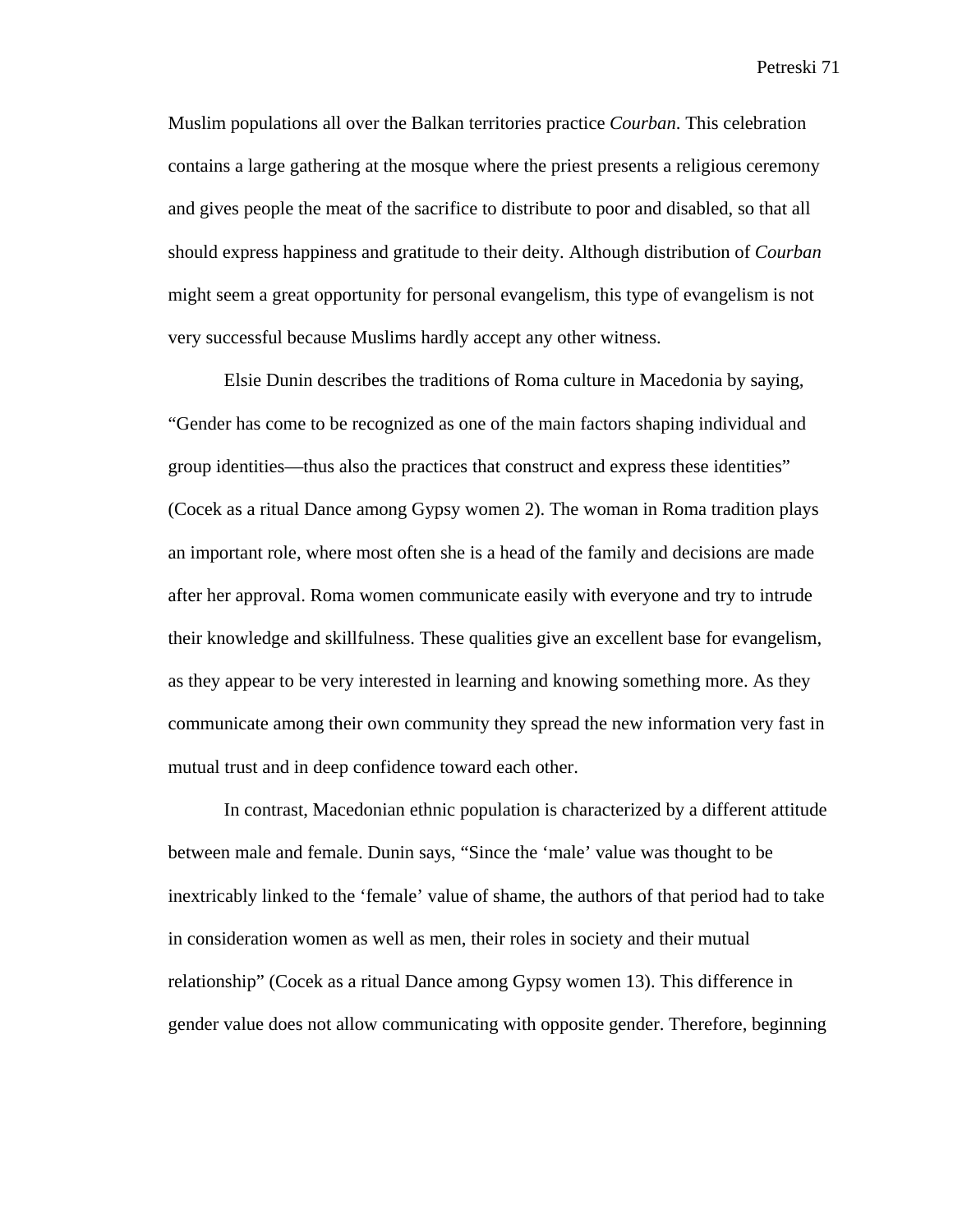Muslim populations all over the Balkan territories practice *Courban*. This celebration contains a large gathering at the mosque where the priest presents a religious ceremony and gives people the meat of the sacrifice to distribute to poor and disabled, so that all should express happiness and gratitude to their deity. Although distribution of *Courban* might seem a great opportunity for personal evangelism, this type of evangelism is not very successful because Muslims hardly accept any other witness.

 Elsie Dunin describes the traditions of Roma culture in Macedonia by saying, "Gender has come to be recognized as one of the main factors shaping individual and group identities—thus also the practices that construct and express these identities" (Cocek as a ritual Dance among Gypsy women 2). The woman in Roma tradition plays an important role, where most often she is a head of the family and decisions are made after her approval. Roma women communicate easily with everyone and try to intrude their knowledge and skillfulness. These qualities give an excellent base for evangelism, as they appear to be very interested in learning and knowing something more. As they communicate among their own community they spread the new information very fast in mutual trust and in deep confidence toward each other.

In contrast, Macedonian ethnic population is characterized by a different attitude between male and female. Dunin says, "Since the 'male' value was thought to be inextricably linked to the 'female' value of shame, the authors of that period had to take in consideration women as well as men, their roles in society and their mutual relationship" (Cocek as a ritual Dance among Gypsy women 13). This difference in gender value does not allow communicating with opposite gender. Therefore, beginning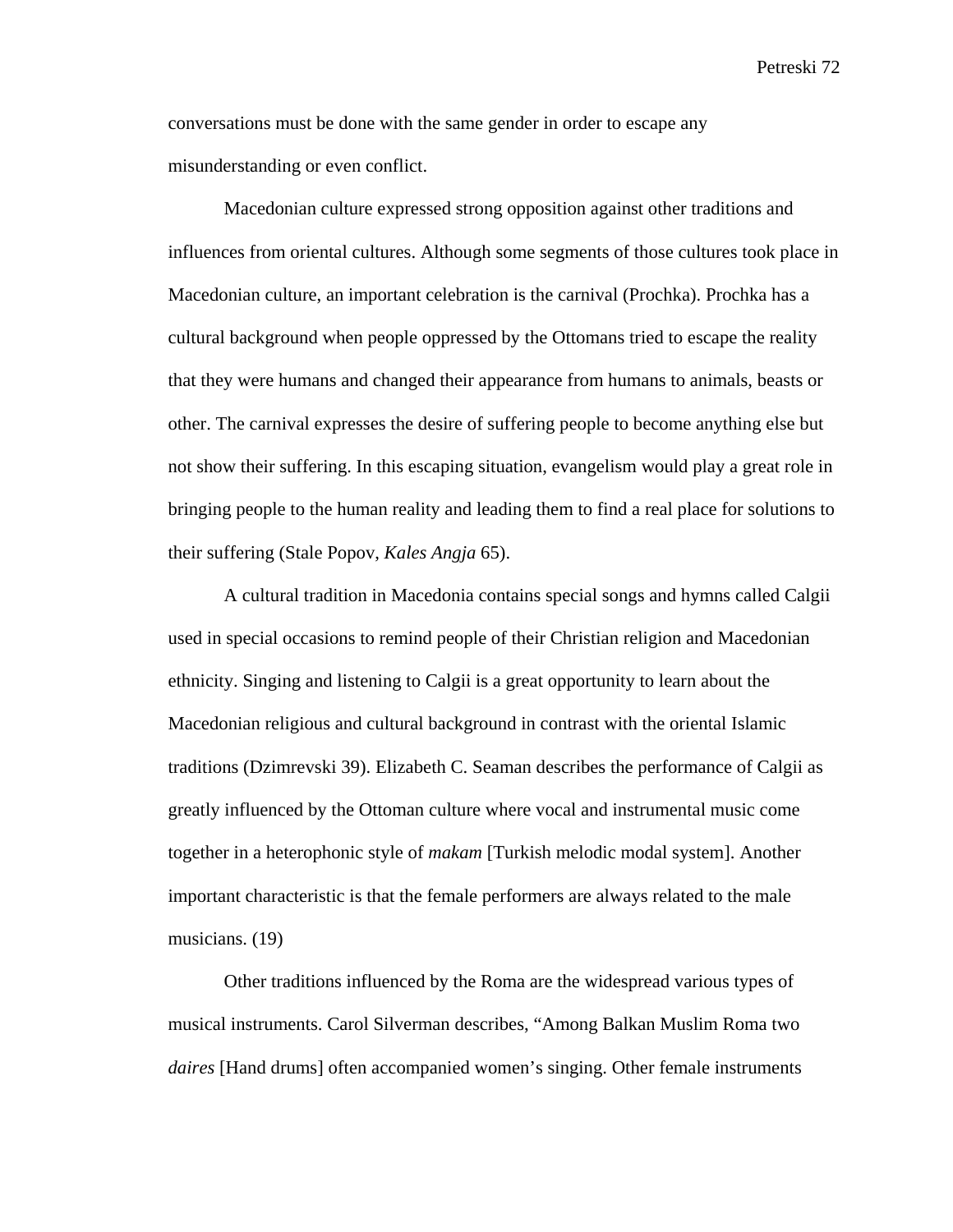conversations must be done with the same gender in order to escape any misunderstanding or even conflict.

Macedonian culture expressed strong opposition against other traditions and influences from oriental cultures. Although some segments of those cultures took place in Macedonian culture, an important celebration is the carnival (Prochka). Prochka has a cultural background when people oppressed by the Ottomans tried to escape the reality that they were humans and changed their appearance from humans to animals, beasts or other. The carnival expresses the desire of suffering people to become anything else but not show their suffering. In this escaping situation, evangelism would play a great role in bringing people to the human reality and leading them to find a real place for solutions to their suffering (Stale Popov, *Kales Angja* 65).

A cultural tradition in Macedonia contains special songs and hymns called Calgii used in special occasions to remind people of their Christian religion and Macedonian ethnicity. Singing and listening to Calgii is a great opportunity to learn about the Macedonian religious and cultural background in contrast with the oriental Islamic traditions (Dzimrevski 39). Elizabeth C. Seaman describes the performance of Calgii as greatly influenced by the Ottoman culture where vocal and instrumental music come together in a heterophonic style of *makam* [Turkish melodic modal system]. Another important characteristic is that the female performers are always related to the male musicians. (19)

Other traditions influenced by the Roma are the widespread various types of musical instruments. Carol Silverman describes, "Among Balkan Muslim Roma two *daires* [Hand drums] often accompanied women's singing. Other female instruments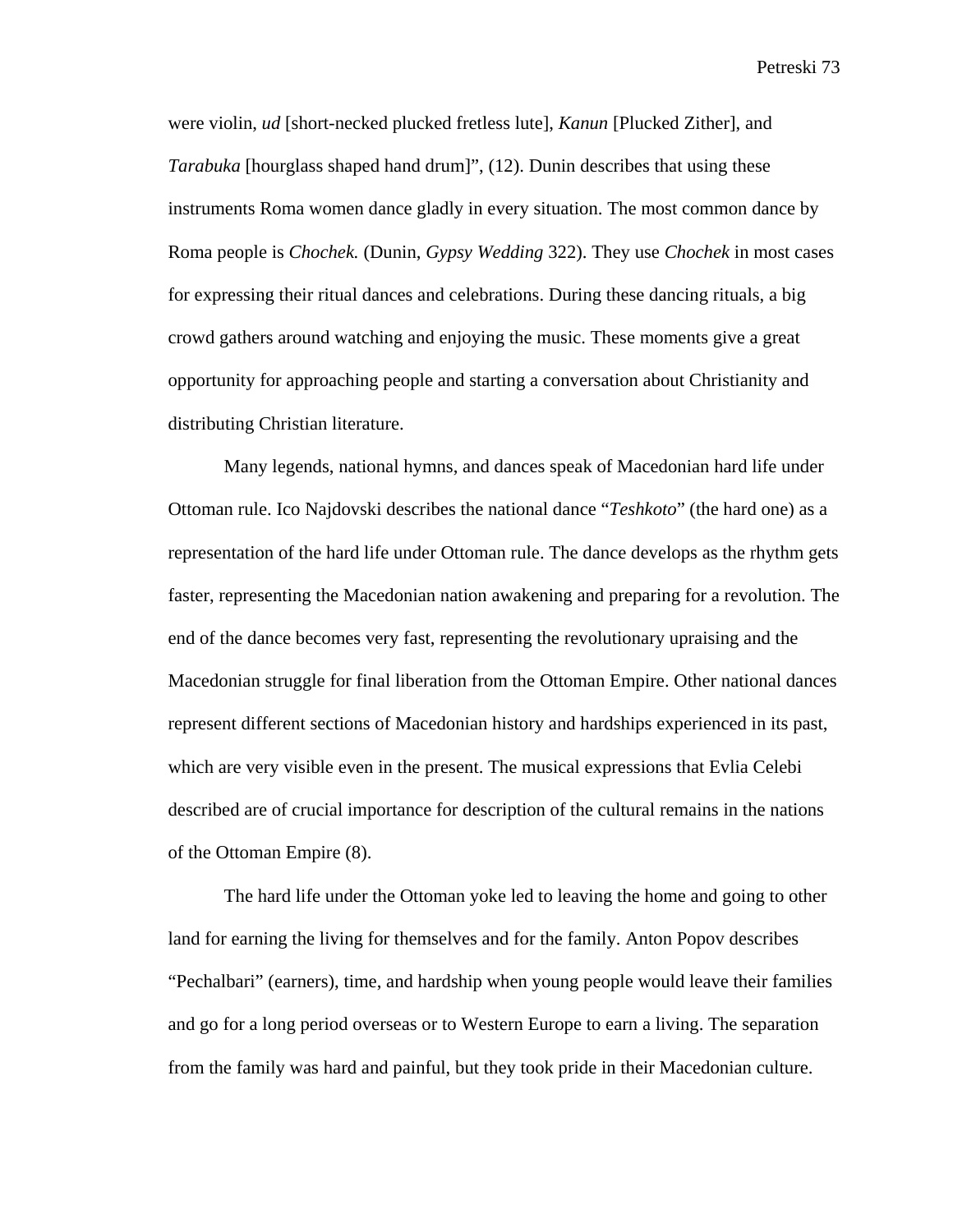were violin, *ud* [short-necked plucked fretless lute], *Kanun* [Plucked Zither], and *Tarabuka* [hourglass shaped hand drum]", (12). Dunin describes that using these instruments Roma women dance gladly in every situation. The most common dance by Roma people is *Chochek.* (Dunin, *Gypsy Wedding* 322). They use *Chochek* in most cases for expressing their ritual dances and celebrations. During these dancing rituals, a big crowd gathers around watching and enjoying the music. These moments give a great opportunity for approaching people and starting a conversation about Christianity and distributing Christian literature.

Many legends, national hymns, and dances speak of Macedonian hard life under Ottoman rule. Ico Najdovski describes the national dance "*Teshkoto*" (the hard one) as a representation of the hard life under Ottoman rule. The dance develops as the rhythm gets faster, representing the Macedonian nation awakening and preparing for a revolution. The end of the dance becomes very fast, representing the revolutionary upraising and the Macedonian struggle for final liberation from the Ottoman Empire. Other national dances represent different sections of Macedonian history and hardships experienced in its past, which are very visible even in the present. The musical expressions that Evlia Celebi described are of crucial importance for description of the cultural remains in the nations of the Ottoman Empire (8).

The hard life under the Ottoman yoke led to leaving the home and going to other land for earning the living for themselves and for the family. Anton Popov describes "Pechalbari" (earners), time, and hardship when young people would leave their families and go for a long period overseas or to Western Europe to earn a living. The separation from the family was hard and painful, but they took pride in their Macedonian culture.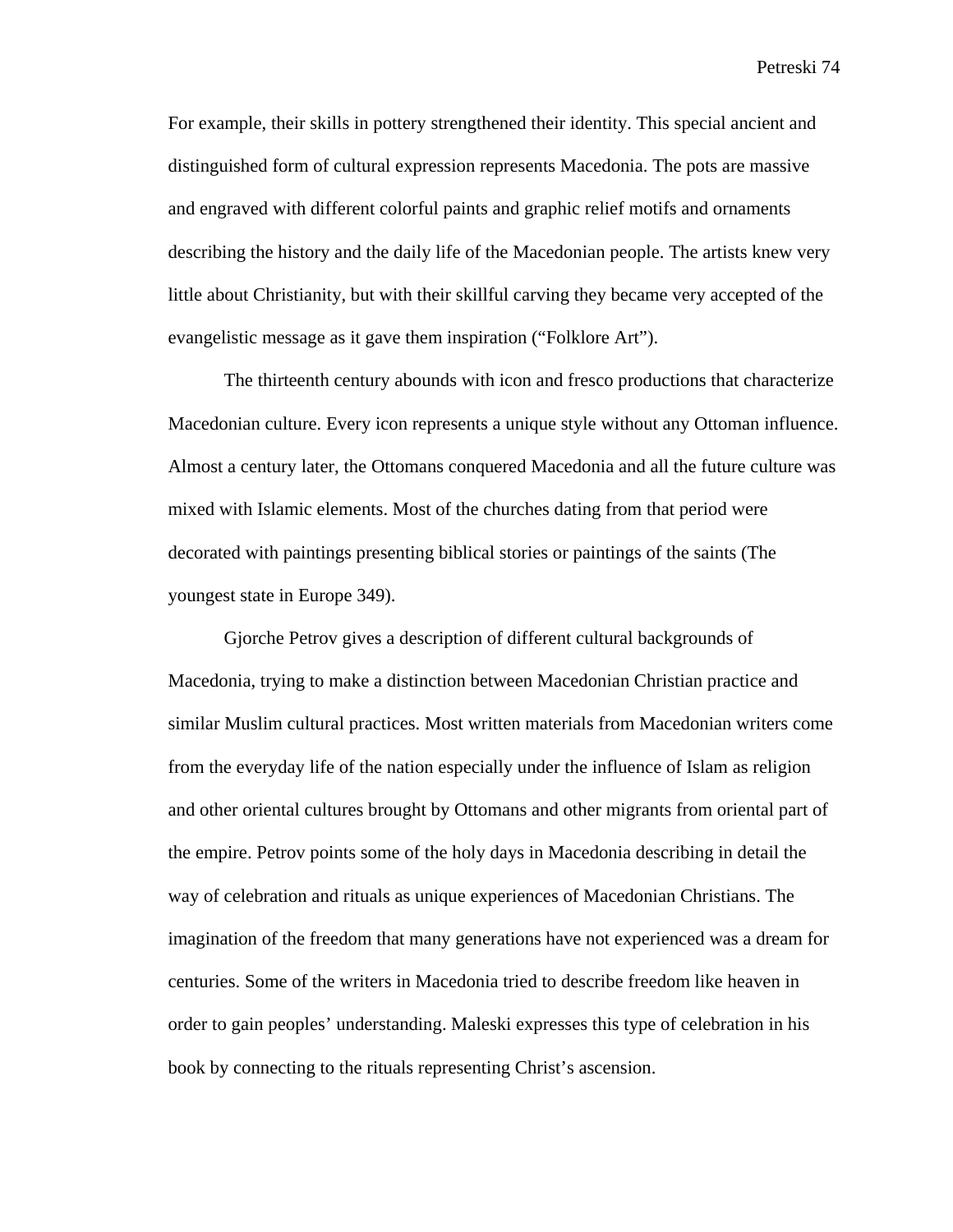For example, their skills in pottery strengthened their identity. This special ancient and distinguished form of cultural expression represents Macedonia. The pots are massive and engraved with different colorful paints and graphic relief motifs and ornaments describing the history and the daily life of the Macedonian people. The artists knew very little about Christianity, but with their skillful carving they became very accepted of the evangelistic message as it gave them inspiration ("Folklore Art").

The thirteenth century abounds with icon and fresco productions that characterize Macedonian culture. Every icon represents a unique style without any Ottoman influence. Almost a century later, the Ottomans conquered Macedonia and all the future culture was mixed with Islamic elements. Most of the churches dating from that period were decorated with paintings presenting biblical stories or paintings of the saints (The youngest state in Europe 349).

Gjorche Petrov gives a description of different cultural backgrounds of Macedonia, trying to make a distinction between Macedonian Christian practice and similar Muslim cultural practices. Most written materials from Macedonian writers come from the everyday life of the nation especially under the influence of Islam as religion and other oriental cultures brought by Ottomans and other migrants from oriental part of the empire. Petrov points some of the holy days in Macedonia describing in detail the way of celebration and rituals as unique experiences of Macedonian Christians. The imagination of the freedom that many generations have not experienced was a dream for centuries. Some of the writers in Macedonia tried to describe freedom like heaven in order to gain peoples' understanding. Maleski expresses this type of celebration in his book by connecting to the rituals representing Christ's ascension.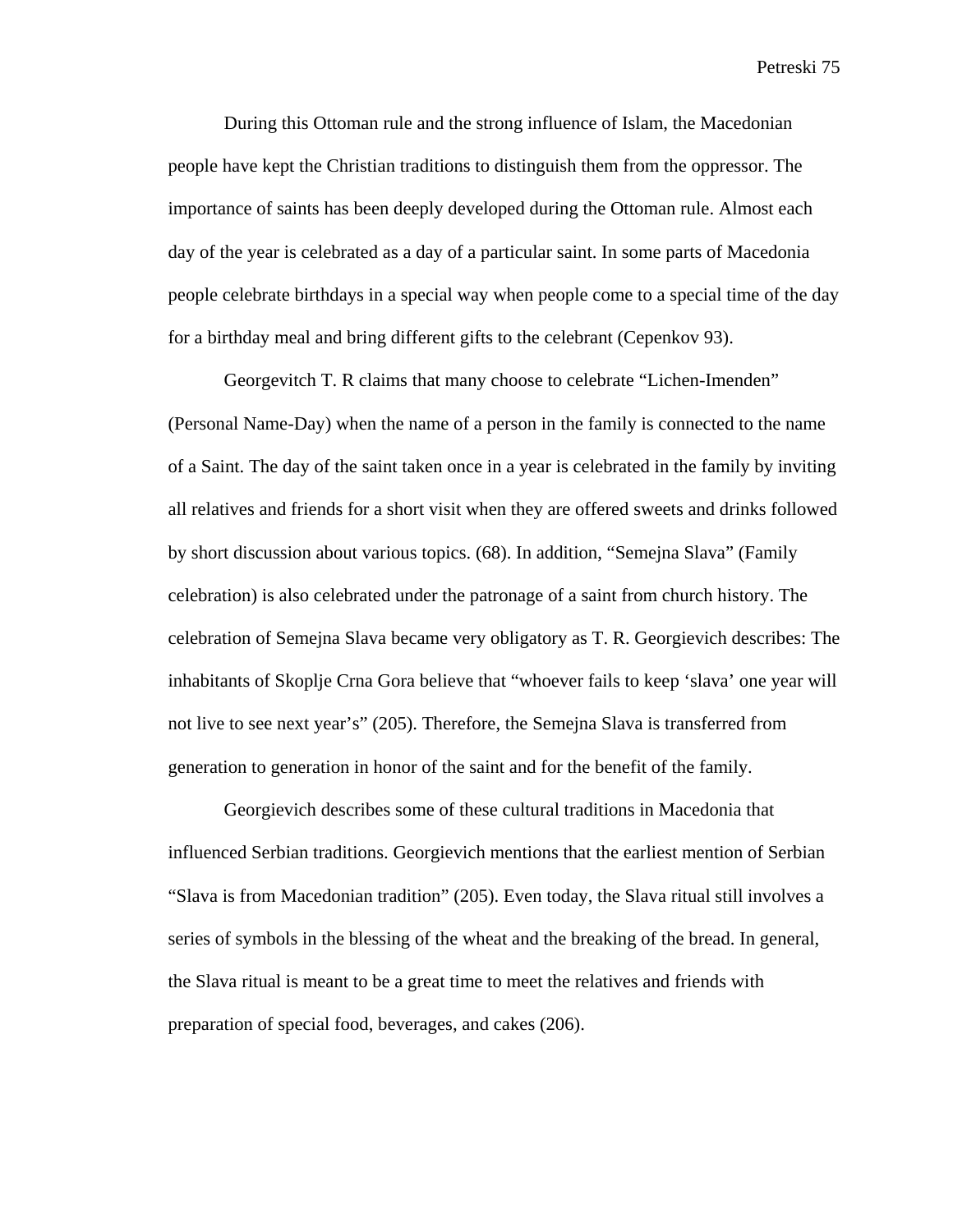During this Ottoman rule and the strong influence of Islam, the Macedonian people have kept the Christian traditions to distinguish them from the oppressor. The importance of saints has been deeply developed during the Ottoman rule. Almost each day of the year is celebrated as a day of a particular saint. In some parts of Macedonia people celebrate birthdays in a special way when people come to a special time of the day for a birthday meal and bring different gifts to the celebrant (Cepenkov 93).

Georgevitch T. R claims that many choose to celebrate "Lichen-Imenden" (Personal Name-Day) when the name of a person in the family is connected to the name of a Saint. The day of the saint taken once in a year is celebrated in the family by inviting all relatives and friends for a short visit when they are offered sweets and drinks followed by short discussion about various topics. (68). In addition, "Semejna Slava" (Family celebration) is also celebrated under the patronage of a saint from church history. The celebration of Semejna Slava became very obligatory as T. R. Georgievich describes: The inhabitants of Skoplje Crna Gora believe that "whoever fails to keep 'slava' one year will not live to see next year's" (205). Therefore, the Semejna Slava is transferred from generation to generation in honor of the saint and for the benefit of the family.

Georgievich describes some of these cultural traditions in Macedonia that influenced Serbian traditions. Georgievich mentions that the earliest mention of Serbian "Slava is from Macedonian tradition" (205). Even today, the Slava ritual still involves a series of symbols in the blessing of the wheat and the breaking of the bread. In general, the Slava ritual is meant to be a great time to meet the relatives and friends with preparation of special food, beverages, and cakes (206).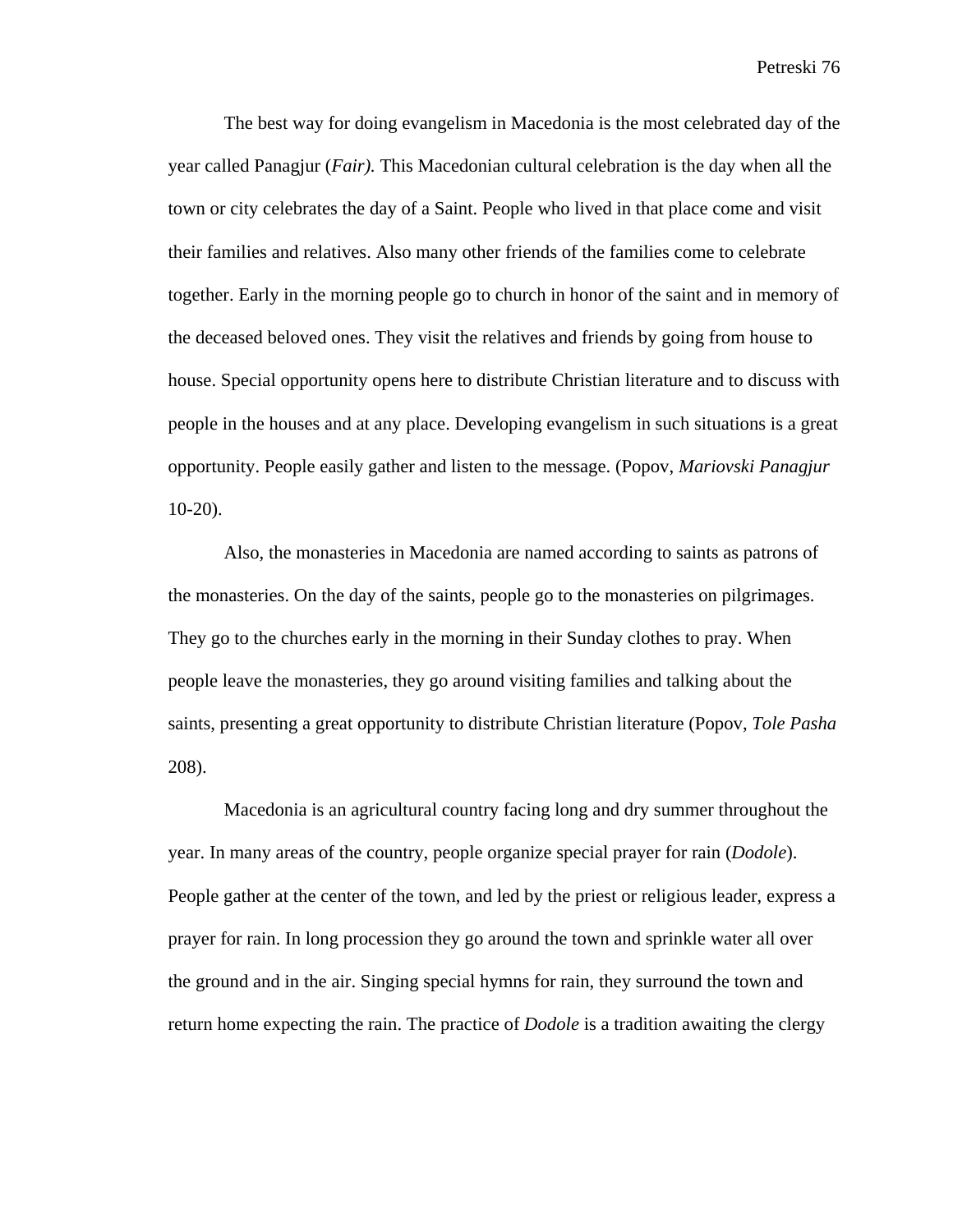The best way for doing evangelism in Macedonia is the most celebrated day of the year called Panagjur (*Fair).* This Macedonian cultural celebration is the day when all the town or city celebrates the day of a Saint. People who lived in that place come and visit their families and relatives. Also many other friends of the families come to celebrate together. Early in the morning people go to church in honor of the saint and in memory of the deceased beloved ones. They visit the relatives and friends by going from house to house. Special opportunity opens here to distribute Christian literature and to discuss with people in the houses and at any place. Developing evangelism in such situations is a great opportunity. People easily gather and listen to the message. (Popov, *Mariovski Panagjur*  10-20).

Also, the monasteries in Macedonia are named according to saints as patrons of the monasteries. On the day of the saints, people go to the monasteries on pilgrimages. They go to the churches early in the morning in their Sunday clothes to pray. When people leave the monasteries, they go around visiting families and talking about the saints, presenting a great opportunity to distribute Christian literature (Popov, *Tole Pasha* 208).

Macedonia is an agricultural country facing long and dry summer throughout the year. In many areas of the country, people organize special prayer for rain (*Dodole*). People gather at the center of the town, and led by the priest or religious leader, express a prayer for rain. In long procession they go around the town and sprinkle water all over the ground and in the air. Singing special hymns for rain, they surround the town and return home expecting the rain. The practice of *Dodole* is a tradition awaiting the clergy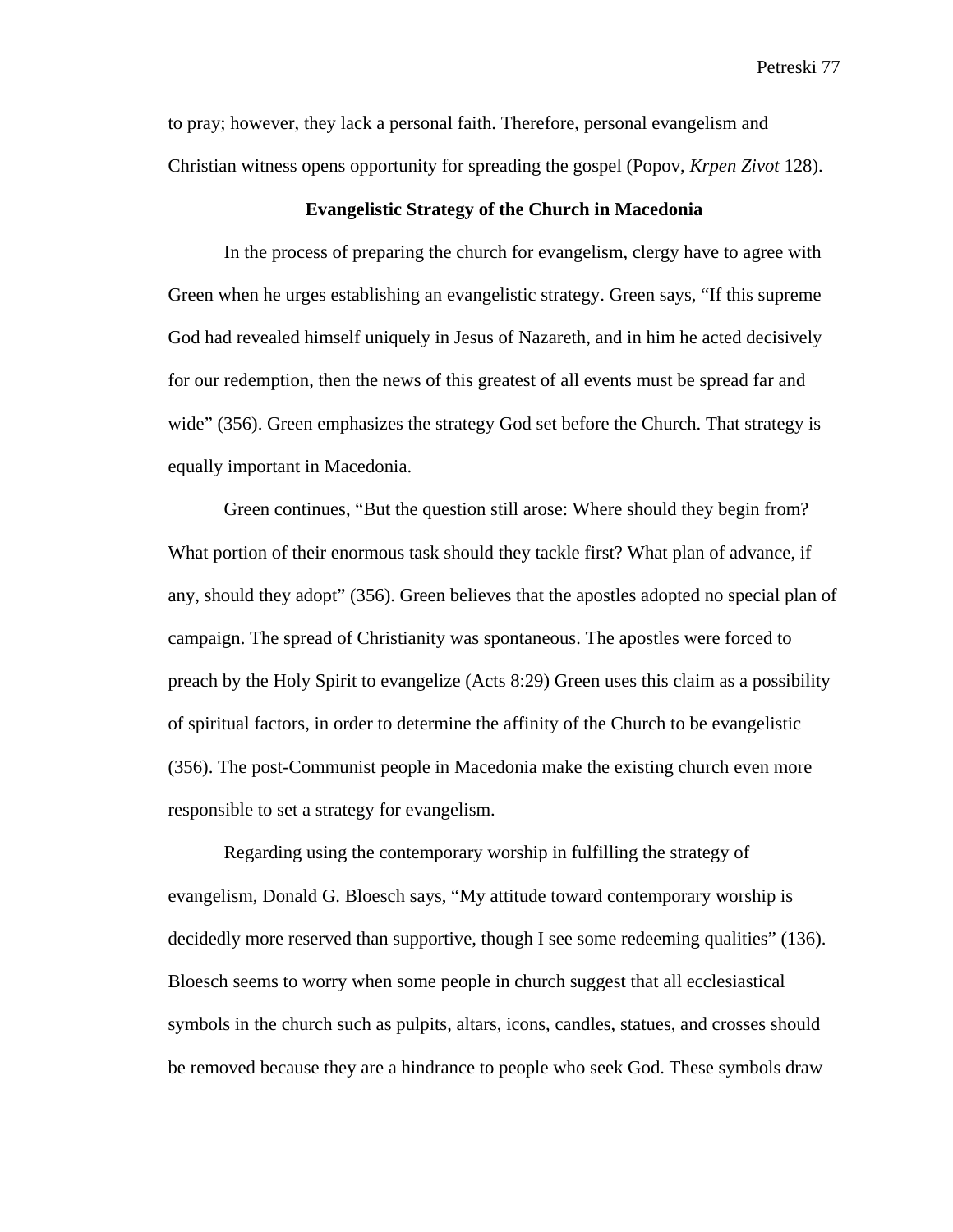to pray; however, they lack a personal faith. Therefore, personal evangelism and Christian witness opens opportunity for spreading the gospel (Popov, *Krpen Zivot* 128).

## **Evangelistic Strategy of the Church in Macedonia**

In the process of preparing the church for evangelism, clergy have to agree with Green when he urges establishing an evangelistic strategy. Green says, "If this supreme God had revealed himself uniquely in Jesus of Nazareth, and in him he acted decisively for our redemption, then the news of this greatest of all events must be spread far and wide" (356). Green emphasizes the strategy God set before the Church. That strategy is equally important in Macedonia.

Green continues, "But the question still arose: Where should they begin from? What portion of their enormous task should they tackle first? What plan of advance, if any, should they adopt" (356). Green believes that the apostles adopted no special plan of campaign. The spread of Christianity was spontaneous. The apostles were forced to preach by the Holy Spirit to evangelize (Acts 8:29) Green uses this claim as a possibility of spiritual factors, in order to determine the affinity of the Church to be evangelistic (356). The post-Communist people in Macedonia make the existing church even more responsible to set a strategy for evangelism.

Regarding using the contemporary worship in fulfilling the strategy of evangelism, Donald G. Bloesch says, "My attitude toward contemporary worship is decidedly more reserved than supportive, though I see some redeeming qualities" (136). Bloesch seems to worry when some people in church suggest that all ecclesiastical symbols in the church such as pulpits, altars, icons, candles, statues, and crosses should be removed because they are a hindrance to people who seek God. These symbols draw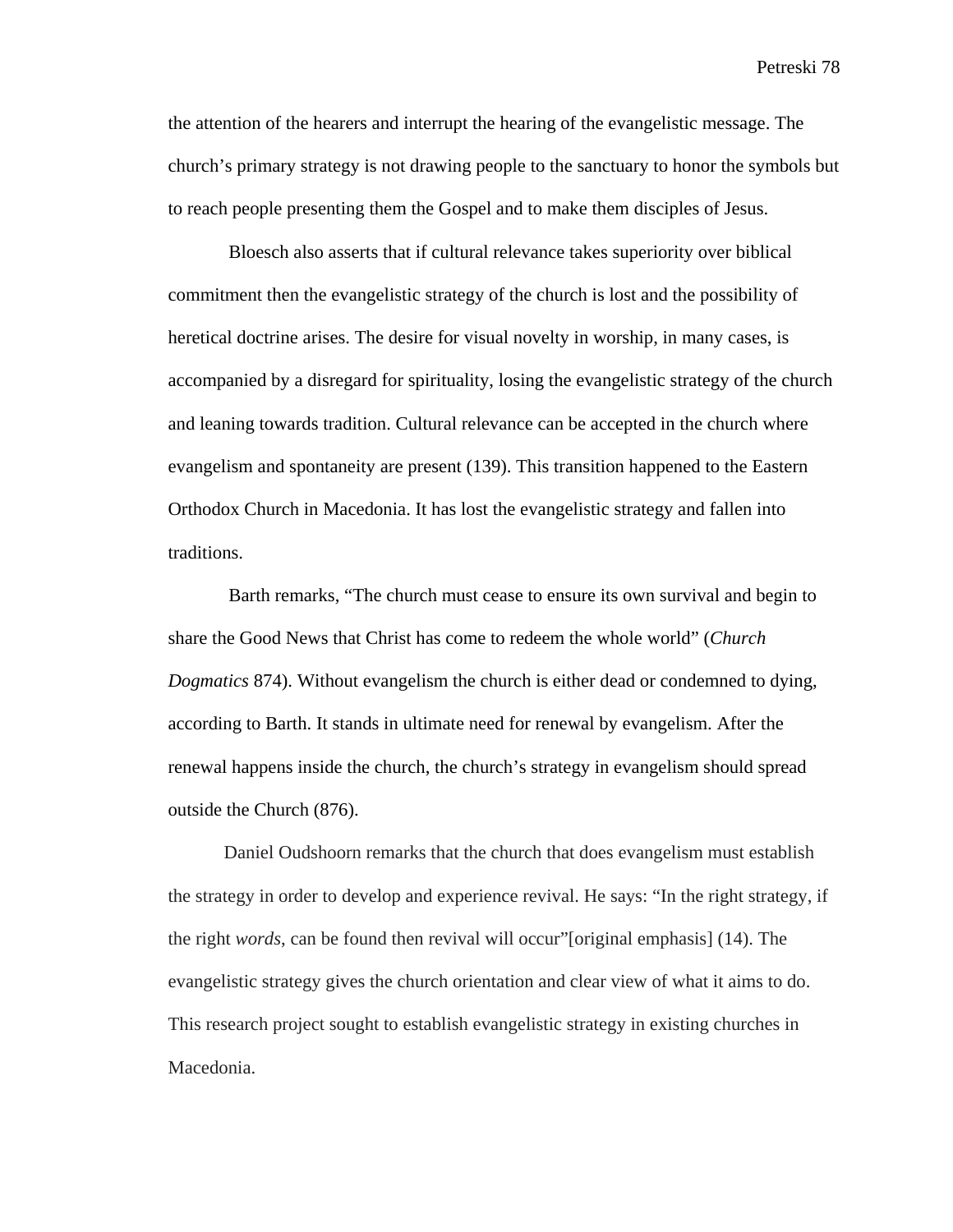the attention of the hearers and interrupt the hearing of the evangelistic message. The church's primary strategy is not drawing people to the sanctuary to honor the symbols but to reach people presenting them the Gospel and to make them disciples of Jesus.

 Bloesch also asserts that if cultural relevance takes superiority over biblical commitment then the evangelistic strategy of the church is lost and the possibility of heretical doctrine arises. The desire for visual novelty in worship, in many cases, is accompanied by a disregard for spirituality, losing the evangelistic strategy of the church and leaning towards tradition. Cultural relevance can be accepted in the church where evangelism and spontaneity are present (139). This transition happened to the Eastern Orthodox Church in Macedonia. It has lost the evangelistic strategy and fallen into traditions.

 Barth remarks, "The church must cease to ensure its own survival and begin to share the Good News that Christ has come to redeem the whole world" (*Church Dogmatics* 874). Without evangelism the church is either dead or condemned to dying, according to Barth. It stands in ultimate need for renewal by evangelism. After the renewal happens inside the church, the church's strategy in evangelism should spread outside the Church (876).

Daniel Oudshoorn remarks that the church that does evangelism must establish the strategy in order to develop and experience revival. He says: "In the right strategy, if the right *words*, can be found then revival will occur"[original emphasis] (14). The evangelistic strategy gives the church orientation and clear view of what it aims to do. This research project sought to establish evangelistic strategy in existing churches in Macedonia.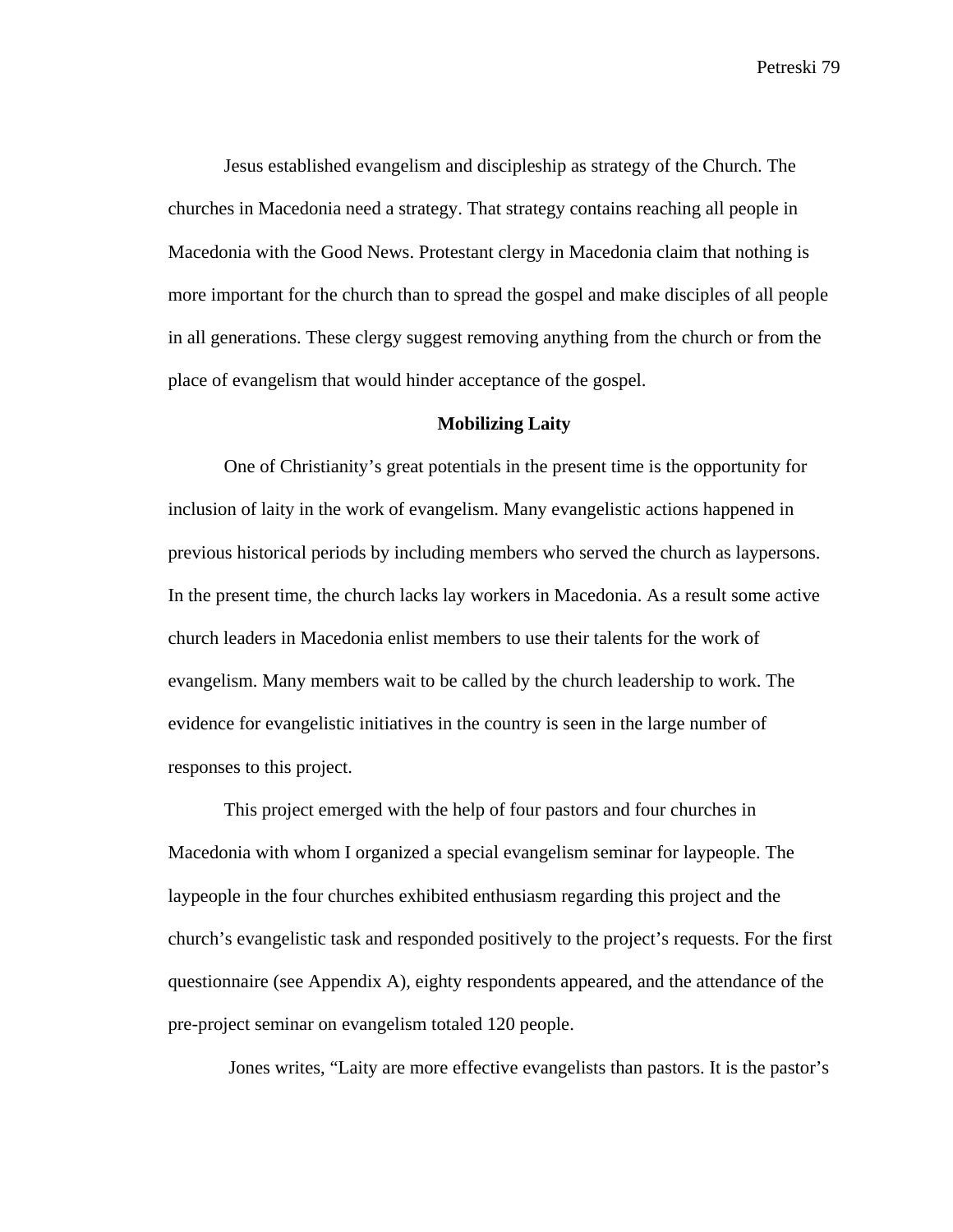Jesus established evangelism and discipleship as strategy of the Church. The churches in Macedonia need a strategy. That strategy contains reaching all people in Macedonia with the Good News. Protestant clergy in Macedonia claim that nothing is more important for the church than to spread the gospel and make disciples of all people in all generations. These clergy suggest removing anything from the church or from the place of evangelism that would hinder acceptance of the gospel.

#### **Mobilizing Laity**

One of Christianity's great potentials in the present time is the opportunity for inclusion of laity in the work of evangelism. Many evangelistic actions happened in previous historical periods by including members who served the church as laypersons. In the present time, the church lacks lay workers in Macedonia. As a result some active church leaders in Macedonia enlist members to use their talents for the work of evangelism. Many members wait to be called by the church leadership to work. The evidence for evangelistic initiatives in the country is seen in the large number of responses to this project.

This project emerged with the help of four pastors and four churches in Macedonia with whom I organized a special evangelism seminar for laypeople. The laypeople in the four churches exhibited enthusiasm regarding this project and the church's evangelistic task and responded positively to the project's requests. For the first questionnaire (see Appendix A), eighty respondents appeared, and the attendance of the pre-project seminar on evangelism totaled 120 people.

Jones writes, "Laity are more effective evangelists than pastors. It is the pastor's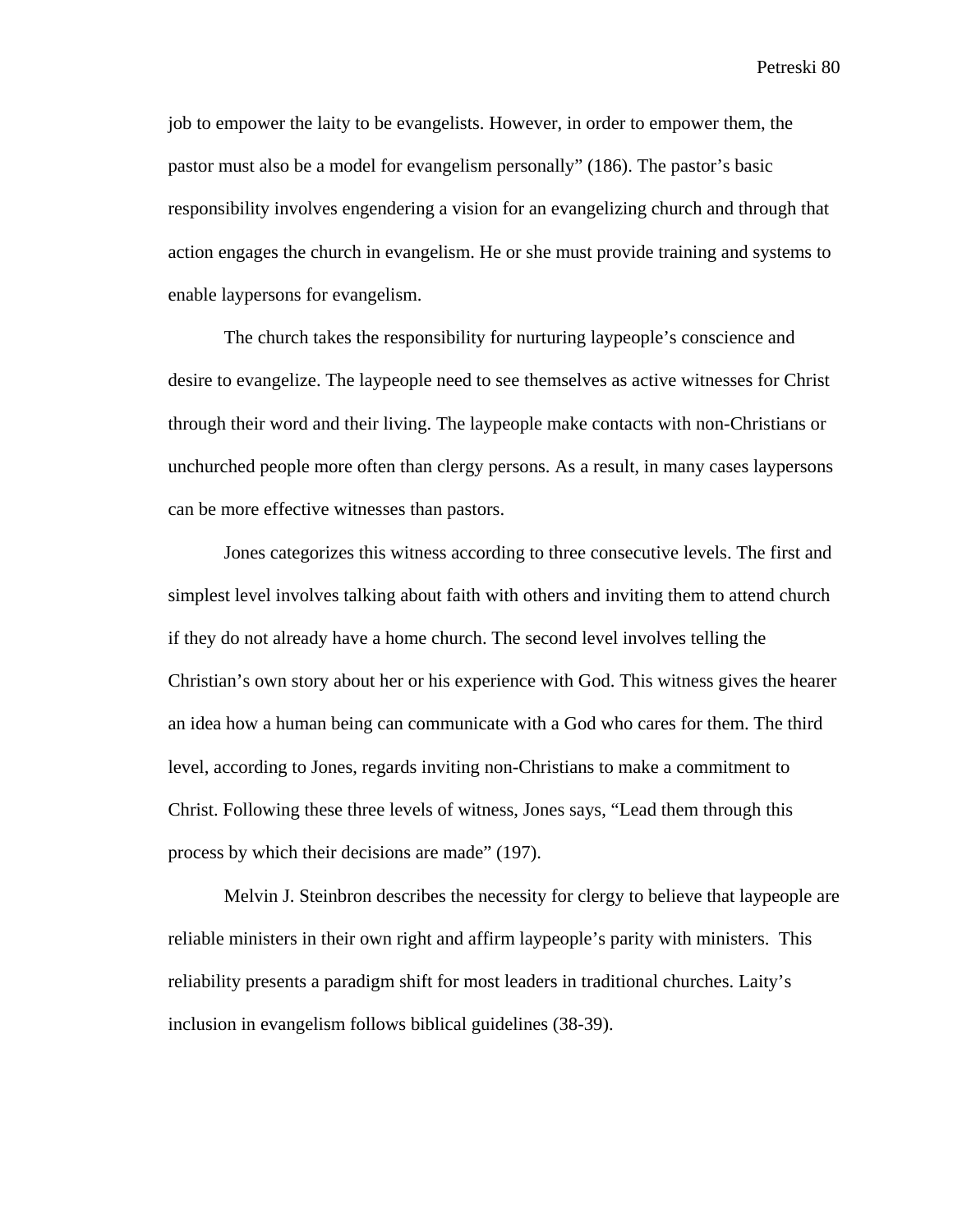job to empower the laity to be evangelists. However, in order to empower them, the pastor must also be a model for evangelism personally" (186). The pastor's basic responsibility involves engendering a vision for an evangelizing church and through that action engages the church in evangelism. He or she must provide training and systems to enable laypersons for evangelism.

The church takes the responsibility for nurturing laypeople's conscience and desire to evangelize. The laypeople need to see themselves as active witnesses for Christ through their word and their living. The laypeople make contacts with non-Christians or unchurched people more often than clergy persons. As a result, in many cases laypersons can be more effective witnesses than pastors.

Jones categorizes this witness according to three consecutive levels. The first and simplest level involves talking about faith with others and inviting them to attend church if they do not already have a home church. The second level involves telling the Christian's own story about her or his experience with God. This witness gives the hearer an idea how a human being can communicate with a God who cares for them. The third level, according to Jones, regards inviting non-Christians to make a commitment to Christ. Following these three levels of witness, Jones says, "Lead them through this process by which their decisions are made" (197).

Melvin J. Steinbron describes the necessity for clergy to believe that laypeople are reliable ministers in their own right and affirm laypeople's parity with ministers. This reliability presents a paradigm shift for most leaders in traditional churches. Laity's inclusion in evangelism follows biblical guidelines (38-39).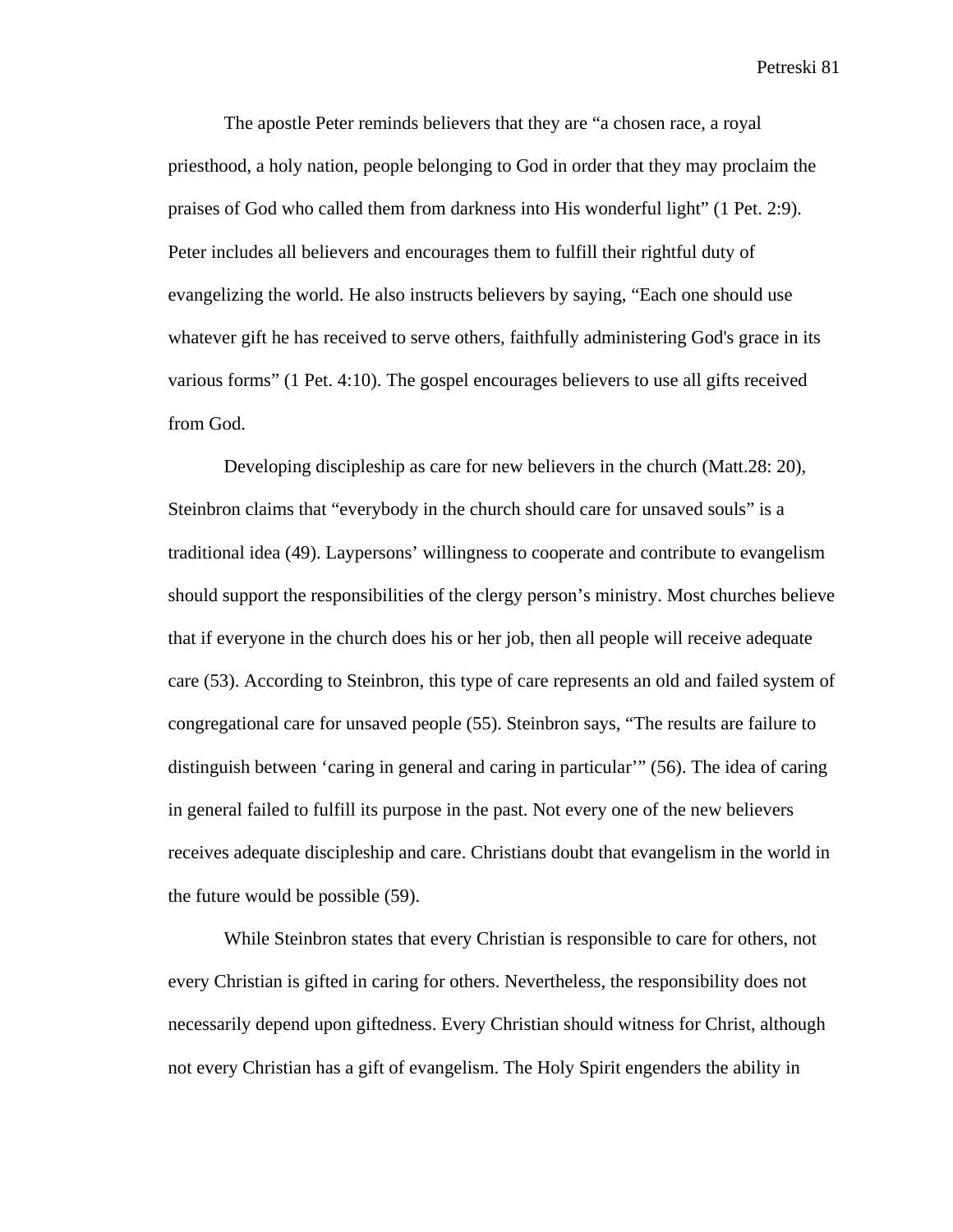The apostle Peter reminds believers that they are "a chosen race, a royal priesthood, a holy nation, people belonging to God in order that they may proclaim the praises of God who called them from darkness into His wonderful light" (1 Pet. 2:9). Peter includes all believers and encourages them to fulfill their rightful duty of evangelizing the world. He also instructs believers by saying, "Each one should use whatever gift he has received to serve others, faithfully administering God's grace in its various forms" (1 Pet. 4:10). The gospel encourages believers to use all gifts received from God.

Developing discipleship as care for new believers in the church (Matt.28: 20), Steinbron claims that "everybody in the church should care for unsaved souls" is a traditional idea (49). Laypersons' willingness to cooperate and contribute to evangelism should support the responsibilities of the clergy person's ministry. Most churches believe that if everyone in the church does his or her job, then all people will receive adequate care (53). According to Steinbron, this type of care represents an old and failed system of congregational care for unsaved people (55). Steinbron says, "The results are failure to distinguish between 'caring in general and caring in particular'" (56). The idea of caring in general failed to fulfill its purpose in the past. Not every one of the new believers receives adequate discipleship and care. Christians doubt that evangelism in the world in the future would be possible (59).

While Steinbron states that every Christian is responsible to care for others, not every Christian is gifted in caring for others. Nevertheless, the responsibility does not necessarily depend upon giftedness. Every Christian should witness for Christ, although not every Christian has a gift of evangelism. The Holy Spirit engenders the ability in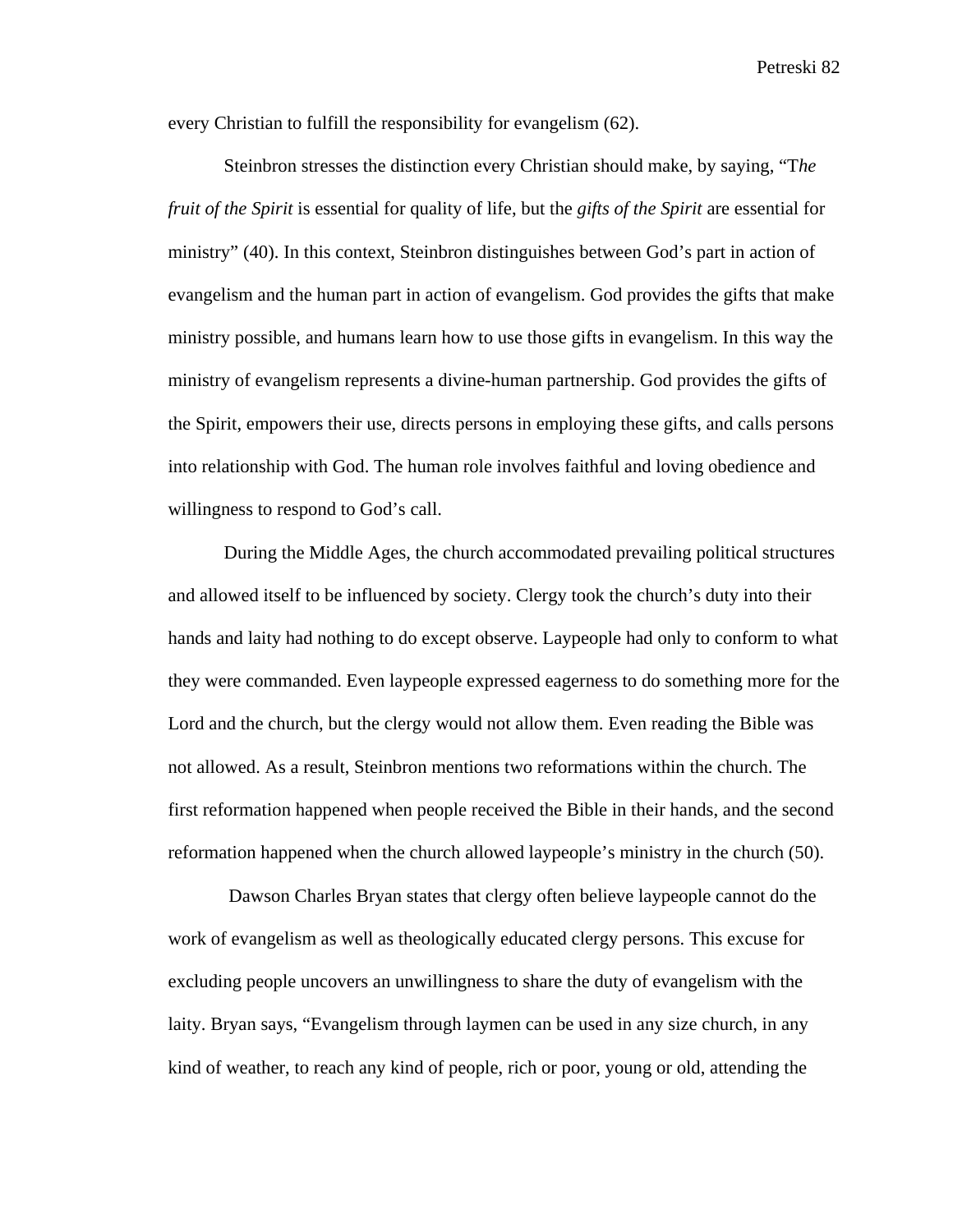every Christian to fulfill the responsibility for evangelism (62).

Steinbron stresses the distinction every Christian should make, by saying, "T*he fruit of the Spirit* is essential for quality of life, but the *gifts of the Spirit* are essential for ministry" (40). In this context, Steinbron distinguishes between God's part in action of evangelism and the human part in action of evangelism. God provides the gifts that make ministry possible, and humans learn how to use those gifts in evangelism. In this way the ministry of evangelism represents a divine-human partnership. God provides the gifts of the Spirit, empowers their use, directs persons in employing these gifts, and calls persons into relationship with God. The human role involves faithful and loving obedience and willingness to respond to God's call.

During the Middle Ages, the church accommodated prevailing political structures and allowed itself to be influenced by society. Clergy took the church's duty into their hands and laity had nothing to do except observe. Laypeople had only to conform to what they were commanded. Even laypeople expressed eagerness to do something more for the Lord and the church, but the clergy would not allow them. Even reading the Bible was not allowed. As a result, Steinbron mentions two reformations within the church. The first reformation happened when people received the Bible in their hands, and the second reformation happened when the church allowed laypeople's ministry in the church (50).

 Dawson Charles Bryan states that clergy often believe laypeople cannot do the work of evangelism as well as theologically educated clergy persons. This excuse for excluding people uncovers an unwillingness to share the duty of evangelism with the laity. Bryan says, "Evangelism through laymen can be used in any size church, in any kind of weather, to reach any kind of people, rich or poor, young or old, attending the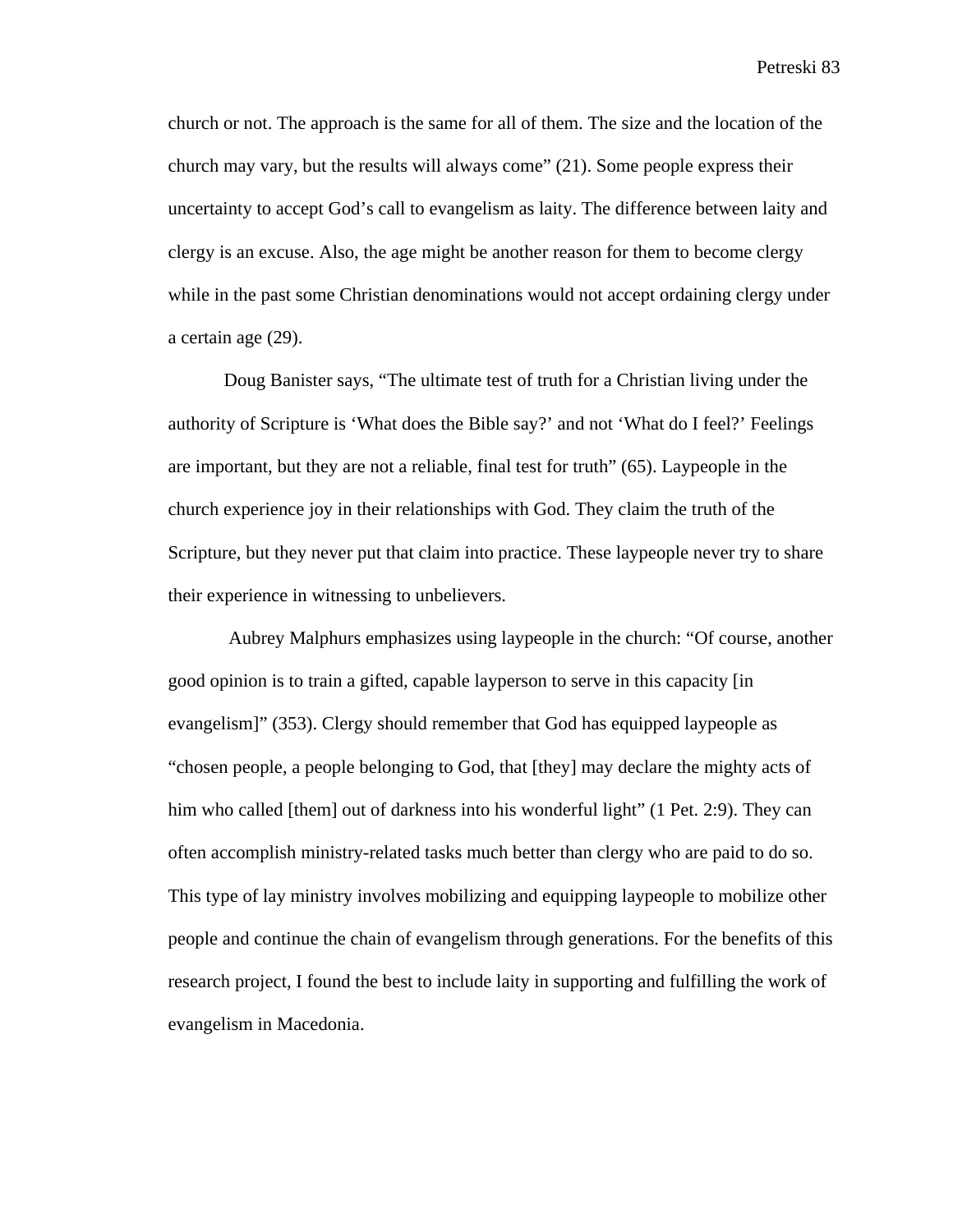church or not. The approach is the same for all of them. The size and the location of the church may vary, but the results will always come" (21). Some people express their uncertainty to accept God's call to evangelism as laity. The difference between laity and clergy is an excuse. Also, the age might be another reason for them to become clergy while in the past some Christian denominations would not accept ordaining clergy under a certain age (29).

Doug Banister says, "The ultimate test of truth for a Christian living under the authority of Scripture is 'What does the Bible say?' and not 'What do I feel?' Feelings are important, but they are not a reliable, final test for truth" (65). Laypeople in the church experience joy in their relationships with God. They claim the truth of the Scripture, but they never put that claim into practice. These laypeople never try to share their experience in witnessing to unbelievers.

 Aubrey Malphurs emphasizes using laypeople in the church: "Of course, another good opinion is to train a gifted, capable layperson to serve in this capacity [in evangelism]" (353). Clergy should remember that God has equipped laypeople as "chosen people, a people belonging to God, that [they] may declare the mighty acts of him who called [them] out of darkness into his wonderful light" (1 Pet. 2:9). They can often accomplish ministry-related tasks much better than clergy who are paid to do so. This type of lay ministry involves mobilizing and equipping laypeople to mobilize other people and continue the chain of evangelism through generations. For the benefits of this research project, I found the best to include laity in supporting and fulfilling the work of evangelism in Macedonia.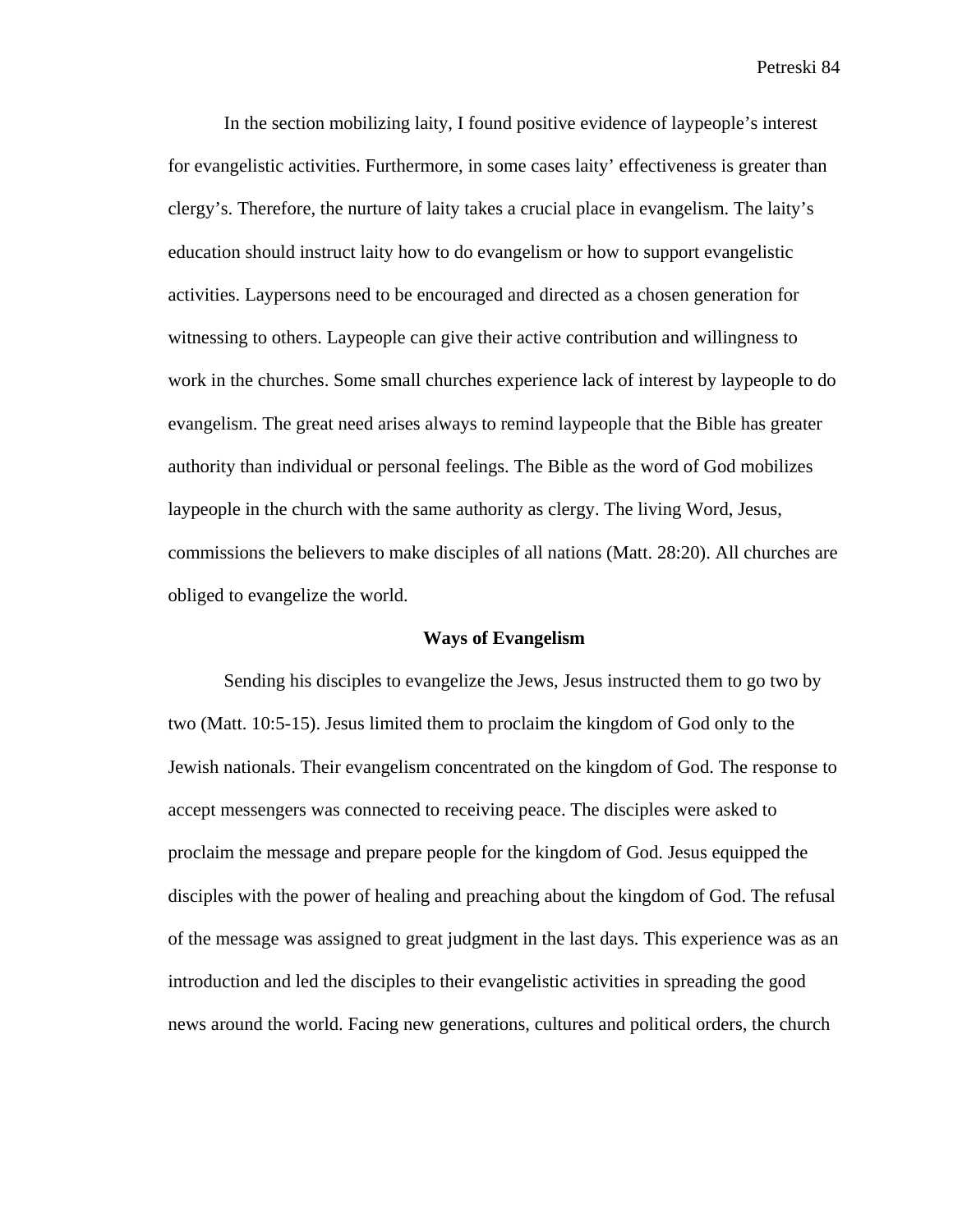In the section mobilizing laity, I found positive evidence of laypeople's interest for evangelistic activities. Furthermore, in some cases laity' effectiveness is greater than clergy's. Therefore, the nurture of laity takes a crucial place in evangelism. The laity's education should instruct laity how to do evangelism or how to support evangelistic activities. Laypersons need to be encouraged and directed as a chosen generation for witnessing to others. Laypeople can give their active contribution and willingness to work in the churches. Some small churches experience lack of interest by laypeople to do evangelism. The great need arises always to remind laypeople that the Bible has greater authority than individual or personal feelings. The Bible as the word of God mobilizes laypeople in the church with the same authority as clergy. The living Word, Jesus, commissions the believers to make disciples of all nations (Matt. 28:20). All churches are obliged to evangelize the world.

## **Ways of Evangelism**

Sending his disciples to evangelize the Jews, Jesus instructed them to go two by two (Matt. 10:5-15). Jesus limited them to proclaim the kingdom of God only to the Jewish nationals. Their evangelism concentrated on the kingdom of God. The response to accept messengers was connected to receiving peace. The disciples were asked to proclaim the message and prepare people for the kingdom of God. Jesus equipped the disciples with the power of healing and preaching about the kingdom of God. The refusal of the message was assigned to great judgment in the last days. This experience was as an introduction and led the disciples to their evangelistic activities in spreading the good news around the world. Facing new generations, cultures and political orders, the church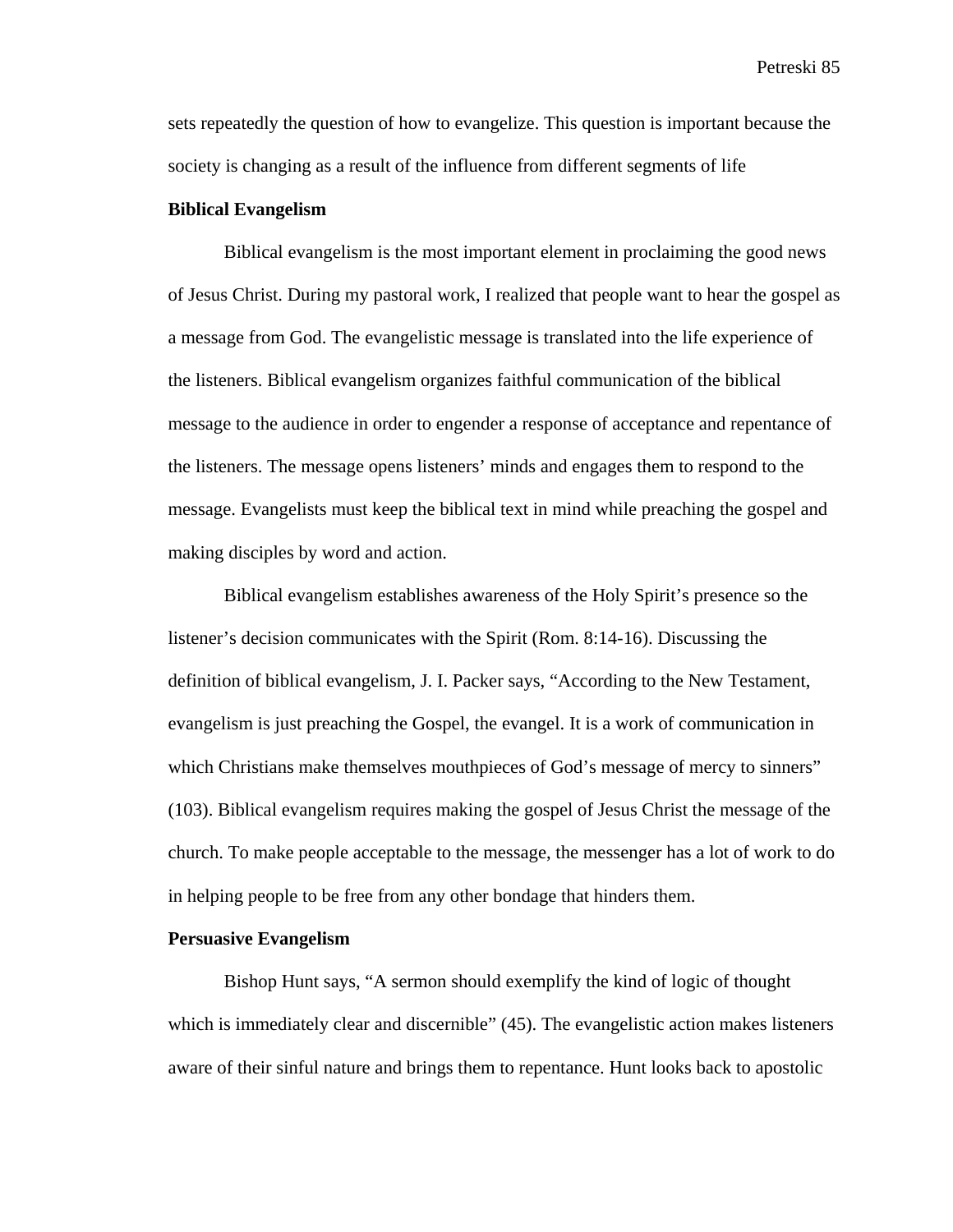sets repeatedly the question of how to evangelize. This question is important because the society is changing as a result of the influence from different segments of life

## **Biblical Evangelism**

Biblical evangelism is the most important element in proclaiming the good news of Jesus Christ. During my pastoral work, I realized that people want to hear the gospel as a message from God. The evangelistic message is translated into the life experience of the listeners. Biblical evangelism organizes faithful communication of the biblical message to the audience in order to engender a response of acceptance and repentance of the listeners. The message opens listeners' minds and engages them to respond to the message. Evangelists must keep the biblical text in mind while preaching the gospel and making disciples by word and action.

Biblical evangelism establishes awareness of the Holy Spirit's presence so the listener's decision communicates with the Spirit (Rom. 8:14-16). Discussing the definition of biblical evangelism, J. I. Packer says, "According to the New Testament, evangelism is just preaching the Gospel, the evangel. It is a work of communication in which Christians make themselves mouthpieces of God's message of mercy to sinners" (103). Biblical evangelism requires making the gospel of Jesus Christ the message of the church. To make people acceptable to the message, the messenger has a lot of work to do in helping people to be free from any other bondage that hinders them.

## **Persuasive Evangelism**

Bishop Hunt says, "A sermon should exemplify the kind of logic of thought which is immediately clear and discernible" (45). The evangelistic action makes listeners aware of their sinful nature and brings them to repentance. Hunt looks back to apostolic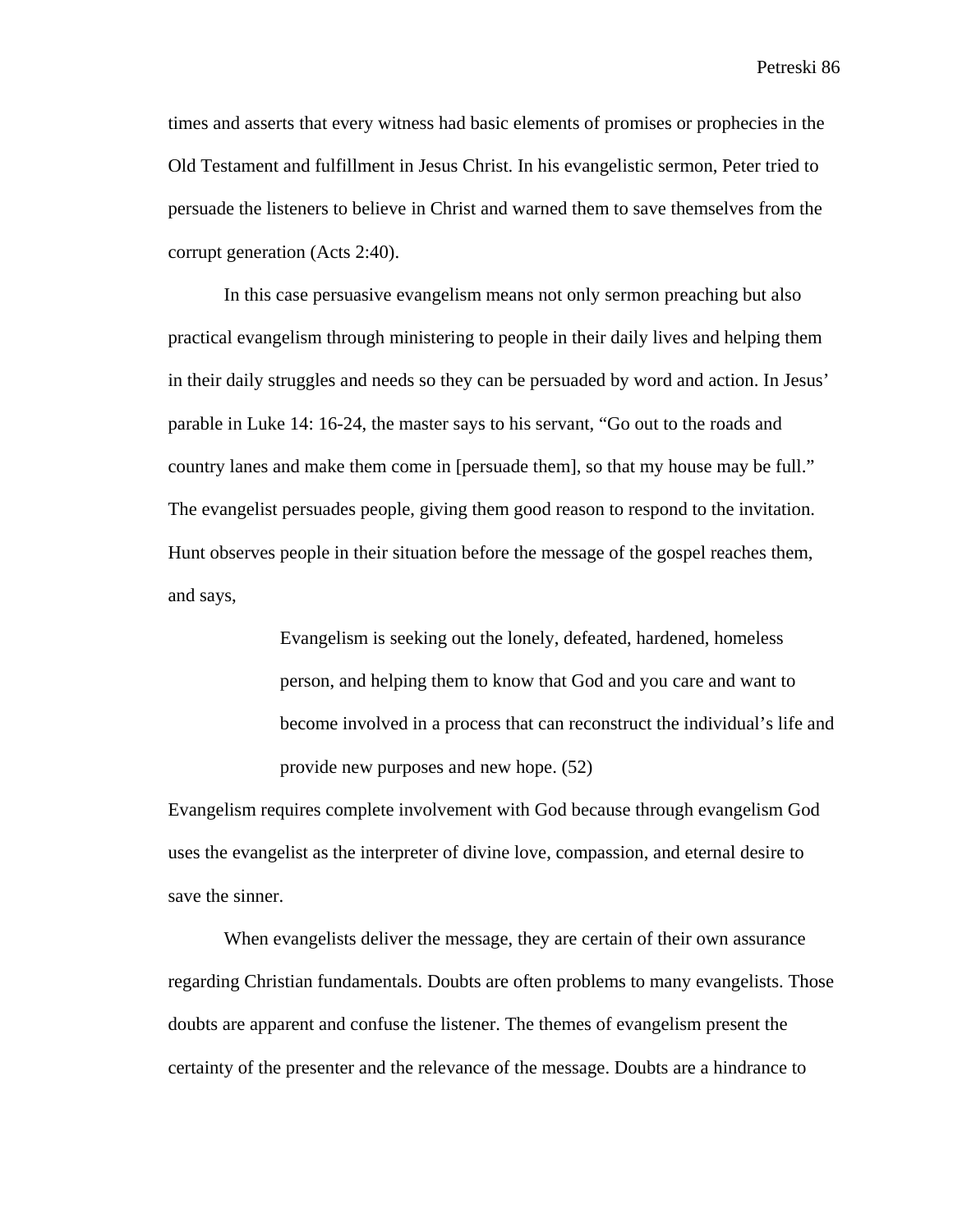times and asserts that every witness had basic elements of promises or prophecies in the Old Testament and fulfillment in Jesus Christ. In his evangelistic sermon, Peter tried to persuade the listeners to believe in Christ and warned them to save themselves from the corrupt generation (Acts 2:40).

In this case persuasive evangelism means not only sermon preaching but also practical evangelism through ministering to people in their daily lives and helping them in their daily struggles and needs so they can be persuaded by word and action. In Jesus' parable in Luke 14: 16-24, the master says to his servant, "Go out to the roads and country lanes and make them come in [persuade them], so that my house may be full." The evangelist persuades people, giving them good reason to respond to the invitation. Hunt observes people in their situation before the message of the gospel reaches them, and says,

> Evangelism is seeking out the lonely, defeated, hardened, homeless person, and helping them to know that God and you care and want to become involved in a process that can reconstruct the individual's life and provide new purposes and new hope. (52)

Evangelism requires complete involvement with God because through evangelism God uses the evangelist as the interpreter of divine love, compassion, and eternal desire to save the sinner.

When evangelists deliver the message, they are certain of their own assurance regarding Christian fundamentals. Doubts are often problems to many evangelists. Those doubts are apparent and confuse the listener. The themes of evangelism present the certainty of the presenter and the relevance of the message. Doubts are a hindrance to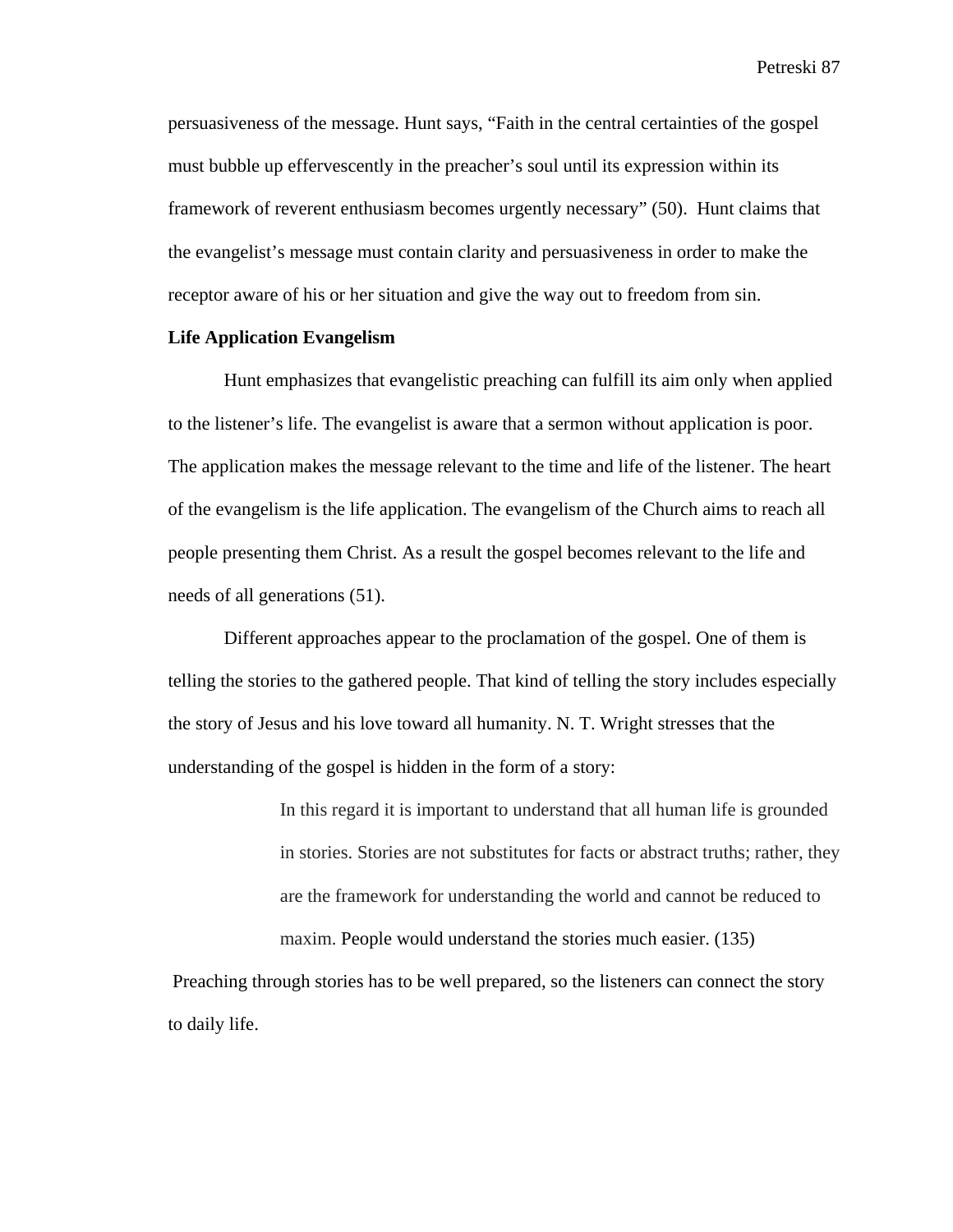persuasiveness of the message. Hunt says, "Faith in the central certainties of the gospel must bubble up effervescently in the preacher's soul until its expression within its framework of reverent enthusiasm becomes urgently necessary" (50). Hunt claims that the evangelist's message must contain clarity and persuasiveness in order to make the receptor aware of his or her situation and give the way out to freedom from sin.

# **Life Application Evangelism**

Hunt emphasizes that evangelistic preaching can fulfill its aim only when applied to the listener's life. The evangelist is aware that a sermon without application is poor. The application makes the message relevant to the time and life of the listener. The heart of the evangelism is the life application. The evangelism of the Church aims to reach all people presenting them Christ. As a result the gospel becomes relevant to the life and needs of all generations (51).

Different approaches appear to the proclamation of the gospel. One of them is telling the stories to the gathered people. That kind of telling the story includes especially the story of Jesus and his love toward all humanity. N. T. Wright stresses that the understanding of the gospel is hidden in the form of a story:

> In this regard it is important to understand that all human life is grounded in stories. Stories are not substitutes for facts or abstract truths; rather, they are the framework for understanding the world and cannot be reduced to maxim. People would understand the stories much easier. (135)

 Preaching through stories has to be well prepared, so the listeners can connect the story to daily life.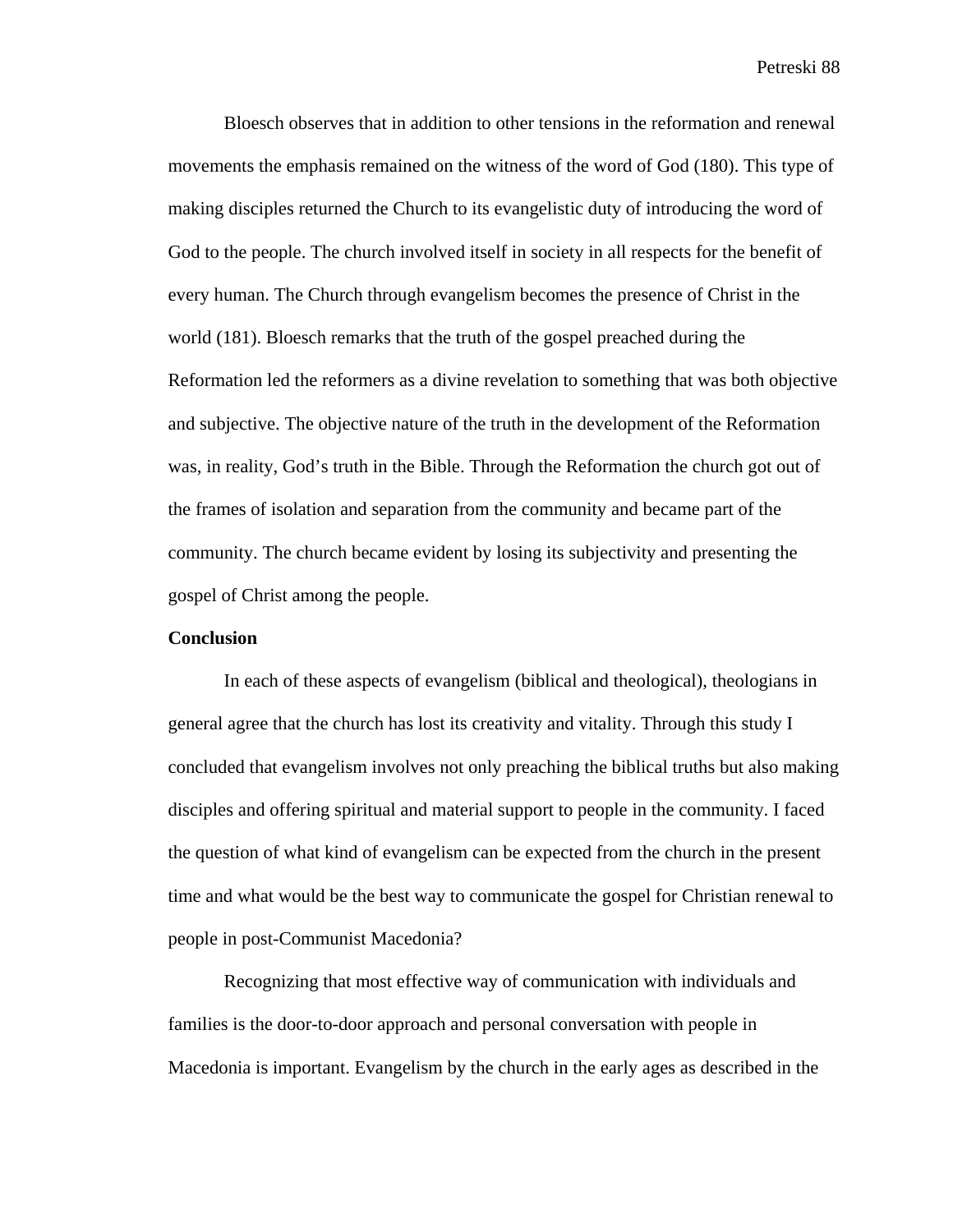Bloesch observes that in addition to other tensions in the reformation and renewal movements the emphasis remained on the witness of the word of God (180). This type of making disciples returned the Church to its evangelistic duty of introducing the word of God to the people. The church involved itself in society in all respects for the benefit of every human. The Church through evangelism becomes the presence of Christ in the world (181). Bloesch remarks that the truth of the gospel preached during the Reformation led the reformers as a divine revelation to something that was both objective and subjective. The objective nature of the truth in the development of the Reformation was, in reality, God's truth in the Bible. Through the Reformation the church got out of the frames of isolation and separation from the community and became part of the community. The church became evident by losing its subjectivity and presenting the gospel of Christ among the people.

## **Conclusion**

In each of these aspects of evangelism (biblical and theological), theologians in general agree that the church has lost its creativity and vitality. Through this study I concluded that evangelism involves not only preaching the biblical truths but also making disciples and offering spiritual and material support to people in the community. I faced the question of what kind of evangelism can be expected from the church in the present time and what would be the best way to communicate the gospel for Christian renewal to people in post-Communist Macedonia?

Recognizing that most effective way of communication with individuals and families is the door-to-door approach and personal conversation with people in Macedonia is important. Evangelism by the church in the early ages as described in the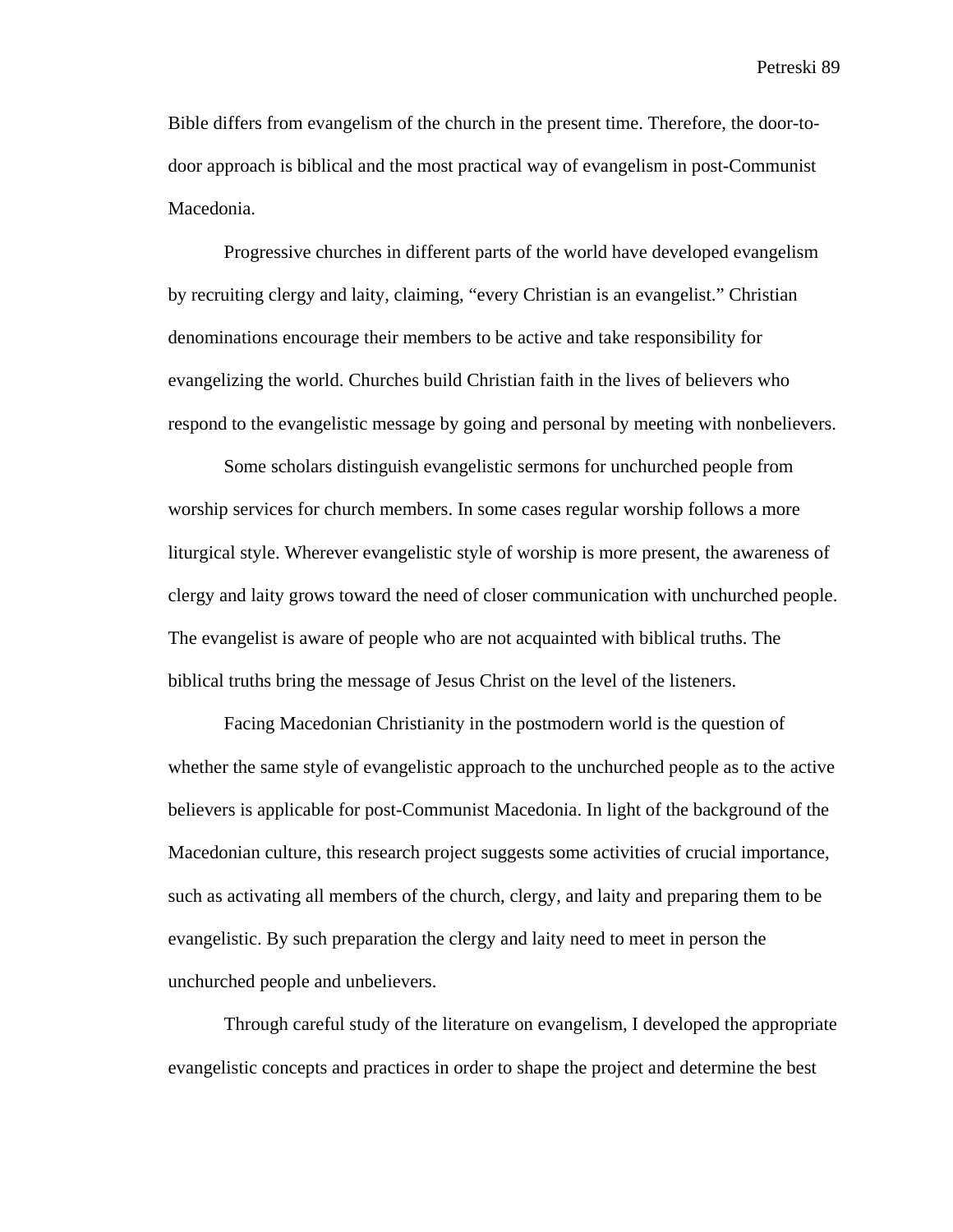Bible differs from evangelism of the church in the present time. Therefore, the door-todoor approach is biblical and the most practical way of evangelism in post-Communist Macedonia.

Progressive churches in different parts of the world have developed evangelism by recruiting clergy and laity, claiming, "every Christian is an evangelist." Christian denominations encourage their members to be active and take responsibility for evangelizing the world. Churches build Christian faith in the lives of believers who respond to the evangelistic message by going and personal by meeting with nonbelievers.

Some scholars distinguish evangelistic sermons for unchurched people from worship services for church members. In some cases regular worship follows a more liturgical style. Wherever evangelistic style of worship is more present, the awareness of clergy and laity grows toward the need of closer communication with unchurched people. The evangelist is aware of people who are not acquainted with biblical truths. The biblical truths bring the message of Jesus Christ on the level of the listeners.

Facing Macedonian Christianity in the postmodern world is the question of whether the same style of evangelistic approach to the unchurched people as to the active believers is applicable for post-Communist Macedonia. In light of the background of the Macedonian culture, this research project suggests some activities of crucial importance, such as activating all members of the church, clergy, and laity and preparing them to be evangelistic. By such preparation the clergy and laity need to meet in person the unchurched people and unbelievers.

Through careful study of the literature on evangelism, I developed the appropriate evangelistic concepts and practices in order to shape the project and determine the best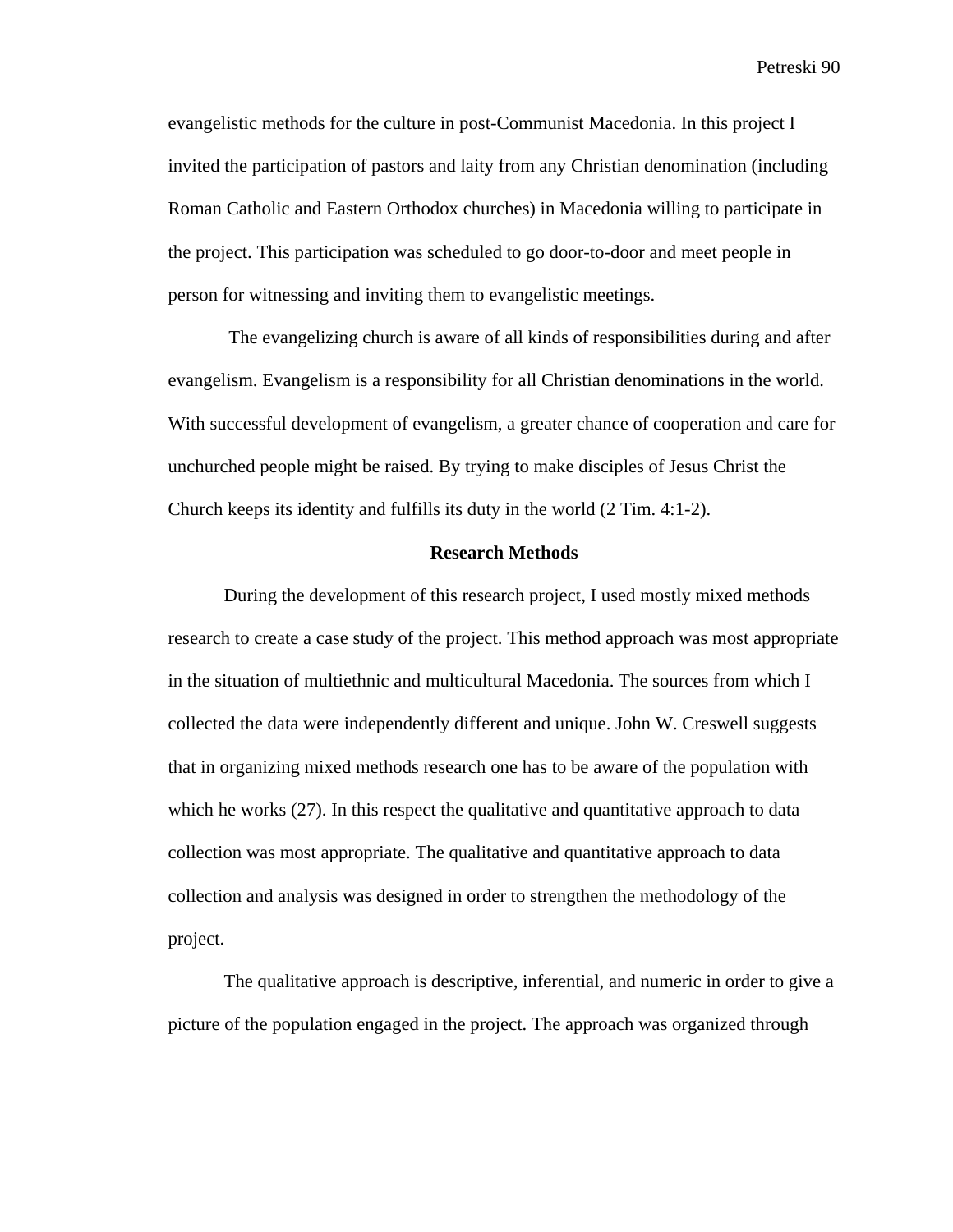evangelistic methods for the culture in post-Communist Macedonia. In this project I invited the participation of pastors and laity from any Christian denomination (including Roman Catholic and Eastern Orthodox churches) in Macedonia willing to participate in the project. This participation was scheduled to go door-to-door and meet people in person for witnessing and inviting them to evangelistic meetings.

 The evangelizing church is aware of all kinds of responsibilities during and after evangelism. Evangelism is a responsibility for all Christian denominations in the world. With successful development of evangelism, a greater chance of cooperation and care for unchurched people might be raised. By trying to make disciples of Jesus Christ the Church keeps its identity and fulfills its duty in the world (2 Tim. 4:1-2).

### **Research Methods**

During the development of this research project, I used mostly mixed methods research to create a case study of the project. This method approach was most appropriate in the situation of multiethnic and multicultural Macedonia. The sources from which I collected the data were independently different and unique. John W. Creswell suggests that in organizing mixed methods research one has to be aware of the population with which he works (27). In this respect the qualitative and quantitative approach to data collection was most appropriate. The qualitative and quantitative approach to data collection and analysis was designed in order to strengthen the methodology of the project.

The qualitative approach is descriptive, inferential, and numeric in order to give a picture of the population engaged in the project. The approach was organized through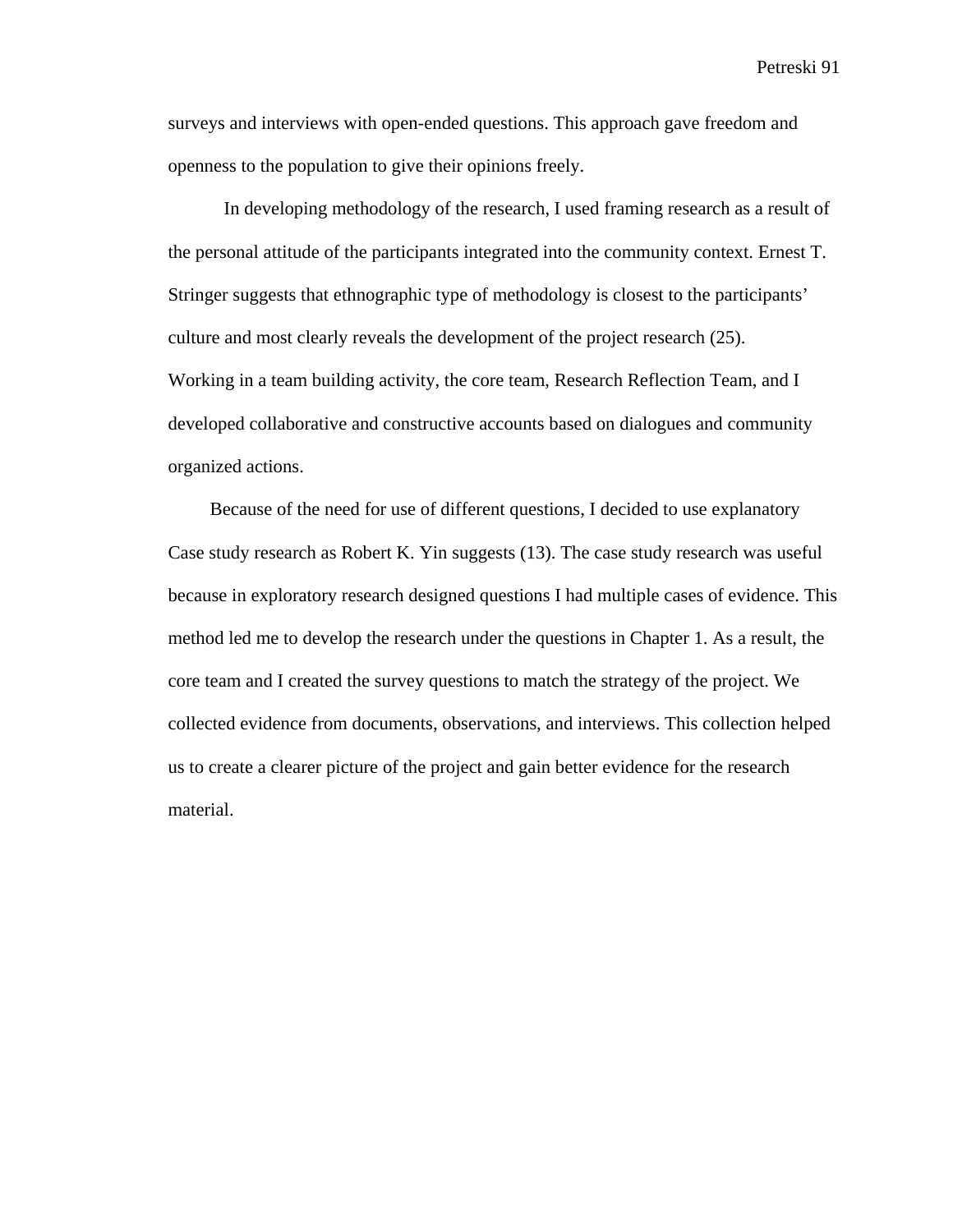surveys and interviews with open-ended questions. This approach gave freedom and openness to the population to give their opinions freely.

In developing methodology of the research, I used framing research as a result of the personal attitude of the participants integrated into the community context. Ernest T. Stringer suggests that ethnographic type of methodology is closest to the participants' culture and most clearly reveals the development of the project research (25). Working in a team building activity, the core team, Research Reflection Team, and I developed collaborative and constructive accounts based on dialogues and community organized actions.

 Because of the need for use of different questions, I decided to use explanatory Case study research as Robert K. Yin suggests (13). The case study research was useful because in exploratory research designed questions I had multiple cases of evidence. This method led me to develop the research under the questions in Chapter 1. As a result, the core team and I created the survey questions to match the strategy of the project. We collected evidence from documents, observations, and interviews. This collection helped us to create a clearer picture of the project and gain better evidence for the research material.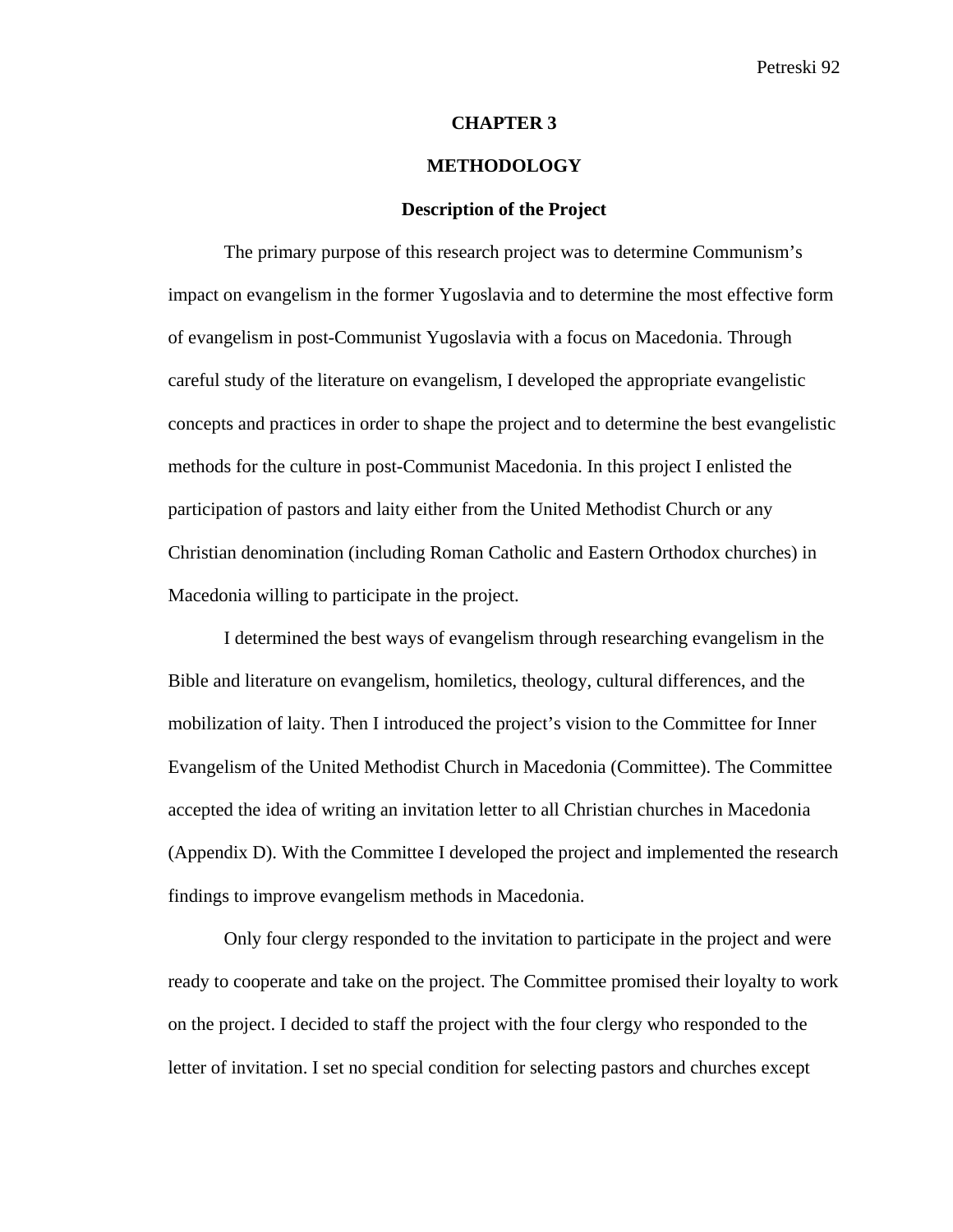### **CHAPTER 3**

# **METHODOLOGY**

### **Description of the Project**

The primary purpose of this research project was to determine Communism's impact on evangelism in the former Yugoslavia and to determine the most effective form of evangelism in post-Communist Yugoslavia with a focus on Macedonia. Through careful study of the literature on evangelism, I developed the appropriate evangelistic concepts and practices in order to shape the project and to determine the best evangelistic methods for the culture in post-Communist Macedonia. In this project I enlisted the participation of pastors and laity either from the United Methodist Church or any Christian denomination (including Roman Catholic and Eastern Orthodox churches) in Macedonia willing to participate in the project.

I determined the best ways of evangelism through researching evangelism in the Bible and literature on evangelism, homiletics, theology, cultural differences, and the mobilization of laity. Then I introduced the project's vision to the Committee for Inner Evangelism of the United Methodist Church in Macedonia (Committee). The Committee accepted the idea of writing an invitation letter to all Christian churches in Macedonia (Appendix D). With the Committee I developed the project and implemented the research findings to improve evangelism methods in Macedonia.

Only four clergy responded to the invitation to participate in the project and were ready to cooperate and take on the project. The Committee promised their loyalty to work on the project. I decided to staff the project with the four clergy who responded to the letter of invitation. I set no special condition for selecting pastors and churches except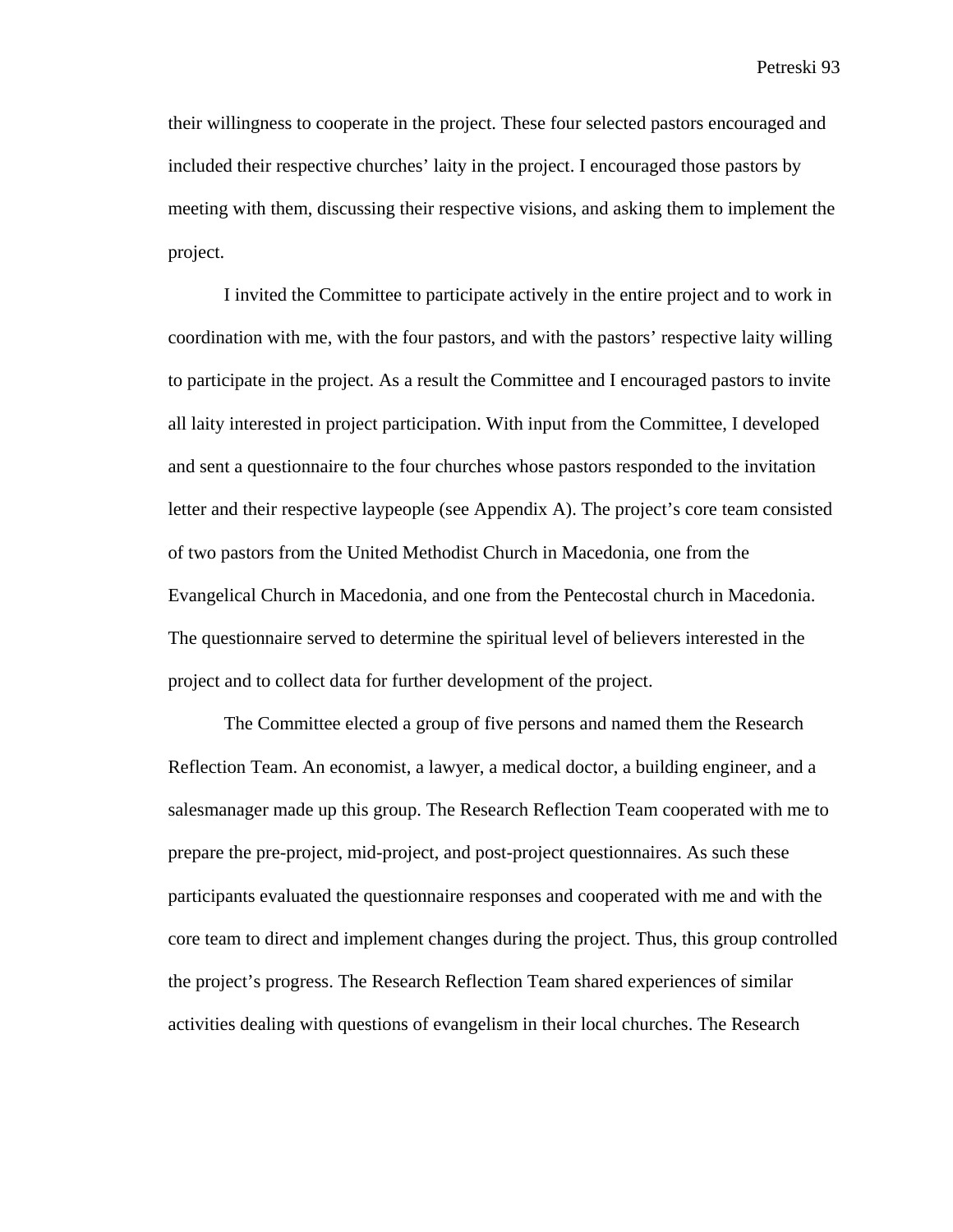their willingness to cooperate in the project. These four selected pastors encouraged and included their respective churches' laity in the project. I encouraged those pastors by meeting with them, discussing their respective visions, and asking them to implement the project.

I invited the Committee to participate actively in the entire project and to work in coordination with me, with the four pastors, and with the pastors' respective laity willing to participate in the project. As a result the Committee and I encouraged pastors to invite all laity interested in project participation. With input from the Committee, I developed and sent a questionnaire to the four churches whose pastors responded to the invitation letter and their respective laypeople (see Appendix A). The project's core team consisted of two pastors from the United Methodist Church in Macedonia, one from the Evangelical Church in Macedonia, and one from the Pentecostal church in Macedonia. The questionnaire served to determine the spiritual level of believers interested in the project and to collect data for further development of the project.

The Committee elected a group of five persons and named them the Research Reflection Team. An economist, a lawyer, a medical doctor, a building engineer, and a salesmanager made up this group. The Research Reflection Team cooperated with me to prepare the pre-project, mid-project, and post-project questionnaires. As such these participants evaluated the questionnaire responses and cooperated with me and with the core team to direct and implement changes during the project. Thus, this group controlled the project's progress. The Research Reflection Team shared experiences of similar activities dealing with questions of evangelism in their local churches. The Research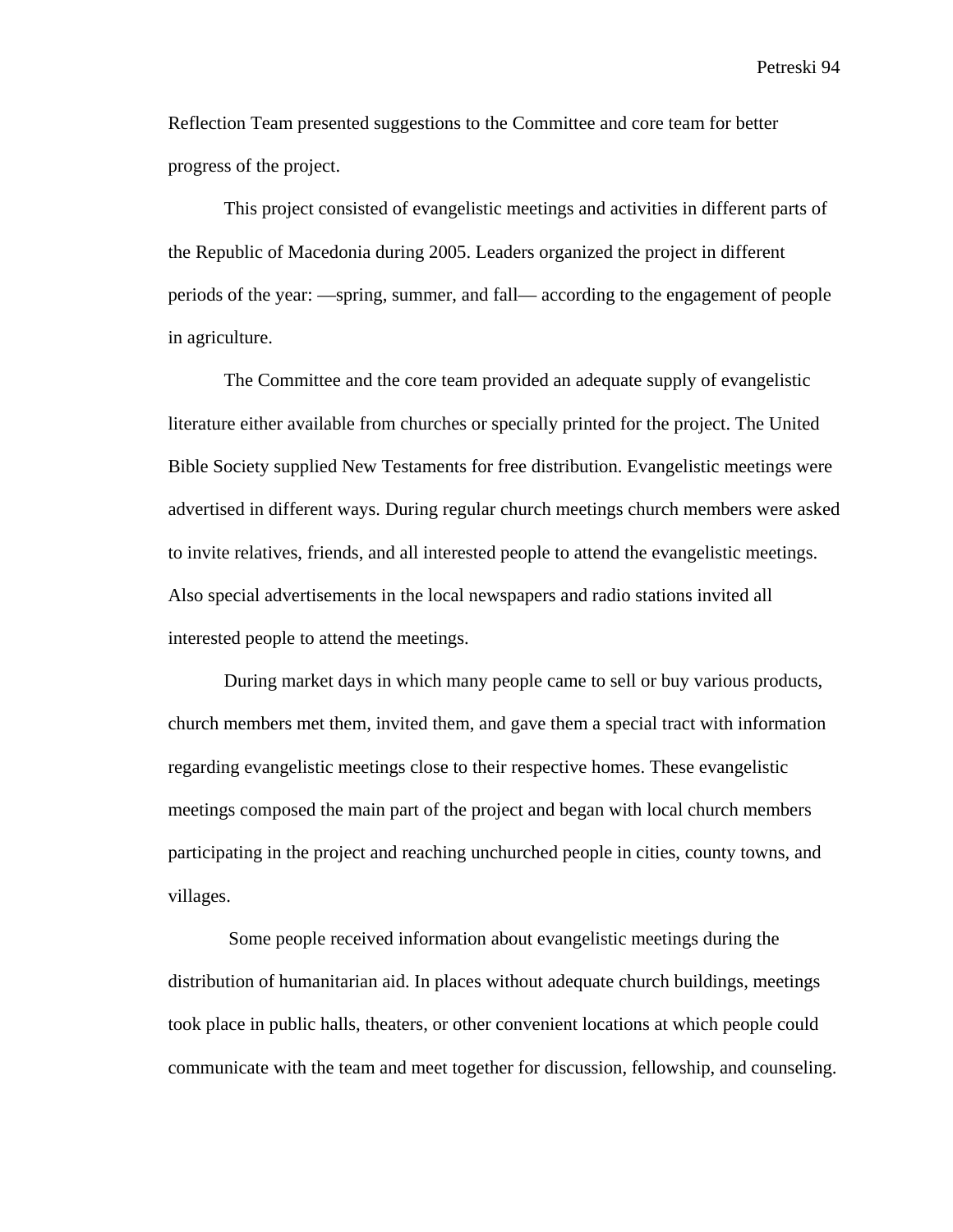Reflection Team presented suggestions to the Committee and core team for better progress of the project.

This project consisted of evangelistic meetings and activities in different parts of the Republic of Macedonia during 2005. Leaders organized the project in different periods of the year: —spring, summer, and fall— according to the engagement of people in agriculture.

The Committee and the core team provided an adequate supply of evangelistic literature either available from churches or specially printed for the project. The United Bible Society supplied New Testaments for free distribution. Evangelistic meetings were advertised in different ways. During regular church meetings church members were asked to invite relatives, friends, and all interested people to attend the evangelistic meetings. Also special advertisements in the local newspapers and radio stations invited all interested people to attend the meetings.

During market days in which many people came to sell or buy various products, church members met them, invited them, and gave them a special tract with information regarding evangelistic meetings close to their respective homes. These evangelistic meetings composed the main part of the project and began with local church members participating in the project and reaching unchurched people in cities, county towns, and villages.

 Some people received information about evangelistic meetings during the distribution of humanitarian aid. In places without adequate church buildings, meetings took place in public halls, theaters, or other convenient locations at which people could communicate with the team and meet together for discussion, fellowship, and counseling.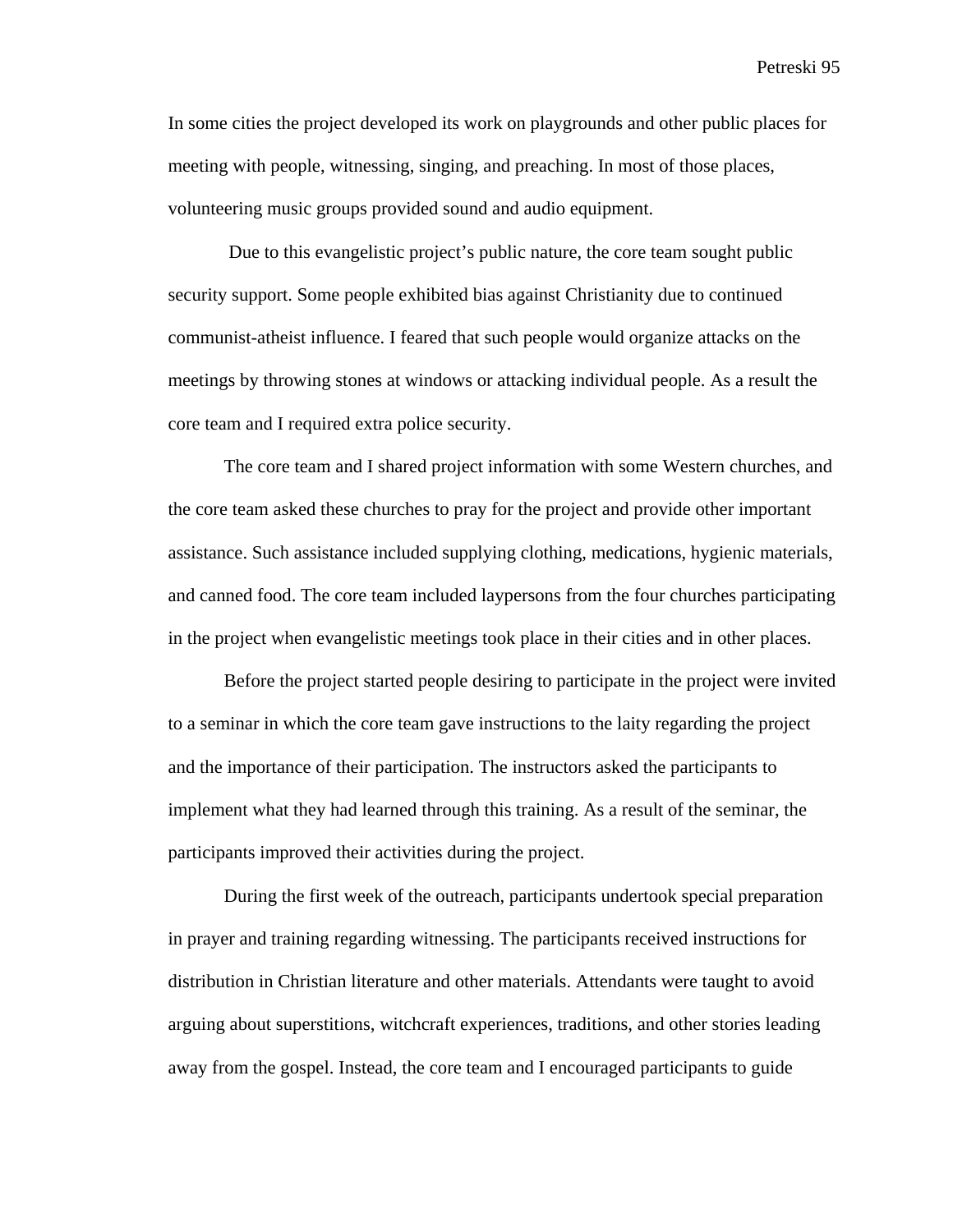In some cities the project developed its work on playgrounds and other public places for meeting with people, witnessing, singing, and preaching. In most of those places, volunteering music groups provided sound and audio equipment.

 Due to this evangelistic project's public nature, the core team sought public security support. Some people exhibited bias against Christianity due to continued communist-atheist influence. I feared that such people would organize attacks on the meetings by throwing stones at windows or attacking individual people. As a result the core team and I required extra police security.

The core team and I shared project information with some Western churches, and the core team asked these churches to pray for the project and provide other important assistance. Such assistance included supplying clothing, medications, hygienic materials, and canned food. The core team included laypersons from the four churches participating in the project when evangelistic meetings took place in their cities and in other places.

Before the project started people desiring to participate in the project were invited to a seminar in which the core team gave instructions to the laity regarding the project and the importance of their participation. The instructors asked the participants to implement what they had learned through this training. As a result of the seminar, the participants improved their activities during the project.

During the first week of the outreach, participants undertook special preparation in prayer and training regarding witnessing. The participants received instructions for distribution in Christian literature and other materials. Attendants were taught to avoid arguing about superstitions, witchcraft experiences, traditions, and other stories leading away from the gospel. Instead, the core team and I encouraged participants to guide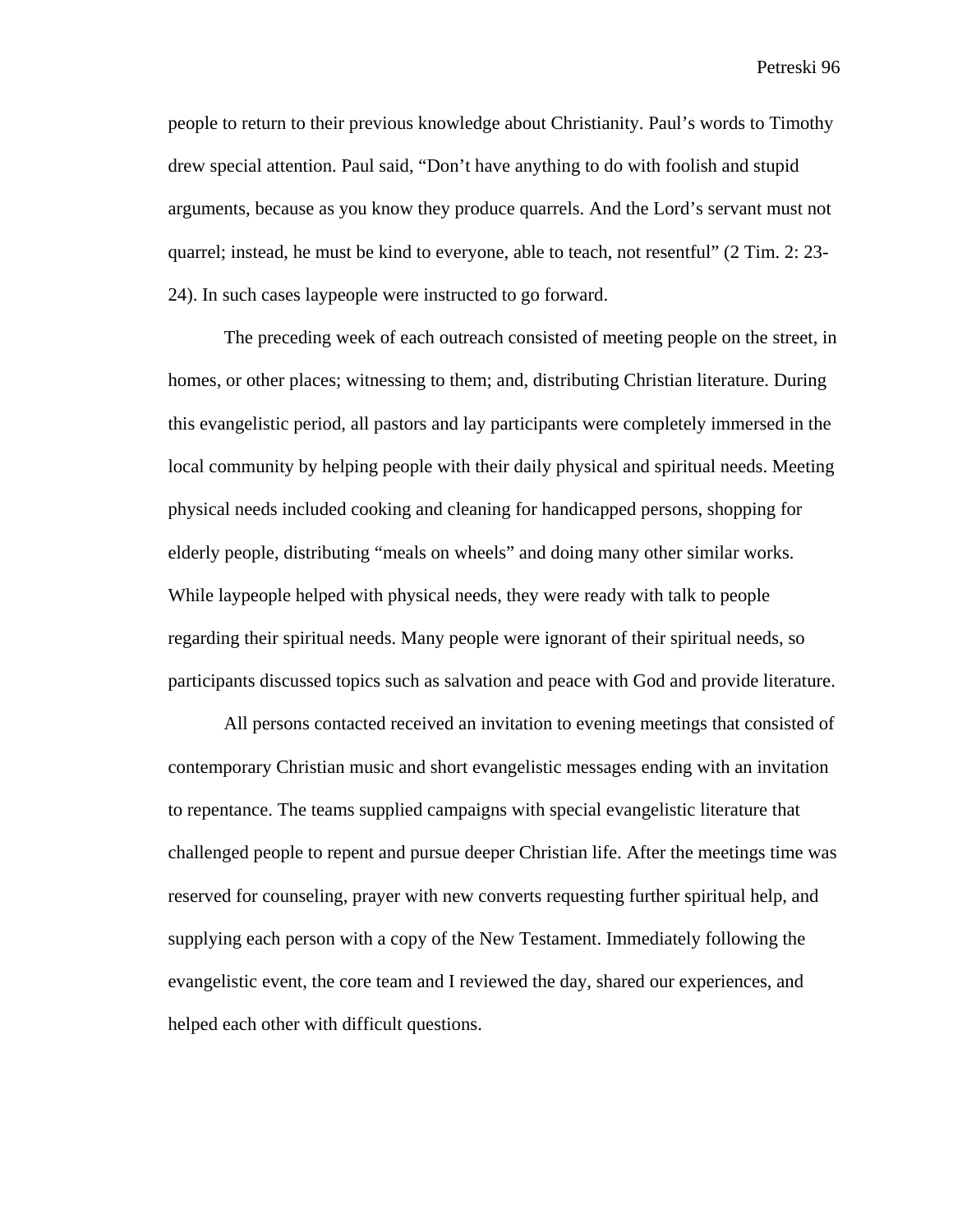people to return to their previous knowledge about Christianity. Paul's words to Timothy drew special attention. Paul said, "Don't have anything to do with foolish and stupid arguments, because as you know they produce quarrels. And the Lord's servant must not quarrel; instead, he must be kind to everyone, able to teach, not resentful" (2 Tim. 2: 23- 24). In such cases laypeople were instructed to go forward.

The preceding week of each outreach consisted of meeting people on the street, in homes, or other places; witnessing to them; and, distributing Christian literature. During this evangelistic period, all pastors and lay participants were completely immersed in the local community by helping people with their daily physical and spiritual needs. Meeting physical needs included cooking and cleaning for handicapped persons, shopping for elderly people, distributing "meals on wheels" and doing many other similar works. While laypeople helped with physical needs, they were ready with talk to people regarding their spiritual needs. Many people were ignorant of their spiritual needs, so participants discussed topics such as salvation and peace with God and provide literature.

All persons contacted received an invitation to evening meetings that consisted of contemporary Christian music and short evangelistic messages ending with an invitation to repentance. The teams supplied campaigns with special evangelistic literature that challenged people to repent and pursue deeper Christian life. After the meetings time was reserved for counseling, prayer with new converts requesting further spiritual help, and supplying each person with a copy of the New Testament. Immediately following the evangelistic event, the core team and I reviewed the day, shared our experiences, and helped each other with difficult questions.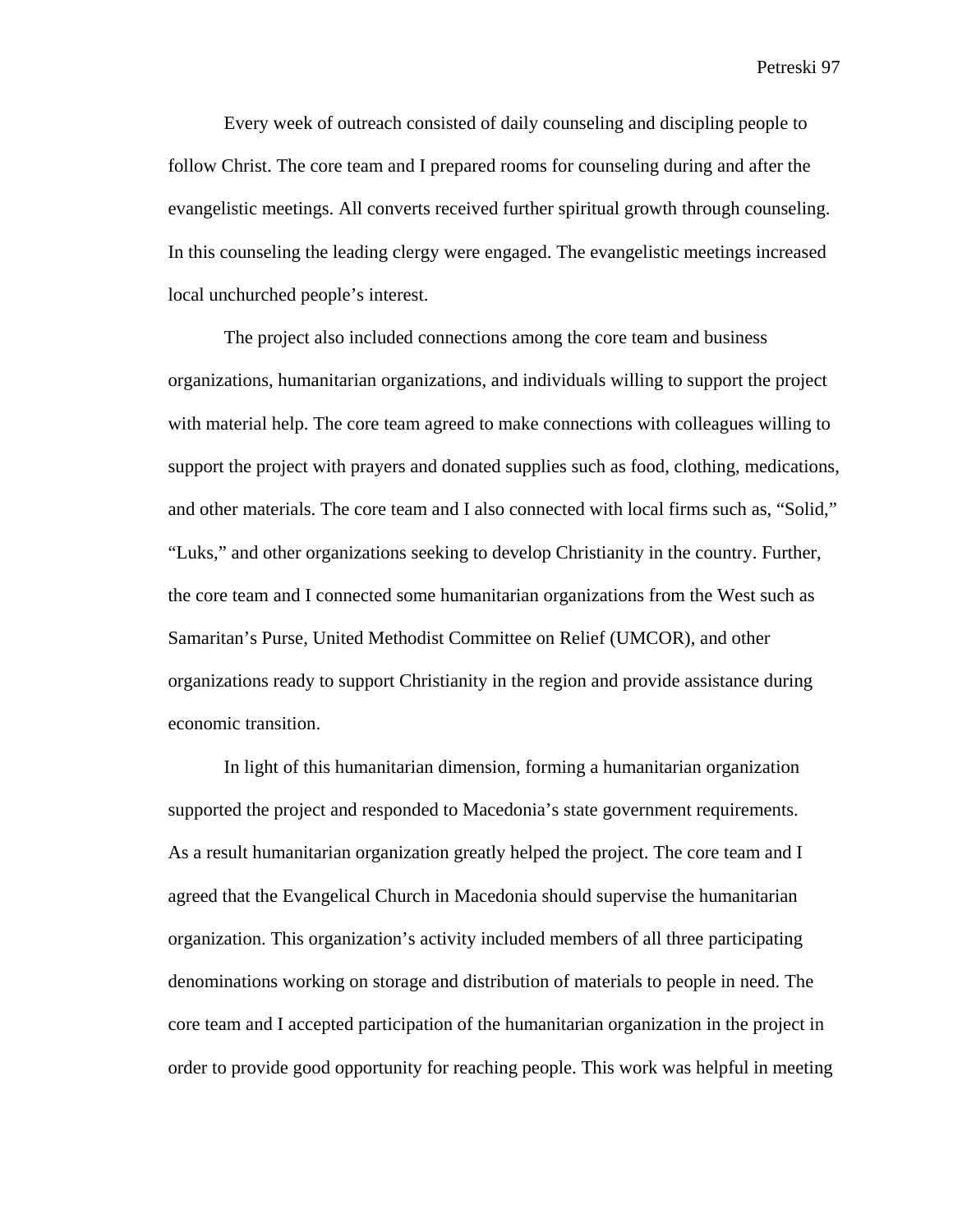Every week of outreach consisted of daily counseling and discipling people to follow Christ. The core team and I prepared rooms for counseling during and after the evangelistic meetings. All converts received further spiritual growth through counseling. In this counseling the leading clergy were engaged. The evangelistic meetings increased local unchurched people's interest.

The project also included connections among the core team and business organizations, humanitarian organizations, and individuals willing to support the project with material help. The core team agreed to make connections with colleagues willing to support the project with prayers and donated supplies such as food, clothing, medications, and other materials. The core team and I also connected with local firms such as, "Solid," "Luks," and other organizations seeking to develop Christianity in the country. Further, the core team and I connected some humanitarian organizations from the West such as Samaritan's Purse, United Methodist Committee on Relief (UMCOR), and other organizations ready to support Christianity in the region and provide assistance during economic transition.

In light of this humanitarian dimension, forming a humanitarian organization supported the project and responded to Macedonia's state government requirements. As a result humanitarian organization greatly helped the project. The core team and I agreed that the Evangelical Church in Macedonia should supervise the humanitarian organization. This organization's activity included members of all three participating denominations working on storage and distribution of materials to people in need. The core team and I accepted participation of the humanitarian organization in the project in order to provide good opportunity for reaching people. This work was helpful in meeting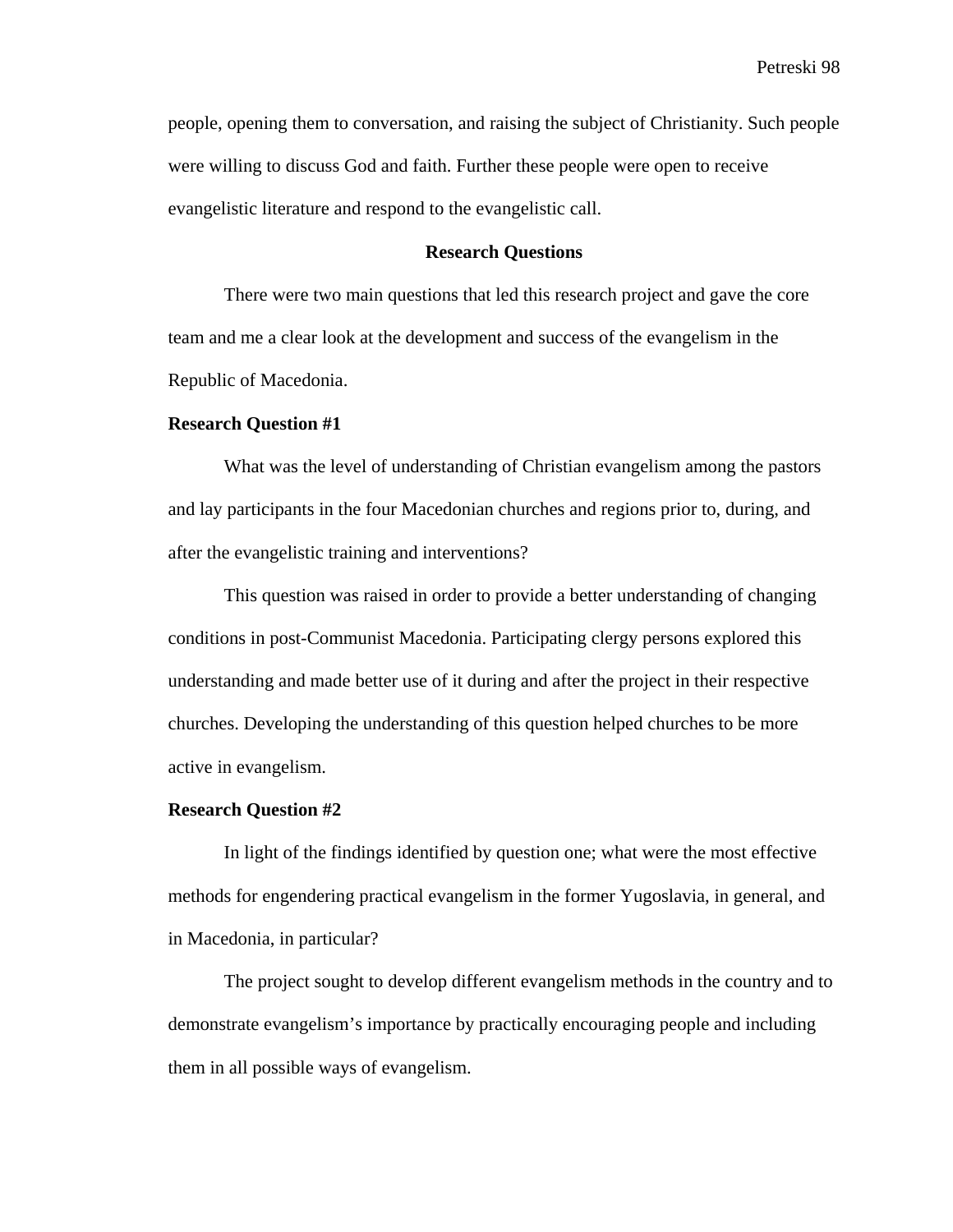people, opening them to conversation, and raising the subject of Christianity. Such people were willing to discuss God and faith. Further these people were open to receive evangelistic literature and respond to the evangelistic call.

### **Research Questions**

There were two main questions that led this research project and gave the core team and me a clear look at the development and success of the evangelism in the Republic of Macedonia.

#### **Research Question #1**

What was the level of understanding of Christian evangelism among the pastors and lay participants in the four Macedonian churches and regions prior to, during, and after the evangelistic training and interventions?

This question was raised in order to provide a better understanding of changing conditions in post-Communist Macedonia. Participating clergy persons explored this understanding and made better use of it during and after the project in their respective churches. Developing the understanding of this question helped churches to be more active in evangelism.

#### **Research Question #2**

In light of the findings identified by question one; what were the most effective methods for engendering practical evangelism in the former Yugoslavia, in general, and in Macedonia, in particular?

The project sought to develop different evangelism methods in the country and to demonstrate evangelism's importance by practically encouraging people and including them in all possible ways of evangelism.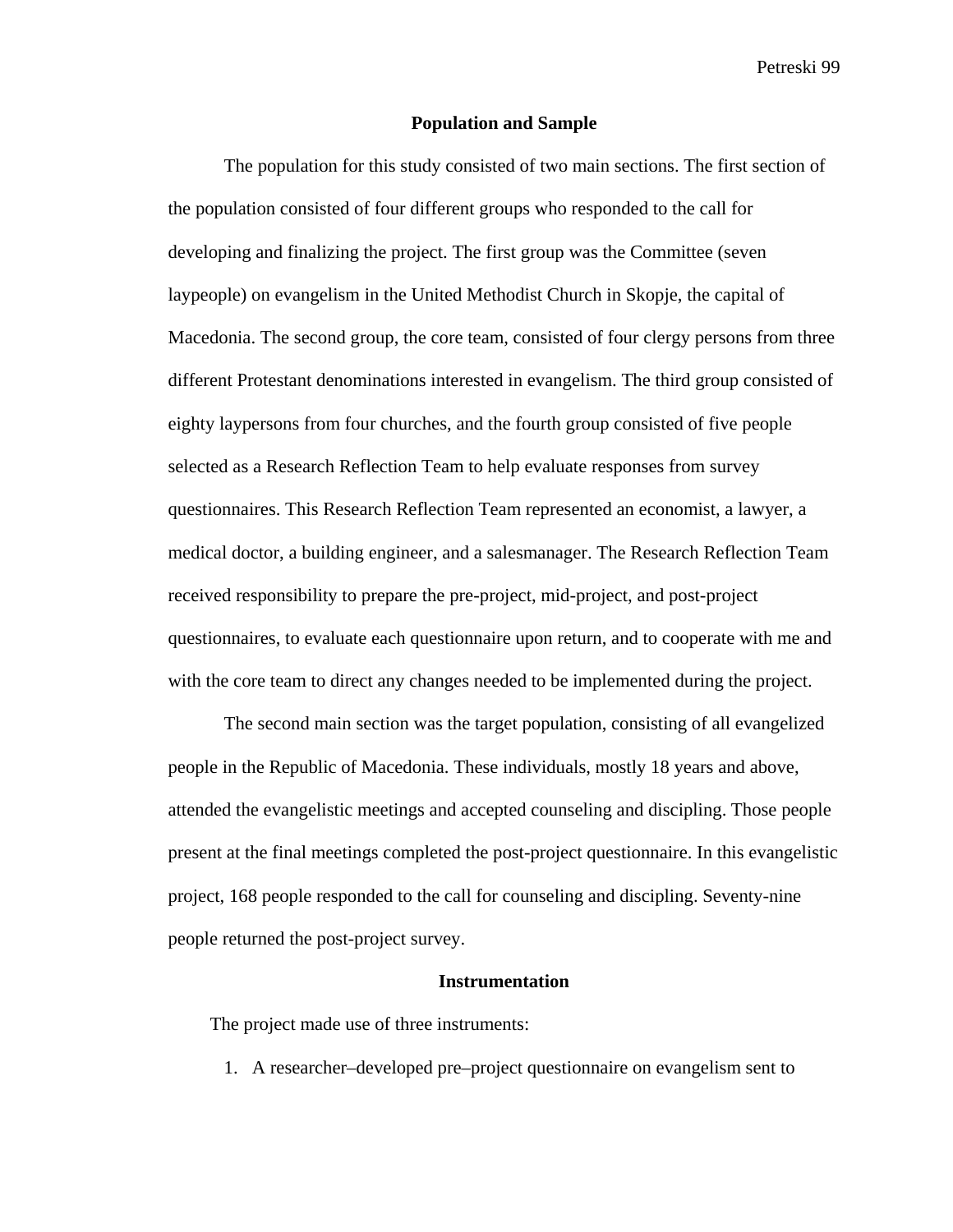### **Population and Sample**

The population for this study consisted of two main sections. The first section of the population consisted of four different groups who responded to the call for developing and finalizing the project. The first group was the Committee (seven laypeople) on evangelism in the United Methodist Church in Skopje, the capital of Macedonia. The second group, the core team, consisted of four clergy persons from three different Protestant denominations interested in evangelism. The third group consisted of eighty laypersons from four churches, and the fourth group consisted of five people selected as a Research Reflection Team to help evaluate responses from survey questionnaires. This Research Reflection Team represented an economist, a lawyer, a medical doctor, a building engineer, and a salesmanager. The Research Reflection Team received responsibility to prepare the pre-project, mid-project, and post-project questionnaires, to evaluate each questionnaire upon return, and to cooperate with me and with the core team to direct any changes needed to be implemented during the project.

The second main section was the target population, consisting of all evangelized people in the Republic of Macedonia. These individuals, mostly 18 years and above, attended the evangelistic meetings and accepted counseling and discipling. Those people present at the final meetings completed the post-project questionnaire. In this evangelistic project, 168 people responded to the call for counseling and discipling. Seventy-nine people returned the post-project survey.

#### **Instrumentation**

The project made use of three instruments:

1. A researcher–developed pre–project questionnaire on evangelism sent to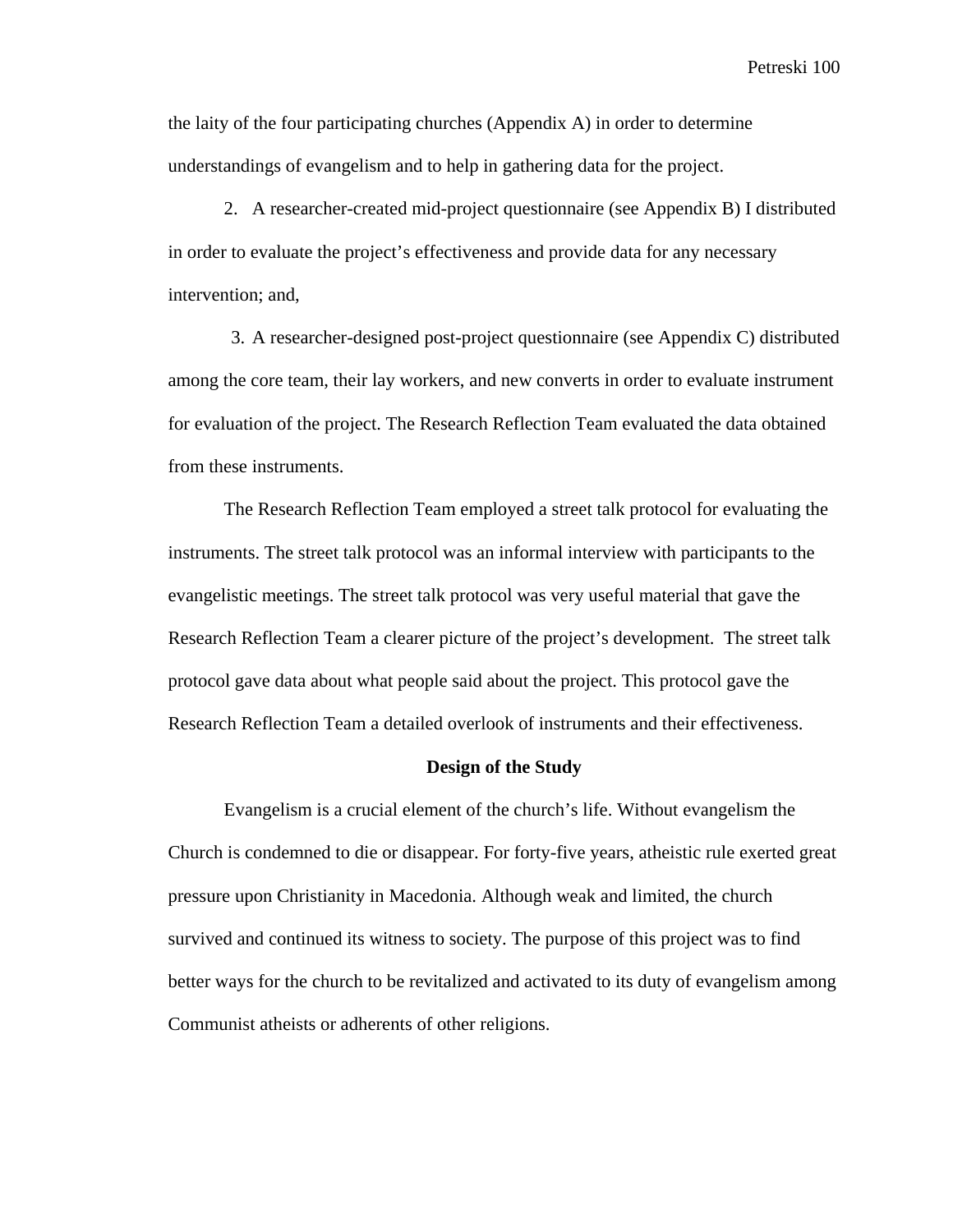the laity of the four participating churches (Appendix A) in order to determine understandings of evangelism and to help in gathering data for the project.

2. A researcher-created mid-project questionnaire (see Appendix B) I distributed in order to evaluate the project's effectiveness and provide data for any necessary intervention; and,

3. A researcher-designed post-project questionnaire (see Appendix C) distributed among the core team, their lay workers, and new converts in order to evaluate instrument for evaluation of the project. The Research Reflection Team evaluated the data obtained from these instruments.

The Research Reflection Team employed a street talk protocol for evaluating the instruments. The street talk protocol was an informal interview with participants to the evangelistic meetings. The street talk protocol was very useful material that gave the Research Reflection Team a clearer picture of the project's development. The street talk protocol gave data about what people said about the project. This protocol gave the Research Reflection Team a detailed overlook of instruments and their effectiveness.

### **Design of the Study**

Evangelism is a crucial element of the church's life. Without evangelism the Church is condemned to die or disappear. For forty-five years, atheistic rule exerted great pressure upon Christianity in Macedonia. Although weak and limited, the church survived and continued its witness to society. The purpose of this project was to find better ways for the church to be revitalized and activated to its duty of evangelism among Communist atheists or adherents of other religions.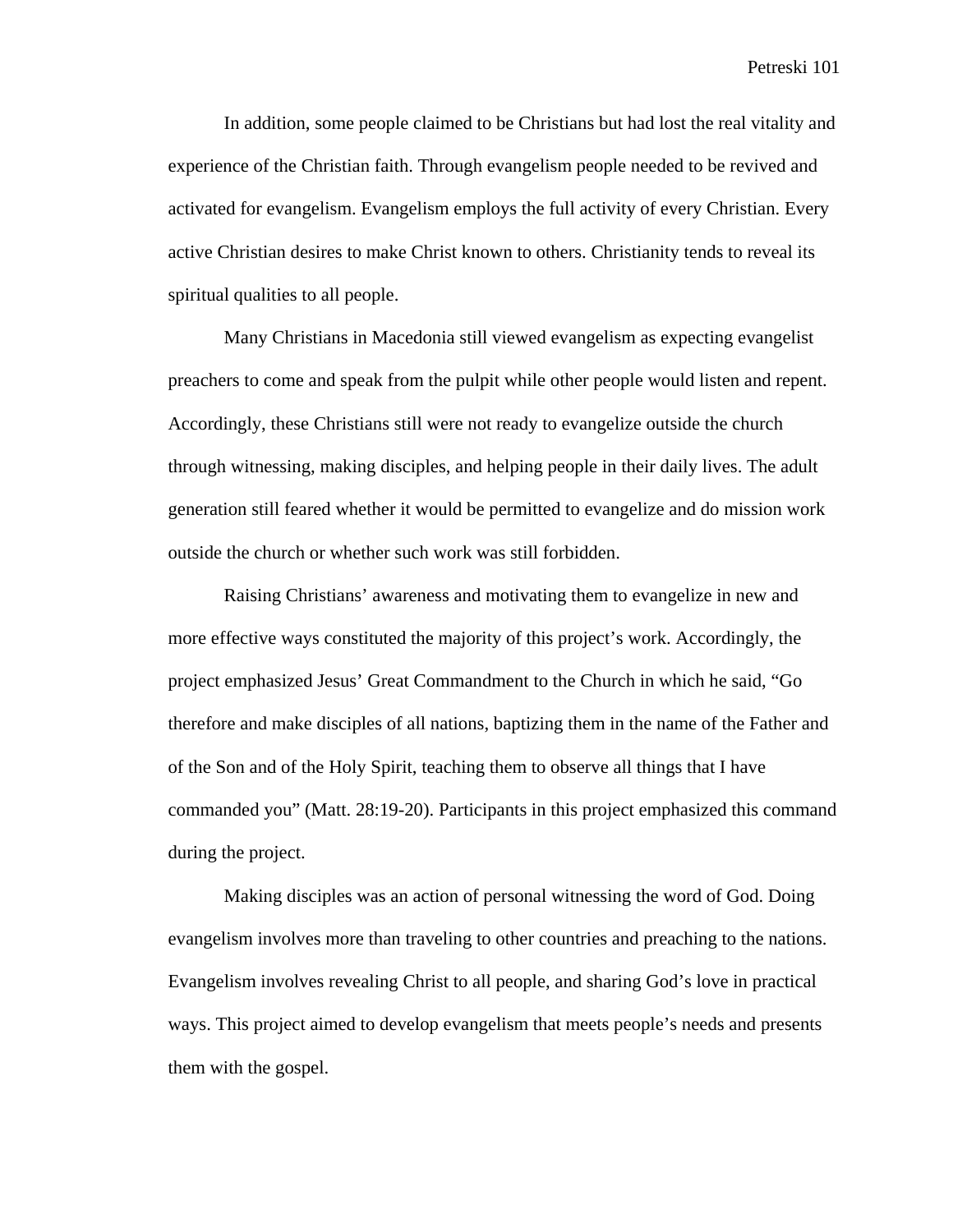In addition, some people claimed to be Christians but had lost the real vitality and experience of the Christian faith. Through evangelism people needed to be revived and activated for evangelism. Evangelism employs the full activity of every Christian. Every active Christian desires to make Christ known to others. Christianity tends to reveal its spiritual qualities to all people.

Many Christians in Macedonia still viewed evangelism as expecting evangelist preachers to come and speak from the pulpit while other people would listen and repent. Accordingly, these Christians still were not ready to evangelize outside the church through witnessing, making disciples, and helping people in their daily lives. The adult generation still feared whether it would be permitted to evangelize and do mission work outside the church or whether such work was still forbidden.

Raising Christians' awareness and motivating them to evangelize in new and more effective ways constituted the majority of this project's work. Accordingly, the project emphasized Jesus' Great Commandment to the Church in which he said, "Go therefore and make disciples of all nations, baptizing them in the name of the Father and of the Son and of the Holy Spirit, teaching them to observe all things that I have commanded you" (Matt. 28:19-20). Participants in this project emphasized this command during the project.

Making disciples was an action of personal witnessing the word of God. Doing evangelism involves more than traveling to other countries and preaching to the nations. Evangelism involves revealing Christ to all people, and sharing God's love in practical ways. This project aimed to develop evangelism that meets people's needs and presents them with the gospel.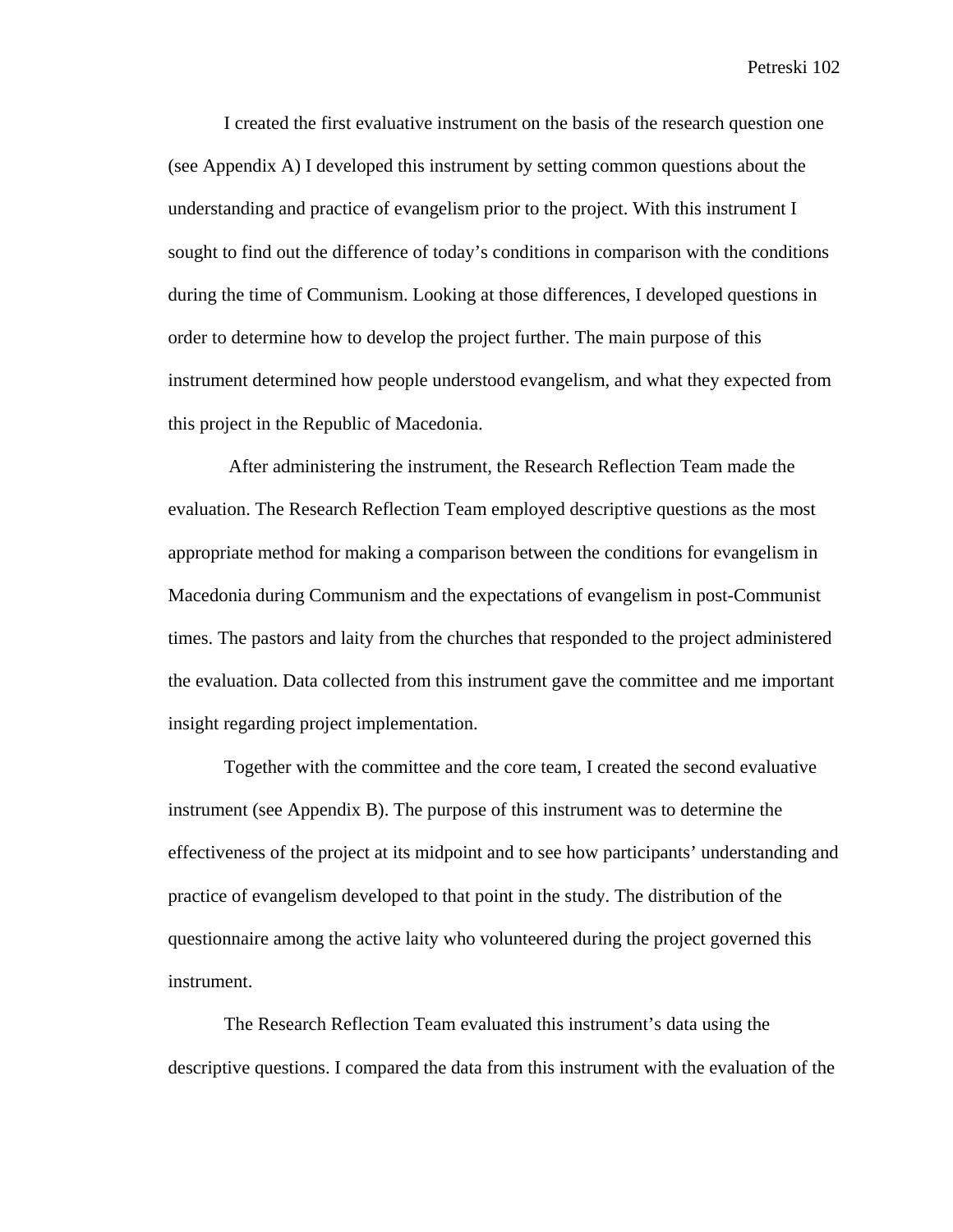I created the first evaluative instrument on the basis of the research question one (see Appendix A) I developed this instrument by setting common questions about the understanding and practice of evangelism prior to the project. With this instrument I sought to find out the difference of today's conditions in comparison with the conditions during the time of Communism. Looking at those differences, I developed questions in order to determine how to develop the project further. The main purpose of this instrument determined how people understood evangelism, and what they expected from this project in the Republic of Macedonia.

 After administering the instrument, the Research Reflection Team made the evaluation. The Research Reflection Team employed descriptive questions as the most appropriate method for making a comparison between the conditions for evangelism in Macedonia during Communism and the expectations of evangelism in post-Communist times. The pastors and laity from the churches that responded to the project administered the evaluation. Data collected from this instrument gave the committee and me important insight regarding project implementation.

Together with the committee and the core team, I created the second evaluative instrument (see Appendix B). The purpose of this instrument was to determine the effectiveness of the project at its midpoint and to see how participants' understanding and practice of evangelism developed to that point in the study. The distribution of the questionnaire among the active laity who volunteered during the project governed this instrument.

The Research Reflection Team evaluated this instrument's data using the descriptive questions. I compared the data from this instrument with the evaluation of the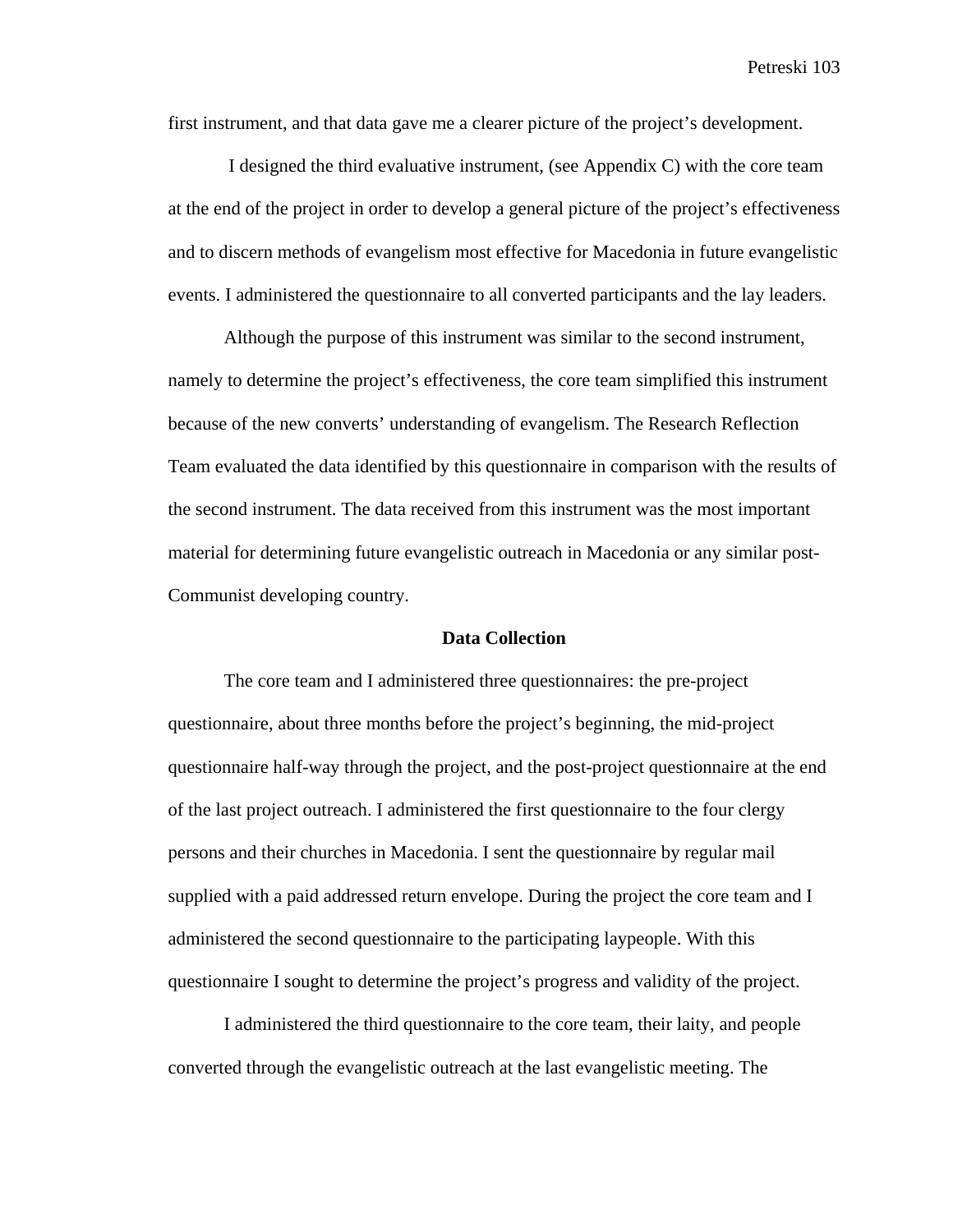first instrument, and that data gave me a clearer picture of the project's development.

 I designed the third evaluative instrument, (see Appendix C) with the core team at the end of the project in order to develop a general picture of the project's effectiveness and to discern methods of evangelism most effective for Macedonia in future evangelistic events. I administered the questionnaire to all converted participants and the lay leaders.

Although the purpose of this instrument was similar to the second instrument, namely to determine the project's effectiveness, the core team simplified this instrument because of the new converts' understanding of evangelism. The Research Reflection Team evaluated the data identified by this questionnaire in comparison with the results of the second instrument. The data received from this instrument was the most important material for determining future evangelistic outreach in Macedonia or any similar post-Communist developing country.

#### **Data Collection**

The core team and I administered three questionnaires: the pre-project questionnaire, about three months before the project's beginning, the mid-project questionnaire half-way through the project, and the post-project questionnaire at the end of the last project outreach. I administered the first questionnaire to the four clergy persons and their churches in Macedonia. I sent the questionnaire by regular mail supplied with a paid addressed return envelope. During the project the core team and I administered the second questionnaire to the participating laypeople. With this questionnaire I sought to determine the project's progress and validity of the project.

I administered the third questionnaire to the core team, their laity, and people converted through the evangelistic outreach at the last evangelistic meeting. The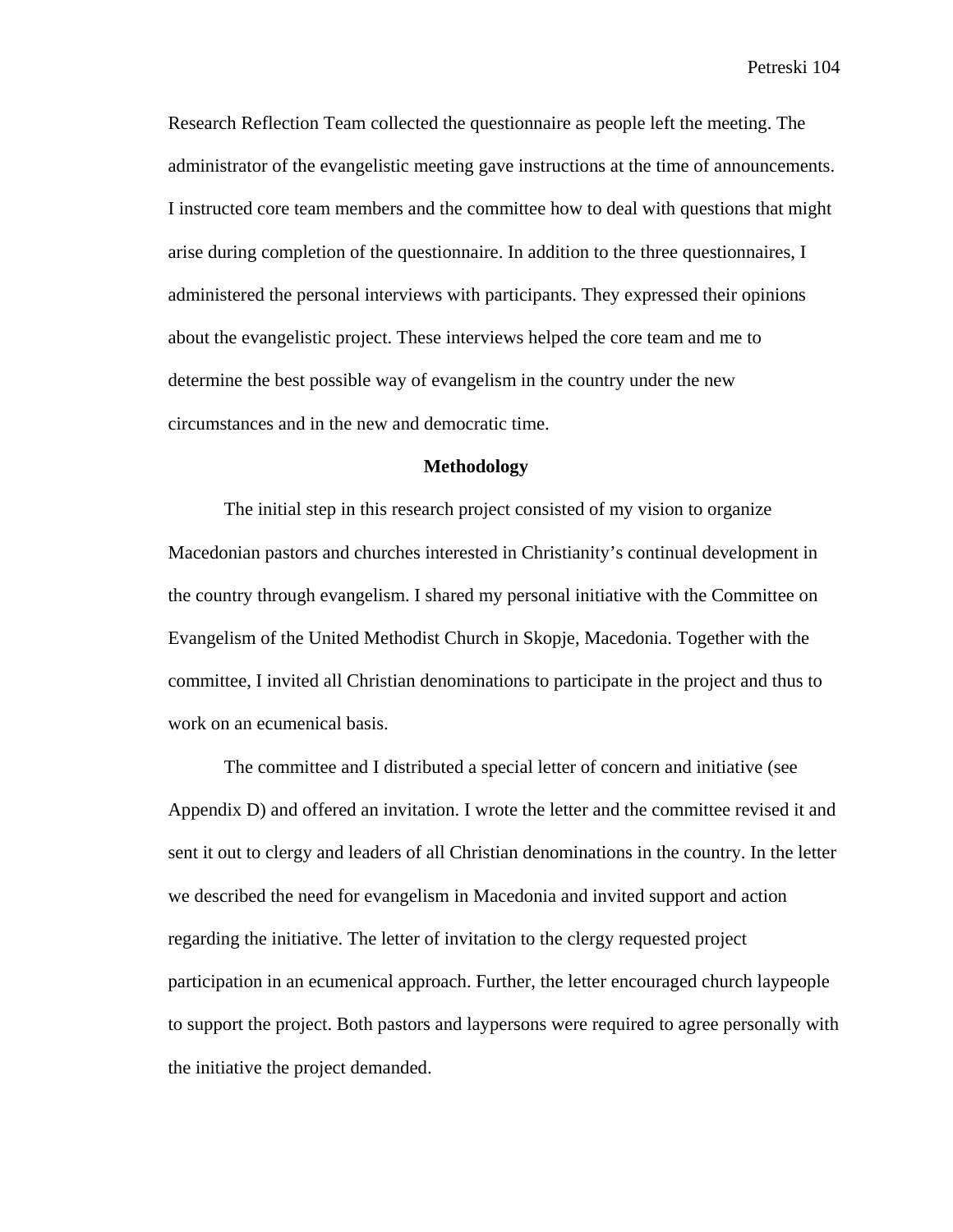Research Reflection Team collected the questionnaire as people left the meeting. The administrator of the evangelistic meeting gave instructions at the time of announcements. I instructed core team members and the committee how to deal with questions that might arise during completion of the questionnaire. In addition to the three questionnaires, I administered the personal interviews with participants. They expressed their opinions about the evangelistic project. These interviews helped the core team and me to determine the best possible way of evangelism in the country under the new circumstances and in the new and democratic time.

### **Methodology**

The initial step in this research project consisted of my vision to organize Macedonian pastors and churches interested in Christianity's continual development in the country through evangelism. I shared my personal initiative with the Committee on Evangelism of the United Methodist Church in Skopje, Macedonia. Together with the committee, I invited all Christian denominations to participate in the project and thus to work on an ecumenical basis.

The committee and I distributed a special letter of concern and initiative (see Appendix D) and offered an invitation. I wrote the letter and the committee revised it and sent it out to clergy and leaders of all Christian denominations in the country. In the letter we described the need for evangelism in Macedonia and invited support and action regarding the initiative. The letter of invitation to the clergy requested project participation in an ecumenical approach. Further, the letter encouraged church laypeople to support the project. Both pastors and laypersons were required to agree personally with the initiative the project demanded.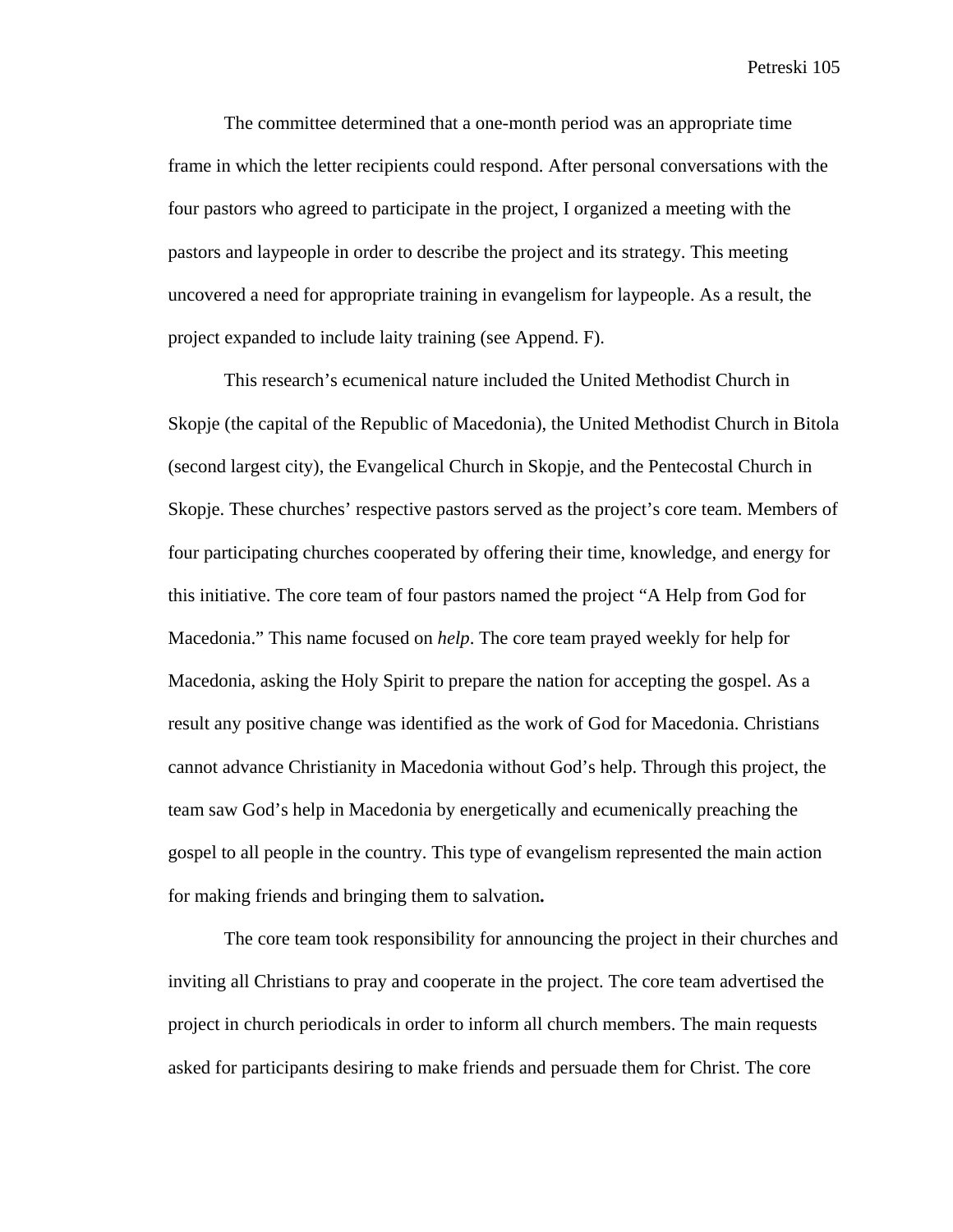The committee determined that a one-month period was an appropriate time frame in which the letter recipients could respond. After personal conversations with the four pastors who agreed to participate in the project, I organized a meeting with the pastors and laypeople in order to describe the project and its strategy. This meeting uncovered a need for appropriate training in evangelism for laypeople. As a result, the project expanded to include laity training (see Append. F).

This research's ecumenical nature included the United Methodist Church in Skopje (the capital of the Republic of Macedonia), the United Methodist Church in Bitola (second largest city), the Evangelical Church in Skopje, and the Pentecostal Church in Skopje. These churches' respective pastors served as the project's core team. Members of four participating churches cooperated by offering their time, knowledge, and energy for this initiative. The core team of four pastors named the project "A Help from God for Macedonia." This name focused on *help*. The core team prayed weekly for help for Macedonia, asking the Holy Spirit to prepare the nation for accepting the gospel. As a result any positive change was identified as the work of God for Macedonia. Christians cannot advance Christianity in Macedonia without God's help. Through this project, the team saw God's help in Macedonia by energetically and ecumenically preaching the gospel to all people in the country. This type of evangelism represented the main action for making friends and bringing them to salvation**.** 

The core team took responsibility for announcing the project in their churches and inviting all Christians to pray and cooperate in the project. The core team advertised the project in church periodicals in order to inform all church members. The main requests asked for participants desiring to make friends and persuade them for Christ. The core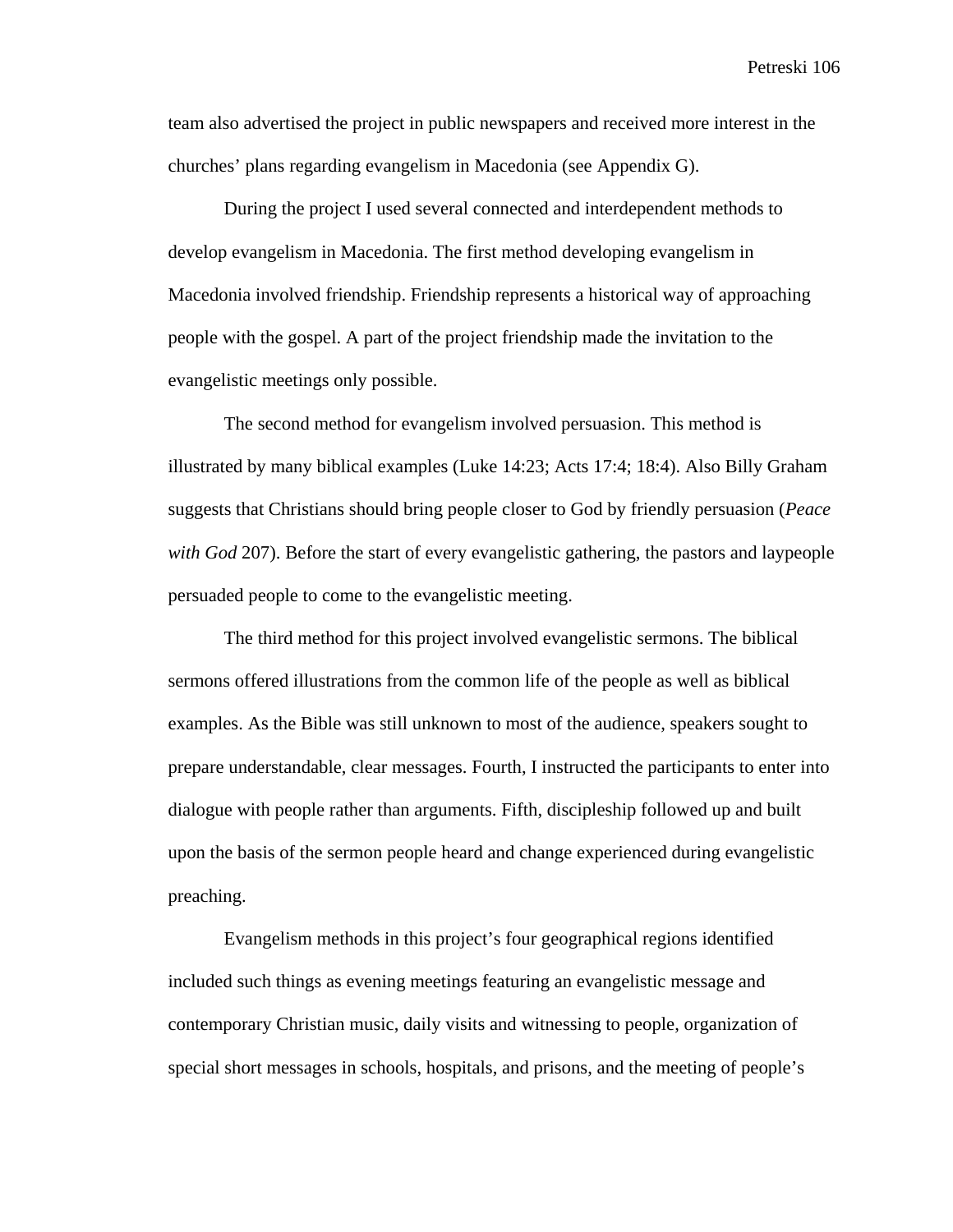team also advertised the project in public newspapers and received more interest in the churches' plans regarding evangelism in Macedonia (see Appendix G).

During the project I used several connected and interdependent methods to develop evangelism in Macedonia. The first method developing evangelism in Macedonia involved friendship. Friendship represents a historical way of approaching people with the gospel. A part of the project friendship made the invitation to the evangelistic meetings only possible.

The second method for evangelism involved persuasion. This method is illustrated by many biblical examples (Luke 14:23; Acts 17:4; 18:4). Also Billy Graham suggests that Christians should bring people closer to God by friendly persuasion (*Peace with God* 207). Before the start of every evangelistic gathering, the pastors and laypeople persuaded people to come to the evangelistic meeting.

The third method for this project involved evangelistic sermons. The biblical sermons offered illustrations from the common life of the people as well as biblical examples. As the Bible was still unknown to most of the audience, speakers sought to prepare understandable, clear messages. Fourth, I instructed the participants to enter into dialogue with people rather than arguments. Fifth, discipleship followed up and built upon the basis of the sermon people heard and change experienced during evangelistic preaching.

Evangelism methods in this project's four geographical regions identified included such things as evening meetings featuring an evangelistic message and contemporary Christian music, daily visits and witnessing to people, organization of special short messages in schools, hospitals, and prisons, and the meeting of people's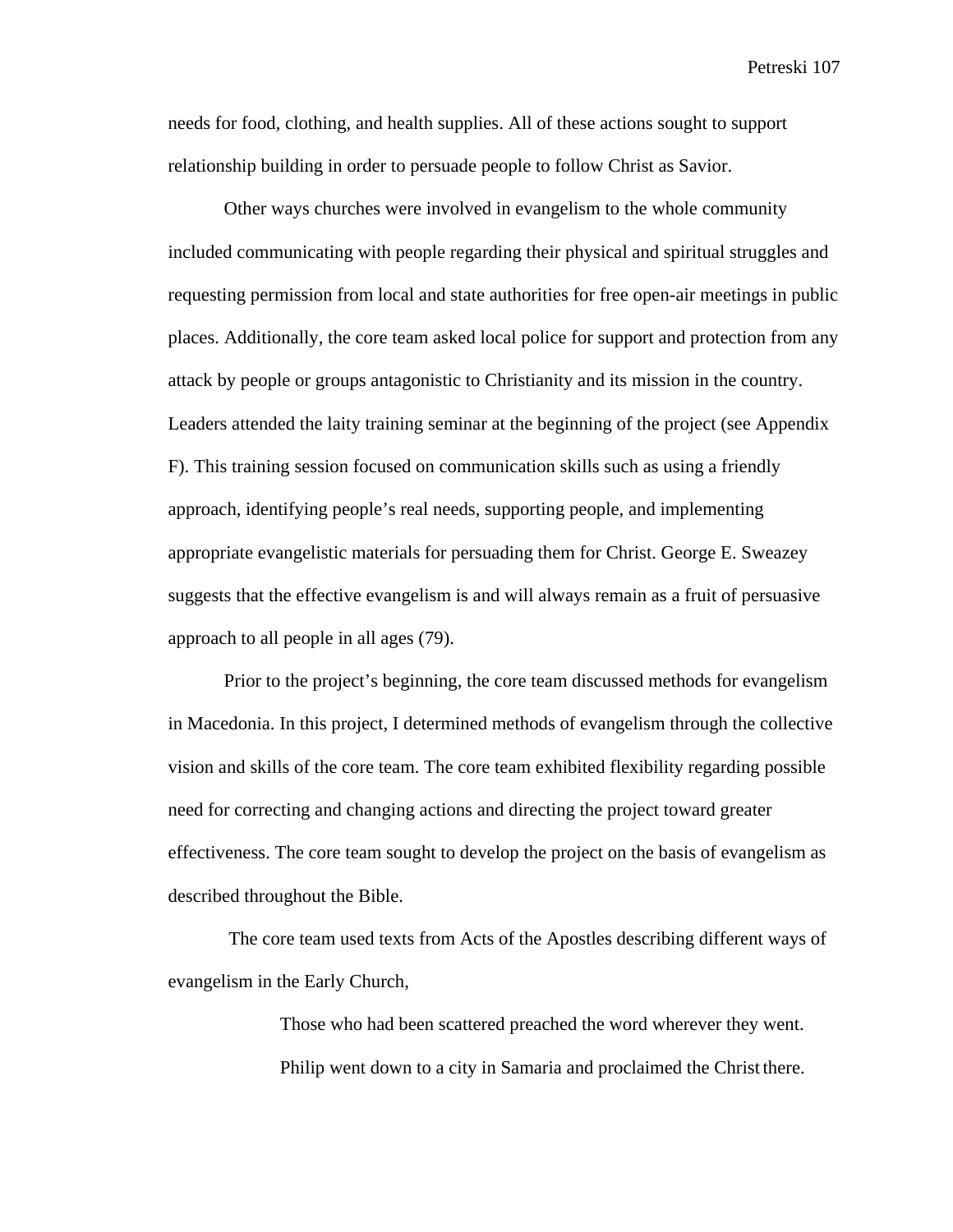needs for food, clothing, and health supplies. All of these actions sought to support relationship building in order to persuade people to follow Christ as Savior.

Other ways churches were involved in evangelism to the whole community included communicating with people regarding their physical and spiritual struggles and requesting permission from local and state authorities for free open-air meetings in public places. Additionally, the core team asked local police for support and protection from any attack by people or groups antagonistic to Christianity and its mission in the country. Leaders attended the laity training seminar at the beginning of the project (see Appendix F). This training session focused on communication skills such as using a friendly approach, identifying people's real needs, supporting people, and implementing appropriate evangelistic materials for persuading them for Christ. George E. Sweazey suggests that the effective evangelism is and will always remain as a fruit of persuasive approach to all people in all ages (79).

Prior to the project's beginning, the core team discussed methods for evangelism in Macedonia. In this project, I determined methods of evangelism through the collective vision and skills of the core team. The core team exhibited flexibility regarding possible need for correcting and changing actions and directing the project toward greater effectiveness. The core team sought to develop the project on the basis of evangelism as described throughout the Bible.

 The core team used texts from Acts of the Apostles describing different ways of evangelism in the Early Church,

> Those who had been scattered preached the word wherever they went. Philip went down to a city in Samaria and proclaimed the Christ there.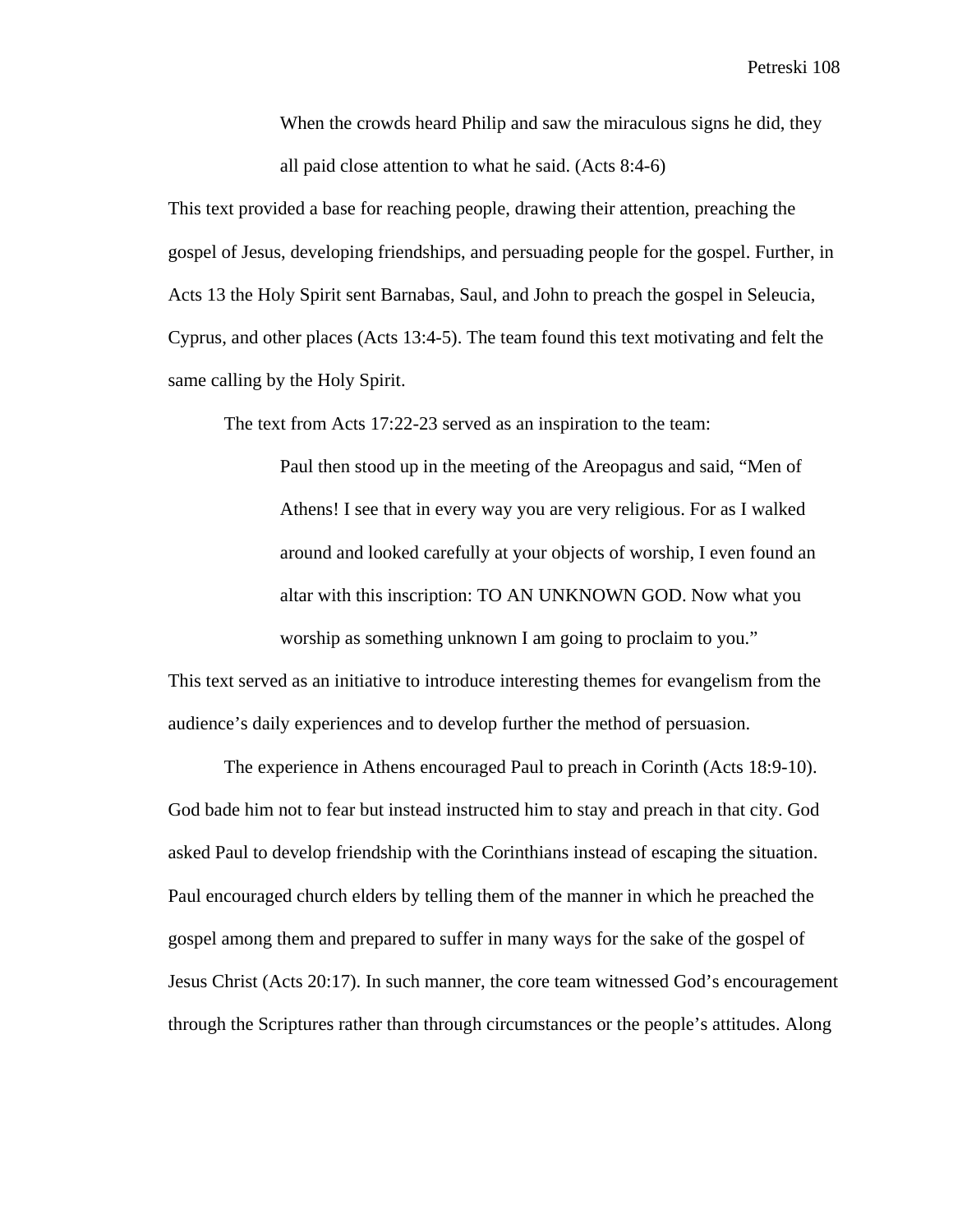When the crowds heard Philip and saw the miraculous signs he did, they all paid close attention to what he said. (Acts 8:4-6)

This text provided a base for reaching people, drawing their attention, preaching the gospel of Jesus, developing friendships, and persuading people for the gospel. Further, in Acts 13 the Holy Spirit sent Barnabas, Saul, and John to preach the gospel in Seleucia, Cyprus, and other places (Acts 13:4-5). The team found this text motivating and felt the same calling by the Holy Spirit.

The text from Acts 17:22-23 served as an inspiration to the team:

Paul then stood up in the meeting of the Areopagus and said, "Men of Athens! I see that in every way you are very religious. For as I walked around and looked carefully at your objects of worship, I even found an altar with this inscription: TO AN UNKNOWN GOD. Now what you worship as something unknown I am going to proclaim to you."

This text served as an initiative to introduce interesting themes for evangelism from the audience's daily experiences and to develop further the method of persuasion.

The experience in Athens encouraged Paul to preach in Corinth (Acts 18:9-10). God bade him not to fear but instead instructed him to stay and preach in that city. God asked Paul to develop friendship with the Corinthians instead of escaping the situation. Paul encouraged church elders by telling them of the manner in which he preached the gospel among them and prepared to suffer in many ways for the sake of the gospel of Jesus Christ (Acts 20:17). In such manner, the core team witnessed God's encouragement through the Scriptures rather than through circumstances or the people's attitudes. Along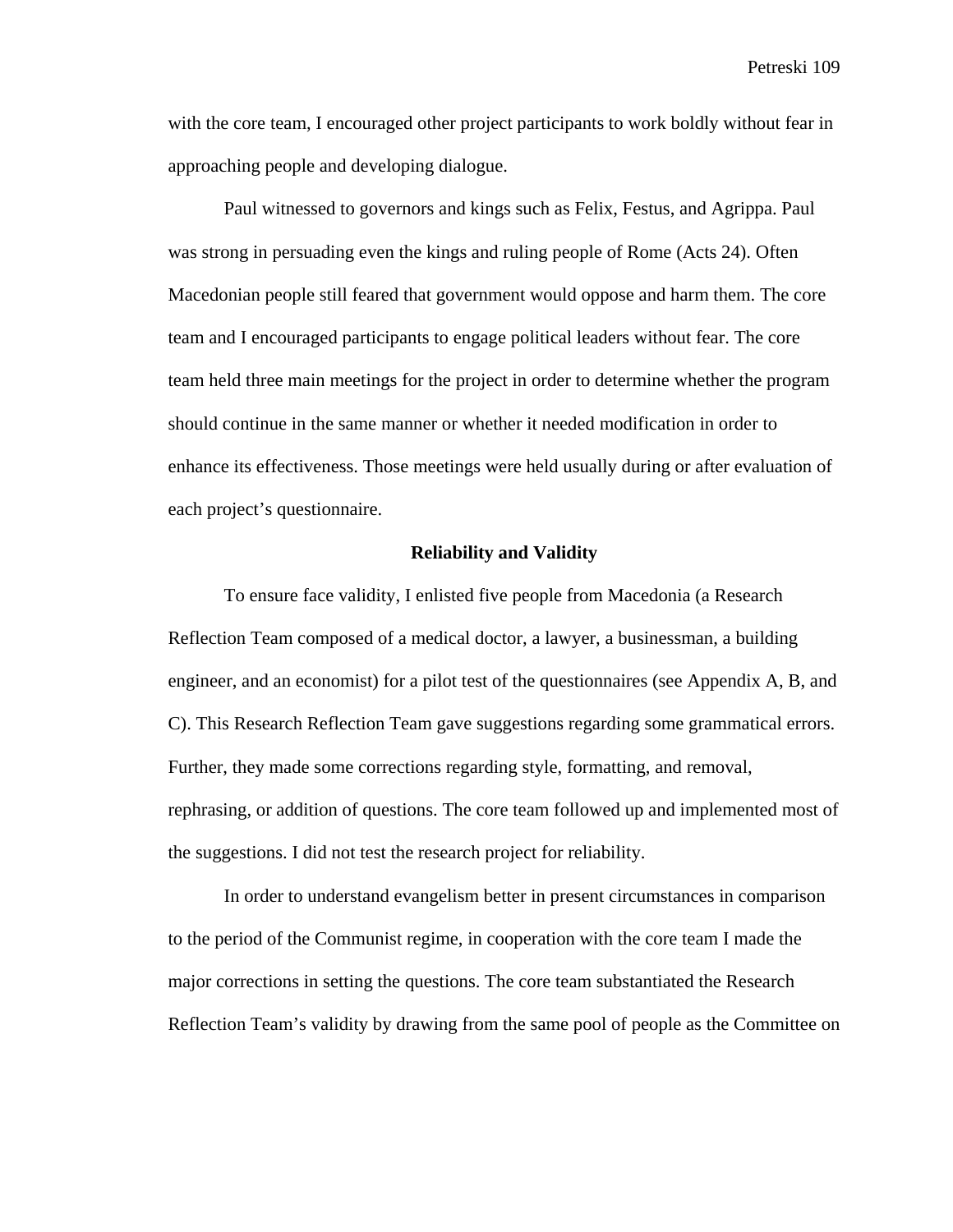with the core team, I encouraged other project participants to work boldly without fear in approaching people and developing dialogue.

Paul witnessed to governors and kings such as Felix, Festus, and Agrippa. Paul was strong in persuading even the kings and ruling people of Rome (Acts 24). Often Macedonian people still feared that government would oppose and harm them. The core team and I encouraged participants to engage political leaders without fear. The core team held three main meetings for the project in order to determine whether the program should continue in the same manner or whether it needed modification in order to enhance its effectiveness. Those meetings were held usually during or after evaluation of each project's questionnaire.

### **Reliability and Validity**

To ensure face validity, I enlisted five people from Macedonia (a Research Reflection Team composed of a medical doctor, a lawyer, a businessman, a building engineer, and an economist) for a pilot test of the questionnaires (see Appendix A, B, and C). This Research Reflection Team gave suggestions regarding some grammatical errors. Further, they made some corrections regarding style, formatting, and removal, rephrasing, or addition of questions. The core team followed up and implemented most of the suggestions. I did not test the research project for reliability.

In order to understand evangelism better in present circumstances in comparison to the period of the Communist regime, in cooperation with the core team I made the major corrections in setting the questions. The core team substantiated the Research Reflection Team's validity by drawing from the same pool of people as the Committee on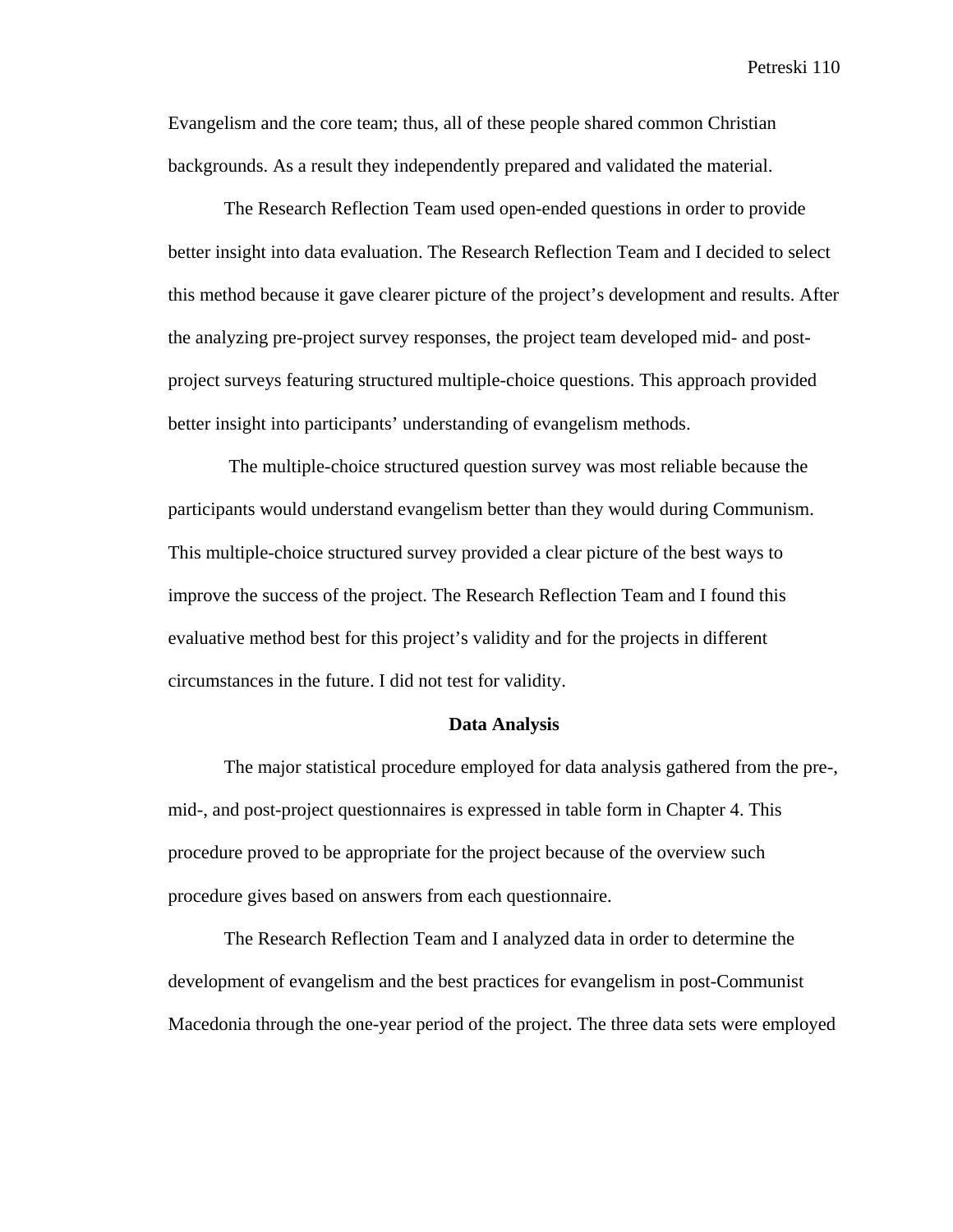Evangelism and the core team; thus, all of these people shared common Christian backgrounds. As a result they independently prepared and validated the material.

The Research Reflection Team used open-ended questions in order to provide better insight into data evaluation. The Research Reflection Team and I decided to select this method because it gave clearer picture of the project's development and results. After the analyzing pre-project survey responses, the project team developed mid- and postproject surveys featuring structured multiple-choice questions. This approach provided better insight into participants' understanding of evangelism methods.

 The multiple-choice structured question survey was most reliable because the participants would understand evangelism better than they would during Communism. This multiple-choice structured survey provided a clear picture of the best ways to improve the success of the project. The Research Reflection Team and I found this evaluative method best for this project's validity and for the projects in different circumstances in the future. I did not test for validity.

### **Data Analysis**

The major statistical procedure employed for data analysis gathered from the pre-, mid-, and post-project questionnaires is expressed in table form in Chapter 4. This procedure proved to be appropriate for the project because of the overview such procedure gives based on answers from each questionnaire.

The Research Reflection Team and I analyzed data in order to determine the development of evangelism and the best practices for evangelism in post-Communist Macedonia through the one-year period of the project. The three data sets were employed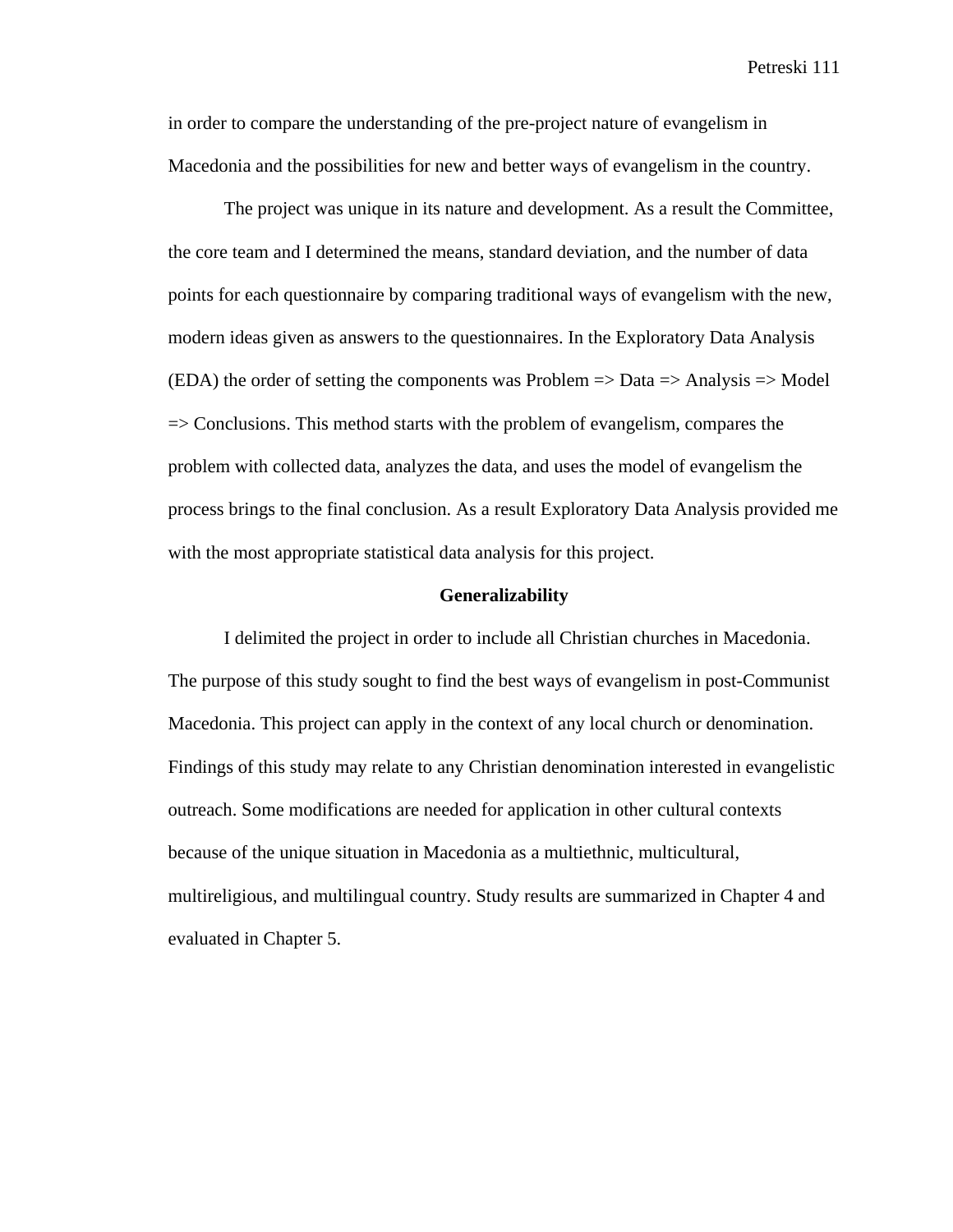in order to compare the understanding of the pre-project nature of evangelism in Macedonia and the possibilities for new and better ways of evangelism in the country.

The project was unique in its nature and development. As a result the Committee, the core team and I determined the means, standard deviation, and the number of data points for each questionnaire by comparing traditional ways of evangelism with the new, modern ideas given as answers to the questionnaires. In the Exploratory Data Analysis (EDA) the order of setting the components was Problem  $\Rightarrow$  Data  $\Rightarrow$  Analysis  $\Rightarrow$  Model  $\Rightarrow$  Conclusions. This method starts with the problem of evangelism, compares the problem with collected data, analyzes the data, and uses the model of evangelism the process brings to the final conclusion. As a result Exploratory Data Analysis provided me with the most appropriate statistical data analysis for this project.

#### **Generalizability**

I delimited the project in order to include all Christian churches in Macedonia. The purpose of this study sought to find the best ways of evangelism in post-Communist Macedonia. This project can apply in the context of any local church or denomination. Findings of this study may relate to any Christian denomination interested in evangelistic outreach. Some modifications are needed for application in other cultural contexts because of the unique situation in Macedonia as a multiethnic, multicultural, multireligious, and multilingual country. Study results are summarized in Chapter 4 and evaluated in Chapter 5.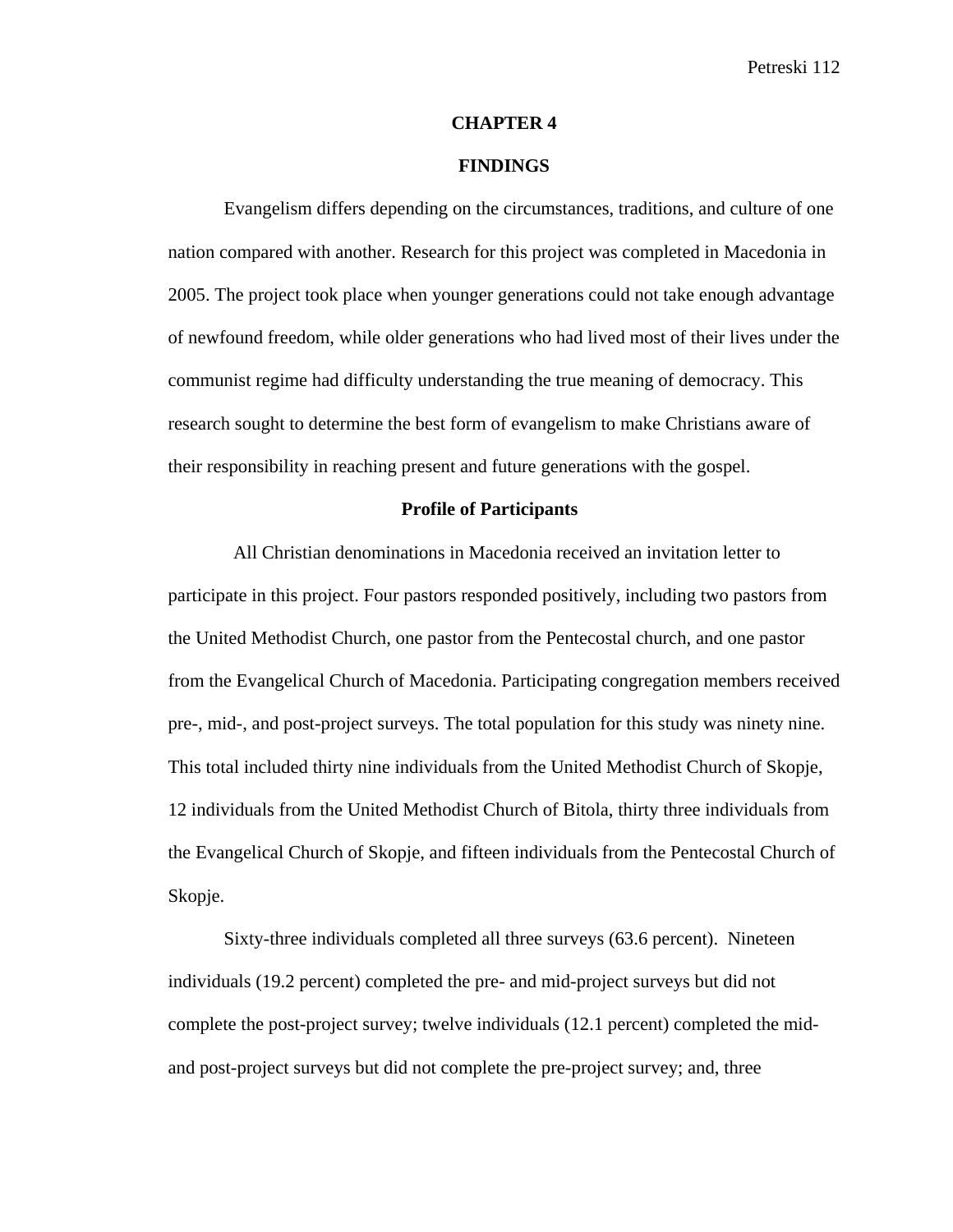#### **CHAPTER 4**

#### **FINDINGS**

Evangelism differs depending on the circumstances, traditions, and culture of one nation compared with another. Research for this project was completed in Macedonia in 2005. The project took place when younger generations could not take enough advantage of newfound freedom, while older generations who had lived most of their lives under the communist regime had difficulty understanding the true meaning of democracy. This research sought to determine the best form of evangelism to make Christians aware of their responsibility in reaching present and future generations with the gospel.

#### **Profile of Participants**

 All Christian denominations in Macedonia received an invitation letter to participate in this project. Four pastors responded positively, including two pastors from the United Methodist Church, one pastor from the Pentecostal church, and one pastor from the Evangelical Church of Macedonia. Participating congregation members received pre-, mid-, and post-project surveys. The total population for this study was ninety nine. This total included thirty nine individuals from the United Methodist Church of Skopje, 12 individuals from the United Methodist Church of Bitola, thirty three individuals from the Evangelical Church of Skopje, and fifteen individuals from the Pentecostal Church of Skopje.

Sixty-three individuals completed all three surveys (63.6 percent). Nineteen individuals (19.2 percent) completed the pre- and mid-project surveys but did not complete the post-project survey; twelve individuals (12.1 percent) completed the midand post-project surveys but did not complete the pre-project survey; and, three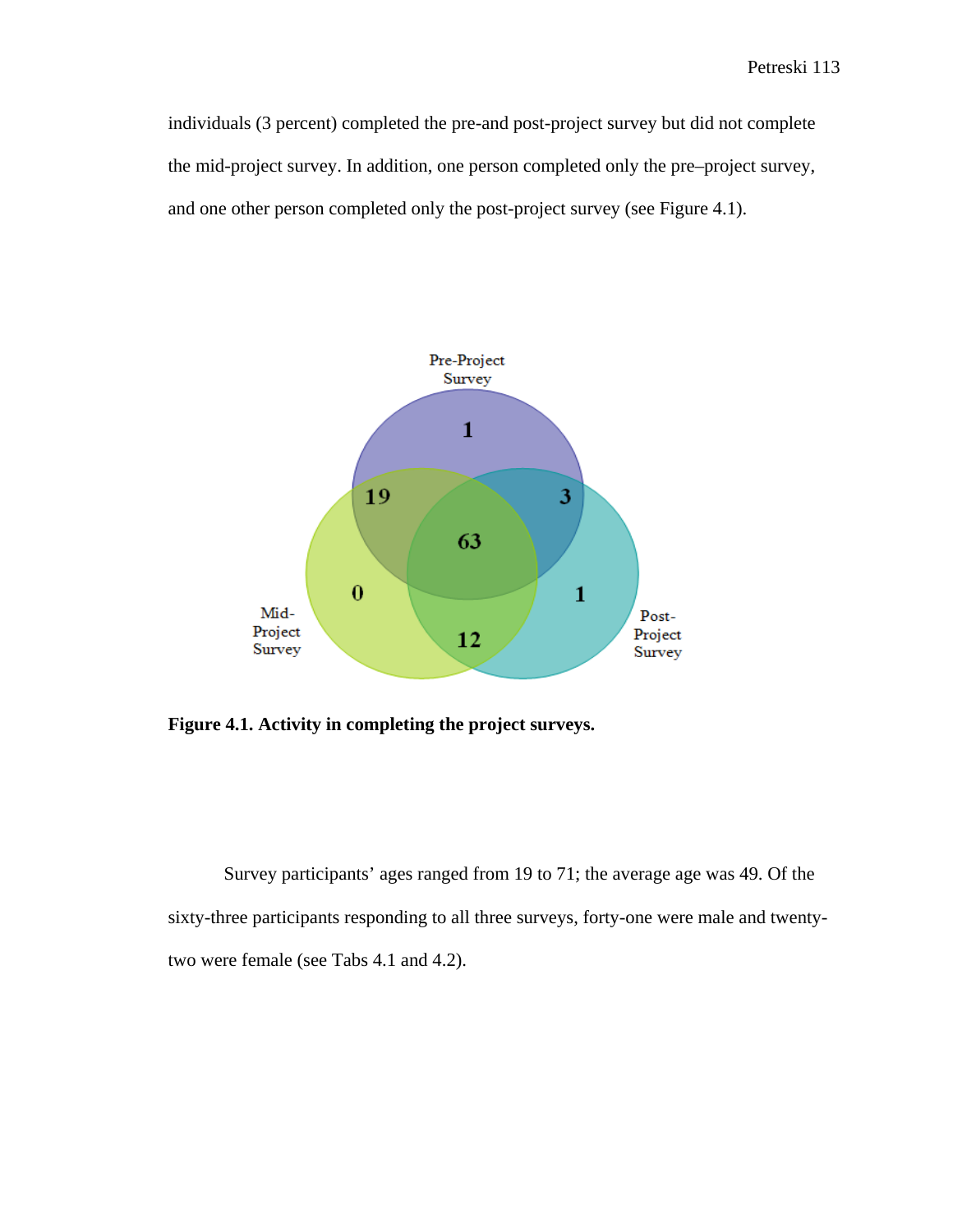individuals (3 percent) completed the pre-and post-project survey but did not complete the mid-project survey. In addition, one person completed only the pre–project survey, and one other person completed only the post-project survey (see Figure 4.1).



**Figure 4.1. Activity in completing the project surveys.** 

Survey participants' ages ranged from 19 to 71; the average age was 49. Of the sixty-three participants responding to all three surveys, forty-one were male and twentytwo were female (see Tabs 4.1 and 4.2).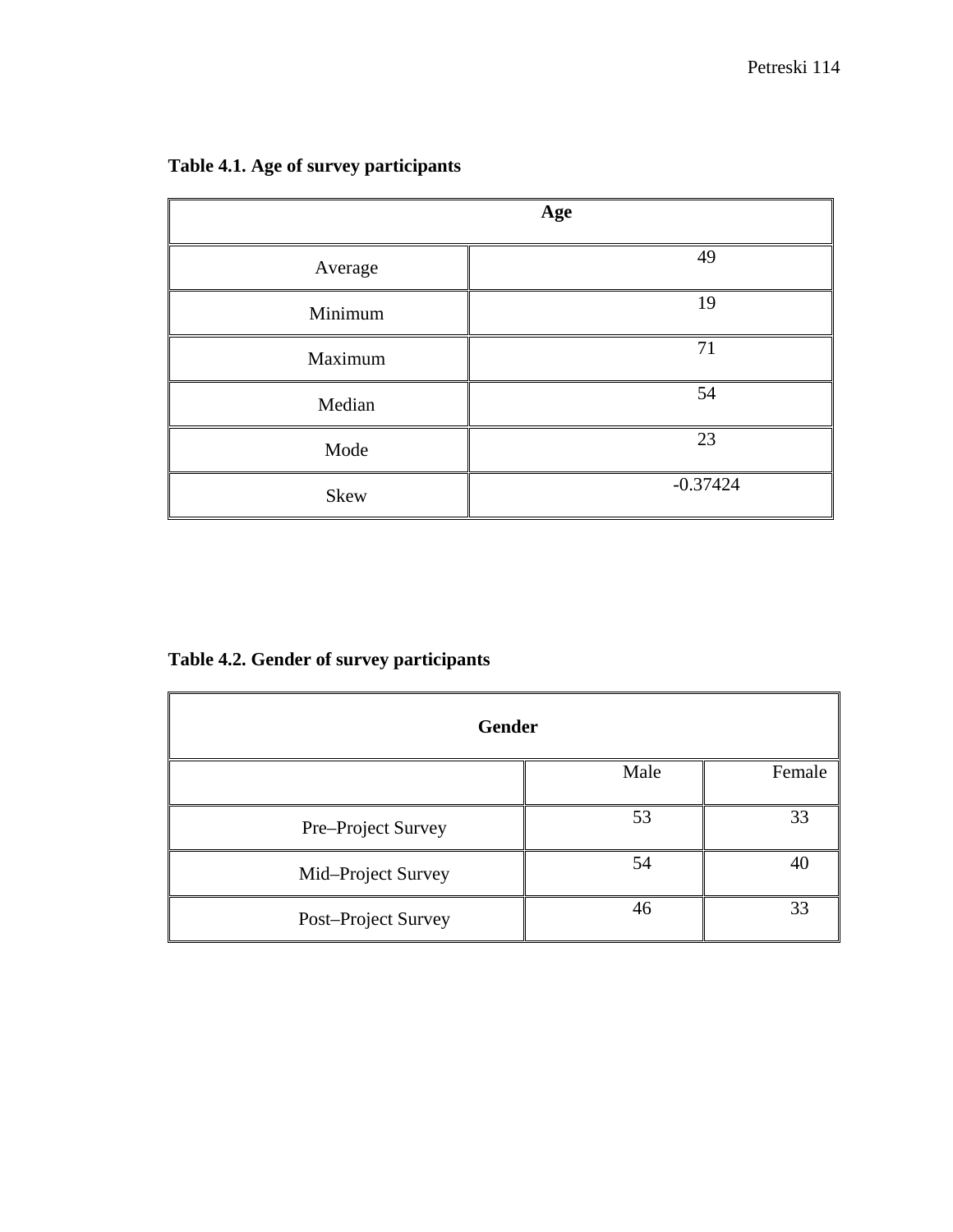|         | Age        |
|---------|------------|
| Average | 49         |
| Minimum | 19         |
| Maximum | 71         |
| Median  | 54         |
| Mode    | 23         |
| Skew    | $-0.37424$ |

**Table 4.1. Age of survey participants** 

**Table 4.2. Gender of survey participants** 

| <b>Gender</b>       |      |        |  |
|---------------------|------|--------|--|
|                     | Male | Female |  |
| Pre-Project Survey  | 53   | 33     |  |
| Mid-Project Survey  | 54   | 40     |  |
| Post-Project Survey | 46   | 33     |  |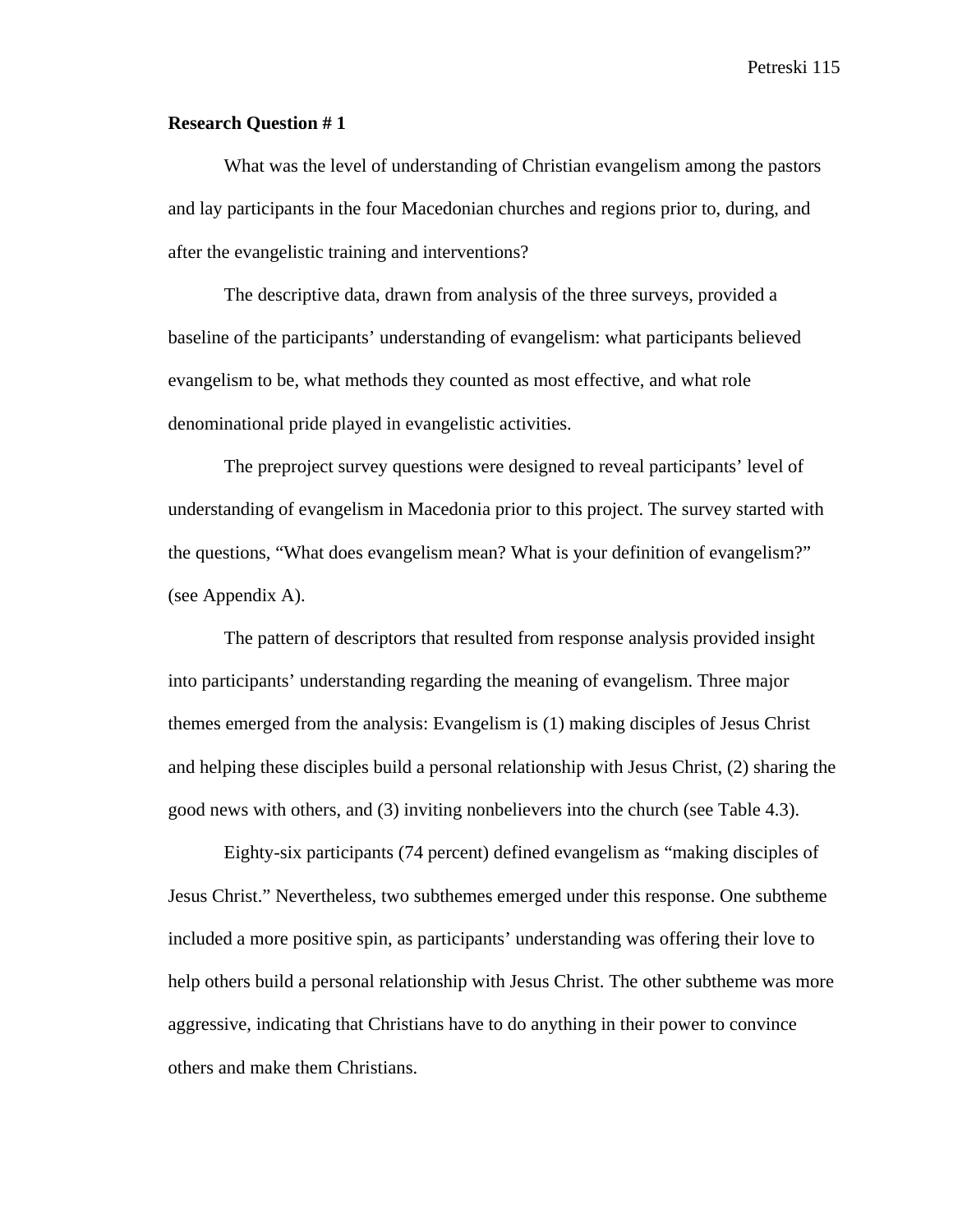### **Research Question # 1**

What was the level of understanding of Christian evangelism among the pastors and lay participants in the four Macedonian churches and regions prior to, during, and after the evangelistic training and interventions?

The descriptive data, drawn from analysis of the three surveys, provided a baseline of the participants' understanding of evangelism: what participants believed evangelism to be, what methods they counted as most effective, and what role denominational pride played in evangelistic activities.

The preproject survey questions were designed to reveal participants' level of understanding of evangelism in Macedonia prior to this project. The survey started with the questions, "What does evangelism mean? What is your definition of evangelism?" (see Appendix A).

The pattern of descriptors that resulted from response analysis provided insight into participants' understanding regarding the meaning of evangelism. Three major themes emerged from the analysis: Evangelism is (1) making disciples of Jesus Christ and helping these disciples build a personal relationship with Jesus Christ, (2) sharing the good news with others, and (3) inviting nonbelievers into the church (see Table 4.3).

Eighty-six participants (74 percent) defined evangelism as "making disciples of Jesus Christ." Nevertheless, two subthemes emerged under this response. One subtheme included a more positive spin, as participants' understanding was offering their love to help others build a personal relationship with Jesus Christ. The other subtheme was more aggressive, indicating that Christians have to do anything in their power to convince others and make them Christians.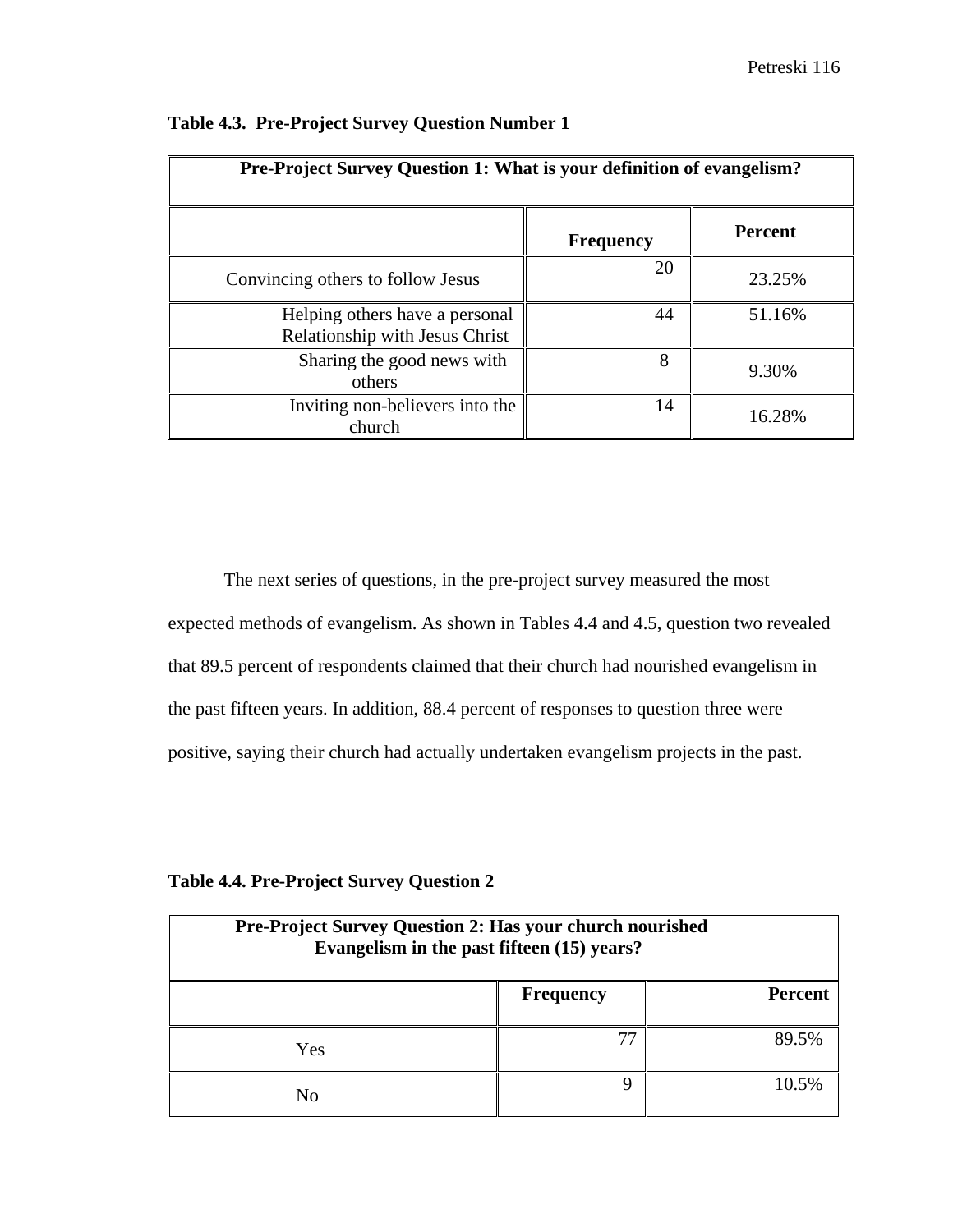| Pre-Project Survey Question 1: What is your definition of evangelism?   |                  |                |
|-------------------------------------------------------------------------|------------------|----------------|
|                                                                         | <b>Frequency</b> | <b>Percent</b> |
| Convincing others to follow Jesus                                       | 20               | 23.25%         |
| Helping others have a personal<br><b>Relationship with Jesus Christ</b> | 44               | 51.16%         |
| Sharing the good news with<br>others                                    | 8                | 9.30%          |
| Inviting non-believers into the<br>church                               | 14               | 16.28%         |

| Table 4.3. Pre-Project Survey Question Number 1 |  |  |  |
|-------------------------------------------------|--|--|--|
|-------------------------------------------------|--|--|--|

The next series of questions, in the pre-project survey measured the most expected methods of evangelism. As shown in Tables 4.4 and 4.5, question two revealed that 89.5 percent of respondents claimed that their church had nourished evangelism in the past fifteen years. In addition, 88.4 percent of responses to question three were positive, saying their church had actually undertaken evangelism projects in the past.

|  |  | <b>Table 4.4. Pre-Project Survey Question 2</b> |  |  |  |
|--|--|-------------------------------------------------|--|--|--|
|--|--|-------------------------------------------------|--|--|--|

| Pre-Project Survey Question 2: Has your church nourished<br>Evangelism in the past fifteen (15) years? |                  |                |
|--------------------------------------------------------------------------------------------------------|------------------|----------------|
|                                                                                                        | <b>Frequency</b> | <b>Percent</b> |
| Yes                                                                                                    |                  | 89.5%          |
| No                                                                                                     |                  | 10.5%          |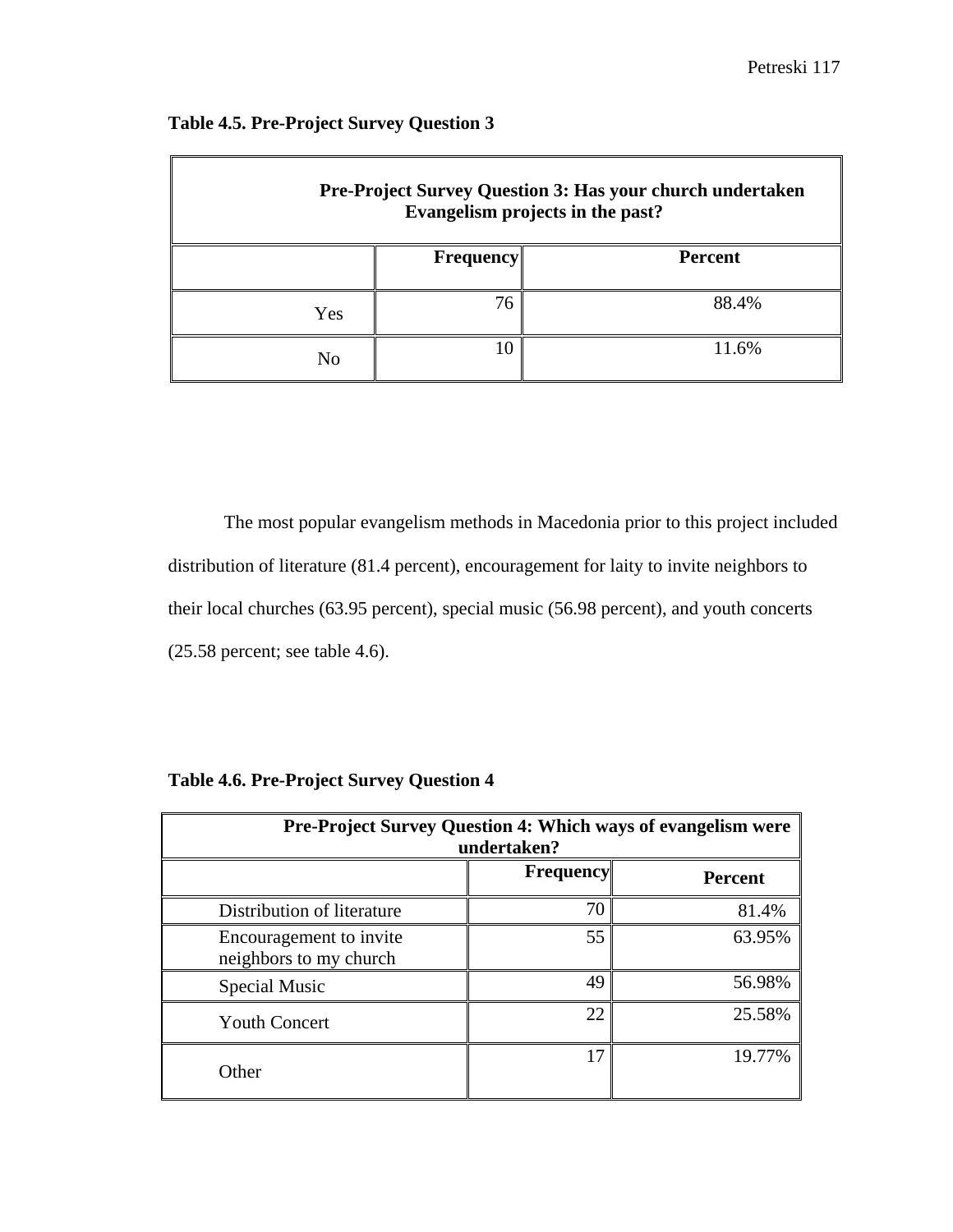| Pre-Project Survey Question 3: Has your church undertaken<br>Evangelism projects in the past? |                  |         |
|-----------------------------------------------------------------------------------------------|------------------|---------|
|                                                                                               | <b>Frequency</b> | Percent |
| Yes                                                                                           | 76               | 88.4%   |
| No                                                                                            | 10               | 11.6%   |

## **Table 4.5. Pre-Project Survey Question 3**

The most popular evangelism methods in Macedonia prior to this project included distribution of literature (81.4 percent), encouragement for laity to invite neighbors to their local churches (63.95 percent), special music (56.98 percent), and youth concerts (25.58 percent; see table 4.6).

| <b>Table 4.6. Pre-Project Survey Question 4</b> |  |  |  |
|-------------------------------------------------|--|--|--|
|                                                 |  |  |  |

| <b>Pre-Project Survey Question 4: Which ways of evangelism were</b><br>undertaken? |                  |                |  |
|------------------------------------------------------------------------------------|------------------|----------------|--|
|                                                                                    | <b>Frequency</b> | <b>Percent</b> |  |
| Distribution of literature                                                         | 70               | 81.4%          |  |
| Encouragement to invite<br>neighbors to my church                                  | 55               | 63.95%         |  |
| Special Music                                                                      | 49               | 56.98%         |  |
| <b>Youth Concert</b>                                                               | 22               | 25.58%         |  |
| Other                                                                              | 17               | 19.77%         |  |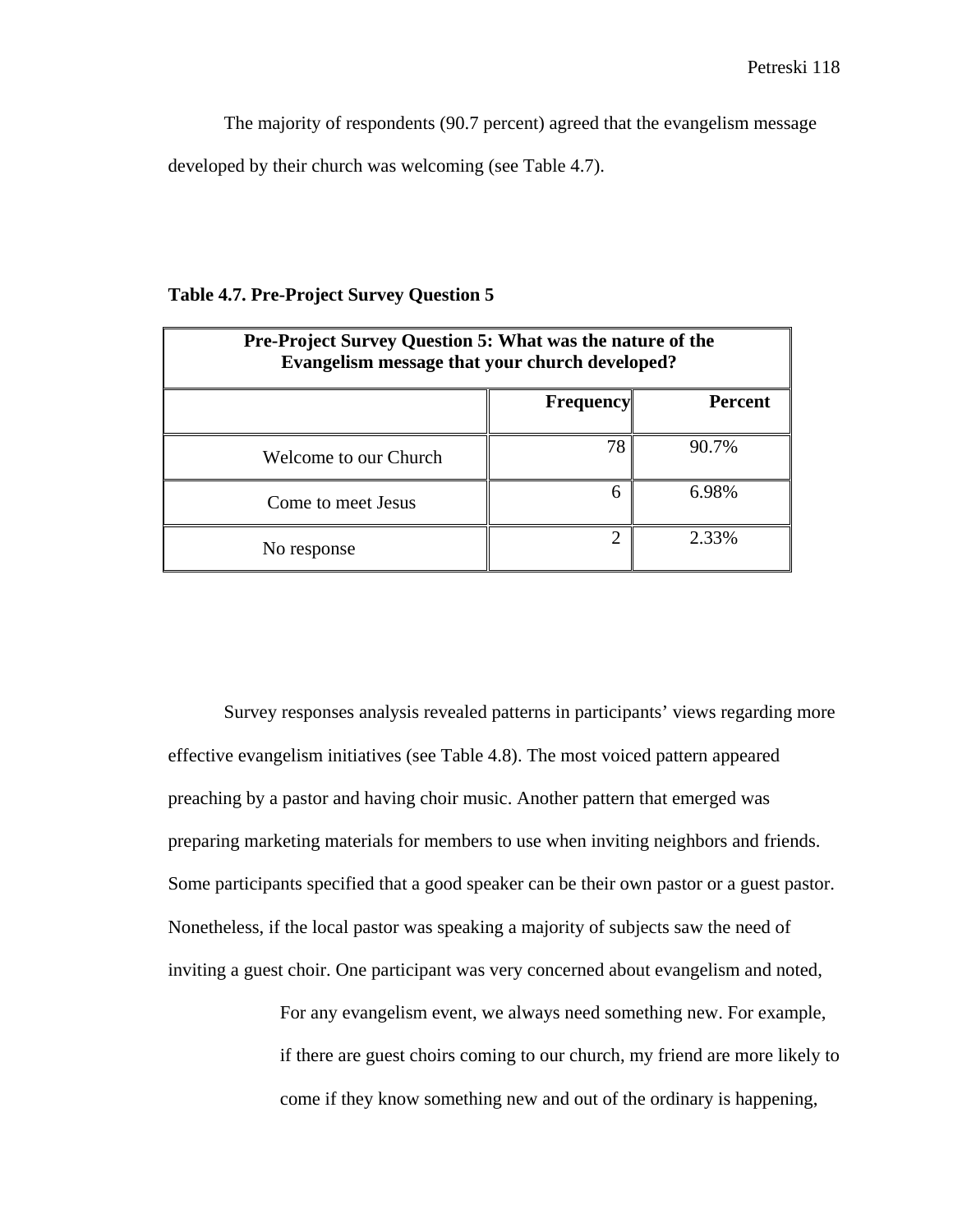The majority of respondents (90.7 percent) agreed that the evangelism message developed by their church was welcoming (see Table 4.7).

### **Table 4.7. Pre-Project Survey Question 5**

| <b>Pre-Project Survey Question 5: What was the nature of the</b><br>Evangelism message that your church developed? |                  |                |
|--------------------------------------------------------------------------------------------------------------------|------------------|----------------|
|                                                                                                                    | <b>Frequency</b> | <b>Percent</b> |
| Welcome to our Church                                                                                              | 78               | 90.7%          |
| Come to meet Jesus                                                                                                 | 6                | 6.98%          |
| No response                                                                                                        | $\mathfrak{D}$   | 2.33%          |

Survey responses analysis revealed patterns in participants' views regarding more effective evangelism initiatives (see Table 4.8). The most voiced pattern appeared preaching by a pastor and having choir music. Another pattern that emerged was preparing marketing materials for members to use when inviting neighbors and friends. Some participants specified that a good speaker can be their own pastor or a guest pastor. Nonetheless, if the local pastor was speaking a majority of subjects saw the need of inviting a guest choir. One participant was very concerned about evangelism and noted,

> For any evangelism event, we always need something new. For example, if there are guest choirs coming to our church, my friend are more likely to come if they know something new and out of the ordinary is happening,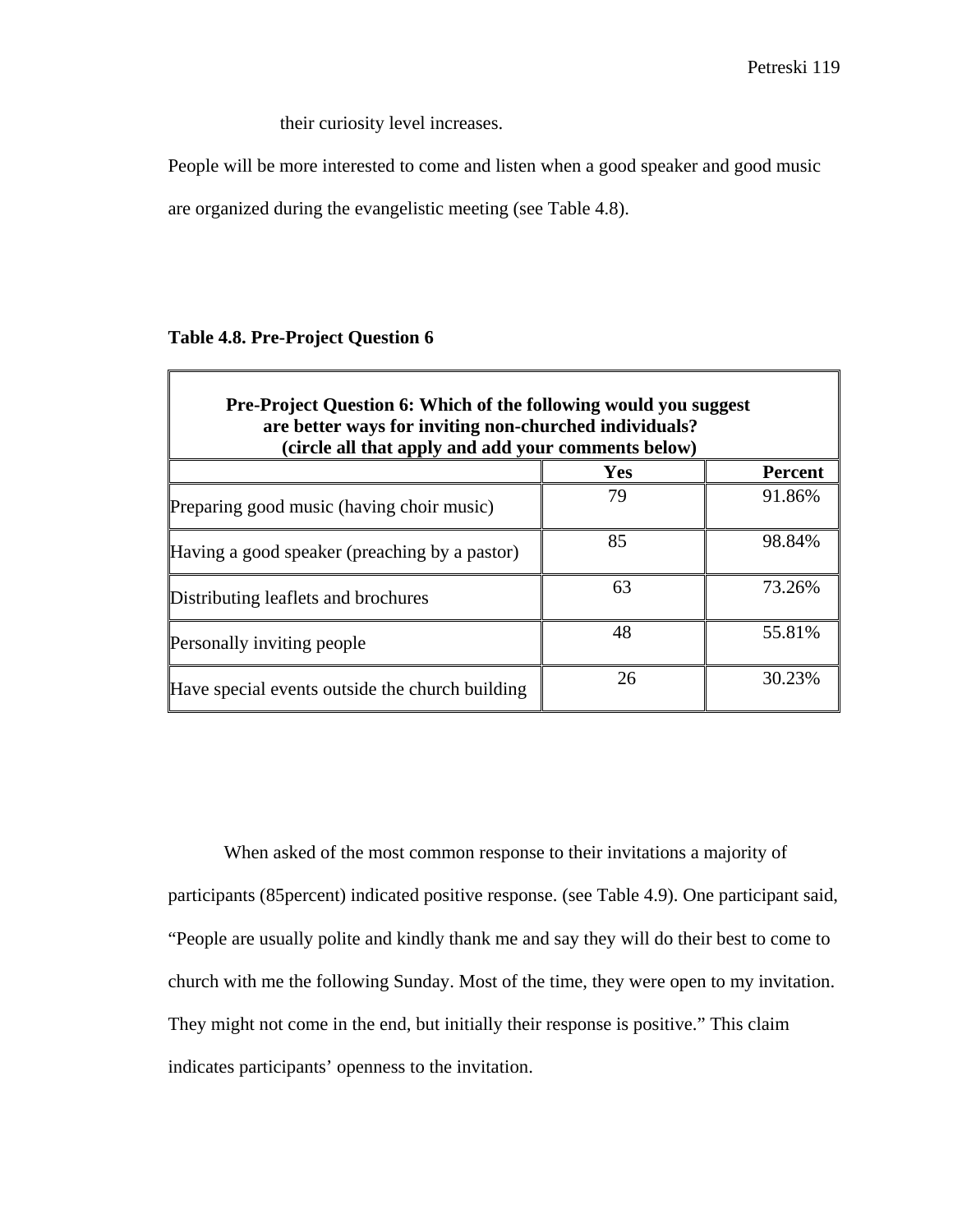their curiosity level increases.

People will be more interested to come and listen when a good speaker and good music

are organized during the evangelistic meeting (see Table 4.8).

### **Table 4.8. Pre-Project Question 6**

| <b>Pre-Project Question 6: Which of the following would you suggest</b><br>are better ways for inviting non-churched individuals?<br>(circle all that apply and add your comments below) |     |                |  |
|------------------------------------------------------------------------------------------------------------------------------------------------------------------------------------------|-----|----------------|--|
|                                                                                                                                                                                          | Yes | <b>Percent</b> |  |
| Preparing good music (having choir music)                                                                                                                                                | 79  | 91.86%         |  |
| Having a good speaker (preaching by a pastor)                                                                                                                                            | 85  | 98.84%         |  |
| Distributing leaflets and brochures                                                                                                                                                      | 63  | 73.26%         |  |
| <b>Personally inviting people</b>                                                                                                                                                        | 48  | 55.81%         |  |
| Have special events outside the church building                                                                                                                                          | 26  | 30.23%         |  |

When asked of the most common response to their invitations a majority of participants (85percent) indicated positive response. (see Table 4.9). One participant said, "People are usually polite and kindly thank me and say they will do their best to come to church with me the following Sunday. Most of the time, they were open to my invitation. They might not come in the end, but initially their response is positive." This claim indicates participants' openness to the invitation.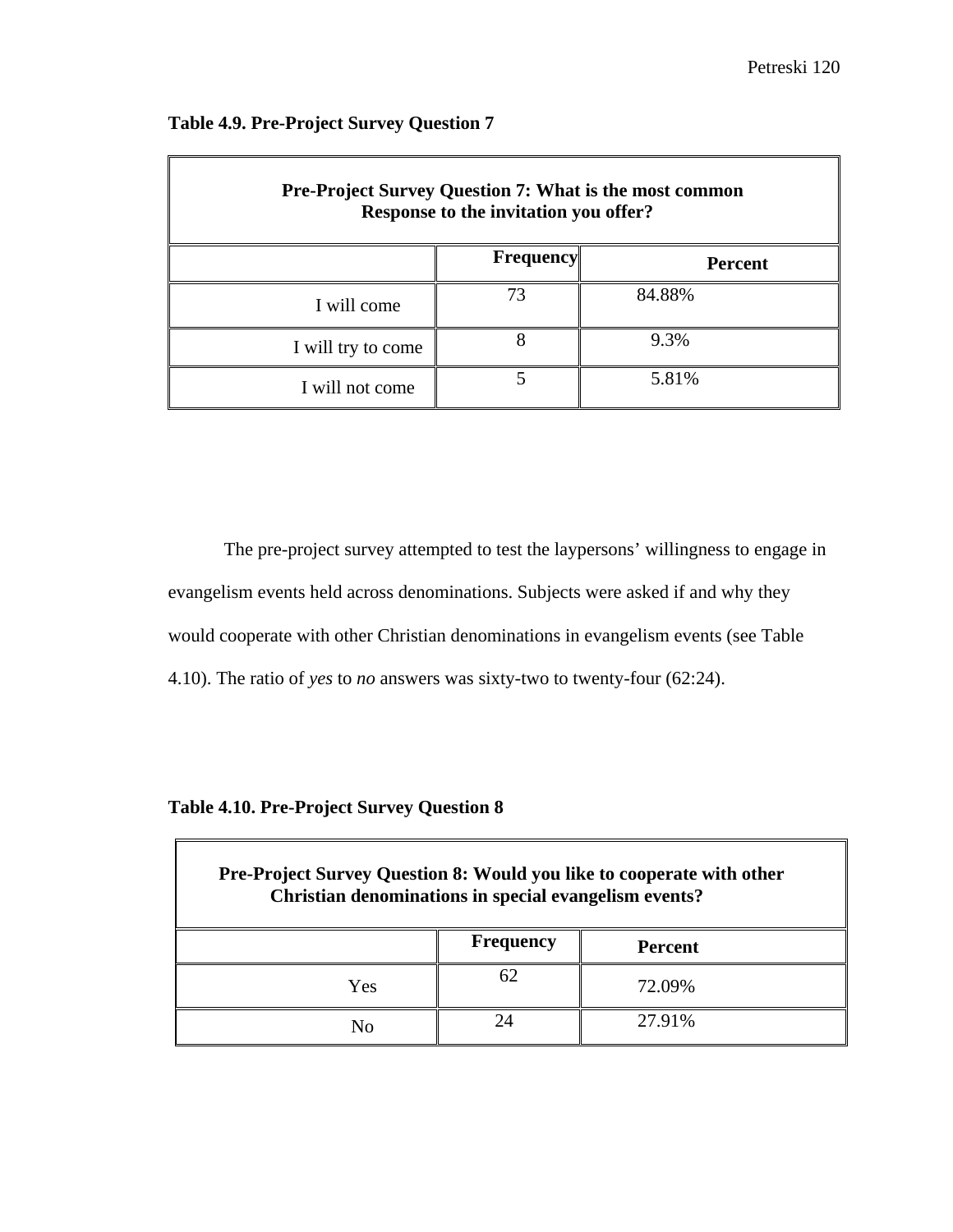$\overline{\mathbf{r}}$ 

| <b>Pre-Project Survey Question 7: What is the most common</b><br>Response to the invitation you offer? |           |                |  |
|--------------------------------------------------------------------------------------------------------|-----------|----------------|--|
|                                                                                                        | Frequency | <b>Percent</b> |  |
| I will come                                                                                            | 73        | 84.88%         |  |
| I will try to come                                                                                     | 8         | 9.3%           |  |
| I will not come                                                                                        |           | 5.81%          |  |

## **Table 4.9. Pre-Project Survey Question 7**

The pre-project survey attempted to test the laypersons' willingness to engage in evangelism events held across denominations. Subjects were asked if and why they would cooperate with other Christian denominations in evangelism events (see Table 4.10). The ratio of *yes* to *no* answers was sixty-two to twenty-four (62:24).

**Table 4.10. Pre-Project Survey Question 8**

| Pre-Project Survey Question 8: Would you like to cooperate with other<br>Christian denominations in special evangelism events? |  |        |  |
|--------------------------------------------------------------------------------------------------------------------------------|--|--------|--|
| <b>Frequency</b><br><b>Percent</b>                                                                                             |  |        |  |
| Yes                                                                                                                            |  | 72.09% |  |
|                                                                                                                                |  | 27.91% |  |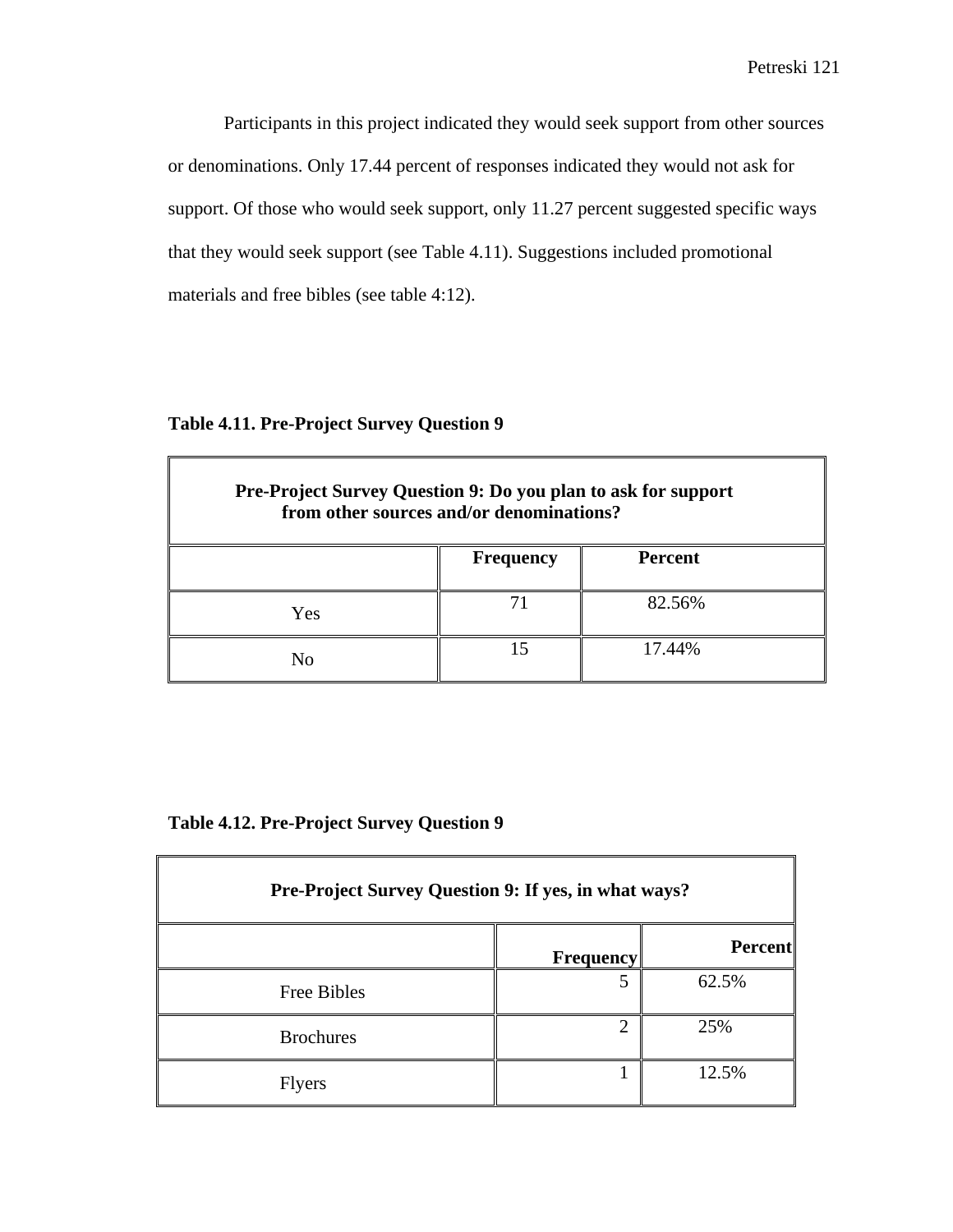Participants in this project indicated they would seek support from other sources or denominations. Only 17.44 percent of responses indicated they would not ask for support. Of those who would seek support, only 11.27 percent suggested specific ways that they would seek support (see Table 4.11). Suggestions included promotional materials and free bibles (see table 4:12).

**Table 4.11. Pre-Project Survey Question 9**

| Pre-Project Survey Question 9: Do you plan to ask for support<br>from other sources and/or denominations? |                  |                |  |
|-----------------------------------------------------------------------------------------------------------|------------------|----------------|--|
|                                                                                                           | <b>Frequency</b> | <b>Percent</b> |  |
| Yes                                                                                                       |                  | 82.56%         |  |
| Nο                                                                                                        |                  | 17.44%         |  |

**Table 4.12. Pre-Project Survey Question 9**

| Pre-Project Survey Question 9: If yes, in what ways? |                             |         |
|------------------------------------------------------|-----------------------------|---------|
|                                                      | <b>Frequency</b>            | Percent |
| Free Bibles                                          | 5                           | 62.5%   |
| <b>Brochures</b>                                     | $\mathcal{D}_{\mathcal{L}}$ | 25%     |
| <b>Flyers</b>                                        |                             | 12.5%   |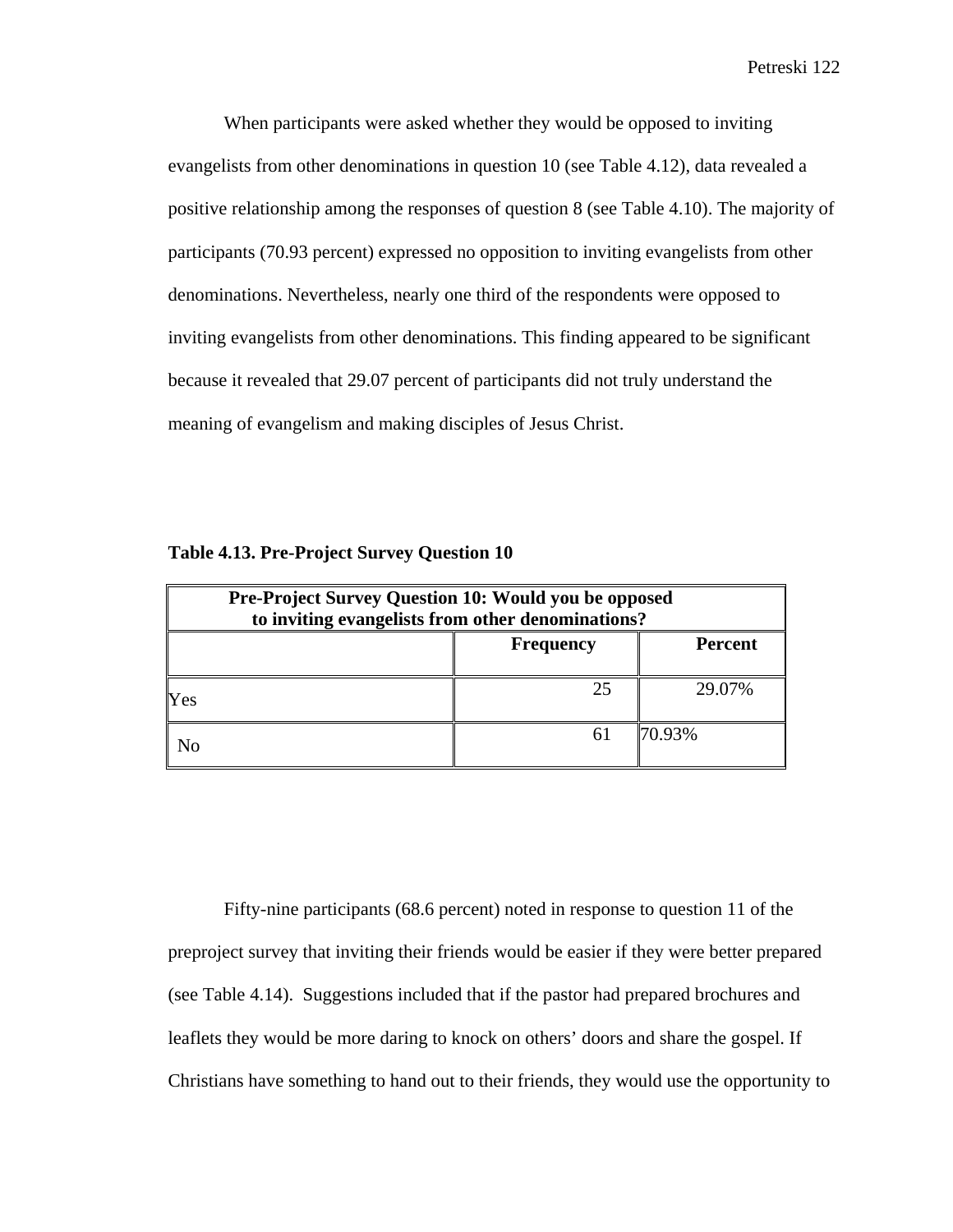When participants were asked whether they would be opposed to inviting evangelists from other denominations in question 10 (see Table 4.12), data revealed a positive relationship among the responses of question 8 (see Table 4.10). The majority of participants (70.93 percent) expressed no opposition to inviting evangelists from other denominations. Nevertheless, nearly one third of the respondents were opposed to inviting evangelists from other denominations. This finding appeared to be significant because it revealed that 29.07 percent of participants did not truly understand the meaning of evangelism and making disciples of Jesus Christ.

| <b>Pre-Project Survey Question 10: Would you be opposed</b><br>to inviting evangelists from other denominations? |    |        |  |
|------------------------------------------------------------------------------------------------------------------|----|--------|--|
| <b>Percent</b><br><b>Frequency</b>                                                                               |    |        |  |
| Yes                                                                                                              | 25 | 29.07% |  |
| 70.93%<br>61<br>No                                                                                               |    |        |  |

| Table 4.13. Pre-Project Survey Question 10 |  |  |  |  |
|--------------------------------------------|--|--|--|--|
|--------------------------------------------|--|--|--|--|

Fifty-nine participants (68.6 percent) noted in response to question 11 of the preproject survey that inviting their friends would be easier if they were better prepared (see Table 4.14). Suggestions included that if the pastor had prepared brochures and leaflets they would be more daring to knock on others' doors and share the gospel. If Christians have something to hand out to their friends, they would use the opportunity to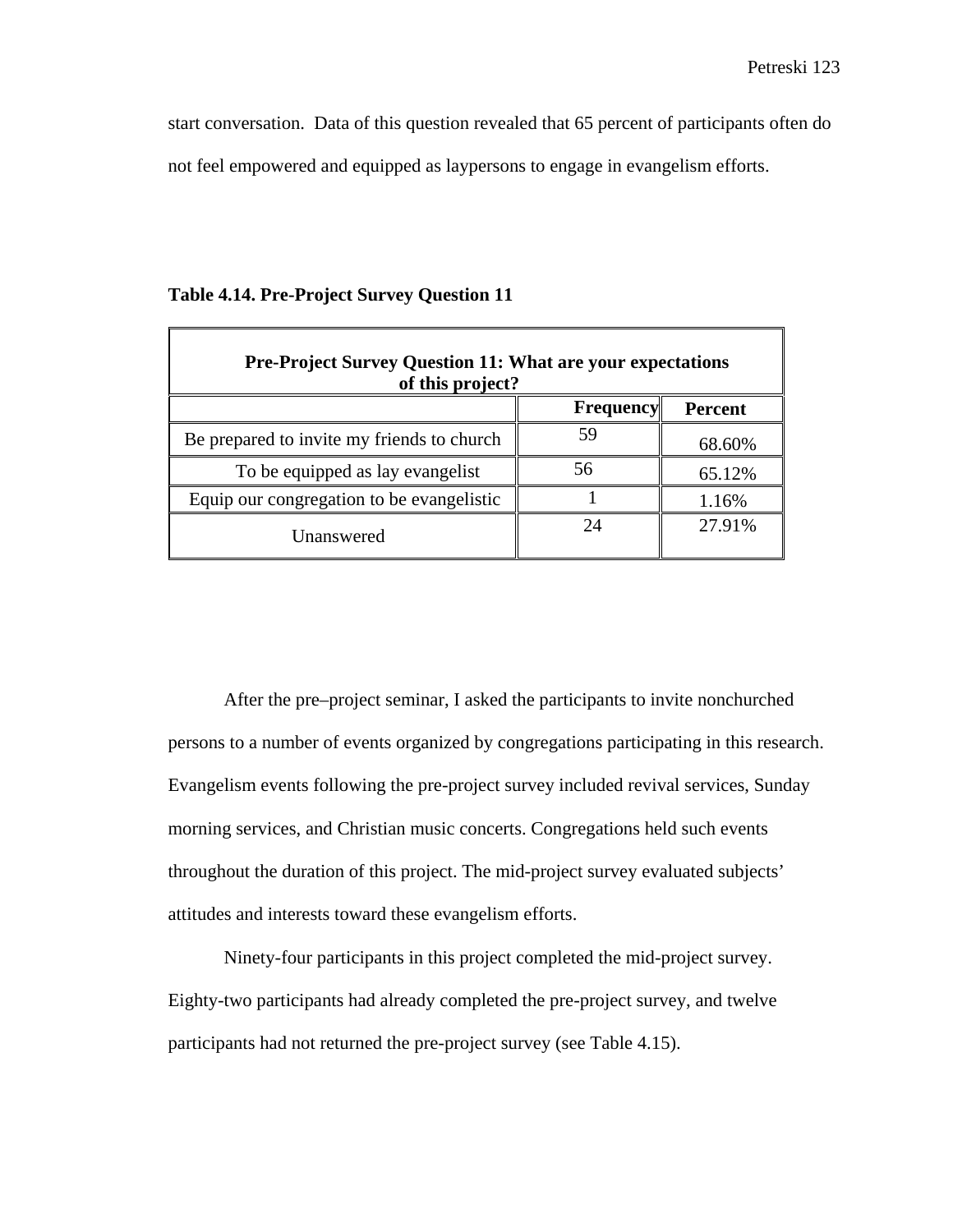start conversation. Data of this question revealed that 65 percent of participants often do not feel empowered and equipped as laypersons to engage in evangelism efforts.

| <b>Pre-Project Survey Question 11: What are your expectations</b><br>of this project? |           |                |  |
|---------------------------------------------------------------------------------------|-----------|----------------|--|
|                                                                                       | Frequency | <b>Percent</b> |  |
| Be prepared to invite my friends to church                                            | 59        | 68.60%         |  |
| To be equipped as lay evangelist                                                      | 56        | 65.12%         |  |
| Equip our congregation to be evangelistic                                             |           | 1.16%          |  |
| Unanswered                                                                            | 24        | 27.91%         |  |

### **Table 4.14. Pre-Project Survey Question 11**

After the pre–project seminar, I asked the participants to invite nonchurched persons to a number of events organized by congregations participating in this research. Evangelism events following the pre-project survey included revival services, Sunday morning services, and Christian music concerts. Congregations held such events throughout the duration of this project. The mid-project survey evaluated subjects' attitudes and interests toward these evangelism efforts.

Ninety-four participants in this project completed the mid-project survey. Eighty-two participants had already completed the pre-project survey, and twelve participants had not returned the pre-project survey (see Table 4.15).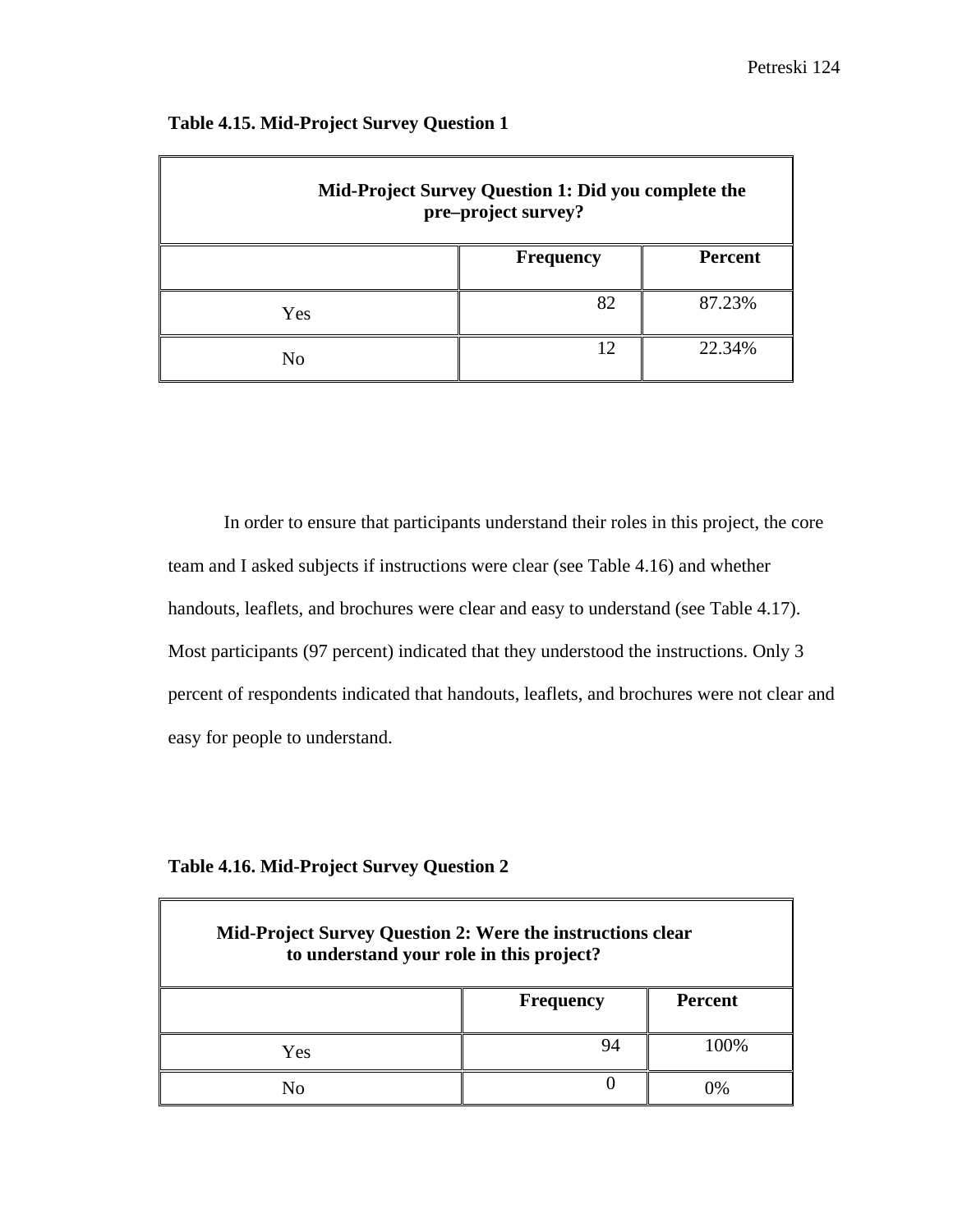| Mid-Project Survey Question 1: Did you complete the<br>pre-project survey? |                  |                |
|----------------------------------------------------------------------------|------------------|----------------|
|                                                                            | <b>Frequency</b> | <b>Percent</b> |
| Yes                                                                        | 82               | 87.23%         |
| No                                                                         | 12               | 22.34%         |

# **Table 4.15. Mid-Project Survey Question 1**

In order to ensure that participants understand their roles in this project, the core team and I asked subjects if instructions were clear (see Table 4.16) and whether handouts, leaflets, and brochures were clear and easy to understand (see Table 4.17). Most participants (97 percent) indicated that they understood the instructions. Only 3 percent of respondents indicated that handouts, leaflets, and brochures were not clear and easy for people to understand.

| <b>Table 4.16. Mid-Project Survey Question 2</b> |  |  |
|--------------------------------------------------|--|--|
|                                                  |  |  |

| <b>Mid-Project Survey Question 2: Were the instructions clear</b><br>to understand your role in this project? |                  |                |
|---------------------------------------------------------------------------------------------------------------|------------------|----------------|
|                                                                                                               | <b>Frequency</b> | <b>Percent</b> |
| Yes                                                                                                           | 94               | 100%           |
| Nο                                                                                                            |                  | 9/             |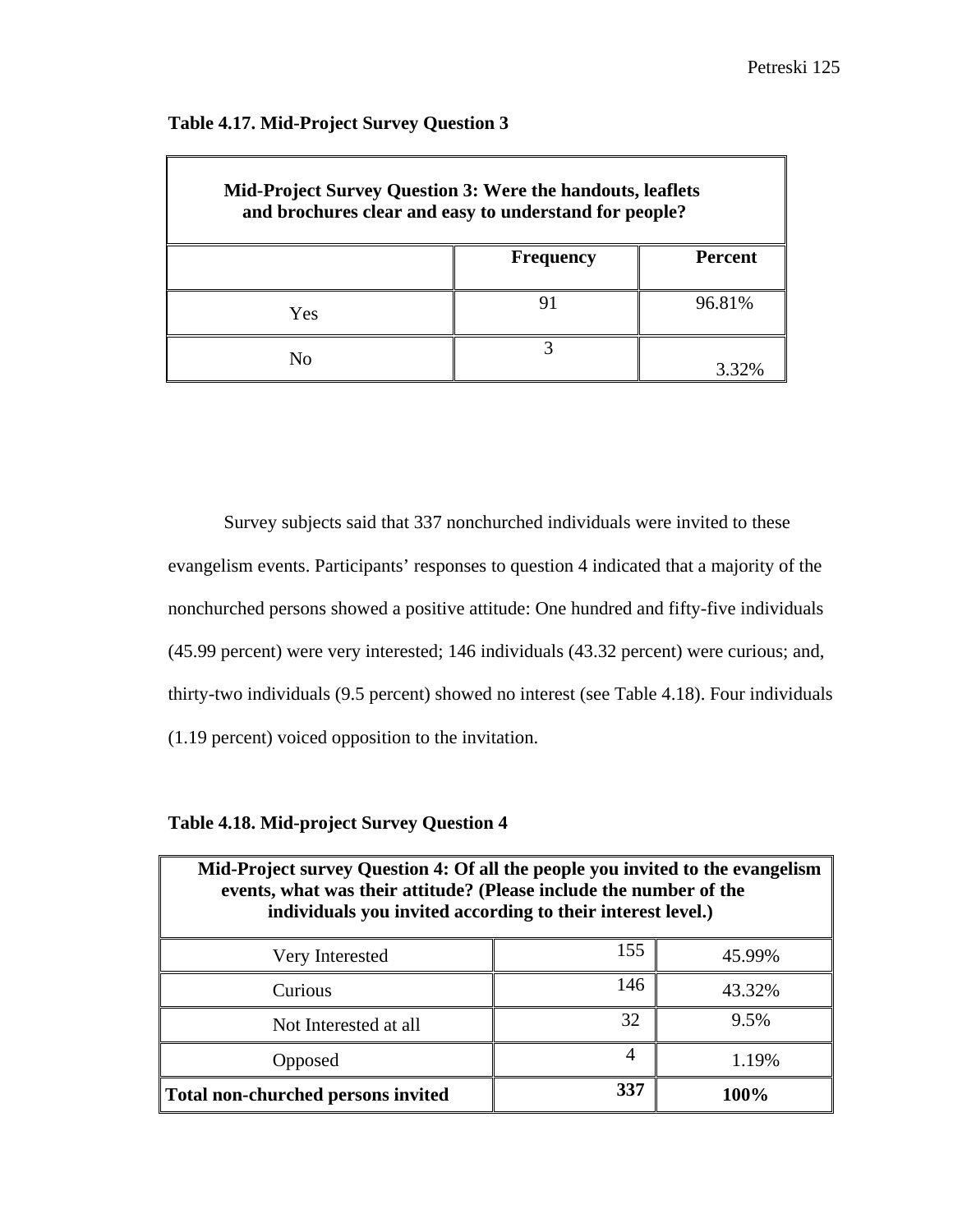| <b>Mid-Project Survey Question 3: Were the handouts, leaflets</b><br>and brochures clear and easy to understand for people? |                  |                |
|-----------------------------------------------------------------------------------------------------------------------------|------------------|----------------|
|                                                                                                                             | <b>Frequency</b> | <b>Percent</b> |
| Yes                                                                                                                         |                  | 96.81%         |
| No                                                                                                                          |                  | 3.32%          |

### **Table 4.17. Mid-Project Survey Question 3**

Survey subjects said that 337 nonchurched individuals were invited to these evangelism events. Participants' responses to question 4 indicated that a majority of the nonchurched persons showed a positive attitude: One hundred and fifty-five individuals (45.99 percent) were very interested; 146 individuals (43.32 percent) were curious; and, thirty-two individuals (9.5 percent) showed no interest (see Table 4.18). Four individuals (1.19 percent) voiced opposition to the invitation.

**Table 4.18. Mid-project Survey Question 4**

| Mid-Project survey Question 4: Of all the people you invited to the evangelism<br>events, what was their attitude? (Please include the number of the<br>individuals you invited according to their interest level.) |     |        |
|---------------------------------------------------------------------------------------------------------------------------------------------------------------------------------------------------------------------|-----|--------|
| Very Interested                                                                                                                                                                                                     | 155 | 45.99% |
| Curious                                                                                                                                                                                                             | 146 | 43.32% |
| Not Interested at all                                                                                                                                                                                               | 32  | 9.5%   |
| Opposed                                                                                                                                                                                                             | 4   | 1.19%  |
| Total non-churched persons invited                                                                                                                                                                                  | 337 | 100%   |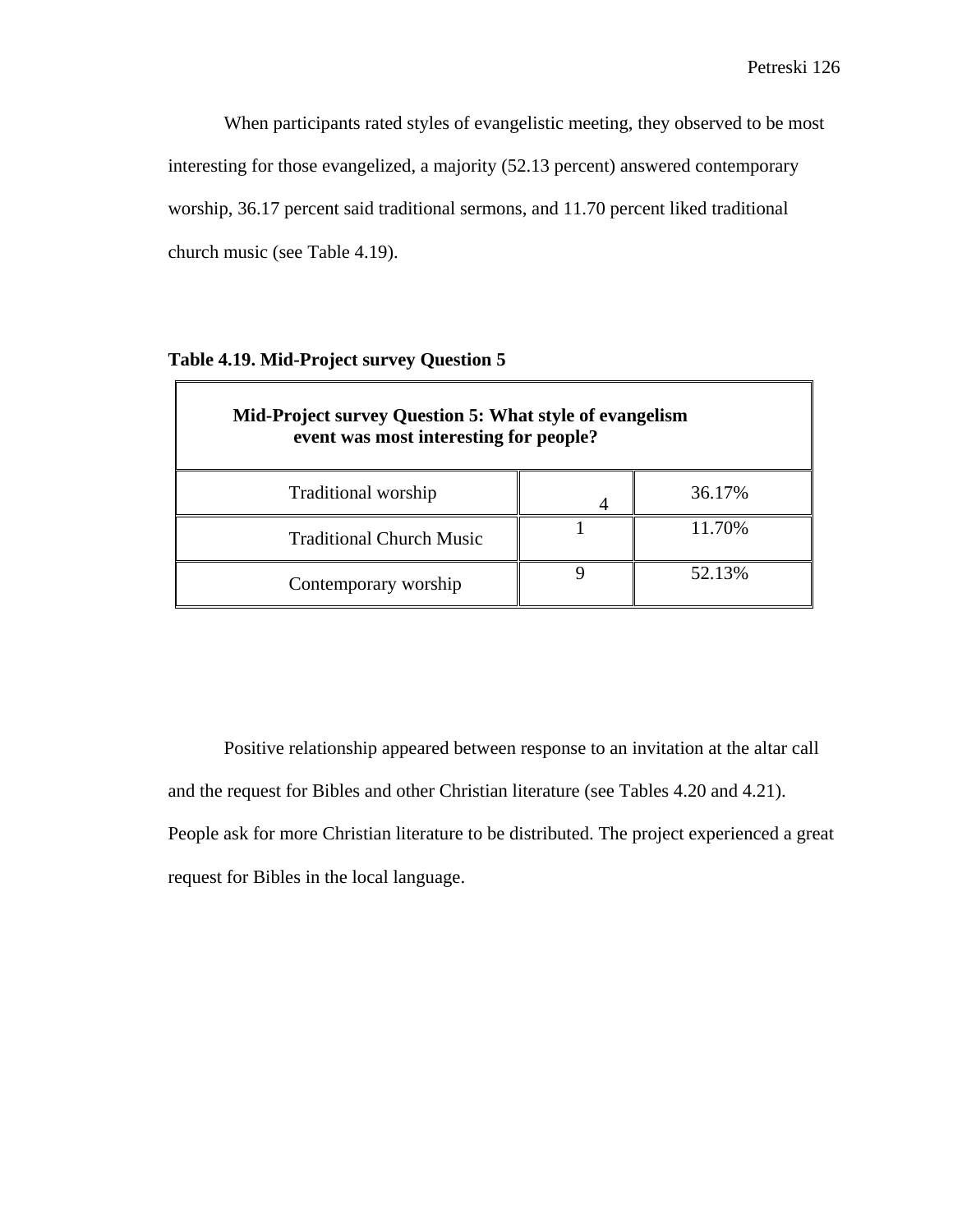When participants rated styles of evangelistic meeting, they observed to be most interesting for those evangelized, a majority (52.13 percent) answered contemporary worship, 36.17 percent said traditional sermons, and 11.70 percent liked traditional church music (see Table 4.19).

| Mid-Project survey Question 5: What style of evangelism<br>event was most interesting for people? |  |        |  |  |
|---------------------------------------------------------------------------------------------------|--|--------|--|--|
| 36.17%<br>Traditional worship                                                                     |  |        |  |  |
| <b>Traditional Church Music</b>                                                                   |  | 11.70% |  |  |
| Contemporary worship                                                                              |  | 52.13% |  |  |

## **Table 4.19. Mid-Project survey Question 5**

Positive relationship appeared between response to an invitation at the altar call and the request for Bibles and other Christian literature (see Tables 4.20 and 4.21). People ask for more Christian literature to be distributed. The project experienced a great request for Bibles in the local language.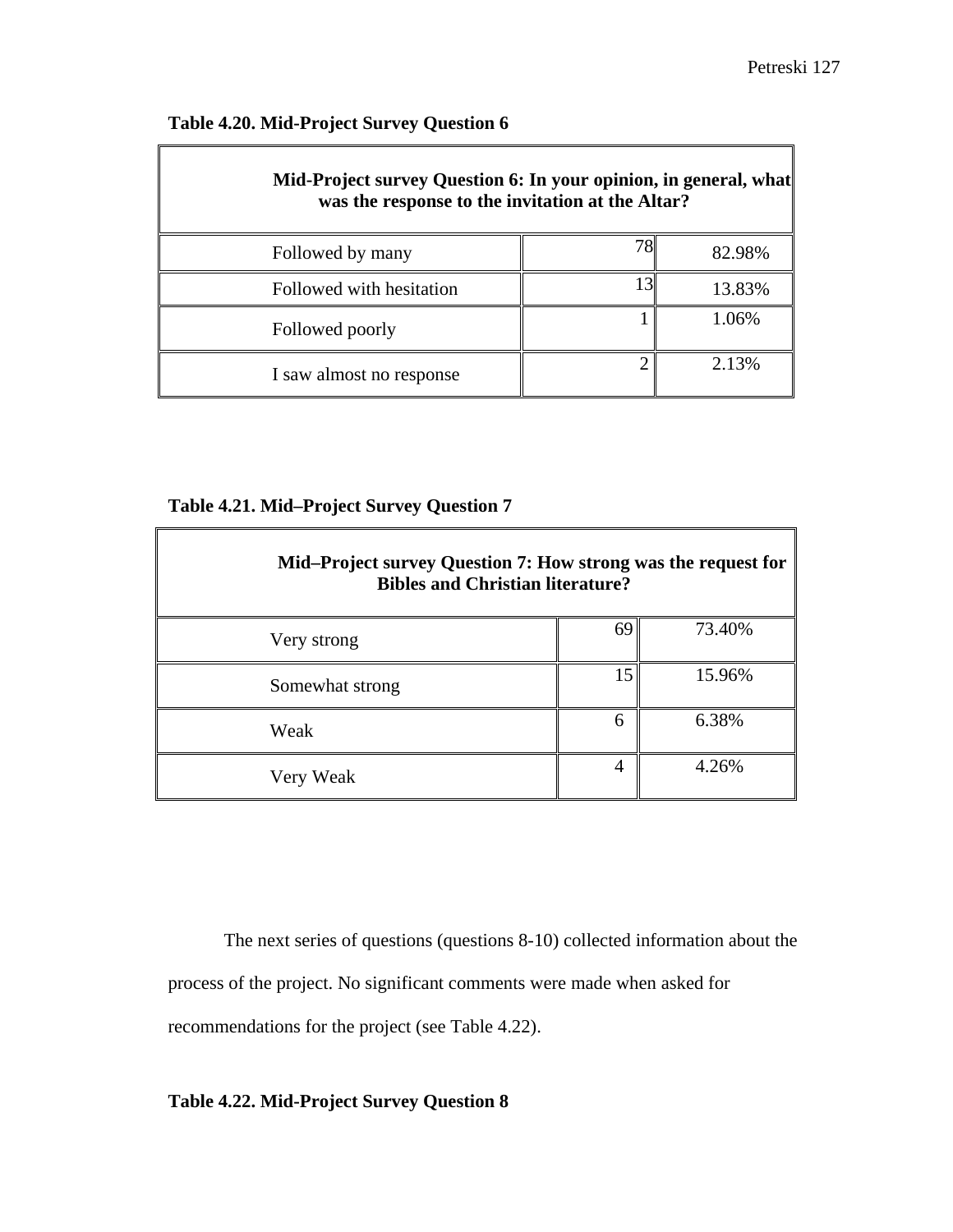$\blacksquare$ 

## **Table 4.20. Mid-Project Survey Question 6**

 $\mathbb{F}$ 

| Mid-Project survey Question 6: In your opinion, in general, what<br>was the response to the invitation at the Altar? |  |        |
|----------------------------------------------------------------------------------------------------------------------|--|--------|
| Followed by many                                                                                                     |  | 82.98% |
| Followed with hesitation                                                                                             |  | 13.83% |
| Followed poorly                                                                                                      |  | 1.06%  |
| I saw almost no response                                                                                             |  | 2.13%  |

### **Table 4.21. Mid–Project Survey Question 7**

| Mid-Project survey Question 7: How strong was the request for<br><b>Bibles and Christian literature?</b> |    |        |
|----------------------------------------------------------------------------------------------------------|----|--------|
| Very strong                                                                                              | 69 | 73.40% |
| Somewhat strong                                                                                          | 15 | 15.96% |
| Weak                                                                                                     | 6  | 6.38%  |
| Very Weak                                                                                                |    | 4.26%  |

The next series of questions (questions 8-10) collected information about the process of the project. No significant comments were made when asked for recommendations for the project (see Table 4.22).

## **Table 4.22. Mid-Project Survey Question 8**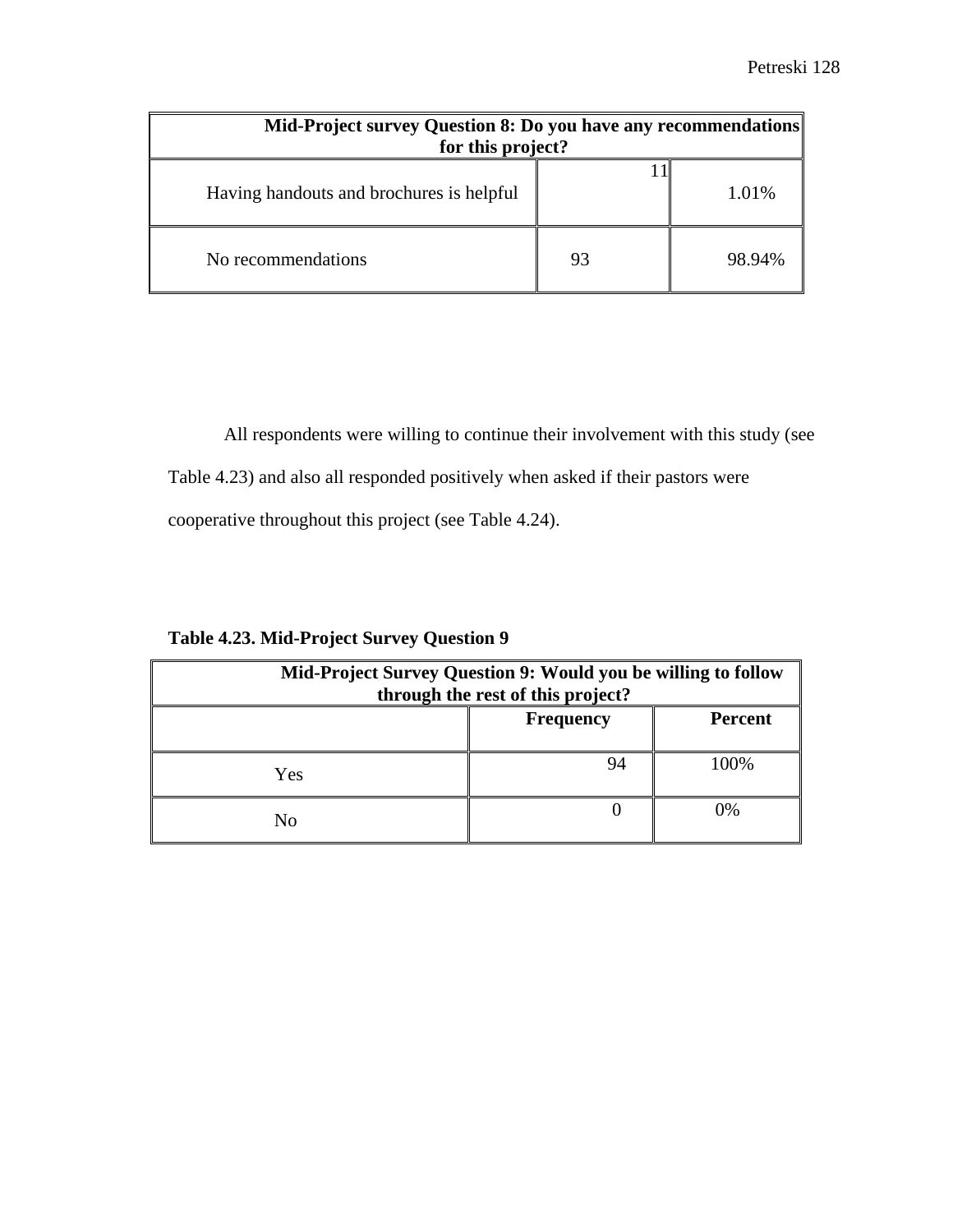| Mid-Project survey Question 8: Do you have any recommendations<br>for this project? |    |        |
|-------------------------------------------------------------------------------------|----|--------|
| Having handouts and brochures is helpful                                            |    | 1.01%  |
| No recommendations                                                                  | 93 | 98.94% |

All respondents were willing to continue their involvement with this study (see Table 4.23) and also all responded positively when asked if their pastors were cooperative throughout this project (see Table 4.24).

| Mid-Project Survey Question 9: Would you be willing to follow<br>through the rest of this project? |                  |                |
|----------------------------------------------------------------------------------------------------|------------------|----------------|
|                                                                                                    | <b>Frequency</b> | <b>Percent</b> |
| Yes                                                                                                | 94               | 100%           |
| N <sub>0</sub>                                                                                     |                  | 0%             |

### **Table 4.23. Mid-Project Survey Question 9**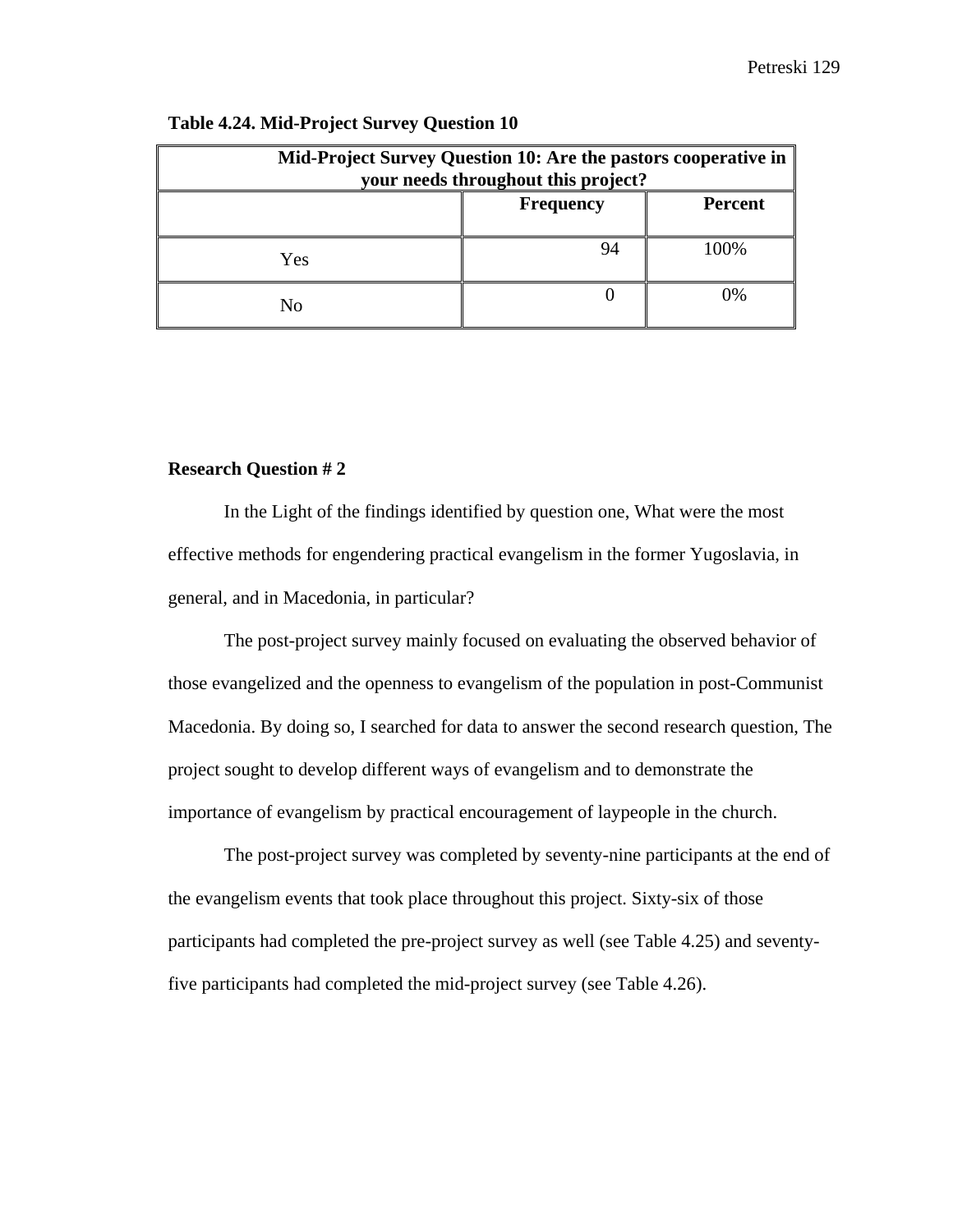| Mid-Project Survey Question 10: Are the pastors cooperative in<br>your needs throughout this project? |                  |                |
|-------------------------------------------------------------------------------------------------------|------------------|----------------|
|                                                                                                       | <b>Frequency</b> | <b>Percent</b> |
| Yes                                                                                                   |                  | 100%           |
| Nο                                                                                                    |                  | )%             |

#### **Table 4.24. Mid-Project Survey Question 10**

### **Research Question # 2**

In the Light of the findings identified by question one, What were the most effective methods for engendering practical evangelism in the former Yugoslavia, in general, and in Macedonia, in particular?

The post-project survey mainly focused on evaluating the observed behavior of those evangelized and the openness to evangelism of the population in post-Communist Macedonia. By doing so, I searched for data to answer the second research question, The project sought to develop different ways of evangelism and to demonstrate the importance of evangelism by practical encouragement of laypeople in the church.

The post-project survey was completed by seventy-nine participants at the end of the evangelism events that took place throughout this project. Sixty-six of those participants had completed the pre-project survey as well (see Table 4.25) and seventyfive participants had completed the mid-project survey (see Table 4.26).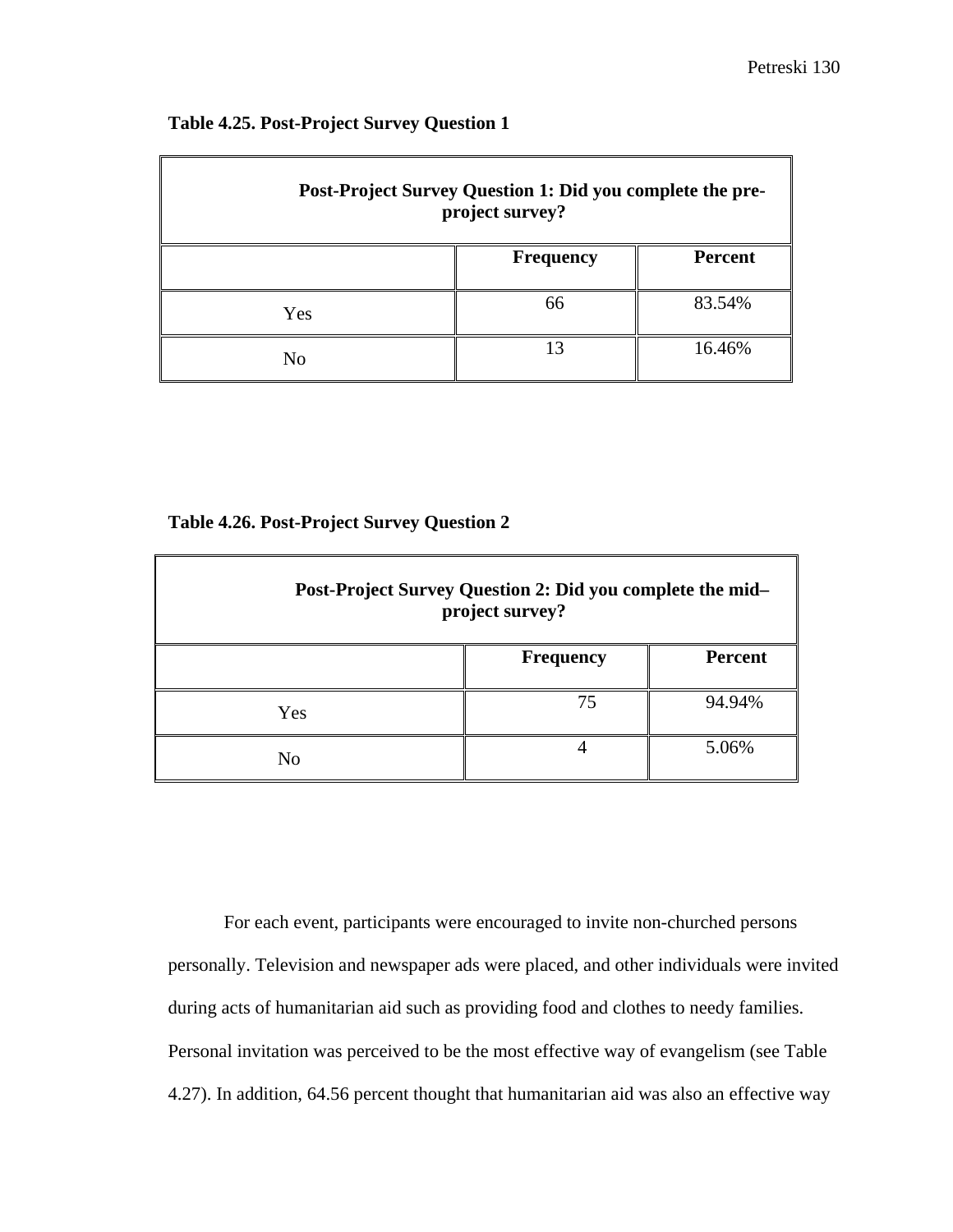| Post-Project Survey Question 1: Did you complete the pre-<br>project survey? |                  |                |
|------------------------------------------------------------------------------|------------------|----------------|
|                                                                              | <b>Frequency</b> | <b>Percent</b> |
| Yes                                                                          | 66               | 83.54%         |
| No                                                                           | 13               | 16.46%         |

## **Table 4.25. Post-Project Survey Question 1**

### **Table 4.26. Post-Project Survey Question 2**

| Post-Project Survey Question 2: Did you complete the mid-<br>project survey? |                  |                |
|------------------------------------------------------------------------------|------------------|----------------|
|                                                                              | <b>Frequency</b> | <b>Percent</b> |
| Yes                                                                          | 75               | 94.94%         |
| No                                                                           |                  | 5.06%          |

For each event, participants were encouraged to invite non-churched persons personally. Television and newspaper ads were placed, and other individuals were invited during acts of humanitarian aid such as providing food and clothes to needy families. Personal invitation was perceived to be the most effective way of evangelism (see Table 4.27). In addition, 64.56 percent thought that humanitarian aid was also an effective way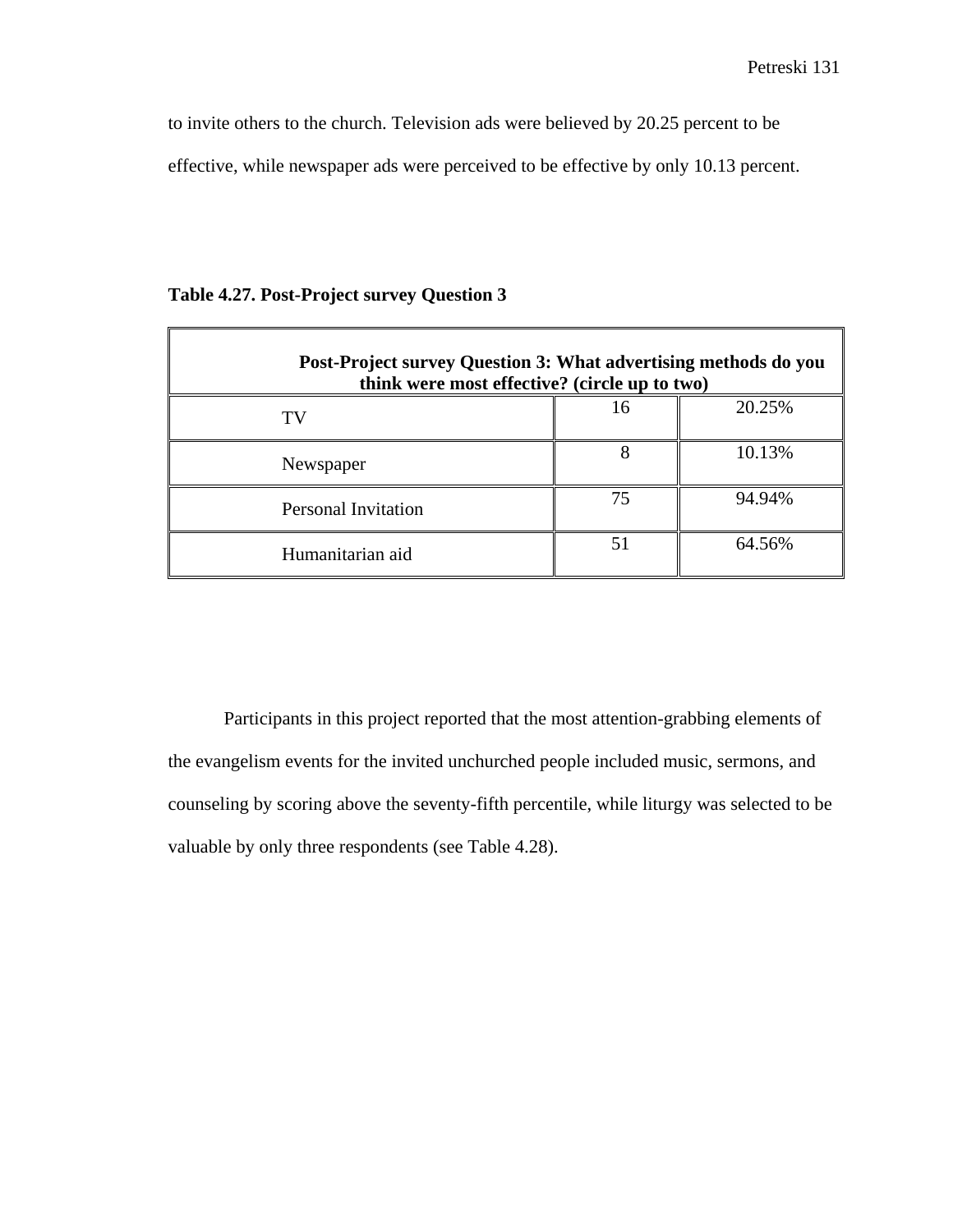to invite others to the church. Television ads were believed by 20.25 percent to be effective, while newspaper ads were perceived to be effective by only 10.13 percent.

| Post-Project survey Question 3: What advertising methods do you<br>think were most effective? (circle up to two) |    |        |
|------------------------------------------------------------------------------------------------------------------|----|--------|
| TV                                                                                                               | 16 | 20.25% |
| Newspaper                                                                                                        | 8  | 10.13% |
| <b>Personal Invitation</b>                                                                                       | 75 | 94.94% |
| Humanitarian aid                                                                                                 | 51 | 64.56% |

## **Table 4.27. Post-Project survey Question 3**

Participants in this project reported that the most attention-grabbing elements of the evangelism events for the invited unchurched people included music, sermons, and counseling by scoring above the seventy-fifth percentile, while liturgy was selected to be valuable by only three respondents (see Table 4.28).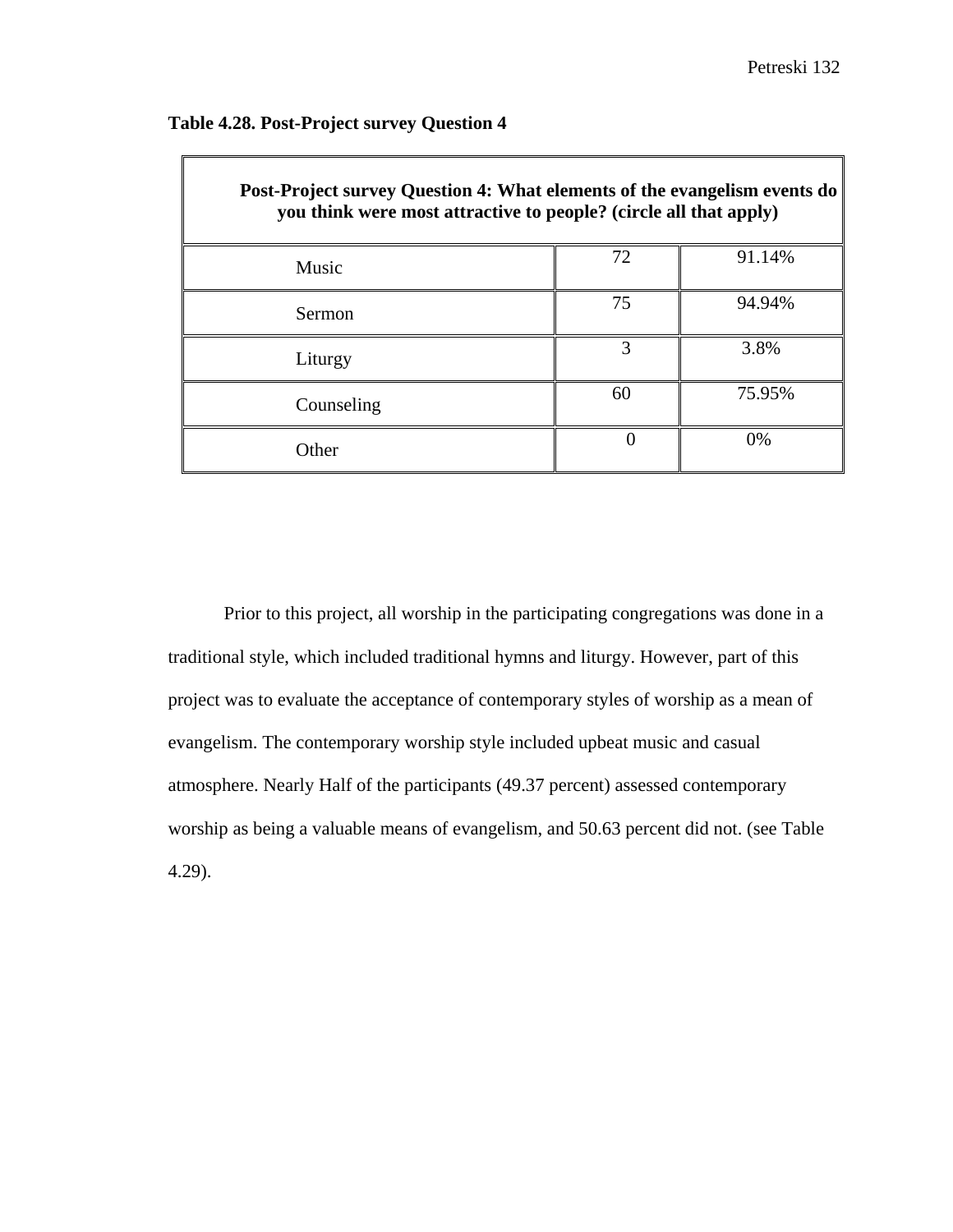$\overline{\mathbb{I}}$ 

| <b>Post-Project survey Question 4: What elements of the evangelism events do</b><br>you think were most attractive to people? (circle all that apply) |    |        |
|-------------------------------------------------------------------------------------------------------------------------------------------------------|----|--------|
| Music                                                                                                                                                 | 72 | 91.14% |
| Sermon                                                                                                                                                | 75 | 94.94% |
| Liturgy                                                                                                                                               | 3  | 3.8%   |
| Counseling                                                                                                                                            | 60 | 75.95% |
| Other                                                                                                                                                 |    | $0\%$  |

## **Table 4.28. Post-Project survey Question 4**

 $\Gamma$ 

Prior to this project, all worship in the participating congregations was done in a traditional style, which included traditional hymns and liturgy. However, part of this project was to evaluate the acceptance of contemporary styles of worship as a mean of evangelism. The contemporary worship style included upbeat music and casual atmosphere. Nearly Half of the participants (49.37 percent) assessed contemporary worship as being a valuable means of evangelism, and 50.63 percent did not. (see Table 4.29).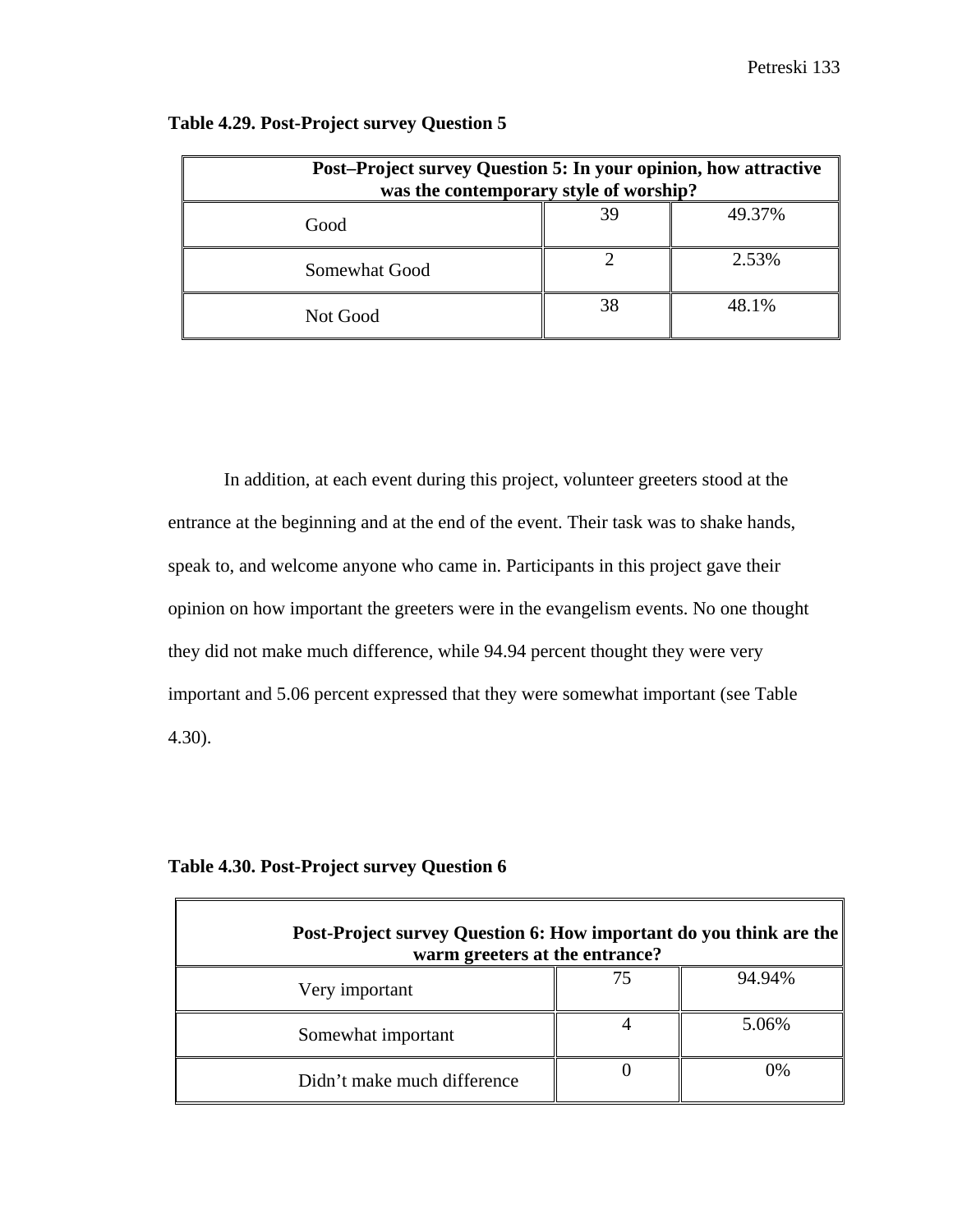| Post-Project survey Question 5: In your opinion, how attractive<br>was the contemporary style of worship? |    |        |  |
|-----------------------------------------------------------------------------------------------------------|----|--------|--|
| Good                                                                                                      | 39 | 49.37% |  |
| Somewhat Good                                                                                             |    | 2.53%  |  |
| Not Good                                                                                                  | 38 | 48.1%  |  |

## **Table 4.29. Post-Project survey Question 5**

In addition, at each event during this project, volunteer greeters stood at the entrance at the beginning and at the end of the event. Their task was to shake hands, speak to, and welcome anyone who came in. Participants in this project gave their opinion on how important the greeters were in the evangelism events. No one thought they did not make much difference, while 94.94 percent thought they were very important and 5.06 percent expressed that they were somewhat important (see Table 4.30).

## **Table 4.30. Post-Project survey Question 6**

| Post-Project survey Question 6: How important do you think are the<br>warm greeters at the entrance? |    |        |
|------------------------------------------------------------------------------------------------------|----|--------|
| Very important                                                                                       | 75 | 94.94% |
| Somewhat important                                                                                   |    | 5.06%  |
| Didn't make much difference                                                                          |    | 0%     |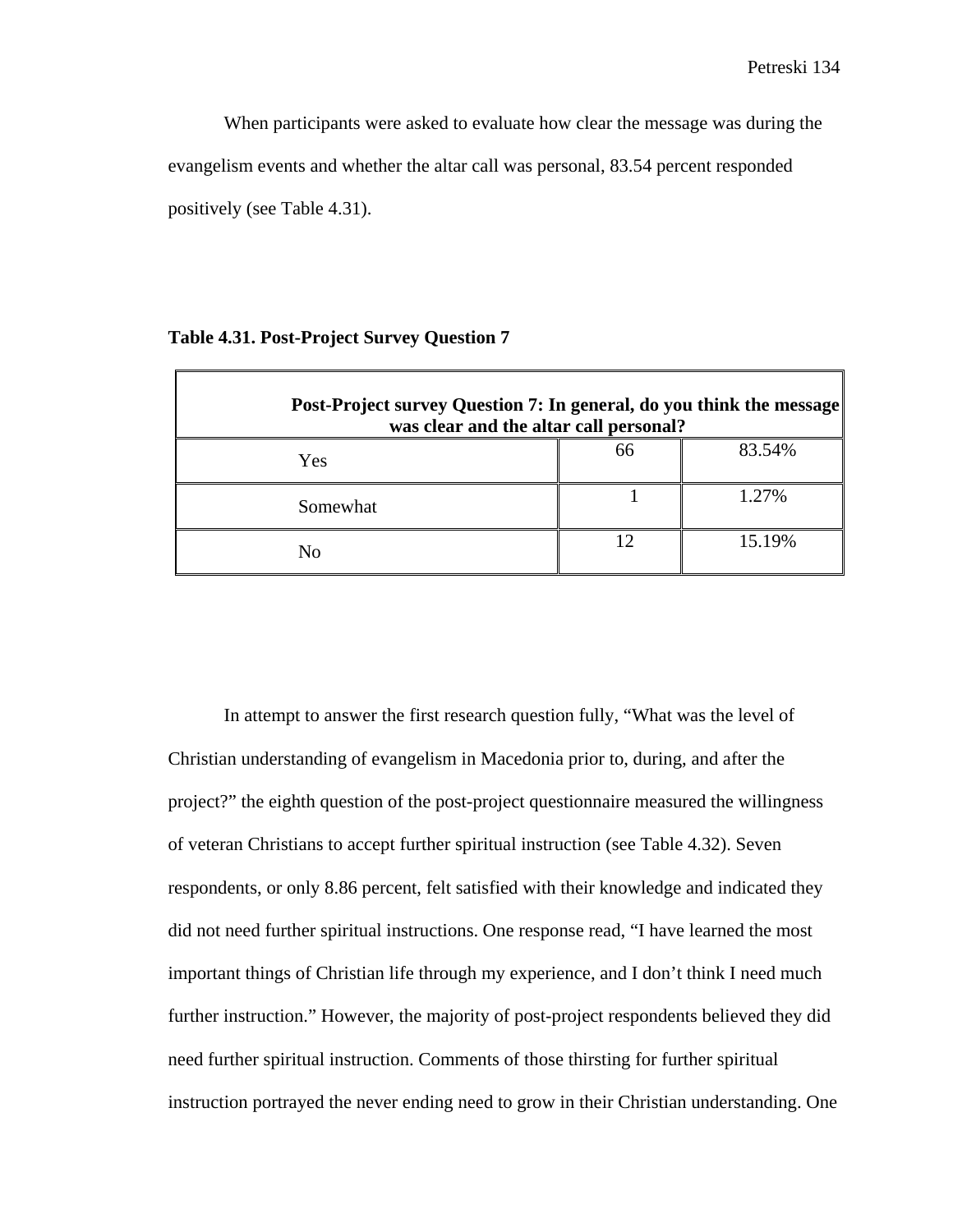When participants were asked to evaluate how clear the message was during the evangelism events and whether the altar call was personal, 83.54 percent responded positively (see Table 4.31).

## **Table 4.31. Post-Project Survey Question 7**

| <b>Post-Project survey Question 7: In general, do you think the message</b><br>was clear and the altar call personal? |    |        |
|-----------------------------------------------------------------------------------------------------------------------|----|--------|
| Yes                                                                                                                   | 66 | 83.54% |
| Somewhat                                                                                                              |    | 1.27%  |
| No                                                                                                                    | 12 | 15.19% |

In attempt to answer the first research question fully, "What was the level of Christian understanding of evangelism in Macedonia prior to, during, and after the project?" the eighth question of the post-project questionnaire measured the willingness of veteran Christians to accept further spiritual instruction (see Table 4.32). Seven respondents, or only 8.86 percent, felt satisfied with their knowledge and indicated they did not need further spiritual instructions. One response read, "I have learned the most important things of Christian life through my experience, and I don't think I need much further instruction." However, the majority of post-project respondents believed they did need further spiritual instruction. Comments of those thirsting for further spiritual instruction portrayed the never ending need to grow in their Christian understanding. One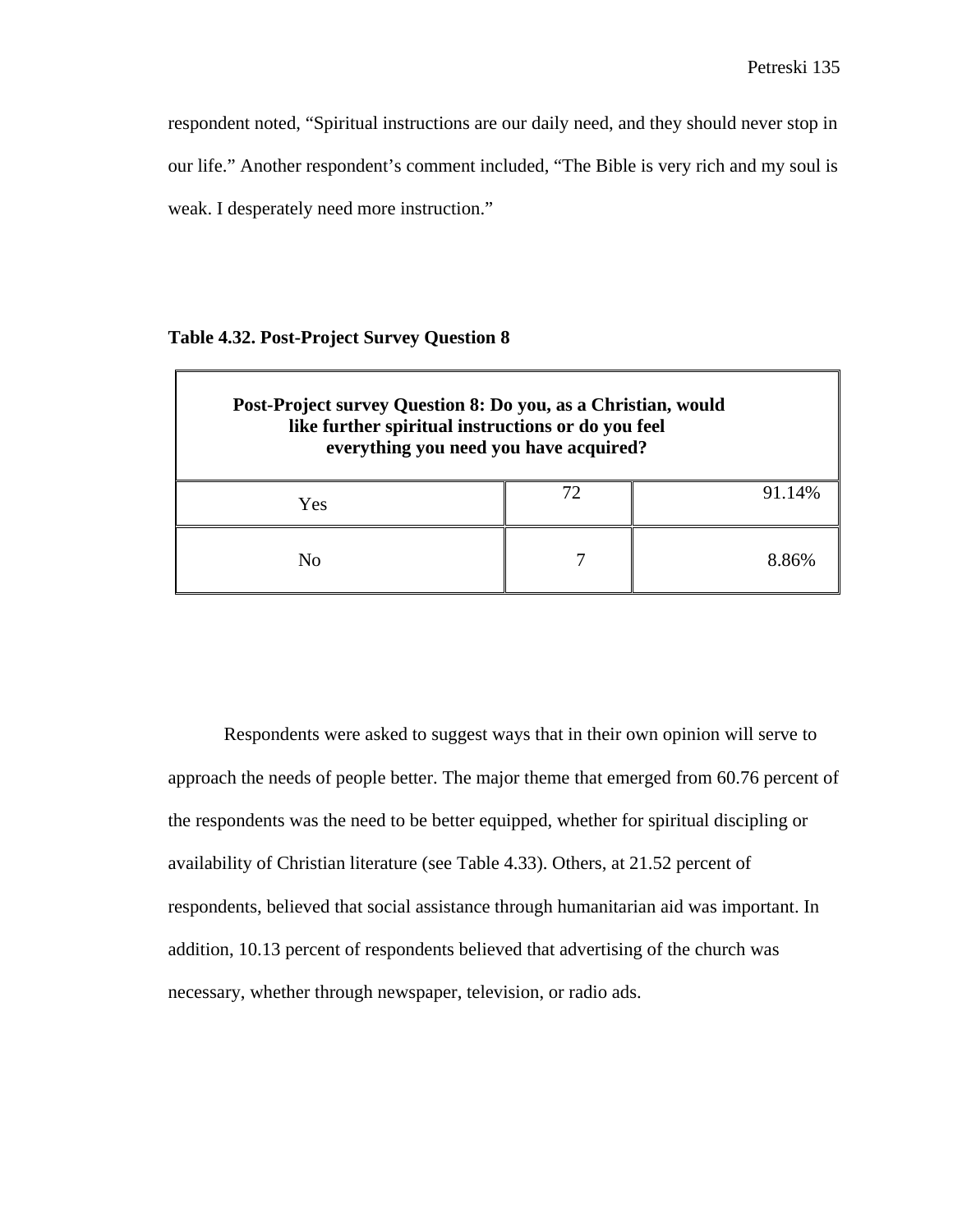respondent noted, "Spiritual instructions are our daily need, and they should never stop in our life." Another respondent's comment included, "The Bible is very rich and my soul is weak. I desperately need more instruction."

#### **Table 4.32. Post-Project Survey Question 8**

 $\Gamma$ 

| Post-Project survey Question 8: Do you, as a Christian, would<br>like further spiritual instructions or do you feel<br>everything you need you have acquired? |  |        |  |
|---------------------------------------------------------------------------------------------------------------------------------------------------------------|--|--------|--|
| Yes                                                                                                                                                           |  | 91.14% |  |
| No                                                                                                                                                            |  | 8.86%  |  |

Respondents were asked to suggest ways that in their own opinion will serve to approach the needs of people better. The major theme that emerged from 60.76 percent of the respondents was the need to be better equipped, whether for spiritual discipling or availability of Christian literature (see Table 4.33). Others, at 21.52 percent of respondents, believed that social assistance through humanitarian aid was important. In addition, 10.13 percent of respondents believed that advertising of the church was necessary, whether through newspaper, television, or radio ads.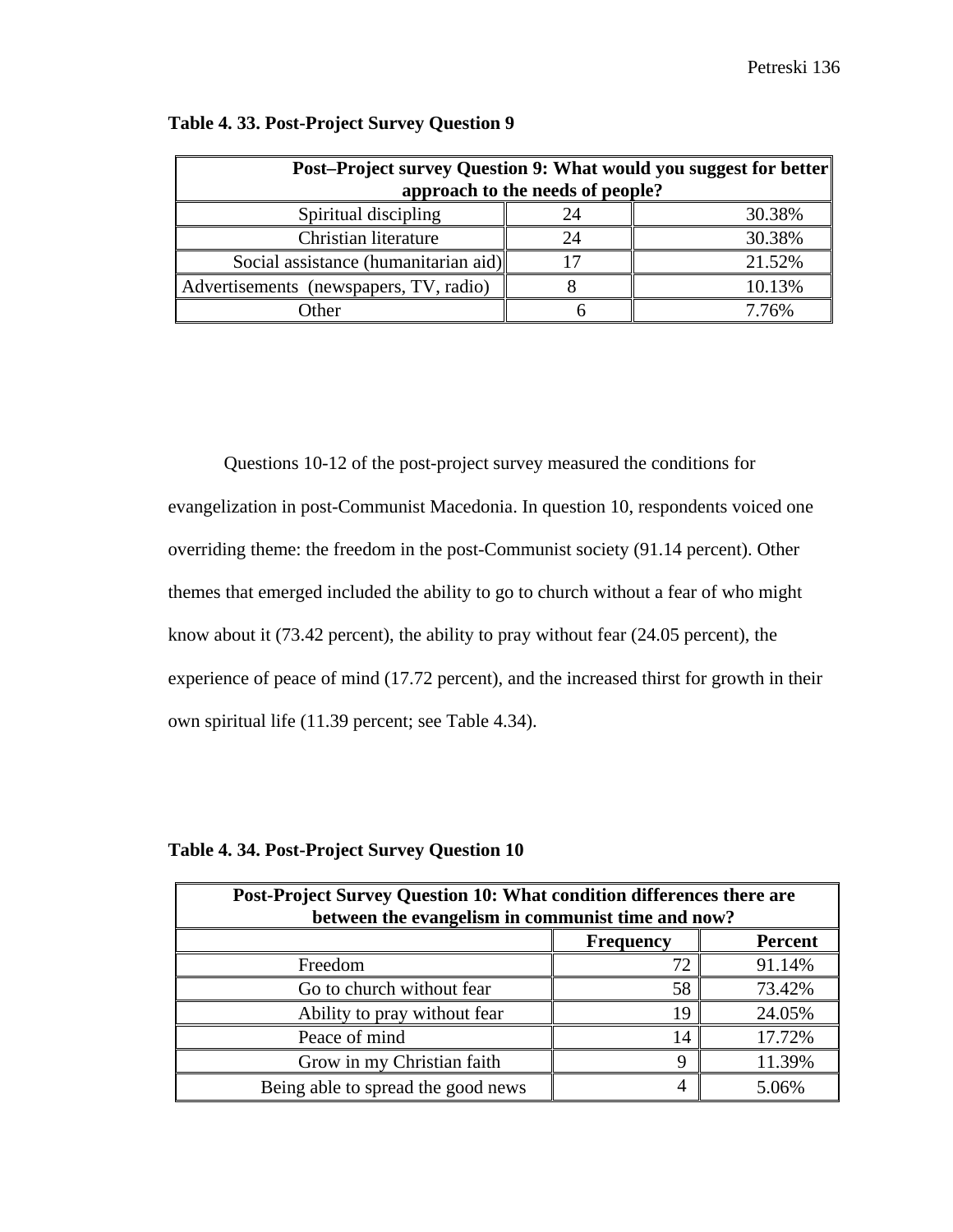| Post-Project survey Question 9: What would you suggest for better |                                  |        |  |  |  |
|-------------------------------------------------------------------|----------------------------------|--------|--|--|--|
|                                                                   | approach to the needs of people? |        |  |  |  |
| Spiritual discipling                                              | 24                               | 30.38% |  |  |  |
| Christian literature                                              |                                  | 30.38% |  |  |  |
| Social assistance (humanitarian aid)                              |                                  | 21.52% |  |  |  |
| Advertisements (newspapers, TV, radio)                            |                                  | 10.13% |  |  |  |
| )ther                                                             |                                  | 7.76%  |  |  |  |

## **Table 4. 33. Post-Project Survey Question 9**

Questions 10-12 of the post-project survey measured the conditions for evangelization in post-Communist Macedonia. In question 10, respondents voiced one overriding theme: the freedom in the post-Communist society (91.14 percent). Other themes that emerged included the ability to go to church without a fear of who might know about it (73.42 percent), the ability to pray without fear (24.05 percent), the experience of peace of mind (17.72 percent), and the increased thirst for growth in their own spiritual life (11.39 percent; see Table 4.34).

| Post-Project Survey Question 10: What condition differences there are |          |        |  |  |
|-----------------------------------------------------------------------|----------|--------|--|--|
| between the evangelism in communist time and now?                     |          |        |  |  |
| <b>Percent</b><br><b>Frequency</b>                                    |          |        |  |  |
| Freedom                                                               |          | 91.14% |  |  |
| Go to church without fear                                             | 58       | 73.42% |  |  |
| Ability to pray without fear                                          | 19       | 24.05% |  |  |
| Peace of mind                                                         | 14       | 17.72% |  |  |
| Grow in my Christian faith                                            | $\Omega$ | 11.39% |  |  |
| Being able to spread the good news                                    |          | 5.06%  |  |  |

## **Table 4. 34. Post-Project Survey Question 10**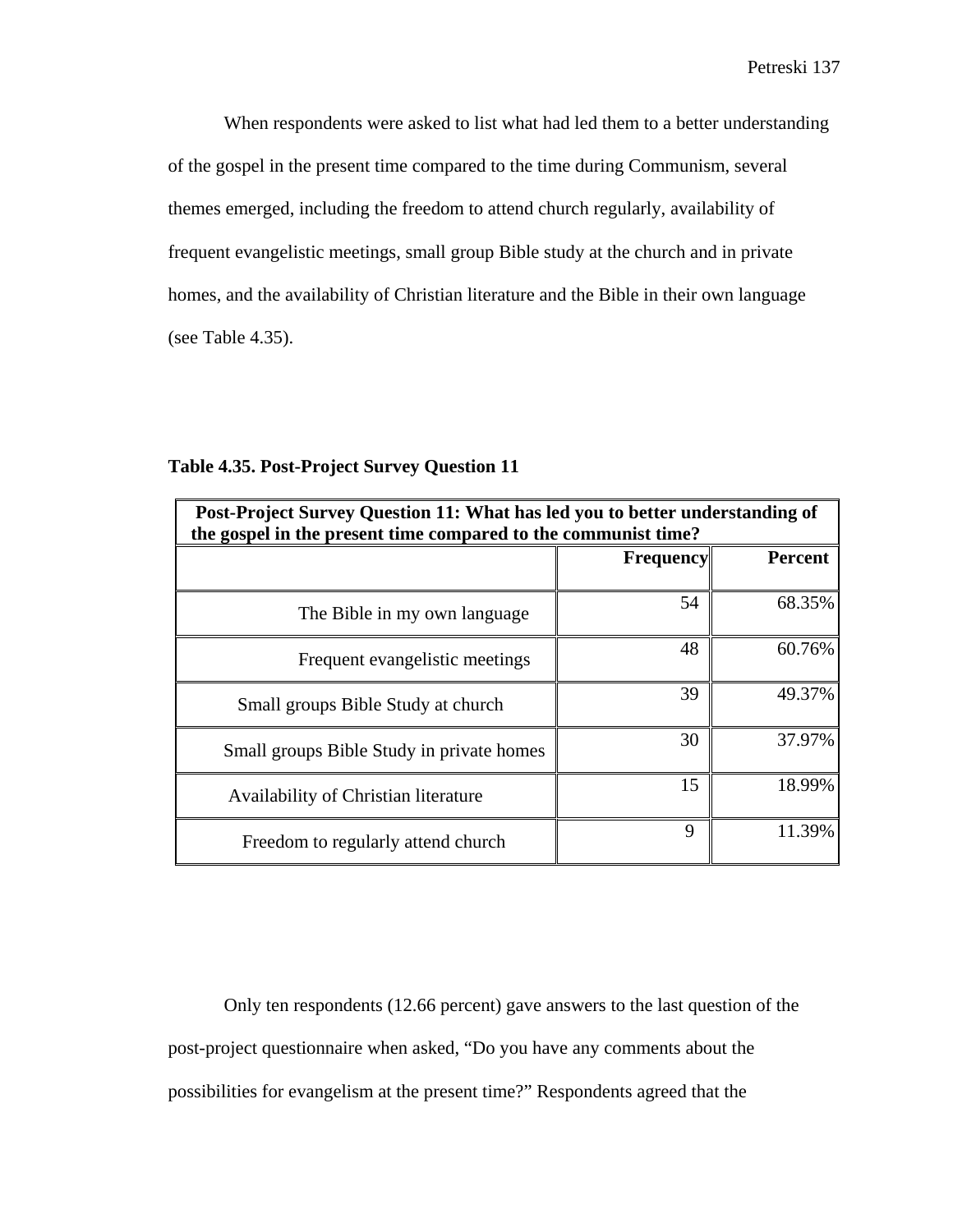When respondents were asked to list what had led them to a better understanding of the gospel in the present time compared to the time during Communism, several themes emerged, including the freedom to attend church regularly, availability of frequent evangelistic meetings, small group Bible study at the church and in private homes, and the availability of Christian literature and the Bible in their own language (see Table 4.35).

| Post-Project Survey Question 11: What has led you to better understanding of<br>the gospel in the present time compared to the communist time? |                                    |        |  |  |
|------------------------------------------------------------------------------------------------------------------------------------------------|------------------------------------|--------|--|--|
|                                                                                                                                                | <b>Percent</b><br><b>Frequency</b> |        |  |  |
| The Bible in my own language                                                                                                                   | 54                                 | 68.35% |  |  |
| Frequent evangelistic meetings                                                                                                                 | 48                                 | 60.76% |  |  |
| Small groups Bible Study at church                                                                                                             | 39                                 | 49.37% |  |  |
| Small groups Bible Study in private homes                                                                                                      | 30                                 | 37.97% |  |  |
| Availability of Christian literature                                                                                                           | 15                                 | 18.99% |  |  |
| Freedom to regularly attend church                                                                                                             | 9                                  | 11.39% |  |  |

## **Table 4.35. Post-Project Survey Question 11**

Only ten respondents (12.66 percent) gave answers to the last question of the post-project questionnaire when asked, "Do you have any comments about the possibilities for evangelism at the present time?" Respondents agreed that the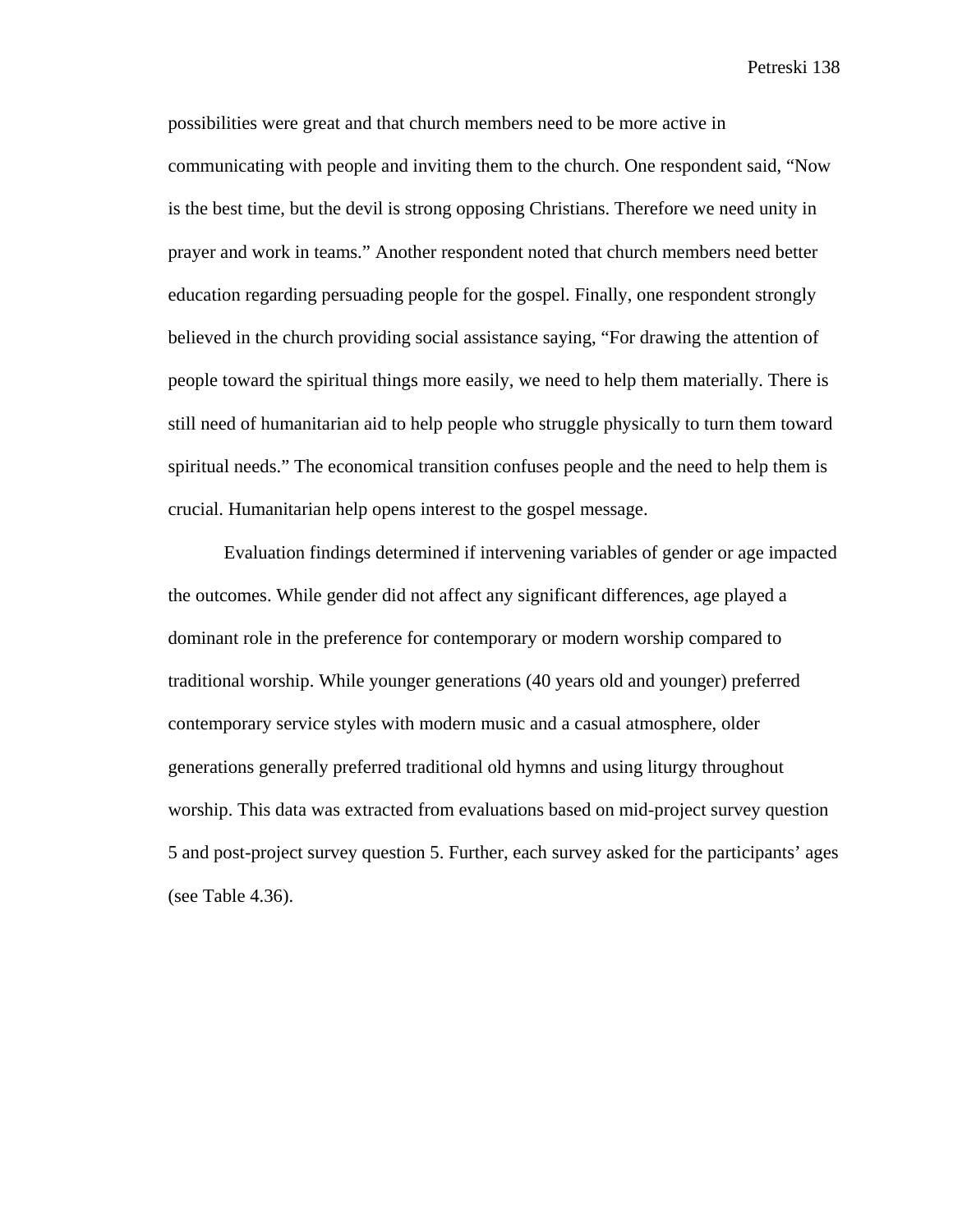possibilities were great and that church members need to be more active in communicating with people and inviting them to the church. One respondent said, "Now is the best time, but the devil is strong opposing Christians. Therefore we need unity in prayer and work in teams." Another respondent noted that church members need better education regarding persuading people for the gospel. Finally, one respondent strongly believed in the church providing social assistance saying, "For drawing the attention of people toward the spiritual things more easily, we need to help them materially. There is still need of humanitarian aid to help people who struggle physically to turn them toward spiritual needs." The economical transition confuses people and the need to help them is crucial. Humanitarian help opens interest to the gospel message.

Evaluation findings determined if intervening variables of gender or age impacted the outcomes. While gender did not affect any significant differences, age played a dominant role in the preference for contemporary or modern worship compared to traditional worship. While younger generations (40 years old and younger) preferred contemporary service styles with modern music and a casual atmosphere, older generations generally preferred traditional old hymns and using liturgy throughout worship. This data was extracted from evaluations based on mid-project survey question 5 and post-project survey question 5. Further, each survey asked for the participants' ages (see Table 4.36).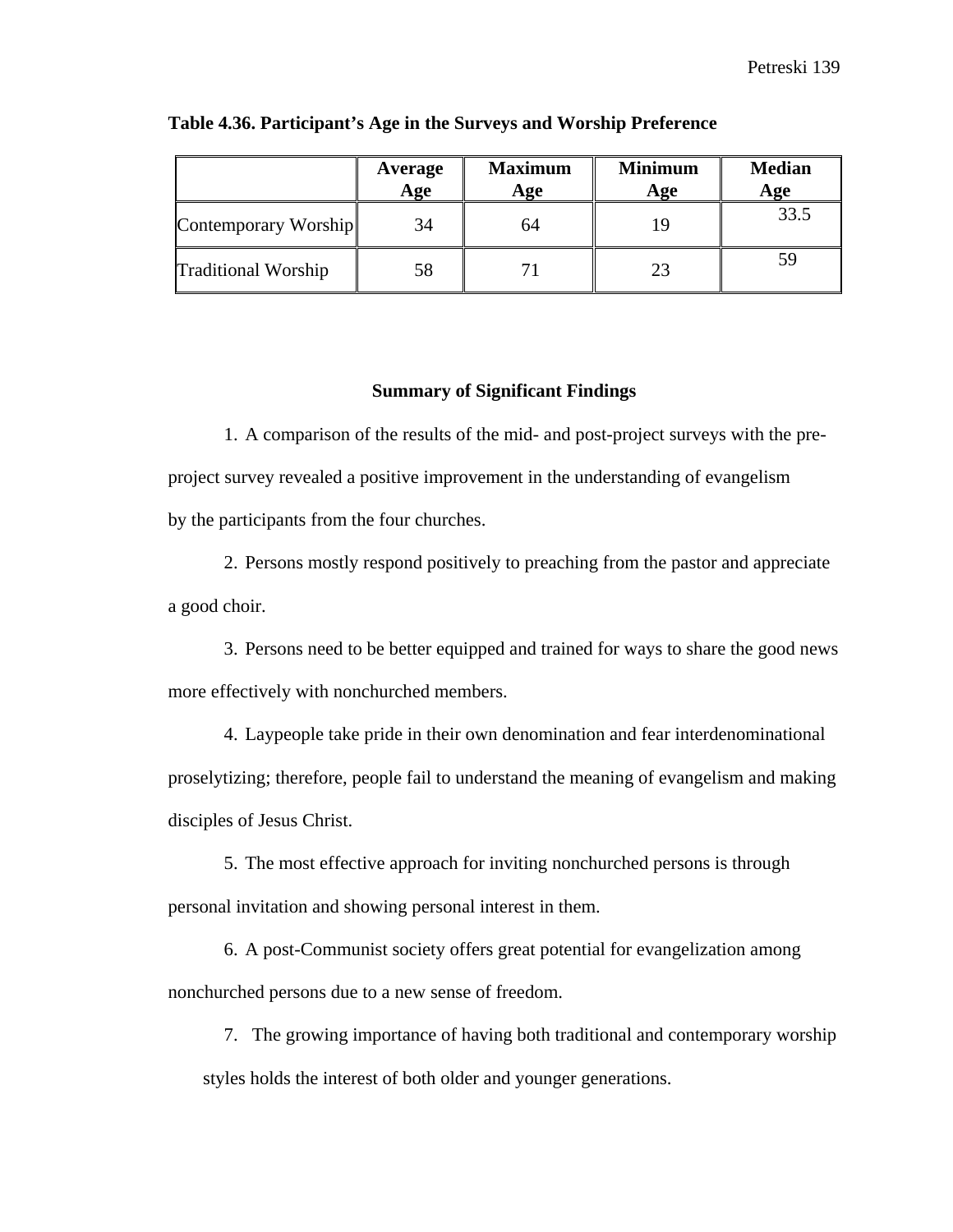|                            | Average<br>Age | <b>Maximum</b><br>Age | <b>Minimum</b><br>Age | <b>Median</b><br>Age |
|----------------------------|----------------|-----------------------|-----------------------|----------------------|
| Contemporary Worship       | 34             | 64                    |                       | 33.5                 |
| <b>Traditional Worship</b> | 58             |                       | 23                    |                      |

#### **Table 4.36. Participant's Age in the Surveys and Worship Preference**

#### **Summary of Significant Findings**

1. A comparison of the results of the mid- and post-project surveys with the preproject survey revealed a positive improvement in the understanding of evangelism by the participants from the four churches.

2. Persons mostly respond positively to preaching from the pastor and appreciate a good choir.

3. Persons need to be better equipped and trained for ways to share the good news more effectively with nonchurched members.

4. Laypeople take pride in their own denomination and fear interdenominational proselytizing; therefore, people fail to understand the meaning of evangelism and making disciples of Jesus Christ.

5. The most effective approach for inviting nonchurched persons is through personal invitation and showing personal interest in them.

6. A post-Communist society offers great potential for evangelization among nonchurched persons due to a new sense of freedom.

7. The growing importance of having both traditional and contemporary worship styles holds the interest of both older and younger generations.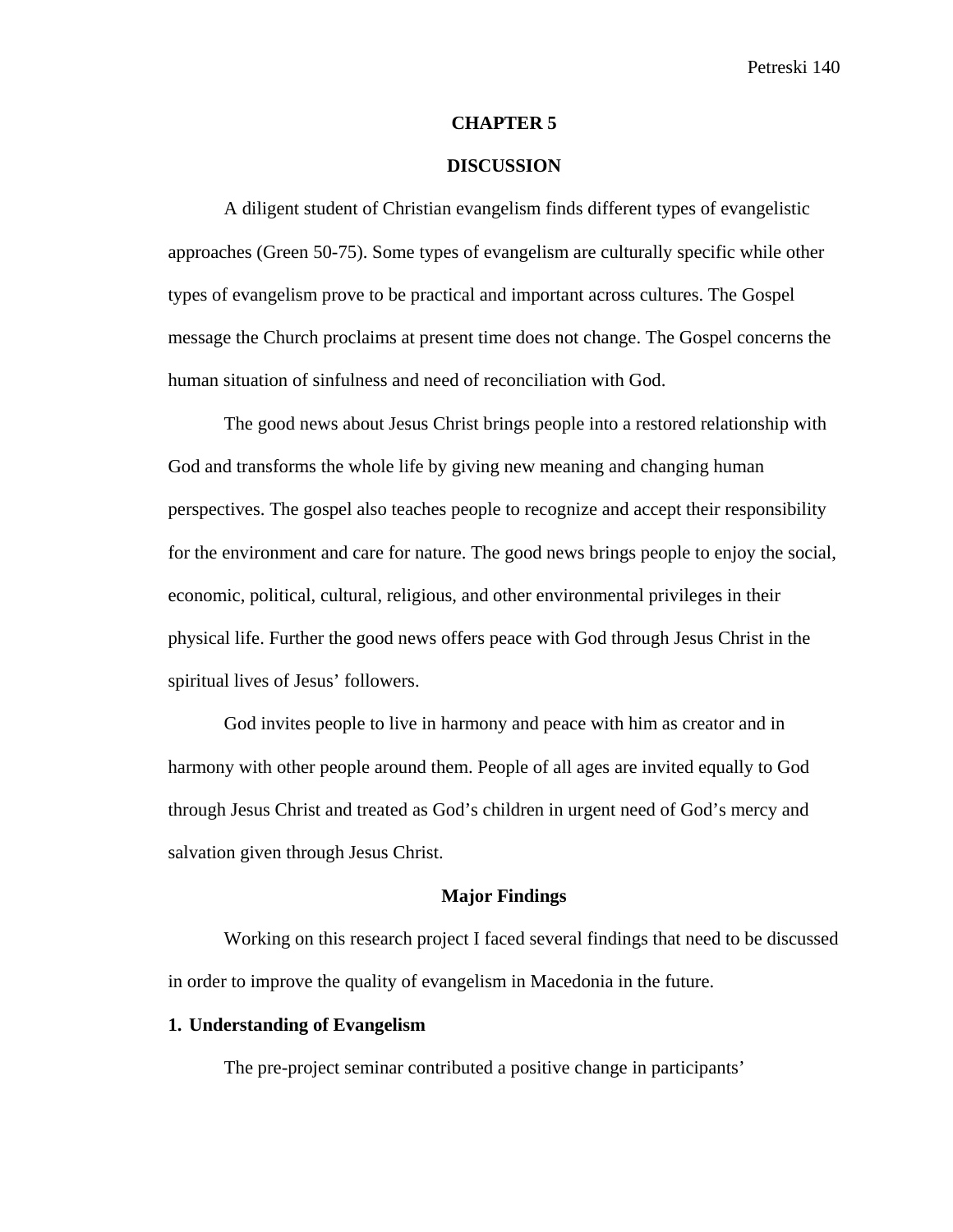#### **CHAPTER 5**

## **DISCUSSION**

A diligent student of Christian evangelism finds different types of evangelistic approaches (Green 50-75). Some types of evangelism are culturally specific while other types of evangelism prove to be practical and important across cultures. The Gospel message the Church proclaims at present time does not change. The Gospel concerns the human situation of sinfulness and need of reconciliation with God.

The good news about Jesus Christ brings people into a restored relationship with God and transforms the whole life by giving new meaning and changing human perspectives. The gospel also teaches people to recognize and accept their responsibility for the environment and care for nature. The good news brings people to enjoy the social, economic, political, cultural, religious, and other environmental privileges in their physical life. Further the good news offers peace with God through Jesus Christ in the spiritual lives of Jesus' followers.

God invites people to live in harmony and peace with him as creator and in harmony with other people around them. People of all ages are invited equally to God through Jesus Christ and treated as God's children in urgent need of God's mercy and salvation given through Jesus Christ.

#### **Major Findings**

Working on this research project I faced several findings that need to be discussed in order to improve the quality of evangelism in Macedonia in the future.

## **1. Understanding of Evangelism**

The pre-project seminar contributed a positive change in participants'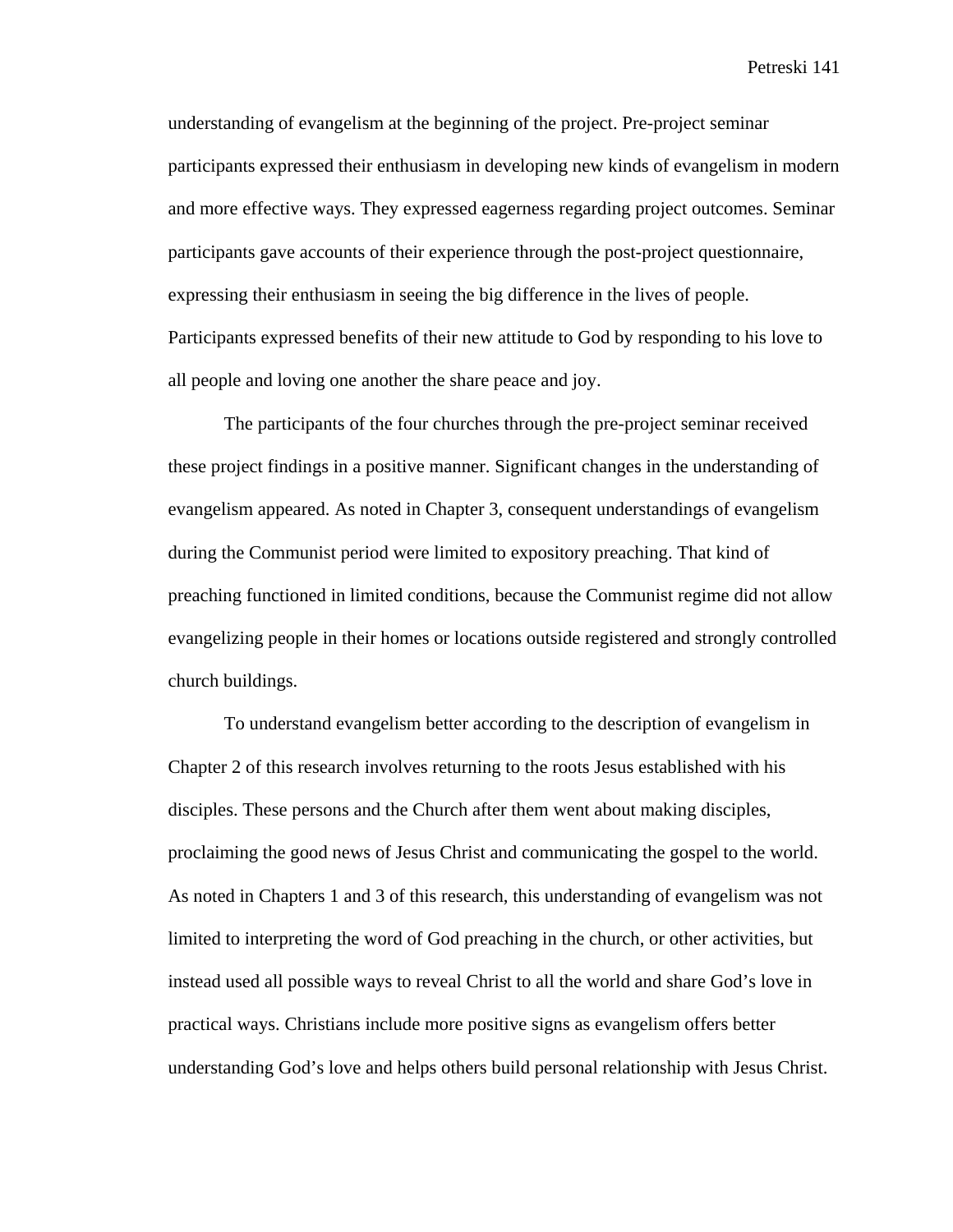understanding of evangelism at the beginning of the project. Pre-project seminar participants expressed their enthusiasm in developing new kinds of evangelism in modern and more effective ways. They expressed eagerness regarding project outcomes. Seminar participants gave accounts of their experience through the post-project questionnaire, expressing their enthusiasm in seeing the big difference in the lives of people. Participants expressed benefits of their new attitude to God by responding to his love to all people and loving one another the share peace and joy.

The participants of the four churches through the pre-project seminar received these project findings in a positive manner. Significant changes in the understanding of evangelism appeared. As noted in Chapter 3, consequent understandings of evangelism during the Communist period were limited to expository preaching. That kind of preaching functioned in limited conditions, because the Communist regime did not allow evangelizing people in their homes or locations outside registered and strongly controlled church buildings.

To understand evangelism better according to the description of evangelism in Chapter 2 of this research involves returning to the roots Jesus established with his disciples. These persons and the Church after them went about making disciples, proclaiming the good news of Jesus Christ and communicating the gospel to the world. As noted in Chapters 1 and 3 of this research, this understanding of evangelism was not limited to interpreting the word of God preaching in the church, or other activities, but instead used all possible ways to reveal Christ to all the world and share God's love in practical ways. Christians include more positive signs as evangelism offers better understanding God's love and helps others build personal relationship with Jesus Christ.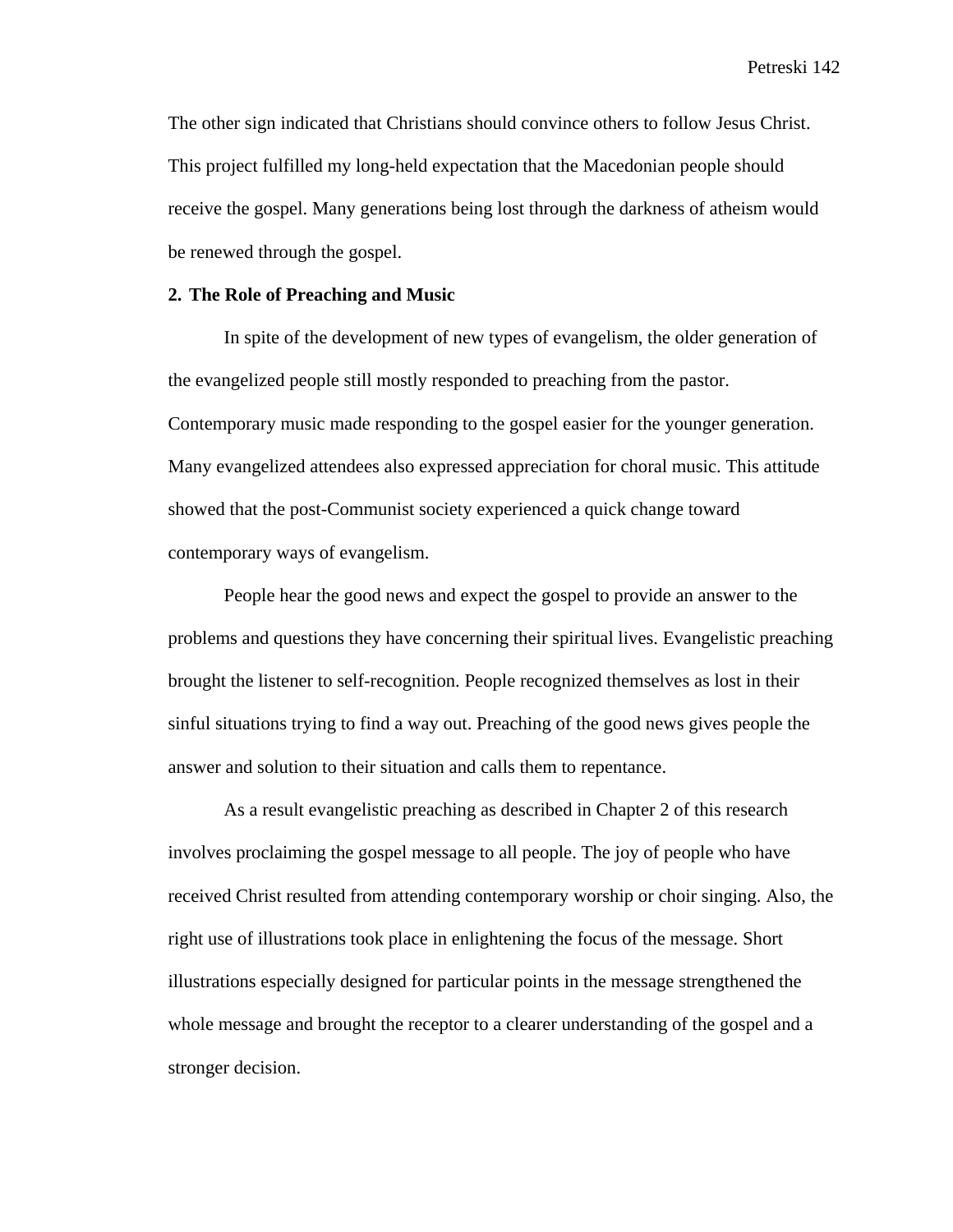The other sign indicated that Christians should convince others to follow Jesus Christ. This project fulfilled my long-held expectation that the Macedonian people should receive the gospel. Many generations being lost through the darkness of atheism would be renewed through the gospel.

#### **2. The Role of Preaching and Music**

In spite of the development of new types of evangelism, the older generation of the evangelized people still mostly responded to preaching from the pastor. Contemporary music made responding to the gospel easier for the younger generation. Many evangelized attendees also expressed appreciation for choral music. This attitude showed that the post-Communist society experienced a quick change toward contemporary ways of evangelism.

People hear the good news and expect the gospel to provide an answer to the problems and questions they have concerning their spiritual lives. Evangelistic preaching brought the listener to self-recognition. People recognized themselves as lost in their sinful situations trying to find a way out. Preaching of the good news gives people the answer and solution to their situation and calls them to repentance.

As a result evangelistic preaching as described in Chapter 2 of this research involves proclaiming the gospel message to all people. The joy of people who have received Christ resulted from attending contemporary worship or choir singing. Also, the right use of illustrations took place in enlightening the focus of the message. Short illustrations especially designed for particular points in the message strengthened the whole message and brought the receptor to a clearer understanding of the gospel and a stronger decision.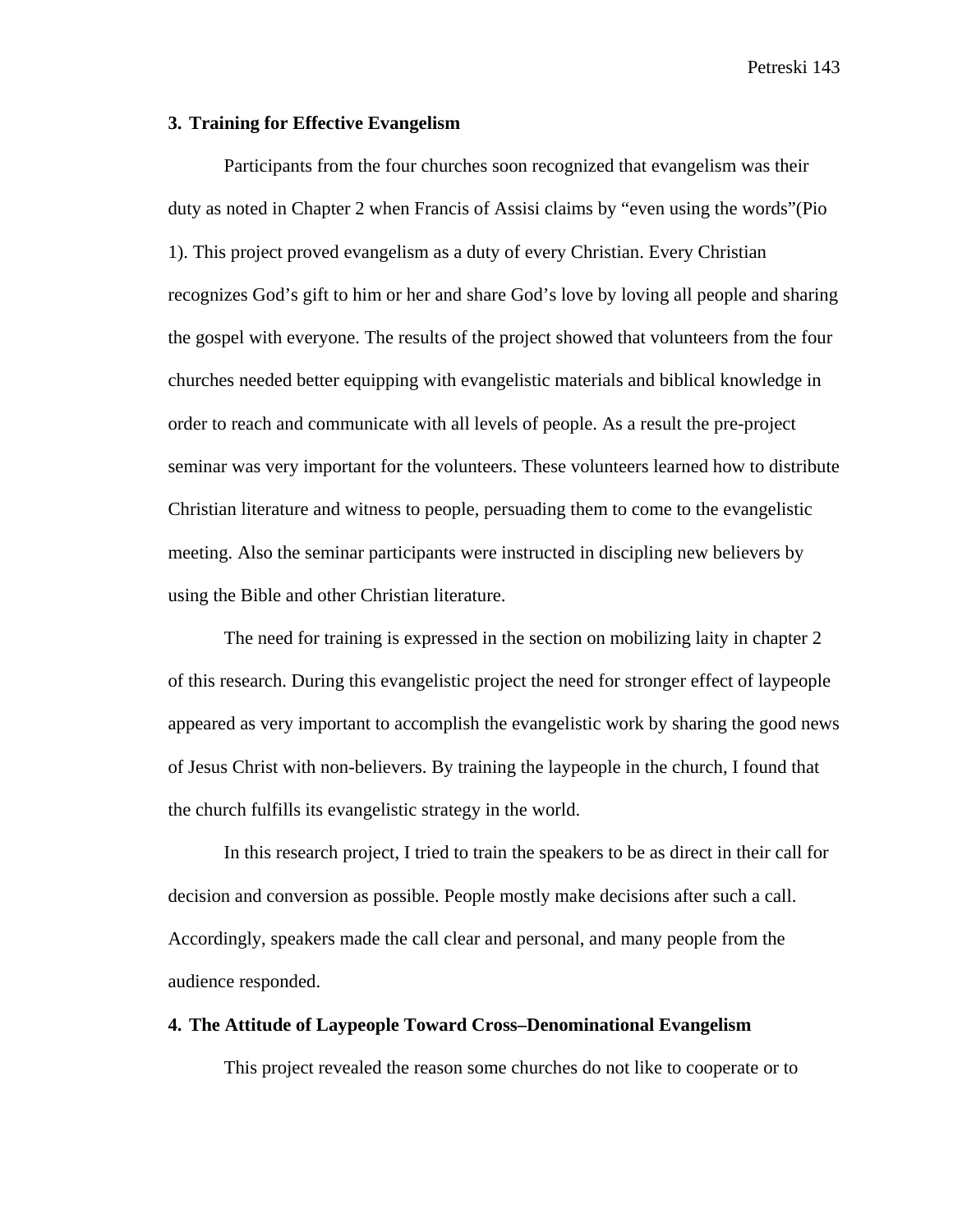#### **3. Training for Effective Evangelism**

Participants from the four churches soon recognized that evangelism was their duty as noted in Chapter 2 when Francis of Assisi claims by "even using the words"(Pio 1). This project proved evangelism as a duty of every Christian. Every Christian recognizes God's gift to him or her and share God's love by loving all people and sharing the gospel with everyone. The results of the project showed that volunteers from the four churches needed better equipping with evangelistic materials and biblical knowledge in order to reach and communicate with all levels of people. As a result the pre-project seminar was very important for the volunteers. These volunteers learned how to distribute Christian literature and witness to people, persuading them to come to the evangelistic meeting. Also the seminar participants were instructed in discipling new believers by using the Bible and other Christian literature.

The need for training is expressed in the section on mobilizing laity in chapter 2 of this research. During this evangelistic project the need for stronger effect of laypeople appeared as very important to accomplish the evangelistic work by sharing the good news of Jesus Christ with non-believers. By training the laypeople in the church, I found that the church fulfills its evangelistic strategy in the world.

In this research project, I tried to train the speakers to be as direct in their call for decision and conversion as possible. People mostly make decisions after such a call. Accordingly, speakers made the call clear and personal, and many people from the audience responded.

## **4. The Attitude of Laypeople Toward Cross–Denominational Evangelism**

This project revealed the reason some churches do not like to cooperate or to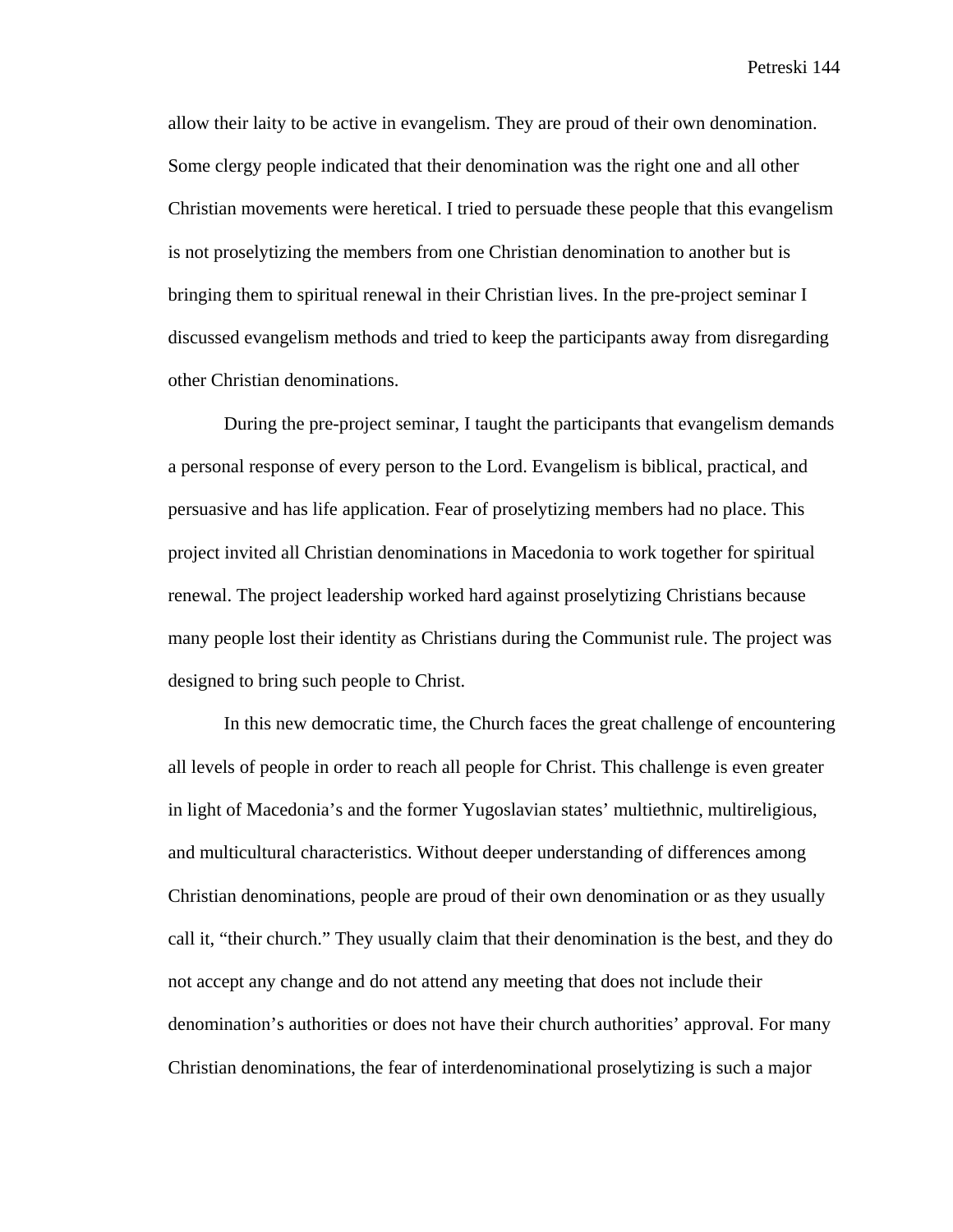allow their laity to be active in evangelism. They are proud of their own denomination. Some clergy people indicated that their denomination was the right one and all other Christian movements were heretical. I tried to persuade these people that this evangelism is not proselytizing the members from one Christian denomination to another but is bringing them to spiritual renewal in their Christian lives. In the pre-project seminar I discussed evangelism methods and tried to keep the participants away from disregarding other Christian denominations.

During the pre-project seminar, I taught the participants that evangelism demands a personal response of every person to the Lord. Evangelism is biblical, practical, and persuasive and has life application. Fear of proselytizing members had no place. This project invited all Christian denominations in Macedonia to work together for spiritual renewal. The project leadership worked hard against proselytizing Christians because many people lost their identity as Christians during the Communist rule. The project was designed to bring such people to Christ.

In this new democratic time, the Church faces the great challenge of encountering all levels of people in order to reach all people for Christ. This challenge is even greater in light of Macedonia's and the former Yugoslavian states' multiethnic, multireligious, and multicultural characteristics. Without deeper understanding of differences among Christian denominations, people are proud of their own denomination or as they usually call it, "their church." They usually claim that their denomination is the best, and they do not accept any change and do not attend any meeting that does not include their denomination's authorities or does not have their church authorities' approval. For many Christian denominations, the fear of interdenominational proselytizing is such a major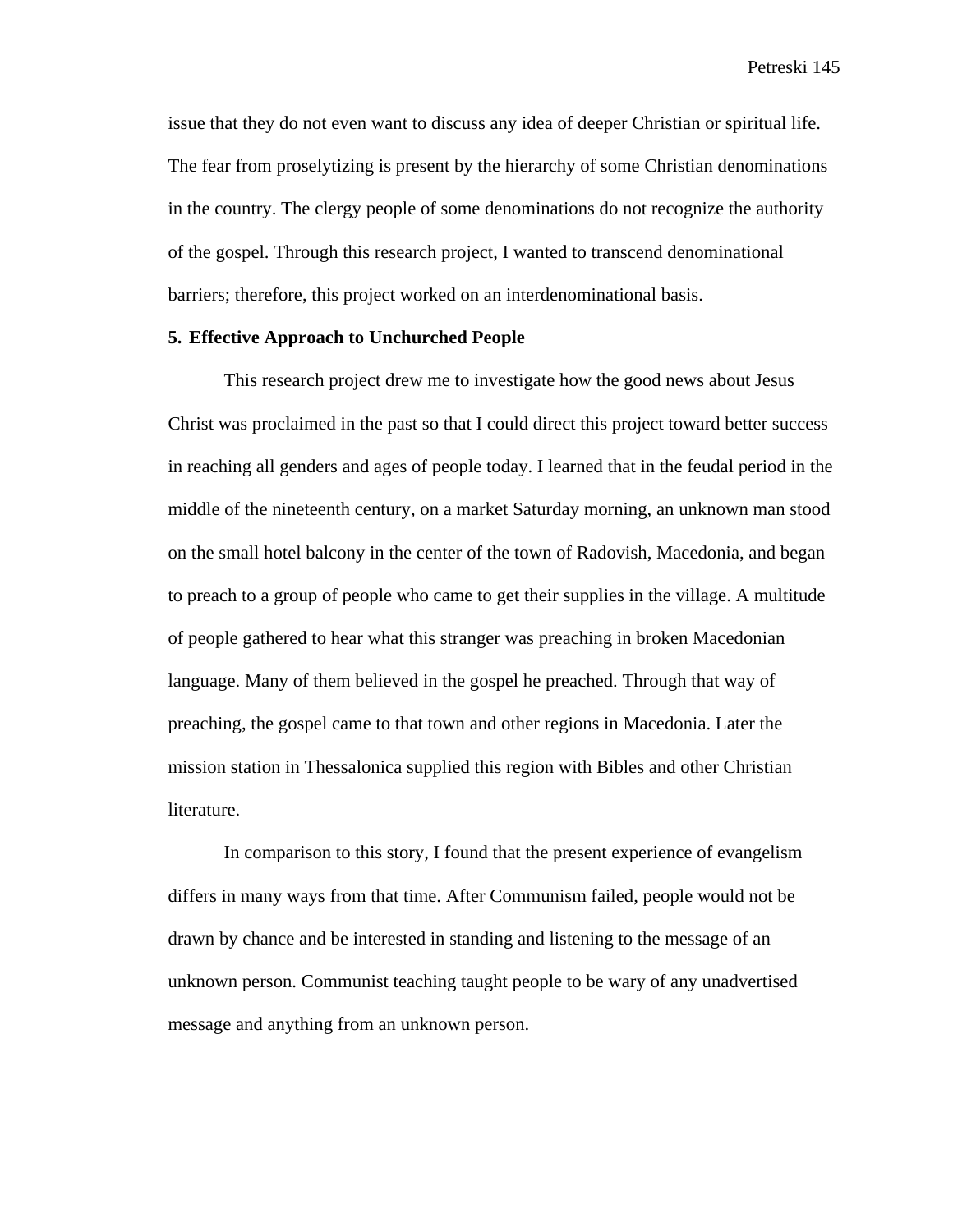issue that they do not even want to discuss any idea of deeper Christian or spiritual life. The fear from proselytizing is present by the hierarchy of some Christian denominations in the country. The clergy people of some denominations do not recognize the authority of the gospel. Through this research project, I wanted to transcend denominational barriers; therefore, this project worked on an interdenominational basis.

## **5. Effective Approach to Unchurched People**

This research project drew me to investigate how the good news about Jesus Christ was proclaimed in the past so that I could direct this project toward better success in reaching all genders and ages of people today. I learned that in the feudal period in the middle of the nineteenth century, on a market Saturday morning, an unknown man stood on the small hotel balcony in the center of the town of Radovish, Macedonia, and began to preach to a group of people who came to get their supplies in the village. A multitude of people gathered to hear what this stranger was preaching in broken Macedonian language. Many of them believed in the gospel he preached. Through that way of preaching, the gospel came to that town and other regions in Macedonia. Later the mission station in Thessalonica supplied this region with Bibles and other Christian literature.

In comparison to this story, I found that the present experience of evangelism differs in many ways from that time. After Communism failed, people would not be drawn by chance and be interested in standing and listening to the message of an unknown person. Communist teaching taught people to be wary of any unadvertised message and anything from an unknown person.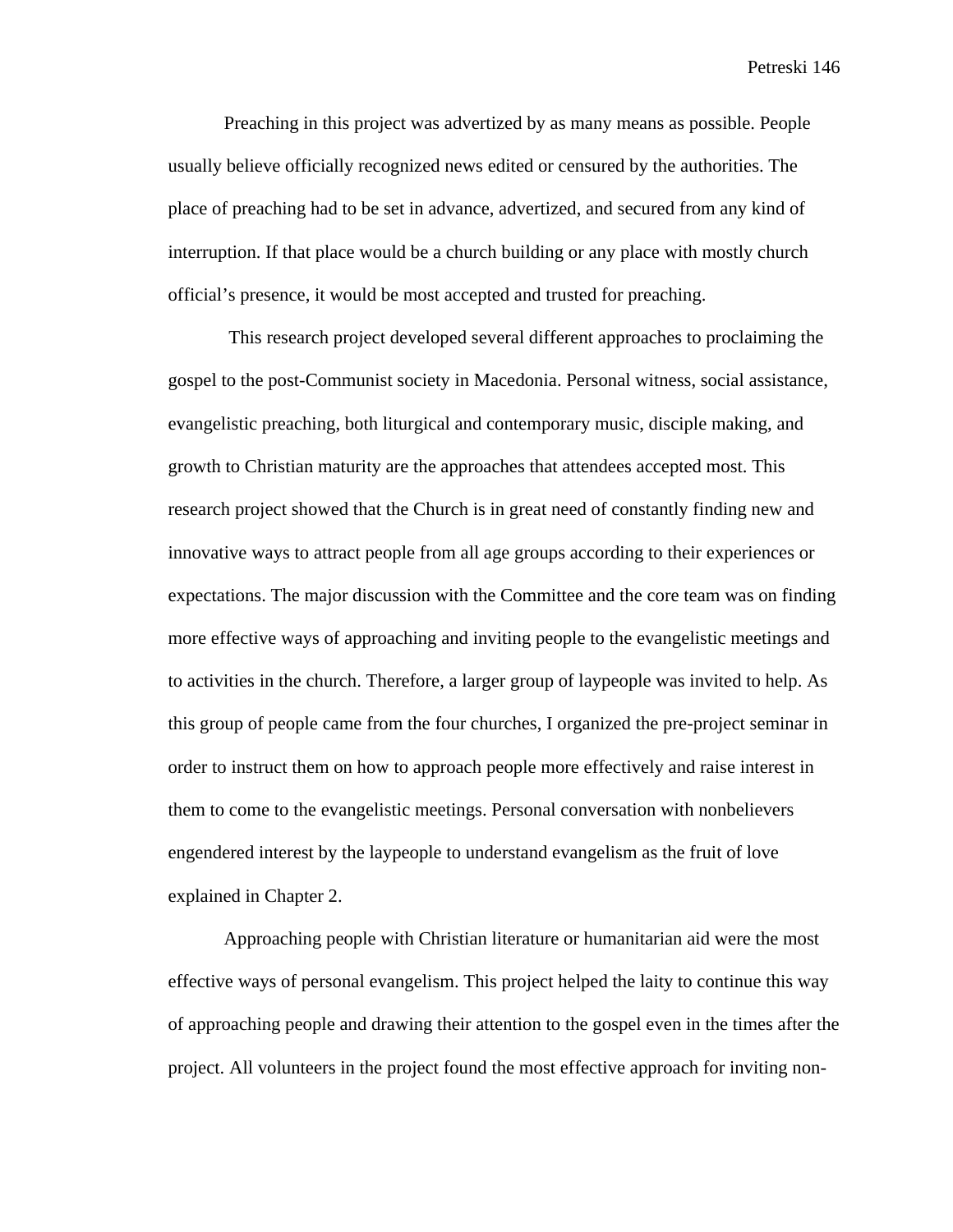Preaching in this project was advertized by as many means as possible. People usually believe officially recognized news edited or censured by the authorities. The place of preaching had to be set in advance, advertized, and secured from any kind of interruption. If that place would be a church building or any place with mostly church official's presence, it would be most accepted and trusted for preaching.

 This research project developed several different approaches to proclaiming the gospel to the post-Communist society in Macedonia. Personal witness, social assistance, evangelistic preaching, both liturgical and contemporary music, disciple making, and growth to Christian maturity are the approaches that attendees accepted most. This research project showed that the Church is in great need of constantly finding new and innovative ways to attract people from all age groups according to their experiences or expectations. The major discussion with the Committee and the core team was on finding more effective ways of approaching and inviting people to the evangelistic meetings and to activities in the church. Therefore, a larger group of laypeople was invited to help. As this group of people came from the four churches, I organized the pre-project seminar in order to instruct them on how to approach people more effectively and raise interest in them to come to the evangelistic meetings. Personal conversation with nonbelievers engendered interest by the laypeople to understand evangelism as the fruit of love explained in Chapter 2.

Approaching people with Christian literature or humanitarian aid were the most effective ways of personal evangelism. This project helped the laity to continue this way of approaching people and drawing their attention to the gospel even in the times after the project. All volunteers in the project found the most effective approach for inviting non-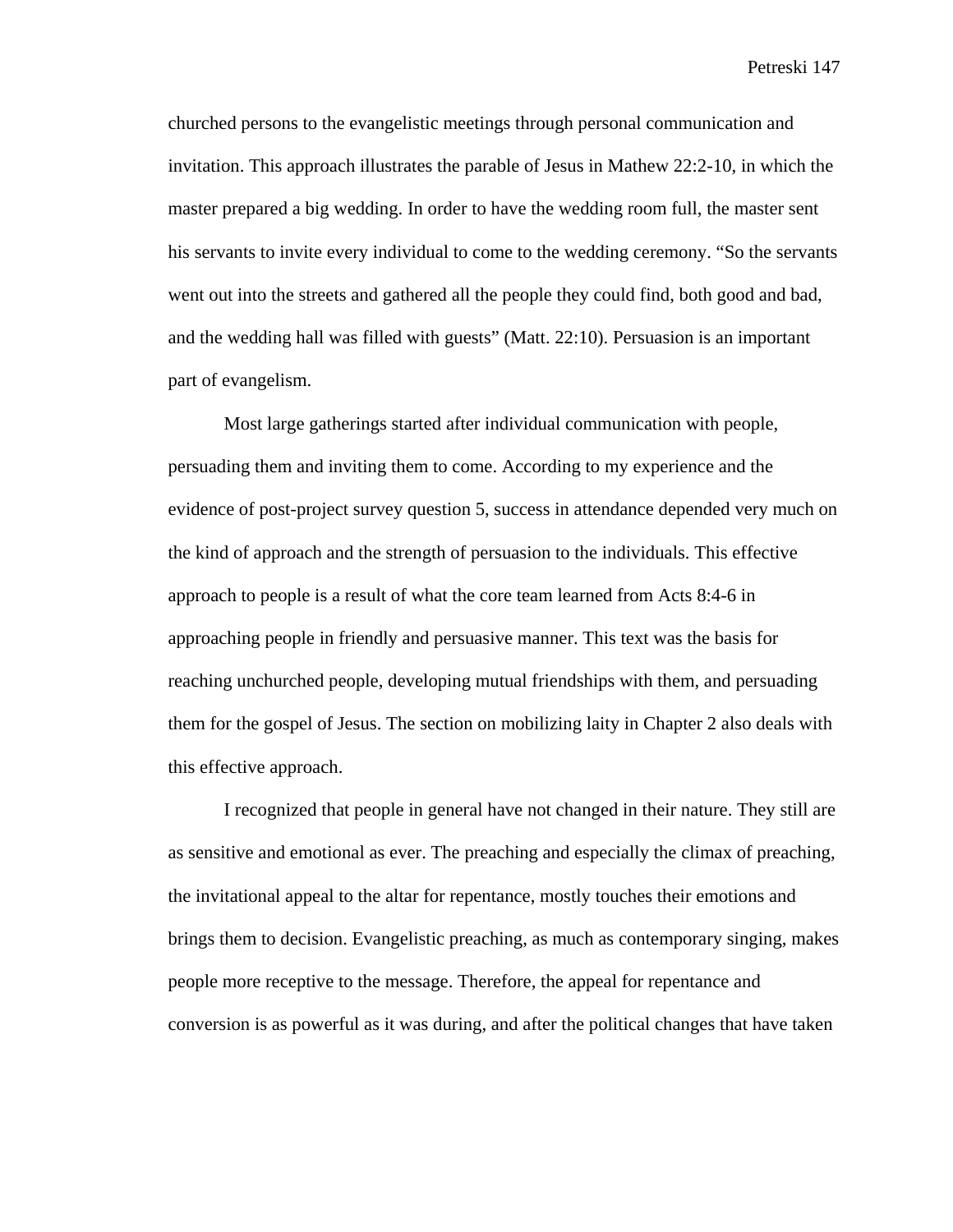churched persons to the evangelistic meetings through personal communication and invitation. This approach illustrates the parable of Jesus in Mathew 22:2-10, in which the master prepared a big wedding. In order to have the wedding room full, the master sent his servants to invite every individual to come to the wedding ceremony. "So the servants went out into the streets and gathered all the people they could find, both good and bad, and the wedding hall was filled with guests" (Matt. 22:10). Persuasion is an important part of evangelism.

Most large gatherings started after individual communication with people, persuading them and inviting them to come. According to my experience and the evidence of post-project survey question 5, success in attendance depended very much on the kind of approach and the strength of persuasion to the individuals. This effective approach to people is a result of what the core team learned from Acts 8:4-6 in approaching people in friendly and persuasive manner. This text was the basis for reaching unchurched people, developing mutual friendships with them, and persuading them for the gospel of Jesus. The section on mobilizing laity in Chapter 2 also deals with this effective approach.

I recognized that people in general have not changed in their nature. They still are as sensitive and emotional as ever. The preaching and especially the climax of preaching, the invitational appeal to the altar for repentance, mostly touches their emotions and brings them to decision. Evangelistic preaching, as much as contemporary singing, makes people more receptive to the message. Therefore, the appeal for repentance and conversion is as powerful as it was during, and after the political changes that have taken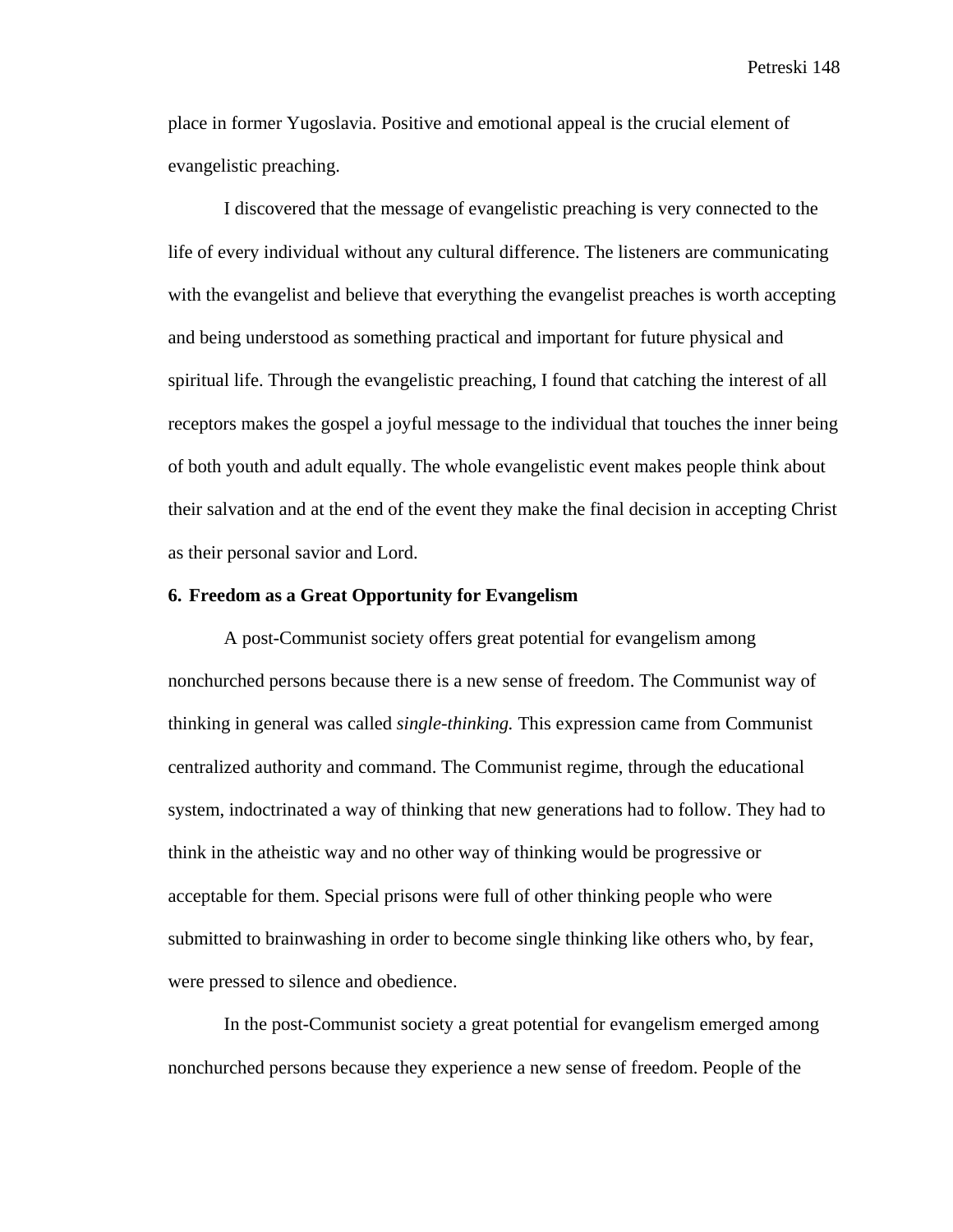place in former Yugoslavia. Positive and emotional appeal is the crucial element of evangelistic preaching.

I discovered that the message of evangelistic preaching is very connected to the life of every individual without any cultural difference. The listeners are communicating with the evangelist and believe that everything the evangelist preaches is worth accepting and being understood as something practical and important for future physical and spiritual life. Through the evangelistic preaching, I found that catching the interest of all receptors makes the gospel a joyful message to the individual that touches the inner being of both youth and adult equally. The whole evangelistic event makes people think about their salvation and at the end of the event they make the final decision in accepting Christ as their personal savior and Lord.

#### **6. Freedom as a Great Opportunity for Evangelism**

A post-Communist society offers great potential for evangelism among nonchurched persons because there is a new sense of freedom. The Communist way of thinking in general was called *single-thinking.* This expression came from Communist centralized authority and command. The Communist regime, through the educational system, indoctrinated a way of thinking that new generations had to follow. They had to think in the atheistic way and no other way of thinking would be progressive or acceptable for them. Special prisons were full of other thinking people who were submitted to brainwashing in order to become single thinking like others who, by fear, were pressed to silence and obedience.

In the post-Communist society a great potential for evangelism emerged among nonchurched persons because they experience a new sense of freedom. People of the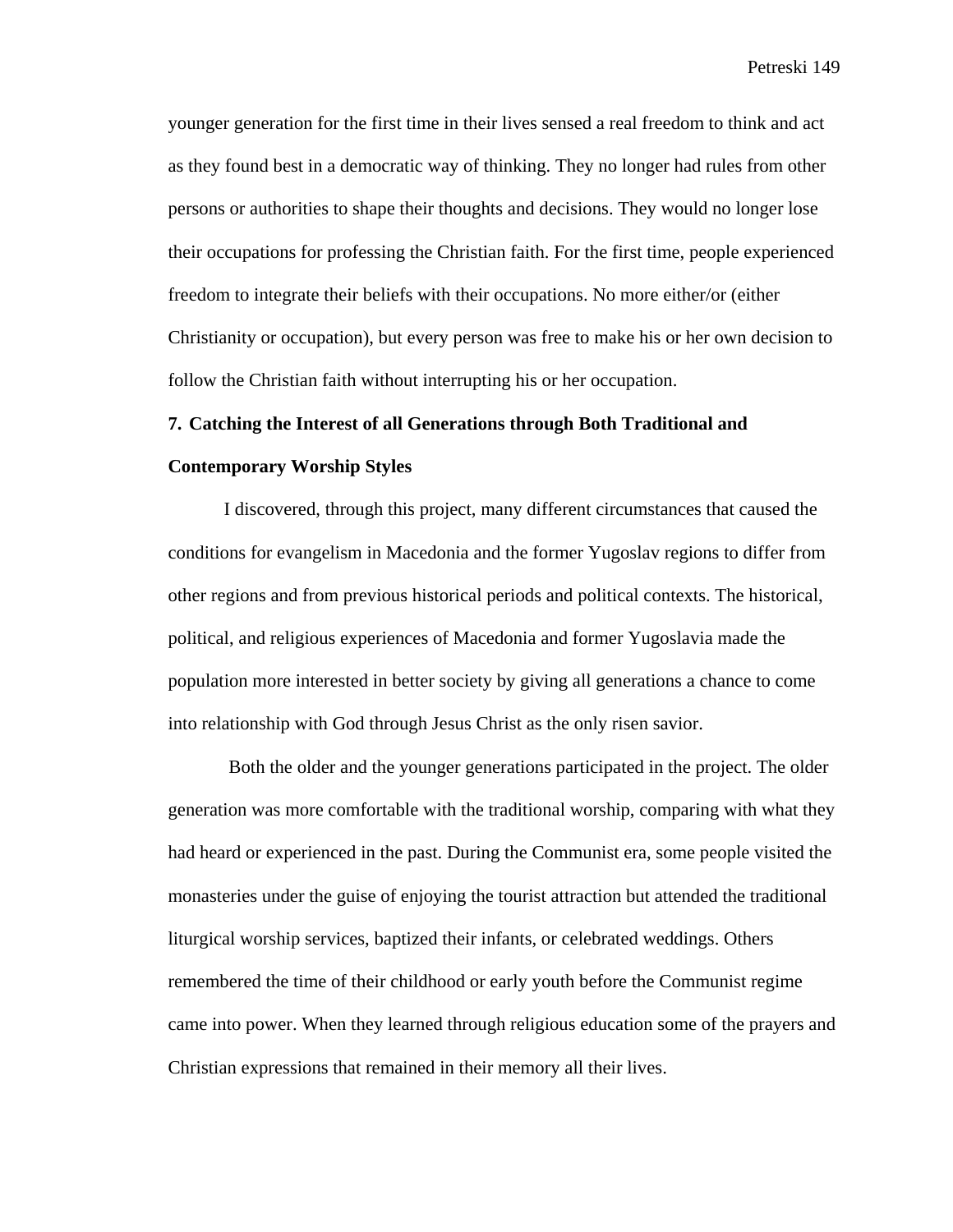younger generation for the first time in their lives sensed a real freedom to think and act as they found best in a democratic way of thinking. They no longer had rules from other persons or authorities to shape their thoughts and decisions. They would no longer lose their occupations for professing the Christian faith. For the first time, people experienced freedom to integrate their beliefs with their occupations. No more either/or (either Christianity or occupation), but every person was free to make his or her own decision to follow the Christian faith without interrupting his or her occupation.

#### **7. Catching the Interest of all Generations through Both Traditional and**

#### **Contemporary Worship Styles**

I discovered, through this project, many different circumstances that caused the conditions for evangelism in Macedonia and the former Yugoslav regions to differ from other regions and from previous historical periods and political contexts. The historical, political, and religious experiences of Macedonia and former Yugoslavia made the population more interested in better society by giving all generations a chance to come into relationship with God through Jesus Christ as the only risen savior.

 Both the older and the younger generations participated in the project. The older generation was more comfortable with the traditional worship, comparing with what they had heard or experienced in the past. During the Communist era, some people visited the monasteries under the guise of enjoying the tourist attraction but attended the traditional liturgical worship services, baptized their infants, or celebrated weddings. Others remembered the time of their childhood or early youth before the Communist regime came into power. When they learned through religious education some of the prayers and Christian expressions that remained in their memory all their lives.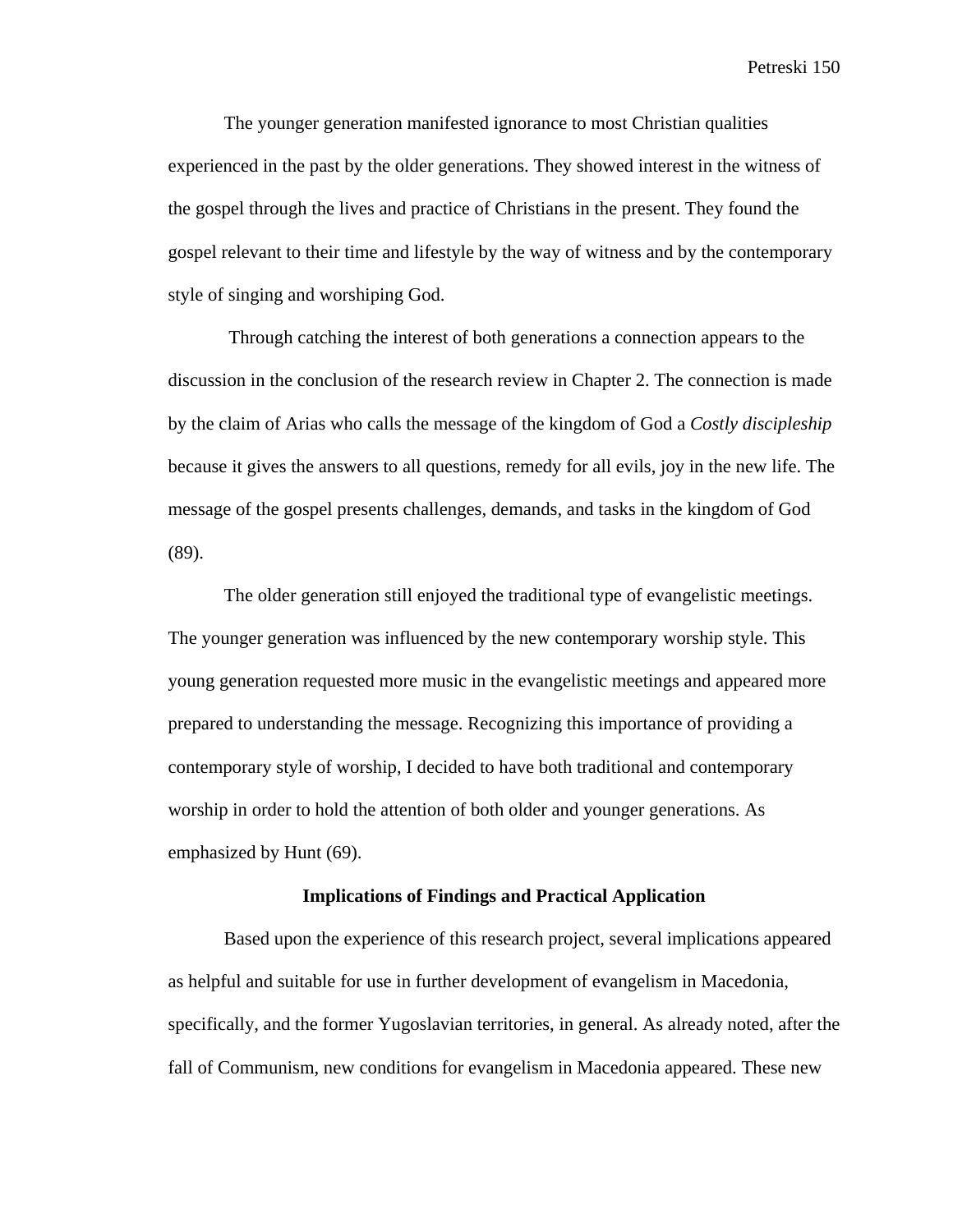The younger generation manifested ignorance to most Christian qualities experienced in the past by the older generations. They showed interest in the witness of the gospel through the lives and practice of Christians in the present. They found the gospel relevant to their time and lifestyle by the way of witness and by the contemporary style of singing and worshiping God.

 Through catching the interest of both generations a connection appears to the discussion in the conclusion of the research review in Chapter 2. The connection is made by the claim of Arias who calls the message of the kingdom of God a *Costly discipleship* because it gives the answers to all questions, remedy for all evils, joy in the new life. The message of the gospel presents challenges, demands, and tasks in the kingdom of God (89).

The older generation still enjoyed the traditional type of evangelistic meetings. The younger generation was influenced by the new contemporary worship style. This young generation requested more music in the evangelistic meetings and appeared more prepared to understanding the message. Recognizing this importance of providing a contemporary style of worship, I decided to have both traditional and contemporary worship in order to hold the attention of both older and younger generations. As emphasized by Hunt (69).

#### **Implications of Findings and Practical Application**

Based upon the experience of this research project, several implications appeared as helpful and suitable for use in further development of evangelism in Macedonia, specifically, and the former Yugoslavian territories, in general. As already noted, after the fall of Communism, new conditions for evangelism in Macedonia appeared. These new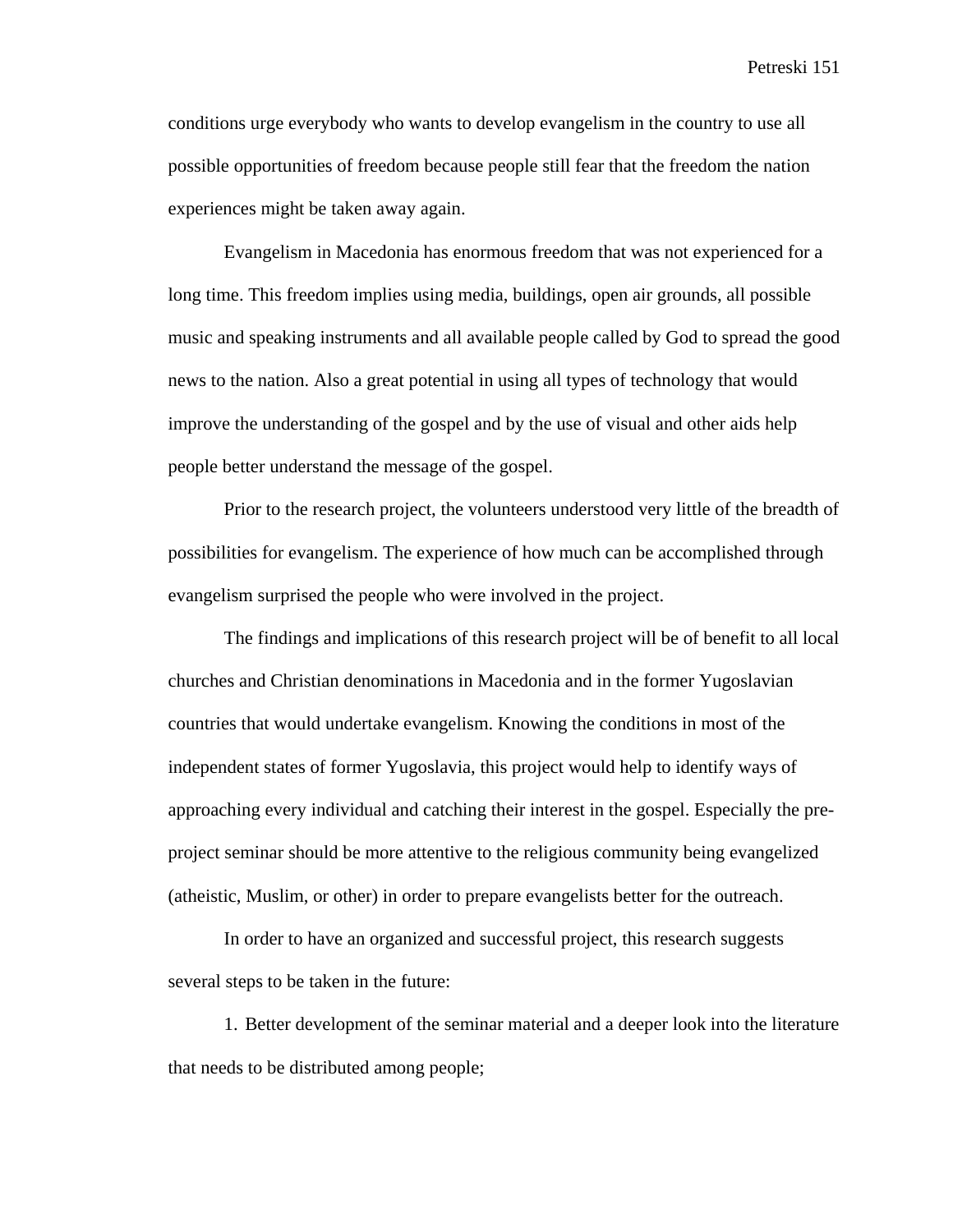conditions urge everybody who wants to develop evangelism in the country to use all possible opportunities of freedom because people still fear that the freedom the nation experiences might be taken away again.

Evangelism in Macedonia has enormous freedom that was not experienced for a long time. This freedom implies using media, buildings, open air grounds, all possible music and speaking instruments and all available people called by God to spread the good news to the nation. Also a great potential in using all types of technology that would improve the understanding of the gospel and by the use of visual and other aids help people better understand the message of the gospel.

Prior to the research project, the volunteers understood very little of the breadth of possibilities for evangelism. The experience of how much can be accomplished through evangelism surprised the people who were involved in the project.

The findings and implications of this research project will be of benefit to all local churches and Christian denominations in Macedonia and in the former Yugoslavian countries that would undertake evangelism. Knowing the conditions in most of the independent states of former Yugoslavia, this project would help to identify ways of approaching every individual and catching their interest in the gospel. Especially the preproject seminar should be more attentive to the religious community being evangelized (atheistic, Muslim, or other) in order to prepare evangelists better for the outreach.

In order to have an organized and successful project, this research suggests several steps to be taken in the future:

1. Better development of the seminar material and a deeper look into the literature that needs to be distributed among people;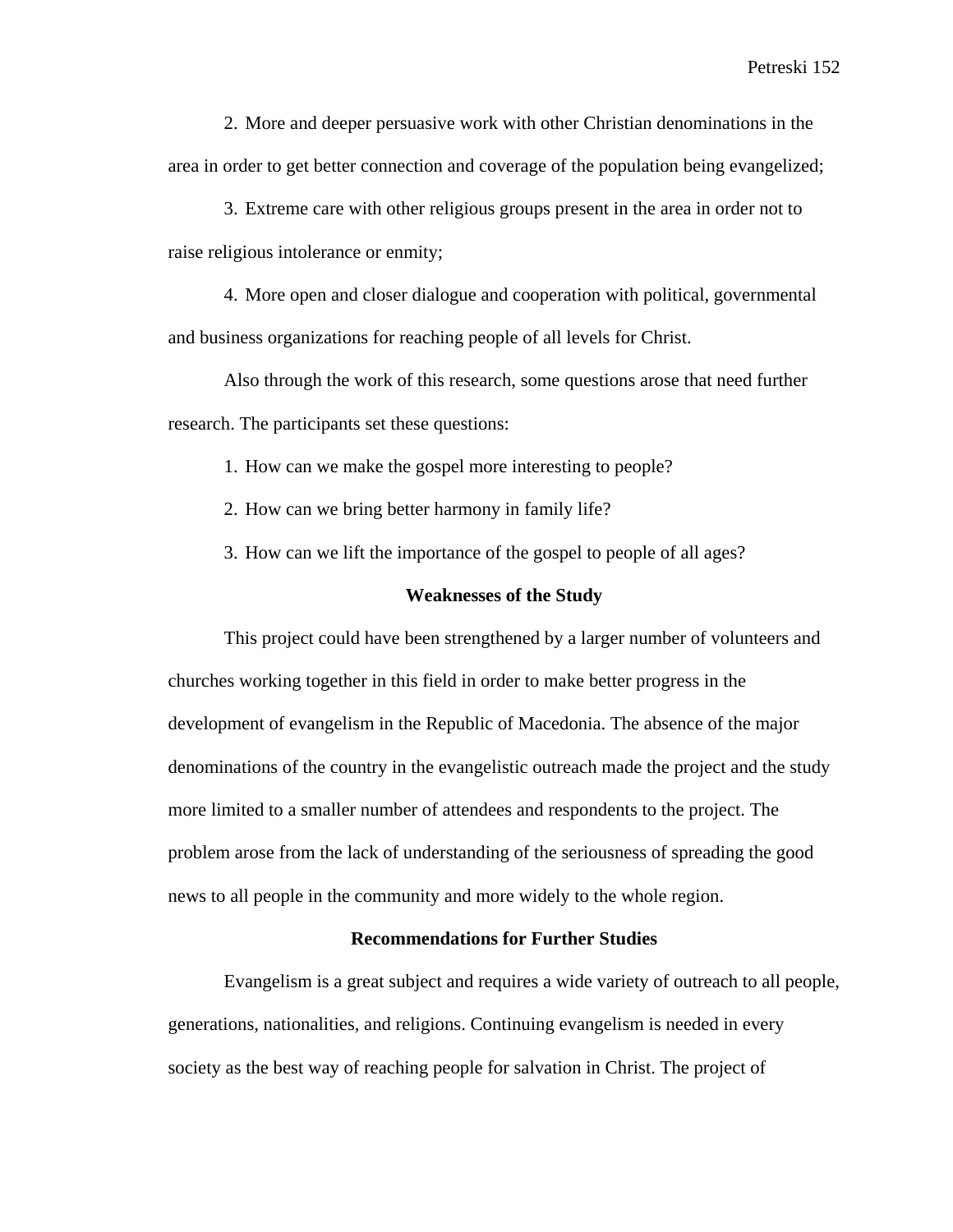2. More and deeper persuasive work with other Christian denominations in the area in order to get better connection and coverage of the population being evangelized;

3. Extreme care with other religious groups present in the area in order not to raise religious intolerance or enmity;

4. More open and closer dialogue and cooperation with political, governmental and business organizations for reaching people of all levels for Christ.

Also through the work of this research, some questions arose that need further research. The participants set these questions:

1. How can we make the gospel more interesting to people?

2. How can we bring better harmony in family life?

3. How can we lift the importance of the gospel to people of all ages?

#### **Weaknesses of the Study**

This project could have been strengthened by a larger number of volunteers and churches working together in this field in order to make better progress in the development of evangelism in the Republic of Macedonia. The absence of the major denominations of the country in the evangelistic outreach made the project and the study more limited to a smaller number of attendees and respondents to the project. The problem arose from the lack of understanding of the seriousness of spreading the good news to all people in the community and more widely to the whole region.

#### **Recommendations for Further Studies**

Evangelism is a great subject and requires a wide variety of outreach to all people, generations, nationalities, and religions. Continuing evangelism is needed in every society as the best way of reaching people for salvation in Christ. The project of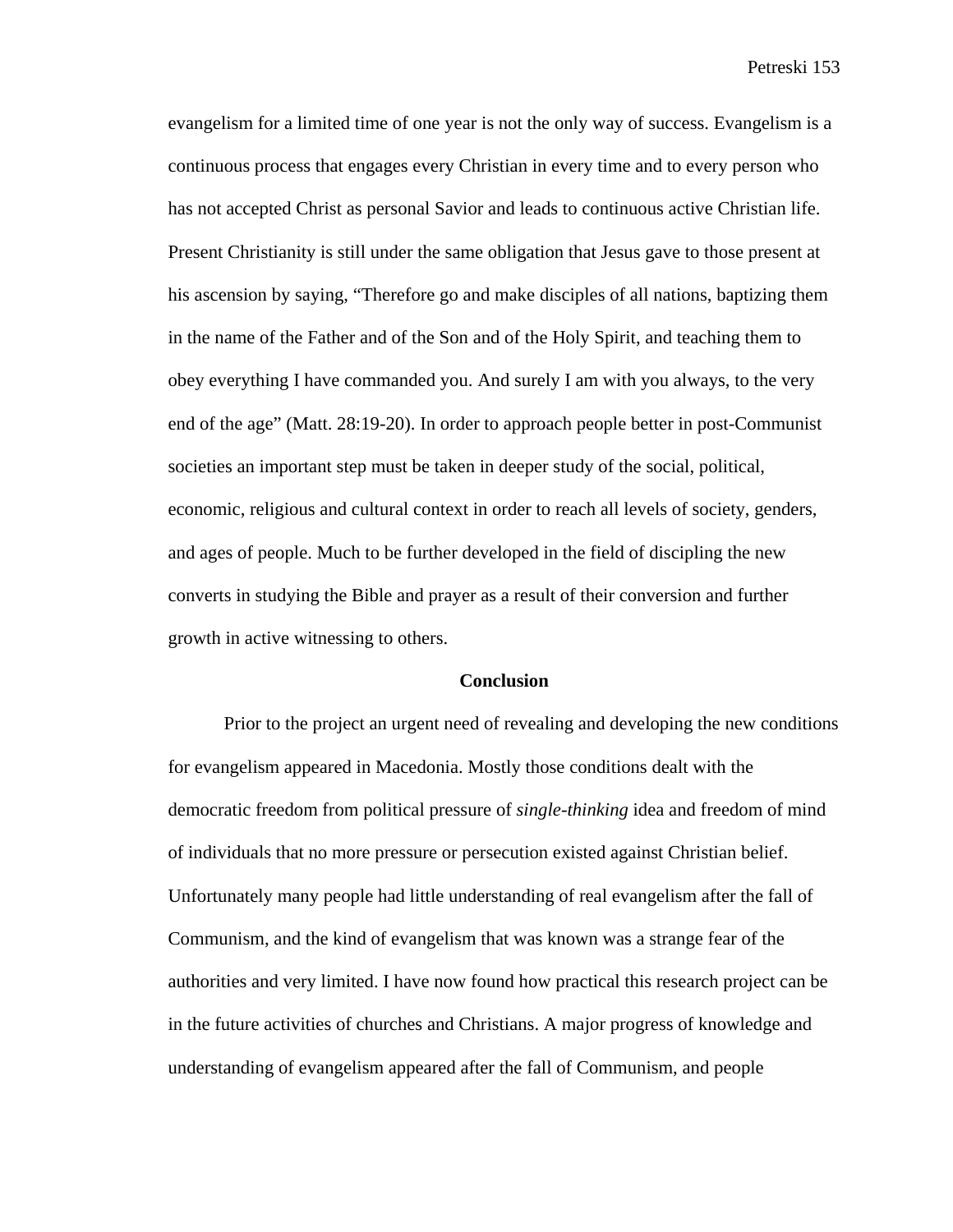evangelism for a limited time of one year is not the only way of success. Evangelism is a continuous process that engages every Christian in every time and to every person who has not accepted Christ as personal Savior and leads to continuous active Christian life. Present Christianity is still under the same obligation that Jesus gave to those present at his ascension by saying, "Therefore go and make disciples of all nations, baptizing them in the name of the Father and of the Son and of the Holy Spirit, and teaching them to obey everything I have commanded you. And surely I am with you always, to the very end of the age" (Matt. 28:19-20). In order to approach people better in post-Communist societies an important step must be taken in deeper study of the social, political, economic, religious and cultural context in order to reach all levels of society, genders, and ages of people. Much to be further developed in the field of discipling the new converts in studying the Bible and prayer as a result of their conversion and further growth in active witnessing to others.

#### **Conclusion**

Prior to the project an urgent need of revealing and developing the new conditions for evangelism appeared in Macedonia. Mostly those conditions dealt with the democratic freedom from political pressure of *single-thinking* idea and freedom of mind of individuals that no more pressure or persecution existed against Christian belief. Unfortunately many people had little understanding of real evangelism after the fall of Communism, and the kind of evangelism that was known was a strange fear of the authorities and very limited. I have now found how practical this research project can be in the future activities of churches and Christians. A major progress of knowledge and understanding of evangelism appeared after the fall of Communism, and people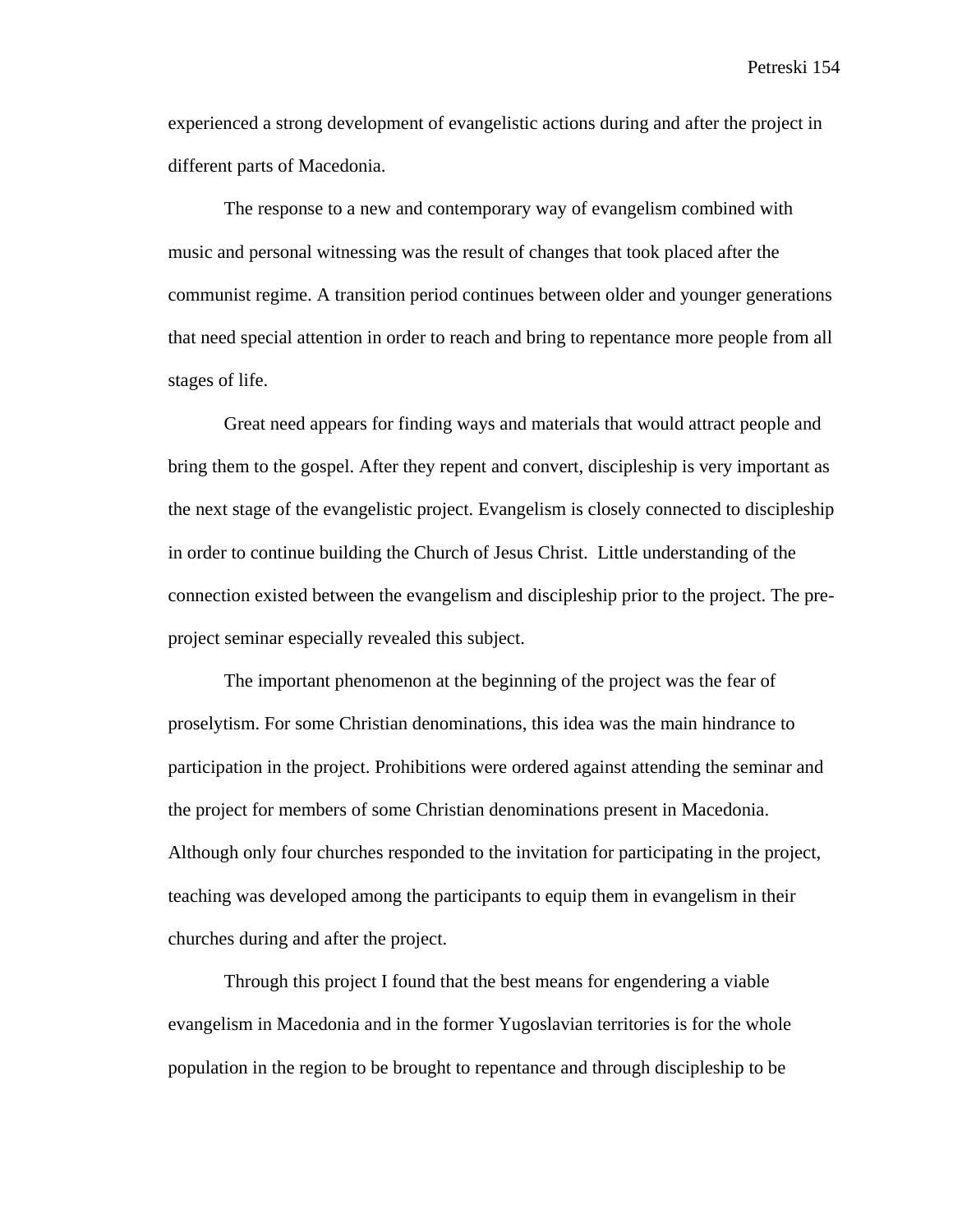experienced a strong development of evangelistic actions during and after the project in different parts of Macedonia.

The response to a new and contemporary way of evangelism combined with music and personal witnessing was the result of changes that took placed after the communist regime. A transition period continues between older and younger generations that need special attention in order to reach and bring to repentance more people from all stages of life.

Great need appears for finding ways and materials that would attract people and bring them to the gospel. After they repent and convert, discipleship is very important as the next stage of the evangelistic project. Evangelism is closely connected to discipleship in order to continue building the Church of Jesus Christ. Little understanding of the connection existed between the evangelism and discipleship prior to the project. The preproject seminar especially revealed this subject.

The important phenomenon at the beginning of the project was the fear of proselytism. For some Christian denominations, this idea was the main hindrance to participation in the project. Prohibitions were ordered against attending the seminar and the project for members of some Christian denominations present in Macedonia. Although only four churches responded to the invitation for participating in the project, teaching was developed among the participants to equip them in evangelism in their churches during and after the project.

Through this project I found that the best means for engendering a viable evangelism in Macedonia and in the former Yugoslavian territories is for the whole population in the region to be brought to repentance and through discipleship to be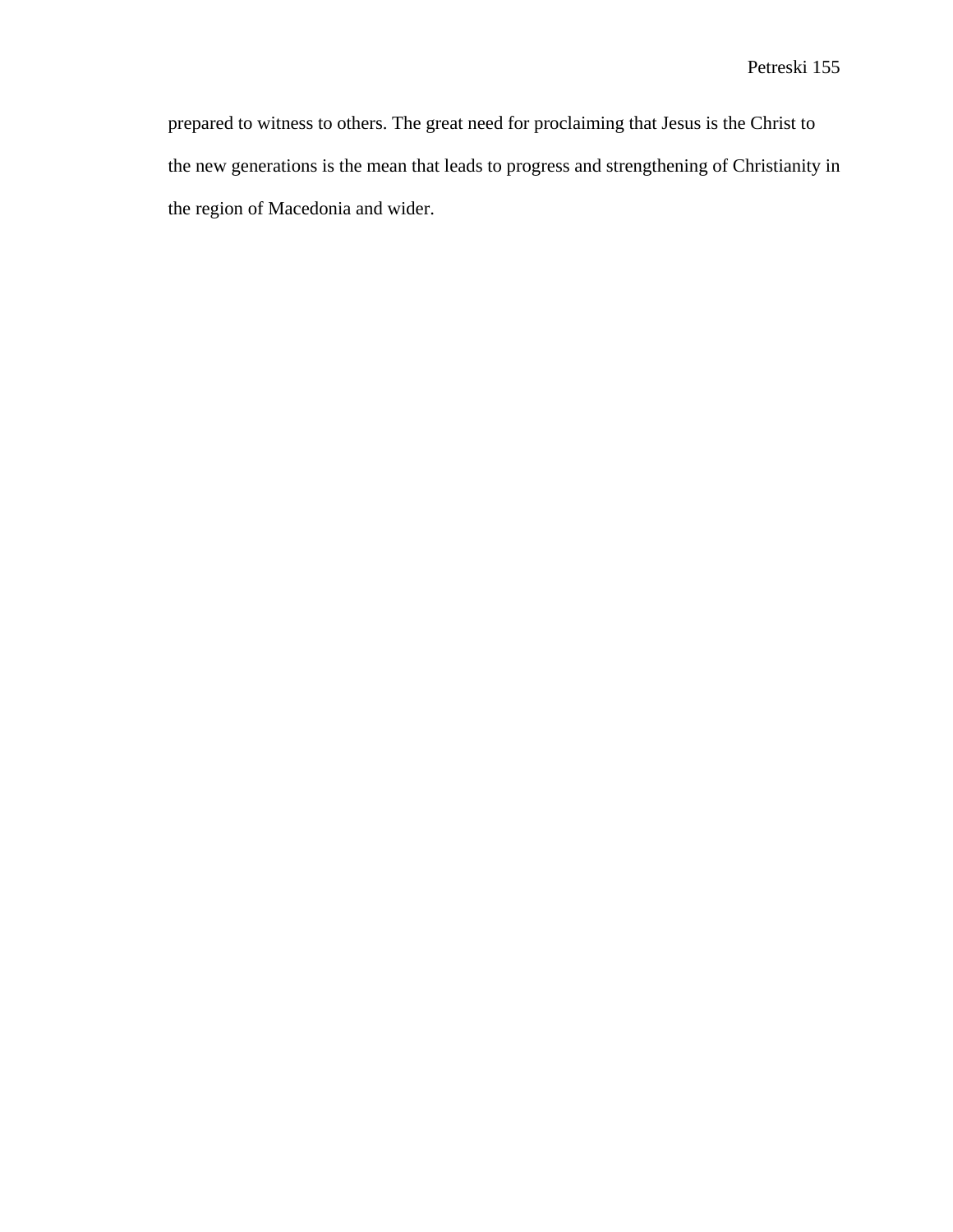prepared to witness to others. The great need for proclaiming that Jesus is the Christ to the new generations is the mean that leads to progress and strengthening of Christianity in the region of Macedonia and wider.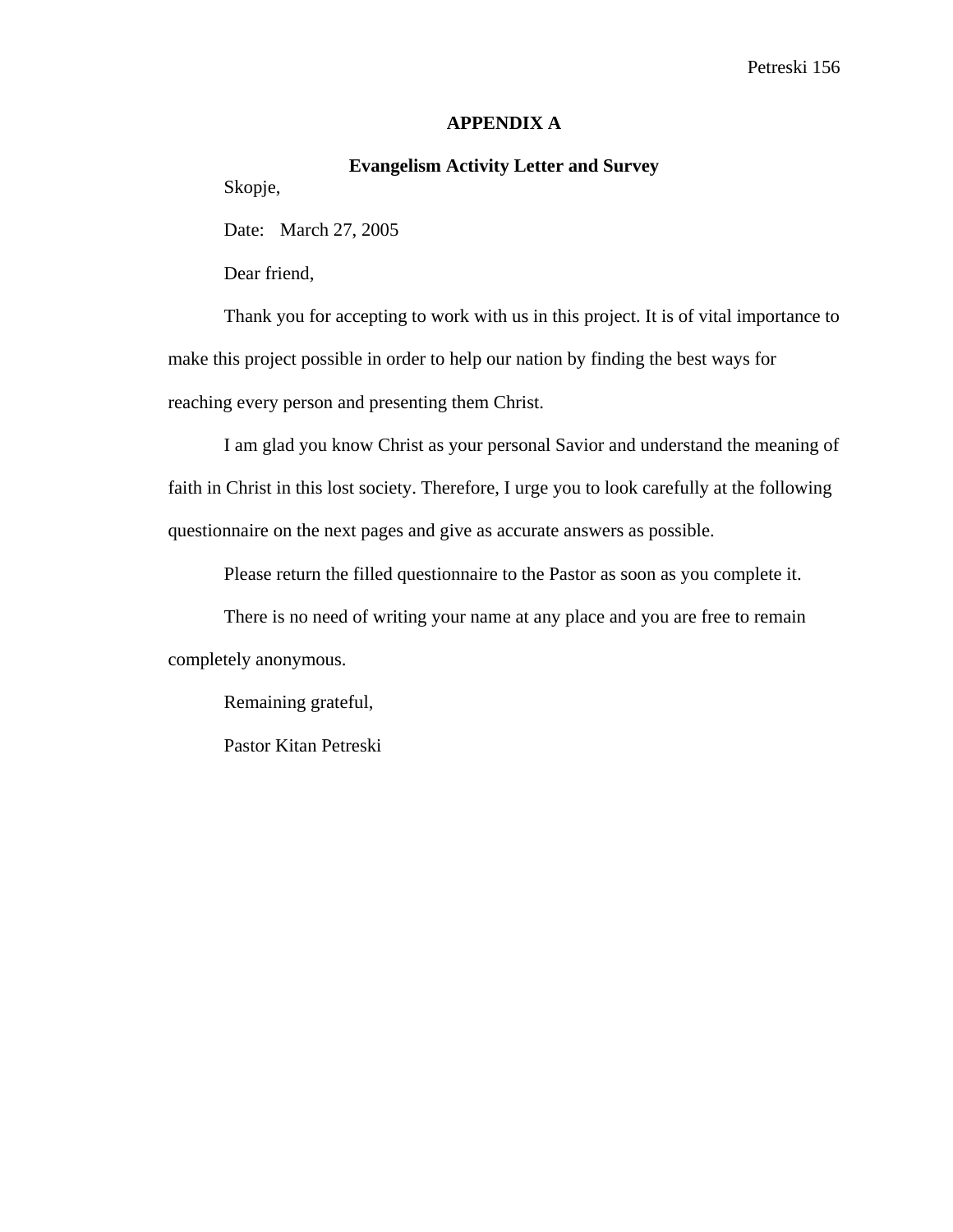## **APPENDIX A**

## **Evangelism Activity Letter and Survey**

Skopje,

Date: March 27, 2005

Dear friend,

Thank you for accepting to work with us in this project. It is of vital importance to make this project possible in order to help our nation by finding the best ways for reaching every person and presenting them Christ.

I am glad you know Christ as your personal Savior and understand the meaning of faith in Christ in this lost society. Therefore, I urge you to look carefully at the following questionnaire on the next pages and give as accurate answers as possible.

Please return the filled questionnaire to the Pastor as soon as you complete it.

There is no need of writing your name at any place and you are free to remain

completely anonymous.

Remaining grateful,

Pastor Kitan Petreski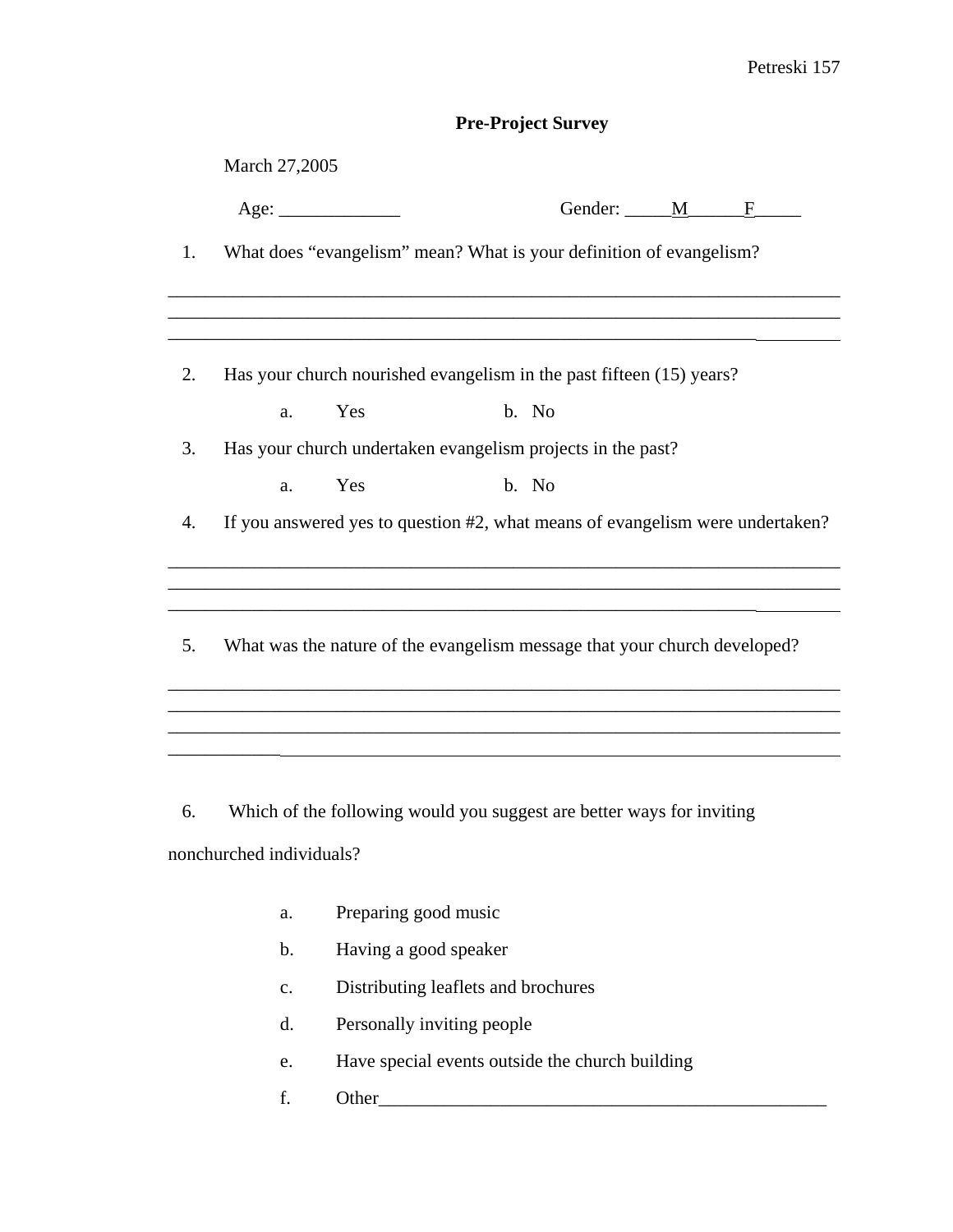# **Pre-Project Survey**

|    | March 27,2005                                                                 |  |
|----|-------------------------------------------------------------------------------|--|
|    | Gender: M<br>Age:<br>$\mathbf{F}$                                             |  |
| 1. | What does "evangelism" mean? What is your definition of evangelism?           |  |
|    |                                                                               |  |
| 2. | Has your church nourished evangelism in the past fifteen (15) years?          |  |
|    | Yes<br>b. No<br>a.                                                            |  |
| 3. | Has your church undertaken evangelism projects in the past?                   |  |
|    | Yes<br>b. No<br>a.                                                            |  |
| 4. | If you answered yes to question #2, what means of evangelism were undertaken? |  |
|    |                                                                               |  |
| 5. | What was the nature of the evangelism message that your church developed?     |  |
|    |                                                                               |  |
|    |                                                                               |  |
| 6. | Which of the following would you suggest are better ways for inviting         |  |
|    | nonchurched individuals?                                                      |  |

- a. Preparing good music
- b. Having a good speaker
- c. Distributing leaflets and brochures
- d. Personally inviting people
- e. Have special events outside the church building
- f. Other\_\_\_\_\_\_\_\_\_\_\_\_\_\_\_\_\_\_\_\_\_\_\_\_\_\_\_\_\_\_\_\_\_\_\_\_\_\_\_\_\_\_\_\_\_\_\_\_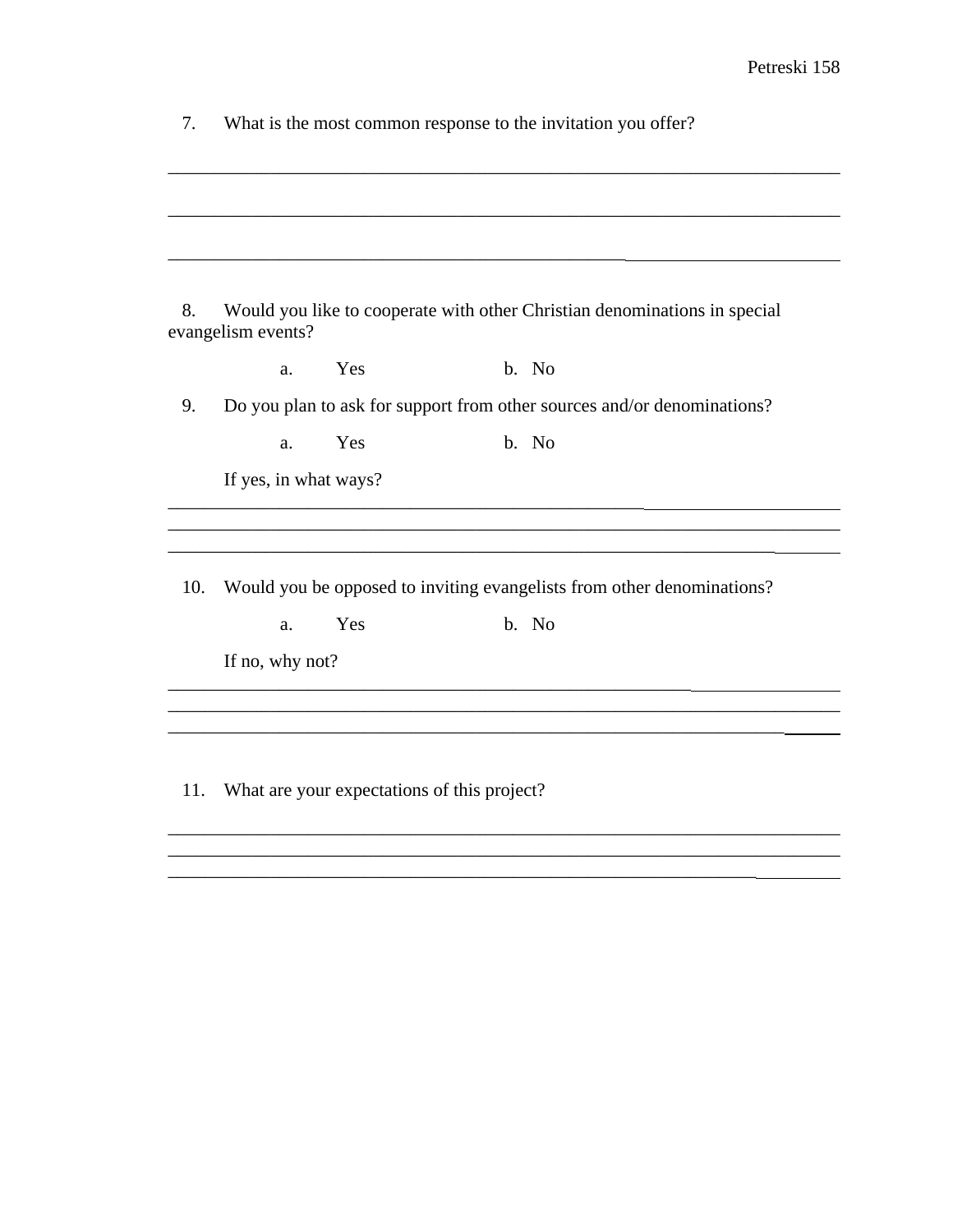| What is the most common response to the invitation you offer? |  |
|---------------------------------------------------------------|--|
|                                                               |  |

| 8.  | evangelism events?    |     |       | Would you like to cooperate with other Christian denominations in special |
|-----|-----------------------|-----|-------|---------------------------------------------------------------------------|
|     | a.                    | Yes | b. No |                                                                           |
| 9.  |                       |     |       | Do you plan to ask for support from other sources and/or denominations?   |
|     | a.                    | Yes | b. No |                                                                           |
|     | If yes, in what ways? |     |       |                                                                           |
|     |                       |     |       |                                                                           |
| 10. | a.<br>If no, why not? | Yes | b. No | Would you be opposed to inviting evangelists from other denominations?    |
|     |                       |     |       |                                                                           |
|     |                       |     |       |                                                                           |

\_\_\_\_\_\_\_\_\_\_\_\_\_\_\_\_\_\_\_\_\_\_\_\_\_\_\_\_\_\_\_\_\_\_\_\_\_\_\_\_\_\_\_\_\_\_\_\_\_\_\_\_\_\_\_\_\_\_\_\_\_\_\_\_\_\_\_\_\_\_\_\_  $\overline{\phantom{a}}$  , and the set of the set of the set of the set of the set of the set of the set of the set of the set of the set of the set of the set of the set of the set of the set of the set of the set of the set of the s \_\_\_\_\_\_\_\_\_\_\_\_\_\_\_\_\_\_\_\_\_\_\_\_\_\_\_\_\_\_\_\_\_\_\_\_\_\_\_\_\_\_\_\_\_\_\_\_\_\_\_\_\_\_\_\_\_\_\_\_\_\_\_

\_\_\_\_\_\_\_\_\_\_\_\_\_\_\_\_\_\_\_\_\_\_\_\_\_\_\_\_\_\_\_\_\_\_\_\_\_\_\_\_\_\_\_\_\_\_\_\_\_\_\_\_\_\_\_\_\_\_\_\_\_\_\_\_\_\_\_\_\_\_\_\_

 $\overline{\phantom{a}}$  , and the contribution of the contribution of the contribution of the contribution of the contribution of the contribution of the contribution of the contribution of the contribution of the contribution of the

11. What are your expectations of this project?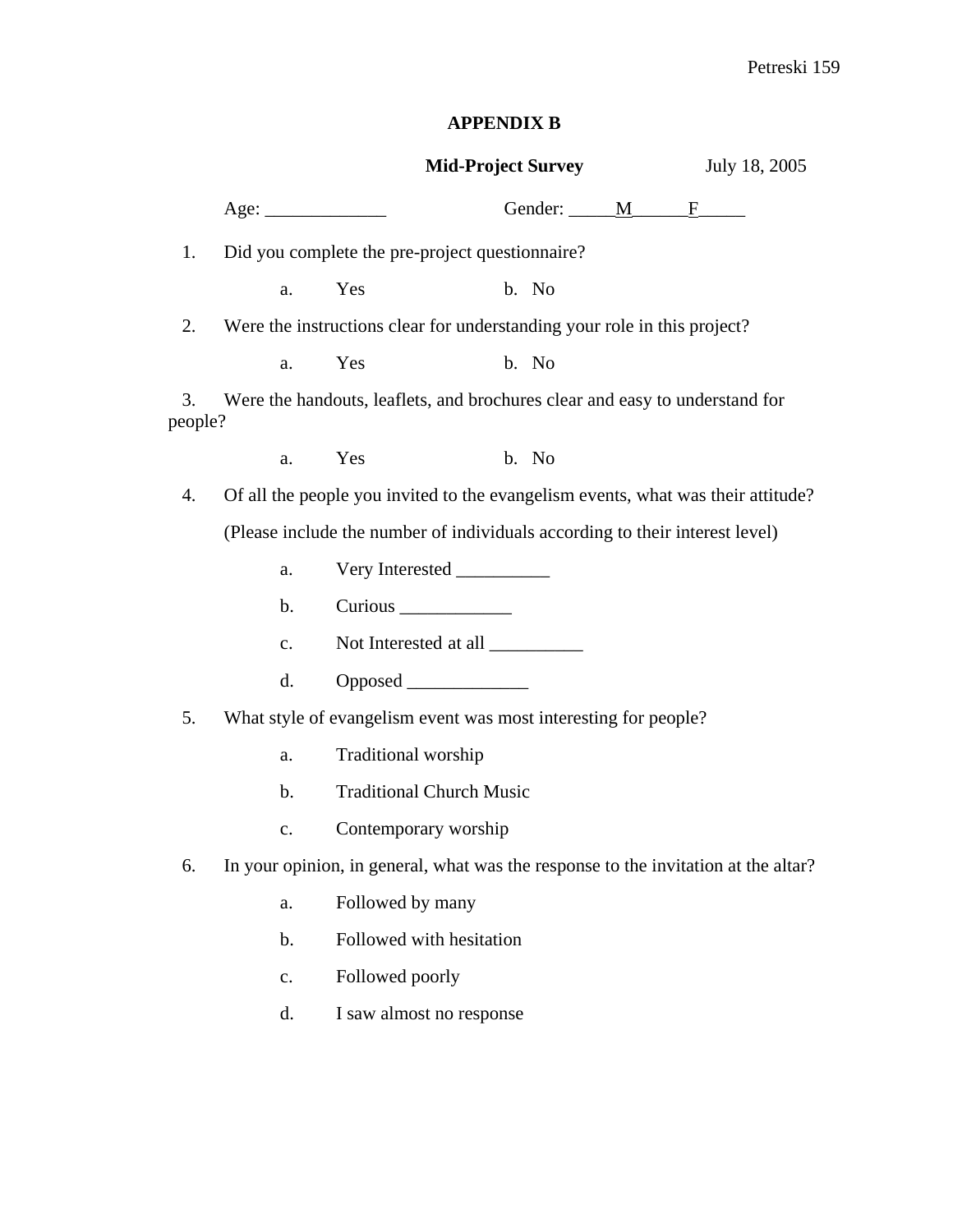# **APPENDIX B**

|               |                |                                                                              | <b>Mid-Project Survey</b> | July 18, 2005                                                                      |
|---------------|----------------|------------------------------------------------------------------------------|---------------------------|------------------------------------------------------------------------------------|
|               |                |                                                                              | Gender: <u>MAGE</u>       |                                                                                    |
| 1.            |                | Did you complete the pre-project questionnaire?                              |                           |                                                                                    |
|               | a.             | Yes                                                                          | b. No                     |                                                                                    |
| 2.            |                | Were the instructions clear for understanding your role in this project?     |                           |                                                                                    |
|               | a.             | Yes                                                                          | b. No                     |                                                                                    |
| 3.<br>people? |                | Were the handouts, leaflets, and brochures clear and easy to understand for  |                           |                                                                                    |
|               | a.             | Yes                                                                          | b. No                     |                                                                                    |
| 4.            |                |                                                                              |                           | Of all the people you invited to the evangelism events, what was their attitude?   |
|               |                | (Please include the number of individuals according to their interest level) |                           |                                                                                    |
|               | a.             | Very Interested                                                              |                           |                                                                                    |
|               | $\mathbf b$ .  |                                                                              |                           |                                                                                    |
|               | c.             |                                                                              |                           |                                                                                    |
|               | d.             | Opposed                                                                      |                           |                                                                                    |
| 5.            |                | What style of evangelism event was most interesting for people?              |                           |                                                                                    |
|               | a.             | Traditional worship                                                          |                           |                                                                                    |
|               | $\mathbf b$ .  | <b>Traditional Church Music</b>                                              |                           |                                                                                    |
|               | c.             | Contemporary worship                                                         |                           |                                                                                    |
| 6.            |                |                                                                              |                           | In your opinion, in general, what was the response to the invitation at the altar? |
|               | a.             | Followed by many                                                             |                           |                                                                                    |
|               | $\mathbf b$ .  | Followed with hesitation                                                     |                           |                                                                                    |
|               | $\mathbf{c}$ . | Followed poorly                                                              |                           |                                                                                    |
|               | d.             | I saw almost no response                                                     |                           |                                                                                    |
|               |                |                                                                              |                           |                                                                                    |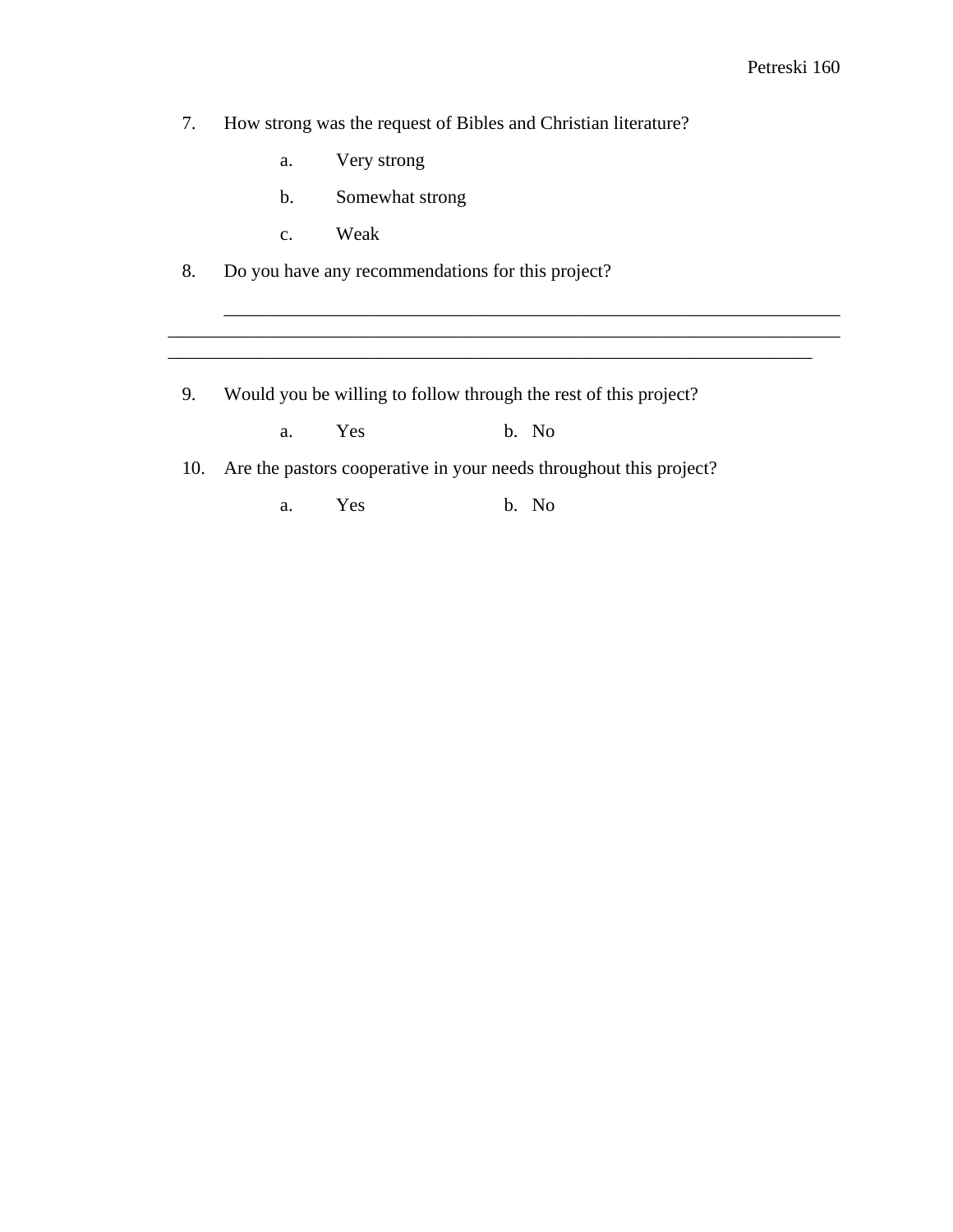7. How strong was the request of Bibles and Christian literature?

- a. Very strong
- b. Somewhat strong
- c. Weak

8. Do you have any recommendations for this project?

9. Would you be willing to follow through the rest of this project?

\_\_\_\_\_\_\_\_\_\_\_\_\_\_\_\_\_\_\_\_\_\_\_\_\_\_\_\_\_\_\_\_\_\_\_\_\_\_\_\_\_\_\_\_\_\_\_\_\_\_\_\_\_\_\_\_\_\_\_\_\_\_\_\_\_\_

\_\_\_\_\_\_\_\_\_\_\_\_\_\_\_\_\_\_\_\_\_\_\_\_\_\_\_\_\_\_\_\_\_\_\_\_\_\_\_\_\_\_\_\_\_\_\_\_\_\_\_\_\_\_\_\_\_\_\_\_\_\_\_\_\_\_\_\_\_\_\_\_ \_\_\_\_\_\_\_\_\_\_\_\_\_\_\_\_\_\_\_\_\_\_\_\_\_\_\_\_\_\_\_\_\_\_\_\_\_\_\_\_\_\_\_\_\_\_\_\_\_\_\_\_\_\_\_\_\_\_\_\_\_\_\_\_\_\_\_\_\_

a. Yes b. No

10. Are the pastors cooperative in your needs throughout this project?

a. Yes b. No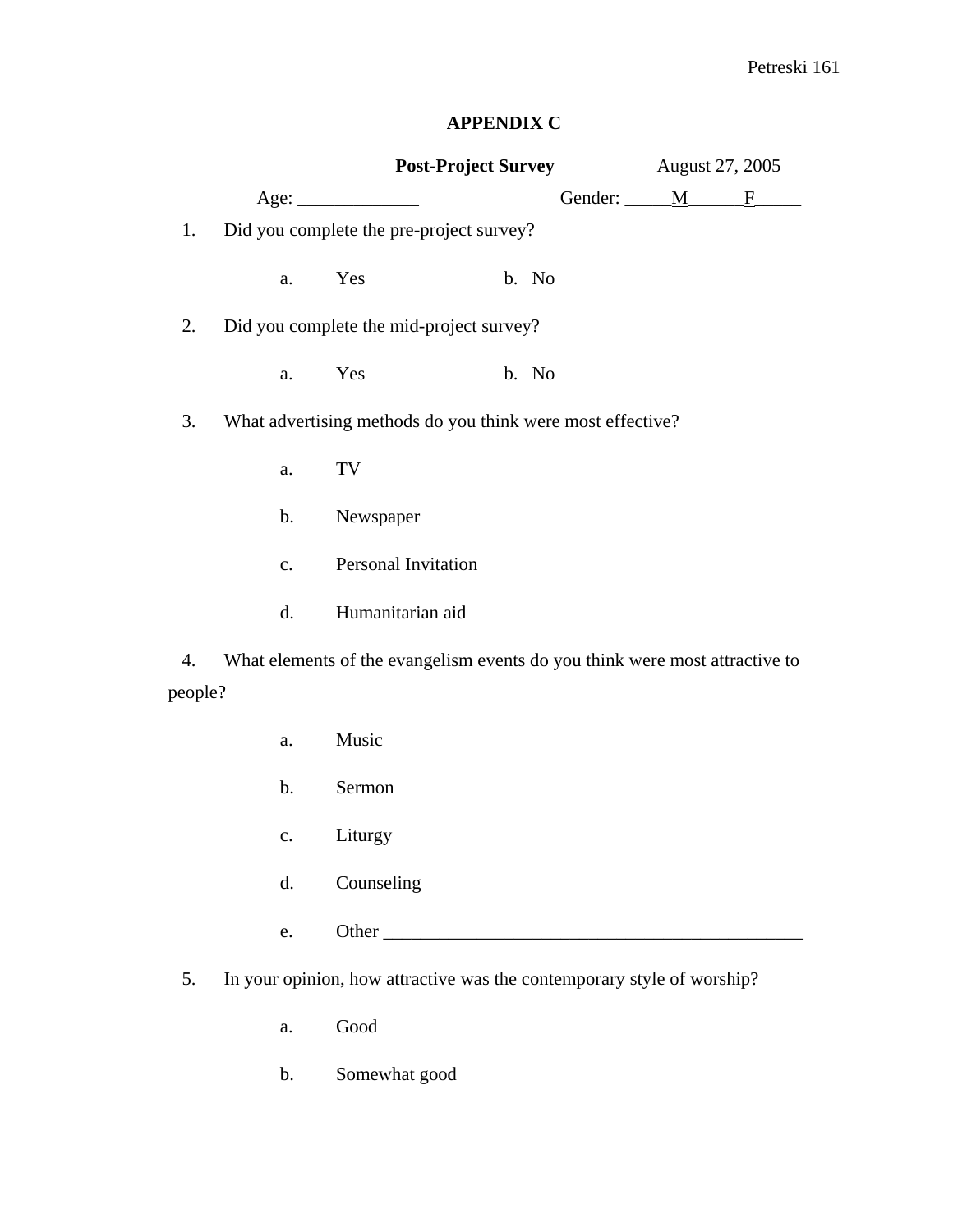## **APPENDIX C**

|         |                | <b>Post-Project Survey</b>                                                  |  |       | August 27, 2005       |  |   |
|---------|----------------|-----------------------------------------------------------------------------|--|-------|-----------------------|--|---|
|         |                | Age:                                                                        |  |       | Gender: ______M______ |  | F |
| 1.      |                | Did you complete the pre-project survey?                                    |  |       |                       |  |   |
|         | a.             | Yes                                                                         |  | b. No |                       |  |   |
| 2.      |                | Did you complete the mid-project survey?                                    |  |       |                       |  |   |
|         | a.             | Yes                                                                         |  | b. No |                       |  |   |
| 3.      |                | What advertising methods do you think were most effective?                  |  |       |                       |  |   |
|         | a.             | TV                                                                          |  |       |                       |  |   |
|         | $\mathbf b$ .  | Newspaper                                                                   |  |       |                       |  |   |
|         | $\mathbf{c}$ . | Personal Invitation                                                         |  |       |                       |  |   |
|         | d.             | Humanitarian aid                                                            |  |       |                       |  |   |
| 4.      |                | What elements of the evangelism events do you think were most attractive to |  |       |                       |  |   |
| people? |                |                                                                             |  |       |                       |  |   |
|         | a.             | Music                                                                       |  |       |                       |  |   |
|         | b.             | Sermon                                                                      |  |       |                       |  |   |
|         | c.             | Liturgy                                                                     |  |       |                       |  |   |
|         | d.             | Counseling                                                                  |  |       |                       |  |   |
|         | e.             |                                                                             |  |       |                       |  |   |
| 5.      |                | In your opinion, how attractive was the contemporary style of worship?      |  |       |                       |  |   |

- a. Good
- b. Somewhat good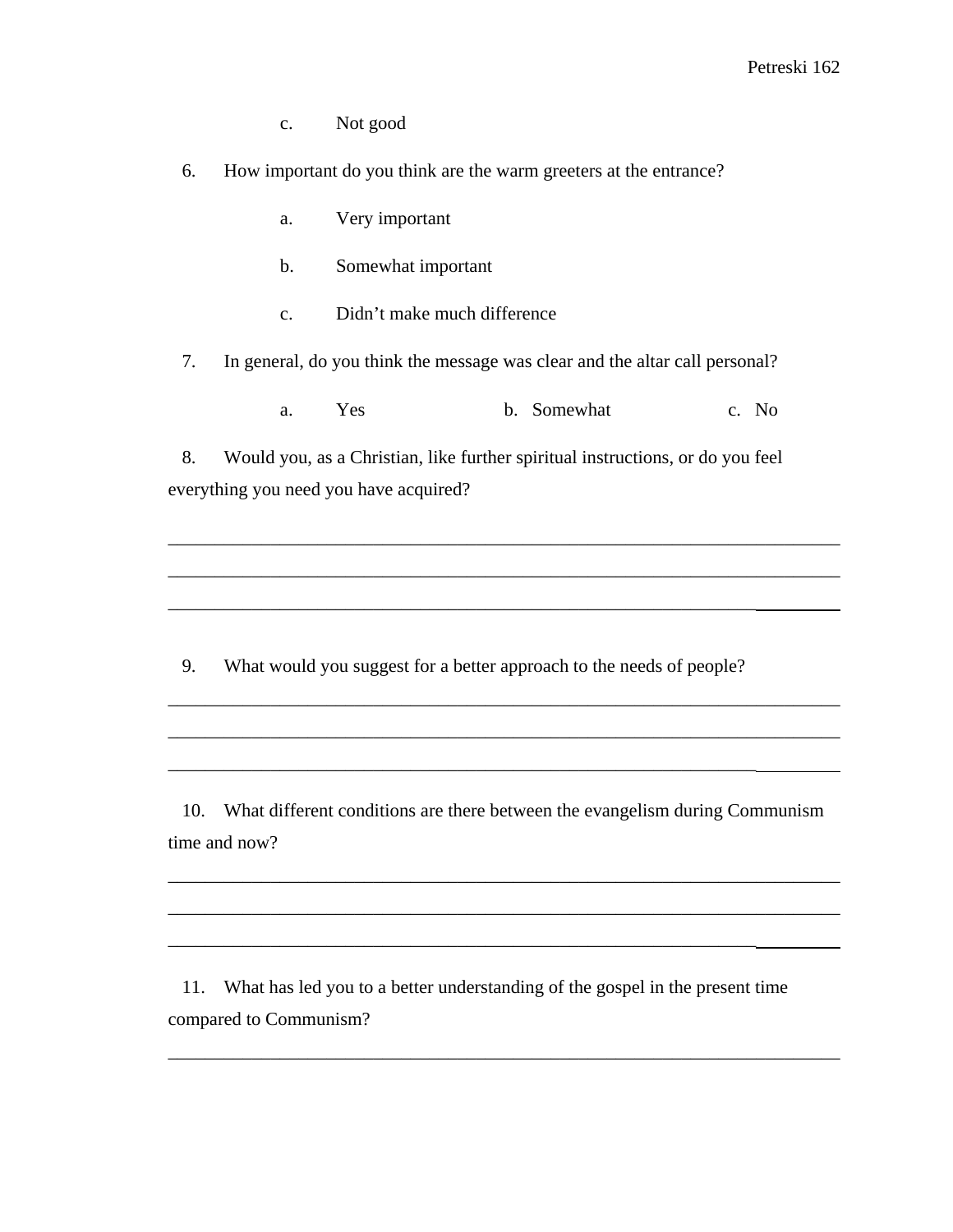c. Not good

6. How important do you think are the warm greeters at the entrance?

- a. Very important
- b. Somewhat important
- c. Didn't make much difference

7. In general, do you think the message was clear and the altar call personal?

a. Yes b. Somewhat c. No

8. Would you, as a Christian, like further spiritual instructions, or do you feel everything you need you have acquired?

\_\_\_\_\_\_\_\_\_\_\_\_\_\_\_\_\_\_\_\_\_\_\_\_\_\_\_\_\_\_\_\_\_\_\_\_\_\_\_\_\_\_\_\_\_\_\_\_\_\_\_\_\_\_\_\_\_\_\_\_\_\_\_\_\_\_\_\_\_\_\_\_

\_\_\_\_\_\_\_\_\_\_\_\_\_\_\_\_\_\_\_\_\_\_\_\_\_\_\_\_\_\_\_\_\_\_\_\_\_\_\_\_\_\_\_\_\_\_\_\_\_\_\_\_\_\_\_\_\_\_\_\_\_\_\_\_\_\_\_\_\_\_\_\_

\_\_\_\_\_\_\_\_\_\_\_\_\_\_\_\_\_\_\_\_\_\_\_\_\_\_\_\_\_\_\_\_\_\_\_\_\_\_\_\_\_\_\_\_\_\_\_\_\_\_\_\_\_\_\_\_\_\_\_\_\_\_\_\_\_\_\_\_\_\_\_\_

\_\_\_\_\_\_\_\_\_\_\_\_\_\_\_\_\_\_\_\_\_\_\_\_\_\_\_\_\_\_\_\_\_\_\_\_\_\_\_\_\_\_\_\_\_\_\_\_\_\_\_\_\_\_\_\_\_\_\_\_\_\_\_\_\_\_\_\_\_\_\_\_

9. What would you suggest for a better approach to the needs of people?

\_\_\_\_\_\_\_\_\_\_\_\_\_\_\_\_\_\_\_\_\_\_\_\_\_\_\_\_\_\_\_\_\_\_\_\_\_\_\_\_\_\_\_\_\_\_\_\_\_\_\_\_\_\_\_\_\_\_\_\_\_\_\_

\_\_\_\_\_\_\_\_\_\_\_\_\_\_\_\_\_\_\_\_\_\_\_\_\_\_\_\_\_\_\_\_\_\_\_\_\_\_\_\_\_\_\_\_\_\_\_\_\_\_\_\_\_\_\_\_\_\_\_\_\_\_\_

10. What different conditions are there between the evangelism during Communism time and now?

\_\_\_\_\_\_\_\_\_\_\_\_\_\_\_\_\_\_\_\_\_\_\_\_\_\_\_\_\_\_\_\_\_\_\_\_\_\_\_\_\_\_\_\_\_\_\_\_\_\_\_\_\_\_\_\_\_\_\_\_\_\_\_\_\_\_\_\_\_\_\_\_

\_\_\_\_\_\_\_\_\_\_\_\_\_\_\_\_\_\_\_\_\_\_\_\_\_\_\_\_\_\_\_\_\_\_\_\_\_\_\_\_\_\_\_\_\_\_\_\_\_\_\_\_\_\_\_\_\_\_\_\_\_\_\_\_\_\_\_\_\_\_\_\_

\_\_\_\_\_\_\_\_\_\_\_\_\_\_\_\_\_\_\_\_\_\_\_\_\_\_\_\_\_\_\_\_\_\_\_\_\_\_\_\_\_\_\_\_\_\_\_\_\_\_\_\_\_\_\_\_\_\_\_\_\_\_\_\_\_\_\_\_\_\_\_\_

11. What has led you to a better understanding of the gospel in the present time compared to Communism?

\_\_\_\_\_\_\_\_\_\_\_\_\_\_\_\_\_\_\_\_\_\_\_\_\_\_\_\_\_\_\_\_\_\_\_\_\_\_\_\_\_\_\_\_\_\_\_\_\_\_\_\_\_\_\_\_\_\_\_\_\_\_\_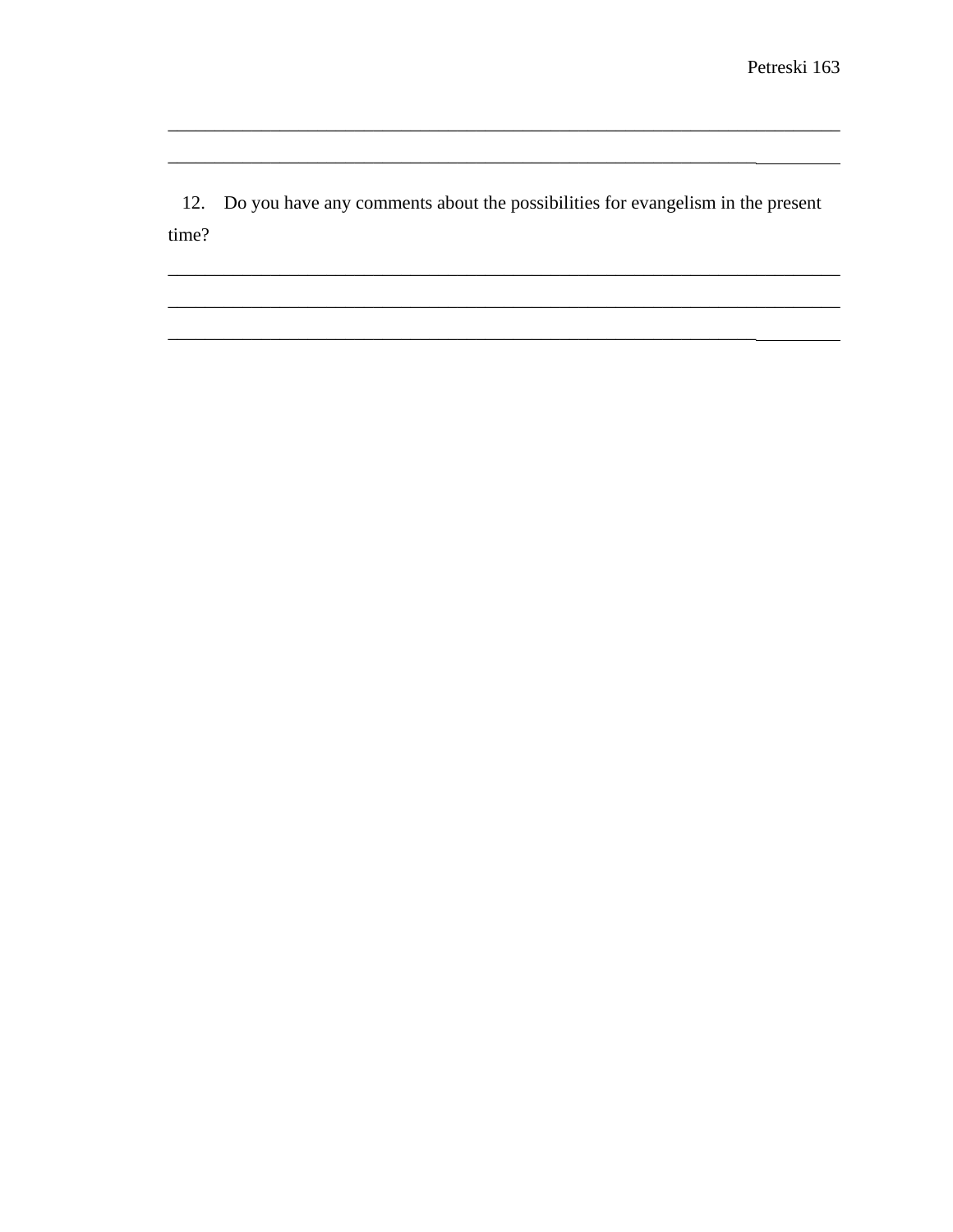12. Do you have any comments about the possibilities for evangelism in the present time?

<u> 1989 - 1989 - 1989 - 1989 - 1989 - 1989 - 1989 - 1989 - 1989 - 1989 - 1989 - 1989 - 1989 - 1989 - 1989 - 19</u>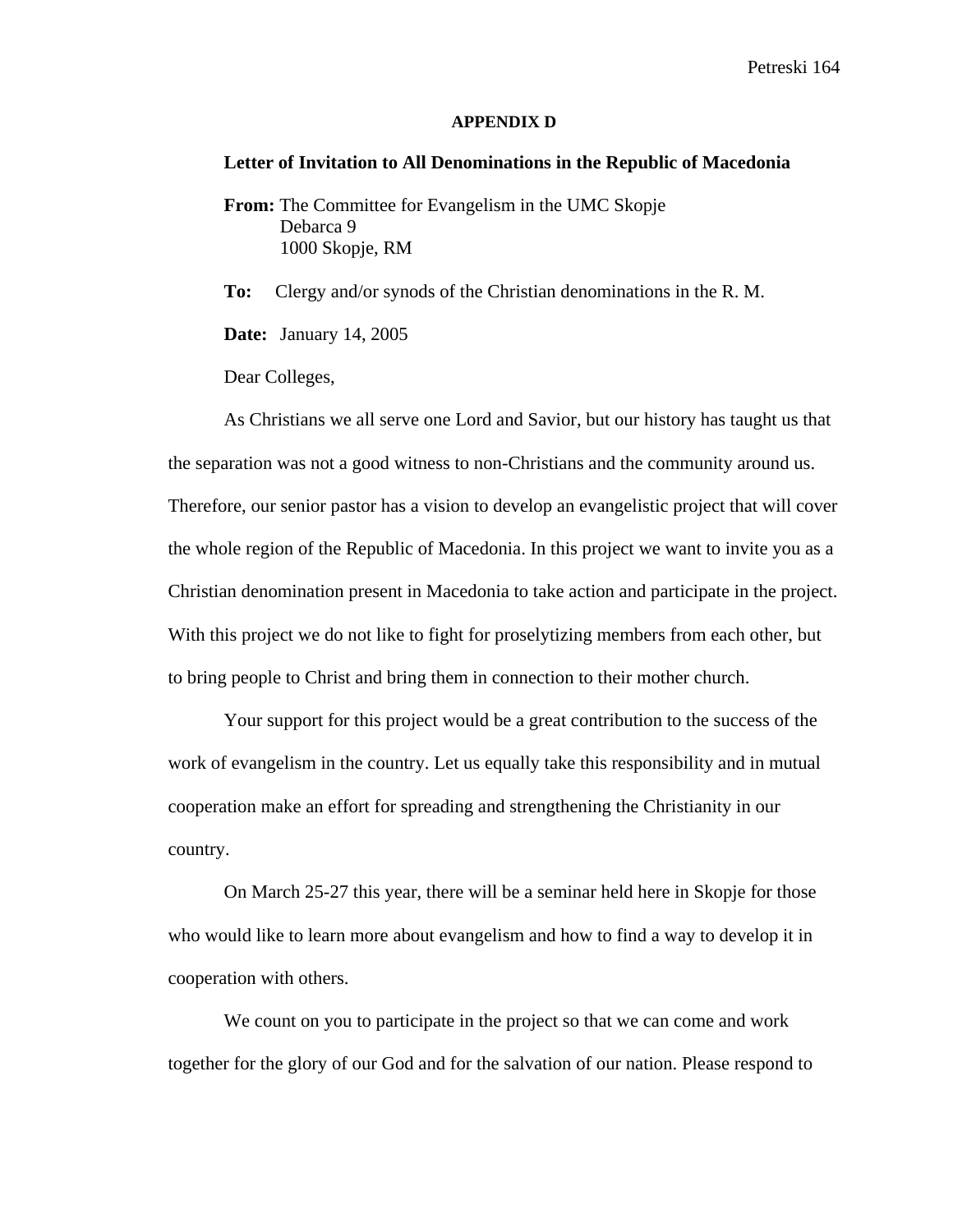#### **APPENDIX D**

#### **Letter of Invitation to All Denominations in the Republic of Macedonia**

**From:** The Committee for Evangelism in the UMC Skopje Debarca 9 1000 Skopje, RM

**To:** Clergy and/or synods of the Christian denominations in the R. M.

**Date:** January 14, 2005

Dear Colleges,

As Christians we all serve one Lord and Savior, but our history has taught us that the separation was not a good witness to non-Christians and the community around us. Therefore, our senior pastor has a vision to develop an evangelistic project that will cover the whole region of the Republic of Macedonia. In this project we want to invite you as a Christian denomination present in Macedonia to take action and participate in the project. With this project we do not like to fight for proselytizing members from each other, but to bring people to Christ and bring them in connection to their mother church.

Your support for this project would be a great contribution to the success of the work of evangelism in the country. Let us equally take this responsibility and in mutual cooperation make an effort for spreading and strengthening the Christianity in our country.

On March 25-27 this year, there will be a seminar held here in Skopje for those who would like to learn more about evangelism and how to find a way to develop it in cooperation with others.

We count on you to participate in the project so that we can come and work together for the glory of our God and for the salvation of our nation. Please respond to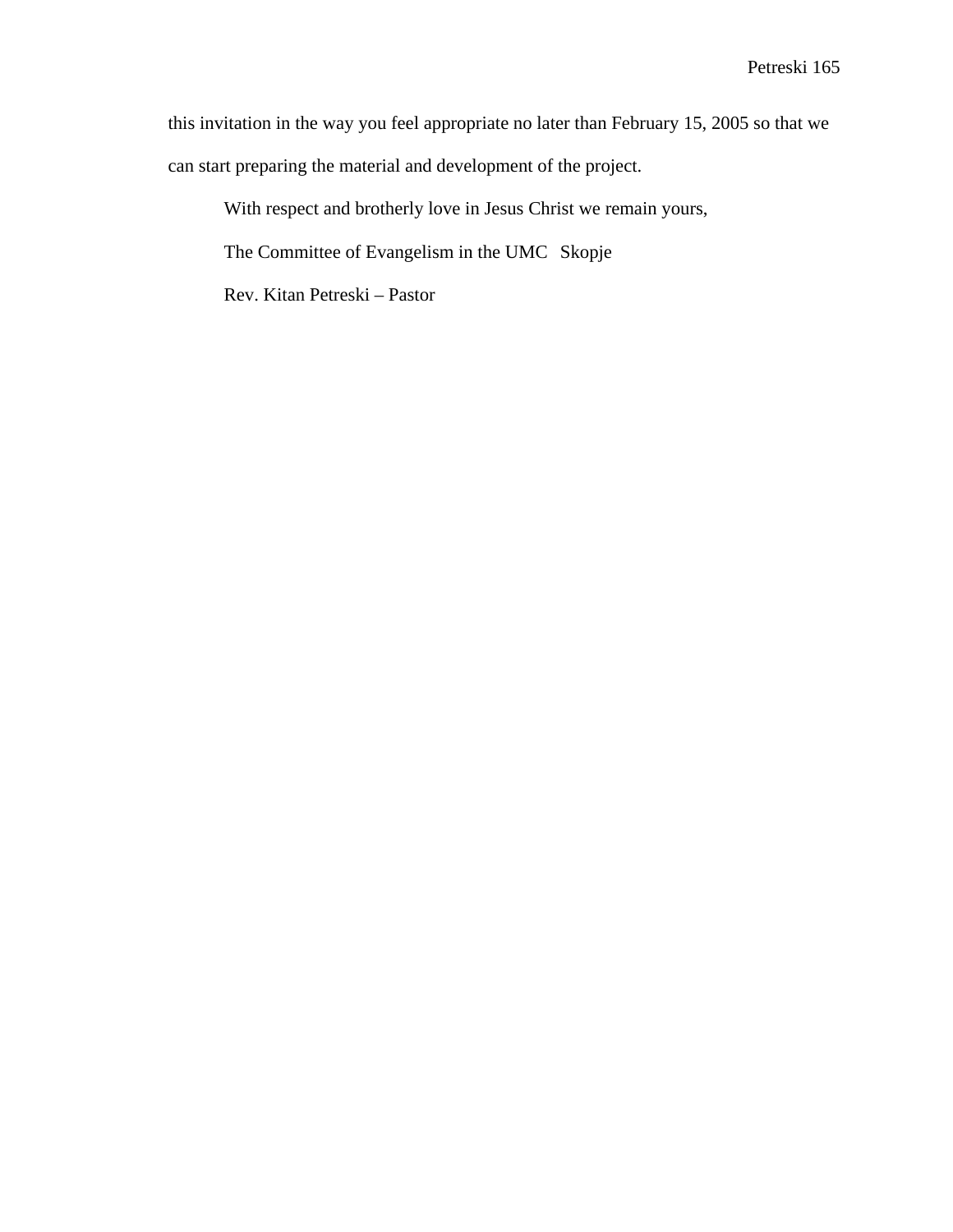this invitation in the way you feel appropriate no later than February 15, 2005 so that we can start preparing the material and development of the project.

With respect and brotherly love in Jesus Christ we remain yours,

The Committee of Evangelism in the UMC Skopje

Rev. Kitan Petreski – Pastor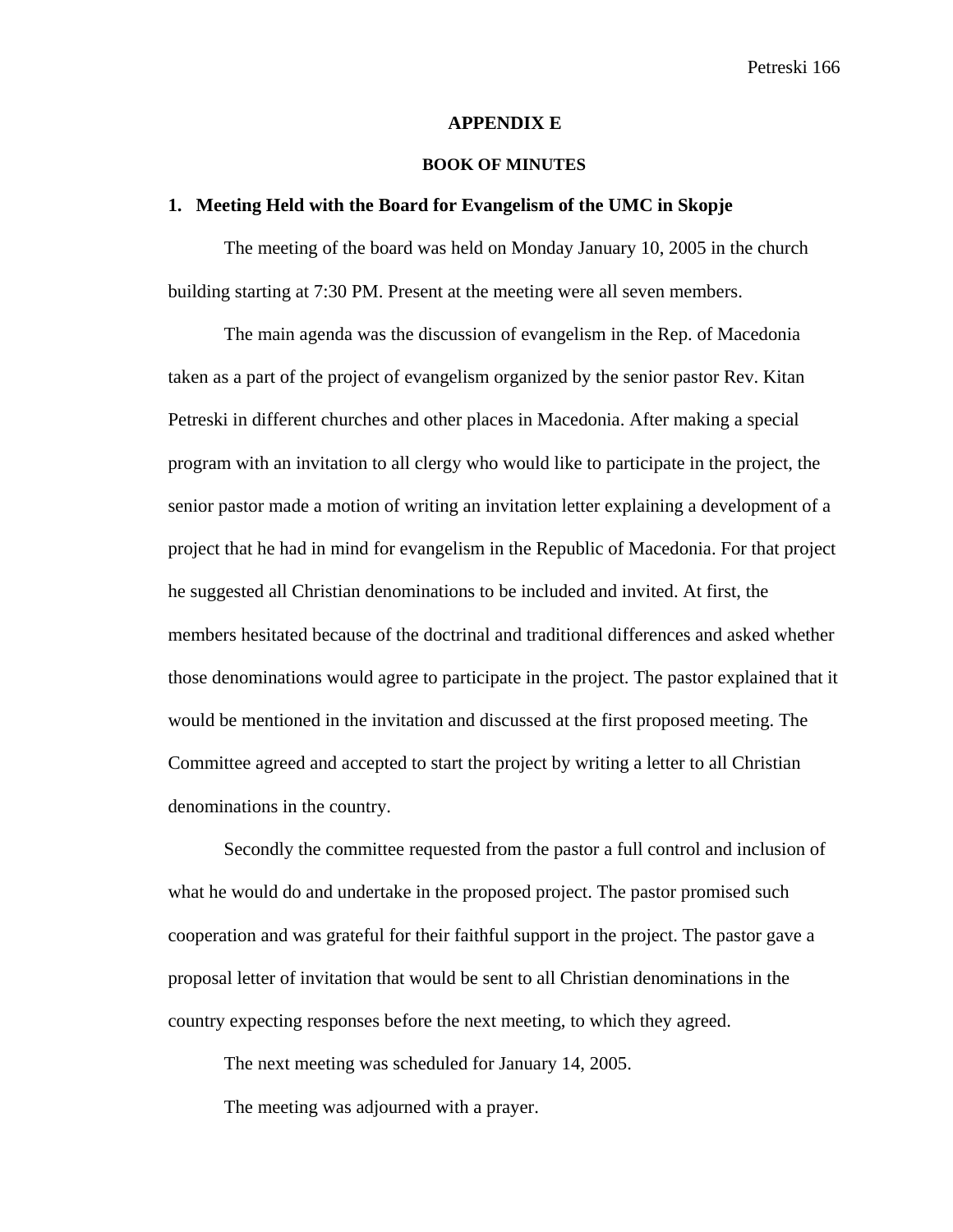#### **APPENDIX E**

#### **BOOK OF MINUTES**

#### **1. Meeting Held with the Board for Evangelism of the UMC in Skopje**

The meeting of the board was held on Monday January 10, 2005 in the church building starting at 7:30 PM. Present at the meeting were all seven members.

The main agenda was the discussion of evangelism in the Rep. of Macedonia taken as a part of the project of evangelism organized by the senior pastor Rev. Kitan Petreski in different churches and other places in Macedonia. After making a special program with an invitation to all clergy who would like to participate in the project, the senior pastor made a motion of writing an invitation letter explaining a development of a project that he had in mind for evangelism in the Republic of Macedonia. For that project he suggested all Christian denominations to be included and invited. At first, the members hesitated because of the doctrinal and traditional differences and asked whether those denominations would agree to participate in the project. The pastor explained that it would be mentioned in the invitation and discussed at the first proposed meeting. The Committee agreed and accepted to start the project by writing a letter to all Christian denominations in the country.

Secondly the committee requested from the pastor a full control and inclusion of what he would do and undertake in the proposed project. The pastor promised such cooperation and was grateful for their faithful support in the project. The pastor gave a proposal letter of invitation that would be sent to all Christian denominations in the country expecting responses before the next meeting, to which they agreed.

The next meeting was scheduled for January 14, 2005.

The meeting was adjourned with a prayer.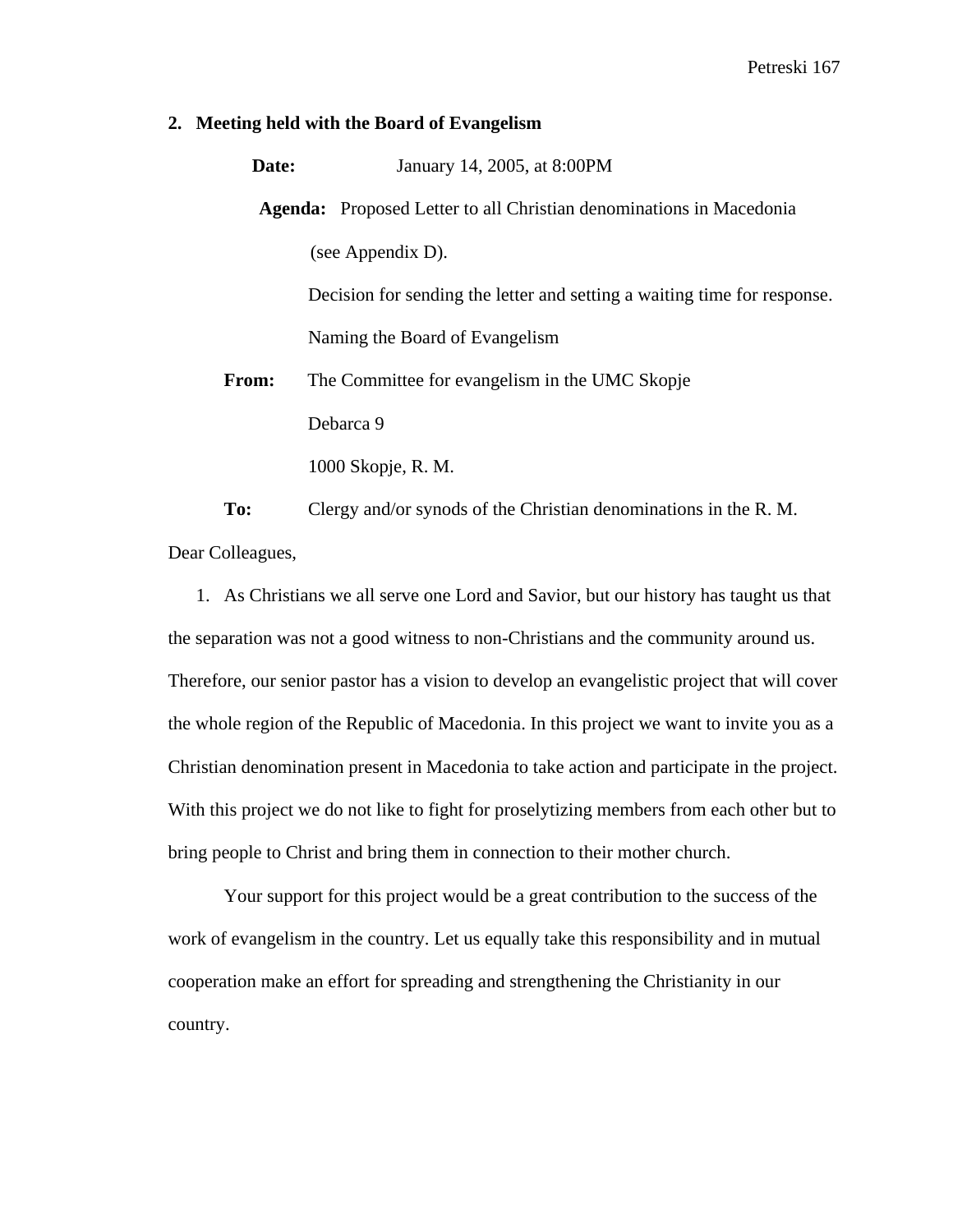#### **2. Meeting held with the Board of Evangelism**

| Date:        | January 14, 2005, at 8:00PM                                                |  |  |  |  |
|--------------|----------------------------------------------------------------------------|--|--|--|--|
|              | <b>Agenda:</b> Proposed Letter to all Christian denominations in Macedonia |  |  |  |  |
|              | (see Appendix D).                                                          |  |  |  |  |
|              | Decision for sending the letter and setting a waiting time for response.   |  |  |  |  |
|              | Naming the Board of Evangelism                                             |  |  |  |  |
| <b>From:</b> | The Committee for evangelism in the UMC Skopje                             |  |  |  |  |
|              | Debarca 9                                                                  |  |  |  |  |
|              | 1000 Skopje, R. M.                                                         |  |  |  |  |

**To:** Clergy and/or synods of the Christian denominations in the R. M. Dear Colleagues,

1. As Christians we all serve one Lord and Savior, but our history has taught us that the separation was not a good witness to non-Christians and the community around us. Therefore, our senior pastor has a vision to develop an evangelistic project that will cover the whole region of the Republic of Macedonia. In this project we want to invite you as a Christian denomination present in Macedonia to take action and participate in the project. With this project we do not like to fight for proselytizing members from each other but to bring people to Christ and bring them in connection to their mother church.

Your support for this project would be a great contribution to the success of the work of evangelism in the country. Let us equally take this responsibility and in mutual cooperation make an effort for spreading and strengthening the Christianity in our country.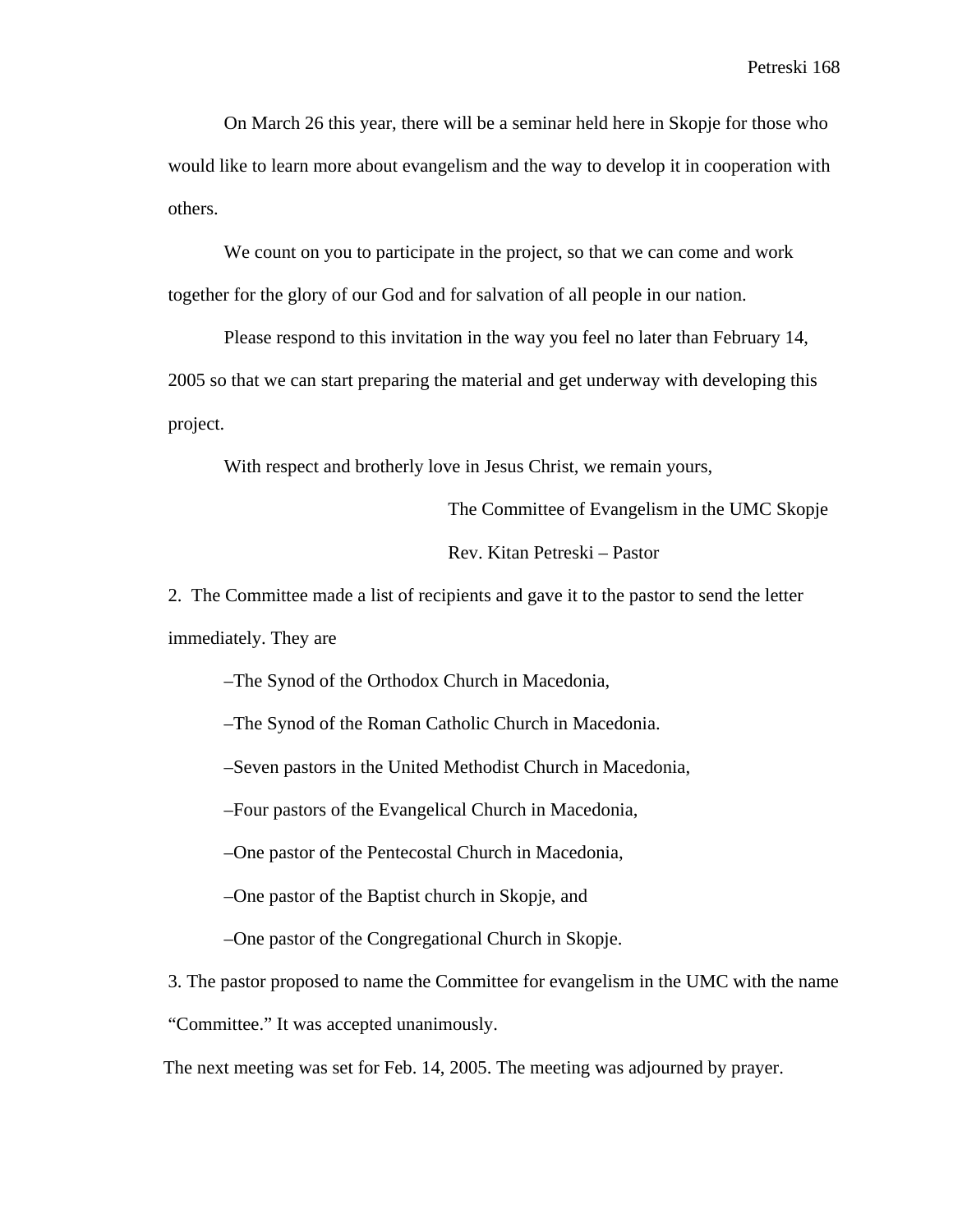On March 26 this year, there will be a seminar held here in Skopje for those who would like to learn more about evangelism and the way to develop it in cooperation with others.

We count on you to participate in the project, so that we can come and work together for the glory of our God and for salvation of all people in our nation.

Please respond to this invitation in the way you feel no later than February 14, 2005 so that we can start preparing the material and get underway with developing this project.

With respect and brotherly love in Jesus Christ, we remain yours,

The Committee of Evangelism in the UMC Skopje

Rev. Kitan Petreski – Pastor

2. The Committee made a list of recipients and gave it to the pastor to send the letter immediately. They are

–The Synod of the Orthodox Church in Macedonia,

–The Synod of the Roman Catholic Church in Macedonia.

–Seven pastors in the United Methodist Church in Macedonia,

–Four pastors of the Evangelical Church in Macedonia,

–One pastor of the Pentecostal Church in Macedonia,

–One pastor of the Baptist church in Skopje, and

–One pastor of the Congregational Church in Skopje.

3. The pastor proposed to name the Committee for evangelism in the UMC with the name "Committee." It was accepted unanimously.

The next meeting was set for Feb. 14, 2005. The meeting was adjourned by prayer.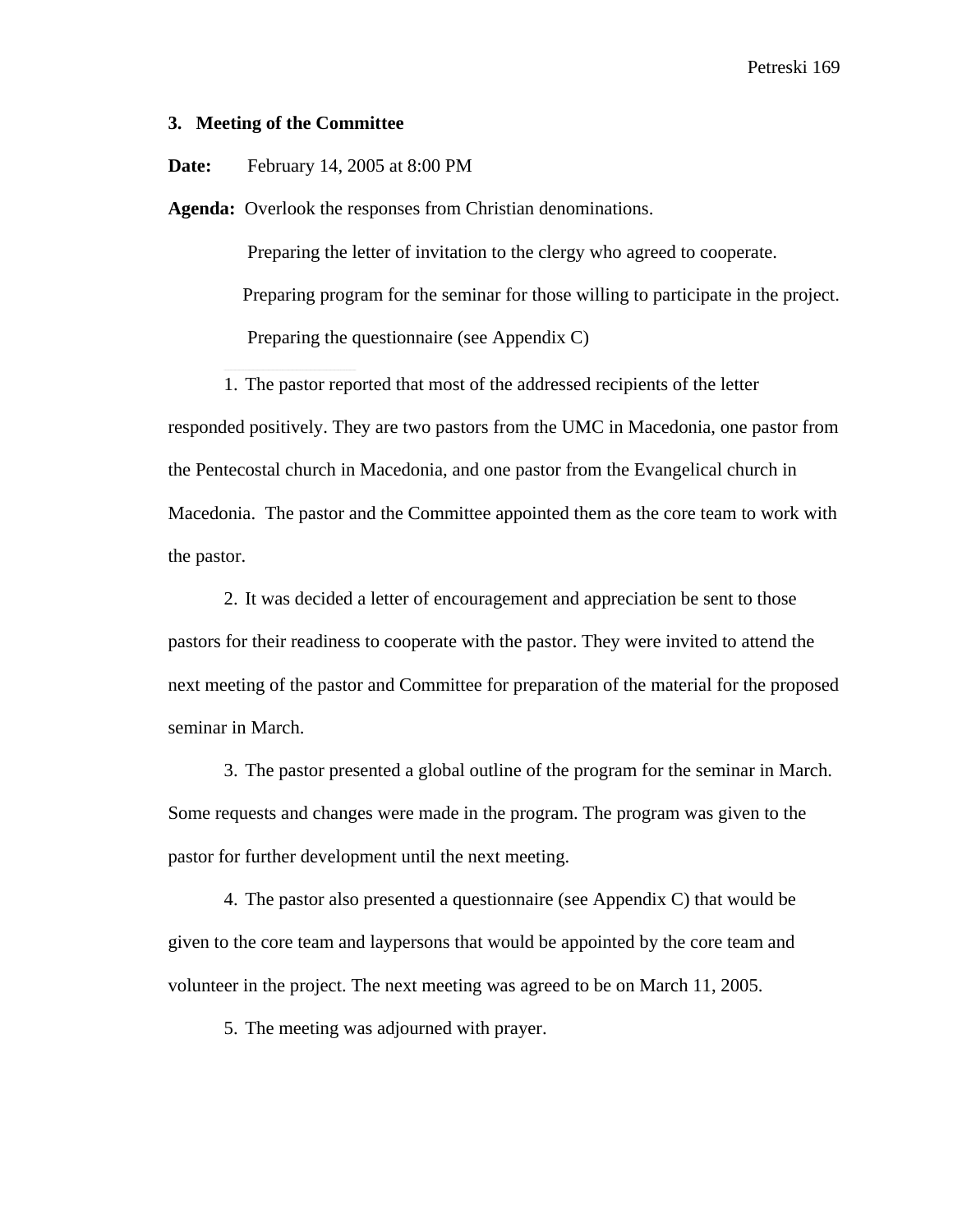### **3. Meeting of the Committee**

**Date:** February 14, 2005 at 8:00 PM

**Agenda:** Overlook the responses from Christian denominations.

 Preparing the letter of invitation to the clergy who agreed to cooperate. Preparing program for the seminar for those willing to participate in the project. Preparing the questionnaire (see Appendix C)

1. The pastor reported that most of the addressed recipients of the letter responded positively. They are two pastors from the UMC in Macedonia, one pastor from the Pentecostal church in Macedonia, and one pastor from the Evangelical church in Macedonia. The pastor and the Committee appointed them as the core team to work with the pastor.

2. It was decided a letter of encouragement and appreciation be sent to those pastors for their readiness to cooperate with the pastor. They were invited to attend the next meeting of the pastor and Committee for preparation of the material for the proposed seminar in March.

3. The pastor presented a global outline of the program for the seminar in March. Some requests and changes were made in the program. The program was given to the pastor for further development until the next meeting.

4. The pastor also presented a questionnaire (see Appendix C) that would be given to the core team and laypersons that would be appointed by the core team and volunteer in the project. The next meeting was agreed to be on March 11, 2005.

5. The meeting was adjourned with prayer.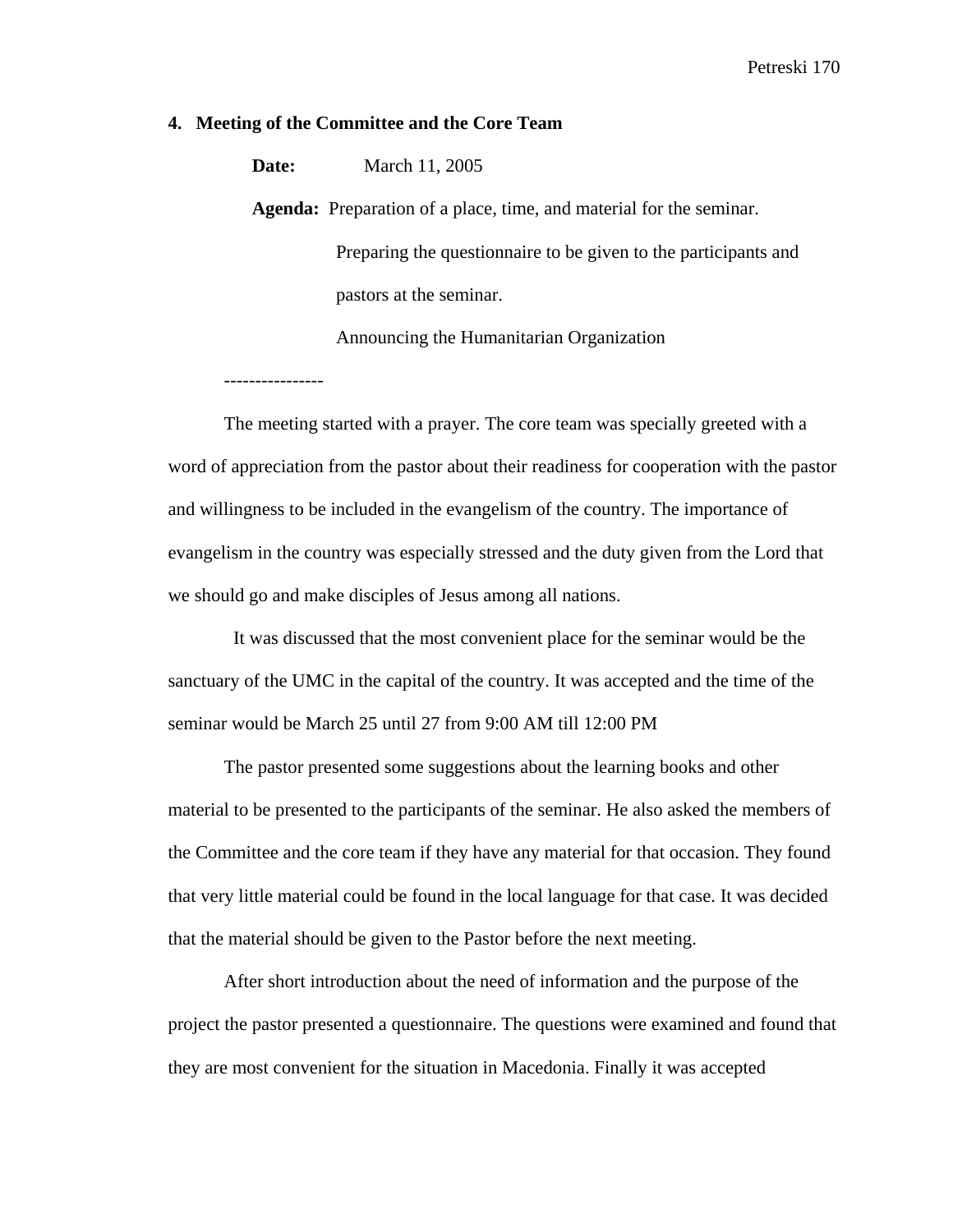### **4. Meeting of the Committee and the Core Team**

**Date:** March 11, 2005

**Agenda:** Preparation of a place, time, and material for the seminar. Preparing the questionnaire to be given to the participants and

pastors at the seminar.

Announcing the Humanitarian Organization

The meeting started with a prayer. The core team was specially greeted with a word of appreciation from the pastor about their readiness for cooperation with the pastor and willingness to be included in the evangelism of the country. The importance of evangelism in the country was especially stressed and the duty given from the Lord that we should go and make disciples of Jesus among all nations.

 It was discussed that the most convenient place for the seminar would be the sanctuary of the UMC in the capital of the country. It was accepted and the time of the seminar would be March 25 until 27 from 9:00 AM till 12:00 PM

The pastor presented some suggestions about the learning books and other material to be presented to the participants of the seminar. He also asked the members of the Committee and the core team if they have any material for that occasion. They found that very little material could be found in the local language for that case. It was decided that the material should be given to the Pastor before the next meeting.

After short introduction about the need of information and the purpose of the project the pastor presented a questionnaire. The questions were examined and found that they are most convenient for the situation in Macedonia. Finally it was accepted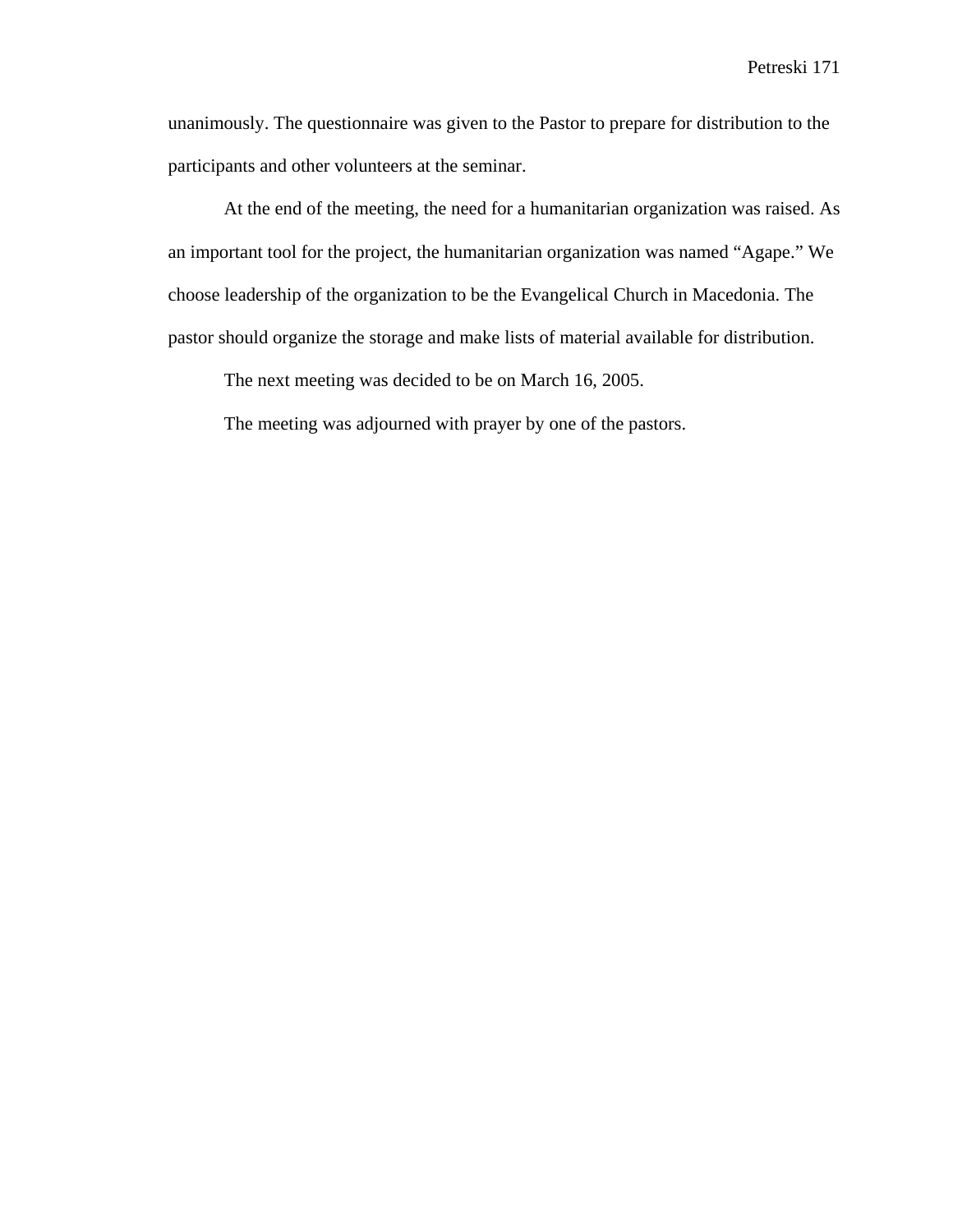unanimously. The questionnaire was given to the Pastor to prepare for distribution to the participants and other volunteers at the seminar.

At the end of the meeting, the need for a humanitarian organization was raised. As an important tool for the project, the humanitarian organization was named "Agape." We choose leadership of the organization to be the Evangelical Church in Macedonia. The pastor should organize the storage and make lists of material available for distribution.

The next meeting was decided to be on March 16, 2005.

The meeting was adjourned with prayer by one of the pastors.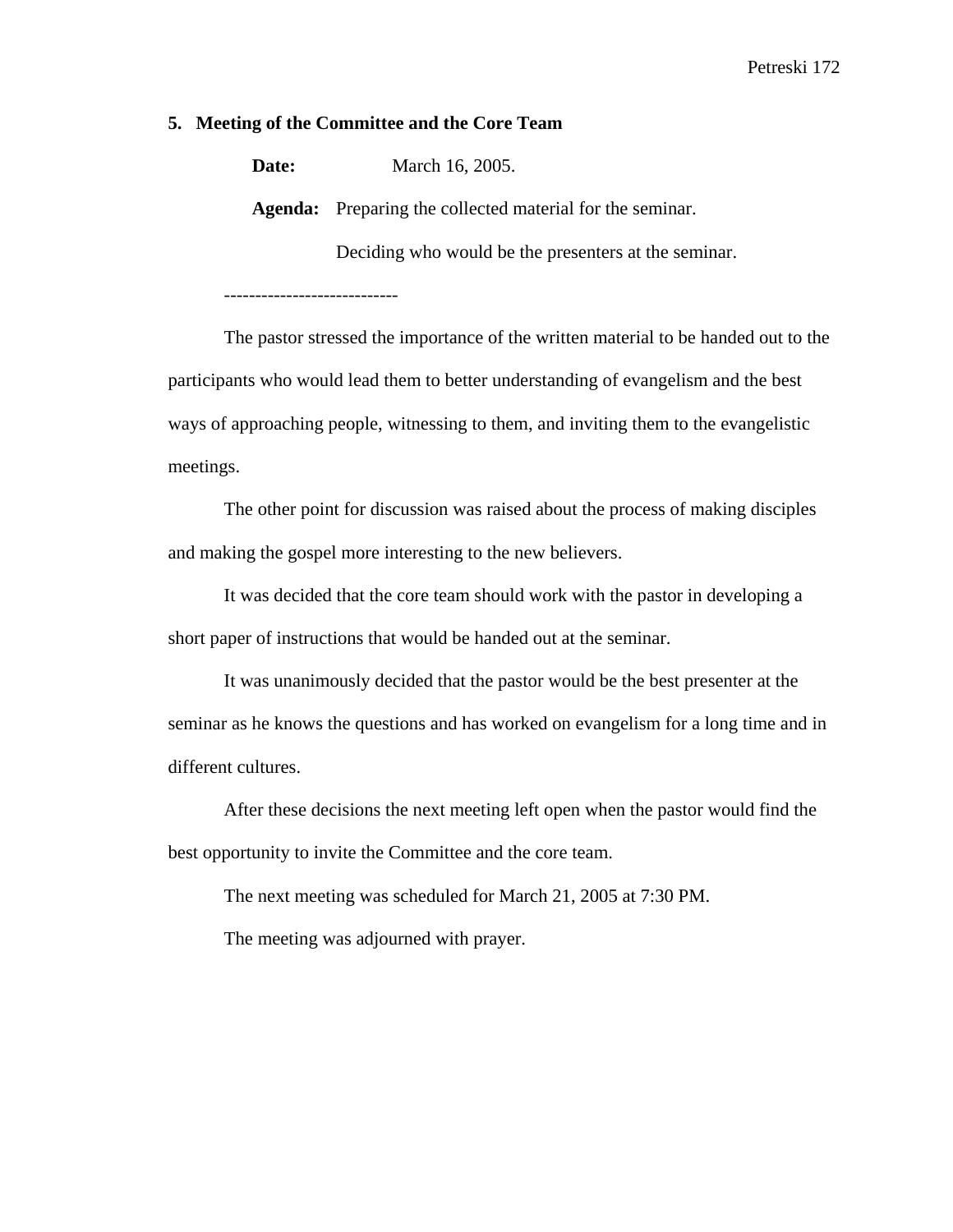## **5. Meeting of the Committee and the Core Team**

**Date:** March 16, 2005.

**Agenda:** Preparing the collected material for the seminar.

Deciding who would be the presenters at the seminar.

----------------------------

The pastor stressed the importance of the written material to be handed out to the participants who would lead them to better understanding of evangelism and the best ways of approaching people, witnessing to them, and inviting them to the evangelistic meetings.

The other point for discussion was raised about the process of making disciples and making the gospel more interesting to the new believers.

It was decided that the core team should work with the pastor in developing a short paper of instructions that would be handed out at the seminar.

It was unanimously decided that the pastor would be the best presenter at the seminar as he knows the questions and has worked on evangelism for a long time and in different cultures.

After these decisions the next meeting left open when the pastor would find the best opportunity to invite the Committee and the core team.

The next meeting was scheduled for March 21, 2005 at 7:30 PM.

The meeting was adjourned with prayer.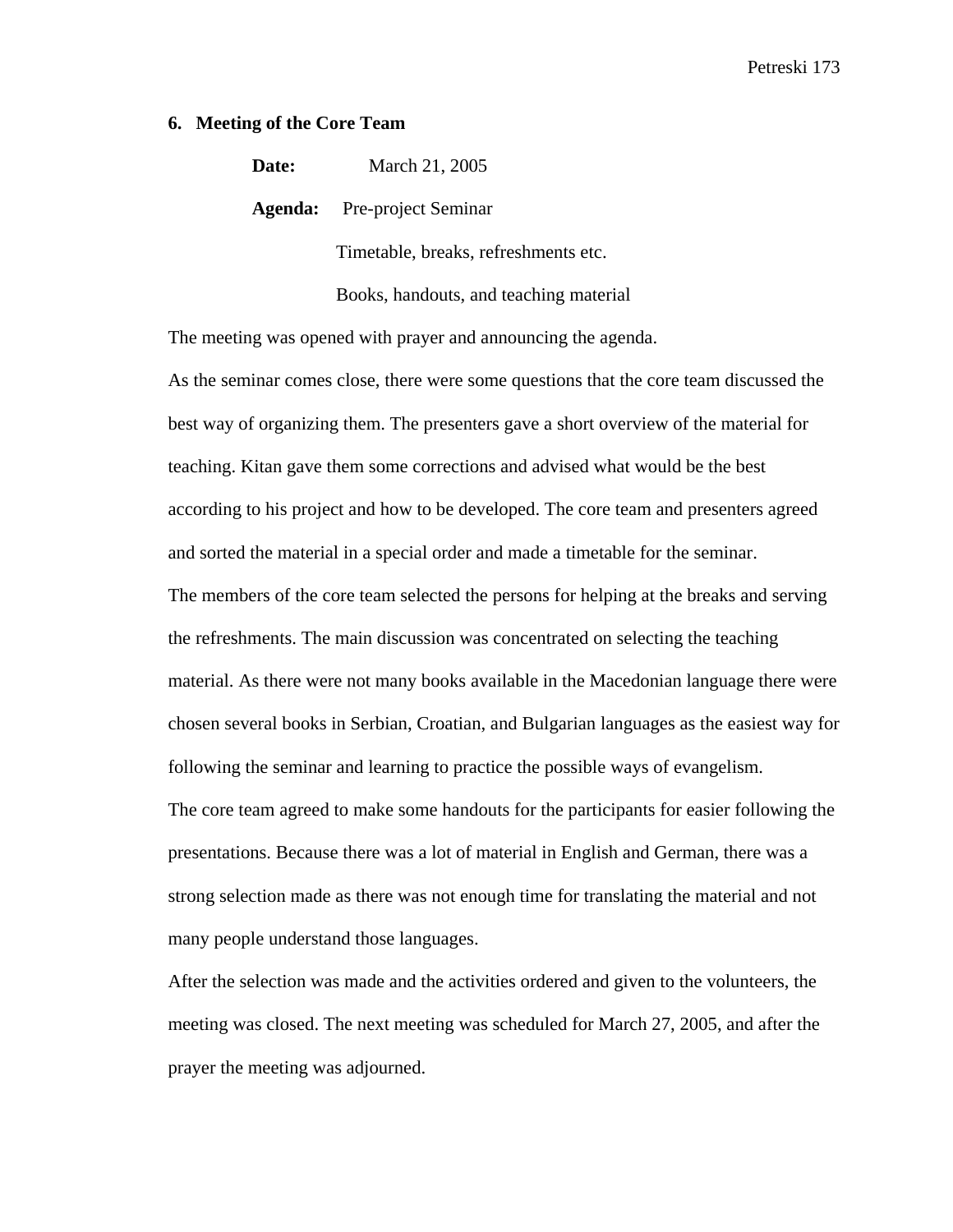## **6. Meeting of the Core Team**

**Date:** March 21, 2005

**Agenda:** Pre-project Seminar

Timetable, breaks, refreshments etc.

Books, handouts, and teaching material

The meeting was opened with prayer and announcing the agenda.

As the seminar comes close, there were some questions that the core team discussed the best way of organizing them. The presenters gave a short overview of the material for teaching. Kitan gave them some corrections and advised what would be the best according to his project and how to be developed. The core team and presenters agreed and sorted the material in a special order and made a timetable for the seminar. The members of the core team selected the persons for helping at the breaks and serving the refreshments. The main discussion was concentrated on selecting the teaching material. As there were not many books available in the Macedonian language there were chosen several books in Serbian, Croatian, and Bulgarian languages as the easiest way for following the seminar and learning to practice the possible ways of evangelism. The core team agreed to make some handouts for the participants for easier following the presentations. Because there was a lot of material in English and German, there was a strong selection made as there was not enough time for translating the material and not many people understand those languages.

After the selection was made and the activities ordered and given to the volunteers, the meeting was closed. The next meeting was scheduled for March 27, 2005, and after the prayer the meeting was adjourned.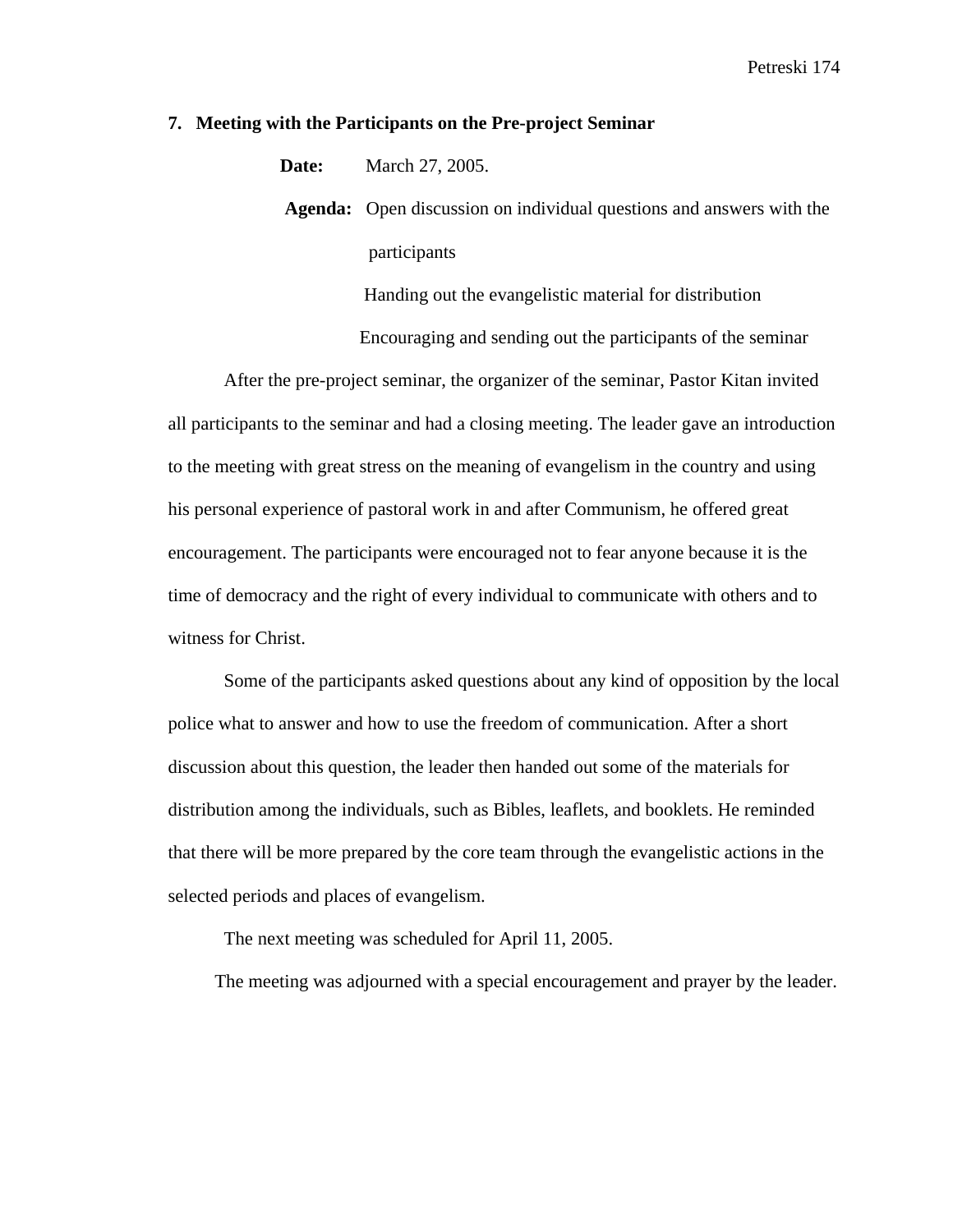### **7. Meeting with the Participants on the Pre-project Seminar**

**Date:** March 27, 2005.

 **Agenda:** Open discussion on individual questions and answers with the participants

> Handing out the evangelistic material for distribution Encouraging and sending out the participants of the seminar

After the pre-project seminar, the organizer of the seminar, Pastor Kitan invited all participants to the seminar and had a closing meeting. The leader gave an introduction to the meeting with great stress on the meaning of evangelism in the country and using his personal experience of pastoral work in and after Communism, he offered great encouragement. The participants were encouraged not to fear anyone because it is the time of democracy and the right of every individual to communicate with others and to witness for Christ.

Some of the participants asked questions about any kind of opposition by the local police what to answer and how to use the freedom of communication. After a short discussion about this question, the leader then handed out some of the materials for distribution among the individuals, such as Bibles, leaflets, and booklets. He reminded that there will be more prepared by the core team through the evangelistic actions in the selected periods and places of evangelism.

The next meeting was scheduled for April 11, 2005.

The meeting was adjourned with a special encouragement and prayer by the leader.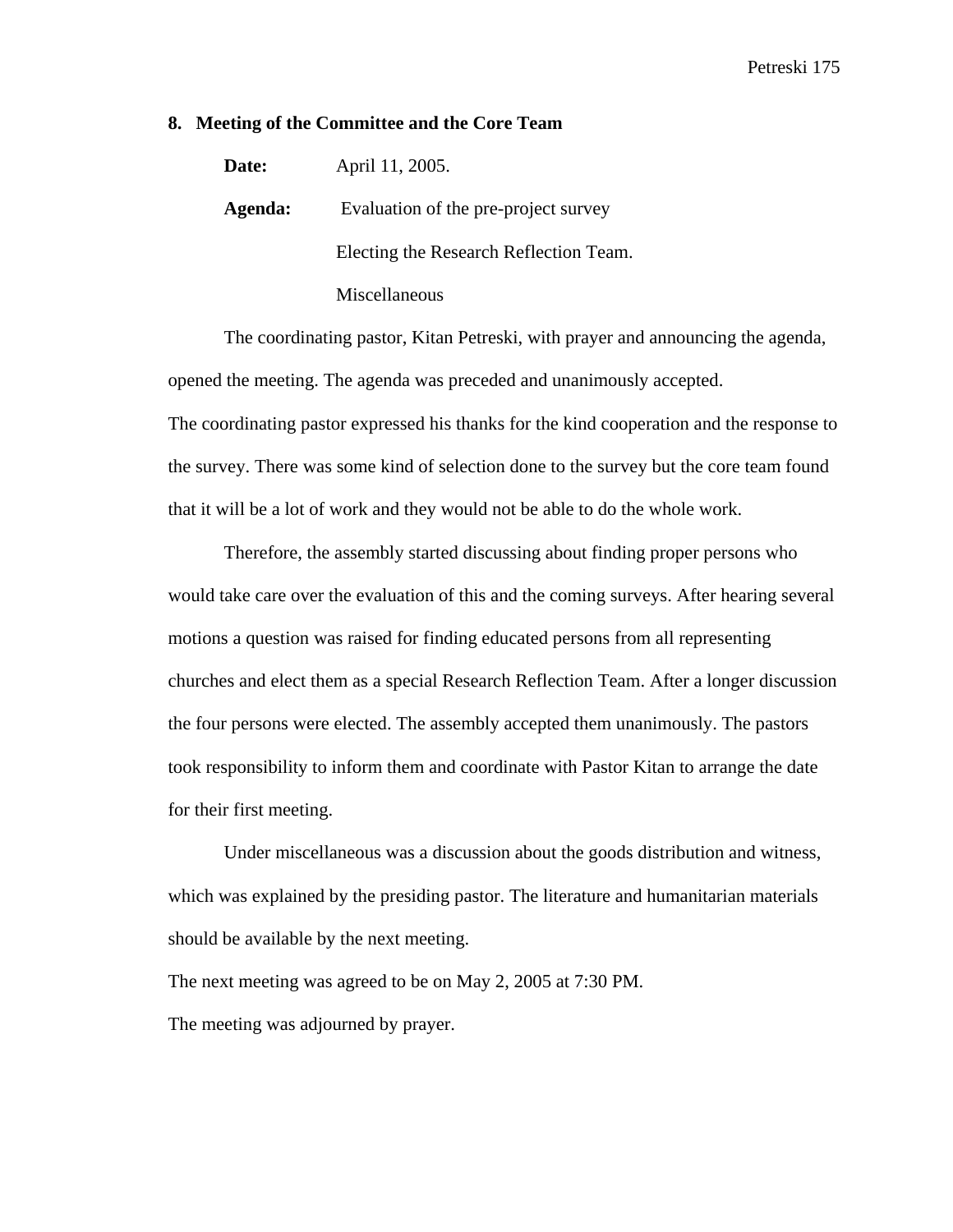## **8. Meeting of the Committee and the Core Team**

| Date:   | April 11, 2005.                        |
|---------|----------------------------------------|
| Agenda: | Evaluation of the pre-project survey   |
|         | Electing the Research Reflection Team. |
|         | Miscellaneous                          |

 The coordinating pastor, Kitan Petreski, with prayer and announcing the agenda, opened the meeting. The agenda was preceded and unanimously accepted. The coordinating pastor expressed his thanks for the kind cooperation and the response to the survey. There was some kind of selection done to the survey but the core team found

that it will be a lot of work and they would not be able to do the whole work.

 Therefore, the assembly started discussing about finding proper persons who would take care over the evaluation of this and the coming surveys. After hearing several motions a question was raised for finding educated persons from all representing churches and elect them as a special Research Reflection Team. After a longer discussion the four persons were elected. The assembly accepted them unanimously. The pastors took responsibility to inform them and coordinate with Pastor Kitan to arrange the date for their first meeting.

 Under miscellaneous was a discussion about the goods distribution and witness, which was explained by the presiding pastor. The literature and humanitarian materials should be available by the next meeting.

The next meeting was agreed to be on May 2, 2005 at 7:30 PM. The meeting was adjourned by prayer.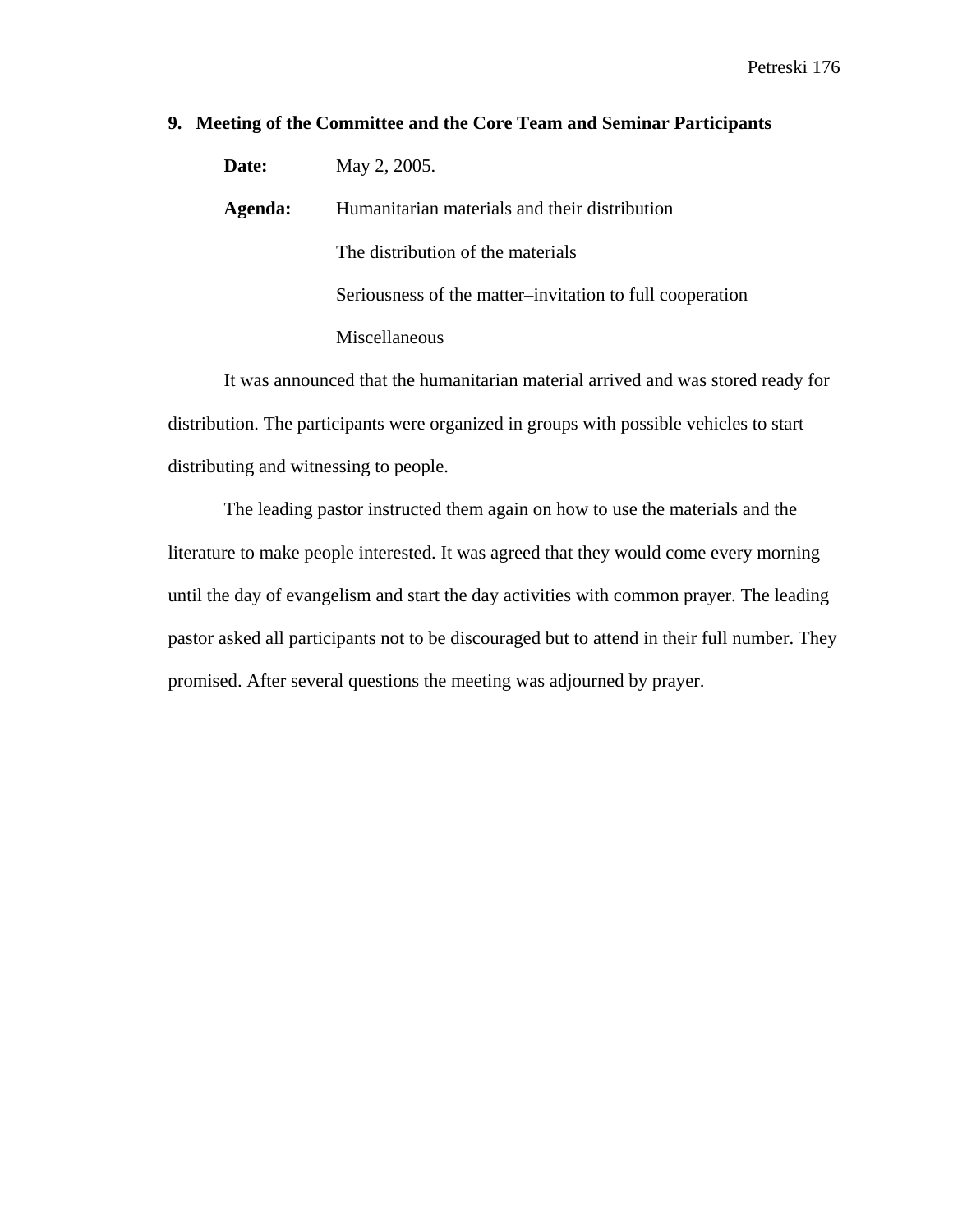# **9. Meeting of the Committee and the Core Team and Seminar Participants**

| Date:   | May 2, 2005.                                             |  |
|---------|----------------------------------------------------------|--|
| Agenda: | Humanitarian materials and their distribution            |  |
|         | The distribution of the materials                        |  |
|         | Seriousness of the matter-invitation to full cooperation |  |
|         | Miscellaneous                                            |  |

 It was announced that the humanitarian material arrived and was stored ready for distribution. The participants were organized in groups with possible vehicles to start distributing and witnessing to people.

The leading pastor instructed them again on how to use the materials and the literature to make people interested. It was agreed that they would come every morning until the day of evangelism and start the day activities with common prayer. The leading pastor asked all participants not to be discouraged but to attend in their full number. They promised. After several questions the meeting was adjourned by prayer.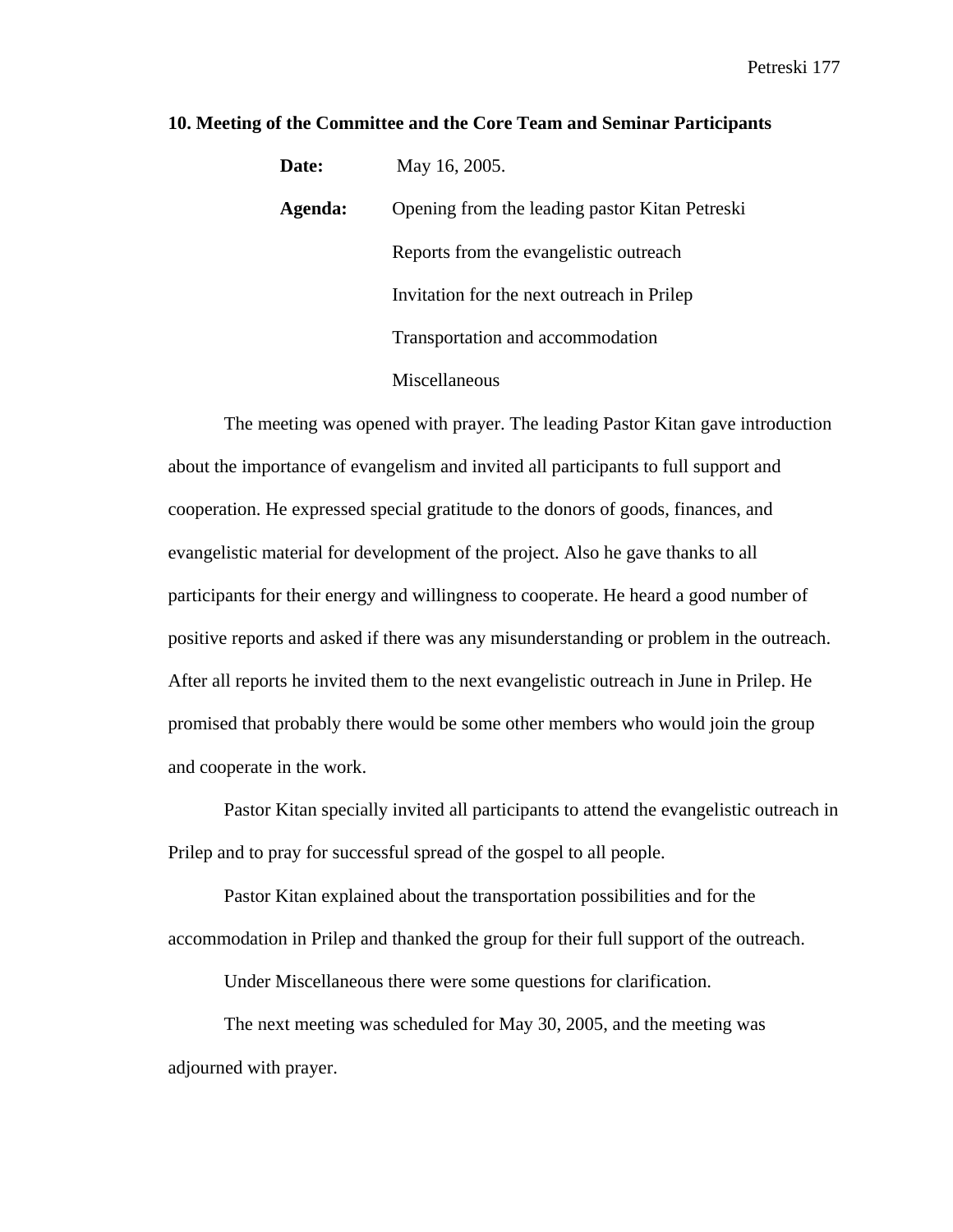| Date:   | May 16, 2005.                                  |  |
|---------|------------------------------------------------|--|
| Agenda: | Opening from the leading pastor Kitan Petreski |  |
|         | Reports from the evangelistic outreach         |  |
|         | Invitation for the next outreach in Prilep     |  |
|         | Transportation and accommodation               |  |
|         | Miscellaneous                                  |  |

## **10. Meeting of the Committee and the Core Team and Seminar Participants**

 The meeting was opened with prayer. The leading Pastor Kitan gave introduction about the importance of evangelism and invited all participants to full support and cooperation. He expressed special gratitude to the donors of goods, finances, and evangelistic material for development of the project. Also he gave thanks to all participants for their energy and willingness to cooperate. He heard a good number of positive reports and asked if there was any misunderstanding or problem in the outreach. After all reports he invited them to the next evangelistic outreach in June in Prilep. He promised that probably there would be some other members who would join the group and cooperate in the work.

Pastor Kitan specially invited all participants to attend the evangelistic outreach in Prilep and to pray for successful spread of the gospel to all people.

Pastor Kitan explained about the transportation possibilities and for the accommodation in Prilep and thanked the group for their full support of the outreach.

Under Miscellaneous there were some questions for clarification.

The next meeting was scheduled for May 30, 2005, and the meeting was adjourned with prayer.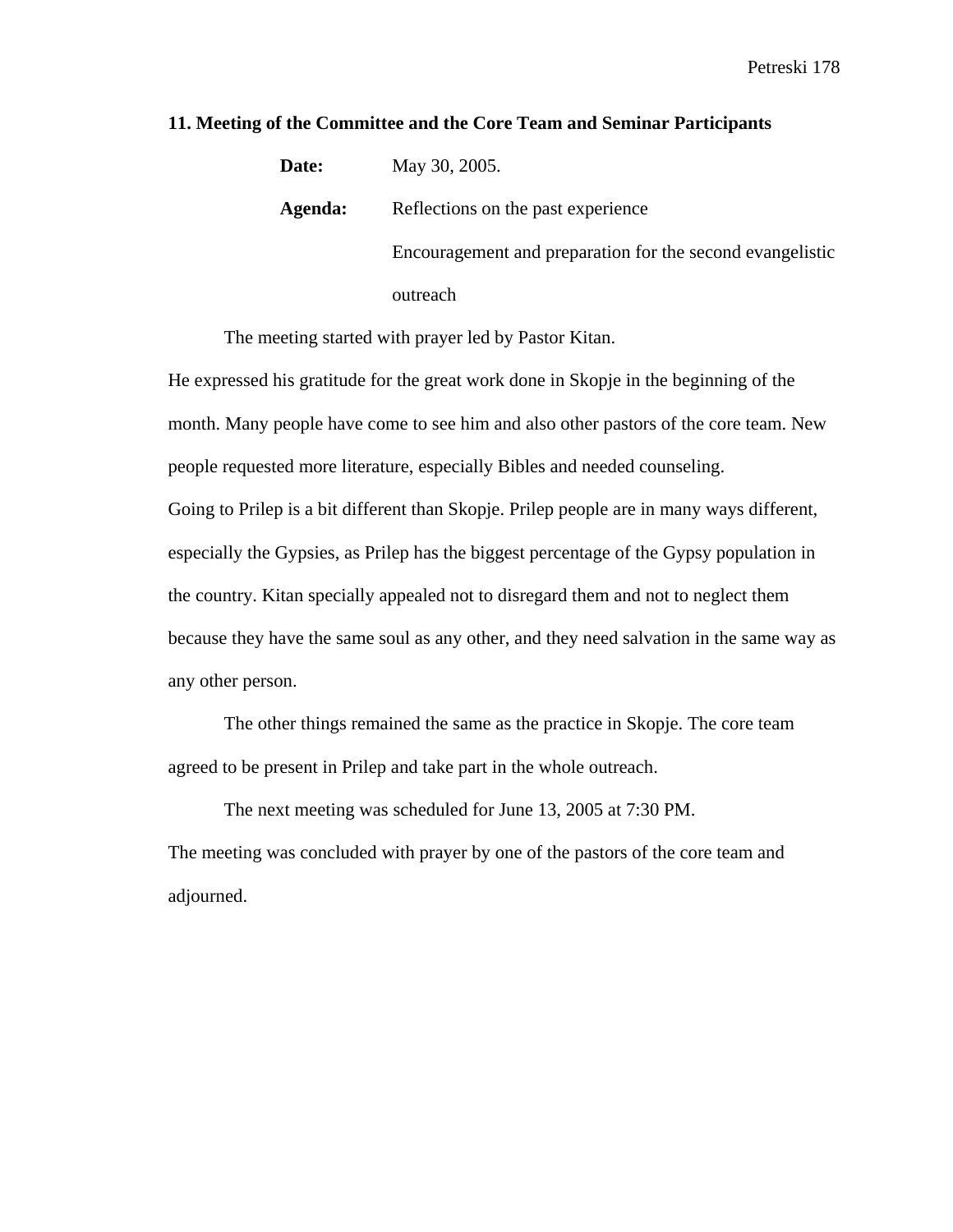| Date:   | May 30, 2005.                                             |
|---------|-----------------------------------------------------------|
| Agenda: | Reflections on the past experience                        |
|         | Encouragement and preparation for the second evangelistic |
|         | outreach                                                  |

# **11. Meeting of the Committee and the Core Team and Seminar Participants**

The meeting started with prayer led by Pastor Kitan.

He expressed his gratitude for the great work done in Skopje in the beginning of the month. Many people have come to see him and also other pastors of the core team. New people requested more literature, especially Bibles and needed counseling. Going to Prilep is a bit different than Skopje. Prilep people are in many ways different, especially the Gypsies, as Prilep has the biggest percentage of the Gypsy population in the country. Kitan specially appealed not to disregard them and not to neglect them because they have the same soul as any other, and they need salvation in the same way as any other person.

The other things remained the same as the practice in Skopje. The core team agreed to be present in Prilep and take part in the whole outreach.

The next meeting was scheduled for June 13, 2005 at 7:30 PM.

The meeting was concluded with prayer by one of the pastors of the core team and adjourned.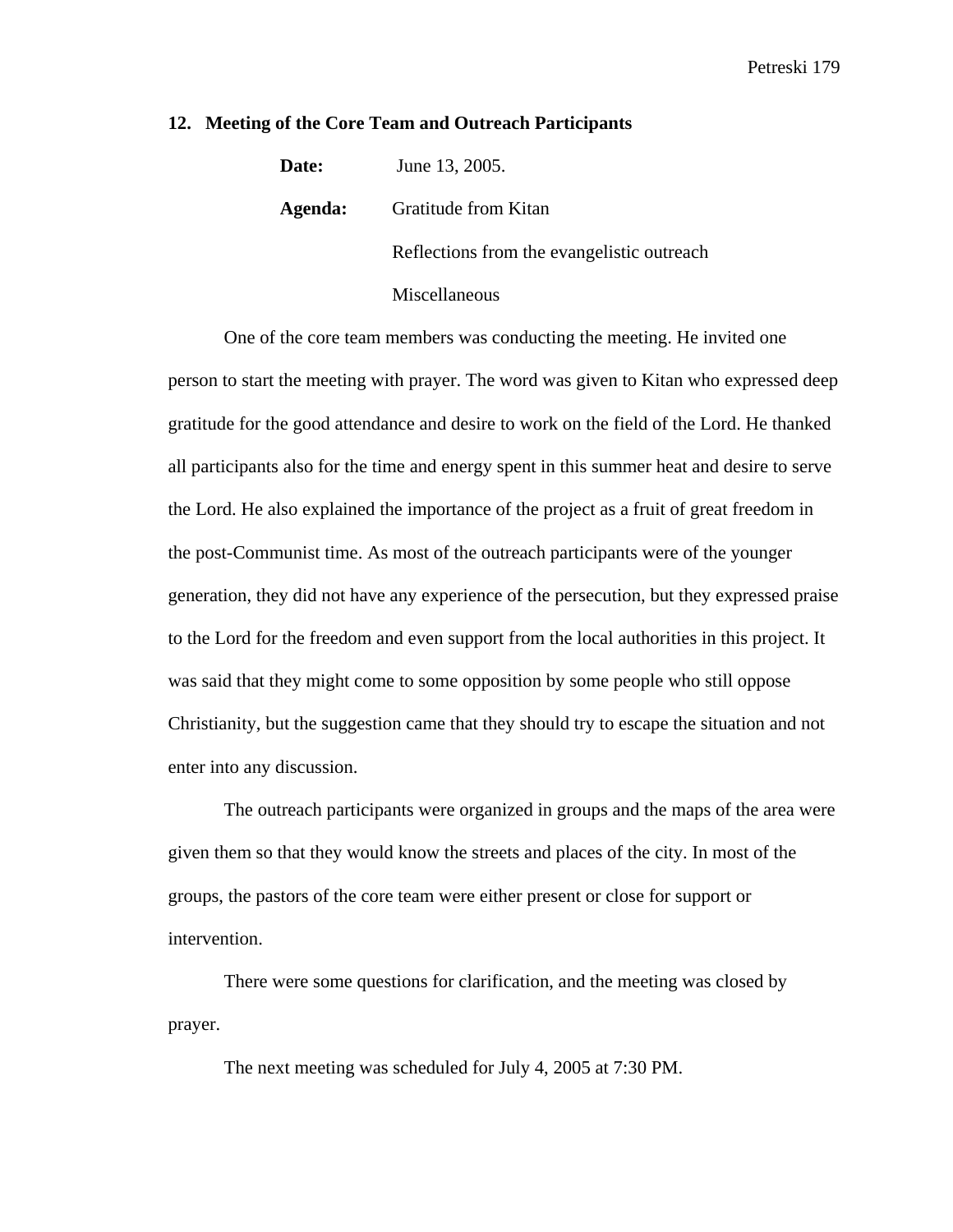## **12. Meeting of the Core Team and Outreach Participants**

| Date:   | June 13, 2005.                             |
|---------|--------------------------------------------|
| Agenda: | Gratitude from Kitan                       |
|         | Reflections from the evangelistic outreach |
|         | Miscellaneous                              |

One of the core team members was conducting the meeting. He invited one person to start the meeting with prayer. The word was given to Kitan who expressed deep gratitude for the good attendance and desire to work on the field of the Lord. He thanked all participants also for the time and energy spent in this summer heat and desire to serve the Lord. He also explained the importance of the project as a fruit of great freedom in the post-Communist time. As most of the outreach participants were of the younger generation, they did not have any experience of the persecution, but they expressed praise to the Lord for the freedom and even support from the local authorities in this project. It was said that they might come to some opposition by some people who still oppose Christianity, but the suggestion came that they should try to escape the situation and not enter into any discussion.

The outreach participants were organized in groups and the maps of the area were given them so that they would know the streets and places of the city. In most of the groups, the pastors of the core team were either present or close for support or intervention.

There were some questions for clarification, and the meeting was closed by prayer.

The next meeting was scheduled for July 4, 2005 at 7:30 PM.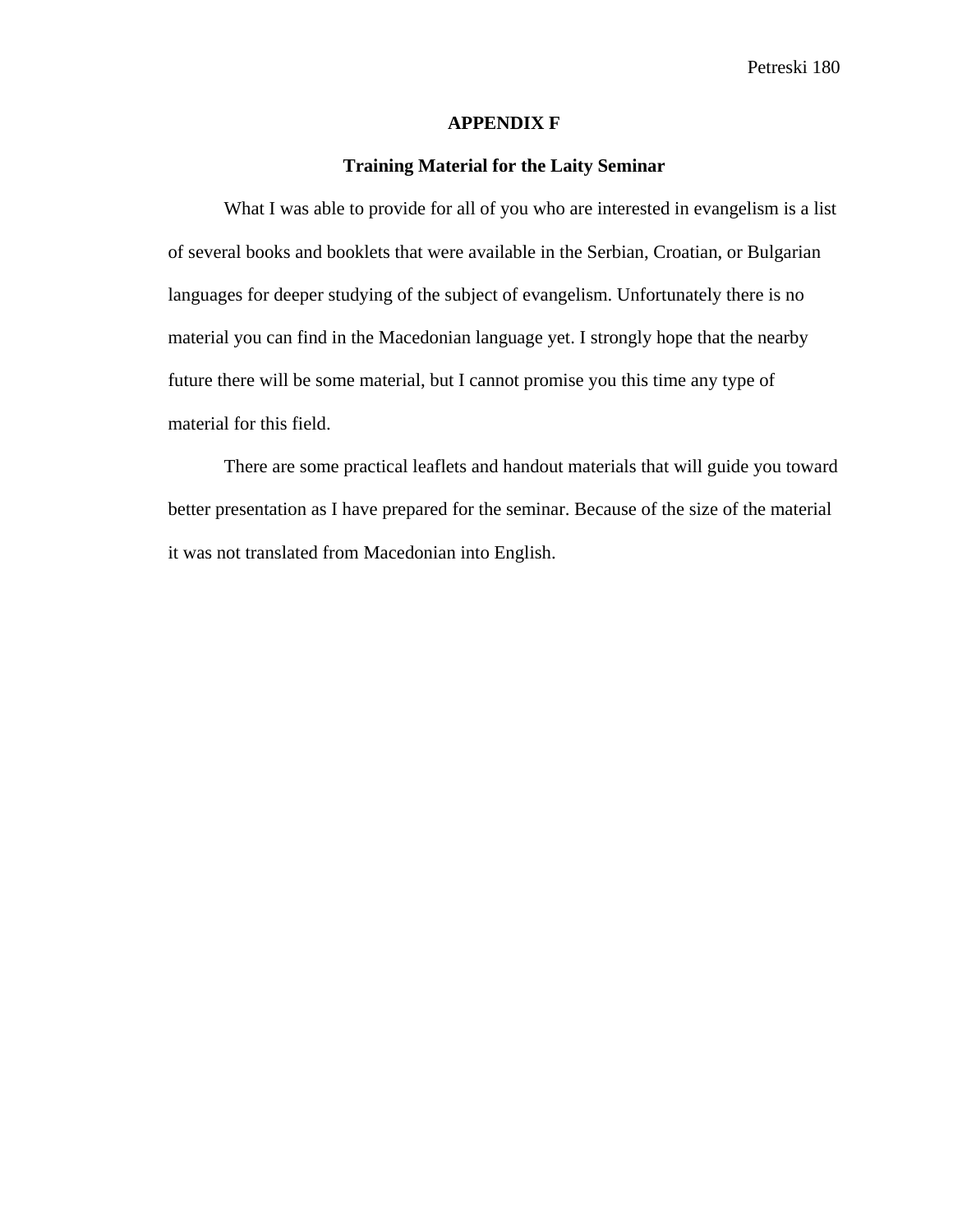Petreski 180

## **APPENDIX F**

# **Training Material for the Laity Seminar**

What I was able to provide for all of you who are interested in evangelism is a list of several books and booklets that were available in the Serbian, Croatian, or Bulgarian languages for deeper studying of the subject of evangelism. Unfortunately there is no material you can find in the Macedonian language yet. I strongly hope that the nearby future there will be some material, but I cannot promise you this time any type of material for this field.

There are some practical leaflets and handout materials that will guide you toward better presentation as I have prepared for the seminar. Because of the size of the material it was not translated from Macedonian into English.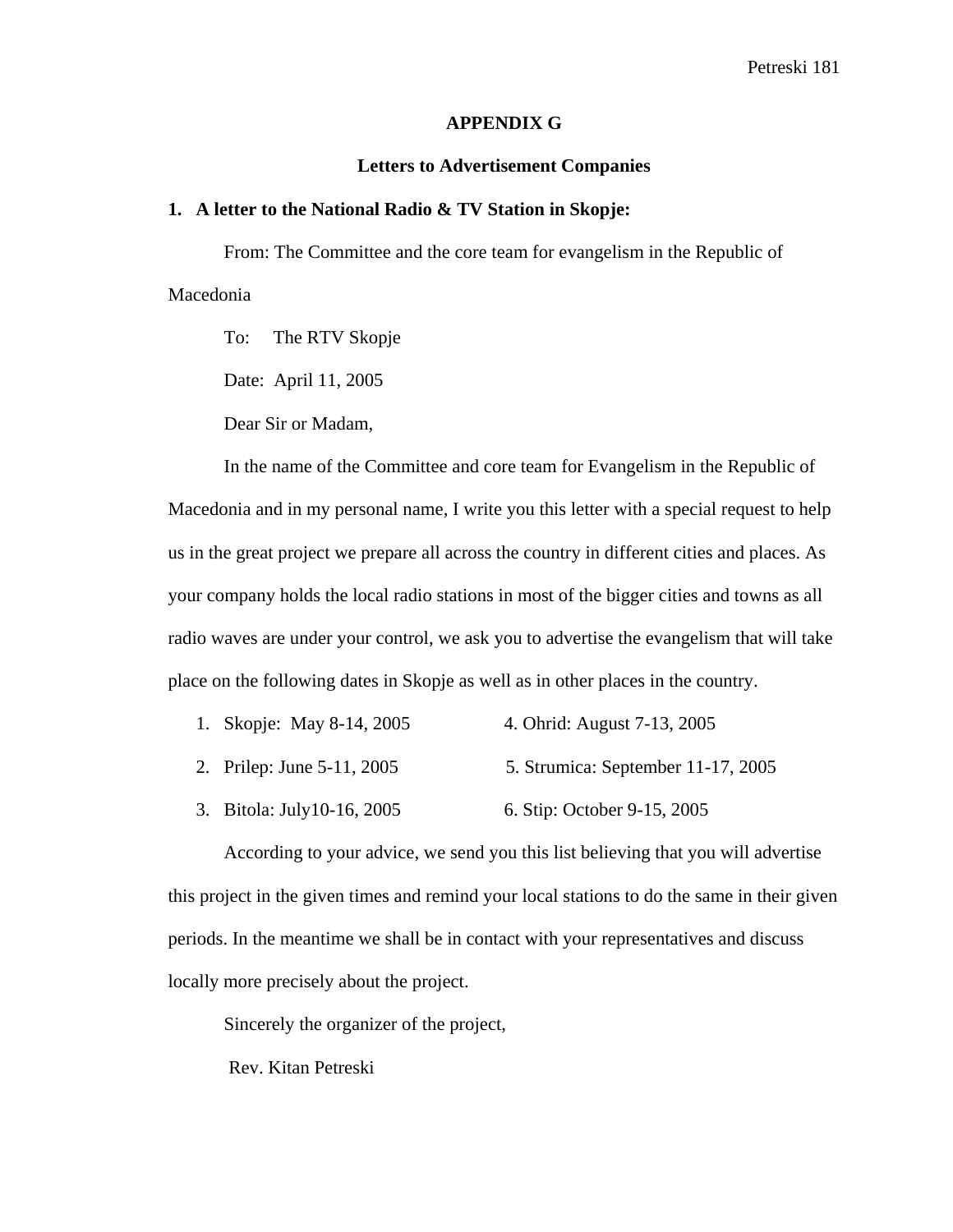#### **APPENDIX G**

#### **Letters to Advertisement Companies**

### **1. A letter to the National Radio & TV Station in Skopje:**

From: The Committee and the core team for evangelism in the Republic of Macedonia

To: The RTV Skopje

Date: April 11, 2005

Dear Sir or Madam,

In the name of the Committee and core team for Evangelism in the Republic of Macedonia and in my personal name, I write you this letter with a special request to help us in the great project we prepare all across the country in different cities and places. As your company holds the local radio stations in most of the bigger cities and towns as all radio waves are under your control, we ask you to advertise the evangelism that will take place on the following dates in Skopje as well as in other places in the country.

- 1. Skopje: May 8-14, 2005 4. Ohrid: August 7-13, 2005
- 2. Prilep: June 5-11, 2005 5. Strumica: September 11-17, 2005
- 3. Bitola: July10-16, 2005 6. Stip: October 9-15, 2005

According to your advice, we send you this list believing that you will advertise this project in the given times and remind your local stations to do the same in their given periods. In the meantime we shall be in contact with your representatives and discuss locally more precisely about the project.

Sincerely the organizer of the project,

Rev. Kitan Petreski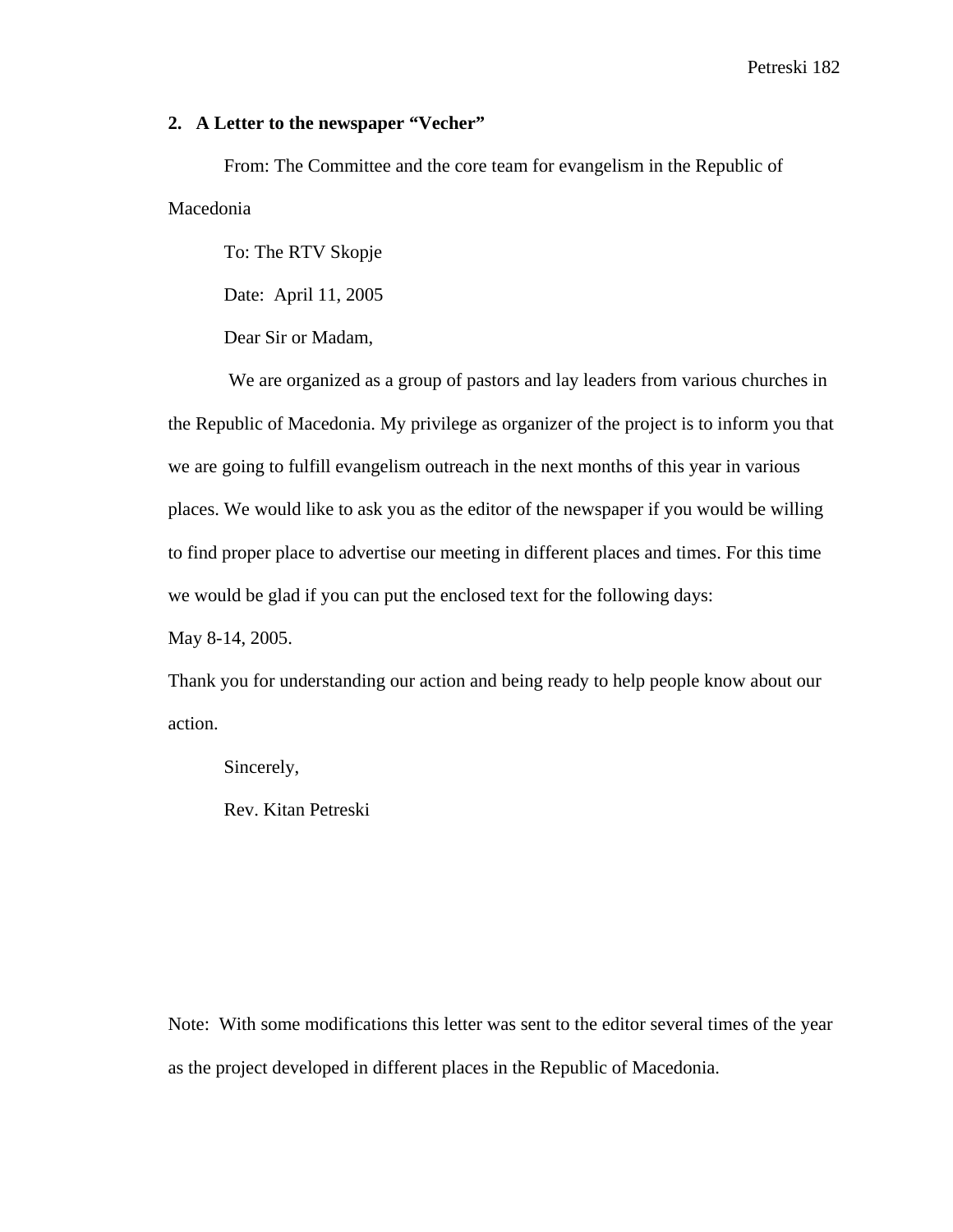### Petreski 182

## **2. A Letter to the newspaper "Vecher"**

From: The Committee and the core team for evangelism in the Republic of Macedonia

To: The RTV Skopje

Date: April 11, 2005

Dear Sir or Madam,

 We are organized as a group of pastors and lay leaders from various churches in the Republic of Macedonia. My privilege as organizer of the project is to inform you that we are going to fulfill evangelism outreach in the next months of this year in various places. We would like to ask you as the editor of the newspaper if you would be willing to find proper place to advertise our meeting in different places and times. For this time we would be glad if you can put the enclosed text for the following days:

May 8-14, 2005.

Thank you for understanding our action and being ready to help people know about our action.

Sincerely,

Rev. Kitan Petreski

Note: With some modifications this letter was sent to the editor several times of the year as the project developed in different places in the Republic of Macedonia.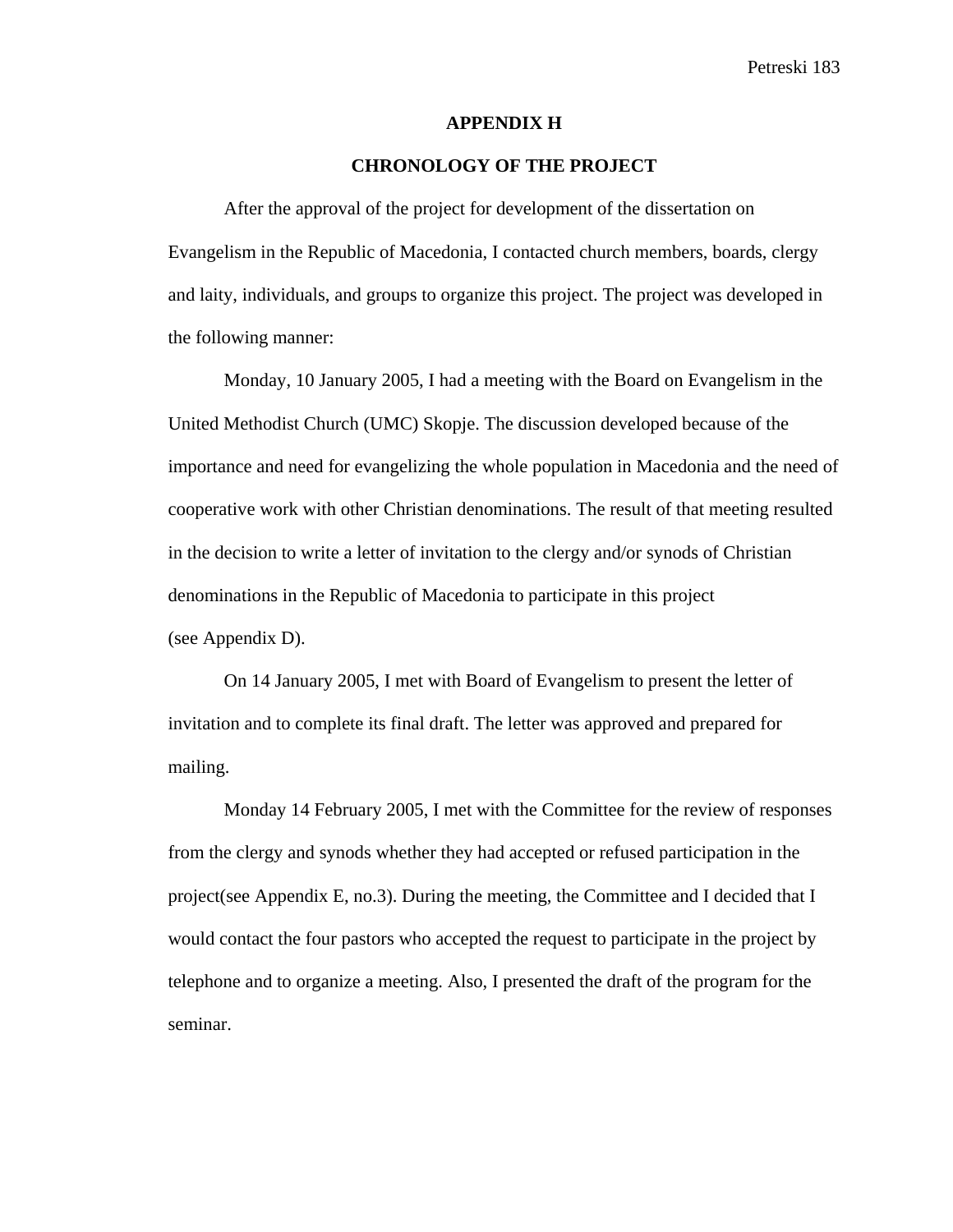#### **APPENDIX H**

# **CHRONOLOGY OF THE PROJECT**

After the approval of the project for development of the dissertation on Evangelism in the Republic of Macedonia, I contacted church members, boards, clergy and laity, individuals, and groups to organize this project. The project was developed in the following manner:

Monday, 10 January 2005, I had a meeting with the Board on Evangelism in the United Methodist Church (UMC) Skopje. The discussion developed because of the importance and need for evangelizing the whole population in Macedonia and the need of cooperative work with other Christian denominations. The result of that meeting resulted in the decision to write a letter of invitation to the clergy and/or synods of Christian denominations in the Republic of Macedonia to participate in this project (see Appendix D).

On 14 January 2005, I met with Board of Evangelism to present the letter of invitation and to complete its final draft. The letter was approved and prepared for mailing.

Monday 14 February 2005, I met with the Committee for the review of responses from the clergy and synods whether they had accepted or refused participation in the project(see Appendix E, no.3). During the meeting, the Committee and I decided that I would contact the four pastors who accepted the request to participate in the project by telephone and to organize a meeting. Also, I presented the draft of the program for the seminar.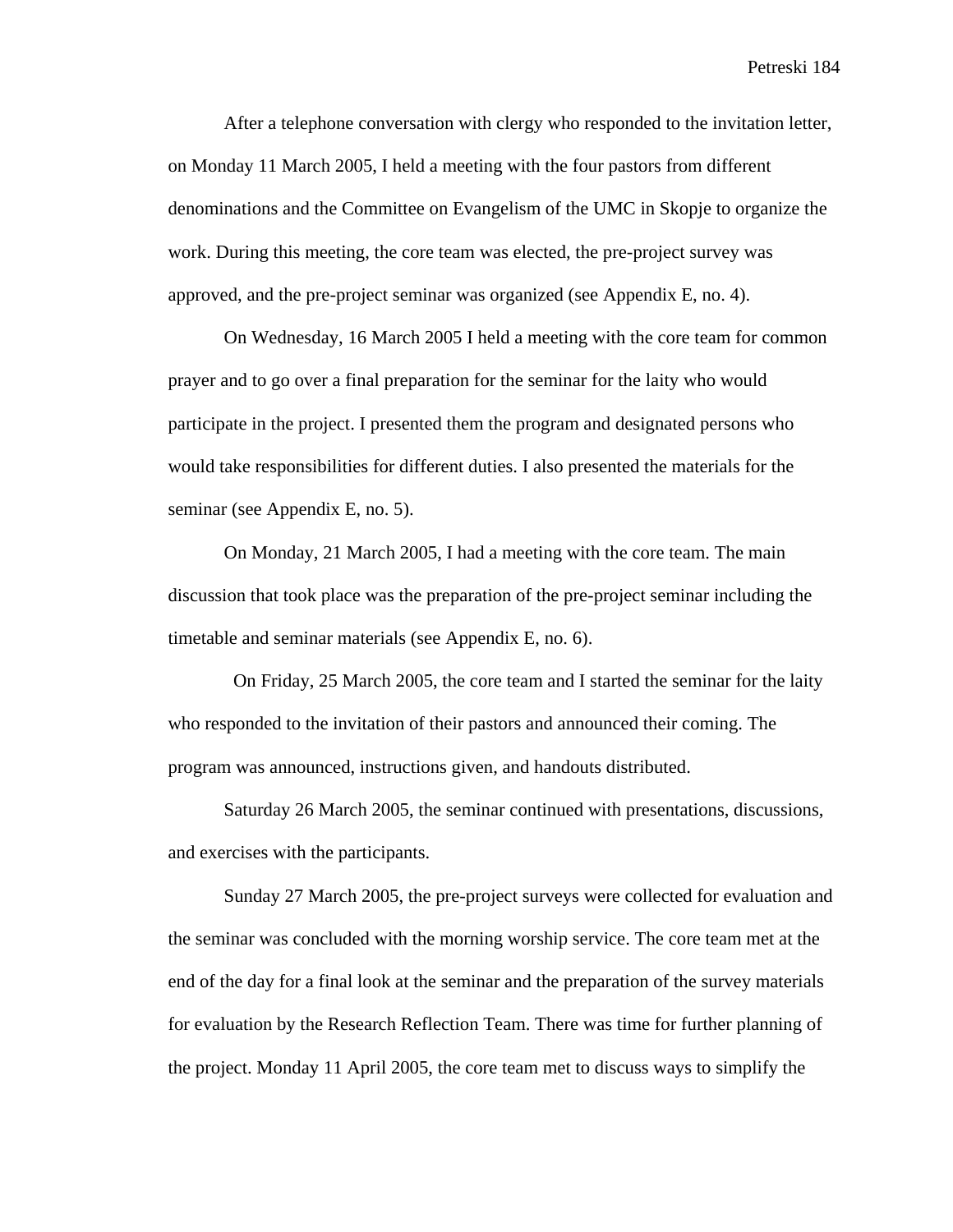After a telephone conversation with clergy who responded to the invitation letter, on Monday 11 March 2005, I held a meeting with the four pastors from different denominations and the Committee on Evangelism of the UMC in Skopje to organize the work. During this meeting, the core team was elected, the pre-project survey was approved, and the pre-project seminar was organized (see Appendix E, no. 4).

On Wednesday, 16 March 2005 I held a meeting with the core team for common prayer and to go over a final preparation for the seminar for the laity who would participate in the project. I presented them the program and designated persons who would take responsibilities for different duties. I also presented the materials for the seminar (see Appendix E, no. 5).

On Monday, 21 March 2005, I had a meeting with the core team. The main discussion that took place was the preparation of the pre-project seminar including the timetable and seminar materials (see Appendix E, no. 6).

 On Friday, 25 March 2005, the core team and I started the seminar for the laity who responded to the invitation of their pastors and announced their coming. The program was announced, instructions given, and handouts distributed.

Saturday 26 March 2005, the seminar continued with presentations, discussions, and exercises with the participants.

Sunday 27 March 2005, the pre-project surveys were collected for evaluation and the seminar was concluded with the morning worship service. The core team met at the end of the day for a final look at the seminar and the preparation of the survey materials for evaluation by the Research Reflection Team. There was time for further planning of the project. Monday 11 April 2005, the core team met to discuss ways to simplify the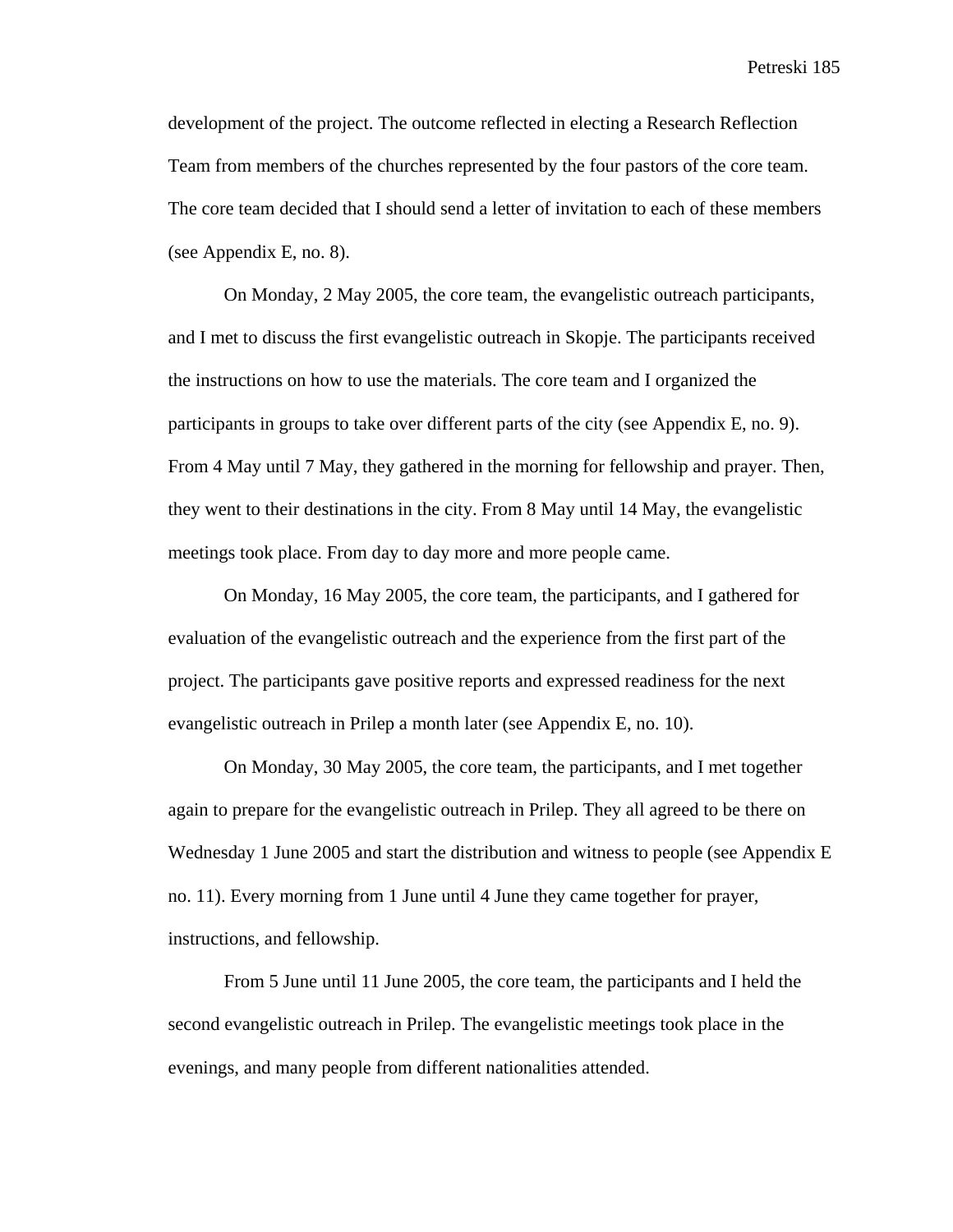Petreski 185

development of the project. The outcome reflected in electing a Research Reflection Team from members of the churches represented by the four pastors of the core team. The core team decided that I should send a letter of invitation to each of these members (see Appendix E, no. 8).

On Monday, 2 May 2005, the core team, the evangelistic outreach participants, and I met to discuss the first evangelistic outreach in Skopje. The participants received the instructions on how to use the materials. The core team and I organized the participants in groups to take over different parts of the city (see Appendix E, no. 9). From 4 May until 7 May, they gathered in the morning for fellowship and prayer. Then, they went to their destinations in the city. From 8 May until 14 May, the evangelistic meetings took place. From day to day more and more people came.

On Monday, 16 May 2005, the core team, the participants, and I gathered for evaluation of the evangelistic outreach and the experience from the first part of the project. The participants gave positive reports and expressed readiness for the next evangelistic outreach in Prilep a month later (see Appendix E, no. 10).

On Monday, 30 May 2005, the core team, the participants, and I met together again to prepare for the evangelistic outreach in Prilep. They all agreed to be there on Wednesday 1 June 2005 and start the distribution and witness to people (see Appendix E no. 11). Every morning from 1 June until 4 June they came together for prayer, instructions, and fellowship.

From 5 June until 11 June 2005, the core team, the participants and I held the second evangelistic outreach in Prilep. The evangelistic meetings took place in the evenings, and many people from different nationalities attended.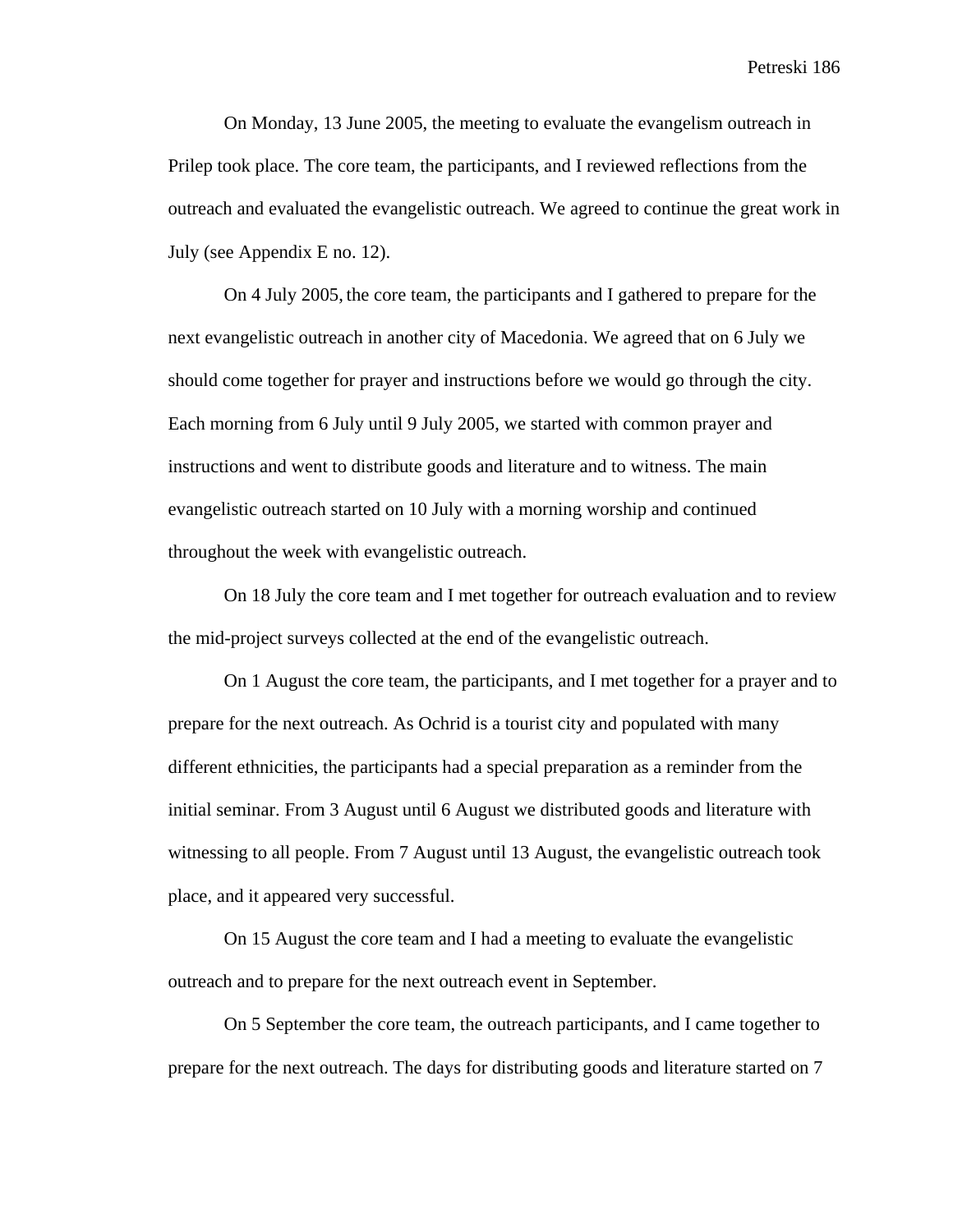Petreski 186

On Monday, 13 June 2005, the meeting to evaluate the evangelism outreach in Prilep took place. The core team, the participants, and I reviewed reflections from the outreach and evaluated the evangelistic outreach. We agreed to continue the great work in July (see Appendix E no. 12).

On 4 July 2005, the core team, the participants and I gathered to prepare for the next evangelistic outreach in another city of Macedonia. We agreed that on 6 July we should come together for prayer and instructions before we would go through the city. Each morning from 6 July until 9 July 2005, we started with common prayer and instructions and went to distribute goods and literature and to witness. The main evangelistic outreach started on 10 July with a morning worship and continued throughout the week with evangelistic outreach.

On 18 July the core team and I met together for outreach evaluation and to review the mid-project surveys collected at the end of the evangelistic outreach.

On 1 August the core team, the participants, and I met together for a prayer and to prepare for the next outreach. As Ochrid is a tourist city and populated with many different ethnicities, the participants had a special preparation as a reminder from the initial seminar. From 3 August until 6 August we distributed goods and literature with witnessing to all people. From 7 August until 13 August, the evangelistic outreach took place, and it appeared very successful.

On 15 August the core team and I had a meeting to evaluate the evangelistic outreach and to prepare for the next outreach event in September.

On 5 September the core team, the outreach participants, and I came together to prepare for the next outreach. The days for distributing goods and literature started on 7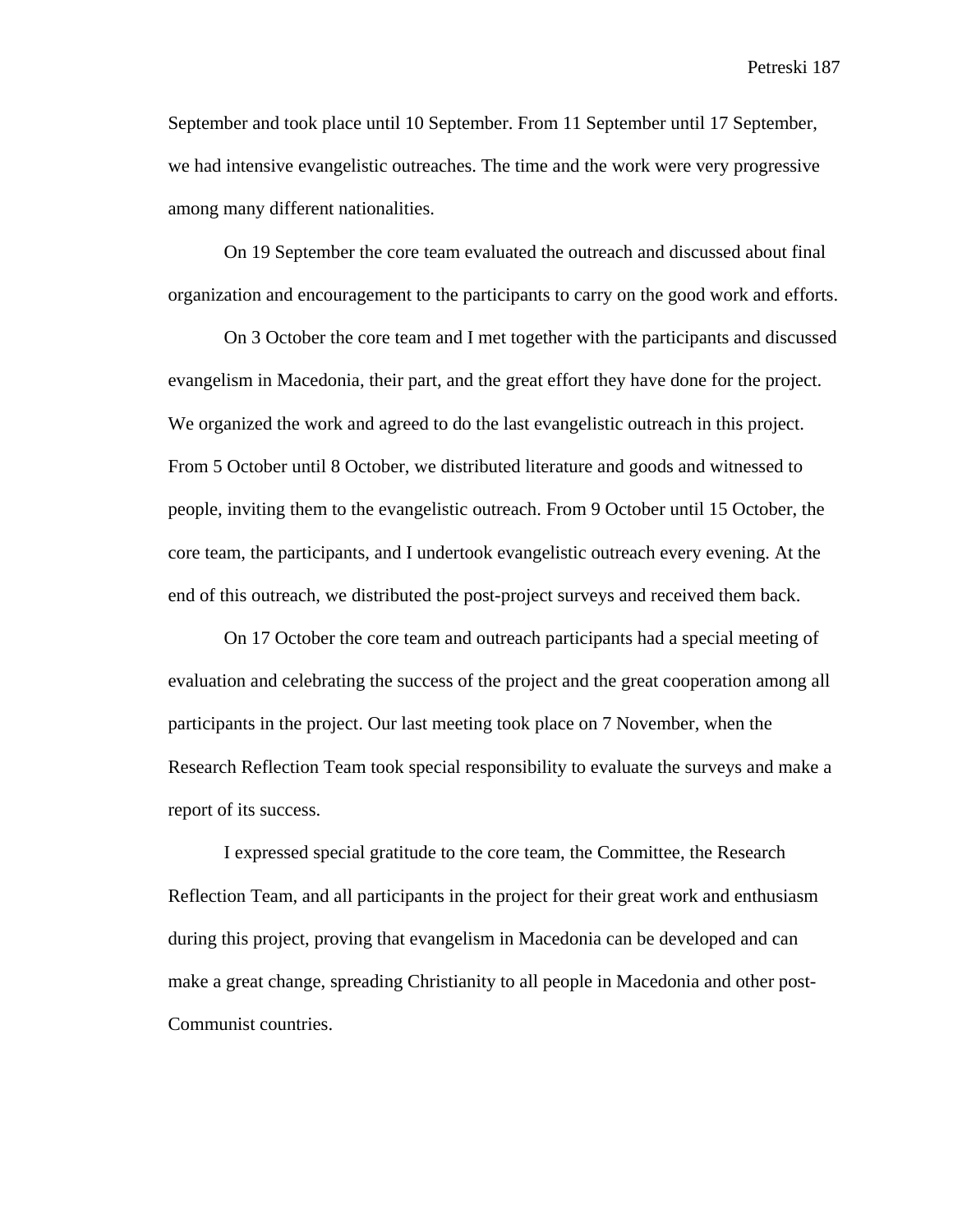September and took place until 10 September. From 11 September until 17 September, we had intensive evangelistic outreaches. The time and the work were very progressive among many different nationalities.

On 19 September the core team evaluated the outreach and discussed about final organization and encouragement to the participants to carry on the good work and efforts.

On 3 October the core team and I met together with the participants and discussed evangelism in Macedonia, their part, and the great effort they have done for the project. We organized the work and agreed to do the last evangelistic outreach in this project. From 5 October until 8 October, we distributed literature and goods and witnessed to people, inviting them to the evangelistic outreach. From 9 October until 15 October, the core team, the participants, and I undertook evangelistic outreach every evening. At the end of this outreach, we distributed the post-project surveys and received them back.

On 17 October the core team and outreach participants had a special meeting of evaluation and celebrating the success of the project and the great cooperation among all participants in the project. Our last meeting took place on 7 November, when the Research Reflection Team took special responsibility to evaluate the surveys and make a report of its success.

I expressed special gratitude to the core team, the Committee, the Research Reflection Team, and all participants in the project for their great work and enthusiasm during this project, proving that evangelism in Macedonia can be developed and can make a great change, spreading Christianity to all people in Macedonia and other post-Communist countries.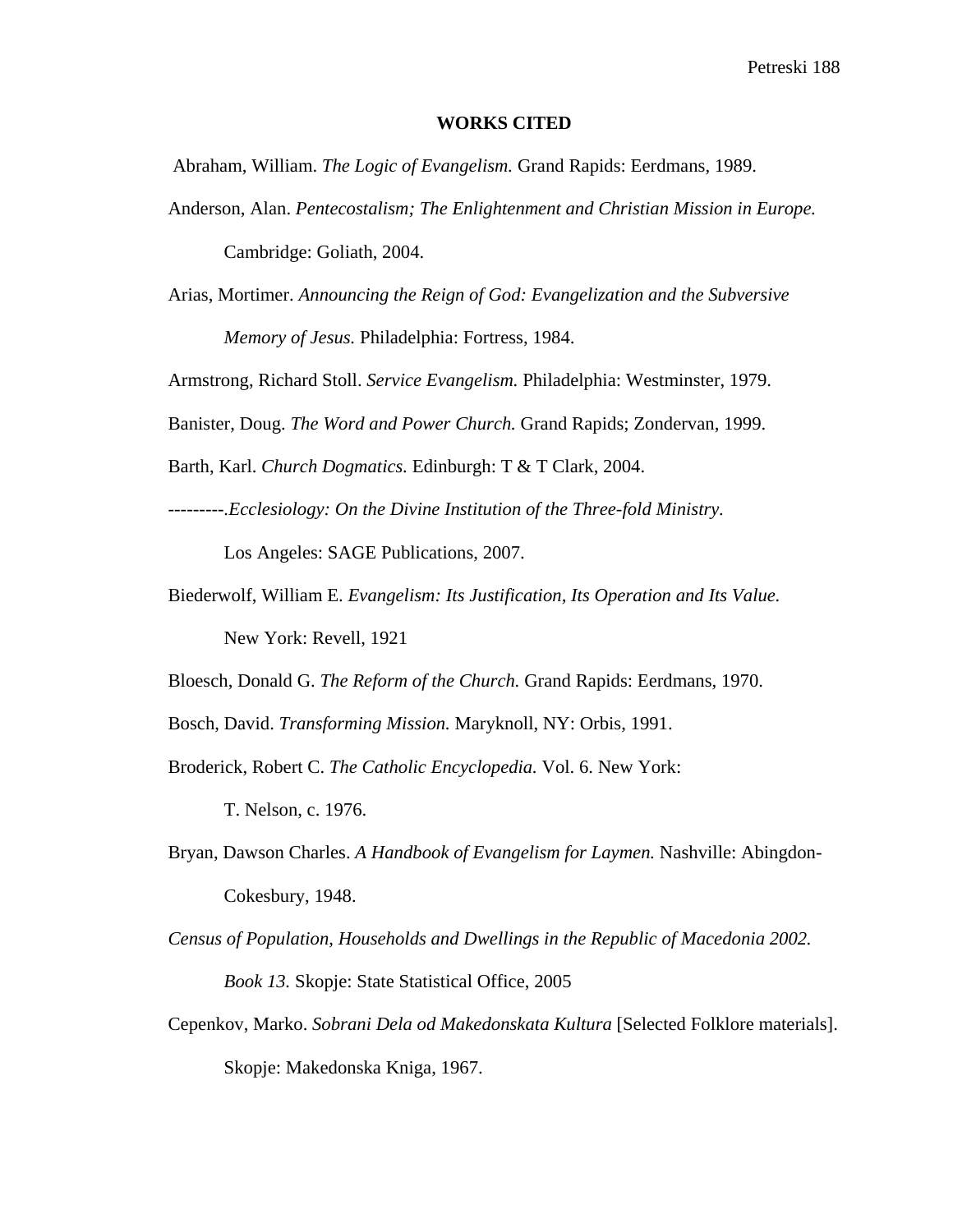### **WORKS CITED**

Abraham, William. *The Logic of Evangelism.* Grand Rapids: Eerdmans, 1989.

- Anderson, Alan. *Pentecostalism; The Enlightenment and Christian Mission in Europe.*  Cambridge: Goliath, 2004.
- Arias, Mortimer. *Announcing the Reign of God: Evangelization and the Subversive Memory of Jesus.* Philadelphia: Fortress, 1984.

Armstrong, Richard Stoll. *Service Evangelism.* Philadelphia: Westminster, 1979.

Banister, Doug. *The Word and Power Church.* Grand Rapids; Zondervan, 1999.

Barth, Karl. *Church Dogmatics.* Edinburgh: T & T Clark, 2004.

*---------.Ecclesiology: On the Divine Institution of the Three-fold Ministry.* 

Los Angeles: SAGE Publications, 2007.

Biederwolf, William E. *Evangelism: Its Justification, Its Operation and Its Value.* New York: Revell, 1921

Bloesch, Donald G. *The Reform of the Church.* Grand Rapids: Eerdmans, 1970.

- Bosch, David. *Transforming Mission.* Maryknoll, NY: Orbis, 1991.
- Broderick, Robert C. *The Catholic Encyclopedia.* Vol. 6. New York: T. Nelson, c. 1976.
- Bryan, Dawson Charles. *A Handbook of Evangelism for Laymen.* Nashville: Abingdon-Cokesbury, 1948.
- *Census of Population, Households and Dwellings in the Republic of Macedonia 2002. Book 13.* Skopje: State Statistical Office, 2005
- Cepenkov, Marko. *Sobrani Dela od Makedonskata Kultura* [Selected Folklore materials]. Skopje: Makedonska Kniga, 1967.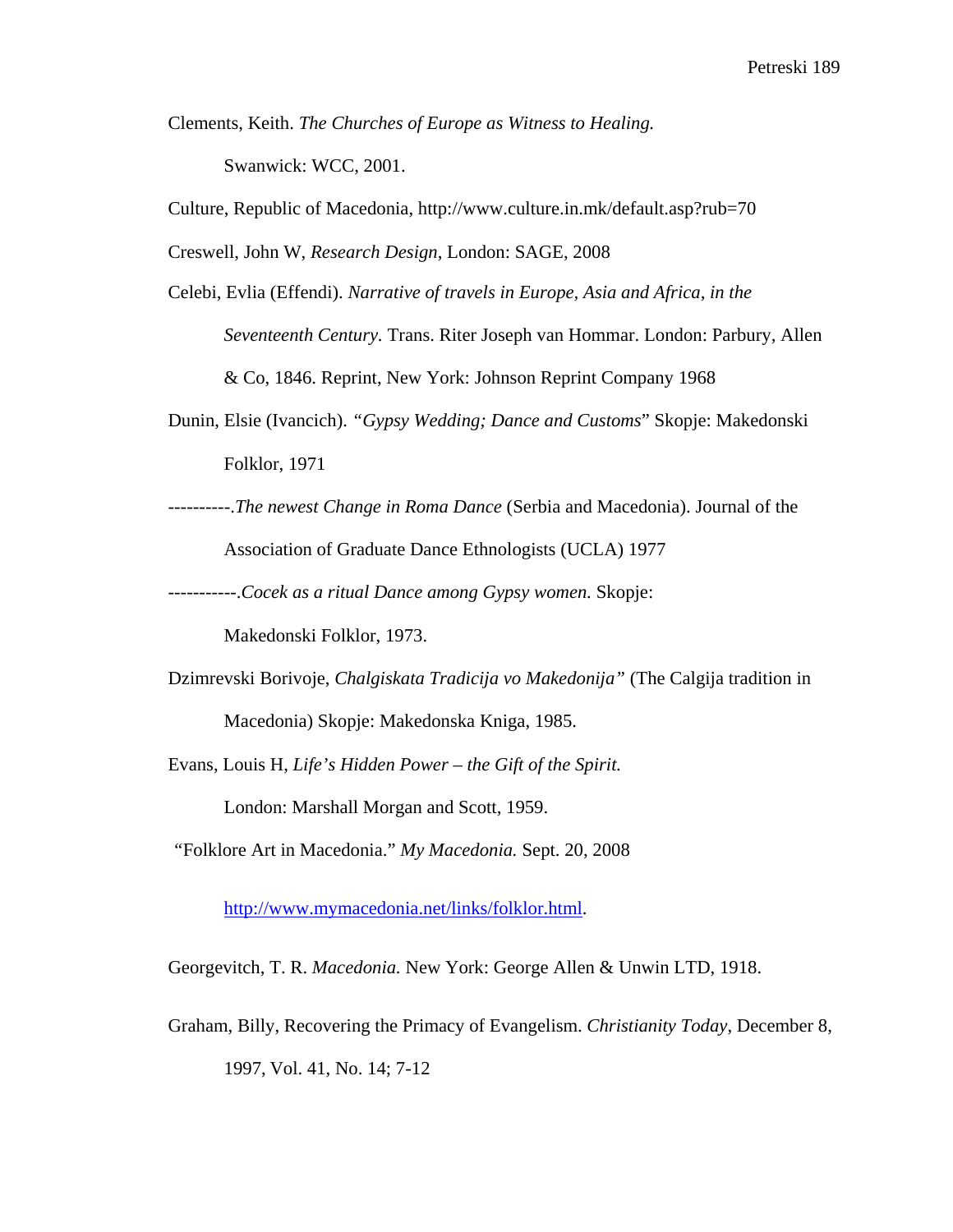- Clements, Keith. *The Churches of Europe as Witness to Healing.*  Swanwick: WCC, 2001.
- Culture, Republic of Macedonia, http://www.culture.in.mk/default.asp?rub=70

Creswell, John W, *Research Design*, London: SAGE, 2008

- Celebi, Evlia (Effendi). *Narrative of travels in Europe, Asia and Africa, in the Seventeenth Century.* Trans. Riter Joseph van Hommar. London: Parbury, Allen & Co, 1846. Reprint, New York: Johnson Reprint Company 1968
- Dunin, Elsie (Ivancich). *"Gypsy Wedding; Dance and Customs*" Skopje: Makedonski Folklor, 1971
- ----------.*The newest Change in Roma Dance* (Serbia and Macedonia). Journal of the Association of Graduate Dance Ethnologists (UCLA) 1977

-----------.*Cocek as a ritual Dance among Gypsy women.* Skopje:

Makedonski Folklor, 1973.

- Dzimrevski Borivoje, *Chalgiskata Tradicija vo Makedonija"* (The Calgija tradition in Macedonia) Skopje: Makedonska Kniga, 1985.
- Evans, Louis H, *Life's Hidden Power the Gift of the Spirit.*

London: Marshall Morgan and Scott, 1959.

 *"*Folklore Art in Macedonia." *My Macedonia.* Sept. 20, 2008

http://www.mymacedonia.net/links/folklor.html.

Georgevitch, T. R. *Macedonia.* New York: George Allen & Unwin LTD, 1918.

Graham, Billy, Recovering the Primacy of Evangelism. *Christianity Today*, December 8, 1997, Vol. 41, No. 14; 7-12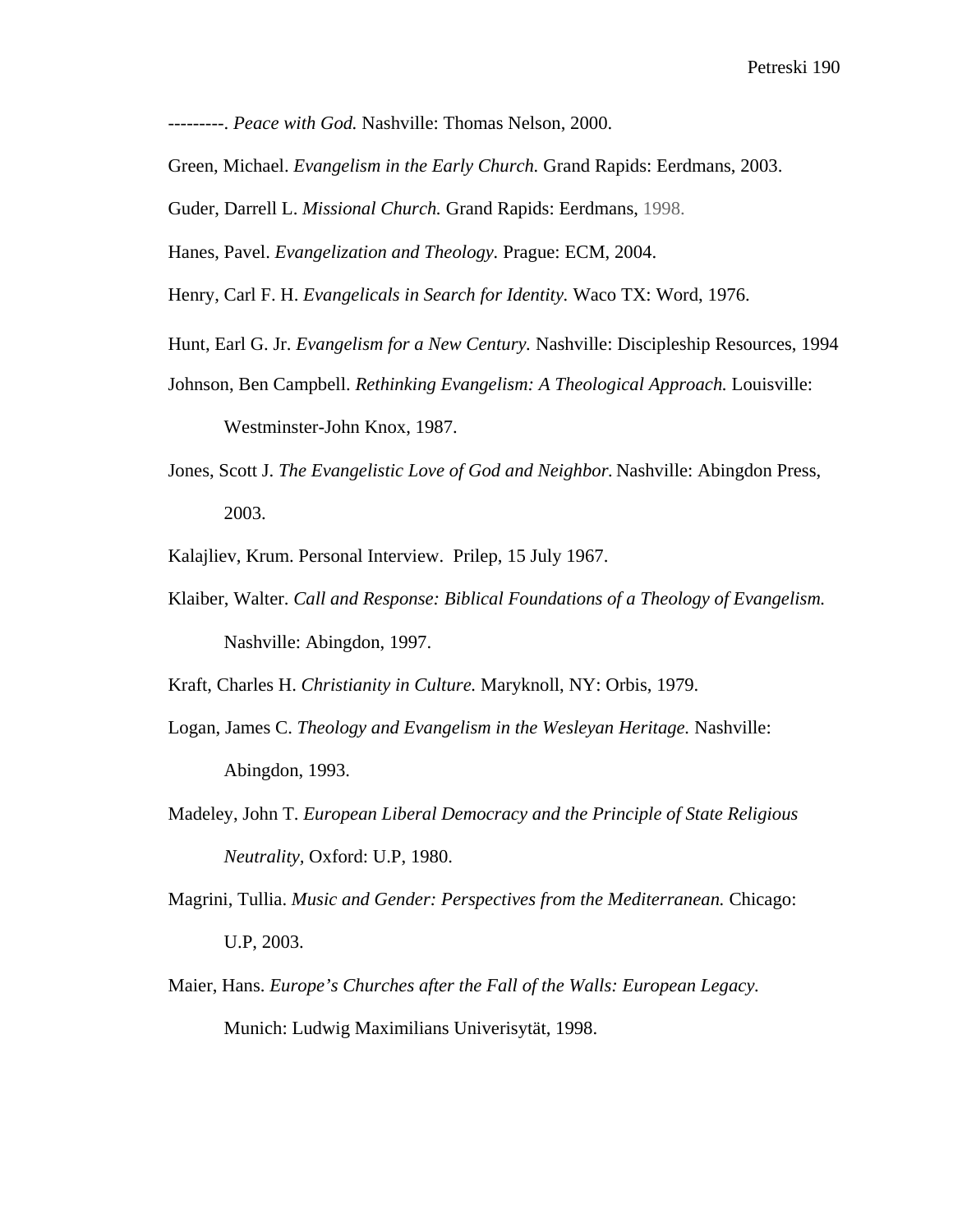---------. *Peace with God.* Nashville: Thomas Nelson, 2000.

Green, Michael. *Evangelism in the Early Church.* Grand Rapids: Eerdmans, 2003.

Guder, Darrell L. *Missional Church.* Grand Rapids: Eerdmans, 1998.

Hanes, Pavel. *Evangelization and Theology.* Prague: ECM, 2004.

Henry, Carl F. H. *Evangelicals in Search for Identity.* Waco TX: Word, 1976.

- Hunt, Earl G. Jr. *Evangelism for a New Century.* Nashville: Discipleship Resources, 1994
- Johnson, Ben Campbell. *Rethinking Evangelism: A Theological Approach.* Louisville:

Westminster-John Knox, 1987.

Jones, Scott J. *The Evangelistic Love of God and Neighbor.* Nashville: Abingdon Press, 2003.

Kalajliev, Krum. Personal Interview. Prilep, 15 July 1967.

Klaiber, Walter. *Call and Response: Biblical Foundations of a Theology of Evangelism.* Nashville: Abingdon, 1997.

Kraft, Charles H. *Christianity in Culture.* Maryknoll, NY: Orbis, 1979.

- Logan, James C. *Theology and Evangelism in the Wesleyan Heritage.* Nashville: Abingdon, 1993.
- Madeley, John T. *European Liberal Democracy and the Principle of State Religious Neutrality,* Oxford: U.P, 1980.
- Magrini, Tullia. *Music and Gender: Perspectives from the Mediterranean.* Chicago: U.P, 2003.
- Maier, Hans. *Europe's Churches after the Fall of the Walls: European Legacy.* Munich: Ludwig Maximilians Univerisytät, 1998.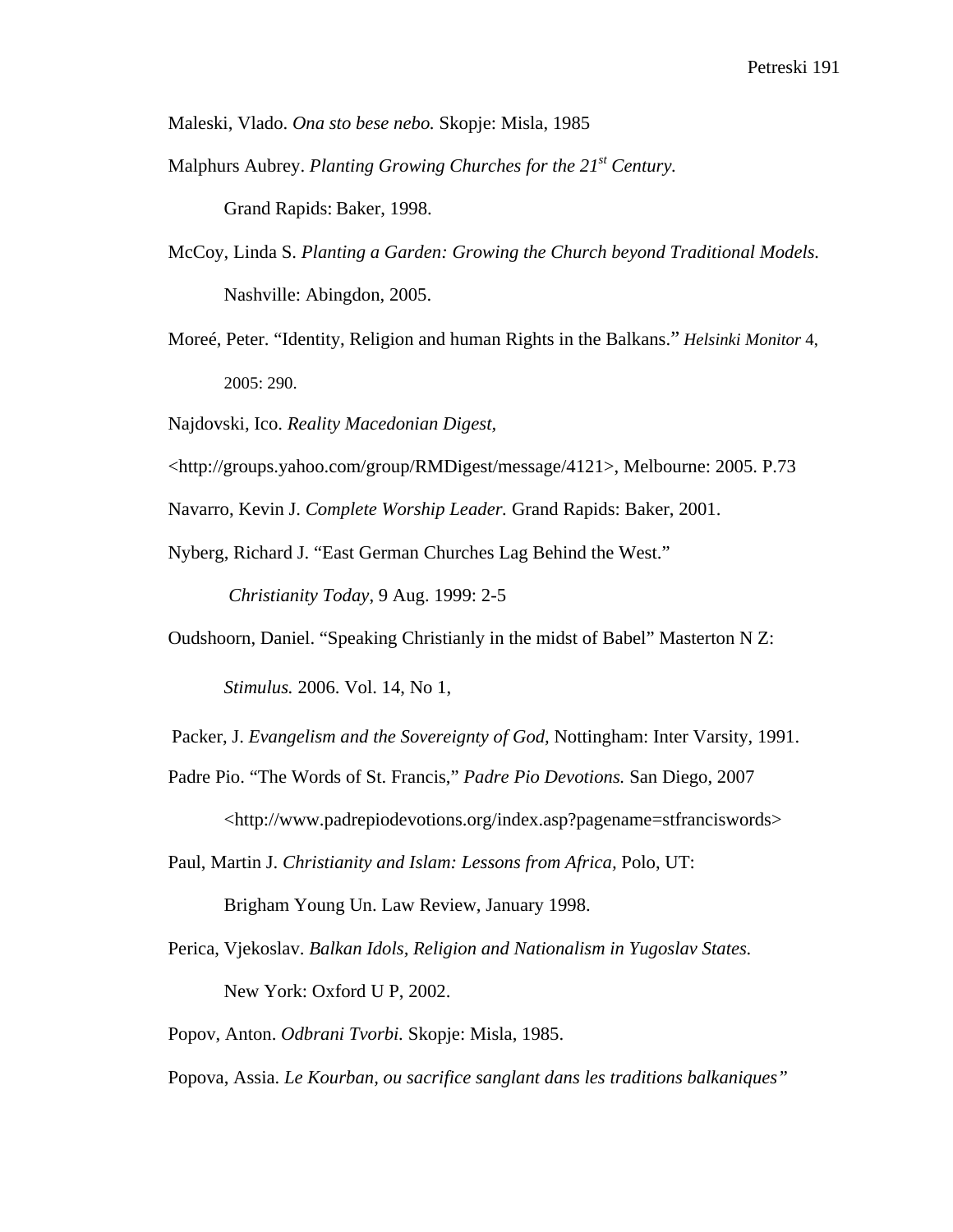Maleski, Vlado. *Ona sto bese nebo.* Skopje: Misla, 1985

Malphurs Aubrey. *Planting Growing Churches for the 21st Century.*

Grand Rapids: Baker, 1998.

- McCoy, Linda S. *Planting a Garden: Growing the Church beyond Traditional Models.* Nashville: Abingdon, 2005.
- Moreé, Peter. "Identity, Religion and human Rights in the Balkans." *Helsinki Monitor* 4, 2005: 290.
- Najdovski, Ico. *Reality Macedonian Digest,*
- <http://groups.yahoo.com/group/RMDigest/message/4121>, Melbourne: 2005. P.73

Navarro, Kevin J. *Complete Worship Leader.* Grand Rapids: Baker, 2001.

Nyberg, Richard J. "East German Churches Lag Behind the West."

*Christianity Today*, 9 Aug. 1999: 2-5

Oudshoorn, Daniel. "Speaking Christianly in the midst of Babel" Masterton N Z:

*Stimulus.* 2006. Vol. 14, No 1,

Packer, J. *Evangelism and the Sovereignty of God,* Nottingham: Inter Varsity, 1991.

- Padre Pio. "The Words of St. Francis," *Padre Pio Devotions.* San Diego, 2007 <http://www.padrepiodevotions.org/index.asp?pagename=stfranciswords>
- Paul, Martin J. *Christianity and Islam: Lessons from Africa,* Polo, UT:

Brigham Young Un. Law Review, January 1998.

Perica, Vjekoslav. *Balkan Idols, Religion and Nationalism in Yugoslav States.*  New York: Oxford U P, 2002.

Popov, Anton. *Odbrani Tvorbi.* Skopje: Misla, 1985.

Popova, Assia. *Le Kourban, ou sacrifice sanglant dans les traditions balkaniques"*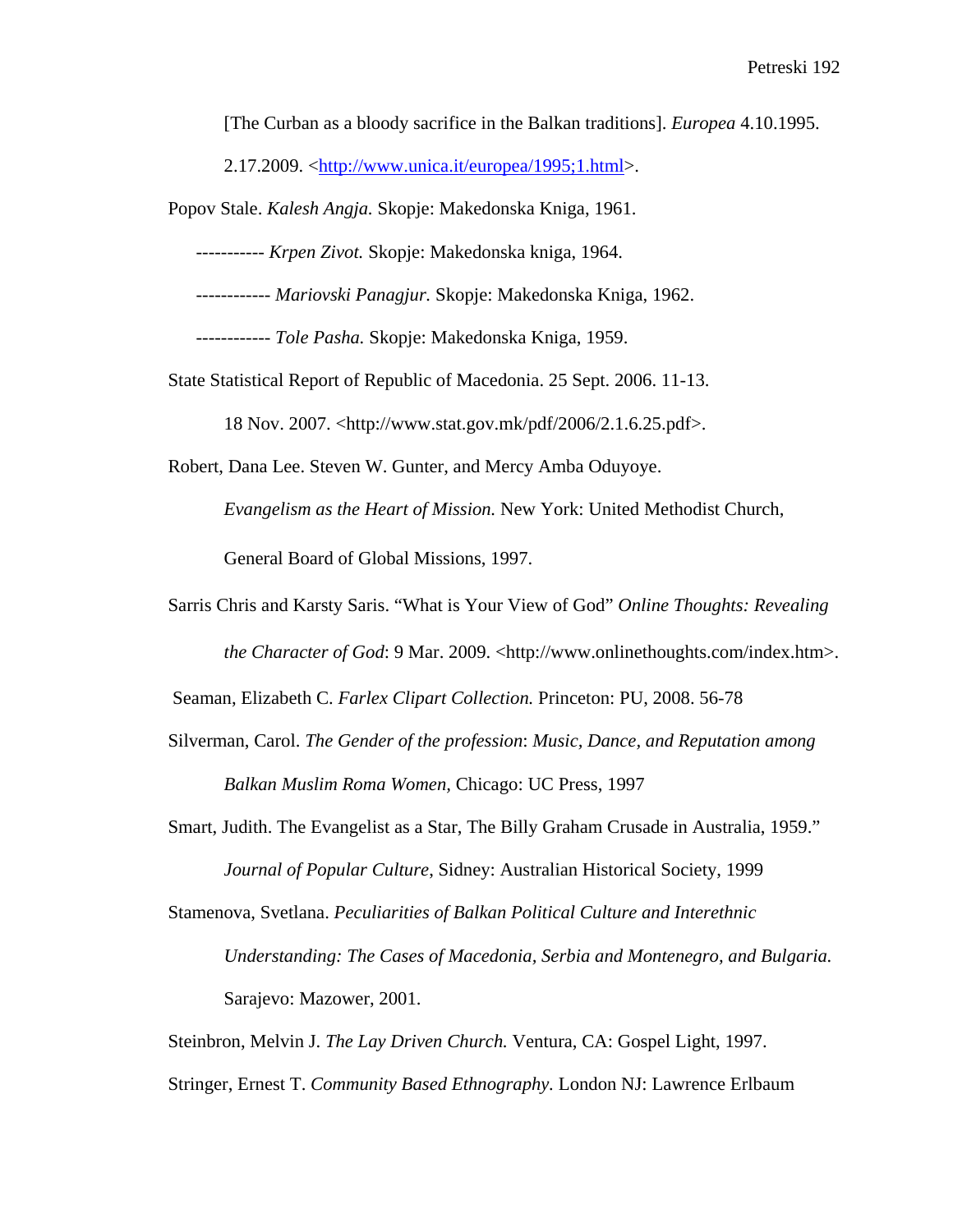[The Curban as a bloody sacrifice in the Balkan traditions]. *Europea* 4.10.1995.

2.17.2009. <http://www.unica.it/europea/1995;1.html>.

Popov Stale. *Kalesh Angja.* Skopje: Makedonska Kniga, 1961.

 *----------- Krpen Zivot.* Skopje: Makedonska kniga, 1964.

 *------------ Mariovski Panagjur.* Skopje: Makedonska Kniga, 1962.

 *------------ Tole Pasha.* Skopje: Makedonska Kniga, 1959.

State Statistical Report of Republic of Macedonia. 25 Sept. 2006. 11-13.

18 Nov. 2007. <http://www.stat.gov.mk/pdf/2006/2.1.6.25.pdf>.

Robert, Dana Lee. Steven W. Gunter, and Mercy Amba Oduyoye.

*Evangelism as the Heart of Mission.* New York: United Methodist Church,

General Board of Global Missions, 1997.

Sarris Chris and Karsty Saris. "What is Your View of God" *Online Thoughts: Revealing the Character of God*: 9 Mar. 2009. <http://www.onlinethoughts.com/index.htm>.

Seaman, Elizabeth C. *Farlex Clipart Collection.* Princeton: PU, 2008. 56-78

- Silverman, Carol. *The Gender of the profession*: *Music, Dance, and Reputation among Balkan Muslim Roma Women,* Chicago: UC Press, 1997
- Smart, Judith. The Evangelist as a Star, The Billy Graham Crusade in Australia, 1959." *Journal of Popular Culture*, Sidney: Australian Historical Society, 1999
- Stamenova, Svetlana. *Peculiarities of Balkan Political Culture and Interethnic Understanding: The Cases of Macedonia, Serbia and Montenegro, and Bulgaria.* Sarajevo: Mazower, 2001.

Steinbron, Melvin J. *The Lay Driven Church.* Ventura, CA: Gospel Light, 1997.

Stringer, Ernest T. *Community Based Ethnography.* London NJ: Lawrence Erlbaum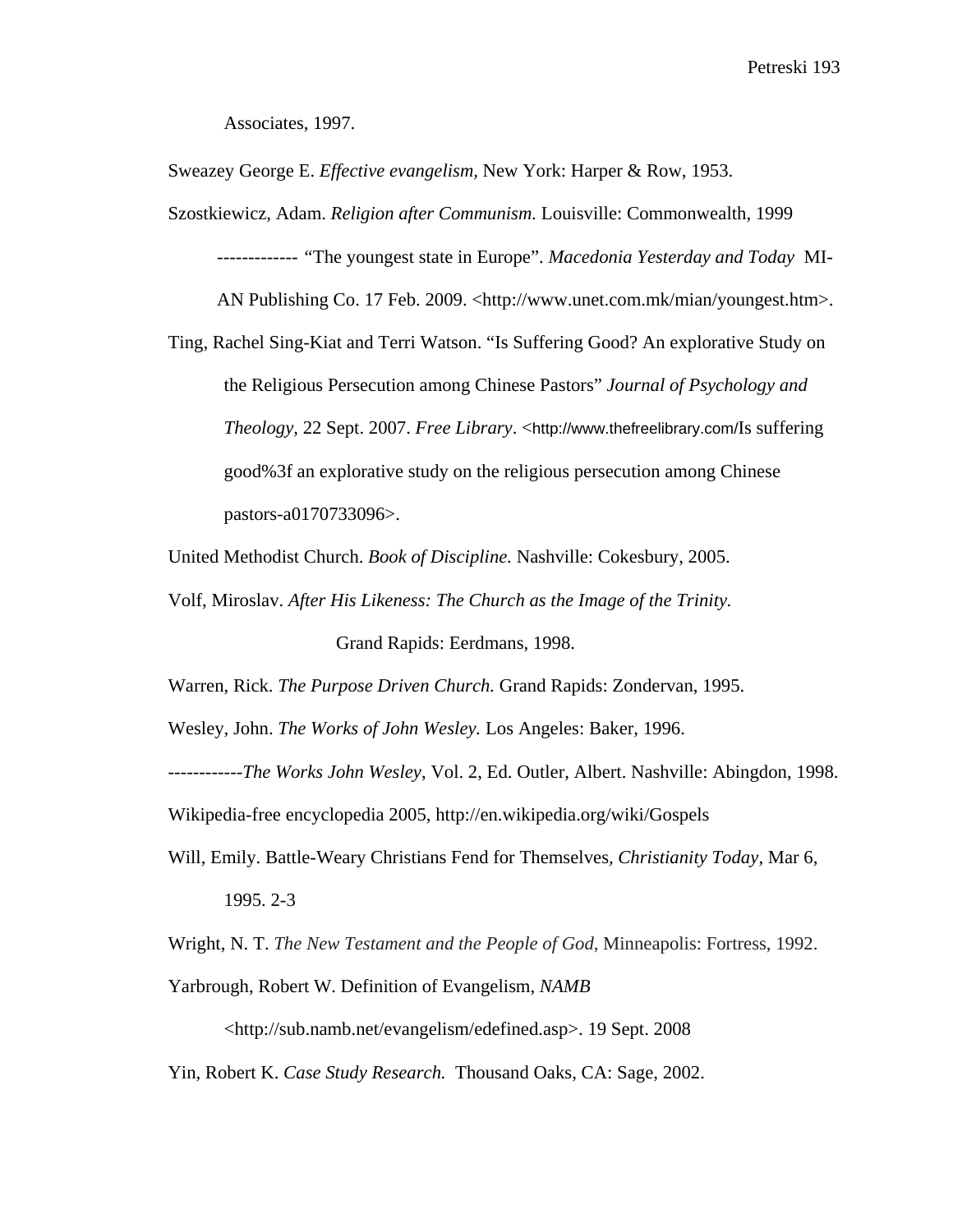Associates, 1997.

Sweazey George E. *Effective evangelism,* New York: Harper & Row, 1953.

Szostkiewicz, Adam. *Religion after Communism.* Louisville: Commonwealth, 1999 *------------- "*The youngest state in Europe". *Macedonia Yesterday and Today* MI-AN Publishing Co. 17 Feb. 2009. <http://www.unet.com.mk/mian/youngest.htm>.

Ting, Rachel Sing-Kiat and Terri Watson. "Is Suffering Good? An explorative Study on the Religious Persecution among Chinese Pastors" *Journal of Psychology and Theology,* 22 Sept. 2007. *Free Library*. <http://www.thefreelibrary.com/Is suffering good%3f an explorative study on the religious persecution among Chinese pastors-a0170733096>.

United Methodist Church. *Book of Discipline.* Nashville: Cokesbury, 2005.

Volf, Miroslav. *After His Likeness: The Church as the Image of the Trinity.* Grand Rapids: Eerdmans, 1998.

Warren, Rick. *The Purpose Driven Church.* Grand Rapids: Zondervan, 1995.

Wesley, John. *The Works of John Wesley.* Los Angeles: Baker, 1996.

------------*The Works John Wesley*, Vol. 2, Ed. Outler, Albert. Nashville: Abingdon, 1998.

Wikipedia-free encyclopedia 2005, http://en.wikipedia.org/wiki/Gospels

Will, Emily. Battle-Weary Christians Fend for Themselves*, Christianity Today*, Mar 6, 1995. 2-3

Wright, N. T. *The New Testament and the People of God,* Minneapolis: Fortress, 1992.

Yarbrough, Robert W. Definition of Evangelism, *NAMB*

<http://sub.namb.net/evangelism/edefined.asp>. 19 Sept. 2008

Yin, Robert K. *Case Study Research.* Thousand Oaks, CA: Sage, 2002.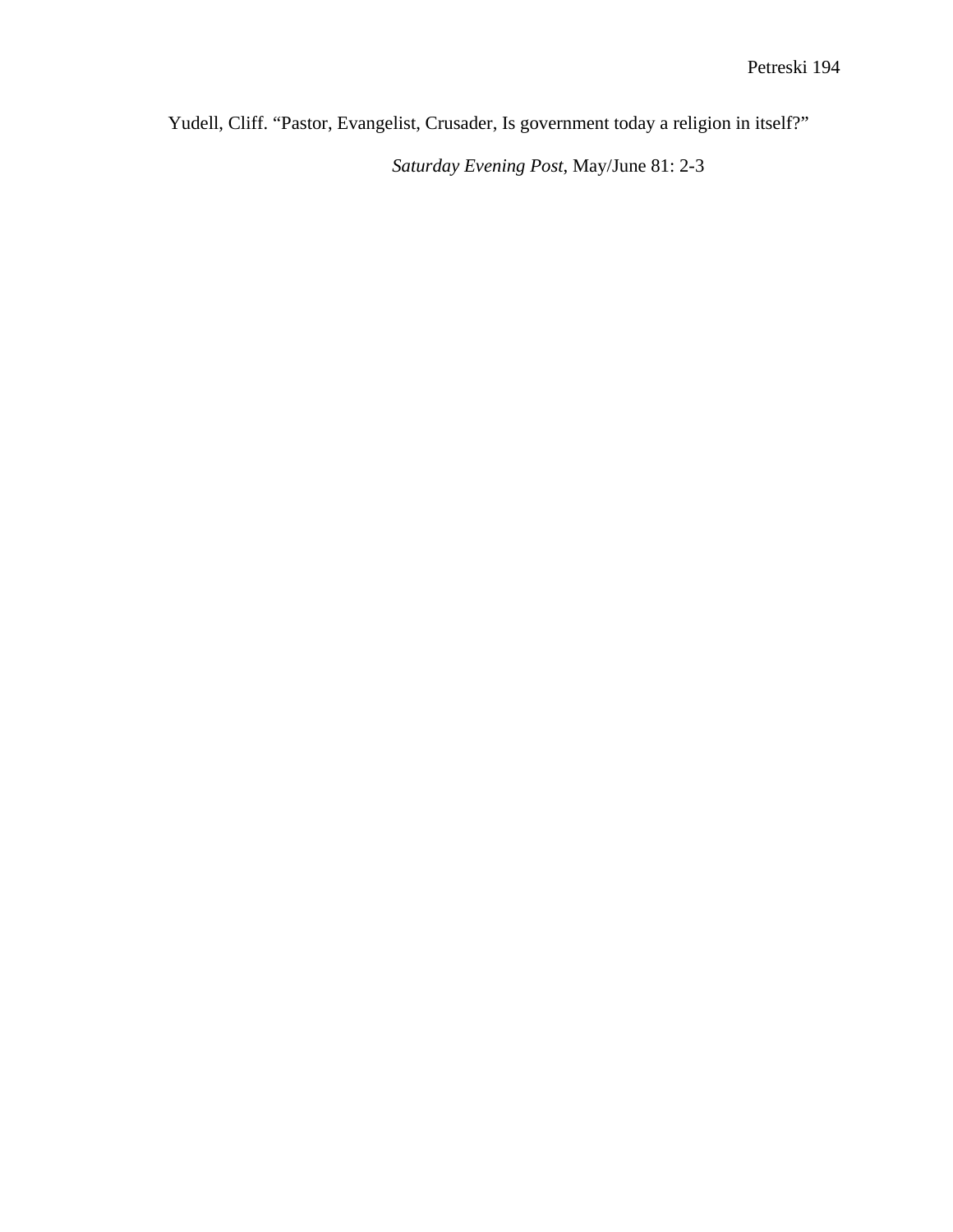Yudell, Cliff. "Pastor, Evangelist, Crusader, Is government today a religion in itself?"

*Saturday Evening Post*, May/June 81: 2-3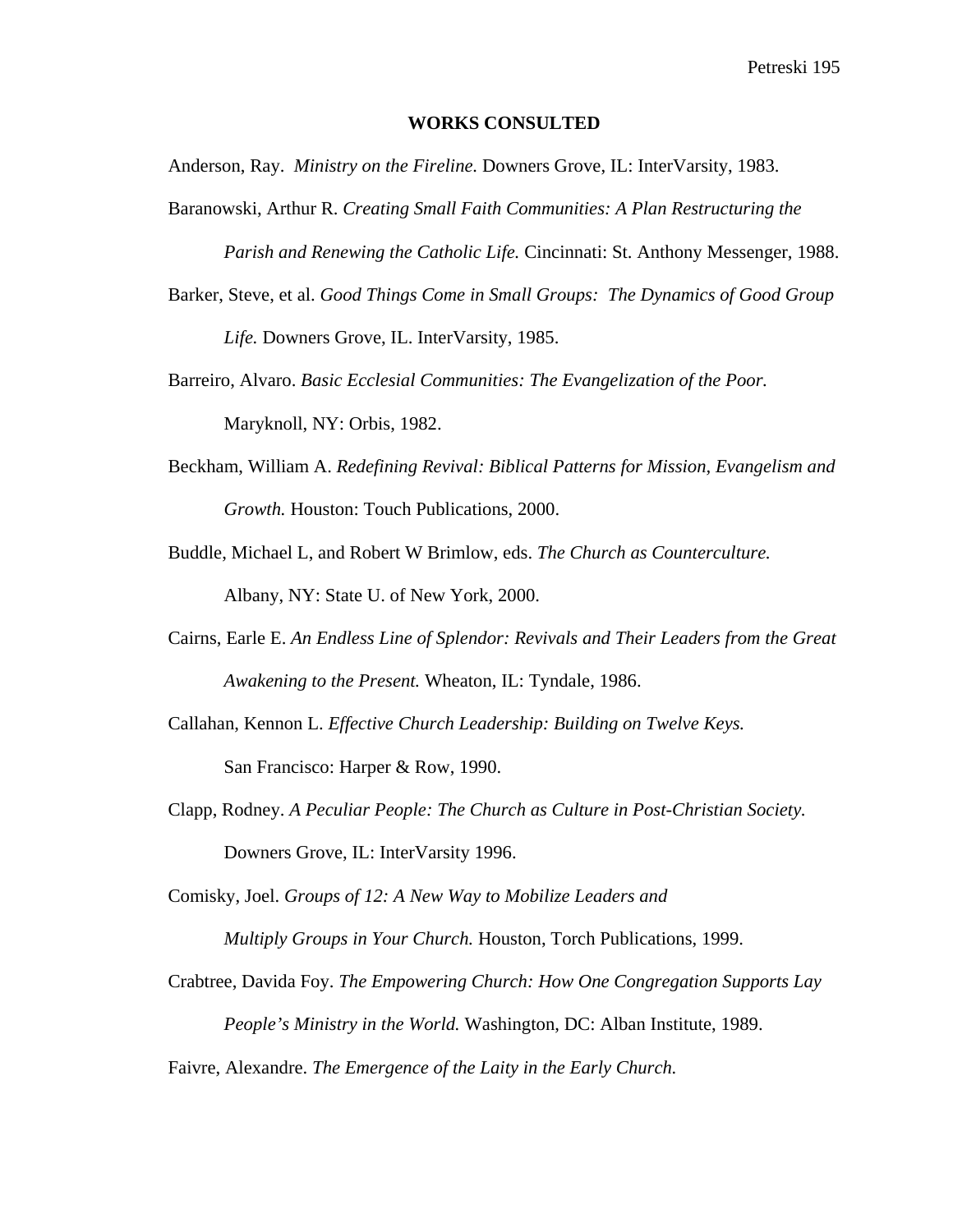#### **WORKS CONSULTED**

Anderson, Ray. *Ministry on the Fireline.* Downers Grove, IL: InterVarsity, 1983.

Baranowski, Arthur R. *Creating Small Faith Communities: A Plan Restructuring the* 

 *Parish and Renewing the Catholic Life.* Cincinnati: St. Anthony Messenger, 1988.

Barker, Steve, et al. *Good Things Come in Small Groups: The Dynamics of Good Group* 

 *Life.* Downers Grove, IL. InterVarsity, 1985.

- Barreiro, Alvaro. *Basic Ecclesial Communities: The Evangelization of the Poor.*  Maryknoll, NY: Orbis, 1982.
- Beckham, William A. *Redefining Revival: Biblical Patterns for Mission, Evangelism and Growth.* Houston: Touch Publications, 2000.
- Buddle, Michael L, and Robert W Brimlow, eds. *The Church as Counterculture.*  Albany, NY: State U. of New York, 2000.
- Cairns, Earle E. *An Endless Line of Splendor: Revivals and Their Leaders from the Great Awakening to the Present.* Wheaton, IL: Tyndale, 1986.
- Callahan, Kennon L. *Effective Church Leadership: Building on Twelve Keys.*  San Francisco: Harper & Row, 1990.
- Clapp, Rodney. *A Peculiar People: The Church as Culture in Post-Christian Society.* Downers Grove, IL: InterVarsity 1996.

Comisky, Joel. *Groups of 12: A New Way to Mobilize Leaders and Multiply Groups in Your Church.* Houston, Torch Publications, 1999.

Crabtree, Davida Foy. *The Empowering Church: How One Congregation Supports Lay People's Ministry in the World.* Washington, DC: Alban Institute, 1989.

Faivre, Alexandre. *The Emergence of the Laity in the Early Church.*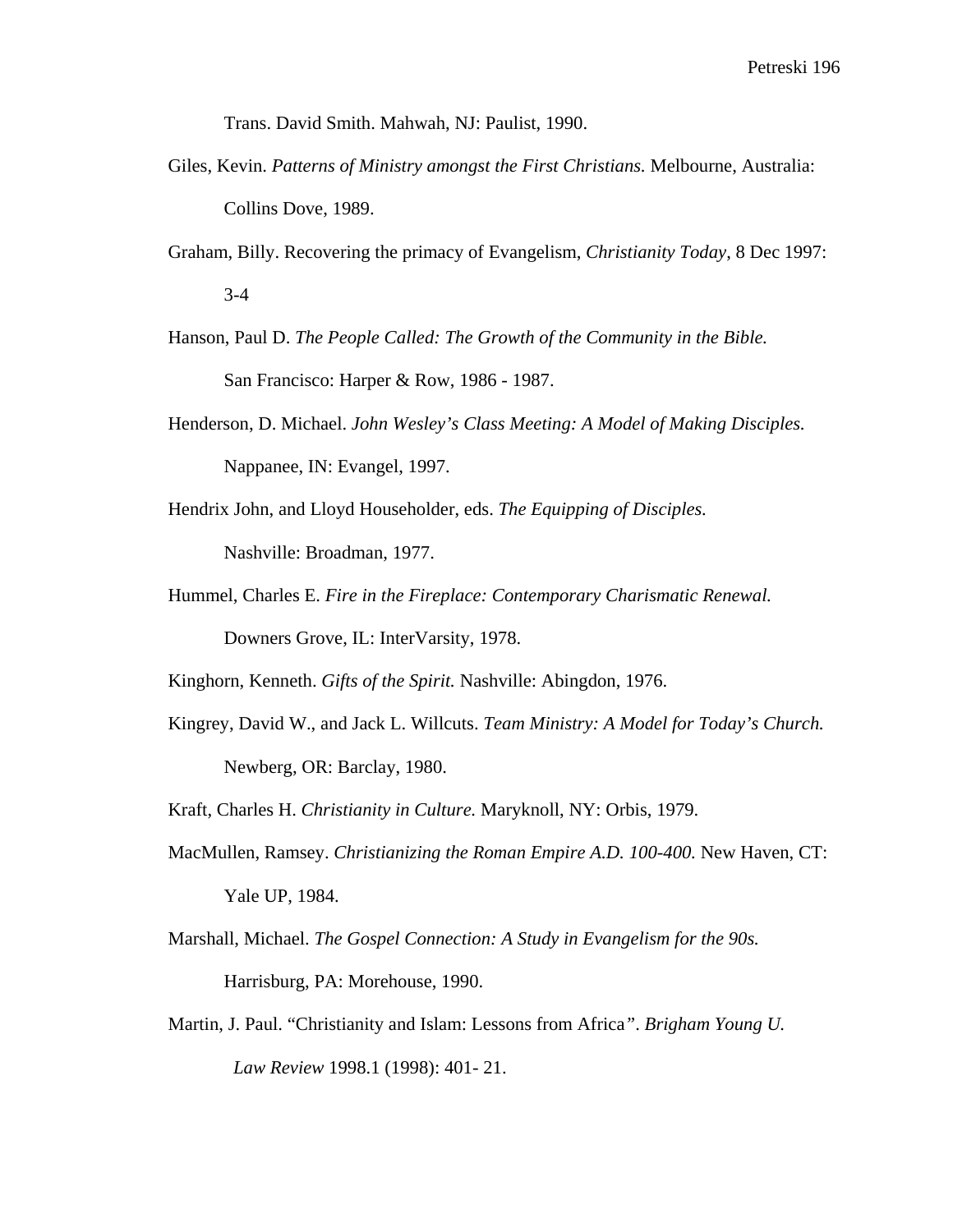Trans. David Smith. Mahwah, NJ: Paulist, 1990.

- Giles, Kevin. *Patterns of Ministry amongst the First Christians.* Melbourne, Australia: Collins Dove, 1989.
- Graham, Billy. Recovering the primacy of Evangelism, *Christianity Today*, 8 Dec 1997: 3-4
- Hanson, Paul D. *The People Called: The Growth of the Community in the Bible.*  San Francisco: Harper & Row, 1986 - 1987.
- Henderson, D. Michael. *John Wesley's Class Meeting: A Model of Making Disciples.*  Nappanee, IN: Evangel, 1997.
- Hendrix John, and Lloyd Householder, eds. *The Equipping of Disciples.*  Nashville: Broadman, 1977.
- Hummel, Charles E. *Fire in the Fireplace: Contemporary Charismatic Renewal.*  Downers Grove, IL: InterVarsity, 1978.

Kinghorn, Kenneth. *Gifts of the Spirit.* Nashville: Abingdon, 1976.

- Kingrey, David W., and Jack L. Willcuts. *Team Ministry: A Model for Today's Church.*  Newberg, OR: Barclay, 1980.
- Kraft, Charles H. *Christianity in Culture.* Maryknoll, NY: Orbis, 1979.
- MacMullen, Ramsey. *Christianizing the Roman Empire A.D. 100-400.* New Haven, CT: Yale UP, 1984.
- Marshall, Michael. *The Gospel Connection: A Study in Evangelism for the 90s.*  Harrisburg, PA: Morehouse, 1990.
- Martin, J. Paul. "Christianity and Islam: Lessons from Africa*"*. *Brigham Young U. Law Review* 1998.1 (1998): 401- 21.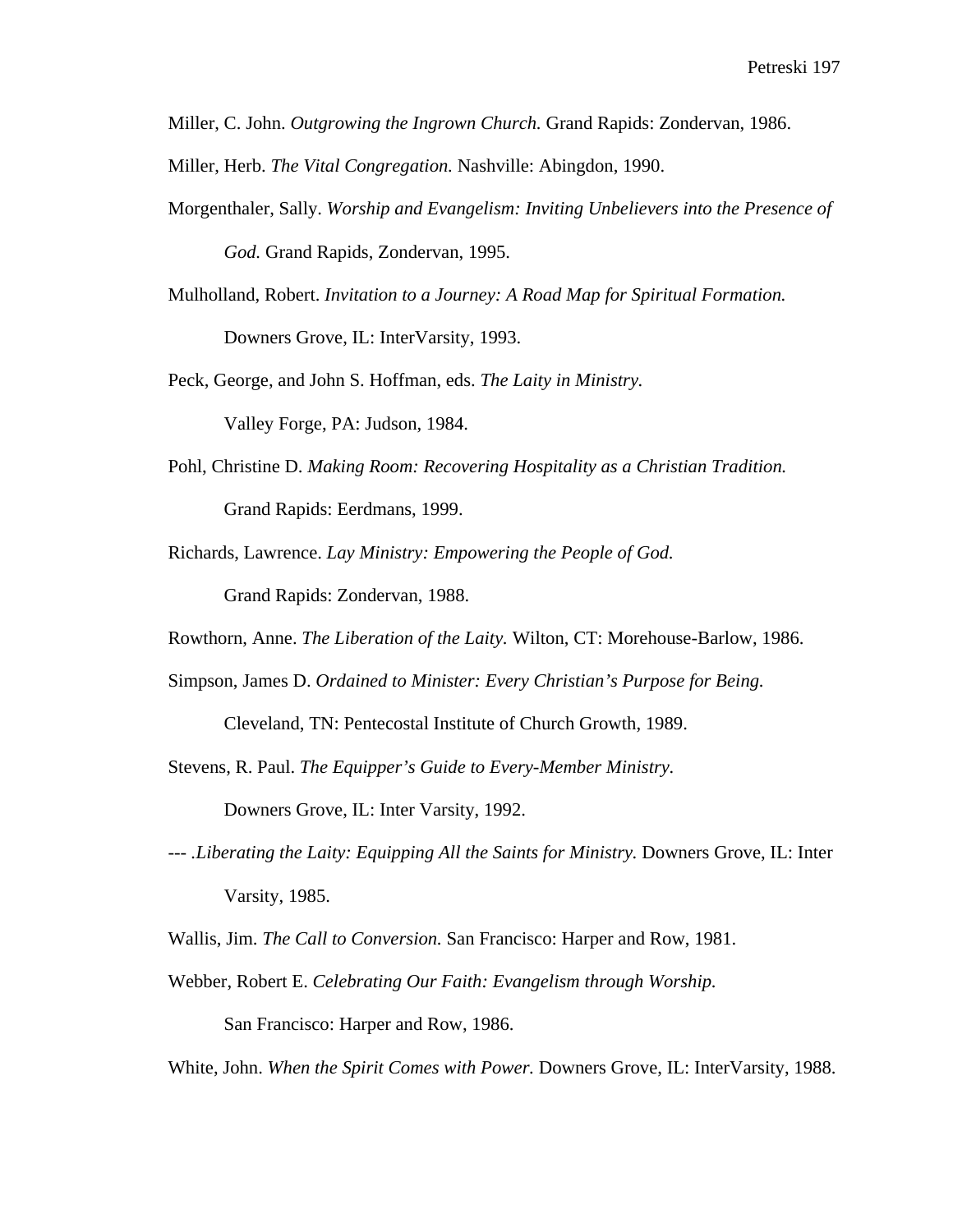Miller, C. John. *Outgrowing the Ingrown Church.* Grand Rapids: Zondervan, 1986.

Miller, Herb. *The Vital Congregation.* Nashville: Abingdon, 1990.

- Morgenthaler, Sally. *Worship and Evangelism: Inviting Unbelievers into the Presence of God.* Grand Rapids, Zondervan, 1995.
- Mulholland, Robert. *Invitation to a Journey: A Road Map for Spiritual Formation.* Downers Grove, IL: InterVarsity, 1993.
- Peck, George, and John S. Hoffman, eds. *The Laity in Ministry.*  Valley Forge, PA: Judson, 1984.
- Pohl, Christine D. *Making Room: Recovering Hospitality as a Christian Tradition.*  Grand Rapids: Eerdmans, 1999.
- Richards, Lawrence. *Lay Ministry: Empowering the People of God.*

Grand Rapids: Zondervan, 1988.

Rowthorn, Anne. *The Liberation of the Laity.* Wilton, CT: Morehouse-Barlow, 1986.

Simpson, James D. *Ordained to Minister: Every Christian's Purpose for Being.* 

Cleveland, TN: Pentecostal Institute of Church Growth, 1989.

Stevens, R. Paul. *The Equipper's Guide to Every-Member Ministry.*

Downers Grove, IL: Inter Varsity, 1992.

*--- .Liberating the Laity: Equipping All the Saints for Ministry.* Downers Grove, IL: Inter Varsity, 1985.

Wallis, Jim. *The Call to Conversion.* San Francisco: Harper and Row, 1981.

Webber, Robert E. *Celebrating Our Faith: Evangelism through Worship.* San Francisco: Harper and Row, 1986.

White, John. *When the Spirit Comes with Power.* Downers Grove, IL: InterVarsity, 1988.